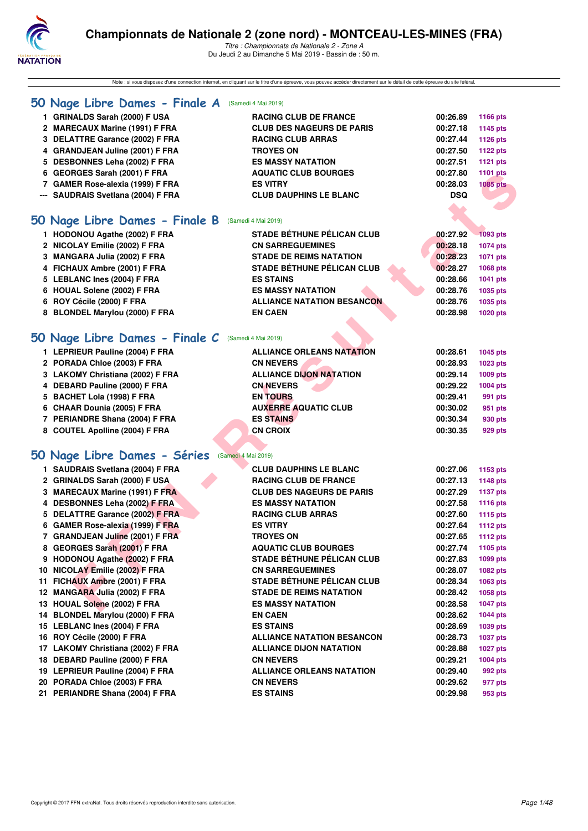

Note : si vous disposez d'une connection internet, en cliquant sur le titre d'une épreuve, vous pouvez accéder directement sur le détail de cette épreuve du site féféral.

## **[50 Nage Libre Dames - Finale A](http://www.ffnatation.fr/webffn/resultats.php?idact=nat&go=epr&idcpt=59365&idepr=1)** (Samedi 4 Mai 2019) **1 GRINALDS Sarah (2000) F USA RACING CLUB DE FRANCE 00:26.89 1166 pts 2 MARECAUX Marine (1991) F FRA CLUB DES NAGEURS DE PARIS 00:27.18 1145 pts 3 DELATTRE Garance (2002) F FRA RACING CLUB ARRAS 00:27.44 1126 pts 4 GRANDJEAN Juline (2001) F FRA TROYES ON 00:27.50 1122 pts 5 DESBONNES Leha (2002) F FRA ES MASSY NATATION 00:27.51 1121 pts 6 GEORGES Sarah (2001) F FRA AQUATIC CLUB BOURGES 00:27.80 1101 pts 7 GAMER Rose-alexia (1999) F FRA ES VITRY 00:28.03 1085 pts --- SAUDRAIS Svetlana (2004) F FRA CLUB DAUPHINS LE BLANC DSQ [50 Nage Libre Dames - Finale B](http://www.ffnatation.fr/webffn/resultats.php?idact=nat&go=epr&idcpt=59365&idepr=1)** (Samedi 4 Mai 2019) **1 HODONOU Agathe (2002) F FRA STADE BÉTHUNE PÉLICAN CLUB 00:27.92 1093 pts 2 NICOLAY Emilie (2002) F FRA CN SARREGUEMINES 00:28.18 1074 pts 3 MANGARA Julia (2002) F FRA STADE DE REIMS NATATION 60:28.23 1071 pts 4 FICHAUX Ambre (2001) F FRA STADE BÉTHUNE PÉLICAN CLUB 00:28.27 1068 pts 5 LEBLANC Ines (2004) F FRA ES STAINS 00:28.66 1041 pts**

- **6 HOUAL Solene (2002) F FRA ES MASSY NATATION 00:28.76 1035 pts**
- **6 ROY Cécile (2000) F FRA ALLIANCE NATATION BESANCON 00:28.76 1035 pts**
- **8 BLONDEL Marylou (2000) F FRA EN CAEN 00:28.98 1020 pts**

## **[50 Nage Libre Dames - Finale C](http://www.ffnatation.fr/webffn/resultats.php?idact=nat&go=epr&idcpt=59365&idepr=1)** (Samedi 4 Mai 2019)

| 1 LEPRIEUR Pauline (2004) F FRA  | <b>ALLIANCE ORLEANS NATATION</b> | 00:28.61 | 1045 pts |
|----------------------------------|----------------------------------|----------|----------|
| 2 PORADA Chloe (2003) F FRA      | <b>CN NEVERS</b>                 | 00:28.93 | 1023 pts |
| 3 LAKOMY Christiana (2002) F FRA | <b>ALLIANCE DIJON NATATION</b>   | 00:29.14 | 1009 pts |
| 4 DEBARD Pauline (2000) F FRA    | <b>CN NEVERS</b>                 | 00:29.22 | 1004 pts |
| 5 BACHET Lola (1998) F FRA       | <b>EN TOURS</b>                  | 00:29.41 | 991 pts  |
| 6 CHAAR Dounia (2005) F FRA      | <b>AUXERRE AQUATIC CLUB</b>      | 00:30.02 | 951 pts  |
| 7 PERIANDRE Shana (2004) F FRA   | <b>ES STAINS</b>                 | 00:30.34 | 930 pts  |
| 8 COUTEL Apolline (2004) F FRA   | <b>CN CROIX</b>                  | 00:30.35 | 929 pts  |
| 50 Nage Libre Dames - Séries     | (Samedi 4 Mai 2019)              |          |          |

| 6 GEORGES Sarah (2001) F FRA                        | <b>AQUATIC CLUB BOURGES</b>       | 00:27.80   | <b>1101 pts</b> |
|-----------------------------------------------------|-----------------------------------|------------|-----------------|
| 7 GAMER Rose-alexia (1999) F FRA                    | <b>ES VITRY</b>                   | 00:28.03   | <b>1085 pts</b> |
| --- SAUDRAIS Svetlana (2004) F FRA                  | <b>CLUB DAUPHINS LE BLANC</b>     | <b>DSQ</b> |                 |
|                                                     |                                   |            |                 |
| 50 Nage Libre Dames - Finale B                      | (Samedi 4 Mai 2019)               |            |                 |
| 1 HODONOU Agathe (2002) F FRA                       | <b>STADE BÉTHUNE PÉLICAN CLUB</b> | 00:27.92   | 1093 pts        |
| 2 NICOLAY Emilie (2002) F FRA                       | <b>CN SARREGUEMINES</b>           | 00:28.18   | 1074 pts        |
|                                                     | <b>STADE DE REIMS NATATION</b>    | 00:28.23   |                 |
| 3 MANGARA Julia (2002) F FRA                        | <b>STADE BÉTHUNE PÉLICAN CLUB</b> | 00:28.27   | 1071 pts        |
| 4 FICHAUX Ambre (2001) F FRA                        | <b>ES STAINS</b>                  | 00:28.66   | 1068 pts        |
| 5 LEBLANC Ines (2004) F FRA                         |                                   |            | 1041 pts        |
| 6 HOUAL Solene (2002) F FRA                         | <b>ES MASSY NATATION</b>          | 00:28.76   | 1035 pts        |
| 6 ROY Cécile (2000) F FRA                           | <b>ALLIANCE NATATION BESANCON</b> | 00:28.76   | 1035 pts        |
| 8 BLONDEL Marylou (2000) F FRA                      | <b>EN CAEN</b>                    | 00:28.98   | 1020 pts        |
| 50 Nage Libre Dames - Finale C                      | (Samedi 4 Mai 2019)               |            |                 |
| 1 LEPRIEUR Pauline (2004) F FRA                     | <b>ALLIANCE ORLEANS NATATION</b>  | 00:28.61   | 1045 pts        |
| 2 PORADA Chloe (2003) F FRA                         | <b>CN NEVERS</b>                  | 00:28.93   | 1023 pts        |
| 3 LAKOMY Christiana (2002) F FRA                    | <b>ALLIANCE DIJON NATATION</b>    | 00:29.14   | 1009 pts        |
| 4 DEBARD Pauline (2000) F FRA                       | <b>CN NEVERS</b>                  | 00:29.22   | 1004 pts        |
| 5 BACHET Lola (1998) F FRA                          | <b>EN TOURS</b>                   | 00:29.41   | 991 pts         |
| 6 CHAAR Dounia (2005) F FRA                         | <b>AUXERRE AQUATIC CLUB</b>       | 00:30.02   | 951 pts         |
| 7 PERIANDRE Shana (2004) F FRA                      | <b>ES STAINS</b>                  | 00:30.34   | 930 pts         |
| 8 COUTEL Apolline (2004) F FRA                      | <b>CN CROIX</b>                   | 00:30.35   | 929 pts         |
|                                                     |                                   |            |                 |
| 50 Nage Libre Dames - Séries<br>(Samedi 4 Mai 2019) |                                   |            |                 |
| 1 SAUDRAIS Svetlana (2004) F FRA                    | <b>CLUB DAUPHINS LE BLANC</b>     | 00:27.06   | 1153 pts        |
| 2 GRINALDS Sarah (2000) F USA                       | <b>RACING CLUB DE FRANCE</b>      | 00:27.13   | 1148 pts        |
| 3 MARECAUX Marine (1991) F FRA                      | <b>CLUB DES NAGEURS DE PARIS</b>  | 00:27.29   | <b>1137 pts</b> |
| 4 DESBONNES Leha (2002) F FRA                       | <b>ES MASSY NATATION</b>          | 00:27.58   | 1116 pts        |
| 5 DELATTRE Garance (2002) F FRA                     | <b>RACING CLUB ARRAS</b>          | 00:27.60   | <b>1115 pts</b> |
| 6 GAMER Rose-alexia (1999) F FRA                    | <b>ES VITRY</b>                   | 00:27.64   | <b>1112 pts</b> |
| 7 GRANDJEAN Juline (2001) F FRA                     | <b>TROYES ON</b>                  | 00:27.65   | 1112 pts        |
| 8 GEORGES Sarah (2001) F FRA                        | <b>AQUATIC CLUB BOURGES</b>       | 00:27.74   | 1105 pts        |
| 9 HODONOU Agathe (2002) F FRA                       | <b>STADE BÉTHUNE PÉLICAN CLUB</b> | 00:27.83   | 1099 pts        |
| 10 NICOLAY Emilie (2002) F FRA                      | <b>CN SARREGUEMINES</b>           | 00:28.07   | 1082 pts        |
| 11 FICHAUX Ambre (2001) F FRA                       | <b>STADE BÉTHUNE PÉLICAN CLUB</b> | 00:28.34   | 1063 pts        |
| 12 MANGARA Julia (2002) F FRA                       | <b>STADE DE REIMS NATATION</b>    | 00:28.42   |                 |
|                                                     | <b>ES MASSY NATATION</b>          | 00:28.58   | 1058 pts        |
| 13 HOUAL Solene (2002) F FRA                        |                                   |            | <b>1047 pts</b> |
| 14 BLONDEL Marylou (2000) F FRA                     | <b>EN CAEN</b>                    | 00:28.62   | 1044 pts        |
| 15 LEBLANC Ines (2004) F FRA                        | <b>ES STAINS</b>                  | 00:28.69   | 1039 pts        |
| 16 ROY Cécile (2000) F FRA                          | <b>ALLIANCE NATATION BESANCON</b> | 00:28.73   | <b>1037 pts</b> |
| 17 LAKOMY Christiana (2002) F FRA                   | <b>ALLIANCE DIJON NATATION</b>    | 00:28.88   | <b>1027 pts</b> |
| 18 DEBARD Pauline (2000) F FRA                      | <b>CN NEVERS</b>                  | 00:29.21   | 1004 pts        |
| 19 LEPRIEUR Pauline (2004) F FRA                    | <b>ALLIANCE ORLEANS NATATION</b>  | 00:29.40   | 992 pts         |
| 20 PORADA Chloe (2003) F FRA                        | <b>CN NEVERS</b>                  | 00:29.62   | 977 pts         |
| 21 PERIANDRE Shana (2004) F FRA                     | <b>ES STAINS</b>                  | 00:29.98   | 953 pts         |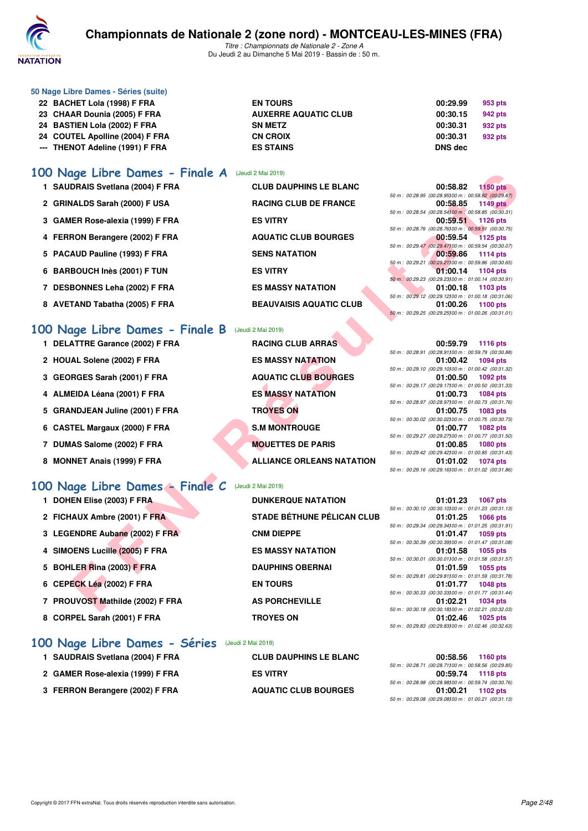

*Titre : Championnats de Nationale 2 - Zone A* Du Jeudi 2 au Dimanche 5 Mai 2019 - Bassin de : 50 m.

| 22 BACHET Lola (1998) F FRA     | <b>EN TOURS</b>             | 00:29.99       | 953 pts |
|---------------------------------|-----------------------------|----------------|---------|
| 23 CHAAR Dounia (2005) F FRA    | <b>AUXERRE AQUATIC CLUB</b> | 00:30.15       | 942 pts |
| 24 BASTIEN Lola (2002) F FRA    | <b>SN METZ</b>              | 00:30.31       | 932 pts |
| 24 COUTEL Apolline (2004) F FRA | <b>CN CROIX</b>             | 00:30.31       | 932 pts |
| --- THENOT Adeline (1991) F FRA | <b>ES STAINS</b>            | <b>DNS</b> dec |         |
|                                 |                             |                |         |

## **[100 Nage Libre Dames - Finale A](http://www.ffnatation.fr/webffn/resultats.php?idact=nat&go=epr&idcpt=59365&idepr=2)** (Jeudi 2 Mai 2019)

| 1 SAUDRAIS Svetlana (2004) F FRA | <b>CLUB DAUPHINS LE BLANC</b>  | 00:58.82<br><b>1150 pts</b>                        |
|----------------------------------|--------------------------------|----------------------------------------------------|
|                                  |                                | 50 m : 00:28.95 (00:28.95100 m : 00:58.82 (00:29.  |
| 2 GRINALDS Sarah (2000) F USA    | <b>RACING CLUB DE FRANCE</b>   | 00:58.85<br>1149 pts                               |
|                                  |                                | 50 m : 00:28.54 (00:28.54) 00 m : 00:58.85 (00:30. |
| 3 GAMER Rose-alexia (1999) F FRA | <b>ES VITRY</b>                | 00:59.51<br>1126 pts                               |
|                                  |                                | 50 m : 00:28.76 (00:28.76100 m : 00:59.51 (00:30.  |
| 4 FERRON Berangere (2002) F FRA  | <b>AQUATIC CLUB BOURGES</b>    | 1125 pts<br>00:59.54                               |
|                                  |                                | 50 m : 00:29.47 (00:29.47) 00 m : 00:59.54 (00:30. |
| 5 PACAUD Pauline (1993) F FRA    | <b>SENS NATATION</b>           | 00:59.86<br>1114 pts                               |
|                                  |                                | 50 m : 00:29.21 (00:29.21100 m : 00:59.86 (00:30.  |
| 6 BARBOUCH Inès (2001) F TUN     | <b>ES VITRY</b>                | 01:00.14<br>1104 pts                               |
|                                  |                                | 50 m : 00:29.23 (00:29.23100 m : 01:00.14 (00:30.  |
| 7 DESBONNES Leha (2002) F FRA    | <b>ES MASSY NATATION</b>       | 01:00.18<br>1103 pts                               |
|                                  |                                | 50 m : 00:29.12 (00:29.12100 m : 01:00.18 (00:31.  |
| 8 AVETAND Tabatha (2005) F FRA   | <b>BEAUVAISIS AQUATIC CLUB</b> | 01:00.26<br>1100 pts                               |
|                                  |                                |                                                    |

**50 Nage Libre Dames - Séries (suite)**

## **[100 Nage Libre Dames - Finale B](http://www.ffnatation.fr/webffn/resultats.php?idact=nat&go=epr&idcpt=59365&idepr=2)** (Jeudi 2 Mai 2019)

| 1 DELATTRE Garance (2002) F FRA | <b>RACING CLUB ARRAS</b>         | 1116 pts<br>00:59.79                                                       |
|---------------------------------|----------------------------------|----------------------------------------------------------------------------|
|                                 |                                  | 50 m : 00:28.91 (00:28.91100 m : 00:59.79 (00:30.                          |
| 2 HOUAL Solene (2002) F FRA     | <b>ES MASSY NATATION</b>         | 01:00.42<br>1094 pts<br>50 m : 00:29.10 (00:29.10) 00 m : 01:00.42 (00:31. |
| 3 GEORGES Sarah (2001) F FRA    | <b>AQUATIC CLUB BOURGES</b>      | 01:00.50<br>1092 pts                                                       |
| 4 ALMEIDA Léana (2001) F FRA    | <b>ES MASSY NATATION</b>         | 50 m : 00:29.17 (00:29.17100 m : 01:00.50 (00:31.<br>01:00.73<br>1084 pts  |
|                                 |                                  | 50 m : 00:28.97 (00:28.97100 m : 01:00.73 (00:31.                          |
| 5 GRANDJEAN Juline (2001) F FRA | <b>TROYES ON</b>                 | 01:00.75<br>1083 pts                                                       |
| 6 CASTEL Margaux (2000) F FRA   | <b>S.M MONTROUGE</b>             | 50 m : 00:30.02 (00:30.02100 m : 01:00.75 (00:30.<br>01:00.77<br>1082 pts  |
|                                 |                                  | 50 m : 00:29.27 (00:29.27) 00 m : 01:00.77 (00:31.                         |
| 7 DUMAS Salome (2002) F FRA     | <b>MOUETTES DE PARIS</b>         | 01:00.85<br>1080 pts                                                       |
|                                 |                                  | 50 m : 00:29.42 (00:29.42) 00 m : 01:00.85 (00:31.                         |
| 8 MONNET Anais (1999) F FRA     | <b>ALLIANCE ORLEANS NATATION</b> | 01:01.02<br><b>1074 pts</b>                                                |
|                                 |                                  | $50 \text{ m} \cdot 00.2916$ (00.2916100 m $\cdot$ 01.01.02 (00.21)        |

## **[100 Nage Libre Dames - Finale C](http://www.ffnatation.fr/webffn/resultats.php?idact=nat&go=epr&idcpt=59365&idepr=2)** (Jeudi 2 Mai 2019)

| JU Nage Libre Dames - Finale A (Jeudi 2 Mai 2019) |                                   |                                                                                      |
|---------------------------------------------------|-----------------------------------|--------------------------------------------------------------------------------------|
| 1 SAUDRAIS Svetlana (2004) F FRA                  | <b>CLUB DAUPHINS LE BLANC</b>     | 00:58.82<br><b>1150 pts</b>                                                          |
| 2 GRINALDS Sarah (2000) F USA                     | <b>RACING CLUB DE FRANCE</b>      | 50 m : 00:28.95 (00:28.95) 00 m : 00:58.82 (00:29.87)<br>00:58.85<br><b>1149 pts</b> |
|                                                   |                                   | 50 m : 00:28.54 (00:28.54)00 m : 00:58.85 (00:30.31)                                 |
| 3 GAMER Rose-alexia (1999) F FRA                  | <b>ES VITRY</b>                   | 1126 pts<br>00:59.51<br>50 m : 00:28.76 (00:28.76) 00 m : 00:59.51 (00:30.75)        |
| 4 FERRON Berangere (2002) F FRA                   | <b>AQUATIC CLUB BOURGES</b>       | 00:59.54<br><b>1125 pts</b>                                                          |
| 5 PACAUD Pauline (1993) F FRA                     | <b>SENS NATATION</b>              | 50 m : 00:29.47 (00:29.47) 00 m : 00:59.54 (00:30.07)<br>00:59.86<br><b>1114 pts</b> |
|                                                   |                                   | 50 m : 00:29.21 (00:29.21)00 m : 00:59.86 (00:30.65)                                 |
| 6 BARBOUCH Inès (2001) F TUN                      | <b>ES VITRY</b>                   | 01:00.14<br>1104 pts<br>50 m : 00:29.23 (00:29.23) 00 m : 01:00.14 (00:30.91)        |
| 7 DESBONNES Leha (2002) F FRA                     | <b>ES MASSY NATATION</b>          | 01:00.18<br>1103 pts                                                                 |
|                                                   | <b>BEAUVAISIS AQUATIC CLUB</b>    | 50 m : 00:29.12 (00:29.12) 00 m : 01:00.18 (00:31.06)                                |
| 8 AVETAND Tabatha (2005) F FRA                    |                                   | 01:00.26<br><b>1100 pts</b><br>50 m: 00:29.25 (00:29.25100 m: 01:00.26 (00:31.01)    |
|                                                   |                                   |                                                                                      |
| 00 Nage Libre Dames - Finale B                    | (Jeudi 2 Mai 2019)                |                                                                                      |
| 1 DELATTRE Garance (2002) F FRA                   | <b>RACING CLUB ARRAS</b>          | 00:59.79<br><b>1116 pts</b>                                                          |
| 2 HOUAL Solene (2002) F FRA                       | <b>ES MASSY NATATION</b>          | 50 m : 00:28.91 (00:28.91100 m : 00:59.79 (00:30.88)<br>01:00.42<br><b>1094 pts</b>  |
|                                                   |                                   | 50 m : 00:29.10 (00:29.10) 00 m : 01:00.42 (00:31.32)                                |
| 3 GEORGES Sarah (2001) F FRA                      | <b>AQUATIC CLUB BOURGES</b>       | 01:00.50<br><b>1092 pts</b>                                                          |
|                                                   |                                   | 50 m : 00:29.17 (00:29.17)00 m : 01:00.50 (00:31.33)                                 |
| 4 ALMEIDA Léana (2001) F FRA                      | <b>ES MASSY NATATION</b>          | <b>1084 pts</b><br>01:00.73<br>50 m : 00:28.97 (00:28.97) 00 m : 01:00.73 (00:31.76) |
| 5 GRANDJEAN Juline (2001) F FRA                   | <b>TROYES ON</b>                  | 01:00.75<br>1083 pts                                                                 |
|                                                   |                                   | 50 m : 00:30.02 (00:30.02) 00 m : 01:00.75 (00:30.73)                                |
| 6 CASTEL Margaux (2000) F FRA                     | <b>S.M MONTROUGE</b>              | 01:00.77<br>1082 pts                                                                 |
| 7 DUMAS Salome (2002) F FRA                       | <b>MOUETTES DE PARIS</b>          | 50 m : 00:29.27 (00:29.27)00 m : 01:00.77 (00:31.50)<br>01:00.85<br>1080 pts         |
|                                                   |                                   | 50 m : 00:29.42 (00:29.42) 00 m : 01:00.85 (00:31.43)                                |
| 8 MONNET Anais (1999) F FRA                       | <b>ALLIANCE ORLEANS NATATION</b>  | 01:01.02<br><b>1074 pts</b>                                                          |
|                                                   |                                   | 50 m : 00:29.16 (00:29.16) 00 m : 01:01.02 (00:31.86)                                |
| 00 Nage Libre Dames - Finale C                    | (Jeudi 2 Mai 2019)                |                                                                                      |
| 1 DOHEN Elise (2003) F FRA                        | <b>DUNKERQUE NATATION</b>         | 01:01.23<br><b>1067 pts</b>                                                          |
|                                                   |                                   | 50 m: 00:30.10 (00:30.10100 m: 01:01.23 (00:31.13)                                   |
| 2 FICHAUX Ambre (2001) F FRA                      | <b>STADE BÉTHUNE PÉLICAN CLUB</b> | 01:01.25<br><b>1066 pts</b>                                                          |
|                                                   |                                   | 50 m : 00:29.34 (00:29.34)00 m : 01:01.25 (00:31.91)                                 |
| 3 LEGENDRE Aubane (2002) F FRA                    | <b>CNM DIEPPE</b>                 | 01:01.47<br><b>1059 pts</b><br>50 m : 00:30.39 (00:30.39)00 m : 01:01.47 (00:31.08)  |
| 4 SIMOENS Lucille (2005) F FRA                    | <b>ES MASSY NATATION</b>          | 1055 pts<br>01:01.58                                                                 |
|                                                   |                                   | 50 m: 00:30.01 (00:30.01100 m: 01:01.58 (00:31.57)                                   |
| 5 BOHLER Rina (2003) F FRA                        | <b>DAUPHINS OBERNAI</b>           | 1055 pts<br>01:01.59<br>50 m : 00:29.81 (00:29.81100 m : 01:01.59 (00:31.78)         |
| 6 CEPECK Léa (2002) F FRA                         | <b>EN TOURS</b>                   | 01:01.77<br><b>1048 pts</b>                                                          |
|                                                   |                                   | 50 m: 00:30.33 (00:30.33100 m: 01:01.77 (00:31.44)                                   |
| 7 PROUVOST Mathilde (2002) F FRA                  | <b>AS PORCHEVILLE</b>             | 01:02.21<br>1034 pts                                                                 |
| 8 CORPEL Sarah (2001) F FRA                       | <b>TROYES ON</b>                  | 50 m : 00:30.18 (00:30.18)00 m : 01:02.21 (00:32.03)<br>01:02.46<br>1025 pts         |
|                                                   |                                   | 50 m : 00:29.83 (00:29.83)00 m : 01:02.46 (00:32.63)                                 |
|                                                   |                                   |                                                                                      |

## **[100 Nage Libre Dames - Séries](http://www.ffnatation.fr/webffn/resultats.php?idact=nat&go=epr&idcpt=59365&idepr=2)** (Jeudi 2 Mai 2019)

| 1 SAUDRAIS Svetlana (2004) F FRA | <b>CLUB DAUPHINS LE BLANC</b> | 00:58.56                                          | 1160 pts |
|----------------------------------|-------------------------------|---------------------------------------------------|----------|
|                                  |                               | 50 m : 00:28.71 (00:28.71100 m : 00:58.56 (00:29. |          |
| 2 GAMER Rose-alexia (1999) F FRA | <b>ES VITRY</b>               | 00:59.74 1118 pts                                 |          |
|                                  |                               | 50 m : 00:28.98 (00:28.98100 m : 00:59.74 (00:30. |          |
| 3 FERRON Berangere (2002) F FRA  | <b>AQUATIC CLUB BOURGES</b>   | 01:00.21                                          | 1102 pts |
|                                  |                               |                                                   |          |

|                | シーム いい   |
|----------------|----------|
| 00:30.31       | 932 pts  |
| 00:30.31       | 932 pts  |
| <b>DNS</b> dec |          |
|                |          |
|                |          |
|                |          |
| በበ 58.82       | 1150 nte |

|  |  | 00:58.82 1150 pts                                     |
|--|--|-------------------------------------------------------|
|  |  | 50 m : 00:28.95 (00:28.95) 00 m : 00:58.82 (00:29.87) |
|  |  | 00:58.85 1149 pts                                     |
|  |  | 50 m: 00:28.54 (00:28.54100 m: 00:58.85 (00:30.31)    |
|  |  | 00:59.51 1126 pts                                     |
|  |  | 50 m : 00:28.76 (00:28.76100 m : 00:59.51 (00:30.75)  |
|  |  | 00:59.54 1125 pts                                     |
|  |  | 50 m : 00:29.47 (00:29.47100 m : 00:59.54 (00:30.07)  |
|  |  |                                                       |
|  |  | 00:59.86 1114 pts                                     |
|  |  | 50 m : 00:29.21 (00:29.21100 m : 00:59.86 (00:30.65)  |
|  |  | 01:00.14 1104 pts                                     |
|  |  | 50 m: 00:29.23 (00:29.23100 m: 01:00.14 (00:30.91)    |
|  |  | 01:00.18 1103 pts                                     |
|  |  | 50 m: 00:29.12 (00:29.12100 m: 01:00.18 (00:31.06)    |
|  |  | 01:00.26 1100 pts                                     |

|  | 00:59.79 1116 pts                                  |
|--|----------------------------------------------------|
|  | 50 m: 00:28.91 (00:28.91100 m: 00:59.79 (00:30.88) |
|  | 01:00.42 1094 pts                                  |
|  | 50 m: 00:29.10 (00:29.10100 m: 01:00.42 (00:31.32) |
|  | 01:00.50 1092 pts                                  |
|  | 50 m: 00:29.17 (00:29.17100 m: 01:00.50 (00:31.33) |
|  | 01:00.73 1084 pts                                  |
|  | 50 m: 00:28.97 (00:28.97100 m: 01:00.73 (00:31.76) |
|  |                                                    |
|  | 01:00.75 1083 pts                                  |
|  | 50 m: 00:30.02 (00:30.02100 m: 01:00.75 (00:30.73) |
|  | 01:00.77 1082 pts                                  |
|  | 50 m: 00:29.27 (00:29.27100 m: 01:00.77 (00:31.50) |
|  | 01:00.85 1080 pts                                  |
|  | 50 m: 00:29.42 (00:29.42100 m: 01:00.85 (00:31.43) |
|  | 01:01.02 1074 pts                                  |

|  | 01:01.23 1067 pts                                     |
|--|-------------------------------------------------------|
|  | 50 m : 00:30.10 (00:30.10) 00 m : 01:01.23 (00:31.13) |
|  | 01:01.25 1066 pts                                     |
|  | 50 m: 00:29.34 (00:29.34100 m: 01:01.25 (00:31.91)    |
|  | 01:01.47 1059 pts                                     |
|  | 50 m: 00:30.39 (00:30.39100 m: 01:01.47 (00:31.08)    |
|  | 01:01.58 1055 pts                                     |
|  | 50 m: 00:30.01 (00:30.01100 m: 01:01.58 (00:31.57)    |
|  |                                                       |
|  | 01:01.59 1055 pts                                     |
|  | 50 m: 00:29.81 (00:29.81100 m: 01:01.59 (00:31.78)    |
|  | 01:01.77 1048 pts                                     |
|  | 50 m: 00:30.33 (00:30.33100 m: 01:01.77 (00:31.44)    |
|  | 01:02.21 1034 pts                                     |
|  | 50 m: 00:30.18 (00:30.18100 m: 01:02.21 (00:32.03)    |
|  | 01:02.46 1025 pts                                     |

#### **00:58.56 1160 pts** *50 m : 00:28.71 (00:28.71)100 m : 00:58.56 (00:29.85)*

|  | 00:59.74 1118 pts                                    |
|--|------------------------------------------------------|
|  | 50 m : 00:28.98 (00:28.98100 m : 00:59.74 (00:30.76) |
|  | 01:00.21 1102 pts                                    |
|  | 50 m : 00:29.08 (00:29.08100 m : 01:00.21 (00:31.13) |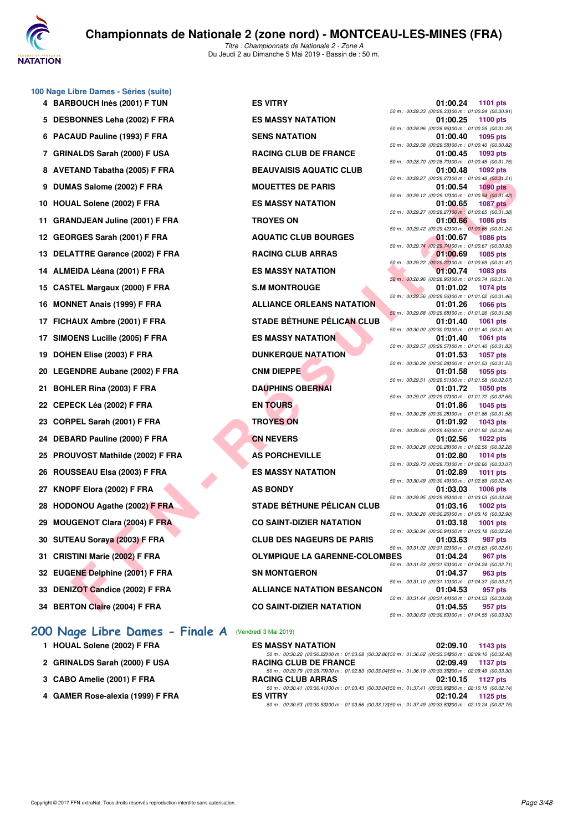

### **100 Nage Libre Dames - Séries (suite)**

5 DESBONNES Leha (2002) F FRA ES MASSY NATATION **6 PACAUD Pauline (1993) F FRA SENS NATATION** 7 GRINALDS Sarah (2000) F USA RACING CLUB DE FRANCE 8 AVETAND Tabatha (2005) F FRA BEAUVAISIS AQUATIC CLUB 9 DUMAS Salome (2002) F FRA MOUETTES DE PARIS 10 HOUAL Solene (2002) F FRA ES MASSY NATATION 11 GRANDJEAN Juline (2001) F FRA **TROYES ON** 12 GEORGES Sarah (2001) F FRA **AQUATIC CLUB BOURGES** 13 DELATTRE Garance (2002) F FRA RACING CLUB ARRAS 14 ALMEIDA Léana (2001) F FRA ES MASSY NATATION 15 CASTEL Margaux (2000) F FRA S.M MONTROUGE 16 MONNET Anais (1999) F FRA **ALLIANCE ORLEANS NATATION** 17 FICHAUX Ambre (2001) F FRA STADE BÉTHUNE PÉLICAN CLUB 17 SIMOENS Lucille (2005) F FRA ES MASSY NATATION **19 DOHEN Elise (2003) F FRA DUNKERQUE NATATION 20 LEGENDRE Aubane (2002) F FRA CNM DIEPPE 01:01.58 1055 pts** 21 BOHLER Rina (2003) F FRA DAUPHINS OBERNAI **22 CEPECK Léa (2002) F FRA EN TOURS 01:01.86 1045 pts** 23 CORPEL Sarah (2001) F FRA TROYES ON **24 DEBARD Pauline (2000) F FRA CN NEVERS** 25 PROUVOST Mathilde (2002) F FRA **AS PORCHEVILLE** 26 ROUSSEAU Elsa (2003) F FRA ES MASSY NATATION **27 KNOPF Elora (2002) F FRA AS BONDY 28 HODONOU Agathe (2002) F FRA STADE BÉTHUNE PÉLICAN CLUB 29 MOUGENOT Clara (2004) F FRA CO SAINT-DIZIER NATATION 30 SUTEAU Soraya (2003) F FRA CLUB DES NAGEURS DE PARIS 31 CRISTINI Marie (2002) F FRA OLYMPIQUE LA GARENNE-COLON 32 EUGENE Delphine (2001) F FRA SN MONTGERON 33 DENIZOT Candice (2002) F FRA ALLIANCE NATATION BESANCON 34 BERTON Claire (2004) F FRA CO SAINT-DIZIER NATATION** 

## **[200 Nage Libre Dames - Finale A](http://www.ffnatation.fr/webffn/resultats.php?idact=nat&go=epr&idcpt=59365&idepr=3)** (Vendredi 3 Mai 2019)

- **1 HOUAL Solene (2002) F FRA**
- 2 GRINALDS Sarah (2000) F USA
- **3 CABO Amelie (2001) F FRA RACING CLUB ARRAS 02:10.15 1127 pts**
- **4 GAMER Rose-alexia (1999) F FRA**

**F FRAME THE UNITED SEAU THANK THE UNITED SEAP AND THE SEAU THE SAME STATE OF PRAME THE SAME COLOR FRAME THE SAME COLOR FRAME THE SAME COLOR FRAME SAME COLOR FRAME SAME COLOR THE SAME COLOR FRAME THE GROUP FRAME SAME COLO 4 BARBOUCH Inès (2001) F TUN ES VITRY 01:00.24 1101 pts**

|             |                 | 01:00.24 | 1101 pts                                              |
|-------------|-----------------|----------|-------------------------------------------------------|
|             |                 |          | 50 m : 00:29.33 (00:29.33) 00 m : 01:00.24 (00:30.91) |
|             |                 | 01:00.25 | 1100 pts                                              |
|             |                 |          | 50 m : 00:28.96 (00:28.96) 00 m : 01:00.25 (00:31.29) |
|             |                 | 01:00.40 | 1095 pts                                              |
|             |                 |          | 50 m : 00:29.58 (00:29.58) 00 m : 01:00.40 (00:30.82) |
|             |                 | 01:00.45 | 1093 pts                                              |
|             |                 |          | 50 m : 00:28.70 (00:28.70) 00 m : 01:00.45 (00:31.75) |
|             |                 | 01:00.48 | <b>1092 pts</b>                                       |
|             |                 |          | 50 m : 00:29.27 (00:29.27)00 m : 01:00.48 (00:31.21)  |
|             |                 | 01:00.54 | <b>1090 pts</b>                                       |
|             |                 |          | 50 m: 00:29.12 (00:29.12)00 m: 01:00.54 (00:31.42)    |
|             |                 | 01:00.65 | <b>1087 pts</b>                                       |
|             |                 |          | 50 m : 00:29.27 (00:29.27) 00 m : 01:00.65 (00:31.38) |
|             |                 | 01:00.66 | 1086 pts                                              |
|             |                 |          | 50 m : 00:29.42 (00:29.42) 00 m : 01:00.66 (00:31.24) |
|             |                 | 01:00.67 | <b>1086 pts</b>                                       |
|             |                 |          | 50 m : 00:29.74 (00:29.74100 m : 01:00.67 (00:30.93)  |
|             |                 | 01:00.69 | 1085 pts                                              |
|             |                 |          | 50 m : 00:29.22 (00:29.22) 00 m : 01:00.69 (00:31.47) |
|             |                 | 01:00.74 | 1083 pts                                              |
|             |                 |          | 50 m : 00:28.96 (00:28.96) 00 m : 01:00.74 (00:31.78) |
|             |                 | 01:01.02 | <b>1074 pts</b>                                       |
|             |                 |          | 50 m : 00:29.56 (00:29.56) 00 m : 01:01.02 (00:31.46) |
|             |                 | 01:01.26 | 1066 pts                                              |
|             |                 |          | 50 m : 00:29.68 (00:29.68) 00 m : 01:01.26 (00:31.58) |
|             |                 | 01:01.40 | 1061 pts                                              |
|             |                 |          | 50 m : 00:30.00 (00:30.00) 00 m : 01:01.40 (00:31.40) |
|             |                 | 01:01.40 | 1061 pts                                              |
|             |                 |          | 50 m: 00:29.57 (00:29.57)00 m: 01:01.40 (00:31.83)    |
|             |                 | 01:01.53 | 1057 pts                                              |
|             |                 |          | 50 m : 00:30.28 (00:30.28) 00 m : 01:01.53 (00:31.25) |
|             |                 | 01:01.58 | 1055 pts                                              |
|             | 50 m : 00:29.51 |          | (00:29.51100 m: 01:01.58 (00:32.07)                   |
|             |                 | 01:01.72 | 1050 pts                                              |
|             |                 |          | 50 m : 00:29.07 (00:29.07) 00 m : 01:01.72 (00:32.65) |
|             |                 | 01:01.86 | 1045 pts                                              |
|             |                 |          | 50 m : 00:30.28 (00:30.28) 00 m : 01:01.86 (00:31.58) |
|             |                 | 01:01.92 | 1043 pts                                              |
|             |                 |          | 50 m : 00:29.46 (00:29.46) 00 m : 01:01.92 (00:32.46) |
|             |                 | 01:02.56 | <b>1022 pts</b>                                       |
|             |                 |          | 50 m : 00:30.28 (00:30.28) 00 m : 01:02.56 (00:32.28) |
|             |                 | 01:02.80 | <b>1014 pts</b>                                       |
|             |                 |          | 50 m : 00:29.73 (00:29.73) 00 m : 01:02.80 (00:33.07) |
|             |                 | 01:02.89 | <b>1011 pts</b>                                       |
|             |                 |          | 50 m : 00:30.49 (00:30.49) 00 m : 01:02.89 (00:32.40) |
|             |                 | 01:03.03 | 1006 pts                                              |
|             |                 |          | 50 m : 00:29.95 (00:29.95) 00 m : 01:03.03 (00:33.08) |
|             |                 | 01:03.16 | 1002 pts                                              |
|             |                 |          | 50 m : 00:30.26 (00:30.26) 00 m : 01:03.16 (00:32.90) |
|             |                 | 01:03.18 | 1001 pts                                              |
|             |                 |          | 50 m : 00:30.94 (00:30.94) 00 m : 01:03.18 (00:32.24) |
|             |                 | 01:03.63 | 987 pis                                               |
|             |                 |          | 50 m : 00:31.02 (00:31.02) 00 m : 01:03.63 (00:32.61) |
| <b>IBES</b> |                 | 01:04.24 | 967 pts                                               |
|             |                 |          | 50 m: 00:31.53 (00:31.53)00 m: 01:04.24 (00:32.71)    |
|             |                 | 01:04.37 | <b>963 pts</b>                                        |
|             |                 |          | 50 m: 00:31.10 (00:31.10) 00 m: 01:04.37 (00:33.27)   |
|             |                 | 01:04.53 | 957 pts                                               |
|             |                 |          | 50 m: 00:31.44 (00:31.44)00 m: 01:04.53 (00:33.09)    |
|             |                 | 01:04.55 | 957 pts                                               |
|             |                 |          | 50 m : 00:30.63 (00:30.63) 00 m : 01:04.55 (00:33.92) |

| <b>ES MASSY NATATION</b>                                                                                   | 02:09.10 1143 pts |
|------------------------------------------------------------------------------------------------------------|-------------------|
| 50 m : 00:30.22 (00:30.22) 00 m : 01:03.08 (00:32.86) 50 m : 01:36.62 (00:33.54200 m : 02:09.10 (00:32.48) |                   |
| <b>RACING CLUB DE FRANCE</b>                                                                               | 02:09.49 1137 pts |
| 50 m : 00:29.79 (00:29.79) 00 m : 01:02.83 (00:33.04) 50 m : 01:36.19 (00:33.36200 m : 02:09.49 (00:33.30) |                   |
| <b>RACING CLUB ARRAS</b>                                                                                   | 02:10.15 1127 pts |
| 50 m: 00:30.41 (00:30.41100 m: 01:03.45 (00:33.04150 m: 01:37.41 (00:33.96200 m: 02:10.15 (00:32.74)       |                   |
| <b>ES VITRY</b>                                                                                            | 02:10.24 1125 pts |
| 50 m : 00:30.53 (00:30.53) 00 m : 01:03.66 (00:33.13) 50 m : 01:37.49 (00:33.83200 m : 02:10.24 (00:32.75) |                   |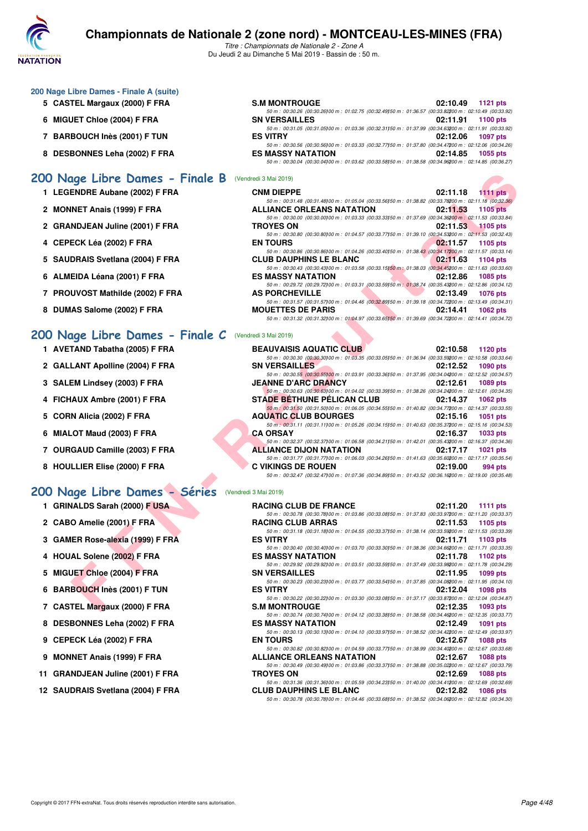

*Titre : Championnats de Nationale 2 - Zone A* Du Jeudi 2 au Dimanche 5 Mai 2019 - Bassin de : 50 m.

|  |  |  | 200 Nage Libre Dames - Finale A (suite) |  |
|--|--|--|-----------------------------------------|--|
|--|--|--|-----------------------------------------|--|

- **5 CASTEL Margaux (2000) F FRA S.M MONTROUGH 02:10.49 INCHER**
- **6 MIGUET Chloe (2004) F FRA SN 92:11.91 1100 pts**
- **7 BARBOUCH Inès (2001) F TUN EXECUTE IN EXECUTE IN EXECUTA EXECUTE IN EXECUTIVE IN EXECUTIVE IN EXECUTIVE IN EXECUTIVE IN EXECUTIVE IN EXAMPLE IN EXAMPLE IN EXAMPLE IN EXAMPLE IN EXAMPLE IN EXAMPLE IN EXAMPLE IN EXAMPLE I**
- **8 DESBONNES Leha (2002) F FRA**

## **[200 Nage Libre Dames - Finale B](http://www.ffnatation.fr/webffn/resultats.php?idact=nat&go=epr&idcpt=59365&idepr=3)** (Vendredi 3 Mai 2019)

- **1 LEGENDRE Aubane (2002) F FRA**
- **2 MONNET Anais (1999) F FRA**
- 2 GRANDJEAN Juline (2001) F FRA
- **4 CEPECK Léa (2002) F FRA EN TOURS 02:11.57 1105 pts**
- 5 SAUDRAIS Svetlana (2004) F FRA
- **6 ALMEIDA Léana (2001) F FRA**
- **7 PROUVOST Mathilde (2002) F FRA**
- 8 DUMAS Salome (2002) **F FRA**

### **[200 Nage Libre Dames - Finale C](http://www.ffnatation.fr/webffn/resultats.php?idact=nat&go=epr&idcpt=59365&idepr=3)** (Vendredi 3 Mai 2019)

- **1 AVETAND Tabatha (2005) F FRA**
- 2 GALLANT Apolline (2004) F FRA
- **3 SALEM Lindsey (2003) F FRA**
- 4 FICHAUX Ambre (2001) F FRA
- **5 CORN Alicia (2002) F FRA**
- **6 MIALOT Maud (2003) F FRA**
- 7 OURGAUD Camille (2003) F FRA
- 8 HOULLIER Elise (2000) F FRA

### **[200 Nage Libre Dames - Séries](http://www.ffnatation.fr/webffn/resultats.php?idact=nat&go=epr&idcpt=59365&idepr=3)** (Vendredi 3 Mai 2019)

- **1 GRINALDS Sarah (2000) F USA**
- **2 CABO Amelie (2001) F FRA RACING CLUB ARRAS 02:11.53 1105 pts**
- **3 GAMER Rose-alexia (1999) F FRA**
- 4 HOUAL Solene (2002) F FRA
- **5 MIGUET Chloe (2004) F FRA**
- **6 BARBOUCH Inès (2001) F TUN**
- **7 CASTEL Margaux (2000) F FRA**
- **8 DESBONNES Leha (2002) F FRA**
- **9 CEPECK Léa (2002) F FRA**
- **9 MONNET Anais (1999) F FRA**
- 11 GRANDJEAN Juline (2001) F FRA
- 12 SAUDRAIS Svetlana (2004) F FRA

| S.M MONTROUGE                                                                                        | 02:10.49 1121 pts |
|------------------------------------------------------------------------------------------------------|-------------------|
| 50 m: 00:30.26 (00:30.26100 m: 01:02.75 (00:32.49150 m: 01:36.57 (00:33.82200 m: 02:10.49 (00:33.92) |                   |
| SN VERSAILLES                                                                                        | 02:11.91 1100 pts |
| 50 m: 00:31.05 (00:31.05100 m: 01:03.36 (00:32.31150 m: 01:37.99 (00:34.63200 m: 02:11.91 (00:33.92) |                   |
| ES VITRY                                                                                             | 02:12.06 1097 pts |
| 50 m: 00:30.56 (00:30.56100 m: 01:03.33 (00:32.77150 m: 01:37.80 (00:34.47200 m: 02:12.06 (00:34.26) |                   |
| ES MASSY NATATION                                                                                    | 02:14.85 1055 pts |
| 50 m: 00:30.04 (00:30.04100 m: 01:03.62 (00:33.58150 m: 01:38.58 (00:34.96200 m: 02:14.85 (00:36.27) |                   |

| age Libre Dames - Finale B                     | (Vendredi 3 Mai 2019)                                                                                                                                                                                                                                         |          |                 |
|------------------------------------------------|---------------------------------------------------------------------------------------------------------------------------------------------------------------------------------------------------------------------------------------------------------------|----------|-----------------|
| ENDRE Aubane (2002) F FRA                      | <b>CNM DIEPPE</b>                                                                                                                                                                                                                                             | 02:11.18 | $1111$ pts      |
| INET Anais (1999) F FRA                        | 50 m : 00:31.48 (00:31.48) 00 m : 01:05.04 (00:33.56) 50 m : 01:38.82 (00:33.78200 m : 02:11.18 (00:32.36)<br><b>ALLIANCE ORLEANS NATATION</b>                                                                                                                | 02:11.53 | 1105 pts        |
| NDJEAN Juline (2001) F FRA                     | 50 m : 00:30.00 (00:30.00) 00 m : 01:03.33 (00:33.33) 50 m : 01:37.69 (00:34.36200 m : 02:11.53 (00:33.84)<br><b>TROYES ON</b><br>50 m : 00:30.80 (00:30.80) 00 m : 01:04.57 (00:33.77) 50 m : 01:39.10 (00:34.53200 m : 02:11.53 (00:32.43)                  | 02:11.53 | $1105$ pts      |
| ECK Léa (2002) F FRA                           | <b>EN TOURS</b><br>50 m : 00:30.86 (00:30.86) 00 m : 01:04.26 (00:33.40) 50 m : 01:38.43 (00:34.17200 m : 02:11.57 (00:33.14)                                                                                                                                 | 02:11.57 | 1105 pts        |
| DRAIS Svetlana (2004) F FRA                    | <b>CLUB DAUPHINS LE BLANC</b><br>50 m : 00:30.43 (00:30.43) 00 m : 01:03.58 (00:33.15) 50 m : 01:38.03 (00:34.45200 m : 02:11.63 (00:33.60)                                                                                                                   | 02:11.63 | <b>1104 pts</b> |
| EIDA Léana (2001) F FRA                        | <b>ES MASSY NATATION</b><br>50 m : 00:29.72 (00:29.72) 00 m : 01:03.31 (00:33.59) 50 m : 01:38.74 (00:35.43200 m : 02:12.86 (00:34.12)                                                                                                                        | 02:12.86 | 1085 pts        |
| UVOST Mathilde (2002) F FRA                    | <b>AS PORCHEVILLE</b><br>50 m : 00:31.57 (00:31.57)00 m : 01:04.46 (00:32.89)50 m : 01:39.18 (00:34.72200 m : 02:13.49 (00:34.31)                                                                                                                             | 02:13.49 | <b>1076 pts</b> |
| IAS Salome (2002) F FRA                        | <b>MOUETTES DE PARIS</b><br>50 m : 00:31.32 (00:31.32) 00 m : 01:04.97 (00:33.65) 50 m : 01:39.69 (00:34.72200 m : 02:14.41 (00:34.72)                                                                                                                        | 02:14.41 | 1062 pts        |
| age Libre Dames - Finale C                     | (Vendredi 3 Mai 2019)                                                                                                                                                                                                                                         |          |                 |
| TAND Tabatha (2005) F FRA                      | <b>BEAUVAISIS AQUATIC CLUB</b>                                                                                                                                                                                                                                | 02:10.58 | 1120 pts        |
| <b>LANT Apolline (2004) F FRA</b>              | 50 m : 00:30.30 (00:30.30) 00 m : 01:03.35 (00:33.05) 50 m : 01:36.94 (00:33.59200 m : 02:10.58 (00:33.64)<br><b>SN VERSAILLES</b>                                                                                                                            | 02:12.52 | 1090 pts        |
| EM Lindsey (2003) F FRA                        | 50 m : 00:30.55 (00:30.55)00 m : 01:03.91 (00:33.36)50 m : 01:37.95 (00:34.04200 m : 02:12.52 (00:34.57)<br><b>JEANNE D'ARC DRANCY</b>                                                                                                                        | 02:12.61 | 1089 pts        |
| <b>IAUX Ambre (2001) F FRA</b>                 | 50 m : 00:30.63 (00:30.63) 00 m : 01:04.02 (00:33.39) 50 m : 01:38.26 (00:34.24200 m : 02:12.61 (00:34.35)<br><b>STÁDE BÉTHUNE PÉLICAN CLUB</b><br>50 m : 00:31.50 (00:31.50) 00 m : 01:06.05 (00:34.55) 50 m : 01:40.82 (00:34.77200 m : 02:14.37 (00:33.55) | 02:14.37 | <b>1062 pts</b> |
| N Alicia (2002) F FRA                          | <b>AQUATIC CLUB BOURGES</b><br>50 m : 00:31.11 (00:31.11) 00 m : 01:05.26 (00:34.15) 50 m : 01:40.63 (00:35.37200 m : 02:15.16 (00:34.53)                                                                                                                     | 02:15.16 | <b>1051 pts</b> |
| OT Maud (2003) F FRA                           | <b>CA ORSAY</b><br>50 m : 00:32.37 (00:32.37) 00 m : 01:06.58 (00:34.21) 50 m : 01:42.01 (00:35.43200 m : 02:16.37 (00:34.36)                                                                                                                                 | 02:16.37 | <b>1033 pts</b> |
| GAUD Camille (2003) F FRA                      | <b>ALLIANCE DIJON NATATION</b><br>50 m : 00:31.77 (00:31.77)00 m : 01:06.03 (00:34.26)50 m : 01:41.63 (00:35.60200 m : 02:17.17 (00:35.54)                                                                                                                    | 02:17.17 | <b>1021 pts</b> |
| LLIER Elise (2000) F FRA                       | <b>C VIKINGS DE ROUEN</b><br>50 m : 00:32.47 (00:32.47) 00 m : 01:07.36 (00:34.89) 50 m : 01:43.52 (00:36.16200 m : 02:19.00 (00:35.48)                                                                                                                       | 02:19.00 | 994 pts         |
| age Libre Dames - Séries (Vendredi 3 Mai 2019) |                                                                                                                                                                                                                                                               |          |                 |
| <b>IALDS Sarah (2000) F USA</b>                | <b>RACING CLUB DE FRANCE</b>                                                                                                                                                                                                                                  | 02:11.20 | 1111 pts        |
| O Amelie (2001) F FRA                          | 50 m : 00:30.78 (00:30.78)00 m : 01:03.86 (00:33.08)50 m : 01:37.83 (00:33.97200 m : 02:11.20 (00:33.37)<br><b>RACING CLUB ARRAS</b>                                                                                                                          | 02:11.53 | 1105 pts        |
| IER Rose-alexia (1999) F FRA                   | 50 m: 00:31.18 (00:31.18) 00 m: 01:04.55 (00:33.37) 50 m: 01:38.14 (00:33.59200 m: 02:11.53 (00:33.39)<br><b>ES VITRY</b><br>50 m: 00:30.40 (00:30.40) 00 m: 01:03.70 (00:33.30) 50 m: 01:38.36 (00:34.66200 m: 02:11.71 (00:33.35)                           | 02:11.71 | 1103 pts        |
| AL Solene (2002) F FRA                         | <b>ES MASSY NATATION</b><br>50 m : 00:29.92 (00:29.92) 00 m : 01:03.51 (00:33.59) 50 m : 01:37.49 (00:33.98200 m : 02:11.78 (00:34.29)                                                                                                                        | 02:11.78 | 1102 $pts$      |
| JET Chloe (2004) F FRA                         | <b>SN VERSAILLES</b><br>50 m : 00:30.23 (00:30.23) 00 m : 01:03.77 (00:33.54) 50 m : 01:37.85 (00:34.08200 m : 02:11.95 (00:34.10)                                                                                                                            | 02:11.95 | 1099 pts        |
| BOUCH Inès (2001) F TUN                        | <b>ES VITRY</b>                                                                                                                                                                                                                                               | 02:12.04 | 1098 pts        |
| TEL Margaux (2000) F FRA                       | 50 m : 00:30.22 (00:30.22) 00 m : 01:03.30 (00:33.08) 50 m : 01:37.17 (00:33.87200 m : 02:12.04 (00:34.87)<br><b>S.M MONTROUGE</b>                                                                                                                            | 02:12.35 | 1093 pts        |

| <b>BEAUVAISIS AQUATIC CLUB</b>                                                                           | 02:10.58 1120 pts   |
|----------------------------------------------------------------------------------------------------------|---------------------|
| 50 m : 00:30.30 (00:30.30100 m : 01:03.35 (00:33.05150 m : 01:36.94 (00:33.59200 m : 02:10.58 (00:33.64) |                     |
| <b>SN VERSAILLES</b>                                                                                     | 02:12.52 1090 pts   |
| 50 m: 00:30.55 (00:30.55100 m: 01:03.91 (00:33.36150 m: 01:37.95 (00:34.04200 m: 02:12.52 (00:34.57)     |                     |
| <b>JEANNE D'ARC DRANCY</b>                                                                               | 02:12.61 1089 pts   |
| 50 m: 00:30.63 (00:30.63) 00 m: 01:04.02 (00:33.39) 50 m: 01:38.26 (00:34.24200 m: 02:12.61 (00:34.35)   |                     |
| STADE BÉTHUNE PÉLICAN CLUB                                                                               | 02:14.37 1062 pts   |
| 50 m: 00:31.50 (00:31.50) 00 m: 01:06.05 (00:34.55) 50 m: 01:40.82 (00:34.77200 m: 02:14.37 (00:33.55)   |                     |
| <b>AQUATIC CLUB BOURGES</b>                                                                              | 02:15.16 1051 pts   |
| 50 m : 00:31.11 (00:31.11)00 m : 01:05.26 (00:34.15)50 m : 01:40.63 (00:35.37200 m : 02:15.16 (00:34.53) |                     |
| <b>CA ORSAY</b>                                                                                          | 02:16.37 1033 pts   |
| 50 m: 00:32.37 (00:32.37) 00 m: 01:06.58 (00:34.21) 50 m: 01:42.01 (00:35.43200 m: 02:16.37 (00:34.36)   |                     |
| <b>ALLIANCE DIJON NATATION</b>                                                                           | 02:17.17 1021 pts   |
| 50 m: 00:31.77 (00:31.77100 m: 01:06.03 (00:34.26150 m: 01:41.63 (00:35.60200 m: 02:17.17 (00:35.54)     |                     |
| <b>C VIKINGS DE ROUEN</b>                                                                                | 02:19.00<br>994 pts |
| 50 m : 00:32.47 (00:32.47100 m : 01:07.36 (00:34.89150 m : 01:43.52 (00:36.16200 m : 02:19.00 (00:35.48) |                     |
|                                                                                                          |                     |

| <b>RACING CLUB DE FRANCE</b>                                                                               |          | 02:11.20 1111 pts |
|------------------------------------------------------------------------------------------------------------|----------|-------------------|
| 50 m : 00:30.78 (00:30.78) 00 m : 01:03.86 (00:33.08) 50 m : 01:37.83 (00:33.97200 m : 02:11.20 (00:33.37) |          |                   |
| <b>RACING CLUB ARRAS</b>                                                                                   |          | 02:11.53 1105 pts |
| 50 m : 00:31.18 (00:31.18) 00 m : 01:04.55 (00:33.37) 50 m : 01:38.14 (00:33.59200 m : 02:11.53 (00:33.39) |          |                   |
| <b>ES VITRY</b>                                                                                            |          | 02:11.71 1103 pts |
| 50 m : 00:30.40 (00:30.40) 00 m : 01:03.70 (00:33.30) 50 m : 01:38.36 (00:34.66200 m : 02:11.71 (00:33.35) |          |                   |
| <b>ES MASSY NATATION</b>                                                                                   |          | 02:11.78 1102 pts |
| 50 m : 00:29.92 (00:29.92) 00 m : 01:03.51 (00:33.59) 50 m : 01:37.49 (00:33.98200 m : 02:11.78 (00:34.29) |          |                   |
| <b>SN VERSAILLES</b>                                                                                       |          | 02:11.95 1099 pts |
| 50 m: 00:30.23 (00:30.23) 00 m: 01:03.77 (00:33.54) 50 m: 01:37.85 (00:34.08200 m: 02:11.95 (00:34.10)     |          |                   |
| <b>ES VITRY</b>                                                                                            |          | 02:12.04 1098 pts |
| 50 m : 00:30.22 (00:30.22) 00 m : 01:03.30 (00:33.08) 50 m : 01:37.17 (00:33.87200 m : 02:12.04 (00:34.87) |          |                   |
| <b>S.M MONTROUGE</b>                                                                                       |          | 02:12.35 1093 pts |
| 50 m : 00:30.74 (00:30.74)00 m : 01:04.12 (00:33.38)50 m : 01:38.58 (00:34.46200 m : 02:12.35 (00:33.77)   |          |                   |
| <b>ES MASSY NATATION</b>                                                                                   |          | 02:12.49 1091 pts |
| 50 m : 00:30.13 (00:30.13) 00 m : 01:04.10 (00:33.97) 50 m : 01:38.52 (00:34.42200 m : 02:12.49 (00:33.97) |          |                   |
| <b>EN TOURS</b>                                                                                            |          | 02:12.67 1088 pts |
| 50 m : 00:30.82 (00:30.82) 00 m : 01:04.59 (00:33.77) 50 m : 01:38.99 (00:34.40200 m : 02:12.67 (00:33.68) |          |                   |
| <b>ALLIANCE ORLEANS NATATION</b>                                                                           |          | 02:12.67 1088 pts |
| 50 m : 00:30.49 (00:30.49) 00 m : 01:03.86 (00:33.37) 50 m : 01:38.88 (00:35.02200 m : 02:12.67 (00:33.79) |          |                   |
| <b>TROYES ON</b>                                                                                           | 02:12.69 | <b>1088 pts</b>   |
| 50 m : 00:31.36 (00:31.36) 00 m : 01:05.59 (00:34.23) 50 m : 01:40.00 (00:34.41200 m : 02:12.69 (00:32.69) |          |                   |
| <b>CLUB DAUPHINS LE BLANC</b>                                                                              | 02:12.82 | <b>1086 pts</b>   |
| 50 m : 00:30.78 (00:30.78) 00 m : 01:04.46 (00:33.68) 50 m : 01:38.52 (00:34.06200 m : 02:12.82 (00:34.30) |          |                   |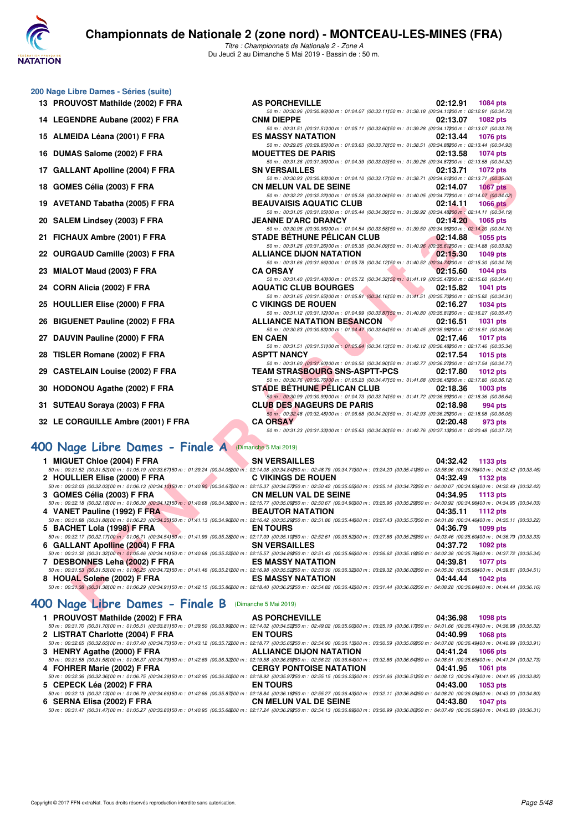

*Titre : Championnats de Nationale 2 - Zone A* Du Jeudi 2 au Dimanche 5 Mai 2019 - Bassin de : 50 m.

### **200 Nage Libre Dames - Séries (suite)**

- 13 PROUVOST Mathilde (2002) F FRA AS PORCHEVILLE **AS PORCHEVILLE 1084** pts
- 14 LEGENDRE Aubane (2002) F FRA
- **15 ALMEIDA Léana (2001) F FRA**
- **16 DUMAS Salome (2002) F FRA**
- 17 GALLANT Apolline (2004) F FRA
- **18 GOMES Célia (2003) F FRA**
- 19 AVETAND Tabatha (2005) F FRA
- **20 SALEM Lindsey (2003) F FRA**
- 21 FICHAUX Ambre (2001) F FRA
- 22 OURGAUD Camille (2003) F FRA
- **23 MIALOT Maud (2003) F FRA**
- 24 CORN Alicia (2002) **F FRA**
- 25 HOULLIER Elise (2000) F FRA
- 26 BIGUENET Pauline (2002) F FRA
- 27 DAUVIN Pauline (2000) F FRA
- **28 TISLER Romane (2002) F FRA**
- 29 CASTELAIN Louise (2002) F FRA
- 30 HODONOU Agathe (2002) F FRA
- **31 SUTEAU Soraya (2003) F FRA**
- **32 LE CORGUILLE Ambre (2001) F FRA**

## **[400 Nage Libre Dames - Finale A](http://www.ffnatation.fr/webffn/resultats.php?idact=nat&go=epr&idcpt=59365&idepr=4)** (Dimanche 5 Mai 2019)

| 1 MIGUET Chloe (2004) F FRA                                                                     | SN V       |
|-------------------------------------------------------------------------------------------------|------------|
| 50 m : 00:31.52 (00:31.52100 m : 01:05.19 (00:33.67150 m : 01:39.24 (00:34.05200 m : 02:14.08   |            |
| 2 HOULLIER Elise (2000) F FRA                                                                   | C VII      |
| 50 m: 00:32.03 (00:32.03) 00 m: 01:06.13 (00:34.10) 50 m: 01:40.80 (00:34.67200 m: 02:15.37     |            |
| 3 GOMES Célia (2003) F FRA                                                                      | CN N       |
| 50 m : 00:32.18 (00:32.18) 00 m : 01:06.30 (00:34.12) 50 m : 01:40.68 (00:34.38200 m : 02:15.77 |            |
| 4 VANET Pauline (1992) F FRA                                                                    | <b>BEA</b> |
| 50 m: 00:31.88 (00:31.88) 00 m: 01:06.23 (00:34.35150 m: 01:41.13 (00:34.90200 m: 02:16.42      |            |
| 5 BACHET Lola (1998) F FRA                                                                      | EN T       |
| 50 m : 00:32.17 (00:32.17100 m : 01:06.71 (00:34.54150 m : 01:41.99 (00:35.28200 m : 02:17.09   |            |
| 6 GALLANT Apolline (2004) F FRA                                                                 | SN V       |
| 50 m : 00:31.32 (00:31.32100 m : 01:05.46 (00:34.14150 m : 01:40.68 (00:35.22200 m : 02:15.57   |            |
| 7 DESBONNES Leha (2002) F FRA                                                                   | ES N       |
| 50 m : 00:31.53 (00:31.53) 00 m : 01:06.25 (00:34.72) 50 m : 01:41.46 (00:35.21200 m : 02:16.98 |            |
| 8 HOUAL Solene (2002) F FRA                                                                     | FS N       |

#### **[400 Nage Libre Dames - Finale B](http://www.ffnatation.fr/webffn/resultats.php?idact=nat&go=epr&idcpt=59365&idepr=4)** (Dimanche 5 Mai 2019)

| 1 PROUVOST Mathilde (2002) F FRA                                                                                                                                                                                            | <b>AS PORCHEVILLE</b>          | 04:36.98<br>$1098$ pts      |
|-----------------------------------------------------------------------------------------------------------------------------------------------------------------------------------------------------------------------------|--------------------------------|-----------------------------|
| 50.539.00031.70 50.31.70100 m : 01:05.51 (00:33.81150 m : 01:39.50 (00:33.99200 m : 02:14.02 (00:34.52250 m : 02:49.02 (00:35.00200 m : 03:25.19 (00:36.17350 m : 04:01.66 (00:36.47400 m : 04:36.98 (00:35.32              |                                |                             |
| 2 LISTRAT Charlotte (2004) F FRA                                                                                                                                                                                            | <b>EN TOURS</b>                | 04:40.99<br>1068 pts        |
| 50 m : 00:32.65 (00:32.65) 00 m : 01:07.40 (00:34.75) 50 m : 01:43.12 (00:35.72200 m : 02:18.77 (00:35.65250 m : 02:54.90 (00:36.13300 m : 03:30.59 (00:35.63350 m : 04:07.08 (00:36.49400 m : 04:40.99 (00:33.91           |                                |                             |
| 3 HENRY Agathe (2000) F FRA                                                                                                                                                                                                 | ALLIANCE DIJON NATATION        | 04:41.24<br>1066 pts        |
| 50 m : 00:31.58 (00:31.58) 00 m : 01:06.37 (00:34.79) 50 m : 01:42.69 (00:36.32200 m : 02:19.58 (00:36.89250 m : 02:56.22 (00:36.64200 m : 03:32.86 (00:36.64350 m : 04:08.51 (00:35.65400 m : 04:41.24 (00:32.73           |                                |                             |
| 4 FOHRER Marie (2002) F FRA                                                                                                                                                                                                 | <b>CERGY PONTOISE NATATION</b> | 04:41.95<br>1061 pts        |
| 50 50 50 50.32.36 (00:32.36 00:32.36 00 m : 01:06.75 (00:34.39) 50 m : 01:42.95 (00:36.20200 m : 02:18.92 (00:35.97250 m : 02:55.15 (00:36.23200 m : 03:31.66 (00:36.51350 m : 04:08.13 (00:36.47400 m : 04:41.95 (00:38.82 |                                |                             |
| 5 CEPECK Léa (2002) F FRA                                                                                                                                                                                                   | <b>EN TOURS</b>                | 04:43.00<br>1053 pts        |
| 50 m : 00:32.13 (00:32.13100 m : 01:06.79 (00:34.66150 m : 01:42.66 (00:35.87200 m : 02:18.84 (00:36.18250 m : 02:55.27 (00:36.43300 m : 03:32.11 (00:36.84350 m : 04:08.20 (00:36.03400 m : 04:43.00 (00:34.80)            |                                |                             |
| 6 SERNA Elisa (2002) F FRA                                                                                                                                                                                                  | <b>CN MELUN VAL DE SEINE</b>   | 04:43.80<br><b>1047 pts</b> |
| $50 m: 00:31.47 (00:31.47) 00 m: 01:05.27 (00:33.80) 50 m: 01:40.95 (00:35.68200 m: 02:17.24 (00:36.29250 m: 02:54.13 (00:36.88200 m: 03:30.99 (00:36.86350 m: 04:07.49 (00:36.50400 m: 04:43.80 (00:36.50 m: 04:40.80)$    |                                |                             |

| ENDRE Aubane (2002) F FRA                               | 50 m : 00:30.96 (00:30.96) 00 m : 01:04.07 (00:33.11) 50 m : 01:38.18 (00:34.11200 m : 02:12.91 (00:34.73)<br><b>CNM DIEPPE</b>                                                                                                               | 02:13.07<br>1082 pts        |
|---------------------------------------------------------|-----------------------------------------------------------------------------------------------------------------------------------------------------------------------------------------------------------------------------------------------|-----------------------------|
| EIDA Léana (2001) F FRA                                 | 50 m: 00:31.51 (00:31.51)00 m: 01:05.11 (00:33.60)50 m: 01:39.28 (00:34.17200 m: 02:13.07 (00:33.79)<br><b>ES MASSY NATATION</b>                                                                                                              | 02:13.44<br><b>1076 pts</b> |
|                                                         | 50 m : 00:29.85 (00:29.85)00 m : 01:03.63 (00:33.78)50 m : 01:38.51 (00:34.88200 m : 02:13.44 (00:34.93)                                                                                                                                      |                             |
| IAS Salome (2002) F FRA                                 | <b>MOUETTES DE PARIS</b><br>50 m : 00:31.36 (00:31.36)00 m : 01:04.39 (00:33.03)50 m : 01:39.26 (00:34.87)00 m : 02:13.58 (00:34.32)                                                                                                          | 02:13.58<br><b>1074 pts</b> |
| LANT Apolline (2004) F FRA                              | <b>SN VERSAILLES</b>                                                                                                                                                                                                                          | 02:13.71<br>1072 pts        |
| IES Célia (2003) F FRA                                  | 50 m: 00:30.93 (00:30.93)00 m: 01:04.10 (00:33.17)50 m: 01:38.71 (00:34.61200 m: 02:13.71 (00:35.00)<br><b>CN MELUN VAL DE SEINE</b>                                                                                                          | 02:14.07<br><b>1067 pts</b> |
|                                                         | 50 m : 00:32.22 (00:32.22)00 m : 01:05.28 (00:33.06)50 m : 01:40.05 (00:34.77200 m : 02:14.07 (00:34.02)                                                                                                                                      |                             |
| TAND Tabatha (2005) F FRA                               | <b>BEAUVAISIS AQUATIC CLUB</b><br>50 m : 00:31.05 (00:31.05)00 m : 01:05.44 (00:34.39)50 m : 01:39.92 (00:34.48200 m : 02:14.11 (00:34.19)                                                                                                    | 02:14.11<br>$1066$ pts      |
| EM Lindsey (2003) F FRA                                 | <b>JEANNE D'ARC DRANCY</b>                                                                                                                                                                                                                    | 02:14.20<br><b>1065 pts</b> |
| IAUX Ambre (2001) F FRA                                 | 50 m : 00:30.96 (00:30.96)00 m : 01:04.54 (00:33.58)50 m : 01:39.50 (00:34.96200 m : 02:14.20 (00:34.70)<br><b>STADE BETHUNE PELICAN CLUB</b>                                                                                                 | 02:14.88<br><b>1055 pts</b> |
|                                                         | 50 m : 00:31.26 (00:31.26)00 m : 01:05.35 (00:34.09)50 m : 01:40.96 (00:35.61200 m : 02:14.88 (00:33.92)                                                                                                                                      |                             |
| GAUD Camille (2003) F FRA                               | <b>ALLIANCE DIJON NATATION</b><br>50 m : 00:31.66 (00:31.66)00 m : 01:05.78 (00:34.12)50 m : 01:40.52 (00:34.74200 m : 02:15.30 (00:34.78)                                                                                                    | 02:15.30<br>1049 pts        |
| .OT Maud (2003) F FRA                                   | <b>CA ORSAY</b>                                                                                                                                                                                                                               | 02:15.60<br>1044 $pts$      |
|                                                         | 50 m: 00:31.40 (00:31.40) 00 m: 01:05.72 (00:34.32) 50 m: 01:41.19 (00:35.47200 m: 02:15.60 (00:34.41)                                                                                                                                        |                             |
| N Alicia (2002) F FRA                                   | <b>AQUATIC CLUB BOURGES</b><br>50 m : 00:31.65 (00:31.65)00 m : 01:05.81 (00:34.16)50 m : 01:41.51 (00:35.70200 m : 02:15.82 (00:34.31)                                                                                                       | 02:15.82<br><b>1041 pts</b> |
| LLIER Elise (2000) F FRA                                | <b>C VIKINGS DE ROUEN</b>                                                                                                                                                                                                                     | 02:16.27<br><b>1034 pts</b> |
|                                                         | 50 m : 00:31.12 (00:31.12)00 m : 01:04.99 (00:33.87)50 m : 01:40.80 (00:35.81200 m : 02:16.27 (00:35.47)<br><b>ALLIANCE NATATION BESANCON</b>                                                                                                 | 02:16.51<br><b>1031 pts</b> |
| <b>JENET Pauline (2002) F FRA</b>                       | 50 m : 00:30.83 (00:30.83)00 m : 01:04.47 (00:33.64)50 m : 01:40.45 (00:35.98200 m : 02:16.51 (00:36.06)                                                                                                                                      |                             |
| VIN Pauline (2000) F FRA                                | <b>EN CAEN</b>                                                                                                                                                                                                                                | 02:17.46<br><b>1017 pts</b> |
| ER Romane (2002) F FRA                                  | 50 m : 00:31.51 (00:31.51)00 m : 01:05.64 (00:34.13)50 m : 01:42.12 (00:36.48200 m : 02:17.46 (00:35.34)<br><b>ASPTT NANCY</b>                                                                                                                | 02:17.54<br>$1015$ pts      |
|                                                         | 50 m : 00:31.60 (00:31.60)00 m : 01:06.50 (00:34.90)50 m : 01:42.77 (00:36.27200 m : 02:17.54 (00:34.77)                                                                                                                                      |                             |
| TELAIN Louise (2002) F FRA                              | TEAM STRASBOURG SNS-ASPTT-PCS<br>50 m : 00:30.76 (00:30.76)00 m : 01:05.23 (00:34.47)50 m : 01:41.68 (00:36.45200 m : 02:17.80 (00:36.12)                                                                                                     | 02:17.80<br>1012 $pts$      |
| ONOU Agathe (2002) F FRA                                | <b>STADE BETHUNE PÉLICAN CLUB</b>                                                                                                                                                                                                             | 02:18.36<br>$1003$ pts      |
|                                                         | 50 m : 00:30.99 (00:30.99)00 m : 01:04.73 (00:33.74)50 m : 01:41.72 (00:36.99200 m : 02:18.36 (00:36.64)                                                                                                                                      |                             |
| EAU Soraya (2003) F FRA                                 | <b>CLUB DES NAGEURS DE PARIS</b><br>50 m : 00:32.48 (00:32.48) 00 m : 01:06.68 (00:34.20) 50 m : 01:42.93 (00:36.25200 m : 02:18.98 (00:36.05)                                                                                                | 02:18.98<br>994 pts         |
| <b>ORGUILLE Ambre (2001) F FRA</b>                      | <b>CA ORSAY</b>                                                                                                                                                                                                                               | 02:20.48<br>973 pts         |
|                                                         | $50\ m:\ 00:31.33\ \ (00:31.33) \ 00\ m:\ 01:05.63\ \ (00:34.30) \ 50\ m:\ 01:42.76\ \ (00:37.13200\ m:\ 02:20.48\ \ (00:37.72)$                                                                                                              |                             |
| <b>age Libre Dames - Finale A</b> (Dimanche 5 Mai 2019) |                                                                                                                                                                                                                                               |                             |
| JET Chloe (2004) F FRA                                  | <b>SN VERSAILLES</b>                                                                                                                                                                                                                          | 04:32.42<br>1133 pts        |
|                                                         | :31.52 (00:31.52)00 m : 01:05.19 (00:33.67)50 m : 01:39.24 (00:34.05200 m : 02:14.08 (00:34.84250 m : 02:48.79 (00:34.71300 m : 03:24.20 (00:35.41350 m : 03:58.96 (00:34.76400 m : 04:32.42 (00:3                                            |                             |
| LLIER Elise (2000) F FRA                                | <b>C VIKINGS DE ROUEN</b><br>:32.03 (00:32.03100 m : 01:06.13 (00:34.10150 m : 01:40.80 (00:34.67200 m : 02:15.37 (00:34.57250 m : 02:50.42 (00:35.0500 m : 03:25.14 (00:34.72350 m : 04:00.07 (00:34.93400 m : 04:22.49 (00:34               | 04:32.49<br><b>1132 pts</b> |
| IES Célia (2003) F FRA                                  | <b>CN MELUN VAL DE SEINE</b>                                                                                                                                                                                                                  | 04:34.95<br><b>1113 pts</b> |
|                                                         | :32.18 (00:32.18100 m : 01:06.30 (00:34.12150 m : 01:40.68 (00:34.38200 m : 02:15.77 (00:35.09250 m : 02:50.67 (00:34.90200 m : 03:25.96 (00:35.29250 m : 04:00.92 (00:34.96400 m : 04:34.95 (00:34.96400 m : 04:34.95 (00:34                 |                             |
| ET Pauline (1992) F FRA                                 | <b>BEAUTOR NATATION</b>                                                                                                                                                                                                                       | 04:35.11<br><b>1112 pts</b> |
|                                                         | :31.88 (00:31.88)00 m : 01:06.23 (00:34.35)50 m : 01:41.13 (00:34.90200 m : 02:16.42 (00:35.29250 m : 02:51.86 (00:35.44200 m : 03:27.43 (00:35.57)50 m : 04:01.89 (00:34.46400 m : 04:35.11 (00:3                                            |                             |
| HET Lola (1998) F FRA                                   | <b>EN TOURS</b>                                                                                                                                                                                                                               | 04:36.79<br><b>1099 pts</b> |
| <b>LANT Apolline (2004) F FRA</b>                       | :32.17 (00:32.17)00 m : 01:06.71 (00:34.54)50 m : 01:41.99 (00:35.28200 m : 02:17.09 (00:35.10250 m : 02:52.61 (00:35.52300 m : 03:27.86 (00:35.25350 m : 04:03.46 (00:35.660400 m : 04:03.663800 m : 04:36.79 (00:35<br><b>SN VERSAILLES</b> | 04:37.72<br><b>1092 pts</b> |
|                                                         | :31.32 (00:31.32100 m : 01:05.46 (00:34.14150 m : 01:40.68 (00:35.22200 m : 02:15.57 (00:34.89250 m : 02:51.43 (00:35.86300 m : 03:26.62 (00:35.19350 m : 04:02.38 (00:35.76400 m : 04:02.76                                                  |                             |
| BONNES Leha (2002) F FRA                                | <b>ES MASSY NATATION</b>                                                                                                                                                                                                                      | 04:39.81<br>1077 pts        |
|                                                         | :31.53 (00:31.53f00 m : 01:06.25 (00:34.72f50 m : 01:41.46 (00:35.21200 m : 02:16.98 (00:35.52250 m : 02:53.30 (00:36.32300 m : 03:29.32 (00:36.02350 m : 04:05.30 (00:35.98400 m : 04:09.81 (00:36.92381 (00:36                              |                             |
| AL Solene (2002) F FRA                                  | <b>ES MASSY NATATION</b>                                                                                                                                                                                                                      | 04:44.44<br><b>1042 pts</b> |
|                                                         | $31.38$ (00:31.38)00 m : 01:06.29 (00:34.91150 m : 01:42.15 (00:35.86200 m : 02:18.40 (00:36.25250 m : 02:54.82 (00:36.4200 m : 03:31.44 (00:36.62)50 m : 04:08.28 (00:36.84)00 m : 04:04.28 (00:36.84)00 m : 04:44.44 (00:30                 |                             |
|                                                         |                                                                                                                                                                                                                                               |                             |
| age Libre Dames - Finale B (Dimanche 5 Mai 2019)        |                                                                                                                                                                                                                                               |                             |

| 1 MIGUET Chloe (2004) F FRA     | <b>SN VERSAILLES</b>      | 04:32.42 1133 pts                                                                                                                                                                                                                           |
|---------------------------------|---------------------------|---------------------------------------------------------------------------------------------------------------------------------------------------------------------------------------------------------------------------------------------|
|                                 |                           | 50 m : 00:31.52 (00:31.52) 00 m : 01:05.19 (00:33.67150 m : 01:39.24 (00:34.05200 m : 02:14.08 (00:34.84250 m : 02:48.79 (00:34.71300 m : 03:24.20 (00:35.41350 m : 03:58.96 (00:34.76400 m : 04:32.42 (00:34.05)                           |
| 2 HOULLIER Elise (2000) F FRA   | <b>C VIKINGS DE ROUEN</b> | 04:32.49<br>1132 pts                                                                                                                                                                                                                        |
|                                 |                           | $50 m: 00:32.03 (00:32.03100\,m: 01:06.13 (00:34.10)\\ 50 m: 01:40.80 (00:34.67200\,m: 02:15.37 (00:34.57250\,m: 02:50.42 (00:35.05300\,m: 03:25.14 (00:34.72350\,m: 04:00.07 (00:34.93400\,m: 04:32.49 (00:32.42))\\ 03.48000000000000000$ |
| 3 GOMES Célia (2003) F FRA      | CN MELUN VAL DE SEINE     | 04:34.95 1113 pts                                                                                                                                                                                                                           |
|                                 |                           | $50 m: 00:32.18 (00:32.18) 00 m: 01:06.30 (00:34.12) 50 m: 01:40.68 (00:34.38200 m: 02:15.77 (00:35.09250 m: 02:50.67 (00:34.90300 m: 03:25.96 (00:35.29350 m: 04:00.92 (00:34.96400 m: 04:34.95 (00:34.9350 m: 04:34.97))$                 |
| 4 VANET Pauline (1992) F FRA    | <b>BEAUTOR NATATION</b>   | 04:35.11<br>1112 pts                                                                                                                                                                                                                        |
|                                 |                           | 50 m : 00:31.88 (00:31.88)00 m : 01:06.23 (00:34.35150 m : 01:41.13 (00:34.90200 m : 02:16.42 (00:35.29250 m : 02:51.86 (00:35.44300 m : 03:27.43 (00:35.57350 m : 04:01.89 (00:34.46400 m : 04:05.11 (00:33.22                             |
| 5 BACHET Lola (1998) F FRA      | <b>EN TOURS</b>           | 04:36.79<br>1099 pts                                                                                                                                                                                                                        |
|                                 |                           | 50 m : 00:32.17 (00:32.17 100:n2.17 100:31 00:34.54150 m : 01:41.99 (00:35.28200 m : 02:17.09 (00:35.10250 m : 02:52.61 (00:35.52300 m : 03:27.86 (00:35.25350 m : 04:03.46 (00:35.60300 m : 04:06.79 (00:33.33                             |
| 6 GALLANT Apolline (2004) F FRA | <b>SN VERSAILLES</b>      | 04:37.72<br>1092 pts                                                                                                                                                                                                                        |
|                                 |                           |                                                                                                                                                                                                                                             |
|                                 |                           | 50 m : 00:31.32 (00:31.32)00 m : 01:05.46 (00:34.14150 m : 01:40.68 (00:35.22200 m : 02:15.57 (00:34.89250 m : 02:51.43 (00:35.86300 m : 03:26.62 (00:35.16350 m : 04:02.38 (00:35.76400 m : 04:37.72 (00:35.34)                            |
| 7 DESBONNES Leha (2002) F FRA   | <b>ES MASSY NATATION</b>  | 04:39.81<br><b>1077 pts</b>                                                                                                                                                                                                                 |
|                                 |                           | 50 m : 00:31.53 (00:31.53)00 m : 01:06.25 (00:34.72)50 m : 01:41.46 (00:35.21200 m : 02:16.98 (00:35.52250 m : 02:53.30 (00:36.32200 m : 03:29.32 (00:36.02350 m : 04:05.30 (00:36.98400 m : 04:05.30 (00:36.98400 m : 04:05.3              |
| 8 HOUAL Solene (2002) F FRA     | <b>ES MASSY NATATION</b>  | 04:44.44<br>$1042$ pts                                                                                                                                                                                                                      |
|                                 |                           | 50 m : 00:31.38 (00:31.38) 00 m : 01:06.29 (00:34.91150 m : 01:42.15 (00:35.86200 m : 02:18.40 (00:36.25250 m : 02:54.82 (00:36.42300 m : 03:31.44 (00:36.62350 m : 04:08.28 (00:36.84400 m : 04:44.44 (00:36.16                            |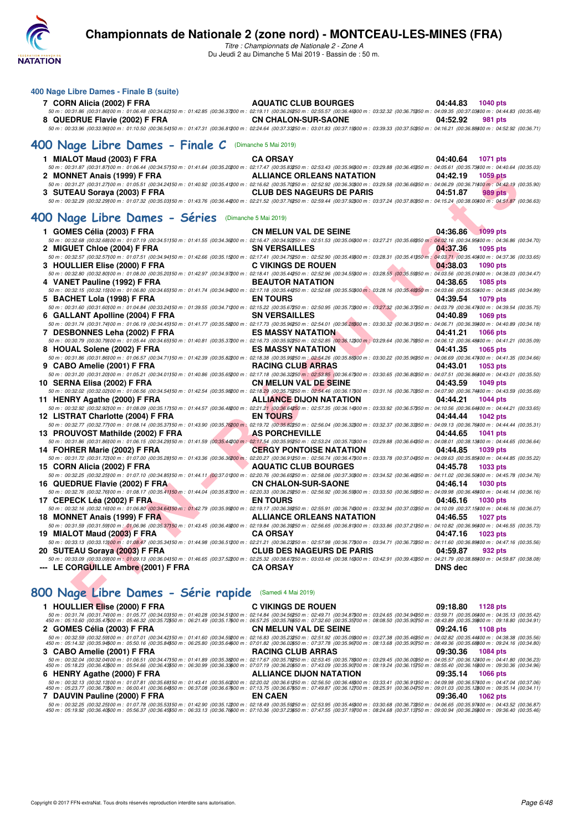

*Titre : Championnats de Nationale 2 - Zone A* Du Jeudi 2 au Dimanche 5 Mai 2019 - Bassin de : 50 m.

#### **400 Nage Libre Dames - Finale B (suite)**

| 7 CORN Alicia (2002) F FRA                                                                                                                                                                                          | <b>AQUATIC CLUB BOURGES</b> | 04:44.83 | 1040 pts |  |
|---------------------------------------------------------------------------------------------------------------------------------------------------------------------------------------------------------------------|-----------------------------|----------|----------|--|
| 50 50.001 10:31.86 (00:31.86)00 m : 01:06.48 (00:34.62)50 m : 01:42.85 (00:36.37200 m : 02:19.11 (00:36.26250 m : 02:55.57 (00:36.46200 m : 03:32.32 (00:36.75350 m : 04:09.35 (00:37.03400 m : 04:44.83 (00:36.48) |                             |          |          |  |
| 8 QUEDRUE Flavie (2002) F FRA                                                                                                                                                                                       | <b>CN CHALON-SUR-SAONE</b>  | 04:52.92 | 981 pts  |  |
| 50 m : 00:33.96 (00:33.96)00 m : 01:10.50 (00:36.54150 m : 01:47.31 (00:36.81200 m : 02:24.64 (00:37.33250 m : 03:01.83 (00:37.19800 m : 03:39.33 (00:37.50850 m : 04:16.21 (00:36.84400 m : 04:52.92 (00:36.71)    |                             |          |          |  |

## **[400 Nage Libre Dames - Finale C](http://www.ffnatation.fr/webffn/resultats.php?idact=nat&go=epr&idcpt=59365&idepr=4)** (Dimanche 5 Mai 2019)

| MIALOT Maud (2003) F FRA     | <b>CA ORSAY</b>                                                                                                                                                                                                                                                  |          | 04:40.64 1071 pts |  |
|------------------------------|------------------------------------------------------------------------------------------------------------------------------------------------------------------------------------------------------------------------------------------------------------------|----------|-------------------|--|
|                              | 50 m : 00:31.87 (00:31.87)00 m : 01:06.44 (00:34.57)50 m : 01:41.64 (00:35.20200 m : 02:17.47 (00:35.83250 m : 02:53.43 (00:35.86200 m : 03:29.88 (00:36.45250 m : 04:05.61 (00:35.73400 m : 04:40.64 (00:35.03)                                                 |          |                   |  |
| 2 MONNET Anais (1999) F FRA  | <b>ALLIANCE ORLEANS NATATION</b>                                                                                                                                                                                                                                 |          | 04:42.19 1059 pts |  |
|                              | 50 m : 00:31.27 (00:31.27) 00 m : 01:05.51 (00:34.24150 m : 01:40.92 (00:35.41200 m : 02:16.62 (00:35.70250 m : 02:52.92 (00:36.30000 m : 03:29.58 (00:36.66050 m : 04:06.29 (00:36.7400 m : 04:42.19 (00:35.90)                                                 |          |                   |  |
| 3 SUTEAU Soraya (2003) F FRA | <b>CLUB DES NAGEURS DE PARIS</b>                                                                                                                                                                                                                                 | 04:51.87 | 989 pts           |  |
|                              | $50\ m:\ 00:32.29\ (00:32.29\ )\ 00\ m:\ 01:07.32\ (00:35.03\ )\\ 50\ m:\ 01:43.76\ (00:36.44\ )\ 00\ m:\ 02:21.52\ (00:37.76\ )\\ 50\ m:\ 02:59.44\ (00:37.92\ )\ 00\ m:\ 03:37.24\ (00:37.80\ )\\ 50\ m:\ 04:15.24\ (00:38.00\ )\ 00\ m:\ 04:51.87\ (00:38.00$ |          |                   |  |

## **[400 Nage Libre Dames - Séries](http://www.ffnatation.fr/webffn/resultats.php?idact=nat&go=epr&idcpt=59365&idepr=4)** (Dimanche 5 Mai 2019)

| 2 MONNET Anais (1999) F FRA                                                                                                                                                                                                                                                                    | <b>ALLIANCE ORLEANS NATATION</b>                                                | 04:42.19<br>1059 pts        |
|------------------------------------------------------------------------------------------------------------------------------------------------------------------------------------------------------------------------------------------------------------------------------------------------|---------------------------------------------------------------------------------|-----------------------------|
| 50 m : 00:31.27 (00:31.27)00 m : 01:05.51 (00:34.24)50 m : 01:40.92 (00:35.41200 m : 02:16.62 (00:35.70250 m : 02:52.92 (00:36.3000 m : 03:29.58 (00:36.66350 m : 04:06.29 (00:36.71400 m : 04:42.19 (00:35.90)                                                                                |                                                                                 |                             |
| 3 SUTEAU Soraya (2003) F FRA                                                                                                                                                                                                                                                                   | <b>CLUB DES NAGEURS DE PARIS</b>                                                | 04:51.87<br><b>989 pts</b>  |
| 50 m : 00:32.29 (00:32.29)00 m : 01:07.32 (00:35.03)50 m : 01:43.76 (00:36.44200 m : 02:21.52 (00:37.76250 m : 02:59.44 (00:37.82300 m : 03:37.24 (00:37.80350 m : 04:15.24 (00:38.00400 m : 04:51.87 (00:36.63)                                                                               |                                                                                 |                             |
| OO Nage Libre Dames - Séries (Dimanche 5 Mai 2019)                                                                                                                                                                                                                                             |                                                                                 |                             |
|                                                                                                                                                                                                                                                                                                |                                                                                 |                             |
| 1 GOMES Célia (2003) F FRA                                                                                                                                                                                                                                                                     | <b>CN MELUN VAL DE SEINE</b>                                                    | 04:36.86<br>1099 pts        |
| 50 m : 00:32.68 (00:32.68)00 m : 01:07.19 (00:34.51)50 m : 01:41.55 (00:34.36200 m : 02:16.47 (00:34.92250 m : 02:51.53 (00:35.06300 m : 03:27.21 (00:35.68350 m : 04:02.16 (00:34.55400 m : 04:06.86 (00:34.70)                                                                               |                                                                                 |                             |
| 2 MIGUET Chloe (2004) F FRA                                                                                                                                                                                                                                                                    | <b>SN VERSAILLES</b>                                                            | 04:37.36<br>1095 pts        |
| 50 m : 00:32.57 (00:32.57) 00 m : 01:07.51 (00:34.94) 50 m : 01:42.66 (00:35.15200 m : 02:17.41 (00:34.75250 m : 02:52.90 (00:35.43900 m : 03:28.31 (00:35.41350 m : 04:03.71 (00:35.443400 m : 04:03.71 (00:35.443400 m : 04:                                                                 |                                                                                 |                             |
| 3 HOULLIER Elise (2000) F FRA                                                                                                                                                                                                                                                                  | <b>C VIKINGS DE ROUEN</b>                                                       | 04:38.03<br><b>1090 pts</b> |
| $50\,m:\,00.32.80\,\,(00.32.80100\,m:\,01.08.00\,\,(00.35.20150\,m:\,01.42.97\,\,(00.34.97200\,m:\,02.18.41\,\,(00.35.44250\,m:\,02.52.96\,\,(00.34.55900\,m:\,03.28.55\,\,(00.35.59500\,m:\,04.03.56\,\,(00.35.01400\,m:\,04.38.03\,\,(00.34.47)\,$                                           |                                                                                 |                             |
| 4 VANET Pauline (1992) F FRA<br>50 m : 00:32.15 (00:32.15 (00:32.15 (00:34.65 00:34.65)50 m : 01:41.74 (00:34.94200 m : 02:17.18 (00:35.44250 m : 02:52.68 (00:35.50300 m : 03:28.16 (00:35.48350 m : 04:03.66 (00:35.50300 m : 04:03.66 (00:35.50300 m : 04:38                                | <b>BEAUTOR NATATION</b>                                                         | 04:38.65<br>1085 pts        |
|                                                                                                                                                                                                                                                                                                |                                                                                 |                             |
| 5 BACHET Lola (1998) F FRA<br>50 m : 00:31.60 (00:31.60)00 m : 01:04.84 (00:33.24)50 m : 01:39.55 (00:34.71200 m : 02:15.22 (00:35.67250 m : 02:50.95 (00:35.7300 m : 03:27.32 (00:36.37350 m : 04:03.79 (00:36.47400 m : 04:03.4400 m : 04:39.54 (00:35.75)                                   | <b>EN TOURS</b>                                                                 | 04:39.54<br>1079 pts        |
| 6 GALLANT Apolline (2004) F FRA                                                                                                                                                                                                                                                                | <b>SN VERSAILLES</b>                                                            | 04:40.89<br><b>1069 pts</b> |
| 50 m : 00:31.74 (00:31.74100 m : 01:06:19 (00:34.45)50 m : 01:41.77 (00:35.58200 m : 02:17.73 (00:35.58250 m : 02:54.01 (00:36.28300 m : 03:30.32 (00:36.31350 m : 04:06.71 (00:36.39300 m : 04:40.89 (00:34.18)                                                                               |                                                                                 |                             |
| 7 DESBONNES Leha (2002) F FRA                                                                                                                                                                                                                                                                  | <b>Contract Contract Contract Contract</b><br><b>ES MASSY NATATION</b>          | 04:41.21<br><b>1066 pts</b> |
| $50 m : 00.30.79 (00.30.79) 00 m : 01.05.44 (00.34.65) 50 m : 01.40.81 (00.35.37200 m : 02.16.73 (00.35.92250 m : 02.52.85 (00.36.12300 m : 03.29.64 (00.36.79350 m : 04.06.12 (00.36.48400 m : 04.41.21 (00.35.09) )$                                                                         |                                                                                 |                             |
| 8 HOUAL Solene (2002) F FRA                                                                                                                                                                                                                                                                    | <b>Contract Contract Contract Contract Contract</b><br><b>ES MASSY NATATION</b> | 04:41.35<br>1065 pts        |
| $50\,m:\,00.31.86\,(00.31.86)~00\,m:\,01.06.57\,(00.34.71)\\ 50\,m:\,01.42.39\,(00.35.82200\,m:\,02.18.38\,(00.35.93250\,m:\,02.54.26\,(00.35.83200\,m:\,03.30.22\,(00.35.96350\,m:\,04.06.69\,(00.36.47400\,m:\,04.41.35\,(00.34.66)\,04.48.8)\$                                              |                                                                                 |                             |
| 9 CABO Amelie (2001) F FRA                                                                                                                                                                                                                                                                     | <b>RACING CLUB ARRAS</b>                                                        | 04:43.01<br>1053 pts        |
| 50 m : 00:31.20 (00:31.20100 m : 01:05.21 (00:34.01150 m : 01:40.86 (00:35.65200 m : 02:17.18 (00:36.3250 m : 02:53.85 (00:36.67300 m : 03:30.65 (00:36.80350 m : 04:07.51 (00:36.86300 m : 04:43.01 (00:35.50)                                                                                |                                                                                 |                             |
| 10 SERNA Elisa (2002) F FRA                                                                                                                                                                                                                                                                    | <b>CN MELUN VAL DE SEINE</b>                                                    | 04:43.59<br>1049 pts        |
| 50 m : 00:32.02 (00:32.02)00 m : 01:06.56 (00:34.54)50 m : 01:42.54 (00:35.98200 m : 02:18.29 (00:35.5250 m : 02:54.46 (00:36.7700 m : 03:31.16 (00:36.70050 m : 04:07.90 (00:36.7400 m : 04:05.9 (00:36.7400 m : 04:05.59 (00                                                                 |                                                                                 |                             |
| 11 HENRY Agathe (2000) F FRA                                                                                                                                                                                                                                                                   | <b>ALLIANCE DIJON NATATION</b>                                                  | 04:44.21<br><b>1044 pts</b> |
| $50\,m:\,00.32.92\,\,00.32.921\,00\,m:\,01.08.09\,\,(00.35.17)\\ 50\,m:\,01.44.57\,\,(00.36.4220\,00\,m:\,02.21.21\,\,(00.36.64250\,m:\,02.57.35\,\,(00.36.14300\,m:\,03.33.92\,\,(00.36.57350\,m:\,04.10.56\,\,(00.36.64400\,m:\,04.44.21\,\,(00.33.$                                         |                                                                                 |                             |
| 12 LISTRAT Charlotte (2004) F FRA<br>50 m : 00:32.77 (00:32.77) 00 m : 01:08.14 (00:35.37) 50 m : 01:43.90 (00:35.76200 m : 02:19.72 (00:36.8250 m : 02:56.04 (00:36.32300 m : 03:32.37 (00:36.33350 m : 04:09.13 (00:36.76400 m : 04:44.44 (00:35.31)                                         | <b>EN TOURS</b>                                                                 | 04:44.44<br><b>1042 pts</b> |
| <b>Contract Contract Contract Contract</b>                                                                                                                                                                                                                                                     | <b>AS PORCHEVILLE</b>                                                           |                             |
| 13 PROUVOST Mathilde (2002) F FRA<br>$50\,m:\,00.31.86\,(00.31.86) \,00\,m:\,01.06.15\,\,(00.34.29) \,50\,m:\,01.41.59\,\,(00.35.44200\,m:\,02.17.54\,\,(00.35.95250\,m:\,02.53.24\,\,(00.35.70300\,m:\,03.29.88\,\,(00.36.64)\,50\,m:\,04.08.01\,\,(00.38.13400\,m:\,04.44.65\,\,(00.36.64)\$ |                                                                                 | 04:44.65<br><b>1041 pts</b> |
| <b><i>Contract Contract Contract</i></b><br>14 FOHRER Marie (2002) F FRA                                                                                                                                                                                                                       | <b>CERGY PONTOISE NATATION</b>                                                  | 04:44.85<br>1039 pts        |
| 50 m : 00:31.72 (00:31.72)00 m : 01:07.00 (00:35.28)50 m : 01:43.36 (00:36.36200 m : 02:20.27 (00:36.91250 m : 03:56.74 (00:36.47300 m : 03:33.78 (00:37.04350 m : 04:09.63 (00:35.85400 m : 04:44.85 (00:3522)                                                                                |                                                                                 |                             |
| 15 CORN Alicia (2002) F FRA                                                                                                                                                                                                                                                                    | AQUATIC CLUB BOURGES                                                            | 04:45.78<br><b>1033 pts</b> |
| $50\,m:\,00.32.25\,(00.32.25) \,00\,m:\,01.07.10\,\,(00.34.85) \,50\,m:\,01.44.11\,\,(00.37.01200\,m:\,02.20.76\,\,(00.36.65250\,m:\,02.58.06\,\,(00.37.30300\,m:\,03.34.52\,\,(00.36.46350\,m:\,04.11.02\,\,(00.36.50300\,m:\,04.45.78\,\,(00.34.76)\,$                                       |                                                                                 |                             |
| 16 QUEDRUE Flavie (2002) F FRA CN CHALON-SUR-SAONE                                                                                                                                                                                                                                             |                                                                                 | 04:46.14<br><b>1030 pts</b> |
| 50 m : 00:32.76 (00:32.76100 m : 01:08.17 (00:35.41150 m : 01:44.04 (00:35.87200 m : 02:20.33 (00:36.29250 m : 02:56.92 (00:36.59300 m : 03:33.50 (00:36.58350 m : 04:09.98 (00:36.48400 m : 04:46.14 (00:36.16)                                                                               |                                                                                 |                             |
| 17 CEPECK Léa (2002) F FRA                                                                                                                                                                                                                                                                     | <b>EN TOURS</b>                                                                 | 04:46.16<br><b>1030 pts</b> |
| 50 m : 00:32.16 (00:32.16100 m : 01:06.80 (00:34.64150 m : 01:42.79 (00:35.99200 m : 02:19.17 (00:36.38250 m : 02:55.91 (00:36.74300 m : 03:32.94 (00:37.03350 m : 04:10.09 (00:37.15400 m : 04:46.16 (00:36.07)                                                                               |                                                                                 |                             |
| 18 MONNET Anais (1999) F FRA                                                                                                                                                                                                                                                                   | <b>ALLIANCE ORLEANS NATATION</b>                                                | 04:46.55<br><b>1027 pts</b> |
| $50\,m:\,00.31.59\,(00.31.59)00\,m:\,01.06.96\,(00.35.37)50\,m:\,01.43.45\,(00.36.49200\,m:\,02.19.84\,(00.36.39250\,m:\,02.56.65\,(00.36.84900\,m:\,03.33.86\,(00.37.21350\,m:\,04.10.82\,(00.36.96400\,m:\,04.46.55\,(00.35.73)$                                                             |                                                                                 |                             |
| <b>Contract Contract Contract Contract Contract</b><br>19 MIALOT Maud (2003) F FRA                                                                                                                                                                                                             | <b>CA ORSAY</b>                                                                 | 04:47.16<br>1023 pts        |
| $50\,m:\,00.33.13\,(00.33.13)\\ 00\,m:\,01.08.47\,\,(00.35.34)\\ 50\,m:\,01.44.98\,\,(00.36.51200\,m:\,02.21.21\,\,(00.36.23250\,m:\,02.57.98\,\,(00.36.73900\,m:\,03.34.71\,\,(00.36.73950\,m:\,04.11.60\,\,(00.36.89400\,m:\,04.47.16\,\,(00.36.59)\,$                                       |                                                                                 |                             |
| 20 SUTEAU Soraya (2003) F FRA<br>50 m : 00:33.09 (00:33.09700 m : 01:09.13 (00:36.04150 m : 01:46.65 (00:37.52200 m : 02:25.32 (00:36.67250 m : 03:03.48 (00:38.16300 m : 03:42.91 (00:39.43350 m : 04:21.79 (00:38.88400 m : 04:59.87 (00:38.08)                                              | <b>CLUB DES NAGEURS DE PARIS</b>                                                | 04:59.87<br>932 pts         |
| --- LE CORGUILLE Ambre (2001) F FRA                                                                                                                                                                                                                                                            | <b>CA ORSAY</b>                                                                 | <b>DNS</b> dec              |
|                                                                                                                                                                                                                                                                                                |                                                                                 |                             |
|                                                                                                                                                                                                                                                                                                |                                                                                 |                             |
| 100 Nage Libre Dames - Série rapide (Samedi 4 Mai 2019)                                                                                                                                                                                                                                        |                                                                                 |                             |
| 1 HOULLIER Elise (2000) F FRA                                                                                                                                                                                                                                                                  | <b>C VIKINGS DE ROUEN</b>                                                       | 09:18.80<br>1128 pts        |

## **[800 Nage Libre Dames - Série rapide](http://www.ffnatation.fr/webffn/resultats.php?idact=nat&go=epr&idcpt=59365&idepr=5)** (Samedi 4 Mai 2019)

| 1 HOULLIER Elise (2000) F FRA                                                                                                                                                                                                                                                                                                                                                                                                                                                  | C VIKINGS DE ROUEN           | 09:18.80 1128 pts      |
|--------------------------------------------------------------------------------------------------------------------------------------------------------------------------------------------------------------------------------------------------------------------------------------------------------------------------------------------------------------------------------------------------------------------------------------------------------------------------------|------------------------------|------------------------|
| 50 m : 00:31.74 (00:31.74100 m : 01:05.77 (00:34.03150 m : 01:40.28 (00:34.51200 m : 02:14.84 (00:34.56250 m : 02:49.71 (00:34.87300 m : 03:24.65 (00:34.94350 m : 03:59.71 (00:35.06400 m : 04:35.13 (00:35.42)<br>450 m : 05:10.60 (00:35.47500 m : 05:16.32 (00:35.72550 m : 06:21.49 (00:35.17600 m : 06:57.25 (00:35.76650 m : 07:32.60 (00:35.35700 m : 08:08.50 (00:35.90750 m : 08:43.89 (00:35.39800 m : 09:18.80 (00:34.31)                                          |                              |                        |
| 2 GOMES Célia (2003) F FRA                                                                                                                                                                                                                                                                                                                                                                                                                                                     | <b>CN MELUN VAL DE SEINE</b> | 09:24.16 1108 pts      |
| 50 m : 00:32.59 (00:32.59)00 m : 01:07.01 (00:34.42150 m : 01:41.60 (00:34.59200 m : 02:16.83 (00:35.23250 m : 02:51.92 (00:35.09300 m : 03:27.38 (00:35.46350 m : 04:02.82 (00:35.44400 m : 04:38.38 (00:35.56)<br>450 m : 05:14.32 (00:35.94500 m : 05:26.16 (00:35.84550 m : 06:25.80 (00:35.64600 m : 07:01.82 (00:36.02650 m : 07:37.78 (00:35.96700 m : 08:13.68 (00:35.00750 m : 08:49.36 (00:35.68800 m : 09:24.16 (00:34.80)                                          |                              |                        |
| 3 CABO Amelie (2001) F FRA                                                                                                                                                                                                                                                                                                                                                                                                                                                     | <b>RACING CLUB ARRAS</b>     | 09:30.36<br>1084 pts   |
| 50 m : 00:32.04 (00:32.04100 m : 01:06.51 (00:34.47150 m : 01:41.89 (00:35.38200 m : 02:17.67 (00:35.78250 m : 02:53.45 (00:35.78200 m : 03:29.45 (00:36.00350 m : 04:05.57 (00:36.12400 m : 04:41.80 (00:36.23)<br>450 m : 05:18.23 (00:36.43500 m : 05:54.66 (00:36.43550 m : 06:30.99 (00:36.33600 m : 07:07.19 (00:36.20650 m : 07:43.09 (00:35.90700 m : 08:19.24 (00:36.15750 m : 08:55.40 (00:36.16800 m : 09:30.36 (00:34.96)                                          |                              |                        |
| 6 HENRY Agathe (2000) F FRA                                                                                                                                                                                                                                                                                                                                                                                                                                                    | ALLIANCE DIJON NATATION      | 09:35.14 1066 pts      |
| 50 m : 00:32.13 (00:32.13100 m : 01:07.81 (00:35.68150 m : 01:43.41 (00:35.60200 m : 02:20.02 (00:36.61250 m : 02:56.50 (00:36.48300 m : 03:33.41 (00:36.91350 m : 04:09.98 (00:36.57400 m : 04:47.04 (00:37.06)<br>450 m : 05:23.77 (00:36.73500 m : 06:00.41 (00:36.64550 m : 06:37.08 (00:36.67600 m : 07:13.75 (00:36.67650 m : 07:49.87 (00:36.12700 m : 08:25.91 (00:36.04750 m : 09:01.03 (00:36.12800 m : 09:35.14 (00:34.11)                                          |                              |                        |
| 7 DAUVIN Pauline (2000) F FRA                                                                                                                                                                                                                                                                                                                                                                                                                                                  | <b>EN CAEN</b>               | 09:36.40<br>1062 $pts$ |
| $50\ m:\ 00:32.25\ (00:32.25100\ m:\ 01:07.78\ (00:35.53150\ m:\ 01:42.90\ (00:35.12200\ m:\ 02:18.49\ (00:35.59250\ m:\ 02:53.95\ (00:35.46300\ m:\ 03:30.68\ (00:36.73350\ m:\ 04:06.65\ (00:35.97400\ m:\ 04:43.52\ (00:36.87)\ (00:36.73250\ m:\ 04:3$<br>450 m : 05:19.92 (00:36.40500 m : 05:56.37 (00:36.4550 m : 06:33.13 (00:36.76600 m : 07:10.36 (00:37.23650 m : 07:47.55 (00:37.19700 m : 08:24.68 (00:37.13750 m : 09:00.94 (00:36.26800 m : 09:36.40 (00:35.46) |                              |                        |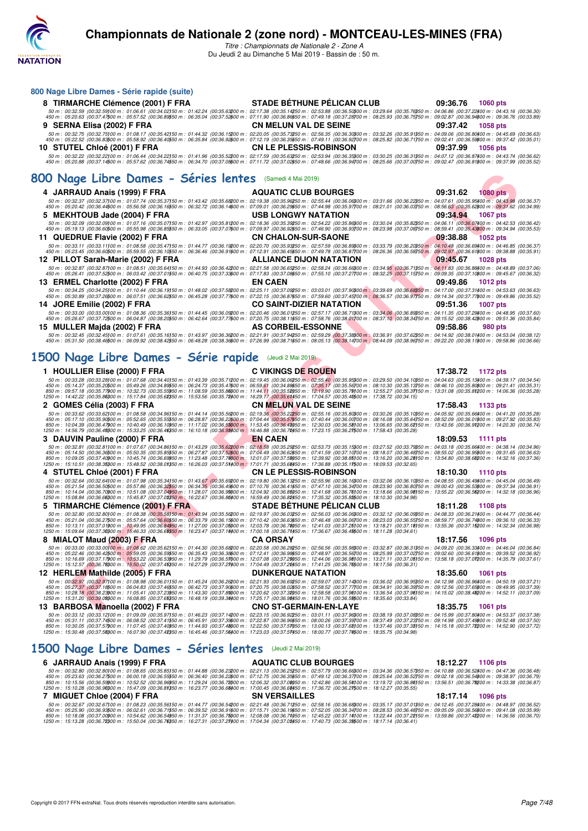

**800 Nage Libre Dames - Série rapide (suite)**

*Titre : Championnats de Nationale 2 - Zone A* Du Jeudi 2 au Dimanche 5 Mai 2019 - Bassin de : 50 m.

| 8 TIRMARCHE Clémence (2001) F FRA                                                                                                                                                                                                                                                                                                                                                                                                                                       | <b>STADE BÉTHUNE PÉLICAN CLUB</b> | 09:36.76<br>1060 pts        |
|-------------------------------------------------------------------------------------------------------------------------------------------------------------------------------------------------------------------------------------------------------------------------------------------------------------------------------------------------------------------------------------------------------------------------------------------------------------------------|-----------------------------------|-----------------------------|
| 50 m : 00:32.59 (00:32.59)00 m : 01:06.61 (00:34.02)50 m : 01:42.24 (00:35.63200 m : 02:17.38 (00:35.14250 m : 02:53.88 (00:36.50000 m : 03:29.64 (00:35.76350 m : 04:06.86 (00:37.22400 m : 04:43.16 (00:36.30)<br>450 m : 05:20.63 (00:37.47500 m : 05:57.52 (00:36.8950 m : 06:35.04 (00:37.52)00 m : 07:11.90 (00:36.86650 m : 07:49.18 (00:37.28700 m : 08:25.93 (00:36.3650 m : 09:02.87 (00:36.9400 m : 09:02.87 (00:36.9400 m : 09:36.76 (                      |                                   |                             |
| 9 SERNA Elisa (2002) F FRA                                                                                                                                                                                                                                                                                                                                                                                                                                              | <b>CN MELUN VAL DE SEINE</b>      | 09:37.42<br>1058 pts        |
| 50 m : 00:32.75 (00:32.75)00 m : 01:08.17 (00:35.42)50 m : 01:44.32 (00:36.15200 m : 02:20.05 (00:35.73250 m : 02:56.35 (00:36.30000 m : 03:32.26 (00:35.91350 m : 04:09.06 (00:36.8000 m : 04:45.69 (00:36.63)<br>450 m : 05:22.52 (00:36.83500 m : 05:58.92 (00:36.4050 m : 06:35.84 (00:36.92600 m : 07:12.19 (00:36.35550 m : 07:49.11 (00:36.92700 m : 08:25.82 (00:36.71750 m : 09:02.41 (00:36.5560 m : 09:02.41 (00:36.59600 m : 09:37.42                       |                                   |                             |
| 10 STUTEL Chloé (2001) F FRA                                                                                                                                                                                                                                                                                                                                                                                                                                            | <b>CN LE PLESSIS-ROBINSON</b>     | 09:37.99<br><b>1056 pts</b> |
| 50 m : 00:32.22 (00:32.22)00 m : 01:06.44 (00:34.22)50 m : 01:41.96 (00:35.52200 m : 02:17.59 (00:35.63250 m : 02:53.94 (00:36.35300 m : 03:30.25 (00:36.37350 m : 04:07.12 (00:36.87300 m : 04:43.74 (00:36.62)<br>450 m : 05:20.88 (00:37.14500 m : 05:57.62 (00:36.74550 m : 06:34.70 (00:37.02600 m : 07:11.72 (00:37.02650 m : 07:48.66 (00:36.94700 m : 08:25.66 (00:37.00750 m : 09:02.47 (00:36.81800 m : 09:37.99 (00:35.52)                                   |                                   |                             |
|                                                                                                                                                                                                                                                                                                                                                                                                                                                                         |                                   |                             |
| 800 Nage Libre Dames - Séries lentes (Samedi 4 Mai 2019)                                                                                                                                                                                                                                                                                                                                                                                                                |                                   |                             |
| 4 JARRAUD Anais (1999) F FRA                                                                                                                                                                                                                                                                                                                                                                                                                                            | <b>AQUATIC CLUB BOURGES</b>       | 09:31.62<br><b>1080 pts</b> |
| 50 m : 00:32.37 (00:32.37)00 m : 01:07.74 (00:35.37)50 m : 01:43.42 (00:35.68200 m : 02:19.38 (00:35.96250 m : 02:55.44 (00:36.06300 m : 03:31.66 (00:36.22350 m : 04:07.61 (00:35.95400 m : 04:43.98 (00:36.37)<br>450 m : 05:20.42 (00:36.44500 m : 05:56.58 (00:36.1650 m : 06:32.72 (00:36.14600 m : 07:09.01 (00:36.2950 m : 07:44.98 (00:35.9700 m : 08:21.01 (00:36.03750 m : 08:56.63 (00:35.62300 m : 09:31.62 (00:34.99)                                      |                                   |                             |
| 5   MEKHTOUB Jade (2004) F FRA<br>50 m : 00:32.09 (00:32.09)00 m : 01:07.16 (00:35.07)50 m : 01:42.97 (00:35.81200 m : 02:18.36 (00:35.39250 m : 02:54.22 (00:35.86300 m : 03:30.04 (00:35.82350 m : 04:06.11 (00:36.07400 m : 04:42.53 (00:36.42)                                                                                                                                                                                                                      | <b>USB LONGWY NATATION</b>        | 09:34.94<br><b>1067 pts</b> |
| 450 m : 05:19.13 (00:36.60500 m : 05:55.98 (00:36.8550 m : 06:33.05 (00:37.07600 m : 07:09.97 (00:36.9250 m : 07:46.90 (00:36.93700 m : 08:23.98 (00:37.08750 m : 08:59.41 (00:35.43800 m : 09:34.94 (00:35.53)                                                                                                                                                                                                                                                         |                                   |                             |
| 11 QUEDRUE Flavie (2002) F FRA<br>50 m : 00:33.11 (00:33.11)00 m : 01:08.58 (00:35.47)50 m : 01:44.77 (00:36.19200 m : 02:20.70 (00:35.93250 m : 02:57.59 (00:36.8900 m : 03:33.79 (00:36.20050 m : 04:10.48 (00:36.6900 m : 04:46.85 (00:36.37)                                                                                                                                                                                                                        | <b>CN CHALON-SUR-SAONE</b>        | 09:38.88<br><b>1052 pts</b> |
| 450 m : 05:23.45 (00:36.60500 m : 05:59.55 (00:36.1050 m : 06:36.46 (00:36.91600 m : 07:12.91 (00:36.45650 m : 07:49.78 (00:36.87700 m : 08:26.36 (00:36.58750 m : 09:02.97 (00:36.61500 m : 09:38.88 (00:35.91)                                                                                                                                                                                                                                                        |                                   |                             |
| 12 PILLOT Sarah-Marie (2002) F FRA<br>50 m : 00:32.87 (00:32.87)00 m : 01:08.51 (00:35.64)50 m : 01:44.93 (00:36.42200 m : 02:21.58 (00:36.65250 m : 02:58.24 (00:36.65000 m : 03:34.95 (00:36.71350 m : 04:11.83 (00:36.88300 m : 04:48.89 (00:37.06)                                                                                                                                                                                                                  | <b>ALLIANCE DIJON NATATION</b>    | 09:45.67<br><b>1028 pts</b> |
| 450 m : 05:26.41 (00:37.52500 m : 06:03.42 (00:37.01550 m : 06:40.75 (00:37.33600 m : 07:17.83 (00:37.0850 m : 07:55.10 (00:37.27700 m : 08:32.25 (00:37.15750 m : 09:09.35 (00:37.1660 m : 09:45.67 (00:36.32)                                                                                                                                                                                                                                                         |                                   |                             |
| 13 ERMEL Charlotte (2002) F FRA<br>50 m : 00:34.25 (00:34.25)00 m : 01:10.44 (00:36.19150 m : 01:48.02 (00:37.58200 m : 02:25.11 (00:37.09250 m : 03:03.01 (00:37.90300 m : 03:39.69 (00:36.68350 m : 04:17.00 (00:37.31400 m : 04:53.63 (00:36.63)                                                                                                                                                                                                                     | <b>EN CAEN</b>                    | 09:49.86<br><b>1012 pts</b> |
| 450 m : 05:30.89 (00:37.26500 m : 06:07.51 (00:36.62550 m : 06:45.28 (00:37.77600 m : 07:22.15 (00:36.87650 m : 07:59.60 (00:37.45700 m : 08:36.57 (00:36.97750 m : 09:44.84 (00:37.77600 m : 09:49.86 (00:35.52)                                                                                                                                                                                                                                                       |                                   |                             |
| 14 JORE Emilie (2002) F FRA<br>50 m : 00:33.00 (00:33.00)00 m : 01:08.36 (00:35.36)50 m : 01:44.45 (00:36.09200 m : 02:20.46 (00:36.01250 m : 02:57.17 (00:36.71300 m : 03:34.06 (00:36.89350 m : 04:11.35 (00:37.29400 m : 04:48.95 (00:37.60)                                                                                                                                                                                                                         | <b>CO SAINT-DIZIER NATATION</b>   | 09:51.36<br>1007 pts        |
| 450 m : 05:26.67 (00:37.72500 m : 06:04.87 (00:38.20550 m : 06:42.64 (00:37.77600 m : 07:20.75 (00:38.11550 m : 07:58.76 (00:38.01700 m : 08:37.10 (00:38.34750 m : 09:15.52 (00:38.44760 m : 09:15.52 (00:38.44760 m : 09:15.                                                                                                                                                                                                                                          |                                   |                             |
| 15 MULLER Majda (2002) F FRA<br>50 m : 00:32.45 (00:32.45)00 m : 01:07.61 (00:35.16)50 m : 01:43.97 (00:36.36200 m : 02:21.91 (00:37.94250 m : 02:59.29 (00:37.38300 m : 03:36.91 (00:37.62350 m : 04:14.92 (00:37.04)50 m : 04:14.92 (00:38.01400 m : 04:53.0                                                                                                                                                                                                          | AS CORBEIL-ESSONNE                | 09:58.86<br><b>980 pts</b>  |
| 450 m : 05:31.50 (00:38.46500 m : 06:09.92 (00:38.42550 m : 06:48.28 (00:38.36600 m : 07:26.99 (00:38.71550 m : 08:05.13 (00:38.14700 m : 08:44.09 (00:38.96750 m : 09:22.20 (00:38.14700 m : 09:22.20 (00:38.14700 m : 09:22.                                                                                                                                                                                                                                          |                                   |                             |
| 1500 Nage Libre Dames - Série rapide (Jeudi 2 Mai 2019)                                                                                                                                                                                                                                                                                                                                                                                                                 |                                   |                             |
| 1 HOULLIER Elise (2000) F FRA                                                                                                                                                                                                                                                                                                                                                                                                                                           | <b>C VIKINGS DE ROUEN</b>         | 17:38.72<br>1172 pts        |
|                                                                                                                                                                                                                                                                                                                                                                                                                                                                         |                                   |                             |
|                                                                                                                                                                                                                                                                                                                                                                                                                                                                         |                                   |                             |
| 2 GOMES Célia (2003) F FRA                                                                                                                                                                                                                                                                                                                                                                                                                                              | <b>CN MELUN VAL DE SEINE</b>      | 17:58.43<br>1133 pts        |
| $50\,m:\ 00:33.62\,\ (00:33.62100\,m:\ 01:08.58\,\ (00:34.96150\,m:\ 01:44.14\,\ (00:35.56200\,m:\ 02:19.36\,\ (00:35.22250\,m:\ 02:55.16\,\ (00:35.60200\,m:\ 03:0.26\,\ (00:35.64750\,m:\ 04:05.57650\,m:\ 05:265.5660\,m:\ 05:265.5660\,m:\ 05:2$                                                                                                                                                                                                                    |                                   |                             |
| 850 m : 10:04.39 (00:36.47900 m : 10:40.49 (00:36.10950 m : 11:17.02 (00:36.5000 m : 11:53.45 (00:36.49050 m : 12:30.03 (00:36.58)00 m : 13:06.65 (00:36.62)50 m : 13:43.56 (00:36.62)50 m : 13:43.56 (00:36.94)60 m : 14:20.3<br>1250 m : 14:56.79 (00:36.48) 00 m : 15:33.25 (00:36.46) 50 m : 16:10.18 (00:36.98400 m : 16:46.88 (00:36.70450 m : 17:23.15 (00:36.21) 50 m : 17:58.43 (00:36.28)                                                                     |                                   |                             |
| 3 DAUVIN Pauline (2000) F FRA                                                                                                                                                                                                                                                                                                                                                                                                                                           | <b>EN CAEN</b>                    | 18:09.53<br>1111 pts        |
| 50 m : 00:32.81 (00:32.81100 m : 01:07.67 (00:34.86150 m : 01:43.29 (00:35.62200 m : 02:18.58 (00:35.29250 m : 02:53.73 (00:35.15)00 m : 03:27.52 (00:33.79)50 m : 04:03.18 (00:35.66400 m : 04:38.14 (00:34.96)                                                                                                                                                                                                                                                        |                                   |                             |
| 450 m : 05:14.50 (00:36.36600 m : 05:50.35 (00:36.8550 m : 06:27.87 (00:37.52)00 m : 07:04.49 (00:36.2650 m : 07:41.59 (00:37.10700 m : 08:14.50 (00:36.49750 m : 08:55.02 (00:36.95600 m : 08:31.65 (00:36.63)<br>850 m : 05:14.                                                                                                                                                                                                                                       |                                   |                             |
| 4 STUTEL Chloé (2001) F FRA                                                                                                                                                                                                                                                                                                                                                                                                                                             | <b>CN LE PLESSIS-ROBINSON</b>     | 18:10.30<br><b>1110 pts</b> |
| 50 m : 00:32.64 (00:32.64)00 m : 01:07.98 (00:35.34)50 m : 01:43.67 (00:35.69200 m : 02:19.80 (00:36.13250 m : 02:55.96 (00:36.16300 m : 03:32.06 (00:36.10350 m : 04:08.55 (00:36.49)00 m : 04:08.54)00 m : 04:45.04 (00:36.4                                                                                                                                                                                                                                          |                                   |                             |
| 450 m : 05:21.54 (00:36.50500 m : 05:57.86 (00:36.3250 m : 06:34.35 (00:36.4950 m : 07:10.76 (00:36.4150 m : 07:47.10 (00:36.34700 m : 03:23.90 (00:36.80750 m : 09:00.43 (00:36.53000 m : 09:37.34 (00:36.91)<br>850 m : 15:08.8                                                                                                                                                                                                                                       |                                   |                             |
| 5 TIRMARCHE Clémence (2001) F FRA                                                                                                                                                                                                                                                                                                                                                                                                                                       | <b>STADE BETHUNE PELICAN CLUB</b> | 18:11.28<br>1108 pts        |
| 50 m : 00:32.80 (00:32.80)00 m : 01:08.38 (00:35.58150 m : 01:43.94 (00:35.56200 m : 02:19.97 (00:36.03250 m : 02:56.03 (00:36.06300 m : 03:32.12 (00:36.09350 m : 04:08.33 (00:36.21400 m : 04:44.77 (00:36.44)                                                                                                                                                                                                                                                        |                                   |                             |
| 450 m : 05:21.04 (00:36.27500 m : 05:57.64 (00:36.6050 m : 06:33.79 (00:36.1500 m : 07:10.42 (00:36.69560 m : 07:46.48 (00:36.06700 m : 08:23.03 (00:36.55750 m : 08:57.7 (00:36.74600 m : 08:37.7 (00:36.27500 m : 08:57.64 (                                                                                                                                                                                                                                          |                                   |                             |
| 8 MIALOT Maud (2003) F FRA<br>50 m : 00:33.00 (00:33.00)00 m : 01:08.62 (00:35.62)50 m : 01:44.30 (00:35.68200 m : 02:50.58 (00:36.28250 m : 02:56.56 (00:35.98300 m : 03:32.87 (00:36.31350 m : 04:09.20 (00:36.33400 m : 04:46.04 (00:36.84)                                                                                                                                                                                                                          | <b>CA ORSAY</b>                   | 18:17.56 1096 pts           |
| 450 m : 05:22.46 (00:36.42500 m : 05:59.05 (00:36.5950 m : 06:35.43 (00:36.39600 m : 07:12.41 (00:36.98650 m : 07:48.97 (00:36.56700 m : 08:25.99 (00:37.02750 m : 09:02.60 (00:36.64800 m : 09:03.64800 m : 09:39.52 (00:36.9<br>850 m : 10:16.69 (00:37.17900 m : 10:53.22 (00:36.53950 m : 11:29.79 (00:36.57000 m : 12:07.08 (00:37.29050 m : 12:44.06 (00:36.98100 m : 13:21.11 (00:37.05150 m : 13:58.18 (00:37.07200 m : 14:35.79 (00:37.61)                     |                                   |                             |
| 1250 m : 15:12.57 (00:36.78300 m : 15:50.02 (00:37.45350 m : 16:27.29 (00:37.27400 m : 17:04.49 (00:37.20450 m : 17:41.25 (00:36.76500 m : 18:17.56 (00:36.31)                                                                                                                                                                                                                                                                                                          |                                   |                             |
| 12 HERLEM Mathilde (2005) F FRA                                                                                                                                                                                                                                                                                                                                                                                                                                         | <b>DUNKERQUE NATATION</b>         | 18:35.60<br><b>1061 pts</b> |
| $\begin{array}{l} 50\,m:\ 00.32.97\,\,(00.32.97) \,00\,m:\ 01.08.98\,\,(00.36.01) \,50\,m:\ 01.45.24\,\,(00.36.24) \,00.37.9600\,m:\ 02.21.93\,\,(00.36.69250\,m:\ 02.51.93\,\,(00.37.14) \,00.37.14900\,m:\ 00.36.9250\,m:\ 00.37.8950\,m:\ 00.37.89500\,m:\$                                                                                                                                                                                                          |                                   |                             |
| 850 m : 10:28.18 (00:38.23)00 m : 11:05.41 (00:37.23)50 m : 11:43.30 (00:37.81)00 m : 12:20.62 (00:37.31)50 m : 12:58.58 (00:37.96)00 m : 13:36.54 (00:37.96)50 m : 14:15.02 (00:38.41200 m : 14:52.11 (00:37.09)<br>1250 m : 15:                                                                                                                                                                                                                                       |                                   |                             |
| 13 BARBOSA Manoella (2002) F FRA                                                                                                                                                                                                                                                                                                                                                                                                                                        | <b>CNO ST-GERMAIN-EN-LAYE</b>     | 18:35.75<br><b>1061 pts</b> |
| $\emph{50 m: 00:33.12 (00:33.12)00 m: 01:09.09 (00:35.97)50 m: 01:46.23 (00:37.14200 m: 02:23.15 (00:36.92250 m: 03:01.11 (00:37.96),00:37.98)5000 m: 01:03.237,00:00:37.49 (00:37.14) (00:37.15) (00:37.16) (00:37.17) (00:37.17) (00:37.17) (00:$<br>850 m : 10:30.05 (00:37.57900 m : 11:07.45 (00:37.40950 m : 11:44.93 (00:37.4000 m : 12:22.50 (00:37.57050 m : 13:00.13 (00:37.58)00 m : 13:37.46 (00:37.38)50 m : 14:15.18 (00:37.72200 m : 14:52.90 (00:37.72) |                                   |                             |
| 1250 m : 15:30.48 (00:37.58300 m : 16:07.90 (00:37.42350 m : 16:45.46 (00:37.56400 m : 17:23.03 (00:37.57450 m : 18:00.77 (00:37.74500 m : 18:35.75 (00:34.98)                                                                                                                                                                                                                                                                                                          |                                   |                             |
| 1500 Nage Libre Dames - Séries lentes (Jeudi 2 Mai 2019)                                                                                                                                                                                                                                                                                                                                                                                                                |                                   |                             |
| 6 JARRAUD Anais (1999) F FRA                                                                                                                                                                                                                                                                                                                                                                                                                                            | <b>AQUATIC CLUB BOURGES</b>       | 18:12.27 1106 pts           |
| 50 m : 00:32.80 (00:32.80)00 m : 01:08.65 (00:36.85)50 m : 01:44.88 (00:36.2300 m : 02:21.13 (00:36.25250 m : 02:57.79 (00:36.6600 m : 03:34.36 (00:36.57350 m : 04:10.88 (00:36.57250 m : 04:10.88 (00:36.52400 m : 04:47.36<br>450 m : 05:23.63 (00:36.27500 m : 06:00.18 (00:36.5550 m : 06:36.40 (00:36.22)00 m : 07:12.75 (00:36.35550 m : 07:49.12 (00:36.37700 m : 08:25.64 (00:36.52750 m : 09:02.18 (00:36.54900 m : 09:38.97 (00:36.79)                       |                                   |                             |
| 850 m : 10:15.56 (00:36.5900 m : 10:52.52 (00:36.96950 m : 11:29.24 (00:36.72000 m : 12:06.32 (00:37.00050 m : 12:42.86 (00:36.54)00 m : 13:19.72 (00:36.86)50 m : 13:56.51 (00:36.879200 m : 14:33.38 (00:36.87)<br>1250 m : 15:10.28 (00:36.9000 m : 15:47.09 (00:36.81350 m : 16:23.77 (00:36.68400 m : 17:00.45 (00:36.68450 m : 17:36.72 (00:36.27500 m : 18:12.27 (00:35.55)                                                                                      |                                   |                             |

# 7 MIGUET Chloe (2004) F FRA SN VERSAILLES 18:37.14 1096 pts<br>50 m : 00:32.67 (00:32.67)00 m : 01:08.23 (00:35.56150 m : 01:44.77 (00:36.54200 m : 02:21.48 (00:36.71250 m : 02:52.16 (00:36.68200 m : 03:35.17 (00:37.01150 m :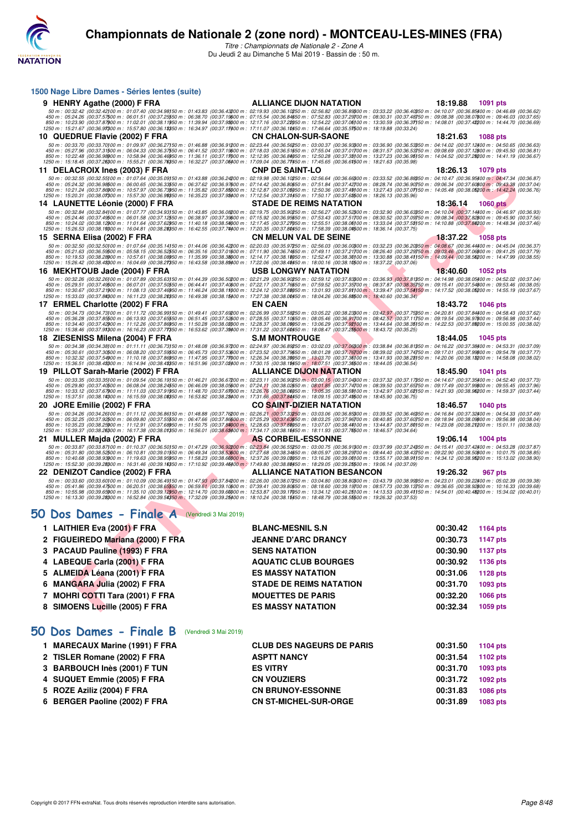

| 1500 Nage Libre Dames - Séries lentes (suite)                                                                                                                                                                                                                                                                                                                                                                                                                                                                                                                                                                                                                                                                                                                                                                                                                           |                                   |                             |
|-------------------------------------------------------------------------------------------------------------------------------------------------------------------------------------------------------------------------------------------------------------------------------------------------------------------------------------------------------------------------------------------------------------------------------------------------------------------------------------------------------------------------------------------------------------------------------------------------------------------------------------------------------------------------------------------------------------------------------------------------------------------------------------------------------------------------------------------------------------------------|-----------------------------------|-----------------------------|
| 9 HENRY Agathe (2000) F FRA                                                                                                                                                                                                                                                                                                                                                                                                                                                                                                                                                                                                                                                                                                                                                                                                                                             | <b>ALLIANCE DIJON NATATION</b>    | 18:19.88<br>1091 pts        |
| $\begin{array}{c} 50\,m:\ 00\cdot 32.42\,(00\cdot 32.42100\,m:\ 01\cdot 07.40\,(00\cdot 34.98150\,m:\ 01\cdot 43.83\,(00\cdot 36.42200\,m:\ 02\cdot 94.84200\,m:\ 01\cdot 43.92\,(00\cdot 36.42200\,m:\ 01\cdot 36.82\,m:\ 01\cdot 36.82\,m:\ 01\cdot 36.82\,m:\ 01\cdot 36.82\,m:\ 01\cdot 36$<br>1250 m : 15:21.67 (00:36.97)00 m : 15:57.80 (00:36.18)50 m : 16:34.97 (00:37.17)00 m : 17:11.07 (00:36.10)50 m : 17:46.64 (00:35.57)500 m : 18:19.88 (00:33.24)                                                                                                                                                                                                                                                                                                                                                                                                      |                                   |                             |
| 10 QUEDRUE Flavie (2002) F FRA                                                                                                                                                                                                                                                                                                                                                                                                                                                                                                                                                                                                                                                                                                                                                                                                                                          | <b>CN CHALON-SUR-SAONE</b>        | 18:21.63<br><b>1088 pts</b> |
| 50 m : 00:33.70 (00:33.70)00 m : 01:09.97 (00:36.27)50 m : 01:46.88 (00:36.91200 m : 02:23.44 (00:36.56250 m : 03:00.37 (00:36.93)00 m : 03:36.90 (00:36.53)50 m : 04:14.02 (00:37.12/00 m : 04:50.65 (00:36.63)<br>450 m : 05:27.96 (00:37.31500 m : 06:04.33 (00:36.37550 m : 06:41.52 (00:37.19600 m : 07:18.03 (00:36.51550 m : 07:55.04 (00:37.01700 m : 08:31.57 (00:36.53750 m : 09:08.69 (00:37.12800 m : 09:45.50 (00:36.81)<br>850 m : 10:22.48 (00:36.98900 m : 10:58.94 (00:36.46950 m : 11:36.11 (00:37.11000 m : 12:12.95 (00:36.84050 m : 12:50.28 (00:37.38)00 m : 13:27.23 (00:36.95)50 m : 14:04.52 (00:37.28200 m : 14:41.19 (00:36.67)<br>1250 m : 15:18.45 (00:37.26300 m : 15:55.21 (00:36.76350 m : 16:32.27 (00:37.06400 m : 17:09.04 (00:36.77450 m : 17:45.65 (00:36.61500 m : 18:21.63 (00:35.98)                                            |                                   |                             |
| 11 DELACROIX Ines (2003) F FRA                                                                                                                                                                                                                                                                                                                                                                                                                                                                                                                                                                                                                                                                                                                                                                                                                                          | <b>CNP DE SAINT-LO</b>            | 18:26.13<br><b>1079 pts</b> |
| $50\ m:\ 00:32.55\ \ (00:32.55\ \ 000\ m:\ 01:07.64\ \ (00:35.09)\ 50\ m:\ 01:43.88\ \ (00:36.24200\ m:\ 02:19.98\ \ (00:36.10250\ m:\ 02:56.64\ \ (00:36.66300\ m:\ 03:33.52\ \ (00:36.88350\ m:\ 04:10.47\ \ (00:36.95400\ m:\ 04:47.34\ \ (00:36.87)\ 01:56.6$<br>450 m : 05:24.32 (00:36.98500 m : 06:00.65 (00:36.3350 m : 06:37.62 (00:36.97600 m : 07:14.42 (00:36.80650 m : 07:51.84 (00:37.42700 m : 08:28.74 (00:36.90750 m : 09:06.34 (00:37.60600 m : 09:43.38 (00:37.04)<br>850 m : 10:21.24  (00:37.86)00 m : 10:57.97  (00:36.79)50 m : 11:35.82  (00:37.86)00 m : 12:12.87  (00:37.06)60 m : 12:50.36  (00:37.49)00 m : 13:27.43  (00:37.01150 m : 14:05.48  (00:38.06)00 m : 14:42.24  (00:38.76)<br>1250                                                                                                                                              |                                   |                             |
| 14 LAUNETTE Léonie (2000) F FRA                                                                                                                                                                                                                                                                                                                                                                                                                                                                                                                                                                                                                                                                                                                                                                                                                                         | <b>STADE DE REIMS NATATION</b>    | 18:36.14<br><b>1060 pts</b> |
| $50\,m:\,00.32.84\,\, (00.32.84100\,m:\,01.07.77\,\, (00.34.93150\,m:\,01.43.85\,\, (00.36.08200\,m:\,02.19.75\,\, (00.35.90250\,m:\,02.56.27\,\, (00.36.52300\,m:\,03.32.90\,\, (00.36.63350\,m:\,04.10.04\,\, (00.37.14400\,m:\,04.46.97\,\, (00.36$<br>450 m : 05:24.46 (00:37.49500 m : 06:01.58 (00:37.1950 m : 06:38.97 (00:37.39500 m : 07:15.92 (00:37.59550 m : 07:53.43 (00:37.51700 m : 03:30.52 (00:37.09750 m : 03:08.34 (00:37.82500 m : 03:45.90 (00:37.56)<br>850 m : 10:24<br>1250 m : 15:26.53 (00:38.19) 00 m : 16:04.81 (00:38.28) 50 m : 16:42.55 (00:37.74) 00 m : 17:20.35 (00:37.80) 50 m : 17:58.39 (00:38.01) 50 m : 18:36.14 (00:37.75)                                                                                                                                                                                                      |                                   |                             |
| 15 SERNA Elisa (2002) F FRA                                                                                                                                                                                                                                                                                                                                                                                                                                                                                                                                                                                                                                                                                                                                                                                                                                             | <b>CN MELUN VAL DE SEINE</b>      | 18:37.22<br><b>1058 pts</b> |
| 50 m : 00:32.50 (00:32.50)00 m : 01:07.64 (00:35.14)50 m : 01:44.06 (00:36.42200 m : 02:20.03 (00:35.97250 m : 02:56.03 (00:36.0000 m : 03:32.23 (00:36.20050 m : 04:08.67 (00:36.4400 m : 04:45.04 (00:36.37)<br>450 m : 05:21.63 (00:36.59500 m : 05:58.15 (00:36.52550 m : 06:35.16 (00:37.01600 m : 07:11.90 (00:36.74650 m : 07:49.11 (00:37.21700 m : 08:26.40 (00:37.29750 m : 09:03.46 (00:37.06800 m : 09:41.25 (00:37.79)<br>850 m : 10:19.53 (00:38.26)00 m : 10:57.61 (00:38.06)50 m : 11:35.99 (00:38.36)00 m : 12:14.17 (00:38.16)50 m : 12:52.47 (00:38.30)00 m : 13:30.88 (00:38.41)50 m : 14:09.44 (00:38.56)200 m : 14:47.99 (00:38.55)<br>1250 m : 15:26.42 (00:38.48300 m : 16:04.69 (00:38.27350 m : 16:43.58 (00:38.89400 m : 17:22.06 (00:38.48450 m : 18:00.16 (00:38.10500 m : 18:37.22 (00:37.06)                                             |                                   |                             |
| 16 MEKHTOUB Jade (2004) F FRA                                                                                                                                                                                                                                                                                                                                                                                                                                                                                                                                                                                                                                                                                                                                                                                                                                           | <b>USB LONGWY NATATION</b>        | 18:40.60<br><b>1052 pts</b> |
| 50 m : 00:32.26 (00:32.26)00 m : 01:07.89 (00:35.63)50 m : 01:44.39 (00:36.50200 m : 02:21.29 (00:36.90250 m : 02:59.12 (00:37.83000 m : 03:36.93 (00:37.81350 m : 04:14.98 (00:38.05400 m : 04:52.02 (00:37.04)<br>450 m : 05:29.51 (00:37.49500 m : 06:07.01 (00:37.5050 m : 06:44.41 (00:37.4050 m : 07:22.17 (00:37.7650 m : 07:59.52 (00:37.36500 m : 08:37.87 (00:38.3550 m : 09:15.41 (00:37.54500 m : 09:53.46 (00:38.05)<br>850 m : 10:30.67<br>1250 m : 15:33.03 (00:37.84300 m : 16:11.23 (00:38.20350 m : 16:49.38 (00:38.15400 m : 17:27.38 (00:38.00450 m : 18:04.26 (00:36.88500 m : 18:40.60 (00:36.34)                                                                                                                                                                                                                                                 |                                   |                             |
| 17 ERMEL Charlotte (2002) F FRA                                                                                                                                                                                                                                                                                                                                                                                                                                                                                                                                                                                                                                                                                                                                                                                                                                         | <b>EN CAEN</b>                    | 18:43.72<br><b>1046 pts</b> |
| $50\,m:\,00.34.73\,\,(00.34.73) \,00\,m:\,01.11.72\,\,(00.36.99) \,50\,m:\,01.49.41\,\,(00.37.68200\,m:\,02.26.99\,\,(00.37.58250\,m:\,03.05.22\,\,(00.38.23) \,00\,m:\,03.42.97\,\,(00.37.75350\,m:\,04.20.81\,\,(00.37.84400\,m:\,04.58.43\,\,(00.37.6$<br>450 m : 05:36.28 (00:37.85500 m : 06:13.93 (00:37.65550 m : 06:51.45 (00:37.52500 m : 07:28.55 (00:37.10550 m : 08:05.46 (00:36.91700 m : 08:42.57 (00:37.11750 m : 09:19.54 (00:36.97500 m : 09:166.98 (00:37.44)<br>850 m : 10:34.40 (00:37.42)00 m : 11:12.26 (00:37.86)50 m : 11:50.28 (00:38.02)00 m : 12:28.37 (00:38.02)050 m : 13:06.29 (00:37.92)00 m : 13:44.64 (00:38.35)50 m : 14:22.53 (00:37.82200 m : 15:00.55 (00:38.02)<br>1250 m : 15:38.46 (00:37.91300 m : 16:16.23 (00:37.71350 m : 16:53.62 (00:37.39400 m : 17:31.22 (00:37.60450 m : 18:08.47 (00:37.25500 m : 18:43.72 (00:35.25) |                                   |                             |
| 18 ZIESENISS Milena (2004) F FRA                                                                                                                                                                                                                                                                                                                                                                                                                                                                                                                                                                                                                                                                                                                                                                                                                                        | <b>S.M MONTROUGE</b>              | 18:44.05<br>1045 pts        |
| 50 m : 00:34.38 (00:34.38)00 m : 01:11.11 (00:36.73)50 m : 01:48.08 (00:36.97200 m : 02:24.97 (00:36.89250 m : 03:02.03 (00:37.06300 m : 03:38.84 (00:36.81350 m : 04:16.22 (00:37.38400 m : 04:58.31 (00:37.09)<br>450 m : 05:30.61 (00:37.30500 m : 06:08.20 (00:37.59550 m : 06:45.73 (00:37.59500 m : 07:23.52 (00:37.79550 m : 08:01.28 (00:37.76700 m : 08:39.02 (00:37.74750 m : 09:17.01 (00:37.99500 m : 09:478 (00:37.77)<br>850 m : 10:32.32 (00:37.5400 m : 11:10.18 (00:37.86950 m : 11:47.95 (00:37.71000 m : 12:26.34 (00:38.36050 m : 13:03.70 (00:37.36100 m : 13:41.93 (00:38.26150 m : 14:20.06 (00:38.16200 m : 14:58.08 (00:38.02)<br>1250 m : 15:3                                                                                                                                                                                                |                                   |                             |
| 19 PILLOT Sarah-Marie (2002) F FRA                                                                                                                                                                                                                                                                                                                                                                                                                                                                                                                                                                                                                                                                                                                                                                                                                                      | <b>ALLIANCE DIJON NATATION</b>    | 18:45.90<br><b>1041 pts</b> |
| 50 m : 00:33.35 (00:33.35)00 m : 01:09.54 (00:36.19)50 m : 01:46.21 (00:36.67200 m : 02:23.11 (00:36.90250 m : 03:00.15 (00:37.04300 m : 03:37.32 (00:37.17350 m : 04:14.67 (00:37.35/00 m : 04:52.40 (00:37.73)<br>450 m : 05:29.80 (00:37.40500 m : 06:08.04 (00:38.24550 m : 06:46.09 (00:38.05600 m : 07:24.11 (00:38.02650 m : 08:01.85 (00:37.74700 m : 08:39.50 (00:37.65750 m : 09:17.49 (00:37.9800 m : 09:55.45 (00:37.96)<br>850 m : 10:33.12 (00:37.67900 m : 11:11.03 (00:37.91950 m : 11:48.70 (00:37.67000 m : 12:26.76 (00:38.06050 m : 13:05.35 (00:38.59)00 m : 13:42.97 (00:37.62)50 m : 14:21.93 (00:38.96200 m : 14:59.37 (00:37.44)<br>1250 m : 15:                                                                                                                                                                                               |                                   |                             |
| 20 JORE Emilie (2002) F FRA                                                                                                                                                                                                                                                                                                                                                                                                                                                                                                                                                                                                                                                                                                                                                                                                                                             | <b>CO SAINT-DIZIER NATATION</b>   | 18:46.57<br><b>1040 pts</b> |
| $50\,m:\,00.34.26\,\,(00.34.26) \,00\,m:\,01:11.12\,\,(00.36.86) \,50\,m:\,01.48.88\,\,(00.37.76200\,m:\,02.26.21\,\,(00.37.33250\,m:\,03:03.06\,\,(00.36.85300\,m:\,03:39.52\,\,(00.36.46350\,m:\,04:16.84\,\,(00.37.32400\,m:\,04.54.33\,\,(00.37.49)\$<br>450 m : 05:32.25 (00:37.92500 m : 06:03.00 (00:37.5550 m : 06:47.66 (00:37.85600 m : 07:25.29 <mark>(00:37.635</mark> 50 m : 08:03.25 (00:37.96700 m : 03:10.85 (00:37.60750 m : 03:18.94 (00:38.0900 m : 03:56.98 (00:38.04)<br>850 m : 10:3<br>1250 m : 15:39.37 (00:38.26300 m : 16:17.38 (00:38.01350 m : 16:56.01 (00:38.63400 m : 17:34.17 (00:38.16450 m : 18:11.93 (00:37.76500 m : 18:46.57 (00:34.64)                                                                                                                                                                                            |                                   |                             |
| 21 MULLER Majda (2002) F FRA                                                                                                                                                                                                                                                                                                                                                                                                                                                                                                                                                                                                                                                                                                                                                                                                                                            | <b>AS CORBEIL-ESSONNE</b>         | 19:06.14<br><b>1004 pts</b> |
| 50 m : 00:33.87 (00:33.87)00 m : 01:10.37 (00:36.50)50 m : 01:47.29 (00:36.9200 m : 02:23.84 (00:36.55250 m : 03:00.75 (00:36.91300 m : 03:37.99 (00:37.24350 m : 04:15.41 (00:37.42400 m : 04:53.28 (00:37.87)<br>450 m : 05:31.80 (00:38.52500 m : 06:10.81 (00:39.01550 m : 06:49.34 (00:38.53600 m : 07:27.68 (00:38.34550 m : 08:05.97 (00:38.29700 m : 08:44.40 (00:38.43750 m : 09:22.90 (00:38.56600 m : 10:01.75 (00:38.85)<br>850 m : 10:40.68 (00:38.9300 m : 11:19.63 (00:38.95950 m : 11:58.23 (00:38.6000 m : 12:37.26 (00:39.00050 m : 13:16.26 (00:39.0000 m : 13:55.17 (00:38.91)50 m : 14:34.12 (00:38.98200 m : 15:13.02 (00:38.90)<br>1250 m : 15:52.30 (00:39.2800 m : 16:31.46 (00:39.16050 m : 17:10.92 (00:39.46400 m : 17:49.80 (00:38.88450 m : 18:29.05 (00:39.25500 m : 19:06.14 (00:37.09)                                                 |                                   |                             |
| 22 DENIZOT Candice (2002) F FRA<br>50 m : 00:33.60 (00:33.60)00 m : 01:10.09 (00:36.49)50 m : 01:47.93 (00:37.84200 m : 02:26.00 (00:38.07250 m : 03:04.80 (00:38.0300 m : 03:43.79 (00:38.9350 m : 04:23.01 (00:39.22400 m : 05:02.39 (00:39.38)                                                                                                                                                                                                                                                                                                                                                                                                                                                                                                                                                                                                                       | <b>ALLIANCE NATATION BESANCON</b> | 19:26.32<br>967 pts         |
| 450 m : 05:41.86 (00:39.47500 m : 06:20.51 (00:38.6550 m : 06:59.61 (00:39.10600 m : 07:39.41 (00:39.80650 m : 08:18.60 (00:39.19700 m : 08:57.73 (00:39.313750 m : 09:36.65 (00:39.82800 m : 10:16.33 (00:39.68)<br>850 m : 10:55.98  (00:39.6500 m : 11:35.10  (00:39.12950 m : 12:14.70  (00:39.60000 m : 12:53.87  (00:39.11050 m : 13:34.12  (00:40.25100 m : 14:13.53  (00:39.41150 m : 14:54.01  (00:40.46200 m : 15:34.02  (00:40.01)<br>1250                                                                                                                                                                                                                                                                                                                                                                                                                   |                                   |                             |
| 50 Dos Dames - Finale A (Vendredi 3 Mai 2019)                                                                                                                                                                                                                                                                                                                                                                                                                                                                                                                                                                                                                                                                                                                                                                                                                           |                                   |                             |
| 1 LAITHIER Eva (2001) F FRA                                                                                                                                                                                                                                                                                                                                                                                                                                                                                                                                                                                                                                                                                                                                                                                                                                             | <b>BLANC-MESNIL S.N</b>           | 00:30.42<br>1164 pts        |
| 2 FIGUEIREDO Mariana (2000) F FRA                                                                                                                                                                                                                                                                                                                                                                                                                                                                                                                                                                                                                                                                                                                                                                                                                                       | <b>JEANNE D'ARC DRANCY</b>        | 00:30.73<br><b>1147 pts</b> |
| 3 PACAUD Pauline (1993) F FRA                                                                                                                                                                                                                                                                                                                                                                                                                                                                                                                                                                                                                                                                                                                                                                                                                                           | <b>SENS NATATION</b>              | 00:30.90<br><b>1137 pts</b> |
| 4 LABEQUE Carla (2001) F FRA                                                                                                                                                                                                                                                                                                                                                                                                                                                                                                                                                                                                                                                                                                                                                                                                                                            | <b>AQUATIC CLUB BOURGES</b>       | 00:30.92<br>1136 pts        |
| 5 ALMEIDA Léana (2001) F FRA                                                                                                                                                                                                                                                                                                                                                                                                                                                                                                                                                                                                                                                                                                                                                                                                                                            | <b>ES MASSY NATATION</b>          | 00:31.06<br>1128 pts        |
| 6 MANGARA Julia (2002) F FRA                                                                                                                                                                                                                                                                                                                                                                                                                                                                                                                                                                                                                                                                                                                                                                                                                                            | <b>STADE DE REIMS NATATION</b>    | 00:31.70<br>1093 pts        |
| 7 MOHRI COTTI Tara (2001) F FRA                                                                                                                                                                                                                                                                                                                                                                                                                                                                                                                                                                                                                                                                                                                                                                                                                                         | <b>MOUETTES DE PARIS</b>          | 00:32.20<br>1066 pts        |
| 8 SIMOENS Lucille (2005) F FRA                                                                                                                                                                                                                                                                                                                                                                                                                                                                                                                                                                                                                                                                                                                                                                                                                                          | <b>ES MASSY NATATION</b>          | 00:32.34<br>1059 pts        |

## **[50 Dos Dames - Finale A](http://www.ffnatation.fr/webffn/resultats.php?idact=nat&go=epr&idcpt=59365&idepr=11)** (Vendredi 3 Mai 2019)

| 1 LAITHIER Eva (2001) F FRA       | <b>BLANC-MESNIL S.N</b>        | 00:30.42 | 1164 pts        |
|-----------------------------------|--------------------------------|----------|-----------------|
| 2 FIGUEIREDO Mariana (2000) F FRA | <b>JEANNE D'ARC DRANCY</b>     | 00:30.73 | 1147 pts        |
| 3 PACAUD Pauline (1993) F FRA     | <b>SENS NATATION</b>           | 00:30.90 | 1137 pts        |
| 4 LABEQUE Carla (2001) F FRA      | <b>AQUATIC CLUB BOURGES</b>    | 00:30.92 | 1136 pts        |
| 5 ALMEIDA Léana (2001) F FRA      | <b>ES MASSY NATATION</b>       | 00:31.06 | 1128 pts        |
| 6 MANGARA Julia (2002) F FRA      | <b>STADE DE REIMS NATATION</b> | 00:31.70 | 1093 pts        |
| 7 MOHRI COTTI Tara (2001) F FRA   | <b>MOUETTES DE PARIS</b>       | 00:32.20 | <b>1066 pts</b> |
| 8 SIMOENS Lucille (2005) F FRA    | <b>ES MASSY NATATION</b>       | 00:32.34 | 1059 pts        |
|                                   |                                |          |                 |

## **[50 Dos Dames - Finale B](http://www.ffnatation.fr/webffn/resultats.php?idact=nat&go=epr&idcpt=59365&idepr=11)** (Vendredi 3 Mai 2019)

| 1 MARECAUX Marine (1991) F FRA | <b>CLUB DES NAGEURS DE PARIS</b> | 00:31.50 | 1104 pts        |
|--------------------------------|----------------------------------|----------|-----------------|
| 2 TISLER Romane (2002) F FRA   | <b>ASPTT NANCY</b>               | 00:31.54 | 1102 pts        |
| 3 BARBOUCH Inès (2001) F TUN   | <b>ES VITRY</b>                  | 00:31.70 | 1093 pts        |
| 4 SUQUET Emmie (2005) F FRA    | <b>CN VOUZIERS</b>               | 00:31.72 | 1092 pts        |
| 5 ROZE Aziliz (2004) F FRA     | <b>CN BRUNOY-ESSONNE</b>         | 00:31.83 | <b>1086 pts</b> |
| 6 BERGER Paoline (2002) F FRA  | <b>CN ST-MICHEL-SUR-ORGE</b>     | 00:31.89 | 1083 pts        |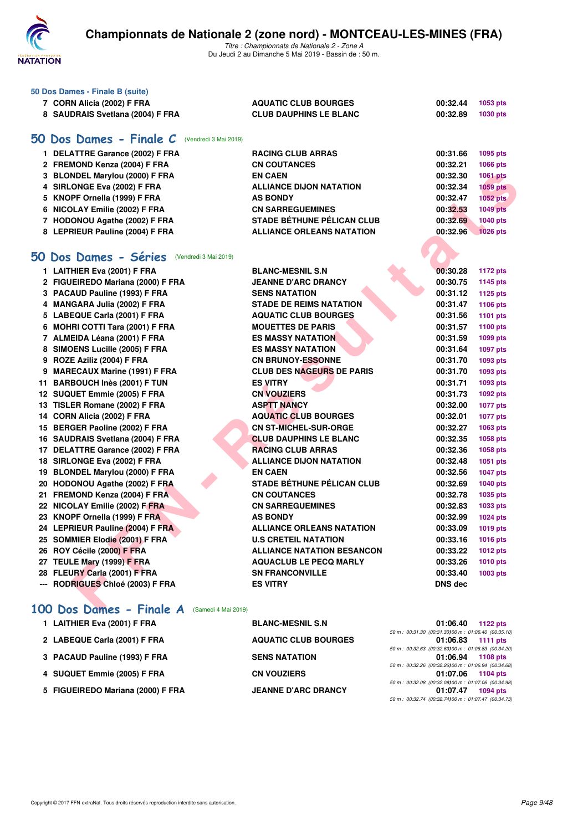

| 50 Dos Dames - Finale B (suite)<br>7 CORN Alicia (2002) F FRA<br>8 SAUDRAIS Svetlana (2004) F FRA | <b>AQUATIC CLUB BOURGES</b><br><b>CLUB DAUPHINS LE BLANC</b> | 00:32.44<br>00:32.89 | 1053 pts<br><b>1030 pts</b> |
|---------------------------------------------------------------------------------------------------|--------------------------------------------------------------|----------------------|-----------------------------|
| 50 Dos Dames - Finale C<br>(Vendredi 3 Mai 2019)                                                  |                                                              |                      |                             |
| 1 DELATTRE Garance (2002) F FRA                                                                   | <b>RACING CLUB ARRAS</b>                                     | 00:31.66             | 1095 pts                    |
| 2 FREMOND Kenza (2004) F FRA                                                                      | <b>CN COUTANCES</b>                                          | 00:32.21             | 1066 pts                    |
| 3 BLONDEL Marylou (2000) F FRA                                                                    | <b>EN CAEN</b>                                               | 00:32.30             | 1061 pts                    |
| 4 SIRLONGE Eva (2002) F FRA                                                                       | <b>ALLIANCE DIJON NATATION</b>                               | 00:32.34             | <b>1059 pts</b>             |
| 5 KNOPF Ornella (1999) F FRA                                                                      | <b>AS BONDY</b>                                              | 00:32.47             | 1052 pts                    |
| 6 NICOLAY Emilie (2002) F FRA                                                                     | <b>CN SARREGUEMINES</b>                                      | 00:32.53             | <b>1049 pts</b>             |
| 7 HODONOU Agathe (2002) F FRA                                                                     | <b>STADE BÉTHUNE PÉLICAN CLUB</b>                            | 00:32.69             | 1040 pts                    |
| 8 LEPRIEUR Pauline (2004) F FRA                                                                   | <b>ALLIANCE ORLEANS NATATION</b>                             | 00:32.96             | <b>1026 pts</b>             |
| 50 Dos Dames - Séries<br>(Vendredi 3 Mai 2019)                                                    |                                                              |                      |                             |

| 3 BLONDEL Marylou (2000) F FRA                       | <b>EN CAEN</b>                    | 00:32.30       | 1061 pts        |
|------------------------------------------------------|-----------------------------------|----------------|-----------------|
| 4 SIRLONGE Eva (2002) F FRA                          | <b>ALLIANCE DIJON NATATION</b>    | 00:32.34       | <b>1059 pts</b> |
| 5 KNOPF Ornella (1999) F FRA                         | <b>AS BONDY</b>                   | 00:32.47       | 1052 pts        |
| 6 NICOLAY Emilie (2002) F FRA                        | <b>CN SARREGUEMINES</b>           | 00:32.53       | <b>1049 pts</b> |
| 7 HODONOU Agathe (2002) F FRA                        | <b>STADE BÉTHUNE PÉLICAN CLUB</b> | 00:32.69       | 1040 pts        |
| 8 LEPRIEUR Pauline (2004) F FRA                      | <b>ALLIANCE ORLEANS NATATION</b>  | 00:32.96       | <b>1026 pts</b> |
|                                                      |                                   |                |                 |
| <b>0 Dos Dames - Séries</b><br>(Vendredi 3 Mai 2019) |                                   |                |                 |
| 1 LAITHIER Eva (2001) F FRA                          | <b>BLANC-MESNIL S.N</b>           | 00:30.28       | 1172 pts        |
| 2 FIGUEIREDO Mariana (2000) F FRA                    | <b>JEANNE D'ARC DRANCY</b>        | 00:30.75       | 1145 pts        |
| 3 PACAUD Pauline (1993) F FRA                        | <b>SENS NATATION</b>              | 00:31.12       | 1125 pts        |
| 4 MANGARA Julia (2002) F FRA                         | <b>STADE DE REIMS NATATION</b>    | 00:31.47       | 1106 pts        |
| 5 LABEQUE Carla (2001) F FRA                         | <b>AQUATIC CLUB BOURGES</b>       | 00:31.56       | 1101 pts        |
| 6 MOHRI COTTI Tara (2001) F FRA                      | <b>MOUETTES DE PARIS</b>          | 00:31.57       | 1100 pts        |
| 7 ALMEIDA Léana (2001) F FRA                         | <b>ES MASSY NATATION</b>          | 00:31.59       | 1099 pts        |
| 8 SIMOENS Lucille (2005) F FRA                       | <b>ES MASSY NATATION</b>          | 00:31.64       | 1097 pts        |
| 9 ROZE Aziliz (2004) F FRA                           | <b>CN BRUNOY-ESSONNE</b>          | 00:31.70       | 1093 pts        |
| 9 MARECAUX Marine (1991) F FRA                       | <b>CLUB DES NAGEURS DE PARIS</b>  | 00:31.70       | 1093 pts        |
| 11 BARBOUCH Inès (2001) F TUN                        | <b>ES VITRY</b>                   | 00:31.71       | 1093 pts        |
| 12 SUQUET Emmie (2005) F FRA                         | <b>CN VOUZIERS</b>                | 00:31.73       | 1092 pts        |
| 13 TISLER Romane (2002) F FRA                        | <b>ASPTT NANCY</b>                | 00:32.00       | <b>1077 pts</b> |
| 14 CORN Alicia (2002) F FRA                          | <b>AQUATIC CLUB BOURGES</b>       | 00:32.01       | <b>1077 pts</b> |
| 15 BERGER Paoline (2002) F FRA                       | <b>CN ST-MICHEL-SUR-ORGE</b>      | 00:32.27       | 1063 pts        |
| 16 SAUDRAIS Svetlana (2004) F FRA                    | <b>CLUB DAUPHINS LE BLANC</b>     | 00:32.35       | 1058 pts        |
| 17 DELATTRE Garance (2002) F FRA                     | <b>RACING CLUB ARRAS</b>          | 00:32.36       | 1058 pts        |
| 18 SIRLONGE Eva (2002) F FRA                         | <b>ALLIANCE DIJON NATATION</b>    | 00:32.48       | 1051 pts        |
| 19 BLONDEL Marylou (2000) F FRA                      | <b>EN CAEN</b>                    | 00:32.56       | <b>1047 pts</b> |
| 20 HODONOU Agathe (2002) F FRA                       | <b>STADE BÉTHUNE PÉLICAN CLUB</b> | 00:32.69       | 1040 pts        |
| 21 FREMOND Kenza (2004) F FRA                        | <b>CN COUTANCES</b>               | 00:32.78       | 1035 pts        |
| 22 NICOLAY Emilie (2002) F FRA                       | <b>CN SARREGUEMINES</b>           | 00:32.83       | 1033 pts        |
| 23 KNOPF Ornella (1999) F FRA                        | <b>AS BONDY</b>                   | 00:32.99       | 1024 pts        |
| 24 LEPRIEUR Pauline (2004) F FRA                     | <b>ALLIANCE ORLEANS NATATION</b>  | 00:33.09       | 1019 pts        |
| 25 SOMMIER Elodie (2001) F FRA                       | <b>U.S CRETEIL NATATION</b>       | 00:33.16       | 1016 pts        |
| 26 ROY Cécile (2000) F FRA                           | <b>ALLIANCE NATATION BESANCON</b> | 00:33.22       | 1012 pts        |
| 27 TEULE Mary (1999) F FRA                           | <b>AQUACLUB LE PECQ MARLY</b>     | 00:33.26       | 1010 pts        |
| 28 FLEURY Carla (2001) F FRA                         | <b>SN FRANCONVILLE</b>            | 00:33.40       | 1003 pts        |
| --- RODRIGUES Chloé (2003) F FRA                     | <b>ES VITRY</b>                   | <b>DNS</b> dec |                 |
|                                                      |                                   |                |                 |
| $00$ Dos Dames - Finale $A$ (Samedi 4 Mai 2019)      |                                   |                |                 |

## **[100 Dos Dames - Finale A](http://www.ffnatation.fr/webffn/resultats.php?idact=nat&go=epr&idcpt=59365&idepr=12)** (Samedi 4 Mai 2019)

| 1 LAITHIER Eva (2001) F FRA       | <b>BLANC-MESNIL S.N</b>     | 01:06.40<br>1122 $pts$                               |
|-----------------------------------|-----------------------------|------------------------------------------------------|
|                                   |                             | 50 m : 00:31.30 (00:31.30100 m : 01:06.40 (00:35.10) |
| 2 LABEQUE Carla (2001) F FRA      | <b>AQUATIC CLUB BOURGES</b> | 01:06.83 1111 pts                                    |
|                                   |                             | 50 m : 00:32.63 (00:32.63100 m : 01:06.83 (00:34.20) |
| 3 PACAUD Pauline (1993) F FRA     | <b>SENS NATATION</b>        | 01:06.94 1108 pts                                    |
|                                   |                             | 50 m : 00:32.26 (00:32.26100 m : 01:06.94 (00:34.68) |
| 4 SUQUET Emmie (2005) F FRA       | <b>CN VOUZIERS</b>          | 01:07.06 1104 pts                                    |
|                                   |                             | 50 m : 00:32.08 (00:32.08100 m : 01:07.06 (00:34.98) |
| 5 FIGUEIREDO Mariana (2000) F FRA | <b>JEANNE D'ARC DRANCY</b>  | 01:07.47<br>1094 pts                                 |
|                                   |                             | 50 m : 00:32.74 (00:32.74100 m : 01:07.47 (00:34.73) |
|                                   |                             |                                                      |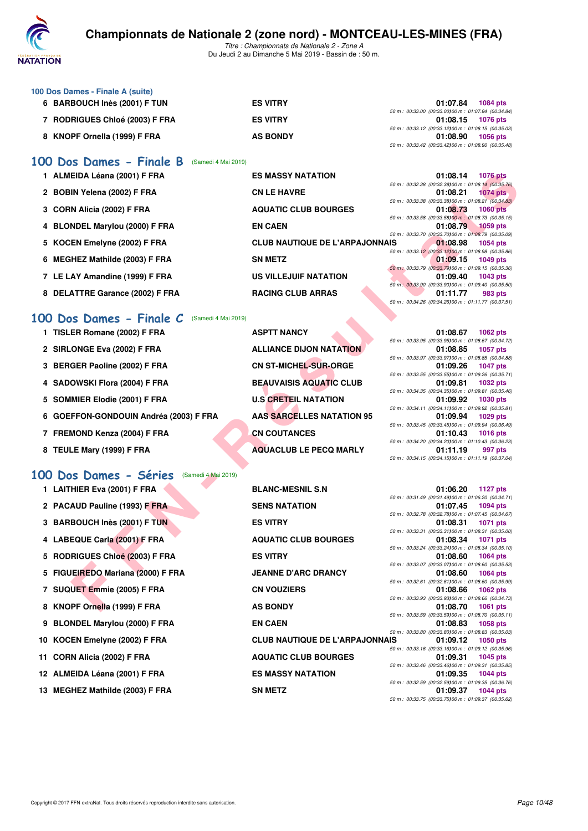

*Titre : Championnats de Nationale 2 - Zone A* Du Jeudi 2 au Dimanche 5 Mai 2019 - Bassin de : 50 m.

| 100 Dos Dames - Finale A (suite)    |                 |                                                    |
|-------------------------------------|-----------------|----------------------------------------------------|
| 6 BARBOUCH Inès (2001) F TUN        | <b>ES VITRY</b> | 01:07.84<br>1084 pts                               |
|                                     |                 | 50 m : 00:33.00 (00:33.00100 m : 01:07.84 (00:34.  |
| <b>RODRIGUES Chloé (2003) F FRA</b> | <b>ES VITRY</b> | 01:08.15<br>1076 pts                               |
|                                     |                 | 50 m : 00:33.12 (00:33.12) 00 m : 01:08.15 (00:35. |
| 8 KNOPF Ornella (1999) F FRA        | <b>AS BONDY</b> | 01:08.90<br>1056 pts                               |

## **[100 Dos Dames - Finale B](http://www.ffnatation.fr/webffn/resultats.php?idact=nat&go=epr&idcpt=59365&idepr=12)** (Samedi 4 Mai 2019)

| 1 ALMEIDA Léana (2001) F FRA                   | <b>ES MASSY NATATION</b>              | 01:08.14<br><b>1076 pts</b>                                                          |
|------------------------------------------------|---------------------------------------|--------------------------------------------------------------------------------------|
| 2 BOBIN Yelena (2002) F FRA                    | <b>CN LE HAVRE</b>                    | 50 m : 00:32.38 (00:32.38) 00 m : 01:08.14 (00:35.76)<br>01:08.21<br>$1074$ pts      |
|                                                |                                       | 50 m : 00:33.38 (00:33.38) 00 m : 01:08.21 (00:34.83)                                |
| 3 CORN Alicia (2002) F FRA                     | <b>AQUATIC CLUB BOURGES</b>           | 01:08.73<br><b>1060 pts</b>                                                          |
| 4 BLONDEL Marylou (2000) F FRA                 | <b>EN CAEN</b>                        | 50 m : 00:33.58 (00:33.58) 00 m : 01:08.73 (00:35.15)<br>01:08.79<br><b>1059 pts</b> |
|                                                |                                       | 50 m : 00:33.70 (00:33.70) 00 m : 01:08.79 (00:35.09)                                |
| 5 KOCEN Emelyne (2002) F FRA                   | <b>CLUB NAUTIQUE DE L'ARPAJONNAIS</b> | 01:08.98<br>1054 pts                                                                 |
| 6 MEGHEZ Mathilde (2003) F FRA                 | <b>SN METZ</b>                        | 50 m : 00:33.12 (00:33.12) 00 m : 01:08.98 (00:35.86)<br>01:09.15<br>1049 pts        |
|                                                |                                       | 50 m : 00:33.79 (00:33.79) 00 m : 01:09.15 (00:35.36)                                |
| 7 LE LAY Amandine (1999) F FRA                 | <b>US VILLEJUIF NATATION</b>          | 01:09.40<br><b>1043 pts</b>                                                          |
|                                                |                                       | 50 m : 00:33.90 (00:33.90) 00 m : 01:09.40 (00:35.50)                                |
| 8 DELATTRE Garance (2002) F FRA                | <b>RACING CLUB ARRAS</b>              | 01:11.77<br>983 pts<br>50 m: 00:34.26 (00:34.26) 00 m: 01:11.77 (00:37.51)           |
|                                                |                                       |                                                                                      |
| 00 Dos Dames - Finale C<br>(Samedi 4 Mai 2019) |                                       |                                                                                      |
| 1 TISLER Romane (2002) F FRA                   | <b>ASPTT NANCY</b>                    | 01:08.67<br><b>1062 pts</b>                                                          |
|                                                |                                       | 50 m : 00:33.95 (00:33.95) 00 m : 01:08.67 (00:34.72)                                |
| 2 SIRLONGE Eva (2002) F FRA                    | <b>ALLIANCE DIJON NATATION</b>        | 01:08.85<br>1057 pts                                                                 |
| 3 BERGER Paoline (2002) F FRA                  | <b>CN ST-MICHEL-SUR-ORGE</b>          | 50 m : 00:33.97 (00:33.97) 00 m : 01:08.85 (00:34.88)<br>01:09.26                    |
|                                                |                                       | 1047 pts<br>50 m : 00:33.55 (00:33.55) 00 m : 01:09.26 (00:35.71)                    |
| 4 SADOWSKI Flora (2004) F FRA                  | <b>BEAUVAISIS AQUATIC CLUB</b>        | 01:09.81<br><b>1032 pts</b>                                                          |
|                                                |                                       | 50 m: 00:34.35 (00:34.35) 00 m: 01:09.81 (00:35.46)                                  |
| 5 SOMMIER Elodie (2001) F FRA                  | <b>U.S CRETEIL NATATION</b>           | 01:09.92<br><b>1030 pts</b>                                                          |
| 6 GOEFFON-GONDOUIN Andréa (2003) F FRA         | <b>AAS SARCELLES NATATION 95</b>      | 50 m: 00:34.11 (00:34.11)00 m: 01:09.92 (00:35.81)<br>01:09.94<br><b>1029 pts</b>    |
|                                                |                                       | 50 m : 00:33.45 (00:33.45) 00 m : 01:09.94 (00:36.49)                                |
| 7 FREMOND Kenza (2004) F FRA                   | <b>CN COUTANCES</b>                   | 01:10.43<br><b>1016 pts</b>                                                          |
|                                                |                                       | 50 m : 00:34.20 (00:34.20) 00 m : 01:10.43 (00:36.23)                                |
| 8 TEULE Mary (1999) F FRA                      | <b>AQUACLUB LE PECQ MARLY</b>         | 01:11.19<br>997 pts                                                                  |
|                                                |                                       | 50 m: 00:34.15 (00:34.15) 00 m: 01:11.19 (00:37.04)                                  |
| 00 Dos Dames - Séries<br>(Samedi 4 Mai 2019)   |                                       |                                                                                      |
| 1 LAITHIER Eva (2001) F FRA                    | <b>BLANC-MESNIL S.N</b>               | 01:06.20<br>1127 pts                                                                 |
|                                                |                                       | 50 m: 00:31.49 (00:31.49) 00 m: 01:06.20 (00:34.71)                                  |
| 2 PACAUD Pauline (1993) F FRA                  | <b>SENS NATATION</b>                  | 01:07.45<br><b>1094 pts</b>                                                          |
|                                                |                                       | 50 m : 00:32.78 (00:32.78) 00 m : 01:07.45 (00:34.67)                                |
| 3 BARBOUCH Inès (2001) F TUN                   | <b>ES VITRY</b>                       | 01:08.31<br><b>1071 pts</b>                                                          |
| 4 LABEQUE Carla (2001) F FRA                   | <b>AQUATIC CLUB BOURGES</b>           | 50 m: 00:33.31 (00:33.31100 m: 01:08.31 (00:35.00)<br>01:08.34<br><b>1071 pts</b>    |
|                                                |                                       | 50 m : 00:33.24 (00:33.24)00 m : 01:08.34 (00:35.10)                                 |
| 5 RODRIGUES Chloé (2003) F FRA                 | <b>ES VITRY</b>                       | 01:08.60<br><b>1064 pts</b>                                                          |
|                                                |                                       | 50 m : 00:33.07 (00:33.07) 00 m : 01:08.60 (00:35.53)                                |
| 5 FIGUEIREDO Mariana (2000) F FRA              | <b>JEANNE D'ARC DRANCY</b>            | 01:08.60<br><b>1064 pts</b>                                                          |
| 7 SUQUET Emmie (2005) F FRA                    | <b>CN VOUZIERS</b>                    | 50 m : 00:32.61 (00:32.61100 m : 01:08.60 (00:35.99)<br>01:08.66<br>1062 pts         |
|                                                |                                       | 50 m : 00:33.93 (00:33.93) 00 m : 01:08.66 (00:34.73)                                |
| 8 KNOPF Ornella (1999) F FRA                   | <b>AS BONDY</b>                       | 01:08.70<br>1061 pts                                                                 |

## **[100 Dos Dames - Finale C](http://www.ffnatation.fr/webffn/resultats.php?idact=nat&go=epr&idcpt=59365&idepr=12)** (Samedi 4 Mai 2019)

| 1 TISLER Romane (2002) F FRA           | <b>ASPTT NANCY</b>               | 01:08.67<br>1062 pts                                                       |
|----------------------------------------|----------------------------------|----------------------------------------------------------------------------|
| 2 SIRLONGE Eva (2002) F FRA            | <b>ALLIANCE DIJON NATATION</b>   | 50 m : 00:33.95 (00:33.95100 m : 01:08.67 (00:34.<br>01:08.85<br>1057 pts  |
| 3 BERGER Paoline (2002) F FRA          | <b>CN ST-MICHEL-SUR-ORGE</b>     | 50 m : 00:33.97 (00:33.97100 m : 01:08.85 (00:34.<br>01:09.26<br>1047 pts  |
| 4 SADOWSKI Flora (2004) F FRA          | <b>BEAUVAISIS AQUATIC CLUB</b>   | 50 m : 00:33.55 (00:33.55100 m : 01:09.26 (00:35.<br>01:09.81<br>1032 pts  |
|                                        | <b>U.S. CRETEIL NATATION</b>     | 50 m: 00:34.35 (00:34.35100 m: 01:09.81 (00:35.                            |
| 5 SOMMIER Elodie (2001) F FRA          |                                  | 01:09.92<br>1030 pts<br>50 m : 00:34.11 (00:34.11100 m : 01:09.92 (00:35.  |
| 6 GOEFFON-GONDOUIN Andréa (2003) F FRA | <b>AAS SARCELLES NATATION 95</b> | 01:09.94<br>1029 pts<br>50 m : 00:33.45 (00:33.45) 00 m : 01:09.94 (00:36. |
| 7 FREMOND Kenza (2004) F FRA           | <b>CN COUTANCES</b>              | 01:10.43<br>1016 pts<br>50 m : 00:34.20 (00:34.20100 m : 01:10.43 (00:36.  |
| 8 TEULE Mary (1999) F FRA              | <b>AQUACLUB LE PECQ MARLY</b>    | 01:11.19<br>997 pts<br>50 m: 00:34.15 (00:34.15100 m: 01:11.19 (00:37.     |
|                                        |                                  |                                                                            |

## **[100 Dos Dames - Séries](http://www.ffnatation.fr/webffn/resultats.php?idact=nat&go=epr&idcpt=59365&idepr=12)** (Samedi 4 Mai 2019)

| 1 LAITHIER Eva (2001) F FRA       | <b>BLANC-MESNIL S.N</b>               |                                                    | 01:06.20 1127 pts |
|-----------------------------------|---------------------------------------|----------------------------------------------------|-------------------|
|                                   |                                       | 50 m: 00:31.49 (00:31.49) 00 m: 01:06.20 (00:34.   |                   |
| 2 PACAUD Pauline (1993) F FRA     | <b>SENS NATATION</b>                  |                                                    | 01:07.45 1094 pts |
|                                   |                                       | 50 m : 00:32.78 (00:32.78) 00 m : 01:07.45 (00:34. |                   |
| 3 BARBOUCH Inès (2001) F TUN      | <b>ES VITRY</b>                       |                                                    | 01:08.31 1071 pts |
|                                   |                                       | 50 m: 00:33.31 (00:33.31100 m: 01:08.31 (00:35.    |                   |
| 4 LABEQUE Carla (2001) F FRA      | <b>AQUATIC CLUB BOURGES</b>           |                                                    | 01:08.34 1071 pts |
|                                   |                                       | 50 m : 00:33.24 (00:33.24)00 m : 01:08.34 (00:35.  |                   |
| 5 RODRIGUES Chloé (2003) F FRA    | <b>ES VITRY</b>                       |                                                    | 01:08.60 1064 pts |
|                                   |                                       | 50 m : 00:33.07 (00:33.07) 00 m : 01:08.60 (00:35. |                   |
| 5 FIGUEIREDO Mariana (2000) F FRA | <b>JEANNE D'ARC DRANCY</b>            |                                                    | 01:08.60 1064 pts |
|                                   |                                       | 50 m : 00:32.61 (00:32.61100 m : 01:08.60 (00:35.  |                   |
| 7 SUQUET Emmie (2005) F FRA       | <b>CN VOUZIERS</b>                    |                                                    | 01:08.66 1062 pts |
|                                   |                                       | 50 m : 00:33.93 (00:33.93100 m : 01:08.66 (00:34.  |                   |
| 8 KNOPF Ornella (1999) F FRA      | <b>AS BONDY</b>                       |                                                    | 01:08.70 1061 pts |
|                                   |                                       | 50 m : 00:33.59 (00:33.59) 00 m : 01:08.70 (00:35. |                   |
| 9 BLONDEL Marylou (2000) F FRA    | <b>EN CAEN</b>                        |                                                    | 01:08.83 1058 pts |
|                                   |                                       | 50 m : 00:33.80 (00:33.80) 00 m : 01:08.83 (00:35. |                   |
| 10 KOCEN Emelyne (2002) F FRA     | <b>CLUB NAUTIQUE DE L'ARPAJONNAIS</b> |                                                    | 01:09.12 1050 pts |
|                                   |                                       | 50 m : 00:33.16 (00:33.16) 00 m : 01:09.12 (00:35. |                   |
| 11 CORN Alicia (2002) F FRA       | <b>AQUATIC CLUB BOURGES</b>           |                                                    | 01:09.31 1045 pts |
|                                   |                                       | 50 m : 00:33.46 (00:33.46) 00 m : 01:09.31 (00:35. |                   |
| 12 ALMEIDA Léana (2001) F FRA     | <b>ES MASSY NATATION</b>              |                                                    | 01:09.35 1044 pts |
|                                   | <b>SN METZ</b>                        | 50 m : 00:32.59 (00:32.59) 00 m : 01:09.35 (00:36. |                   |
| 13 MEGHEZ Mathilde (2003) F FRA   |                                       |                                                    | 01:09.37 1044 pts |

|  | 01:07.84 1084 pts                                    |
|--|------------------------------------------------------|
|  | 50 m : 00:33.00 (00:33.00100 m : 01:07.84 (00:34.84) |
|  | 01:08.15 1076 pts                                    |
|  | 50 m : 00:33.12 (00:33.12100 m : 01:08.15 (00:35.03) |
|  | 01:08.90 1056 pts                                    |
|  | 50 m : 00:33.42 (00:33.42100 m : 01:08.90 (00:35.48) |

|     |  | UI:UO.I4 IU/O DIS                                     |
|-----|--|-------------------------------------------------------|
|     |  | 50 m : 00:32.38 (00:32.38100 m : 01:08.14 (00:35.76)  |
|     |  | 01:08.21 1074 pts                                     |
|     |  | 50 m : 00:33.38 (00:33.38) 00 m : 01:08.21 (00:34.83) |
|     |  | 01:08.73 1060 pts                                     |
|     |  | 50 m: 00:33.58 (00:33.58100 m: 01:08.73 (00:35.15)    |
|     |  | 01:08.79 1059 pts                                     |
|     |  | 50 m: 00:33.70 (00:33.70100 m: 01:08.79 (00:35.09)    |
|     |  |                                                       |
| AIS |  | $01:08.98$ 1054 pts                                   |
|     |  | 50 m : 00:33.12 (00:33.12100 m : 01:08.98 (00:35.86)  |
|     |  | 01:09.15 1049 pts                                     |
|     |  | 50 m : 00:33.79 (00:33.79100 m : 01:09.15 (00:35.36)  |
|     |  | $01:09.40$ 1043 pts                                   |
|     |  | 50 m: 00:33.90 (00:33.90) 00 m: 01:09.40 (00:35.50)   |
|     |  | 01:11.77 983 pts                                      |

|     |  | 01:06.20 1127 pts                                     |
|-----|--|-------------------------------------------------------|
|     |  | 50 m: 00:31.49 (00:31.49) 00 m: 01:06.20 (00:34.71)   |
|     |  | 01:07.45 1094 pts                                     |
|     |  | 50 m : 00:32.78 (00:32.78) 00 m : 01:07.45 (00:34.67) |
|     |  | 01:08.31 1071 pts                                     |
|     |  | 50 m: 00:33.31 (00:33.31100 m: 01:08.31 (00:35.00)    |
|     |  | 01:08.34 1071 pts                                     |
|     |  | 50 m : 00:33.24 (00:33.24)00 m : 01:08.34 (00:35.10)  |
|     |  | 01:08.60 1064 pts                                     |
|     |  | 50 m : 00:33.07 (00:33.07) 00 m : 01:08.60 (00:35.53) |
|     |  | 01:08.60 1064 pts                                     |
|     |  | 50 m: 00:32.61 (00:32.61100 m: 01:08.60 (00:35.99)    |
|     |  | 01:08.66 1062 pts                                     |
|     |  | 50 m : 00:33.93 (00:33.93) 00 m : 01:08.66 (00:34.73) |
|     |  | 01:08.70 1061 pts                                     |
|     |  | 50 m : 00:33.59 (00:33.59) 00 m : 01:08.70 (00:35.11) |
|     |  | 01:08.83 1058 pts                                     |
|     |  | 50 m : 00:33.80 (00:33.80) 00 m : 01:08.83 (00:35.03) |
| AIS |  | 01:09.12 1050 pts                                     |
|     |  | 50 m: 00:33.16 (00:33.16) 00 m: 01:09.12 (00:35.96)   |
|     |  | 01:09.31 1045 pts                                     |
|     |  | 50 m : 00:33.46 (00:33.46) 00 m : 01:09.31 (00:35.85) |
|     |  | 01:09.35 1044 pts                                     |
|     |  | 50 m : 00:32.59 (00:32.59) 00 m : 01:09.35 (00:36.76) |
|     |  | 01:09.37 1044 pts                                     |
|     |  | 50 m : 00:33.75 (00:33.75100 m : 01:09.37 (00:35.62)  |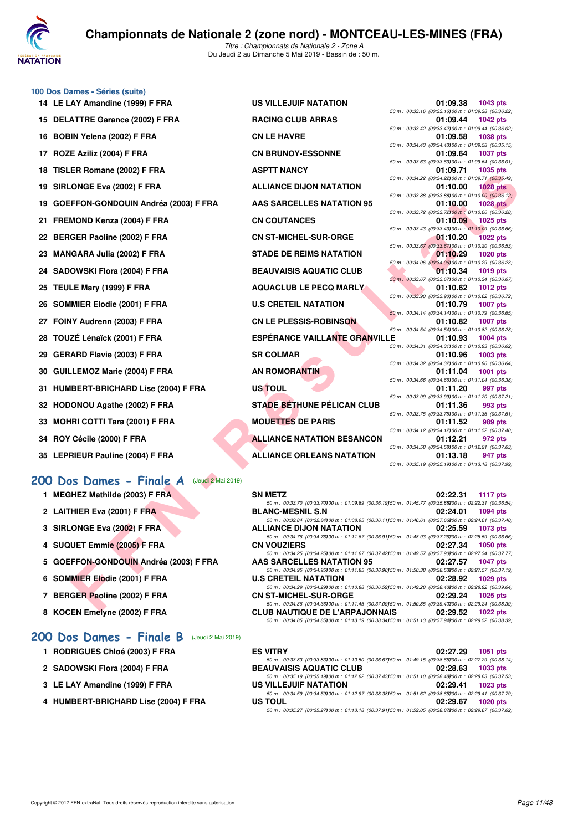

|    | 100 Dos Dames - Séries (suite)          |                                      |                                                                          |
|----|-----------------------------------------|--------------------------------------|--------------------------------------------------------------------------|
|    | 14 LE LAY Amandine (1999) F FRA         | <b>US VILLEJUIF NATATION</b>         | 01:09.38<br>1043 pts                                                     |
|    |                                         |                                      | 50 m: 00:33.16 (00:33.16) 00 m: 01:09.38 (00:36.                         |
|    | 15 DELATTRE Garance (2002) F FRA        | <b>RACING CLUB ARRAS</b>             | 01:09.44<br>1042 pts                                                     |
|    |                                         |                                      | 50 m: 00:33.42 (00:33.42) 00 m: 01:09.44 (00:36.                         |
|    | 16 BOBIN Yelena (2002) F FRA            | <b>CN LE HAVRE</b>                   | 01:09.58<br>1038 pts                                                     |
|    |                                         |                                      | 50 m: 00:34.43 (00:34.43) 00 m: 01:09.58 (00:35.                         |
| 17 | ROZE Aziliz (2004) F FRA                | <b>CN BRUNOY-ESSONNE</b>             | 01:09.64<br>1037 pts                                                     |
|    |                                         |                                      | 50 m: 00:33.63 (00:33.63) 00 m: 01:09.64 (00:36.                         |
|    | 18 TISLER Romane (2002) F FRA           | <b>ASPTT NANCY</b>                   | 01:09.71<br>1035 pts<br>50 m: 00:34.22 (00:34.22) 00 m: 01:09.71 (00:35. |
|    | 19 SIRLONGE Eva (2002) F FRA            | <b>ALLIANCE DIJON NATATION</b>       | 01:10.00                                                                 |
|    |                                         |                                      | <b>1028 pts</b><br>50 m : 00:33.88 (00:33.88) 00 m : 01:10.00 (00:36.    |
|    | 19 GOEFFON-GONDOUIN Andréa (2003) F FRA | <b>AAS SARCELLES NATATION 95</b>     | 01:10.00<br><b>1028 pts</b>                                              |
|    |                                         |                                      | 50 m : 00:33.72 (00:33.72) 00 m : 01:10.00 (00:36.                       |
|    | 21 FREMOND Kenza (2004) F FRA           | <b>CN COUTANCES</b>                  | 01:10.09<br>1025 pts                                                     |
|    |                                         |                                      | 50 m : 00:33.43 (00:33.43) 00 m : 01:10.09 (00:36.                       |
|    | 22 BERGER Paoline (2002) F FRA          | <b>CN ST-MICHEL-SUR-ORGE</b>         | 01:10.20<br><b>1022 pts</b>                                              |
|    |                                         |                                      | 50 m: 00:33.67 (00:33.67) 00 m: 01:10.20 (00:36.                         |
|    | 23 MANGARA Julia (2002) F FRA           | <b>STADE DE REIMS NATATION</b>       | 01:10.29<br>1020 pts                                                     |
|    |                                         |                                      | 50 m : 00:34.06 (00:34.06) 00 m : 01:10.29 (00:36.                       |
|    | 24 SADOWSKI Flora (2004) F FRA          | <b>BEAUVAISIS AQUATIC CLUB</b>       | 01:10.34<br>1019 pts                                                     |
|    |                                         |                                      | 50 m: 00:33.67 (00:33.67) 00 m: 01:10.34 (00:36.                         |
|    | 25 TEULE Mary (1999) F FRA              | <b>AQUACLUB LE PECQ MARLY</b>        | 01:10.62<br>1012 pts                                                     |
|    |                                         |                                      | 50 m: 00:33.90 (00:33.90) 00 m: 01:10.62 (00:36.                         |
|    | 26 SOMMIER Elodie (2001) F FRA          | <b>U.S CRETEIL NATATION</b>          | 01:10.79<br><b>1007 pts</b>                                              |
|    |                                         |                                      | 50 m: 00:34.14 (00:34.14) 00 m: 01:10.79 (00:36.                         |
|    | 27 FOINY Audrenn (2003) F FRA           | <b>CN LE PLESSIS-ROBINSON</b>        | 01:10.82<br><b>1007 pts</b>                                              |
|    |                                         |                                      | 50 m: 00:34.54 (00:34.54) 00 m: 01:10.82 (00:36.                         |
|    | 28 TOUZÉ Lénaïck (2001) F FRA           | <b>ESPÉRANCE VAILLANTE GRANVILLE</b> | 01:10.93<br>1004 pts                                                     |
|    |                                         |                                      | 50 m: 00:34.31 (00:34.31100 m: 01:10.93 (00:36.                          |
|    | 29 GERARD Flavie (2003) F FRA           | <b>SR COLMAR</b>                     | 01:10.96<br>1003 pts                                                     |
|    |                                         | <b>AN ROMORANTIN</b>                 | 50 m: 00:34.32 (00:34.32) 00 m: 01:10.96 (00:36.<br>01:11.04             |
|    | 30 GUILLEMOZ Marie (2004) F FRA         |                                      | 1001 pts<br>50 m: 00:34.66 (00:34.66) 00 m: 01:11.04 (00:36.             |
|    | 31 HUMBERT-BRICHARD Lise (2004) F FRA   | <b>US TOUL</b>                       | 01:11.20<br>997 pts                                                      |
|    |                                         |                                      |                                                                          |

- 32 HODONOU Agathe (2002) F FRA
- 33 MOHRI COTTI Tara (2001) F FRA
- **34 ROY Cécile (2000) F FRA**
- **35 LEPRIEUR Pauline (2004) F FRA**

## **[200 Dos Dames - Finale A](http://www.ffnatation.fr/webffn/resultats.php?idact=nat&go=epr&idcpt=59365&idepr=13)** (Jeudi 2 Mai 2019)

- **1 MEGHEZ Mathilde (2003) F FRA**
- **2 LAITHIER Eva (2001) F FRA BLANC-MESNIL S.N 02:24.01 1094 pts**
- **3 SIRLONGE Eva (2002) F FRA**
- **4 SUQUET Emmie (2005) F FRA**
- 5 GOEFFON-GONDOUIN Andréa (2003) F FRA
- **6 SOMMIER Elodie (2001) F FRA**
- 7 BERGER Paoline (2002) F FRA
- 8 KOCEN Emelyne (2002) F FRA

### **[200 Dos Dames - Finale B](http://www.ffnatation.fr/webffn/resultats.php?idact=nat&go=epr&idcpt=59365&idepr=13)** (Jeudi 2 Mai 2019)

- **1 RODRIGUES Chloé (2003) F FRA**
- 2 SADOWSKI Flora (2004) F FRA
- **3 LE LAY Amandine (1999) F FRA**
- **4 HUMBERT-BRICHARD Lise (2004) F FRA**

| <b>US VILLEJUIF NATATION</b>         | 50 m: 00:33.16 (00:33.16)00 m: 01:09.38 (00:36.                | 01:09.38 1043 pts |
|--------------------------------------|----------------------------------------------------------------|-------------------|
| <b>RACING CLUB ARRAS</b>             | 01:09.44                                                       | 1042 pts          |
|                                      | 50 m: 00:33.42 (00:33.42) 00 m: 01:09.44 (00:36.               |                   |
| <b>CN LE HAVRE</b>                   | 01:09.58                                                       | 1038 pts          |
|                                      | 50 m: 00:34.43 (00:34.43) 00 m: 01:09.58 (00:35.               |                   |
| <b>CN BRUNOY-ESSONNE</b>             | 01:09.64<br>50 m : 00:33.63 (00:33.63) 00 m : 01:09.64 (00:36. | 1037 pts          |
| <b>ASPTT NANCY</b>                   | 01:09.71                                                       | 1035 pts          |
|                                      | 50 m: 00:34.22 (00:34.22) 00 m: 01:09.71 (00:35.               |                   |
| <b>ALLIANCE DIJON NATATION</b>       | 01:10.00                                                       | <b>1028 pts</b>   |
| <b>AAS SARCELLES NATATION 95</b>     | 50 m : 00:33.88 (00:33.88) 00 m : 01:10.00 (00:36.<br>01:10.00 |                   |
|                                      | 50 m : 00:33.72 (00:33.72) 00 m : 01:10.00 (00:36.             | <b>1028 pts</b>   |
| <b>CN COUTANCES</b>                  | 01:10.09                                                       | 1025 pts          |
|                                      | 50 m : 00:33.43 (00:33.43) 00 m : 01:10.09 (00:36.             |                   |
| <b>CN ST-MICHEL-SUR-ORGE</b>         | 01:10.20                                                       | <b>1022 pts</b>   |
|                                      | 50 m : 00:33.67 (00:33.67) 00 m : 01:10.20 (00:36.             |                   |
| <b>STADE DE REIMS NATATION</b>       | 01:10.29                                                       | 1020 pts          |
|                                      | 50 m : 00:34.06 (00:34.06) 00 m : 01:10.29 (00:36.             |                   |
| <b>BEAUVAISIS AQUATIC CLUB</b>       | 01:10.34<br>50 m: 00:33.67 (00:33.67) 00 m: 01:10.34 (00:36.   | 1019 pts          |
| <b>AQUACLUB LE PECQ MARLY</b>        |                                                                | 01:10.62 1012 pts |
|                                      | 50 m: 00:33.90 (00:33.90) 00 m: 01:10.62 (00:36.               |                   |
| <b>U.S CRETEIL NATATION</b>          | 01:10.79                                                       | 1007 pts          |
| <b>CN LE PLESSIS-ROBINSON</b>        | 50 m: 00:34.14 (00:34.14100 m: 01:10.79 (00:36.<br>01:10.82    | 1007 pts          |
|                                      | 50 m: 00:34.54 (00:34.54)00 m: 01:10.82 (00:36.                |                   |
| <b>ESPÉRANCE VAILLANTE GRANVILLE</b> | 01:10.93                                                       | 1004 pts          |
|                                      | 50 m: 00:34.31 (00:34.31100 m: 01:10.93 (00:36.                |                   |
| <b>SR COLMAR</b>                     | 01:10.96                                                       | 1003 pts          |
|                                      | 50 m: 00:34.32 (00:34.32) 00 m: 01:10.96 (00:36.               |                   |
| <b>AN ROMORANTIN</b>                 | 01:11.04                                                       | 1001 pts          |
| <b>US TOUL</b>                       | 50 m: 00:34.66 (00:34.66) 00 m: 01:11.04 (00:36.<br>01:11.20   |                   |
|                                      | 50 m: 00:33.99 (00:33.99) 00 m: 01:11.20 (00:37.               | 997 pts           |
| <b>STADE BETHUNE PÉLICAN CLUB</b>    | 01:11.36                                                       | 993 pts           |
|                                      | 50 m : 00:33.75 (00:33.75) 00 m : 01:11.36 (00:37.             |                   |
| <b>MOUETTES DE PARIS</b>             | 01:11.52                                                       | 989 pts           |
|                                      | 50 m: 00:34.12 (00:34.12) 00 m: 01:11.52 (00:37.               |                   |
| <b>ALLIANCE NATATION BESANCON</b>    | 01:12.21                                                       | 972 pts           |
| ALLIANCE ORLEANS NATATION            | 50 m: 00:34.58 (00:34.58) 00 m: 01:12.21 (00:37.<br>01:13.18   | 947 pts           |
|                                      | $F0 \text{ m}$ : 00:25 10 (00:25 10100 m : 01:12 18 (00:27)    |                   |

| $A$ i Allialiulii (1999) IIIM                | <b>UJ VILLLUUII IVATATIUIV</b>                                                                                                                 | $01.03.00 - 1070$ pm                                              |                 |
|----------------------------------------------|------------------------------------------------------------------------------------------------------------------------------------------------|-------------------------------------------------------------------|-----------------|
| <b>ATTRE Garance (2002) F FRA</b>            | <b>RACING CLUB ARRAS</b>                                                                                                                       | 50 m: 00:33.16 (00:33.16) 00 m: 01:09.38 (00:36.22)<br>01:09.44   | <b>1042 pts</b> |
| IN Yelena (2002) F FRA                       | <b>CN LE HAVRE</b>                                                                                                                             | 50 m : 00:33.42 (00:33.42) 00 m : 01:09.44 (00:36.02)<br>01:09.58 | 1038 pts        |
| E Aziliz (2004) F FRA                        | <b>CN BRUNOY-ESSONNE</b>                                                                                                                       | 50 m : 00:34.43 (00:34.43) 00 m : 01:09.58 (00:35.15)<br>01:09.64 | <b>1037 pts</b> |
| ER Romane (2002) F FRA                       | <b>ASPTT NANCY</b>                                                                                                                             | 50 m : 00:33.63 (00:33.63) 00 m : 01:09.64 (00:36.01)<br>01:09.71 | 1035 pts        |
|                                              |                                                                                                                                                | 50 m : 00:34.22 (00:34.22) 00 m : 01:09.71 (00:35.49)             |                 |
| ONGE Eva (2002) F FRA                        | <b>ALLIANCE DIJON NATATION</b>                                                                                                                 | 01:10.00<br>50 m : 00:33.88 (00:33.88) 00 m : 01:10.00 (00:36.12) | <b>1028 pts</b> |
| FFON-GONDOUIN Andréa (2003) F FRA            | <b>AAS SARCELLES NATATION 95</b>                                                                                                               | 01:10.00                                                          | 1028 pts        |
| MOND Kenza (2004) F FRA                      | <b>CN COUTANCES</b>                                                                                                                            | 50 m : 00:33.72 (00:33.72) 00 m : 01:10.00 (00:36.28)<br>01:10.09 | 1025 pts        |
| GER Paoline (2002) F FRA                     | <b>CN ST-MICHEL-SUR-ORGE</b>                                                                                                                   | 50 m : 00:33.43 (00:33.43) 00 m : 01:10.09 (00:36.66)<br>01:10.20 | <b>1022 pts</b> |
| <b>GARA Julia (2002) F FRA</b>               | <b>STADE DE REIMS NATATION</b>                                                                                                                 | 50 m : 00:33.67 (00:33.67) 00 m : 01:10.20 (00:36.53)<br>01:10.29 | <b>1020 pts</b> |
| OWSKI Flora (2004) F FRA                     | <b>BEAUVAISIS AQUATIC CLUB</b>                                                                                                                 | 50 m : 00:34.06 (00:34.06) 00 m : 01:10.29 (00:36.23)<br>01:10.34 | <b>1019 pts</b> |
| LE Mary (1999) F FRA                         | <b>AQUACLUB LE PECQ MARLY</b>                                                                                                                  | 50 m : 00:33.67 (00:33.67) 00 m : 01:10.34 (00:36.67)<br>01:10.62 | <b>1012 pts</b> |
| <b>IMIER Elodie (2001) F FRA</b>             | <b>U.S CRETEIL NATATION</b>                                                                                                                    | 50 m : 00:33.90 (00:33.90) 00 m : 01:10.62 (00:36.72)<br>01:10.79 | <b>1007 pts</b> |
|                                              |                                                                                                                                                | 50 m : 00:34.14 (00:34.14)00 m : 01:10.79 (00:36.65)              |                 |
| IY Audrenn (2003) F FRA                      | <b>CN LE PLESSIS-ROBINSON</b>                                                                                                                  | 01:10.82<br>50 m : 00:34.54 (00:34.54) 00 m : 01:10.82 (00:36.28) | <b>1007 pts</b> |
| ZÉ Lénaïck (2001) F FRA                      | ESPÉRANCE VAILLANTE GRANVILLE                                                                                                                  | 01:10.93                                                          | 1004 pts        |
| ARD Flavie (2003) F FRA                      | <b>SR COLMAR</b>                                                                                                                               | 50 m : 00:34.31 (00:34.31100 m : 01:10.93 (00:36.62)<br>01:10.96  | <b>1003 pts</b> |
| LEMOZ Marie (2004) F FRA.                    | <b>AN ROMORANTIN</b>                                                                                                                           | 50 m : 00:34.32 (00:34.32) 00 m : 01:10.96 (00:36.64)<br>01:11.04 | <b>1001 pts</b> |
| <b>BERT-BRICHARD Lise (2004) F FRA</b>       | US TOUL                                                                                                                                        | 50 m : 00:34.66 (00:34.66) 00 m : 01:11.04 (00:36.38)<br>01:11.20 | 997 pts         |
| ONOU Agathe (2002) F FRA                     | <b>STADE BETHUNE PÉLICAN CLUB</b>                                                                                                              | 50 m: 00:33.99 (00:33.99) 00 m: 01:11.20 (00:37.21)<br>01:11.36   | 993 pts         |
|                                              |                                                                                                                                                | 50 m: 00:33.75 (00:33.75) 00 m: 01:11.36 (00:37.61)               |                 |
| IRI COTTI Tara (2001) F FRA                  | <b>MOUETTES DE PARIS</b>                                                                                                                       | 01:11.52<br>50 m : 00:34.12 (00:34.12) 00 m : 01:11.52 (00:37.40) | 989 pts         |
| <b>Cécile (2000) F FRA</b>                   | <b>ALLIANCE NATATION BESANCON</b>                                                                                                              | 01:12.21                                                          | 972 pts         |
| RIEUR Pauline (2004) F FRA                   | <b>ALLIANCE ORLEANS NATATION</b>                                                                                                               | 50 m : 00:34.58 (00:34.58) 00 m : 01:12.21 (00:37.63)<br>01:13.18 | 947 pts         |
|                                              |                                                                                                                                                | 50 m: 00:35.19 (00:35.19)00 m: 01:13.18 (00:37.99)                |                 |
| <b>S Dames - Finale A</b> (Jeudi 2 Mai 2019) |                                                                                                                                                |                                                                   |                 |
| HEZ Mathilde (2003) F FRA                    | <b>SN METZ</b>                                                                                                                                 | 02:22.31                                                          | <b>1117 pts</b> |
| <b>HIER Eva (2001) F FRA</b>                 | 50 m : 00:33.70 (00:33.70) 00 m : 01:09.89 (00:36.19) 50 m : 01:45.77 (00:35.88200 m : 02:22.31 (00:36.54)<br><b>BLANC-MESNIL S.N</b>          | 02:24.01                                                          | <b>1094 pts</b> |
| ONGE Eva (2002) F FRA                        | 50 m : 00:32.84 (00:32.84)00 m : 01:08.95 (00:36.11)50 m : 01:46.61 (00:37.66200 m : 02:24.01 (00:37.40)<br><b>ALLIANCE DIJON NATATION</b>     | 02:25.59                                                          | <b>1073 pts</b> |
| UET Emmie (2005) F FRA                       | 50 m : 00:34.76 (00:34.76) 00 m : 01:11.67 (00:36.91) 50 m : 01:48.93 (00:37.26200 m : 02:25.59 (00:36.66)<br><b>CN VOUZIERS</b>               | 02:27.34                                                          | <b>1050 pts</b> |
| FFON-GONDOUIN Andréa (2003) F FRA            | 50 m : 00:34.25 (00:34.25) 00 m : 01:11.67 (00:37.42) 50 m : 01:49.57 (00:37.90200 m : 02:27.34 (00:37.77)<br><b>AAS SARCELLES NATATION 95</b> | 02:27.57                                                          | <b>1047 pts</b> |
|                                              | 50 m: 00:34.95 (00:34.95)00 m: 01:11.85 (00:36.90)50 m: 01:50.38 (00:38.53200 m: 02:27.57 (00:37.19)                                           |                                                                   |                 |
| <b>MIER Elodie (2001) F FRA</b>              | <b>U.S CRETEIL NATATION</b><br>50 m : 00:34.29 (00:34.29) 00 m : 01:10.88 (00:36.59) 50 m : 01:49.28 (00:38.40200 m : 02:28.92 (00:39.64)      | 02:28.92                                                          | 1029 pts        |
| GER Paoline (2002) F FRA                     | <b>CN ST-MICHEL-SUR-ORGE</b><br>50 m : 00:34.36 (00:34.36) 00 m : 01:11.45 (00:37.09) 50 m : 01:50.85 (00:39.40200 m : 02:29.24 (00:38.39)     | 02:29.24                                                          | <b>1025 pts</b> |
| <b>EN Employed (0000) E EDA</b>              | OLUD NAUTIOUE BE LIABRA JONNAIC 00:00 FO                                                                                                       |                                                                   |                 |

| <b>SN METZ</b>                                                                                           | 02:22.31 1117 pts           |
|----------------------------------------------------------------------------------------------------------|-----------------------------|
| 50 m : 00:33.70 (00:33.70100 m : 01:09.89 (00:36.19150 m : 01:45.77 (00:35.88200 m : 02:22.31 (00:36.54) |                             |
| <b>BLANC-MESNIL S.N</b>                                                                                  | 02:24.01 1094 pts           |
| 50 m: 00:32.84 (00:32.84100 m: 01:08.95 (00:36.11150 m: 01:46.61 (00:37.66200 m: 02:24.01 (00:37.40)     |                             |
| <b>ALLIANCE DIJON NATATION</b>                                                                           | 02:25.59<br><b>1073 pts</b> |
| 50 m: 00:34.76 (00:34.76100 m: 01:11.67 (00:36.91150 m: 01:48.93 (00:37.26200 m: 02:25.59 (00:36.66)     |                             |
| <b>CN VOUZIERS</b>                                                                                       | 02:27.34 1050 pts           |
| 50 m: 00:34.25 (00:34.25) 00 m: 01:11.67 (00:37.42) 50 m: 01:49.57 (00:37.90200 m: 02:27.34 (00:37.77)   |                             |
|                                                                                                          |                             |
| <b>AAS SARCELLES NATATION 95</b>                                                                         | 02:27.57 1047 pts           |
| 50 m: 00:34.95 (00:34.95)00 m: 01:11.85 (00:36.90)50 m: 01:50.38 (00:38.53200 m: 02:27.57 (00:37.19)     |                             |
| <b>U.S CRETEIL NATATION</b>                                                                              | 02:28.92 1029 pts           |
| 50 m: 00:34.29 (00:34.29) 00 m: 01:10.88 (00:36.59) 50 m: 01:49.28 (00:38.40200 m: 02:28.92 (00:39.64)   |                             |
| <b>CN ST-MICHEL-SUR-ORGE</b>                                                                             | 02:29.24 1025 pts           |
| 50 m: 00:34.36 (00:34.36) 00 m: 01:11.45 (00:37.09) 50 m: 01:50.85 (00:39.40200 m: 02:29.24 (00:38.39)   |                             |
| <b>CLUB NAUTIQUE DE L'ARPAJONNAIS</b>                                                                    | 02:29.52 1022 pts           |

| <b>ES VITRY</b>                                                                                        | 02:27.29 1051 pts   |
|--------------------------------------------------------------------------------------------------------|---------------------|
| 50 m: 00:33.83 (00:33.83) 00 m: 01:10.50 (00:36.67) 50 m: 01:49.15 (00:38.65200 m: 02:27.29 (00:38.14) |                     |
| <b>BEAUVAISIS AQUATIC CLUB</b>                                                                         | $02:28.63$ 1033 pts |
| 50 m: 00:35.19 (00:35.19) 00 m: 01:12.62 (00:37.43) 50 m: 01:51.10 (00:38.48200 m: 02:28.63 (00:37.53) |                     |
| US VILLEJUIF NATATION                                                                                  | 02:29.41 1023 pts   |
| 50 m: 00:34.59 (00:34.59) 00 m: 01:12.97 (00:38.38) 50 m: 01:51.62 (00:38.65200 m: 02:29.41 (00:37.79) |                     |
| US TOUL                                                                                                | 02:29.67 1020 pts   |
| 50 m: 00:35.27 (00:35.27) 00 m: 01:13.18 (00:37.91) 50 m: 01:52.05 (00:38.87200 m: 02:29.67 (00:37.62) |                     |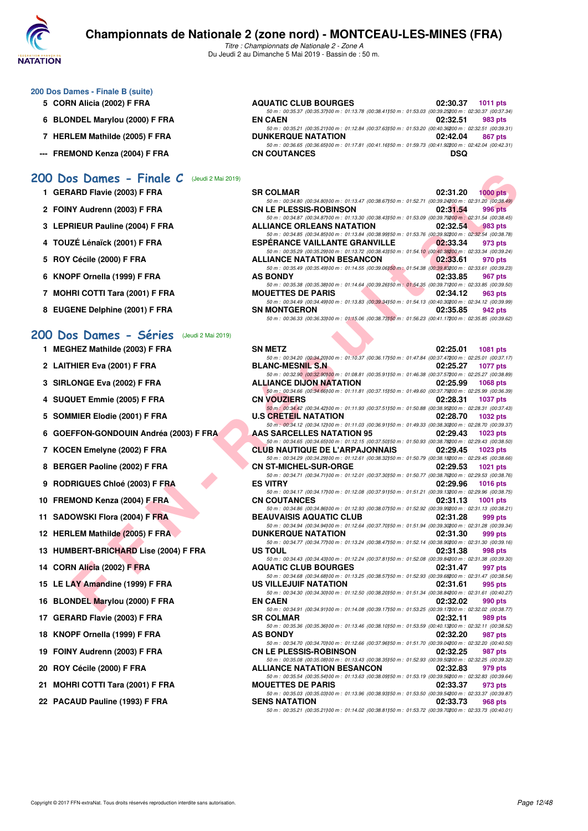

*Titre : Championnats de Nationale 2 - Zone A* Du Jeudi 2 au Dimanche 5 Mai 2019 - Bassin de : 50 m.

### **200 Dos Dames - Finale B (suite)**

- **5 CORN Alicia (2002) F FRA**
- **6 BLONDEL Marylou (2000) F FRA**
- **7 HERLEM Mathilde (2005) F FRA**
- --- FREMOND Kenza (2004) F FRA

### **[200 Dos Dames - Finale C](http://www.ffnatation.fr/webffn/resultats.php?idact=nat&go=epr&idcpt=59365&idepr=13)** (Jeudi 2 Mai 2019)

- **1 GERARD Flavie (2003) F FRA**
- 2 FOINY Audrenn (2003) F FRA
- **3 LEPRIEUR Pauline (2004) F FRA**
- 4 TOUZÉ Lénaïck (2001) F FRA
- 5 ROY Cécile (2000) F FRA
- **6 KNOPF Ornella (1999) F FRA**
- **7 MOHRI COTTI Tara (2001) F FRA**
- 8 EUGENE Delphine (2001) F FRA

#### **[200 Dos Dames - Séries](http://www.ffnatation.fr/webffn/resultats.php?idact=nat&go=epr&idcpt=59365&idepr=13)** (Jeudi 2 Mai 2019)

- **1 MEGHEZ Mathilde (2003) F FRA**
- **2 LAITHIER Eva (2001) F FRA BLANC-MESNIL S.N 02:25.27 1077 pts**
- **3 SIRLONGE Eva (2002) F FRA**
- **4 SUQUET Emmie (2005) F FRA**
- **5 SOMMIER Elodie (2001) F FRA**
- **6 GOEFFON-GONDOUIN Andréa (2003) F FRA**
- 7 KOCEN Emelyne (2002) F FRA
- 8 BERGER Paoline (2002) F FRA
- **9 RODRIGUES Chloé (2003) F FRA**
- 10 FREMOND Kenza (2004) F FRA
- **11 SADOWSKI Flora (2004) F FRA**
- **12 HERLEM Mathilde (2005) F FRA**
- **13 HUMBERT-BRICHARD Lise (2004) F FRA**
- **14 CORN Alicia (2002) F FRA**
- **15 LE LAY Amandine (1999) F FRA**
- **16 BLONDEL Marylou (2000) F FRA**
- **17 GERARD Flavie (2003) F FRA**
- **18 KNOPF Ornella (1999) F FRA**
- 19 FOINY Audrenn (2003) F FRA
- 20 ROY Cécile (2000) **F FRA**
- 21 MOHRI COTTI Tara (2001) F FRA
- 22 PACAUD Pauline (1993) F FRA

| <b>AQUATIC CLUB BOURGES</b>                                                                            | 02:30.37 1011 pts   |
|--------------------------------------------------------------------------------------------------------|---------------------|
| 50 m: 00:35.37 (00:35.37100 m: 01:13.78 (00:38.41150 m: 01:53.03 (00:39.25200 m: 02:30.37 (00:37.34)   |                     |
| <b>EN CAEN</b>                                                                                         | 02:32.51 983 pts    |
| 50 m: 00:35.21 (00:35.21100 m: 01:12.84 (00:37.63150 m: 01:53.20 (00:40.36200 m: 02:32.51 (00:39.31)   |                     |
| <b>DUNKERQUE NATATION</b>                                                                              | 02:42.04<br>867 pts |
| 50 m: 00:36.65 (00:36.65) 00 m: 01:17.81 (00:41.16) 50 m: 01:59.73 (00:41.92200 m: 02:42.04 (00:42.31) |                     |
| <b>CN COUTANCES</b>                                                                                    | DSQ                 |

| <b>SR COLMAR</b>                                                                                       | 02:31.20 | $1000$ pts |
|--------------------------------------------------------------------------------------------------------|----------|------------|
| 50 m: 00:34.80 (00:34.80) 00 m: 01:13.47 (00:38.67) 50 m: 01:52.71 (00:39.24200 m: 02:31.20 (00:38.49) |          |            |
| <b>CN LE PLESSIS-ROBINSON</b>                                                                          | 02:31.54 | 996 pts    |
| 50 m: 00:34.87 (00:34.87) 00 m: 01:13.30 (00:38.43) 50 m: 01:53.09 (00:39.79200 m: 02:31.54 (00:38.45) |          |            |
| <b>ALLIANCE ORLEANS NATATION</b>                                                                       | 02:32.54 | 983 pts    |
| 50 m: 00:34.85 (00:34.85) 00 m: 01:13.84 (00:38.99) 50 m: 01:53.76 (00:39.92200 m: 02:32.54 (00:38.78) |          |            |
| <b>ESPERANCE VAILLANTE GRANVILLE</b>                                                                   | 02:33.34 | 973 pts    |
| 50 m: 00:35.29 (00:35.29) 00 m: 01:13.72 (00:38.43) 50 m: 01:54.10 (00:40.38200 m: 02:33.34 (00:39.24) |          |            |
| <b>ALLIANCE NATATION BESANCON</b>                                                                      | 02:33.61 | 970 pts    |
| 50 m: 00:35.49 (00:35.49) 00 m: 01:14.55 (00:39.06) 50 m: 01:54.38 (00:39.83200 m: 02:33.61 (00:39.23) |          |            |
| <b>AS BONDY</b>                                                                                        | 02:33.85 | 967 pts    |
| 50 m: 00:35.38 (00:35.38) 00 m: 01:14.64 (00:39.26) 50 m: 01:54.35 (00:39.71200 m: 02:33.85 (00:39.50) |          |            |
| <b>MOUETTES DE PARIS</b>                                                                               | 02:34.12 | 963 pts    |
| 50 m: 00:34.49 (00:34.49) 00 m: 01:13.83 (00:39.34) 50 m: 01:54.13 (00:40.30200 m: 02:34.12 (00:39.99) |          |            |
| <b>SN MONTGERON</b>                                                                                    | 02:35.85 | 942 pts    |
| 50 m: 00:36.33 (00:36.33) 00 m: 01:15.06 (00:38.73) 50 m: 01:56.23 (00:41.17200 m: 02:35.85 (00:39.62) |          |            |

| S Dames - Finale $C$ (Jeudi 2 Mai 2019)    |                                                                                                                                                                                                                                                 |          |                 |
|--------------------------------------------|-------------------------------------------------------------------------------------------------------------------------------------------------------------------------------------------------------------------------------------------------|----------|-----------------|
| ARD Flavie (2003) F FRA                    | <b>SR COLMAR</b><br>50 m : 00:34.80 (00:34.80) 00 m : 01:13.47 (00:38.67) 50 m : 01:52.71 (00:39.24200 m : 02:31.20 (00:38.49)                                                                                                                  | 02:31.20 | $1000$ pts      |
| IY Audrenn (2003) F FRA                    | <b>CN LE PLESSIS-ROBINSON</b><br>50 m: 00:34.87 (00:34.87) 00 m: 01:13.30 (00:38.43) 50 m: 01:53.09 (00:39.79200 m: 02:31.54 (00:38.45)                                                                                                         | 02:31.54 | 996 pts         |
| RIEUR Pauline (2004) F FRA                 | <b>ALLIANCE ORLEANS NATATION</b><br>50 m : 00:34.85 (00:34.85) 00 m : 01:13.84 (00:38.99) 50 m : 01:53.76 (00:39.92200 m : 02:32.54 (00:38.78)                                                                                                  | 02:32.54 | 983 pts         |
| ZÉ Lénaïck (2001) F FRA                    | <b>ESPERANCE VAILLANTE GRANVILLE</b>                                                                                                                                                                                                            | 02:33.34 | 973 pts         |
| <b>Cécile (2000) F FRA</b>                 | 50 m : 00:35.29 (00:35.29) 00 m : 01:13.72 (00:38.43) 50 m : 01:54.10 (00:40.38200 m : 02:33.34 (00:39.24)<br><b>ALLIANCE NATATION BESANCON</b>                                                                                                 | 02:33.61 | 970 pts         |
| PF Ornella (1999) F FRA                    | 50 m : 00:35.49 (00:35.49) 00 m : 01:14.55 (00:39.06) 50 m : 01:54.38 (00:39.83200 m : 02:33.61 (00:39.23)<br><b>AS BONDY</b>                                                                                                                   | 02:33.85 | 967 pts         |
| IRI COTTI Tara (2001) F FRA                | 50 m : 00:35.38 (00:35.38) 00 m : 01:14.64 (00:39.26) 50 m : 01:54.35 (00:39.71200 m : 02:33.85 (00:39.50)<br><b>MOUETTES DE PARIS</b>                                                                                                          | 02:34.12 | 963 pts         |
| ENE Delphine (2001) F FRA                  | 50 m : 00:34.49 (00:34.49) 00 m : 01:13.83 (00:39.34) 50 m : 01:54.13 (00:40.30200 m : 02:34.12 (00:39.99)<br><b>SN MONTGERON</b><br>50 m : 00:36.33 (00:36.33) 00 m : 01:15.06 (00:38.73) 50 m : 01:56.23 (00:41.17200 m : 02:35.85 (00:39.62) | 02:35.85 | 942 pts         |
| <b>S Dames - Séries</b> (Jeudi 2 Mai 2019) |                                                                                                                                                                                                                                                 |          |                 |
| HEZ Mathilde (2003) F FRA                  | <b>SN METZ</b>                                                                                                                                                                                                                                  | 02:25.01 | 1081 pts        |
|                                            | 50 m : 00:34.20 (00:34.20) 00 m : 01:10.37 (00:36.17) 50 m : 01:47.84 (00:37.47200 m : 02:25.01 (00:37.17)                                                                                                                                      |          |                 |
| HIER Eva (2001) F FRA                      | <b>BLANC-MESNIL S.N.</b><br>50 m : 00:32.90 (00:32.90100 m : 01:08.81 (00:35.91150 m : 01:46.38 (00:37.57200 m : 02:25.27 (00:38.89)                                                                                                            | 02:25.27 | <b>1077 pts</b> |
| ONGE Eva (2002) F FRA                      | <b>ALLIANCE DIJON NATATION</b>                                                                                                                                                                                                                  | 02:25.99 | <b>1068 pts</b> |
| UET Emmie (2005) F FRA                     | 50 m : 00:34.66 (00:34.66) 00 m : 01:11.81 (00:37.15) 50 m : 01:49.60 (00:37.79200 m : 02:25.99 (00:36.39)<br><b>CN VOUZIERS</b>                                                                                                                | 02:28.31 | <b>1037 pts</b> |
| <b>MIER Elodie (2001) F FRA</b>            | 50 m : 00:34.42 (00:34.42) 00 m : 01:11.93 (00:37.51) 50 m : 01:50.88 (00:38.95200 m : 02:28.31 (00:37.43)<br><b>U.S CRETEIL NATATION</b>                                                                                                       | 02:28.70 | <b>1032 pts</b> |
| FFON-GONDOUIN Andréa (2003) F FRA          | 50 m : 00:34.12 (00:34.12) 00 m : 01:11.03 (00:36.91) 50 m : 01:49.33 (00:38.30200 m : 02:28.70 (00:39.37)<br><b>AAS SARCELLES NATATION 95</b>                                                                                                  | 02:29.43 | <b>1023 pts</b> |
| EN Emelyne (2002) F FRA                    | 50 m : 00:34.65 (00:34.65) 00 m : 01:12.15 (00:37.50) 50 m : 01:50.93 (00:38.78200 m : 02:29.43 (00:38.50)<br><b>CLUB NAUTIQUE DE L'ARPAJONNAIS</b>                                                                                             | 02:29.45 | $1023$ pts      |
| GER Paoline (2002) F FRA                   | 50 m : 00:34.29 (00:34.29) 00 m : 01:12.61 (00:38.32) 50 m : 01:50.79 (00:38.18200 m : 02:29.45 (00:38.66)<br><b>CN ST-MICHEL-SUR-ORGE</b>                                                                                                      | 02:29.53 | <b>1021 pts</b> |
|                                            | 50 m : 00:34.71 (00:34.71) 00 m : 01:12.01 (00:37.30) 50 m : 01:50.77 (00:38.76200 m : 02:29.53 (00:38.76)                                                                                                                                      |          |                 |
| <b>RIGUES Chloé (2003) F FRA</b>           | <b>ES VITRY</b><br>50 m : 00:34.17 (00:34.17) 00 m : 01:12.08 (00:37.91) 50 m : 01:51.21 (00:39.13200 m : 02:29.96 (00:38.75)                                                                                                                   | 02:29.96 | <b>1016 pts</b> |
| MOND Kenza (2004) F FRA                    | <b>CN COUTANCES</b><br>50 m : 00:34.86 (00:34.86) 00 m : 01:12.93 (00:38.07) 50 m : 01:52.92 (00:39.99200 m : 02:31.13 (00:38.21)                                                                                                               | 02:31.13 | 1001 pts        |
| OWSKI Flora (2004) F FRA                   | <b>BEAUVAISIS AQUATIC CLUB</b>                                                                                                                                                                                                                  | 02:31.28 | 999 pts         |
| LEM Mathilde (2005) F FRA                  | 50 m : 00:34.94 (00:34.94)00 m : 01:12.64 (00:37.70)50 m : 01:51.94 (00:39.30200 m : 02:31.28 (00:39.34)<br><b>DUNKERQUE NATATION</b>                                                                                                           | 02:31.30 | 999 pts         |
| <b>BERT-BRICHARD Lise (2004) F FRA</b>     | 50 m : 00:34.77 (00:34.77) 00 m : 01:13.24 (00:38.47) 50 m : 01:52.14 (00:38.90200 m : 02:31.30 (00:39.16)<br>US TOUL                                                                                                                           | 02:31.38 | 998 pts         |
| N Alicia (2002) F FRA                      | 50 m : 00:34.43 (00:34.43) 00 m : 01:12.24 (00:37.81) 50 m : 01:52.08 (00:39.84200 m : 02:31.38 (00:39.30)<br><b>AQUATIC CLUB BOURGES</b>                                                                                                       | 02:31.47 | 997 pts         |
| AY Amandine (1999) F FRA                   | 50 m : 00:34.68 (00:34.68) 00 m : 01:13.25 (00:38.57) 50 m : 01:52.93 (00:39.68200 m : 02:31.47 (00:38.54)<br>US VILLEJUIF NATATION                                                                                                             | 02:31.61 | 995 pts         |
|                                            | 50 m : 00:34.30 (00:34.30) 00 m : 01:12.50 (00:38.20) 50 m : 01:51.34 (00:38.84200 m : 02:31.61 (00:40.27)                                                                                                                                      |          |                 |
| NDEL Marylou (2000) F FRA                  | <b>EN CAEN</b><br>50 m : 00:34.91 (00:34.91) 00 m : 01:14.08 (00:39.17) 50 m : 01:53.25 (00:39.17200 m : 02:32.02 (00:38.77)                                                                                                                    | 02:32.02 | 990 pts         |
| ARD Flavie (2003) F FRA                    | <b>SR COLMAR</b><br>50 m : 00:35.36 (00:35.36) 00 m : 01:13.46 (00:38.10) 50 m : 01:53.59 (00:40.13200 m : 02:32.11 (00:38.52)                                                                                                                  | 02:32.11 | 989 pts         |
| PF Ornella (1999) F FRA                    | <b>AS BONDY</b><br>50 m : 00:34.70 (00:34.70)00 m : 01:12.66 (00:37.96)50 m : 01:51.70 (00:39.04200 m : 02:32.20 (00:40.50)                                                                                                                     | 02:32.20 | 987 pts         |
| IY Audrenn (2003) F FRA                    | <b>CN LE PLESSIS-ROBINSON</b>                                                                                                                                                                                                                   | 02:32.25 | 987 pts         |
| <b>Cécile (2000) F FRA</b>                 | 50 m : 00:35.08 (00:35.08) 00 m : 01:13.43 (00:38.35) 50 m : 01:52.93 (00:39.50200 m : 02:32.25 (00:39.32)<br><b>ALLIANCE NATATION BESANCON</b>                                                                                                 | 02:32.83 | 979 pts         |
| IRI COTTI Tara (2001) F FRA                | 50 m : 00:35.54 (00:35.54)00 m : 01:13.63 (00:38.09)50 m : 01:53.19 (00:39.56200 m : 02:32.83 (00:39.64)<br><b>MOUETTES DE PARIS</b>                                                                                                            | 02:33.37 | 973 pts         |
| AUD Pauline (1993) F FRA                   | 50 m : 00:35.03 (00:35.03) 00 m : 01:13.96 (00:38.93) 50 m : 01:53.50 (00:39.54200 m : 02:33.37 (00:39.87)<br><b>SENS NATATION</b>                                                                                                              | 02:33.73 | 968 pts         |
|                                            | 50 m: 00:35.21 (00:35.21) 00 m: 01:14.02 (00:38.81) 50 m: 01:53.72 (00:39.70200 m: 02:33.73 (00:40.01)                                                                                                                                          |          |                 |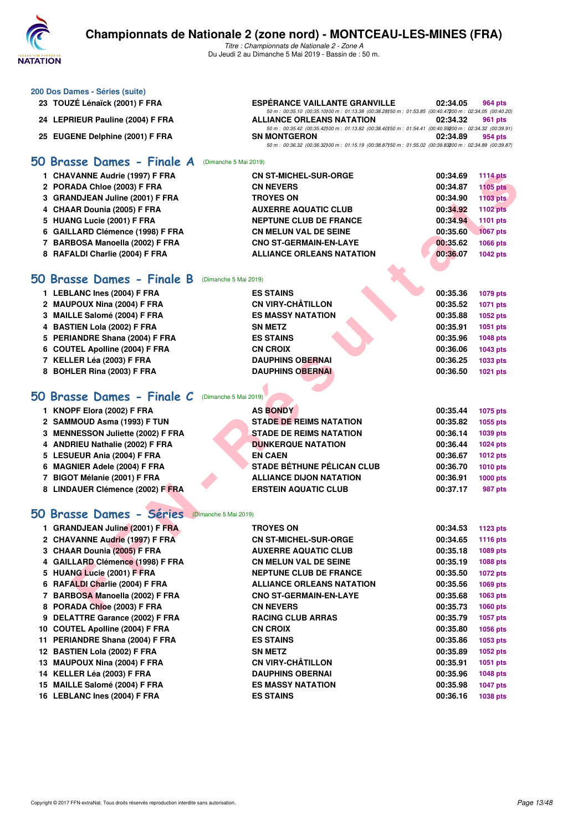

*Titre : Championnats de Nationale 2 - Zone A* Du Jeudi 2 au Dimanche 5 Mai 2019 - Bassin de : 50 m.

|    | 200 Dos Dames - Séries (suite)                      |                                                                                                                                                    |          |                 |
|----|-----------------------------------------------------|----------------------------------------------------------------------------------------------------------------------------------------------------|----------|-----------------|
|    | 23 TOUZÉ Lénaïck (2001) F FRA                       | <b>ESPÉRANCE VAILLANTE GRANVILLE</b><br>50 m : 00:35.10 (00:35.10) 00 m : 01:13.38 (00:38.28) 50 m : 01:53.85 (00:40.47200 m : 02:34.05 (00:40.20) | 02:34.05 | 964 pts         |
|    | 24 LEPRIEUR Pauline (2004) F FRA                    | <b>ALLIANCE ORLEANS NATATION</b><br>50 m : 00:35.42 (00:35.42) 00 m : 01:13.82 (00:38.40) 50 m : 01:54.41 (00:40.59200 m : 02:34.32 (00:39.91)     | 02:34.32 | 961 pts         |
|    | 25 EUGENE Delphine (2001) F FRA                     | <b>SN MONTGERON</b><br>50 m : 00:36.32 (00:36.32) 00 m : 01:15.19 (00:38.87) 50 m : 01:55.02 (00:39.83200 m : 02:34.89 (00:39.87)                  | 02:34.89 | 954 pts         |
|    | 50 Brasse Dames - Finale A<br>(Dimanche 5 Mai 2019) |                                                                                                                                                    |          |                 |
|    | 1 CHAVANNE Audrie (1997) F FRA                      | <b>CN ST-MICHEL-SUR-ORGE</b>                                                                                                                       | 00:34.69 | <b>1114 pts</b> |
|    | 2 PORADA Chloe (2003) F FRA                         | <b>CN NEVERS</b>                                                                                                                                   | 00:34.87 | <b>1105 pts</b> |
|    | 3 GRANDJEAN Juline (2001) F FRA                     | <b>TROYES ON</b>                                                                                                                                   | 00:34.90 | <b>1103 pts</b> |
|    | 4 CHAAR Dounia (2005) F FRA                         | <b>AUXERRE AQUATIC CLUB</b>                                                                                                                        | 00:34.92 | <b>1102 pts</b> |
|    | 5 HUANG Lucie (2001) F FRA                          | <b>NEPTUNE CLUB DE FRANCE</b>                                                                                                                      | 00:34.94 | 1101 pts        |
|    | 6 GAILLARD Clémence (1998) F FRA                    | CN MELUN VAL DE SEINE                                                                                                                              | 00:35.60 | <b>1067 pts</b> |
|    | 7 BARBOSA Manoella (2002) F FRA                     | <b>CNO ST-GERMAIN-EN-LAYE</b>                                                                                                                      | 00:35.62 | 1066 pts        |
|    | 8 RAFALDI Charlie (2004) F FRA                      | <b>ALLIANCE ORLEANS NATATION</b>                                                                                                                   | 00:36.07 | <b>1042 pts</b> |
| 50 | Brasse Dames - Finale B (Dimanche 5 Mai 2019)       |                                                                                                                                                    |          |                 |
|    | 1 LEBLANC Ines (2004) F FRA                         | <b>ES STAINS</b>                                                                                                                                   | 00:35.36 | 1079 pts        |
|    | 2 MAUPOUX Nina (2004) F FRA                         | <b>CN VIRY-CHÂTILLON</b>                                                                                                                           | 00:35.52 | 1071 pts        |
|    | 3 MAILLE Salomé (2004) F FRA                        | <b>ES MASSY NATATION</b>                                                                                                                           | 00:35.88 | 1052 pts        |
|    | 4 BASTIEN Lola (2002) F FRA                         | <b>SN METZ</b>                                                                                                                                     | 00:35.91 | 1051 pts        |
|    | 5 PERIANDRE Shana (2004) F FRA                      | <b>ES STAINS</b>                                                                                                                                   | 00:35.96 | 1048 pts        |
| 6  | <b>COUTEL Apolline (2004) F FRA</b>                 | <b>CN CROIX</b>                                                                                                                                    | 00:36.06 | 1043 pts        |
|    | 7 KELLER Léa (2003) F FRA                           | <b>DAUPHINS OBERNAI</b>                                                                                                                            | 00:36.25 | 1033 pts        |
|    | 8 BOHLER Rina (2003) F FRA                          | <b>DAUPHINS OBERNAI</b>                                                                                                                            | 00:36.50 | 1021 pts        |
|    |                                                     |                                                                                                                                                    |          |                 |
| 50 | Brasse Dames - Finale C<br>(Dimanche 5 Mai 2019)    |                                                                                                                                                    |          |                 |
|    | 1 KNOPF Elora (2002) F FRA                          | <b>AS BONDY</b>                                                                                                                                    | 00:35.44 | 1075 pts        |
|    | 2 SAMMOUD Asma (1993) F TUN                         | <b>STADE DE REIMS NATATION</b>                                                                                                                     | 00:35.82 | 1055 pts        |
|    | 3 MENNESSON Juliette (2002) F FRA                   | <b>STADE DE REIMS NATATION</b>                                                                                                                     | 00:36.14 | 1039 pts        |
|    | 4 ANDRIEU Nathalie (2002) F FRA                     | <b>DUNKERQUE NATATION</b>                                                                                                                          | 00:36.44 | 1024 pts        |
|    | 5 LESUEUR Ania (2004) F FRA                         | <b>EN CAEN</b>                                                                                                                                     | 00:36.67 | <b>1012 pts</b> |
|    | 6 MAGNIER Adele (2004) F FRA                        | <b>STADE BÉTHUNE PÉLICAN CLUB</b>                                                                                                                  | 00:36.70 | <b>1010 pts</b> |
|    | 7 BIGOT Mélanie (2001) F FRA                        | <b>ALLIANCE DIJON NATATION</b>                                                                                                                     | 00:36.91 | 1000 pts        |
|    | 8 LINDAUER Clémence (2002) F FRA                    | <b>ERSTEIN AQUATIC CLUB</b>                                                                                                                        | 00:37.17 | 987 pts         |
|    |                                                     |                                                                                                                                                    |          |                 |
|    | 50 Brasse Dames - Séries (Dimanche 5 Mai 2019)      |                                                                                                                                                    |          |                 |
|    | 1 GRANDJEAN Juline (2001) F FRA                     | <b>TROYES ON</b>                                                                                                                                   | 00:34.53 | 1123 pts        |
|    | 2 CHAVANNE Audrie (1997) F FRA                      | <b>CN ST-MICHEL-SUR-ORGE</b>                                                                                                                       | 00:34.65 | 1116 pts        |
|    | 3 CHAAR Dounia (2005) F FRA                         | <b>AUXERRE AQUATIC CLUB</b>                                                                                                                        | 00:35.18 | 1089 pts        |
|    | 4 GAILLARD Clémence (1998) F FRA                    | <b>CN MELUN VAL DE SEINE</b>                                                                                                                       | 00:35.19 | 1088 pts        |
|    | 5 HUANG Lucie (2001) F FRA                          | <b>NEPTUNE CLUB DE FRANCE</b>                                                                                                                      | 00:35.50 | 1072 pts        |
|    | 6 RAFALDI Charlie (2004) F FRA                      | <b>ALLIANCE ORLEANS NATATION</b>                                                                                                                   | 00:35.56 | 1069 pts        |
|    | 7 BARBOSA Manoella (2002) F FRA                     | <b>CNO ST-GERMAIN-EN-LAYE</b>                                                                                                                      | 00:35.68 | 1063 pts        |
|    | 8 PORADA Chloe (2003) F FRA                         | <b>CN NEVERS</b>                                                                                                                                   | 00:35.73 | 1060 pts        |
|    | 9 DELATTRE Garance (2002) F FRA                     | <b>RACING CLUB ARRAS</b>                                                                                                                           | 00:35.79 | 1057 pts        |
|    | 10 COUTEL Apolline (2004) F FRA                     | <b>CN CROIX</b>                                                                                                                                    | 00:35.80 | 1056 pts        |
|    | 11 PERIANDRE Shana (2004) F FRA                     | <b>ES STAINS</b>                                                                                                                                   | 00:35.86 | 1053 pts        |
|    | 12 BASTIEN Lola (2002) F FRA                        | SN METZ                                                                                                                                            | 00:35.89 | 1052 pts        |
|    | 13 MAUPOUX Nina (2004) F FRA                        | <b>CN VIRY-CHÂTILLON</b>                                                                                                                           | 00:35.91 | 1051 pts        |
|    | 14 KELLER Léa (2003) F FRA                          | <b>DAUPHINS OBERNAI</b>                                                                                                                            | 00:35.96 | <b>1048 pts</b> |
|    | 15 MAILLE Salomé (2004) F FRA                       | <b>ES MASSY NATATION</b>                                                                                                                           | 00:35.98 | <b>1047 pts</b> |
|    | 16 LEBLANC Ines (2004) F FRA                        | <b>ES STAINS</b>                                                                                                                                   | 00:36.16 | 1038 pts        |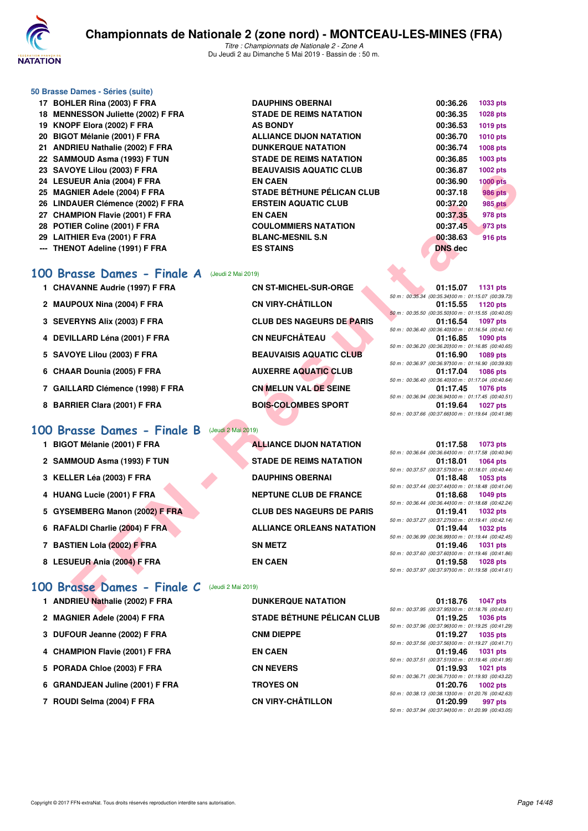

*Titre : Championnats de Nationale 2 - Zone A* Du Jeudi 2 au Dimanche 5 Mai 2019 - Bassin de : 50 m.

#### **50 Brasse Dames - Séries (suite)**

17 BOHLER Rina (2003) F FRA DAUPHINS OBERNAI **DAUPHINS OBERNAI 18 MENNESSON Juliette (2002) F FRA 19 KNOPF Elora (2002) F FRA** 20 BIGOT Mélanie (2001) F FRA 21 ANDRIEU Nathalie (2002) F FRA **22 SAMMOUD Asma (1993) F TUN 23 SAVOYE Lilou (2003) F FRA 24 LESUEUR Ania (2004) F FRA EN CAEN 00:36.90 1000 pts** 25 MAGNIER Adele (2004) F FRA 26 LINDAUER Clémence (2002) F FRA **27 CHAMPION Flavie (2001) F FRA 28 POTIER Coline (2001) F FRA 29 LAITHIER Eva (2001) F FRA BLANC-MESNIL S.N 00:38.63 916 pts --- THENOT Adeline (1991) F FRA** 

| <b>STADE DE REIMS NATATION</b>    |
|-----------------------------------|
| <b>AS BONDY</b>                   |
| <b>ALLIANCE DIJON NATATION</b>    |
| <b>DUNKERQUE NATATION</b>         |
| <b>STADE DE REIMS NATATION</b>    |
| <b>BEAUVAISIS AQUATIC CLUB</b>    |
| EN CAEN                           |
| <b>STADE BÉTHUNE PÉLICAN CLUB</b> |
| <b>ERSTEIN AQUATIC CLUB</b>       |
| <b>EN CAEN</b>                    |
| <b>COULOMMIERS NATATION</b>       |
| <b>BLANC-MESNIL S.N</b>           |
| <b>ES STAINS</b>                  |

| 00:36.26       | 1033 pts        |
|----------------|-----------------|
| 00:36.35       | 1028 pts        |
| 00:36.53       | <b>1019 pts</b> |
| 00:36.70       | <b>1010 pts</b> |
| 00:36.74       | <b>1008 pts</b> |
| 00:36.85       | 1003 pts        |
| 00:36.87       | 1002 pts        |
| 00:36.90       | <b>1000 pts</b> |
| 00:37.18       | <b>986 pts</b>  |
| 00:37.20       | <b>985 pts</b>  |
| 00:37.35       | 978 pts         |
| 00:37.45       | 973 pts         |
| 00:38.63       | <b>916 pts</b>  |
| <b>DNS</b> dec |                 |
|                |                 |

#### **[100 Brasse Dames - Finale A](http://www.ffnatation.fr/webffn/resultats.php?idact=nat&go=epr&idcpt=59365&idepr=22)** (Jeudi 2 Mai 2019)

- 1 CHAVANNE Audrie (1997) F FRA **CN ST-MICHEL-SUR-ORGE**
- 2 MAUPOUX Nina (2004) F FRA **CN VIRY-CHÂTILLON**
- 3 SEVERYNS Alix (2003) F FRA **CLUB DES NAGEURS DE PARIS**
- 4 DEVILLARD Léna (2001) F FRA CN NEUFCHÂTEAU
- 5 SAVOYE Lilou (2003) F FRA BEAUVAISIS AQUATIC CLUB
- 6 CHAAR Dounia (2005) F FRA AUXERRE AQUATIC CLUB
- 7 GAILLARD Clémence (1998) F FRA **CN MELUN VAL DE SEINE**
- 8 BARRIER Clara (2001) F FRA BOIS-COLOMBES SPORT

#### **[100 Brasse Dames - Finale B](http://www.ffnatation.fr/webffn/resultats.php?idact=nat&go=epr&idcpt=59365&idepr=22)** (Jeudi 2 Mai 2019)

- **1 BIGOT Mélanie (2001) F FRA ALLIANCE DIJON NATATION 01:17.58 1073 pts**
- 2 SAMMOUD Asma (1993) F TUN STADE DE REIMS NATATION
- **3 KELLER Léa (2003) F FRA DAUPHINS OBERNAI**
- **4 HUANG Lucie (2001) F FRA NEPTUNE CLUB DE FRANCE**
- 5 GYSEMBERG Manon (2002) F FRA CLUB DES NAGEURS DE PARIS
- **6 RAFALDI Charlie (2004) F FRA ALLIANCE ORLEANS NATATION**
- **7 BASTIEN Lola (2002) F FRA SN METZ**
- 8 LESUEUR Ania (2004) F FRA EN CAEN

## **[100 Brasse Dames - Finale C](http://www.ffnatation.fr/webffn/resultats.php?idact=nat&go=epr&idcpt=59365&idepr=22)** (Jeudi 2 Mai 2019)

## 1 ANDRIEU Nathalie (2002) F FRA DUNKERQUE NATATION

2 MAGNIER Adele (2004) F FRA STADE BÉTHUNE PÉLICAN CLUB **3 DUFOUR Jeanne (2002) F FRA CNM DIEPPE** 4 CHAMPION Flavie (2001) F FRA EN CAEN **5 PORADA Chloe (2003) F FRA CN NEVERS 6 GRANDJEAN Juline (2001) F FRA TROYES ON 01:20.76 1002 pts 7 ROUDI Selma (2004) F FRA CN VIRY-CHÂTILLON** 

| U I E LIIUU (2003) F FRA                                 | DEAU VAIJIJ AWUATIU ULUD          | 00.00.07<br><b>TUUZ PIS</b>                                                          |
|----------------------------------------------------------|-----------------------------------|--------------------------------------------------------------------------------------|
| JEUR Ania (2004) F FRA                                   | <b>EN CAEN</b>                    | 00:36.90<br><b>1000 pts</b>                                                          |
| NIER Adele (2004) F FRA                                  | <b>STADE BÉTHUNE PÉLICAN CLUB</b> | 00:37.18<br><b>986 pts</b>                                                           |
| <b>AUER Clémence (2002) F FRA</b>                        | <b>ERSTEIN AQUATIC CLUB</b>       | 00:37.20<br><b>985 pts</b>                                                           |
| <b>MPION Flavie (2001) F FRA</b>                         | <b>EN CAEN</b>                    | 00:37.35<br>978 pts                                                                  |
| IER Coline (2001) F FRA                                  | <b>COULOMMIERS NATATION</b>       | 00:37.45<br>973 pts                                                                  |
| HIER Eva (2001) F FRA                                    | <b>BLANC-MESNIL S.N</b>           | 00:38.63<br>916 pts                                                                  |
| NOT Adeline (1991) F FRA                                 | <b>ES STAINS</b>                  | <b>DNS</b> dec                                                                       |
|                                                          |                                   |                                                                                      |
|                                                          |                                   |                                                                                      |
| <b>asse Dames - Finale A</b> (Jeudi 2 Mai 2019)          |                                   |                                                                                      |
| VANNE Audrie (1997) F FRA                                | <b>CN ST-MICHEL-SUR-ORGE</b>      | 01:15.07<br>1131 pts                                                                 |
|                                                          |                                   | 50 m : 00:35.34 (00:35.34) 00 m : 01:15.07 (00:39.73)                                |
| POUX Nina (2004) F FRA                                   | <b>CN VIRY-CHÂTILLON</b>          | 01:15.55<br>1120 pts<br>50 m: 00:35.50 (00:35.50) 00 m: 01:15.55 (00:40.05)          |
| <b>ERYNS Alix (2003) F FRA</b>                           | <b>CLUB DES NAGEURS DE PARIS</b>  | 01:16.54<br><b>1097 pts</b>                                                          |
|                                                          |                                   | 50 m : 00:36.40 (00:36.40) 00 m : 01:16.54 (00:40.14)                                |
| ILLARD Léna (2001) F FRA                                 | <b>CN NEUFCHÂTEAU</b>             | 01:16.85<br>1090 pts                                                                 |
| OYE Lilou (2003) F FRA                                   | <b>BEAUVAISIS AQUATIC CLUB</b>    | 50 m : 00:36.20 (00:36.20100 m : 01:16.85 (00:40.65)<br>01:16.90<br>1089 pts         |
|                                                          |                                   | 50 m : 00:36.97 (00:36.97) 00 m : 01:16.90 (00:39.93)                                |
| AR Dounia (2005) F FRA                                   | <b>AUXERRE AQUATIC CLUB</b>       | 01:17.04<br><b>1086 pts</b>                                                          |
|                                                          |                                   | 50 m : 00:36.40 (00:36.40) 00 m : 01:17.04 (00:40.64)                                |
| LARD Clémence (1998) F FRA                               | <b>CN MELUN VAL DE SEINE</b>      | 01:17.45<br><b>1076 pts</b>                                                          |
| RIER Clara (2001) F FRA                                  | <b>BOIS-COLOMBES SPORT</b>        | 50 m: 00:36.94 (00:36.94100 m: 01:17.45 (00:40.51)<br>01:19.64<br><b>1027 pts</b>    |
|                                                          |                                   | 50 m: 00:37.66 (00:37.66) 00 m: 01:19.64 (00:41.98)                                  |
|                                                          |                                   |                                                                                      |
| asse Dames - Finale B                                    | (Jeudi 2 Mai 2019)                |                                                                                      |
| <b>DT Mélanie (2001) F FRA</b>                           | <b>ALLIANCE DIJON NATATION</b>    | 01:17.58<br>1073 pts                                                                 |
|                                                          |                                   | 50 m : 00:36.64 (00:36.64)00 m : 01:17.58 (00:40.94)                                 |
| MOUD Asma (1993) F TUN                                   | <b>STADE DE REIMS NATATION</b>    | 01:18.01<br><b>1064 pts</b><br>50 m: 00:37.57 (00:37.57100 m: 01:18.01 (00:40.44)    |
| LER Léa (2003) F FRA                                     | <b>DAUPHINS OBERNAI</b>           | 01:18.48<br>1053 pts                                                                 |
|                                                          |                                   | 50 m: 00:37.44 (00:37.44100 m: 01:18.48 (00:41.04)                                   |
| NG Lucie (2001) F FRA                                    | <b>NEPTUNE CLUB DE FRANCE</b>     | 01:18.68<br>1049 pts                                                                 |
| <b>EMBERG Manon (2002) F FRA</b>                         | <b>CLUB DES NAGEURS DE PARIS</b>  | 50 m : 00:36.44 (00:36.44) 00 m : 01:18.68 (00:42.24)<br>01:19.41                    |
|                                                          |                                   | <b>1032 pts</b><br>50 m : 00:37.27 (00:37.27) 00 m : 01:19.41 (00:42.14)             |
| ALDI Charlie (2004) F FRA                                | <b>ALLIANCE ORLEANS NATATION</b>  | 01:19.44<br><b>1032 pts</b>                                                          |
|                                                          |                                   | 50 m: 00:36.99 (00:36.99) 00 m: 01:19.44 (00:42.45)                                  |
| TIEN Lola (2002) F FRA                                   | <b>SN METZ</b>                    | 01:19.46<br><b>1031 pts</b>                                                          |
| JEUR Ania (2004) F FRA                                   | <b>EN CAEN</b>                    | 50 m : 00:37.60 (00:37.60) 00 m : 01:19.46 (00:41.86)<br>01:19.58<br><b>1028 pts</b> |
|                                                          |                                   | 50 m: 00:37.97 (00:37.97)00 m: 01:19.58 (00:41.61)                                   |
|                                                          |                                   |                                                                                      |
| $\overline{assoc\;Dames - Finale\;C}$ (Jeudi 2 Mai 2019) |                                   |                                                                                      |
| RIEU Nathalie (2002) F FRA                               | <b>DUNKERQUE NATATION</b>         | 01:18.76<br>1047 pts                                                                 |
|                                                          |                                   | 50 m : 00:37.95 (00:37.95100 m : 01:18.76 (00:40.81)                                 |

|  | 50 m: 00:36.64 (00:36.64100 m: 01:17.58 (00:40.94) |
|--|----------------------------------------------------|
|  | 01:18.01 1064 pts                                  |
|  | 50 m: 00:37.57 (00:37.57)00 m: 01:18.01 (00:40.44) |
|  | $01:18.48$ 1053 pts                                |
|  | 50 m: 00:37.44 (00:37.44100 m: 01:18.48 (00:41.04) |
|  | 01:18.68 1049 pts                                  |
|  | 50 m: 00:36.44 (00:36.44100 m: 01:18.68 (00:42.24) |
|  | 01:19.41 1032 pts                                  |
|  | 50 m: 00:37.27 (00:37.27100 m: 01:19.41 (00:42.14) |
|  | 01:19.44 1032 pts                                  |
|  | 50 m: 00:36.99 (00:36.99100 m: 01:19.44 (00:42.45) |
|  | 01:19.46 1031 pts                                  |
|  | 50 m: 00:37.60 (00:37.60100 m: 01:19.46 (00:41.86) |
|  | 01:19.58 1028 pts                                  |
|  | 50 m: 00:37.97 (00:37.97)00 m: 01:19.58 (00:41.61) |

|                                                      | 01:18.76 1047 pts   |
|------------------------------------------------------|---------------------|
| 50 m : 00:37.95 (00:37.95100 m : 01:18.76 (00:40.81) |                     |
|                                                      | $01:19.25$ 1036 pts |
| 50 m: 00:37.96 (00:37.96100 m: 01:19.25 (00:41.29)   |                     |
|                                                      | 01:19.27 1035 pts   |
| 50 m: 00:37.56 (00:37.56100 m: 01:19.27 (00:41.71)   |                     |
|                                                      | 01:19.46 1031 pts   |
| 50 m: 00:37.51 (00:37.51100 m: 01:19.46 (00:41.95)   |                     |
|                                                      | 01:19.93 1021 pts   |
| 50 m: 00:36.71 (00:36.71100 m: 01:19.93 (00:43.22)   |                     |
|                                                      | 01:20.76 1002 pts   |
| 50 m : 00:38.13 (00:38.13100 m : 01:20.76 (00:42.63) |                     |
|                                                      | 01:20.99 997 pts    |
| 50 m: 00:37.94 (00:37.94100 m: 01:20.99 (00:43.05)   |                     |
|                                                      |                     |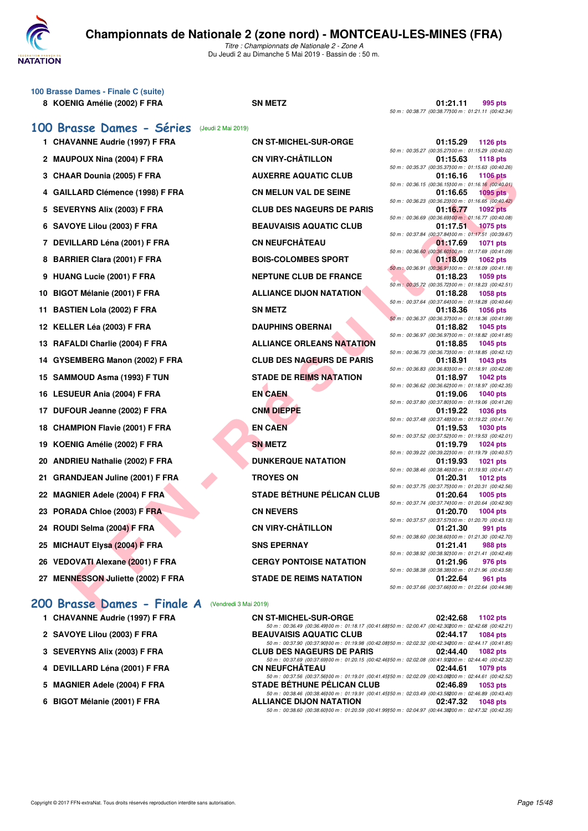

**100 Brasse Dames - Finale C (suite)**

## **Championnats de Nationale 2 (zone nord) - MONTCEAU-LES-MINES (FRA)**

*Titre : Championnats de Nationale 2 - Zone A* Du Jeudi 2 au Dimanche 5 Mai 2019 - Bassin de : 50 m.

|    | 8 KOENIG Amélie (2002) F FRA           |                       | <b>SN METZ</b>                    | 01:21.11<br>995 pts<br>50 m: 00:38.77 (00:38.77) 00 m: 01:21.11 (00:42.34)           |
|----|----------------------------------------|-----------------------|-----------------------------------|--------------------------------------------------------------------------------------|
|    | 100 Brasse Dames - Séries              | (Jeudi 2 Mai 2019)    |                                   |                                                                                      |
|    | 1 CHAVANNE Audrie (1997) F FRA         |                       | <b>CN ST-MICHEL-SUR-ORGE</b>      | 01:15.29<br><b>1126 pts</b>                                                          |
|    |                                        |                       | <b>CN VIRY-CHÂTILLON</b>          | 50 m : 00:35.27 (00:35.27)00 m : 01:15.29 (00:40.02)<br>01:15.63                     |
|    | 2 MAUPOUX Nina (2004) F FRA            |                       |                                   | <b>1118 pts</b><br>50 m : 00:35.37 (00:35.37)00 m : 01:15.63 (00:40.26)              |
|    | 3 CHAAR Dounia (2005) F FRA            |                       | <b>AUXERRE AQUATIC CLUB</b>       | 1106 pts<br>01:16.16<br>50 m : 00:36.15 (00:36.15)00 m : 01:16.16 (00:40.01)         |
|    | 4 GAILLARD Clémence (1998) F FRA       |                       | <b>CN MELUN VAL DE SEINE</b>      | <b>1095 pts</b><br>01:16.65                                                          |
|    | 5 SEVERYNS Alix (2003) F FRA           |                       | <b>CLUB DES NAGEURS DE PARIS</b>  | 50 m : 00:36.23 (00:36.23100 m : 01:16.65 (00:40.42)<br><b>1092 pts</b><br>01:16.77  |
|    | 6 SAVOYE Lilou (2003) F FRA            |                       | <b>BEAUVAISIS AQUATIC CLUB</b>    | 50 m : 00:36.69 (00:36.69100 m : 01:16.77 (00:40.08)<br>01:17.51<br><b>1075 pts</b>  |
|    |                                        |                       |                                   | 50 m : 00:37.84 (00:37.84)00 m : 01:17.51 (00:39.67)                                 |
|    | 7 DEVILLARD Léna (2001) F FRA          |                       | <b>CN NEUFCHÂTEAU</b>             | 01:17.69<br><b>1071 pts</b><br>50 m : 00:36.60 (00:36.60100 m : 01:17.69 (00:41.09)  |
|    | 8 BARRIER Clara (2001) F FRA           |                       | <b>BOIS-COLOMBES SPORT</b>        | 01:18.09<br>1062 pts                                                                 |
|    | 9 HUANG Lucie (2001) F FRA             |                       | <b>NEPTUNE CLUB DE FRANCE</b>     | 50 m : 00:36.91 (00:36.91100 m : 01:18.09 (00:41.18)<br>01:18.23<br>1059 pts         |
|    |                                        |                       |                                   | 50 m: 00:35.72 (00:35.72) 00 m: 01:18.23 (00:42.51)                                  |
|    | 10 BIGOT Mélanie (2001) F FRA          |                       | <b>ALLIANCE DIJON NATATION</b>    | 01:18.28<br>1058 pts<br>50 m : 00:37.64 (00:37.64)00 m : 01:18.28 (00:40.64)         |
| 11 | <b>BASTIEN Lola (2002) F FRA</b>       |                       | <b>SN METZ</b>                    | 01:18.36<br>1056 pts                                                                 |
|    | 12 KELLER Léa (2003) F FRA             |                       | <b>DAUPHINS OBERNAI</b>           | 50 m: 00:36.37 (00:36.37) 00 m: 01:18.36 (00:41.99)<br>01:18.82<br>1045 pts          |
|    |                                        |                       |                                   | 50 m: 00:36.97 (00:36.97) 00 m: 01:18.82 (00:41.85)                                  |
|    | 13 RAFALDI Charlie (2004) F FRA        |                       | <b>ALLIANCE ORLEANS NATATION</b>  | 01:18.85<br>1045 pts                                                                 |
| 14 | GYSEMBERG Manon (2002) F FRA           |                       | <b>CLUB DES NAGEURS DE PARIS</b>  | 50 m : 00:36.73 (00:36.73) 00 m : 01:18.85 (00:42.12)<br>01:18.91<br>1043 pts        |
| 15 | SAMMOUD Asma (1993) F TUN              |                       | <b>STADE DE REIMS NATATION</b>    | 50 m : 00:36.83 (00:36.83) 00 m : 01:18.91 (00:42.08)<br>01:18.97<br><b>1042 pts</b> |
|    |                                        |                       |                                   | 50 m : 00:36.62 (00:36.62) 00 m : 01:18.97 (00:42.35)                                |
| 16 | LESUEUR Ania (2004) F FRA              |                       | <b>EN CAEN</b>                    | 01:19.06<br><b>1040 pts</b><br>50 m : 00:37.80 (00:37.80) 00 m : 01:19.06 (00:41.26) |
|    | 17 DUFOUR Jeanne (2002) F FRA          |                       | <b>CNM DIEPPE</b>                 | 01:19.22<br>1036 pts                                                                 |
| 18 | <b>CHAMPION Flavie (2001) F FRA</b>    |                       | <b>EN CAEN</b>                    | 50 m : 00:37.48 (00:37.48) 00 m : 01:19.22 (00:41.74)<br>01:19.53<br><b>1030 pts</b> |
|    |                                        |                       |                                   | 50 m : 00:37.52 (00:37.52) 00 m : 01:19.53 (00:42.01)                                |
| 19 | KOENIG Amélie (2002) F FRA             |                       | <b>SN METZ</b>                    | 01:19.79<br><b>1024 pts</b><br>50 m : 00:39.22 (00:39.22) 00 m : 01:19.79 (00:40.57) |
| 20 | <b>ANDRIEU Nathalie (2002) F FRA</b>   |                       | <b>DUNKERQUE NATATION</b>         | 01:19.93<br>1021 pts                                                                 |
|    |                                        |                       | <b>TROYES ON</b>                  | 50 m : 00:38.46 (00:38.46) 00 m : 01:19.93 (00:41.47)                                |
| 21 | <b>GRANDJEAN Juline (2001) F FRA</b>   |                       |                                   | 01:20.31<br>1012 pts<br>50 m: 00:37.75 (00:37.75100 m: 01:20.31 (00:42.56)           |
| 22 | <b>MAGNIER Adele (2004) F FRA</b>      |                       | <b>STADE BÉTHUNE PÉLICAN CLUB</b> | 1005 pts<br>01:20.64                                                                 |
| 23 | PORADA Chloe (2003) F FRA              |                       | <b>CN NEVERS</b>                  | 50 m : 00:37.74 (00:37.74)00 m : 01:20.64 (00:42.90)<br>01:20.70<br>1004 pts         |
|    |                                        |                       |                                   | 50 m : 00:37.57 (00:37.57)00 m : 01:20.70 (00:43.13)                                 |
| 24 | ROUDI Selma (2004) F FRA               |                       | <b>CN VIRY-CHÂTILLON</b>          | 01:21.30<br>991 pts<br>50 m : 00:38.60 (00:38.60) 00 m : 01:21.30 (00:42.70)         |
| 25 | <b>MICHAUT Elysa (2004) F FRA</b>      |                       | <b>SNS EPERNAY</b>                | 01:21.41<br><b>988 pts</b>                                                           |
|    |                                        |                       |                                   | 50 m: 00:38.92 (00:38.92) 00 m: 01:21.41 (00:42.49)                                  |
| 26 | <b>VEDOVATI Alexane (2001) F FRA</b>   |                       | <b>CERGY PONTOISE NATATION</b>    | 01:21.96<br>976 pts<br>50 m : 00:38.38 (00:38.38) 00 m : 01:21.96 (00:43.58)         |
| 27 | <b>MENNESSON Juliette (2002) F FRA</b> |                       | <b>STADE DE REIMS NATATION</b>    | 01:22.64<br>961 pts<br>50 m : 00:37.66 (00:37.66100 m : 01:22.64 (00:44.98)          |
|    | 200 Brasse Dames - Finale A            | (Vendredi 3 Mai 2019) |                                   |                                                                                      |

| <b>CN ST-MICHEL-SUR-ORGE</b>      |
|-----------------------------------|
| CN VIRY-CHÂTILLON                 |
| <b>AUXERRE AQUATIC CLUB</b>       |
| <b>CN MELUN VAL DE SEINE</b>      |
| <b>CLUB DES NAGEURS DE PARIS</b>  |
| <b>BEAUVAISIS AQUATIC CLUB</b>    |
| <b>CN NEUFCHÂTEAU</b>             |
| <b>BOIS-COLOMBES SPORT</b>        |
| <b>NEPTUNE CLUB DE FRANCE</b>     |
| <b>ALLIANCE DIJON NATATION</b>    |
| SN METZ                           |
| <b>DAUPHINS OBERNAI</b>           |
| <b>ALLIANCE ORLEANS NATATION</b>  |
| <b>CLUB DES NAGEURS DE PARIS</b>  |
| <b>STADE DE REIMS NATATION</b>    |
| <b>EN CAEN</b>                    |
| <b>CNM DIEPPE</b>                 |
| <b>EN CAEN</b>                    |
| <b>SN METZ</b>                    |
| <b>DUNKERQUE NATATION</b>         |
| <b>TROYES ON</b>                  |
| <b>STADE BÉTHUNE PÉLICAN CLUB</b> |
| <b>CN NEVERS</b>                  |
| CN VIRY-CHÂTILLON                 |
| <b>SNS EPERNAY</b>                |
| <b>CERGY PONTOISE NATATION</b>    |
| STADE DE REIMS NATATION           |
|                                   |

| 01:15.29                                                          | 1126 pts        |
|-------------------------------------------------------------------|-----------------|
| 50 m : 00:35.27 (00:35.27)00 m : 01:15.29 (00:40.02)              |                 |
| 01:15.63                                                          | <b>1118 pts</b> |
| 50 m: 00:35.37 (00:35.37)00 m: 01:15.63 (00:40.26)                |                 |
| 01:16.16                                                          | 1106 pts        |
| 50 m : 00:36.15 (00:36.15) 00 m : 01:16.16 (00:40.01)             |                 |
| 01:16.65                                                          | $1095$ pts      |
| 50 m : 00:36.23 (00:36.23) 00 m : 01:16.65 (00:40.42)             |                 |
| 01:16.77                                                          | <b>1092 pts</b> |
| 50 m : 00:36.69 (00:36.69) 00 m : 01:16.77 (00:40.08)<br>01:17.51 |                 |
| 50 m : 00:37.84 (00:37.84100 m : 01:17.51 (00:39.67)              | 1075 pts        |
| 01:17.69                                                          |                 |
| 50 m : 00:36.60 (00:36.60100 m : 01:17.69 (00:41.09)              | 1071 pts        |
| 01:18.09                                                          | 1062 pts        |
| 50 m : 00:36.91 (00:36.91100 m : 01:18.09 (00:41.18)              |                 |
| 01:18.23                                                          | 1059 pts        |
| 50 m : 00:35.72 (00:35.72) 00 m : 01:18.23 (00:42.51)             |                 |
| 01:18.28                                                          | 1058 pts        |
| 50 m : 00:37.64 (00:37.64) 00 m : 01:18.28 (00:40.64)             |                 |
| 01:18.36                                                          | 1056 pts        |
| 50 m: 00:36.37 (00:36.37)00 m: 01:18.36 (00:41.99)                |                 |
| 01:18.82                                                          | 1045 pts        |
| 50 m : 00:36.97 (00:36.97) 00 m : 01:18.82 (00:41.85)             |                 |
| 01:18.85                                                          | 1045 pts        |
| 50 m : 00:36.73 (00:36.73) 00 m : 01:18.85 (00:42.12)             |                 |
| 01:18.91                                                          | 1043 pts        |
| 50 m : 00:36.83 (00:36.83) 00 m : 01:18.91 (00:42.08)             |                 |
| 01:18.97                                                          | <b>1042 pts</b> |
| 50 m : 00:36.62 (00:36.62) 00 m : 01:18.97 (00:42.35)             |                 |
| 01:19.06                                                          | <b>1040 pts</b> |
| 50 m : 00:37.80 (00:37.80) 00 m : 01:19.06 (00:41.26)             |                 |
| 01:19.22                                                          | 1036 pts        |
| 50 m: 00:37.48 (00:37.48) 00 m: 01:19.22 (00:41.74)               |                 |
| 01:19.53                                                          | 1030 pts        |
| 50 m: 00:37.52 (00:37.52) 00 m: 01:19.53 (00:42.01)               |                 |
| 01:19.79                                                          | 1024 pts        |
| 50 m : 00:39.22 (00:39.22) 00 m : 01:19.79 (00:40.57)             |                 |
| 01:19.93                                                          | 1021 pts        |
| 50 m : 00:38.46 (00:38.46) 00 m : 01:19.93 (00:41.47)             |                 |
| 01:20.31                                                          | <b>1012 pts</b> |
| 50 m: 00:37.75 (00:37.75)00 m: 01:20.31 (00:42.56)                |                 |
| 01:20.64                                                          | 1005 pts        |
| 50 m : 00:37.74 (00:37.74)00 m : 01:20.64 (00:42.90)              |                 |
| 01:20.70                                                          | 1004 pts        |
| 50 m: 00:37.57 (00:37.57)00 m: 01:20.70 (00:43.13)<br>01:21.30    | 991 pts         |
| 50 m : 00:38.60 (00:38.60) 00 m : 01:21.30 (00:42.70)             |                 |
| 01:21.41                                                          | <b>988 pts</b>  |
| 50 m : 00:38.92 (00:38.92) 00 m : 01:21.41 (00:42.49)             |                 |
| 01:21.96                                                          | 976 pts         |
| 50 m: 00:38.38 (00:38.38100 m: 01:21.96 (00:43.58)                |                 |
| 01:22.64                                                          | <b>961 pts</b>  |
| 50 m : 00:37.66 (00:37.66) 00 m : 01:22.64 (00:44.98)             |                 |
|                                                                   |                 |

## **[200 Brasse Dames - Finale A](http://www.ffnatation.fr/webffn/resultats.php?idact=nat&go=epr&idcpt=59365&idepr=23)** (Vendredi 3 Mai 2019)

| 1 CHAVANNE Audrie (1997) F FRA | <b>CN ST-MICHEL-SUR-ORGE</b><br>02:42.68<br>$1102$ pts                                                     |  |
|--------------------------------|------------------------------------------------------------------------------------------------------------|--|
|                                | 50 m: 00:36.49 (00:36.49) 00 m: 01:18.17 (00:41.68) 50 m: 02:00.47 (00:42.30200 m: 02:42.68 (00:42.21)     |  |
| 2 SAVOYE Lilou (2003) F FRA    | <b>BEAUVAISIS AQUATIC CLUB</b><br>02:44.17<br>1084 pts                                                     |  |
|                                | 50 m: 00:37.90 (00:37.90) 00 m: 01:19.98 (00:42.08) 50 m: 02:02.32 (00:42.34200 m: 02:44.17 (00:41.85)     |  |
| 3 SEVERYNS Alix (2003) F FRA   | <b>CLUB DES NAGEURS DE PARIS</b><br>02:44.40<br>$1082$ pts                                                 |  |
|                                | 50 m : 00:37.69 (00:37.69) 00 m : 01:20.15 (00:42.46) 50 m : 02:02.08 (00:41.93200 m : 02:44.40 (00:42.32) |  |
| 4 DEVILLARD Léna (2001) F FRA  | <b>CN NEUFCHÂTEAU</b><br>02:44.61<br>1079 pts                                                              |  |
|                                | 50 m: 00:37.56 (00:37.56) 00 m: 01:19.01 (00:41.45) 50 m: 02:02.09 (00:43.08200 m: 02:44.61 (00:42.52)     |  |
| 5 MAGNIER Adele (2004) F FRA   | <b>STADE BÉTHUNE PÉLICAN CLUB</b><br>02:46.89<br>$1053$ pts                                                |  |
|                                | 50 m : 00:38.46 (00:38.46) 00 m : 01:19.91 (00:41.45) 50 m : 02:03.49 (00:43.58200 m : 02:46.89 (00:43.40) |  |
| 6 BIGOT Mélanie (2001) F FRA   | <b>ALLIANCE DIJON NATATION</b><br>02:47.32<br><b>1048 pts</b>                                              |  |
|                                | 50 m : 00:38.60 (00:38.60) 00 m : 01:20.59 (00:41.99) 50 m : 02:04.97 (00:44.38200 m : 02:47.32 (00:42.35) |  |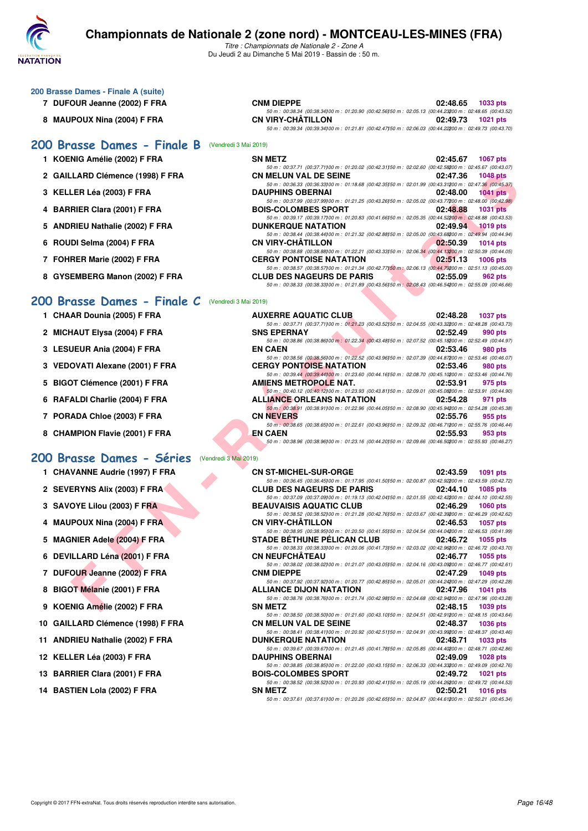

*Titre : Championnats de Nationale 2 - Zone A* Du Jeudi 2 au Dimanche 5 Mai 2019 - Bassin de : 50 m.

- **7 DUFOUR Jeanne (2002) F FRA**
- 8 MAUPOUX Nina (2004) F FRA

## **[200 Brasse Dames - Finale B](http://www.ffnatation.fr/webffn/resultats.php?idact=nat&go=epr&idcpt=59365&idepr=23)** (Vendredi 3 Mai 2019)

- **1 KOENIG Amélie (2002) F FRA**
- 2 GAILLARD Clémence (1998) F FRA
- **3 KELLER Léa (2003) F FRA**
- **4 BARRIER Clara (2001) F FRA**
- **5 ANDRIEU Nathalie (2002) F FRA**
- **6 ROUDI Selma (2004) F FRA**
- **7 FOHRER Marie (2002) F FRA**
- **8 GYSEMBERG Manon (2002) F FRA**

### **[200 Brasse Dames - Finale C](http://www.ffnatation.fr/webffn/resultats.php?idact=nat&go=epr&idcpt=59365&idepr=23)** (Vendredi 3 Mai 2019)

- **1 CHAAR Dounia (2005) F FRA**
- 2 MICHAUT Elysa (2004) F FRA
- **3 LESUEUR Ania (2004) F FRA EN CAEN 02:53.46 980 pts**
- **3 VEDOVATI Alexane (2001) F FRA**
- **5 BIGOT Clémence (2001) F FRA**
- **6 RAFALDI Charlie (2004) F FRA**
- **7 PORADA Chloe (2003) F FRA**
- **8 CHAMPION Flavie (2001) F FRA**

#### **[200 Brasse Dames - Séries](http://www.ffnatation.fr/webffn/resultats.php?idact=nat&go=epr&idcpt=59365&idepr=23)** (Vendredi 3 Mai 2019)

- **1 CHAVANNE Audrie (1997) F FRA CN ST-MICHEL-SUR-ORGE 02:43.59 1091 pts**
- **2 SEVERYNS Alix (2003) F FRA CLUB DES NAGEURS DE PARIS 02:44.10 1085 pts**
- **3 SAVOYE Lilou (2003) F FRA BEAUVAISIS AQUATIC CLUB 02:46.29 1060 pts**
- **4 MAUPOUX Nina (2004) F FRA CN VIRY-CHÂTILLON 02:46.53 1057 pts**
- **5 MAGNIER Adele (2004) F FRA STADE BÉTHUNE PÉLICAN CLUB 02:46.72 1055 pts**
- **6 DEVILLARD Léna (2001) F FRA CN NEUFCHÂTEAU 02:46.77 1055 pts**
- **7 DUFOUR Jeanne (2002) F FRA CNM DIEPPE 02:47.29 1049 pts**
- 8 BIGOT Mélanie (2001) F FRA **ALLIANCE DIJON NATATION** 02:47.96
- **9 KOENIG Amélie (2002) F FRA SN METZ 02:48.15 1039 pts**
- 10 GAILLARD Clémence (1998) F FRA
- **11 ANDRIEU Nathalie (2002) F FRA DUNKERQUE NATATION 02:48.71 1033 pts**
- **12 KELLER Léa (2003) F FRA DAUPHINS OBERNAI 02:49.09 1028 pts**
- **13 BARRIER Clara (2001) F FRA**
- **14 BASTIEN Lola (2002) F FRA**

| CNM DIEPPE        |                                                                                                          |  | 02:48.65          | 1033 pts |
|-------------------|----------------------------------------------------------------------------------------------------------|--|-------------------|----------|
|                   | 50 m : 00:38.34 (00:38.34100 m : 01:20.90 (00:42.56150 m : 02:05.13 (00:44.23200 m : 02:48.65 (00:43.52) |  |                   |          |
| CN VIRY-CHÂTILLON |                                                                                                          |  | 02:49.73 1021 pts |          |
|                   | 50 m : 00:39.34 (00:39.34100 m : 01:21.81 (00:42.47150 m : 02:06.03 (00:44.22200 m : 02:49.73 (00:43.70) |  |                   |          |

| <b>SN METZ</b>                                                                                         |          | 02:45.67 1067 pts |
|--------------------------------------------------------------------------------------------------------|----------|-------------------|
| 50 m: 00:37.71 (00:37.71100 m: 01:20.02 (00:42.31150 m: 02:02.60 (00:42.58200 m: 02:45.67 (00:43.07)   |          |                   |
| <b>CN MELUN VAL DE SEINE</b>                                                                           | 02:47.36 | <b>1048 pts</b>   |
| 50 m: 00:36.33 (00:36.33) 00 m: 01:18.68 (00:42.35) 50 m: 02:01.99 (00:43.31200 m: 02:47.36 (00:45.37) |          |                   |
| <b>DAUPHINS OBERNAI</b>                                                                                |          | 02:48.00 1041 pts |
| 50 m: 00:37.99 (00:37.99100 m: 01:21.25 (00:43.26150 m: 02:05.02 (00:43.77200 m: 02:48.00 (00:42.98)   |          |                   |
| <b>BOIS-COLOMBES SPORT</b>                                                                             |          | 02:48.88 1031 pts |
| 50 m: 00:39.17 (00:39.17) 00 m: 01:20.83 (00:41.66) 50 m: 02:05.35 (00:44.52200 m: 02:48.88 (00:43.53) |          |                   |
| <b>DUNKERQUE NATATION</b>                                                                              |          | 02:49.94 1019 pts |
| 50 m: 00:38.44 (00:38.44100 m: 01:21.32 (00:42.88150 m: 02:05.00 (00:43.68200 m: 02:49.94 (00:44.94)   |          |                   |
| <b>CN VIRY-CHÂTILLON</b>                                                                               | 02:50.39 | <b>1014 pts</b>   |
| 50 m: 00:38.88 (00:38.88) 00 m: 01:22.21 (00:43.33) 50 m: 02:06.34 (00:44.13200 m: 02:50.39 (00:44.05) |          |                   |
| <b>CERGY PONTOISE NATATION</b>                                                                         | 02:51.13 | <b>1006 pts</b>   |
| 50 m: 00:38.57 (00:38.57) 00 m: 01:21.34 (00:42.77) 50 m: 02:06.13 (00:44.79200 m: 02:51.13 (00:45.00) |          |                   |
| <b>CLUB DES NAGEURS DE PARIS</b>                                                                       | 02:55.09 | 962 pts           |
| 50 m: 00:38.33 (00:38.33) 00 m: 01:21.89 (00:43.56) 50 m: 02:08.43 (00:46.54200 m: 02:55.09 (00:46.66) |          |                   |

| LARD Clémence (1998) F FRA                     | <b>CN MELUN VAL DE SEINE</b>                                                                                                                 | 02:47.36 | <b>1048 pts</b> |
|------------------------------------------------|----------------------------------------------------------------------------------------------------------------------------------------------|----------|-----------------|
| LER Léa (2003) F FRA                           | 50 m : 00:36.33 (00:36.33) 00 m : 01:18.68 (00:42.35) 50 m : 02:01.99 (00:43.31200 m : 02:47.36 (00:45.37)<br><b>DAUPHINS OBERNAI</b>        | 02:48.00 | $1041$ pts      |
|                                                | 50 m : 00:37.99 (00:37.99) 00 m : 01:21.25 (00:43.26) 50 m : 02:05.02 (00:43.77200 m : 02:48.00 (00:42.98)                                   |          |                 |
| RIER Clara (2001) F FRA                        | <b>BOIS-COLOMBES SPORT</b>                                                                                                                   | 02:48.88 | <b>1031 pts</b> |
|                                                | 50 m : 00:39.17 (00:39.17) 00 m : 01:20.83 (00:41.66) 50 m : 02:05.35 (00:44.52200 m : 02:48.88 (00:43.53)                                   |          |                 |
| RIEU Nathalie (2002) F FRA                     | <b>DUNKERQUE NATATION</b>                                                                                                                    | 02:49.94 | $1019$ pts      |
| DI Selma (2004) F FRA                          | 50 m : 00:38.44 (00:38.44) 00 m : 01:21.32 (00:42.88) 50 m : 02:05.00 (00:43.68200 m : 02:49.94 (00:44.94)<br>CN VIRY-CHATILLON              | 02:50.39 | $1014$ pts      |
|                                                | 50 m : 00:38.88 (00:38.88) 00 m : 01:22.21 (00:43.33) 50 m : 02:06.34 (00:44.13200 m : 02:50.39 (00:44.05)                                   |          |                 |
| RER Marie (2002) F FRA                         | <b>CERGY PONTOISE NATATION</b>                                                                                                               | 02:51.13 | <b>1006 pts</b> |
|                                                | 50 m : 00:38.57 (00:38.57) 00 m : 01:21.34 (00:42.77) 50 m : 02:06.13 (00:44.79200 m : 02:51.13 (00:45.00)                                   |          |                 |
| EMBERG Manon (2002) F FRA                      | <b>CLUB DES NAGEURS DE PARIS</b>                                                                                                             | 02:55.09 | 962 pts         |
|                                                | 50 m : 00:38.33 (00:38.33) 00 m : 01:21.89 (00:43.56) 50 m : 02:08.43 (00:46.54200 m : 02:55.09 (00:46.66)                                   |          |                 |
| asse Dames - Finale C<br>(Vendredi 3 Mai 2019) |                                                                                                                                              |          |                 |
|                                                |                                                                                                                                              |          |                 |
| AR Dounia (2005) F FRA                         | <b>AUXERRE AQUATIC CLUB</b>                                                                                                                  | 02:48.28 | <b>1037 pts</b> |
| <b>IAUT Elysa (2004) F FRA</b>                 | 50 m: 00:37.71 (00:37.71) 00 m: 01:21.23 (00:43.52) 50 m: 02:04.55 (00:43.32200 m: 02:48.28 (00:43.73)<br><b>SNS EPERNAY</b>                 | 02:52.49 |                 |
|                                                | 50 m : 00:38.86 (00:38.86) 00 m : 01:22.34 (00:43.48) 50 m : 02:07.52 (00:45.18200 m : 02:52.49 (00:44.97)                                   |          | 990 pts         |
| JEUR Ania (2004) F FRA                         | <b>EN CAEN</b>                                                                                                                               | 02:53.46 | 980 pts         |
|                                                | 50 m : 00:38.56 (00:38.56) 00 m : 01:22.52 (00:43.96) 50 m : 02:07.39 (00:44.87200 m : 02:53.46 (00:46.07)                                   |          |                 |
| OVATI Alexane (2001) F FRA                     | <b>CERGY PONTOISE NATATION</b>                                                                                                               | 02:53.46 | 980 pts         |
|                                                | 50 m : 00:39.44 (00:39.44)00 m : 01:23.60 (00:44.16)50 m : 02:08.70 (00:45.10200 m : 02:53.46 (00:44.76)                                     |          |                 |
| <b>)T Clémence (2001) F FRA</b>                | AMIENS METROPOLE NAT.                                                                                                                        | 02:53.91 | 975 pts         |
|                                                | 50 m : 00:40.12 (00:40.12) 00 m : 01:23.93 (00:43.81) 50 m : 02:09.01 (00:45.08200 m : 02:53.91 (00:44.90)                                   | 02:54.28 |                 |
| ALDI Charlie (2004) F FRA                      | <b>ALLIANCE ORLEANS NATATION</b><br>50 m : 00:38.91 (00:38.91100 m : 01:22.96 (00:44.05150 m : 02:08.90 (00:45.94200 m : 02:54.28 (00:45.38) |          | 971 pts         |
| ADA Chloe (2003) F FRA                         | <b>CN NEVERS</b>                                                                                                                             | 02:55.76 | 955 pts         |
|                                                | 50 m : 00:38.65 (00:38.65) 00 m : 01:22.61 (00:43.96) 50 m : 02:09.32 (00:46.71200 m : 02:55.76 (00:46.44)                                   |          |                 |
| MPION Flavie (2001) F FRA                      | <b>EN CAEN</b>                                                                                                                               | 02:55.93 | 953 pts         |
|                                                | 50 m : 00:38.96 (00:38.96) 00 m : 01:23.16 (00:44.20) 50 m : 02:09.66 (00:46.50200 m : 02:55.93 (00:46.27)                                   |          |                 |
|                                                |                                                                                                                                              |          |                 |
| asse Dames - Séries<br>(Vendredi 3 Mai 2019)   |                                                                                                                                              |          |                 |
| VANNE Audrie (1997) F FRA                      | <b>CN ST-MICHEL-SUR-ORGE</b>                                                                                                                 | 02:43.59 | 1091 pts        |
|                                                | 50 m : 00:36.45 (00:36.45) 00 m : 01:17.95 (00:41.50) 50 m : 02:00.87 (00:42.92200 m : 02:43.59 (00:42.72)                                   |          |                 |
| <b>ERYNS Alix (2003) F FRA</b>                 | <b>CLUB DES NAGEURS DE PARIS</b>                                                                                                             | 02:44.10 | <b>1085 pts</b> |
| OYE Lilou (2003) F FRA                         | 50 m : 00:37.09 (00:37.09) 00 m : 01:19.13 (00:42.04) 50 m : 02:01.55 (00:42.42200 m : 02:44.10 (00:42.55)<br><b>BEAUVAISIS AQUATIC CLUB</b> | 02:46.29 | <b>1060 pts</b> |
|                                                | 50 m : 00:38.52 (00:38.52) 00 m : 01:21.28 (00:42.76) 50 m : 02:03.67 (00:42.39200 m : 02:46.29 (00:42.62)                                   |          |                 |
| POUX Nina (2004) F FRA                         | <b>CN VIRY-CHATILLON</b>                                                                                                                     | 02:46.53 | <b>1057 pts</b> |
|                                                | 50 m : 00:38.95 (00:38.95)00 m : 01:20.50 (00:41.55)50 m : 02:04.54 (00:44.04200 m : 02:46.53 (00:41.99)                                     |          |                 |
| NIER Adele (2004) F FRA                        | <b>STADE BETHUNE PELICAN CLUB</b>                                                                                                            | 02:46.72 | 1055 pts        |
|                                                | 50 m : 00:38.33 (00:38.33) 00 m : 01:20.06 (00:41.73) 50 m : 02:03.02 (00:42.96200 m : 02:46.72 (00:43.70)                                   |          |                 |
| <b>ILLARD Léna (2001) F FRA</b>                | <b>CN NEUFCHATEAU</b>                                                                                                                        | 02:46.77 | 1055 pts        |
| OUR Jeanne (2002) F FRA                        | 50 m : 00:38.02 (00:38.02) 00 m : 01:21.07 (00:43.05) 50 m : 02:04.16 (00:43.09200 m : 02:46.77 (00:42.61)<br><b>CNM DIEPPE</b>              | 02:47.29 | <b>1049 pts</b> |
|                                                | 50 m : 00:37.92 (00:37.92)00 m : 01:20.77 (00:42.85)50 m : 02:05.01 (00:44.24200 m : 02:47.29 (00:42.28)                                     |          |                 |
| <b>DT Mélanie (2001) F FRA</b>                 | <b>ALLIANCE DIJON NATATION</b>                                                                                                               | 02:47.96 | 1041 pts        |
|                                                | 50 m : 00:38.76 (00:38.76) 00 m : 01:21.74 (00:42.98) 50 m : 02:04.68 (00:42.94200 m : 02:47.96 (00:43.28)                                   |          |                 |
| NIG Amélie (2002) F FRA                        | <b>SN METZ</b>                                                                                                                               | 02:48.15 | 1039 pts        |

*50 m : 00:38.41 (00:38.41)100 m : 01:20.92 (00:42.51)150 m : 02:04.91 (00:43.99)200 m : 02:48.37 (00:43.46)*

*50 m : 00:39.67 (00:39.67)100 m : 01:21.45 (00:41.78)150 m : 02:05.85 (00:44.40)200 m : 02:48.71 (00:42.86)*

*50 m : 00:37.61 (00:37.61)100 m : 01:20.26 (00:42.65)150 m : 02:04.87 (00:44.61)200 m : 02:50.21 (00:45.34)*

*50 m : 00:38.50 (00:38.50)00 m : 01:21.60 (00:43.10)50 m : 02:04.51 (00:42.91200 m : 02:48.15 (00:43.64)*<br>**CN MELUN VAL DE SEINE 02:48.37 1036 pts** 

50 m : 00:38.85 (00:38.85)00 m : 01:22.00 (00:43.15)50 m : 02:06.33 (00:44.33200 m : 02:49.09 (00:42.76)<br>**BOIS-COLOMBES SPORT** 02:49.72 1021 pts

*50 m : 00:38.52 (00:38.52)100 m : 01:20.93 (00:42.41)50 m : 02:05.19 (00:44.26200 m : 02:49.72 (00:44.53)*<br>**SN METZ 02:50.21 1016 pts**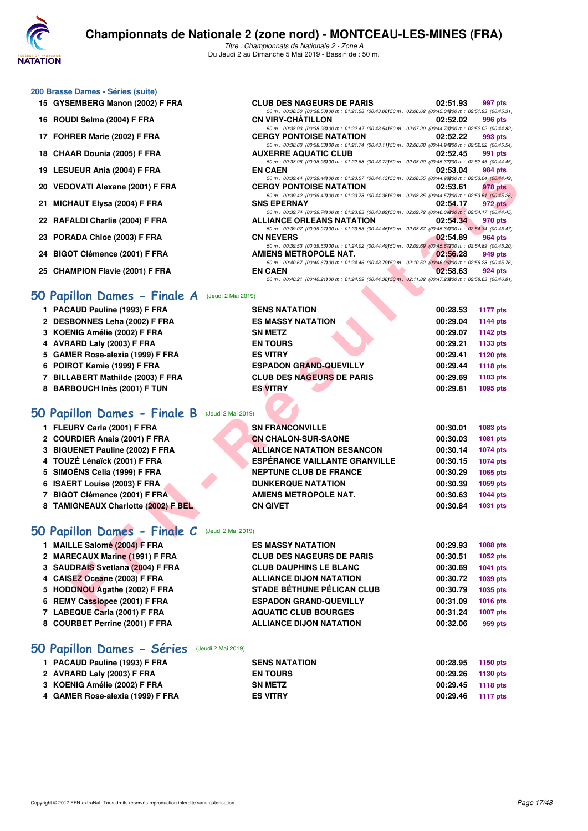

*Titre : Championnats de Nationale 2 - Zone A* Du Jeudi 2 au Dimanche 5 Mai 2019 - Bassin de : 50 m.

*50 m : 00:38.50 (00:38.50)100 m : 01:21.58 (00:43.08)150 m : 02:06.62 (00:45.04)200 m : 02:51.93 (00:45.31)*

*50 m : 00:38.63 (00:38.63)100 m : 01:21.74 (00:43.11)50 m : 02:06.68 (00:44.94200 m : 02:52.22 (00:45.54)*<br>**KERRE AQUATIC CLUB 02:52.45** 991 pts

*50 m : 00:38.96 (00:38.96)100 m : 01:22.68 (00:43.72)150 m : 02:08.00 (00:45.32)200 m : 02:52.45 (00:44.45)*

50 m : 00:38.93 (00:38.93)200 m : 01:22.47 (00:43.54)50 m : 02:07.20 (00:44.73200 m : 02:52.02 (00:44.82)<br>CERGY PONTOISE NATATION 02:52.22 993 pts

#### **200 Brasse Dames - Séries (suite)**

- **15 GYSEMBERG Manon (2002) F FRA CLUB DES NAGEURS DE PARIS 02:51.93 997 pts**
- **16 ROUDI Selma (2004) F FRA CN VIRY-CHÂTILLON 02:52.02 996 pts**
- **17 FOHRER Marie (2002) F FRA CERGY PONTOISE NATATION 02:52.22 993 pts**
- **18 CHAAR Dounia (2005) F FRA AUXERRE AQUATIC CLUB 02:52.45 991 pts**
- **19 LESUEUR Ania (2004) F FRA EN CAEN 02:53.04 984 pts**
- **20 VEDOVATI Alexane (2001) F FRA CERGY PONTOISE NATATION 02:53.61 978 pts**
- *50 m : 00:39.42 (00:39.42)100 m : 01:23.78 (00:44.36)150 m : 02:08.35 (00:44.57)200 m : 02:53.61 (00:45.26)* **21 MICHAUT Elysa (2004) F FRA SNS EPERNAY 02:54.17 972 pts**
- **22 RAFALDI Charlie (2004) F FRA ALLIANCE ORLEANS NATATION 02:54.34 970 pts**
- **23 PORADA Chloe (2003) F FRA CN NEVERS 02:54.89 964 pts**
- **24 BIGOT Clémence (2001) F FRA AMIENS METROPOLE NAT.** 22 BIGOT Clémence (2001) F FRA AMIENS METROPOLE NAT.
- **25 CHAMPION Flavie (2001) F FRA EN CAEN 02:58.63 924 pts**

#### **[50 Papillon Dames - Finale A](http://www.ffnatation.fr/webffn/resultats.php?idact=nat&go=epr&idcpt=59365&idepr=31)** (Jeudi 2 Mai 2019)

| 13 LESOEUR AIIIA (2004) F FRA                  | EN VAEN                                                                                                                                        | <b>04.00.04</b> | ่ 504 มเร       |
|------------------------------------------------|------------------------------------------------------------------------------------------------------------------------------------------------|-----------------|-----------------|
| 20 VEDOVATI Alexane (2001) F FRA               | 50 m : 00:39.44 (00:39.44) 00 m : 01:23.57 (00:44.13) 50 m : 02:08.55 (00:44.98200 m : 02:53.04 (00:44.49)<br><b>CERGY PONTOISE NATATION</b>   | 02:53.61        | 978 pts         |
|                                                | 50 m : 00:39.42 (00:39.42) 00 m : 01:23.78 (00:44.36) 50 m : 02:08.35 (00:44.57200 m : 02:53.61 (00:45.26)                                     |                 |                 |
| 21 MICHAUT Elysa (2004) F FRA                  | <b>SNS EPERNAY</b>                                                                                                                             | 02:54.17        | 972 pts         |
| 22 RAFALDI Charlie (2004) F FRA                | 50 m : 00:39.74 (00:39.74) 00 m : 01:23.63 (00:43.89) 50 m : 02:09.72 (00:46.09200 m : 02:54.17 (00:44.45)<br><b>ALLIANCE ORLEANS NATATION</b> | 02:54.34        | 970 pts         |
|                                                | 50 m : 00:39.07 (00:39.07)00 m : 01:23.53 (00:44.46)50 m : 02:08.87 (00:45.34200 m : 02:54.34 (00:45.47)                                       |                 |                 |
| 23 PORADA Chloe (2003) F FRA                   | <b>CN NEVERS</b>                                                                                                                               | 02:54.89        | 964 pts         |
| 24 BIGOT Clémence (2001) F FRA                 | 50 m: 00:39.53 (00:39.53) 00 m: 01:24.02 (00:44.49) 50 m: 02:09.69 (00:45.67200 m: 02:54.89 (00:45.20)<br>AMIENS METROPOLE NAT.                | 02:56.28        | 949 pts         |
|                                                | 50 m : 00:40.67 (00:40.67) 00 m : 01:24.46 (00:43.79) 50 m : 02:10.52 (00:46.06200 m : 02:56.28 (00:45.76)                                     |                 |                 |
| 25 CHAMPION Flavie (2001) F FRA                | <b>EN CAEN</b>                                                                                                                                 | 02:58.63        | 924 pts         |
|                                                | 50 m: 00:40.21 (00:40.21100 m: 01:24.59 (00:44.38150 m: 02:11.82 (00:47.23200 m: 02:58.63 (00:46.81)                                           |                 |                 |
| O Papillon Dames - Finale A (Jeudi 2 Mai 2019) |                                                                                                                                                |                 |                 |
| 1 PACAUD Pauline (1993) F FRA                  | <b>SENS NATATION</b>                                                                                                                           | 00:28.53        | <b>1177 pts</b> |
| 2 DESBONNES Leha (2002) F FRA                  | <b>ES MASSY NATATION</b>                                                                                                                       | 00:29.04        | 1144 pts        |
| 3 KOENIG Amélie (2002) F FRA                   | <b>SN METZ</b>                                                                                                                                 | 00:29.07        | 1142 pts        |
| 4 AVRARD Laly (2003) F FRA                     | <b>EN TOURS</b>                                                                                                                                | 00:29.21        | 1133 pts        |
| 5 GAMER Rose-alexia (1999) F FRA               | <b>ES VITRY</b>                                                                                                                                | 00:29.41        | 1120 pts        |
| 6 POIROT Kamie (1999) F FRA                    | <b>ESPADON GRAND-QUEVILLY</b>                                                                                                                  | 00:29.44        | 1118 pts        |
| 7 BILLABERT Mathilde (2003) F FRA              | <b>CLUB DES NAGEURS DE PARIS</b>                                                                                                               | 00:29.69        | 1103 pts        |
| 8 BARBOUCH Inès (2001) F TUN                   | <b>ES VITRY</b>                                                                                                                                | 00:29.81        | 1095 pts        |
|                                                |                                                                                                                                                |                 |                 |
| <b>O Papillon Dames - Finale B</b>             | (Jeudi 2 Mai 2019)                                                                                                                             |                 |                 |
| 1 FLEURY Carla (2001) F FRA                    | <b>SN FRANCONVILLE</b>                                                                                                                         | 00:30.01        | <b>1083 pts</b> |
| 2 COURDIER Anais (2001) F FRA                  | <b>CN CHALON-SUR-SAONE</b>                                                                                                                     | 00:30.03        | 1081 pts        |
| 3 BIGUENET Pauline (2002) F FRA                | <b>ALLIANCE NATATION BESANCON</b>                                                                                                              | 00:30.14        | <b>1074 pts</b> |
| 4 TOUZÉ Lénaïck (2001) F FRA                   | <b>ESPÉRANCE VAILLANTE GRANVILLE</b>                                                                                                           | 00:30.15        | <b>1074 pts</b> |
| 5 SIMOËNS Celia (1999) F FRA                   | <b>NEPTUNE CLUB DE FRANCE</b>                                                                                                                  | 00:30.29        | 1065 pts        |
| 6 ISAERT Louise (2003) F FRA                   | <b>DUNKERQUE NATATION</b>                                                                                                                      | 00:30.39        | 1059 pts        |
| 7 BIGOT Clémence (2001) F FRA                  | <b>AMIENS METROPOLE NAT.</b>                                                                                                                   | 00:30.63        | <b>1044 pts</b> |
| 8 TAMIGNEAUX Charlotte (2002) F BEL            | <b>CN GIVET</b>                                                                                                                                | 00:30.84        | <b>1031 pts</b> |
|                                                |                                                                                                                                                |                 |                 |
| O Papillon Dames - Finale C (Jeudi 2 Mai 2019) |                                                                                                                                                |                 |                 |
| 1 MAILLE Salomé (2004) F FRA                   | <b>ES MASSY NATATION</b>                                                                                                                       | 00:29.93        | <b>1088 pts</b> |
| 2 MARECAUX Marine (1991) F FRA                 | <b>CLUB DES NAGEURS DE PARIS</b>                                                                                                               | 00:30.51        | 1052 pts        |
| 3 SAUDRAIS Svetlana (2004) F FRA               | <b>CLUB DAUPHINS LE BLANC</b>                                                                                                                  | 00:30.69        | 1041 pts        |
| 4 CAISEZ Oceane (2003) F FRA                   | <b>ALLIANCE DIJON NATATION</b>                                                                                                                 | 00:30.72        | 1039 pts        |
| 5 HODONOU Agathe (2002) F FRA                  | <b>STADE BÉTHUNE PÉLICAN CLUB</b>                                                                                                              | 00:30.79        | 1035 pts        |
| 6 REMY Cassiopee (2001) F FRA                  | <b>ESPADON GRAND-QUEVILLY</b>                                                                                                                  | 00:31.09        | <b>1016 pts</b> |
| $7.1$ ADEQUE Carla (0004) E EDA                | A OUATIO OLUD DOUDCES                                                                                                                          | 00.21.04        | $4007 - 44$     |

## **[50 Papillon Dames - Finale B](http://www.ffnatation.fr/webffn/resultats.php?idact=nat&go=epr&idcpt=59365&idepr=31)** (Jeudi 2 Mai 2019)

| 1 FLEURY Carla (2001) F FRA         | <b>SN FRANCONVILLE</b>               | 00:30.01 | 1083 pts |
|-------------------------------------|--------------------------------------|----------|----------|
| 2 COURDIER Anais (2001) F FRA       | <b>CN CHALON-SUR-SAONE</b>           | 00:30.03 | 1081 pts |
| 3 BIGUENET Pauline (2002) F FRA     | <b>ALLIANCE NATATION BESANCON</b>    | 00:30.14 | 1074 pts |
| 4 TOUZÉ Lénaïck (2001) F FRA        | <b>ESPÉRANCE VAILLANTE GRANVILLE</b> | 00:30.15 | 1074 pts |
| 5 SIMOËNS Celia (1999) F FRA        | <b>NEPTUNE CLUB DE FRANCE</b>        | 00:30.29 | 1065 pts |
| 6 ISAERT Louise (2003) F FRA        | <b>DUNKERQUE NATATION</b>            | 00:30.39 | 1059 pts |
| 7 BIGOT Clémence (2001) F FRA       | <b>AMIENS METROPOLE NAT.</b>         | 00:30.63 | 1044 pts |
| 8 TAMIGNEAUX Charlotte (2002) F BEL | <b>CN GIVET</b>                      | 00:30.84 | 1031 pts |
|                                     |                                      |          |          |

### **[50 Papillon Dames - Finale C](http://www.ffnatation.fr/webffn/resultats.php?idact=nat&go=epr&idcpt=59365&idepr=31)** (Jeudi 2 Mai 2019)

| 1 MAILLE Salomé (2004) F FRA     | <b>ES MASSY NATATION</b>          | 00:29.93 | 1088 pts |
|----------------------------------|-----------------------------------|----------|----------|
|                                  |                                   |          |          |
| 2 MARECAUX Marine (1991) F FRA   | <b>CLUB DES NAGEURS DE PARIS</b>  | 00:30.51 | 1052 pts |
| 3 SAUDRAIS Svetlana (2004) F FRA | <b>CLUB DAUPHINS LE BLANC</b>     | 00:30.69 | 1041 pts |
| 4 CAISEZ Oceane (2003) F FRA     | <b>ALLIANCE DIJON NATATION</b>    | 00:30.72 | 1039 pts |
| 5 HODONOU Agathe (2002) F FRA    | <b>STADE BÉTHUNE PÉLICAN CLUB</b> | 00:30.79 | 1035 pts |
| 6 REMY Cassiopee (2001) F FRA    | <b>ESPADON GRAND-QUEVILLY</b>     | 00:31.09 | 1016 pts |
| 7 LABEQUE Carla (2001) F FRA     | <b>AQUATIC CLUB BOURGES</b>       | 00:31.24 | 1007 pts |
| 8 COURBET Perrine (2001) F FRA   | <b>ALLIANCE DIJON NATATION</b>    | 00:32.06 | 959 pts  |
|                                  |                                   |          |          |

### **[50 Papillon Dames - Séries](http://www.ffnatation.fr/webffn/resultats.php?idact=nat&go=epr&idcpt=59365&idepr=31)** (Jeudi 2 Mai 2019)

| 1 PACAUD Pauline (1993) F FRA    | <b>SENS NATATION</b> | 00:28.95 | 1150 pts |
|----------------------------------|----------------------|----------|----------|
| 2 AVRARD Laly (2003) F FRA       | <b>EN TOURS</b>      | 00:29.26 | 1130 pts |
| 3 KOENIG Amélie (2002) F FRA     | <b>SN METZ</b>       | 00:29.45 | 1118 pts |
| 4 GAMER Rose-alexia (1999) F FRA | <b>ES VITRY</b>      | 00:29.46 | 1117 pts |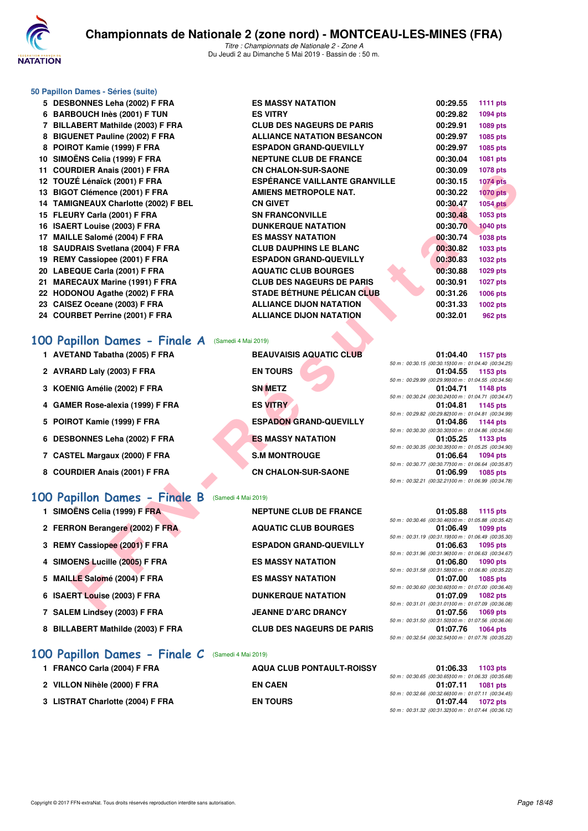

### **50 Papillon Dames - Séries (suite)**

**5 DESBONNES Leha (2002) F FRA ES MASSY NATATION 00:29.55 1111 pts 6 BARBOUCH Inès (2001) F TUN ES VITRY 7 BILLABERT Mathilde (2003) F FRA CLUB DES NAGE** 8 BIGUENET Pauline (2002) F FRA **ALLIANCE NATATION** 8 POIROT Kamie (1999) F FRA ESPADON GRAND 10 SIMOËNS Celia (1999) F FRA NEPTUNE CLUB D 11 COURDIER Anais (2001) F FRA **CN CHALON-SUR** 12 TOUZÉ Lénaïck (2001) F FRA **ESPÉRANCE VAII** 13 BIGOT Clémence (2001) F FRA **AMIENS METROP** 14 TAMIGNEAUX Charlotte (2002) F BEL **CN GIVET 15 FLEURY Carla (2001) F FRA SN FRANCONVILI** 16 ISAERT Louise (2003) F FRA **DUNKERQUE NATATION** 17 MAILLE Salomé (2004) F FRA ES MASSY NATATION 18 SAUDRAIS Svetlana (2004) F FRA **CLUB DAUPHINS** 19 REMY Cassiopee (2001) F FRA ESPADON GRAND 20 LABEQUE Carla (2001) F FRA AQUATIC CLUB B 21 MARECAUX Marine (1991) F FRA CLUB DES NAGE **22 HODONOU Agathe (2002) F FRA STADE BÉTHUNE** 23 CAISEZ Oceane (2003) F FRA ALLIANCE DIJON 24 COURBET Perrine (2001) F FRA **ALLIANCE DIJON** 

### **[100 Papillon Dames - Finale A](http://www.ffnatation.fr/webffn/resultats.php?idact=nat&go=epr&idcpt=59365&idepr=32)** (Samedi 4 Mai 2019)

- **1 AVETAND Tabatha (2005) F FRA BEAUVAISIS AQUATIC CLUB 01:04.40 1157 pts**
- 2 AVRARD Laly (2003) F FRA EN TOURS
- **3 KOENIG Amélie (2002) F FRA SN METZ**
- **4 GAMER Rose-alexia (1999) F FRA ES VITRY 01:04.81 1145 pts**
- **5 POIROT Kamie (1999) F FRA ESPADON GRAND-QUEVILLY**
- **6 DESBONNES Leha (2002) F FRA ES MASSY NATATION**
- **7 CASTEL Margaux (2000) F FRA S.M MONTROUGE**
- 8 COURDIER Anais (2001) F FRA **CN CHALON-SUR-SAONE**

## **[100 Papillon Dames - Finale B](http://www.ffnatation.fr/webffn/resultats.php?idact=nat&go=epr&idcpt=59365&idepr=32)** (Samedi 4 Mai 2019)

**F EXAMPLE 12 CANNOT FRANCISCO SUBJECT AND ANNOUNTED SUBJECT AND CONSUMER AREA CONSUMER AND CONSUMER AREA CANNOT CUB IN THE SUBJECT AND CONSUMER AREA CANNOT CUB AND CONSUMER AREA CANNOT CUB A CANNOT CUB A CANNOT CUB A CAN 1 SIMOËNS Celia (1999) F FRA NEPTUNE CLUB DE FRANCE** 2 FERRON Berangere (2002) F FRA AQUATIC CLUB BOURGES 3 REMY Cassiopee (2001) F FRA ESPADON GRAND-QUEVILLY 4 SIMOENS Lucille (2005) F FRA ES MASSY NATATION 5 MAILLE Salomé (2004) F FRA ES MASSY NATATION 6 ISAERT Louise (2003) F FRA DUNKERQUE NATATION **7 SALEM Lindsey (2003) F FRA JEANNE D'ARC DRANCY** 8 BILLABERT Mathilde (2003) F FRA CLUB DES NAGEURS DE PARIS

#### **[100 Papillon Dames - Finale C](http://www.ffnatation.fr/webffn/resultats.php?idact=nat&go=epr&idcpt=59365&idepr=32)** (Samedi 4 Mai 2019)

| <b>AQUA CLUB PONTAULT-ROISSY</b> | 01:06.33 | 1103 pts                                                                                               |
|----------------------------------|----------|--------------------------------------------------------------------------------------------------------|
| <b>EN CAEN</b>                   | 01:07.11 | 1081 pts                                                                                               |
| <b>EN TOURS</b>                  | 01:07.44 | <b>1072 pts</b>                                                                                        |
|                                  |          | 50 m : 00:30.65 (00:30.65100 m : 01:06.33 (00:35.<br>50 m : 00:32.66 (00:32.66100 m : 01:07.11 (00:34. |

| UU. <i>l</i> uu | 1111 PG         |
|-----------------|-----------------|
|                 | 1094 pts        |
| 00:29.91        | <b>1089 pts</b> |
| 00:29.97        | 1085 pts        |
| 00:29.97        | 1085 pts        |
| 00:30.04        | 1081 pts        |
| 00:30.09        | <b>1078 pts</b> |
| 00:30.15        | <b>1074 pts</b> |
| 00:30.22        | <b>1070 pts</b> |
| 00:30.47        | <b>1054 pts</b> |
| 00:30.48        | 1053 pts        |
| 00:30.70        | <b>1040 pts</b> |
| 00:30.74        | <b>1038 pts</b> |
| 00:30.82        | 1033 pts        |
| 00:30.83        | 1032 pts        |
| 00:30.88        | 1029 pts        |
| 00:30.91        | <b>1027 pts</b> |
| 00:31.26        | 1006 pts        |
| 00:31.33        | 1002 pts        |
| 00:32.01        | <b>962 pts</b>  |
|                 | 00:29.82        |

|  | 01:04.40 1157 pts                                  |
|--|----------------------------------------------------|
|  | 50 m: 00:30.15 (00:30.15100 m: 01:04.40 (00:34.25) |
|  | 01:04.55 1153 pts                                  |
|  | 50 m: 00:29.99 (00:29.99100 m: 01:04.55 (00:34.56) |
|  | 01:04.71 1148 pts                                  |
|  | 50 m: 00:30.24 (00:30.24100 m: 01:04.71 (00:34.47) |
|  | 01:04.81 1145 pts                                  |
|  | 50 m: 00:29.82 (00:29.82100 m: 01:04.81 (00:34.99) |
|  |                                                    |
|  | 01:04.86 1144 pts                                  |
|  | 50 m: 00:30.30 (00:30.30100 m: 01:04.86 (00:34.56) |
|  | 01:05.25 1133 pts                                  |
|  | 50 m: 00:30.35 (00:30.35100 m: 01:05.25 (00:34.90) |
|  | 01:06.64 1094 pts                                  |
|  | 50 m: 00:30.77 (00:30.77100 m: 01:06.64 (00:35.87) |
|  | 01:06.99 1085 pts                                  |

|  | 01:05.88 1115 pts                                   |
|--|-----------------------------------------------------|
|  | 50 m: 00:30.46 (00:30.46100 m: 01:05.88 (00:35.42)  |
|  | 01:06.49 1099 pts                                   |
|  | 50 m: 00:31.19 (00:31.19100 m: 01:06.49 (00:35.30)  |
|  | 01:06.63 1095 pts                                   |
|  | 50 m: 00:31.96 (00:31.96100 m: 01:06.63 (00:34.67)  |
|  | 01:06.80 1090 pts                                   |
|  | 50 m: 00:31.58 (00:31.58) 00 m: 01:06.80 (00:35.22) |
|  |                                                     |
|  | 01:07.00 1085 pts                                   |
|  | 50 m: 00:30.60 (00:30.60100 m: 01:07.00 (00:36.40)  |
|  | 01:07.09 1082 pts                                   |
|  | 50 m: 00:31.01 (00:31.01100 m: 01:07.09 (00:36.08)  |
|  | 01:07.56 1069 pts                                   |
|  | 50 m: 00:31.50 (00:31.50100 m: 01:07.56 (00:36.06)  |
|  | 01:07.76 1064 pts                                   |

|  | 01:06.33 1103 pts                                    |  |
|--|------------------------------------------------------|--|
|  | 50 m : 00:30.65 (00:30.65100 m : 01:06.33 (00:35.68) |  |
|  | 01:07.11 1081 pts                                    |  |
|  | 50 m : 00:32.66 (00:32.66100 m : 01:07.11 (00:34.45) |  |
|  | 01:07.44 1072 pts                                    |  |
|  | 50 m: 00:31.32 (00:31.32) 00 m: 01:07.44 (00:36.12)  |  |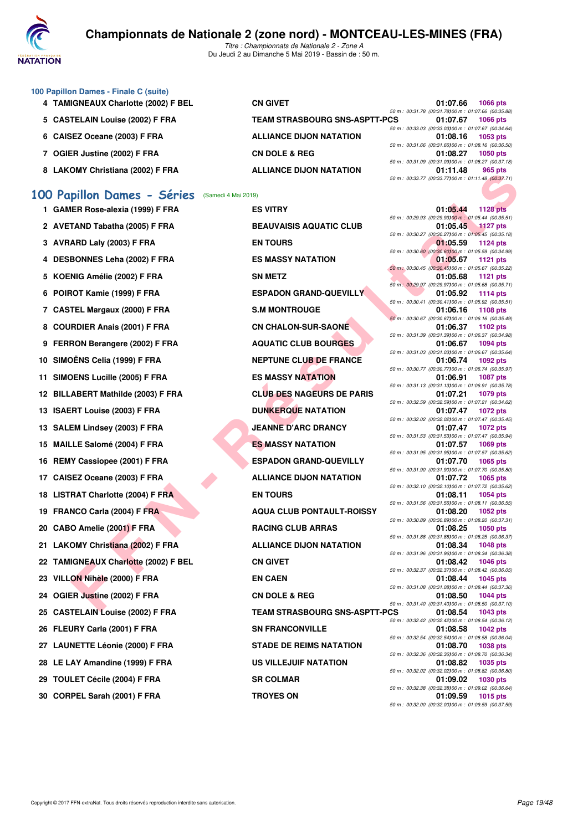

*Titre : Championnats de Nationale 2 - Zone A* Du Jeudi 2 au Dimanche 5 Mai 2019 - Bassin de : 50 m.

| 100 Papillon Dames - Finale C (suite) |                                      |                                                      |                 |
|---------------------------------------|--------------------------------------|------------------------------------------------------|-----------------|
| 4 TAMIGNEAUX Charlotte (2002) F BEL   | <b>CN GIVET</b>                      | 01:07.66                                             | <b>1066 pts</b> |
|                                       |                                      | 50 m: 00:31.78 (00:31.78100 m: 01:07.66 (00:35.88)   |                 |
| 5 CASTELAIN Louise (2002) F FRA       | <b>TEAM STRASBOURG SNS-ASPTT-PCS</b> | 01:07.67                                             | <b>1066 pts</b> |
|                                       |                                      | 50 m : 00:33.03 (00:33.03100 m : 01:07.67 (00:34.64) |                 |
| 6 CAISEZ Oceane (2003) F FRA          | <b>ALLIANCE DIJON NATATION</b>       | 01:08.16                                             | 1053 pts        |
|                                       |                                      | 50 m : 00:31.66 (00:31.66100 m : 01:08.16 (00:36.50) |                 |
| 7 OGIER Justine (2002) F FRA          | <b>CN DOLE &amp; REG</b>             | 01:08.27                                             | 1050 pts        |
|                                       |                                      | 50 m : 00:31.09 (00:31.09100 m : 01:08.27 (00:37.18) |                 |
| 8 LAKOMY Christiana (2002) F FRA      | <b>ALLIANCE DIJON NATATION</b>       | 01:11.48                                             | 965 pts         |
|                                       |                                      | 50 m: 00:33.77 (00:33.77100 m: 01:11.48 (00:37.71)   |                 |
|                                       |                                      |                                                      |                 |

## **[100 Papillon Dames - Séries](http://www.ffnatation.fr/webffn/resultats.php?idact=nat&go=epr&idcpt=59365&idepr=32)** (Samedi 4 Mai 2019)

| 1 GAMER ROSE-alexia (1999) F FRA     | ES VIIRY                             | 01:05.44 1128 pts                                              |                 |
|--------------------------------------|--------------------------------------|----------------------------------------------------------------|-----------------|
| 2 AVETAND Tabatha (2005) F FRA       | <b>BEAUVAISIS AQUATIC CLUB</b>       | 50 m : 00:29.93 (00:29.93) 00 m : 01:05.44 (00:35.<br>01:05.45 | $1127$ pts      |
| 3 AVRARD Laly (2003) F FRA           | <b>EN TOURS</b>                      | 50 m : 00:30.27 (00:30.27) 00 m : 01:05.45 (00:35.<br>01:05.59 | 1124 pts        |
| 4 DESBONNES Leha (2002) F FRA        | <b>ES MASSY NATATION</b>             | 50 m : 00:30.60 (00:30.60) 00 m : 01:05.59 (00:34.<br>01:05.67 | 1121 pts        |
|                                      |                                      | 50 m : 00:30.45 (00:30.45) 00 m : 01:05.67 (00:35.             |                 |
| 5 KOENIG Amélie (2002) F FRA         | <b>SN METZ</b>                       | 01:05.68                                                       | 1121 pts        |
| 6 POIROT Kamie (1999) F FRA          | <b>ESPADON GRAND-QUEVILLY</b>        | 50 m: 00:29.97 (00:29.97) 00 m: 01:05.68 (00:35.<br>01:05.92   | 1114 pts        |
| 7 CASTEL Margaux (2000) F FRA        | <b>S.M MONTROUGE</b>                 | 50 m : 00:30.41 (00:30.41)00 m : 01:05.92 (00:35.<br>01:06.16  | 1108 pts        |
| 8 COURDIER Anais (2001) F FRA        | <b>CN CHALON-SUR-SAONE</b>           | 50 m : 00:30.67 (00:30.67) 00 m : 01:06.16 (00:35.<br>01:06.37 | 1102 pts        |
| 9 FERRON Berangere (2002) F FRA      | <b>AQUATIC CLUB BOURGES</b>          | 50 m : 00:31.39 (00:31.39) 00 m : 01:06.37 (00:34.<br>01:06.67 | 1094 pts        |
| 10 SIMOËNS Celia (1999) F FRA        | <b>NEPTUNE CLUB DE FRANCE</b>        | 50 m: 00:31.03 (00:31.03) 00 m: 01:06.67 (00:35.<br>01:06.74   | 1092 pts        |
|                                      |                                      | 50 m : 00:30.77 (00:30.77) 00 m : 01:06.74 (00:35.             |                 |
| 11 SIMOENS Lucille (2005) F FRA      | <b>ES MASSY NATATION</b>             | 01:06.91                                                       | <b>1087 pts</b> |
| 12 BILLABERT Mathilde (2003) F FRA   | <b>CLUB DES NAGEURS DE PARIS</b>     | 50 m: 00:31.13 (00:31.13)00 m: 01:06.91 (00:35.<br>01:07.21    | 1079 pts        |
| 13 ISAERT Louise (2003) F FRA        | <b>DUNKERQUE NATATION</b>            | 50 m : 00:32.59 (00:32.59)00 m : 01:07.21 (00:34.<br>01:07.47  | 1072 pts        |
| 13 SALEM Lindsey (2003) F FRA        | <b>JEANNE D'ARC DRANCY</b>           | 50 m : 00:32.02 (00:32.02) 00 m : 01:07.47 (00:35.<br>01:07.47 |                 |
|                                      |                                      | 50 m: 00:31.53 (00:31.53)00 m: 01:07.47 (00:35.                | 1072 pts        |
| 15 MAILLE Salomé (2004) F FRA        | <b>ES MASSY NATATION</b>             | 01:07.57                                                       | 1069 pts        |
| 16 REMY Cassiopee (2001) F FRA       | <b>ESPADON GRAND-QUEVILLY</b>        | 50 m : 00:31.95 (00:31.95) 00 m : 01:07.57 (00:35.<br>01:07.70 | 1065 pts        |
| 17 CAISEZ Oceane (2003) F FRA        | <b>ALLIANCE DIJON NATATION</b>       | 50 m : 00:31.90 (00:31.90) 00 m : 01:07.70 (00:35.<br>01:07.72 | 1065 pts        |
| 18 LISTRAT Charlotte (2004) F FRA    | <b>EN TOURS</b>                      | 50 m : 00:32.10 (00:32.10) 00 m : 01:07.72 (00:35.<br>01:08.11 | 1054 pts        |
|                                      |                                      | 50 m : 00:31.56 (00:31.56) 00 m : 01:08.11 (00:36.             |                 |
| 19 FRANCO Carla (2004) F FRA         | <b>AQUA CLUB PONTAULT-ROISSY</b>     | 01:08.20<br>50 m : 00:30.89 (00:30.89) 00 m : 01:08.20 (00:37. | 1052 pts        |
| 20 CABO Amelie (2001) F FRA          | <b>RACING CLUB ARRAS</b>             | 01:08.25                                                       | 1050 pts        |
| 21 LAKOMY Christiana (2002) F FRA    | <b>ALLIANCE DIJON NATATION</b>       | 50 m : 00:31.88 (00:31.88)00 m : 01:08.25 (00:36.<br>01:08.34  | 1048 pts        |
|                                      |                                      | 50 m : 00:31.96 (00:31.96) 00 m : 01:08.34 (00:36.             |                 |
| 22 TAMIGNEAUX Charlotte (2002) F BEL | <b>CN GIVET</b>                      | 01:08.42<br>50 m : 00:32.37 (00:32.37) 00 m : 01:08.42 (00:36. | 1046 pts        |
| 23 VILLON Nihèle (2000) F FRA        | <b>EN CAEN</b>                       | 01:08.44                                                       | 1045 pts        |
| 24 OGIER Justine (2002) F FRA        | <b>CN DOLE &amp; REG</b>             | 50 m : 00:31.08 (00:31.08) 00 m : 01:08.44 (00:37.<br>01:08.50 | 1044 pts        |
|                                      |                                      | 50 m : 00:31.40 (00:31.40) 00 m : 01:08.50 (00:37.             |                 |
| 25 CASTELAIN Louise (2002) F FRA     | <b>TEAM STRASBOURG SNS-ASPTT-PCS</b> | 01:08.54<br>50 m : 00:32.42 (00:32.42)00 m : 01:08.54 (00:36.  | 1043 pts        |
| 26 FLEURY Carla (2001) F FRA         | <b>SN FRANCONVILLE</b>               | 01:08.58                                                       | 1042 pts        |
| 27   LAUNETTE Léonie (2000) F FRA    | <b>STADE DE REIMS NATATION</b>       | 50 m : 00:32.54 (00:32.54)00 m : 01:08.58 (00:36.<br>01:08.70  | 1038 pts        |
|                                      | <b>US VILLEJUIF NATATION</b>         | 50 m : 00:32.36 (00:32.36) 00 m : 01:08.70 (00:36.<br>01:08.82 | 1035 pts        |
| 28 LE LAY Amandine (1999) F FRA      |                                      | 50 m : 00:32.02 (00:32.02) 00 m : 01:08.82 (00:36.             |                 |
| 29 TOULET Cécile (2004) F FRA        | <b>SR COLMAR</b>                     | 01:09.02                                                       | 1030 pts        |
| 30 CORPEL Sarah (2001) F FRA         | <b>TROYES ON</b>                     | 50 m : 00:32.38 (00:32.38) 00 m : 01:09.02 (00:36.<br>01:09.59 | 1015 pts        |
|                                      |                                      |                                                                |                 |

CHE INTELLIM (SOPERA ARTISTOS) FRANCE DISORDER COMPRESS CONTINUES INTERNATION CONTINUES AND CONTINUES ARE CONTINUES AND CONTINUES ARE CONTINUES AND CONTINUES ARE CONTINUES AND CONTINUES ARE CONTINUES ARE CONTINUES AND CON **1 GAMER Rose-alexia (1999) F FRA ES VITRY 01:05.44 1128 pts 2 BEAUVAISIS AQUATIC CLUB 4 BS MASSY NATATION ESPADON GRAND-QUEVILLY 5.M MONTROUGE 6 CN CHALON-SUR-SAONE 9 AQUATIC CLUB BOURGES 10 NEPTUNE CLUB DE FRANCE 12 BIG MASSY NATATION 12 BILLABER MAGEURS DE PARIS 13 ISBN DUNKERQUE NATATION JEANNE D'ARC DRANCY 15 MASSY NATATION 16 RESPADON GRAND-QUEVILLY 17 ALLIANCE DIJON NATATION 19 AQUA CLUB PONTAULT-ROISSY 20 BACING CLUB ARRAS 21 ALLIANCE DIJON NATATION 24 OGIER & REG 7EAM STRASBOURG SNS-ASPTT-P 26 FRANCONVILLE 27 DE REIMS NATATION 28 VILLEJUIF NATATION** 

| 01:05.44 1128 pts                                                          |                 |
|----------------------------------------------------------------------------|-----------------|
| 50 m : 00:29.93 (00:29.93)00 m : 01:05.44 (00:35.51)<br>01:05.45           | <b>1127 pts</b> |
| 50 m : 00:30.27 (00:30.27)00 m : 01:05.45 (00:35.18)                       |                 |
| 01:05.59<br>50 m : 00:30.60 (00:30.60) 00 m : 01:05.59 (00:34.99)          | <b>1124 pts</b> |
| 01:05.67                                                                   | <b>1121 pts</b> |
| 50 m : 00:30.45 (00:30.45) 00 m : 01:05.67 (00:35.22)<br>01:05.68          | <b>1121 pts</b> |
| 50 m: 00:29.97 (00:29.97)00 m: 01:05.68 (00:35.71)                         |                 |
| 01:05.92<br>50 m : 00:30.41 (00:30.41100 m : 01:05.92 (00:35.51)           | 1114 pts        |
| 01:06.16                                                                   | 1108 pts        |
| 50 m : 00:30.67 (00:30.67) 00 m : 01:06.16 (00:35.49)<br>01:06.37          | 1102 pts        |
| 50 m: 00:31.39 (00:31.39) 00 m: 01:06.37 (00:34.98)                        |                 |
| 01:06.67<br>50 m : 00:31.03 (00:31.03) 00 m : 01:06.67 (00:35.64)          | 1094 pts        |
| 01:06.74<br>50 m : 00:30.77 (00:30.77) 00 m : 01:06.74 (00:35.97)          | 1092 pts        |
| 01:06.91                                                                   | 1087 pts        |
| 50 m: 00:31.13 (00:31.13)00 m: 01:06.91 (00:35.78)<br>01:07.21             |                 |
| 50 m: 00:32.59 (00:32.59) 00 m: 01:07.21 (00:34.62)                        | 1079 pts        |
| 01:07.47 1072 pts<br>50 m : 00:32.02 (00:32.02) 00 m : 01:07.47 (00:35.45) |                 |
| 01:07.47                                                                   | <b>1072 pts</b> |
| 50 m: 00:31.53 (00:31.53)00 m: 01:07.47 (00:35.94)<br>01:07.57             | 1069 pts        |
| 50 m: 00:31.95 (00:31.95) 00 m: 01:07.57 (00:35.62)                        |                 |
| 01:07.70<br>50 m : 00:31.90 (00:31.90) 00 m : 01:07.70 (00:35.80)          | 1065 pts        |
| 01:07.72                                                                   | 1065 pts        |
| 50 m : 00:32.10 (00:32.10) 00 m : 01:07.72 (00:35.62)<br>01:08.11          | 1054 pts        |
| 50 m : 00:31.56 (00:31.56) 00 m : 01:08.11 (00:36.55)                      |                 |
| 01:08.20<br>50 m : 00:30.89 (00:30.89) 00 m : 01:08.20 (00:37.31)          | 1052 pts        |
| 01:08.25                                                                   | <b>1050 pts</b> |
| 50 m : 00:31.88 (00:31.88) 00 m : 01:08.25 (00:36.37)<br>01:08.34          | <b>1048 pts</b> |
| 50 m : 00:31.96 (00:31.96) 00 m : 01:08.34 (00:36.38)                      |                 |
| 01:08.42<br>50 m : 00:32.37 (00:32.37) 00 m : 01:08.42 (00:36.05)          | 1046 pts        |
| 01:08.44<br>50 m : 00:31.08 (00:31.08)00 m : 01:08.44 (00:37.36)           | 1045 pts        |
| 01:08.50                                                                   | <b>1044 pts</b> |
| 50 m : 00:31.40 (00:31.40) 00 m : 01:08.50 (00:37.10)<br>PСS<br>01:08.54   | 1043 pts        |
| 50 m : 00:32.42 (00:32.42) 00 m : 01:08.54 (00:36.12)                      |                 |
| 01:08.58 1042 pts<br>50 m : 00:32.54 (00:32.54)00 m : 01:08.58 (00:36.04)  |                 |
| 01:08.70                                                                   | 1038 pts        |
| 50 m : 00:32.36 (00:32.36) 00 m : 01:08.70 (00:36.34)<br>01:08.82          | 1035 pts        |
| 50 m : 00:32.02 (00:32.02) 00 m : 01:08.82 (00:36.80)                      |                 |
| 01:09.02<br>50 m : 00:32.38 (00:32.38) 00 m : 01:09.02 (00:36.64)          | 1030 pts        |
| 01:09.59                                                                   | 1015 pts        |
| 50 m : 00:32.00 (00:32.00) 00 m : 01:09.59 (00:37.59)                      |                 |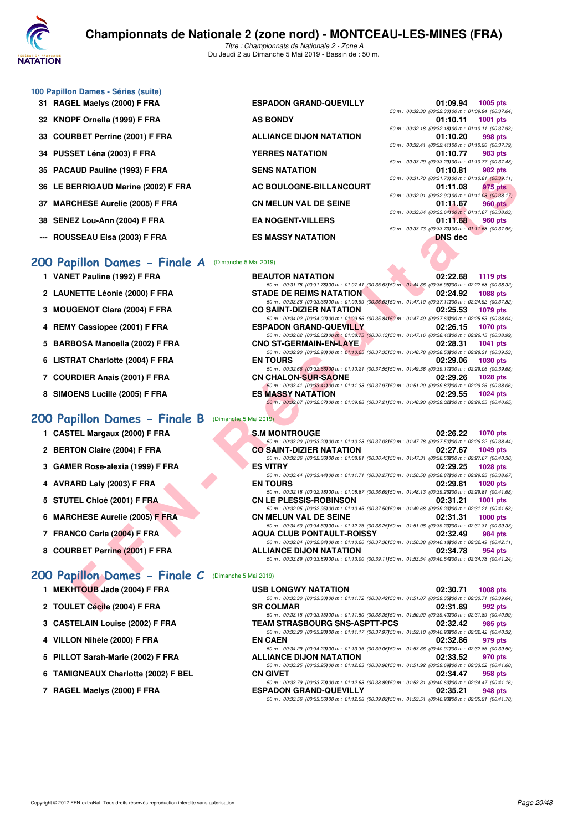

*Titre : Championnats de Nationale 2 - Zone A* Du Jeudi 2 au Dimanche 5 Mai 2019 - Bassin de : 50 m.

### **100 Papillon Dames - Séries (suite)**

**31 RAGEL Maelys (2000) F FRA ESPADON GRAND-QUEVILLY 01:09.94 1005 pts 32 KNOPF Ornella (1999) F FRA AS BONDY 33 COURBET Perrine (2001) F FRA ALLIANCE DIJON NATATION 34 PUSSET Léna (2003) F FRA YERRES NATATION 01:10.77 983 pts 35 PACAUD Pauline (1993) F FRA SENS NATATION 01:10.81 982 pts 36 LE BERRIGAUD Marine (2002) F FRA AC BOULOGNE-BILLANCOURT 01:11.08 975 pts 37 MARCHESE Aurelie (2005) F FRA CN MELUN VAL DE SEINE 01:11.67 960 pts 38 SENEZ Lou-Ann (2004) F FRA EA NOGENT-VILLERS 01:11.68 960 pts --- ROUSSEAU Elsa (2003) F FRA ES MASSY NATATION DNS dec**

## **[200 Papillon Dames - Finale A](http://www.ffnatation.fr/webffn/resultats.php?idact=nat&go=epr&idcpt=59365&idepr=33)** (Dimanche 5 Mai 2019)

- **1 VANET Pauline (1992) F FRA BEAUTOR NATATION 02:22.68 1119 pts**
- **2 LAUNETTE Léonie (2000) F FRA STADE DE REIMS NATATION 02:24.92 1088 pts**
- **3 MOUGENOT Clara (2004) F FRA CO SAINT-DIZIER NATATION 02:25.53 1079 pts**
- **4 REMY Cassiopee (2001) F FRA ESPADON GRAND-QUEVILLY 02:26.15 1070 pts**
- **5 BARBOSA Manoella (2002) F FRA CNO ST-GERMAIN-EN-LAYE 02:28.31 1041 pts**
- 
- 
- 

### **200 Papillon Dames - Finale B** (Dimanche

- 
- 
- 
- 
- **5 STUTEL Chloé (2001) F FRA CN LE PLESSIS-ROBINSON 02:31.21 1001 pts**
- **6 MARCHESE Aurelie (2005) F FRA**
- **7 FRANCO Carla (2004) F FRA**
- **8 COURBET Perrine (2001) F FRA**

| IJ FAUAUD FAUIIIIC (1993) FFRA                            | JENJ NATATIVN                    | <u></u><br><b>JUL UIS</b>                                                                                                                 |
|-----------------------------------------------------------|----------------------------------|-------------------------------------------------------------------------------------------------------------------------------------------|
| 6 LE BERRIGAUD Marine (2002) F FRA                        | <b>AC BOULOGNE-BILLANCOURT</b>   | 50 m: 00:31.70 (00:31.70100 m: 01:10.81 (00:39.11)<br>01:11.08<br>975 pts                                                                 |
|                                                           |                                  | 50 m : 00:32.91 (00:32.91100 m : 01:11.08 (00:38.17)                                                                                      |
| 37 MARCHESE Aurelie (2005) F FRA                          | <b>CN MELUN VAL DE SEINE</b>     | 01:11.67<br>960 pts                                                                                                                       |
| 88 SENEZ Lou-Ann (2004) F FRA                             | <b>EA NOGENT-VILLERS</b>         | 50 m : 00:33.64 (00:33.64) 00 m : 01:11.67 (00:38.03)<br>01:11.68<br>960 pts                                                              |
|                                                           |                                  | 50 m : 00:33.73 (00:33.73)00 m : 01:11.68 (00:37.95)                                                                                      |
| -- ROUSSEAU Elsa (2003) F FRA                             | <b>ES MASSY NATATION</b>         | <b>DNS</b> dec                                                                                                                            |
|                                                           |                                  |                                                                                                                                           |
| 00 Papillon Dames - Finale A                              | (Dimanche 5 Mai 2019)            |                                                                                                                                           |
| 1 VANET Pauline (1992) F FRA                              | <b>BEAUTOR NATATION</b>          | 02:22.68<br>1119 pts                                                                                                                      |
|                                                           |                                  | 50 m : 00:31.78 (00:31.78)00 m : 01:07.41 (00:35.63)50 m : 01:44.36 (00:36.95200 m : 02:22.68 (00:38.32)                                  |
| 2 LAUNETTE Léonie (2000) F FRA                            | <b>STADE DE REIMS NATATION</b>   | 02:24.92<br><b>1088 pts</b>                                                                                                               |
|                                                           |                                  | 50 m : 00:33.36 (00:33.36) 00 m : 01:09.99 (00:36.63) 50 m : 01:47.10 (00:37.11200 m : 02:24.92 (00:37.82)                                |
| 3 MOUGENOT Clara (2004) F FRA                             | <b>CO SAINT-DIZIER NATATION</b>  | 02:25.53<br>1079 pts<br>50 m : 00:34.02 (00:34.02) 00 m : 01:09.86 (00:35.84) 50 m : 01:47.49 (00:37.63200 m : 02:25.53 (00:38.04)        |
| 4 REMY Cassiopee (2001) F FRA                             | <b>ESPADON GRAND-QUEVILLY</b>    | 02:26.15<br><b>1070 pts</b>                                                                                                               |
|                                                           |                                  | 50 m : 00:32.62 (00:32.62)00 m : 01:08.75 (00:36.13)50 m : 01:47.16 (00:38.41200 m : 02:26.15 (00:38.99)                                  |
| 5 BARBOSA Manoella (2002) F FRA                           | <b>CNO ST-GERMAIN-EN-LAYE</b>    | 02:28.31<br>1041 pts                                                                                                                      |
| 6 LISTRAT Charlotte (2004) F FRA                          | <b>EN TOURS</b>                  | 50 m : 00:32.90 (00:32.90) 00 m : 01:10.25 (00:37.35) 50 m : 01:48.78 (00:38.53200 m : 02:28.31 (00:39.53)<br>02:29.06<br><b>1030 pts</b> |
|                                                           |                                  | 50 m : 00:32.66 (00:32.66) 00 m : 01:10.21 (00:37.55) 50 m : 01:49.38 (00:39.17200 m : 02:29.06 (00:39.68)                                |
| 7 COURDIER Anais (2001) F FRA                             | <b>CN CHALON-SUR-SAONE</b>       | 02:29.26<br><b>1028 pts</b>                                                                                                               |
|                                                           |                                  | 50 m : 00:33.41 (00:33.41100 m : 01:11.38 (00:37.97150 m : 01:51.20 (00:39.82200 m : 02:29.26 (00:38.06)                                  |
| 8 SIMOENS Lucille (2005) F FRA                            | <b>ES MASSY NATATION</b>         | 02:29.55<br>1024 pts                                                                                                                      |
|                                                           |                                  | 50 m : 00:32.67 (00:32.67) 00 m : 01:09.88 (00:37.21) 50 m : 01:48.90 (00:39.02200 m : 02:29.55 (00:40.65)                                |
| 00 Papillon Dames - Finale B                              | (Dimanche 5 Mai 2019)            |                                                                                                                                           |
| 1 CASTEL Margaux (2000) F FRA                             | S.M MONTROUGE                    | 02:26.22<br><b>1070 pts</b>                                                                                                               |
|                                                           |                                  | 50 m : 00:33.20 (00:33.20) 00 m : 01:10.28 (00:37.08) 50 m : 01:47.78 (00:37.50200 m : 02:26.22 (00:38.44)                                |
| 2 BERTON Claire (2004) F FRA                              | <b>CO SAINT-DIZIER NATATION</b>  | 02:27.67<br><b>1049 pts</b>                                                                                                               |
|                                                           |                                  | 50 m : 00:32.36 (00:32.36) 00 m : 01:08.81 (00:36.45) 50 m : 01:47.31 (00:38.50200 m : 02:27.67 (00:40.36)                                |
| 3 GAMER Rose-alexia (1999) F FRA                          | <b>ES VITRY</b>                  | 02:29.25<br><b>1028 pts</b><br>50 m : 00:33.44 (00:33.44) 00 m : 01:11.71 (00:38.27) 50 m : 01:50.58 (00:38.87200 m : 02:29.25 (00:38.67) |
| 4 AVRARD Laly (2003) F FRA                                | <b>EN TOURS</b>                  | 02:29.81<br><b>1020 pts</b>                                                                                                               |
|                                                           |                                  | 50 m : 00:32.18 (00:32.18) 00 m : 01:08.87 (00:36.69) 50 m : 01:48.13 (00:39.26200 m : 02:29.81 (00:41.68)                                |
| 5 STUTEL Chloé (2001) F FRA                               | <b>CN LE PLESSIS-ROBINSON</b>    | 02:31.21<br><b>1001 pts</b>                                                                                                               |
|                                                           |                                  | 50 m : 00:32.95 (00:32.95)00 m : 01:10.45 (00:37.50)50 m : 01:49.68 (00:39.23200 m : 02:31.21 (00:41.53)<br>02:31.31                      |
| 6 MARCHESE Aurelie (2005) F FRA                           | <b>CN MELUN VAL DE SEINE</b>     | $1000$ pts<br>50 m : 00:34.50 (00:34.50) 00 m : 01:12.75 (00:38.25) 50 m : 01:51.98 (00:39.23200 m : 02:31.31 (00:39.33)                  |
| 7 FRANCO Carla (2004) F FRA                               | <b>AQUA CLUB PONTAULT-ROISSY</b> | 02:32.49<br>984 pts                                                                                                                       |
|                                                           |                                  | 50 m : 00:32.84 (00:32.84) 00 m : 01:10.20 (00:37.36) 50 m : 01:50.38 (00:40.18200 m : 02:32.49 (00:42.11)                                |
| 8 COURBET Perrine (2001) F FRA                            | <b>ALLIANCE DIJON NATATION</b>   | 02:34.78<br>954 pts                                                                                                                       |
|                                                           |                                  | 50 m : 00:33.89 (00:33.89) 00 m : 01:13.00 (00:39.11) 50 m : 01:53.54 (00:40.54200 m : 02:34.78 (00:41.24)                                |
| <b>00 Papillon Dames - Finale C</b> (Dimanche 5 Mai 2019) |                                  |                                                                                                                                           |
| 1 MEKHTOUB Jade (2004) F FRA                              |                                  | 02:30.71                                                                                                                                  |
|                                                           | <b>USB LONGWY NATATION</b>       | <b>1008 pts</b><br>50 m : 00:33.30 (00:33.30) 00 m : 01:11.72 (00:38.42) 50 m : 01:51.07 (00:39.35200 m : 02:30.71 (00:39.64)             |
| 2 TOULET Cécile (2004) F FRA                              | <b>SR COLMAR</b>                 | 02:31.89<br>992 pts                                                                                                                       |
|                                                           |                                  |                                                                                                                                           |

*50 m : 00:32.30 (00:32.30)100 m : 01:09.94 (00:37.64)*

*50 m : 00:32.18 (00:32.18)100 m : 01:10.11 (00:37.93)*

*50 m : 00:32.41 (00:32.41)100 m : 01:10.20 (00:37.79)*

*50 m : 00:33.29 (00:33.29)100 m : 01:10.77 (00:37.48)*

| 50 m: 00:32.95 (00:32.95) 00 m: 01:10.45 (00:37.50) 50 m: 01:49.68 (00:39.23200 m: 02:31.21 (00:41.53 |          |                   |
|-------------------------------------------------------------------------------------------------------|----------|-------------------|
| CN MELUN VAL DE SEINE                                                                                 |          | 02:31.31 1000 pts |
| 50 m: 00:34.50 (00:34.50) 00 m: 01:12.75 (00:38.25) 50 m: 01:51.98 (00:39.23200 m: 02:31.31 (00:39.33 |          |                   |
| <b>AQUA CLUB PONTAULT-ROISSY</b>                                                                      |          | 02:32.49 984 pts  |
| 50 m: 00:32.84 (00:32.84100 m: 01:10.20 (00:37.36150 m: 01:50.38 (00:40.18200 m: 02:32.49 (00:42.11   |          |                   |
| ALLIANCE DIJON NATATION                                                                               | 02:34.78 | 954 pts           |

50 m : 00:33.25 (00:33.25)<sup>1</sup> com : 01:12.23 (00:38.98)50 m : 01:51.92 (00:38.69)200 m : 02:33.52 (00:41.60)<br>**CN GIVET 02:34.47** 958 pts

*50 m : 00:33.79 (00:33.79)00 m : 01:12.68 (00:38.89)50 m : 01:53.31 (00:40.63200 m : 02:34.47 (00:41.16)*<br>**ESPADON GRAND-QUEVILLY 02:35.21** 948 pts

*50 m : 00:33.56 (00:33.56)100 m : 01:12.58 (00:39.02)150 m : 01:53.51 (00:40.93)200 m : 02:35.21 (00:41.70)*

## **[200 Papillon Dames - Finale C](http://www.ffnatation.fr/webffn/resultats.php?idact=nat&go=epr&idcpt=59365&idepr=33)** (Dimanche 5 Mai 2019)

| 1 MEKHTOUB Jade (2004) F FRA    | <b>USB LONGWY NATATION</b>                                                                                 | 02:30.71 | $1008$ pts |
|---------------------------------|------------------------------------------------------------------------------------------------------------|----------|------------|
|                                 | 50 m : 00:33.30 (00:33.30) 00 m : 01:11.72 (00:38.42) 50 m : 01:51.07 (00:39.35200 m : 02:30.71 (00:39.64) |          |            |
| 2 TOULET Cécile (2004) F FRA    | <b>SR COLMAR</b>                                                                                           | 02:31.89 | 992 pts    |
|                                 | 50 m : 00:33.15 (00:33.15)00 m : 01:11.50 (00:38.35)50 m : 01:50.90 (00:39.40200 m : 02:31.89 (00:40.99)   |          |            |
| 3 CASTELAIN Louise (2002) F FRA | <b>TEAM STRASBOURG SNS-ASPTT-PCS</b>                                                                       | 02:32.42 | 985 pts    |
|                                 | 50 m : 00:33.20 (00:33.20100 m : 01:11.17 (00:37.97150 m : 01:52.10 (00:40.93200 m : 02:32.42 (00:40.32)   |          |            |
| 4 VILLON Nihèle (2000) F FRA    | <b>EN CAEN</b>                                                                                             | 02:32.86 | 979 pts    |
|                                 | 50 m : 00:34.29 (00:34.29) 00 m : 01:13.35 (00:39.06) 50 m : 01:53.36 (00:40.01200 m : 02:32.86 (00:39.50) |          |            |

- **5 PILLOT Sarah-Marie (2002) F FRA ALLIANCE DIJON NATATION 02:33.52 970 pts**
- **6 TAMIGNEAUX Charlotte (2002) F BEL CN GIVET 02:34.47 958 pts**
- **7 RAGEL Maelys (2000) F FRA ESPADON GRAND-QUEVILLY 02:35.21 948 pts**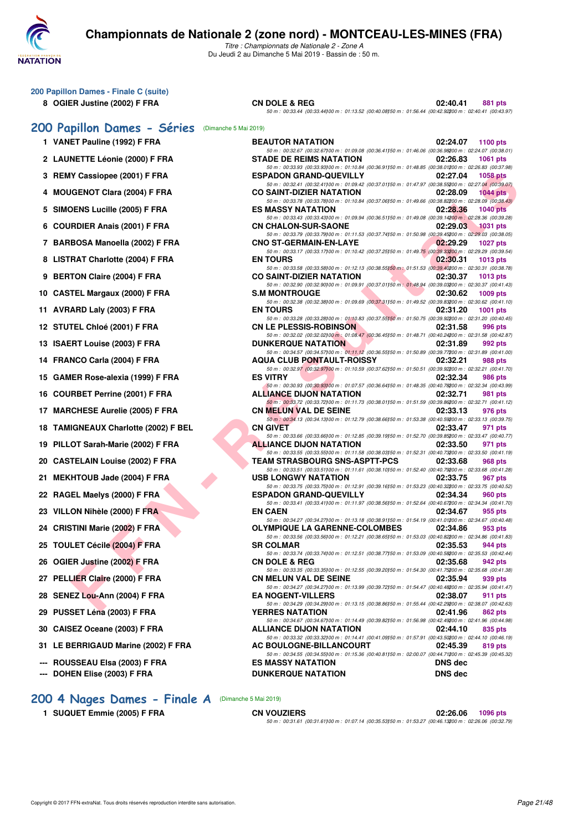

**200 Papillon Dames - Finale C (suite)**

## **Championnats de Nationale 2 (zone nord) - MONTCEAU-LES-MINES (FRA)**

*Titre : Championnats de Nationale 2 - Zone A* Du Jeudi 2 au Dimanche 5 Mai 2019 - Bassin de : 50 m.

|     | 8 OGIER Justine (2002) F FRA                           | <b>CN DOLE &amp; REG</b><br>50 m : 00:33.44 (00:33.44) 00 m : 01:13.52 (00:40.08) 50 m : 01:56.44 (00:42.92200 m : 02:40.41 (00:43.97             | 02:40.41                         | 881 pts         |
|-----|--------------------------------------------------------|---------------------------------------------------------------------------------------------------------------------------------------------------|----------------------------------|-----------------|
|     | 200 Papillon Dames - Séries (Dimanche 5 Mai 2019)      |                                                                                                                                                   |                                  |                 |
|     | 1 VANET Pauline (1992) F FRA                           | <b>BEAUTOR NATATION</b>                                                                                                                           | 02:24.07                         | 1100 $pts$      |
|     | 2 LAUNETTE Léonie (2000) F FRA                         | 50 m : 00:32.67 (00:32.67)00 m : 01:09.08 (00:36.41)50 m : 01:46.06 (00:36.98200 m : 02:24.07 (00:38.01<br><b>STADE DE REIMS NATATION</b>         | 02:26.83                         | 1061 pts        |
|     | 3 REMY Cassiopee (2001) F FRA                          | 50 m : 00:33.93 (00:33.93)00 m : 01:10.84 (00:36.91)50 m : 01:48.85 (00:38.01200 m : 02:26.83 (00:37.98<br><b>ESPADON GRAND-QUEVILLY</b>          | 02:27.04                         | <b>1058 pts</b> |
|     |                                                        | 50 m : 00:32.41 (00:32.41) 00 m : 01:09.42 (00:37.01) 50 m : 01:47.97 (00:38.55200 m : 02:27.04 (00:39.07                                         |                                  |                 |
| 4   | <b>MOUGENOT Clara (2004) F FRA</b>                     | <b>CO SAINT-DIZIER NATATION</b><br>50 m : 00:33.78 (00:33.78) 00 m : 01:10.84 (00:37.06) 50 m : 01:49.66 (00:38.82200 m : 02:28.09 (00:38.43      | 02:28.09                         | $1044$ pts      |
| 5   | SIMOENS Lucille (2005) F FRA                           | <b>ES MASSY NATATION</b><br>50 m : 00:33.43 (00:33.43) 00 m : 01:09.94 (00:36.51) 50 m : 01:49.08 (00:39.14200 m : 02:28.36 (00:39.28             | 02:28.36                         | <b>1040 pts</b> |
|     | 6 COURDIER Anais (2001) F FRA                          | <b>CN CHALON-SUR-SAONE</b><br>50 m : 00:33.79 (00:33.79) 00 m : 01:11.53 (00:37.74) 50 m : 01:50.98 (00:39.45200 m : 02:29.03 (00:38.05           | 02:29.03                         | <b>1031 pts</b> |
|     | <b>BARBOSA Manoella (2002) F FRA</b>                   | <b>CNO ST-GERMAIN-EN-LAYE</b><br>50 m : 00:33.17 (00:33.17) 00 m : 01:10.42 (00:37.25) 50 m : 01:49.75 (00:39.33200 m : 02:29.29 (00:39.54        | 02:29.29                         | 1027 pts        |
|     | 8 LISTRAT Charlotte (2004) F FRA                       | <b>EN TOURS</b><br>50 m : 00:33.58 (00:33.58) 00 m : 01:12.13 (00:38.55) 50 m : 01:51.53 (00:39.40200 m : 02:30.31 (00:38.78                      | 02:30.31                         | 1013 $pts$      |
| 9   | <b>BERTON Claire (2004) F FRA</b>                      | <b>CO SAINT-DIZIER NATATION</b><br>50 m : 00:32.90 (00:32.90) 00 m : 01:09.91 (00:37.01) 50 m : 01:48.94 (00:39.03200 m : 02:30.37 (00:41.43      | 02:30.37                         | 1013 $pts$      |
|     | 10 CASTEL Margaux (2000) F FRA                         | <b>S.M MONTROUGE</b>                                                                                                                              | 02:30.62                         | 1009 pts        |
|     | 11 AVRARD Laly (2003) F FRA                            | 50 m : 00:32.38 (00:32.38) 00 m : 01:09.69 (00:37.31) 50 m : 01:49.52 (00:39.83200 m : 02:30.62 (00:41.10<br><b>EN TOURS</b>                      | 02:31.20                         | 1001 pts        |
|     | 12 STUTEL Chloé (2001) F FRA                           | 50 m : 00:33.28 (00:33.28)00 m : 01:10.83 (00:37.55)50 m : 01:50.75 (00:39.92200 m : 02:31.20 (00:40.45<br><b>CN LE PLESSIS-ROBINSON</b>          | 02:31.58                         | 996 pts         |
|     | 13 ISAERT Louise (2003) F FRA                          | 50 m : 00:32.02 (00:32.02)00 m : 01:08.47 (00:36.45)50 m : 01:48.71 (00:40.24200 m : 02:31.58 (00:42.87<br><b>DUNKERQUE NATATION</b>              | 02:31.89                         | 992 pts         |
|     | 14 FRANCO Carla (2004) F FRA                           | 50 m : 00:34.57 (00:34.57)00 m : 01:11.12 (00:36.55)50 m : 01:50.89 (00:39.77200 m : 02:31.89 (00:41.00<br><b>AQUA CLUB PONTAULT-ROISSY</b>       | 02:32.21                         | 988 pts         |
|     | 15 GAMER Rose-alexia (1999) F FRA                      | 50 m : 00:32.97 (00:32.97)00 m : 01:10.59 (00:37.62)50 m : 01:50.51 (00:39.92200 m : 02:32.21 (00:41.70<br><b>ES VITRY</b>                        | 02:32.34                         | 986 pts         |
|     | 16 COURBET Perrine (2001) F FRA                        | 50 m : 00:30.93 (00:30.93)00 m : 01:07.57 (00:36.64)50 m : 01:48.35 (00:40.78200 m : 02:32.34 (00:43.99<br><b>ALLIANCE DIJON NATATION</b>         | 02:32.71                         |                 |
|     |                                                        | 50 m : 00:33.72 (00:33.72)00 m : 01:11.73 (00:38.01)50 m : 01:51.59 (00:39.86200 m : 02:32.71 (00:41.12                                           |                                  | 981 pts         |
|     | 17 MARCHESE Aurelie (2005) F FRA                       | <b>CN MELUN VAL DE SEINE</b><br>50 m : 00:34.13 (00:34.13) 00 m : 01:12.79 (00:38.66) 50 m : 01:53.38 (00:40.59200 m : 02:33.13 (00:39.75         | 02:33.13                         | 976 pts         |
|     | 18 TAMIGNEAUX Charlotte (2002) F BEL                   | <b>CN GIVET</b><br>50 m : 00:33.66 (00:33.66) 00 m : 01:12.85 (00:39.19) 50 m : 01:52.70 (00:39.85200 m : 02:33.47 (00:40.77                      | 02:33.47                         | 971 pts         |
|     | 19 PILLOT Sarah-Marie (2002) F FRA                     | <b>ALLIANCE DIJON NATATION</b><br>50 m : 00:33.55 (00:33.55)00 m : 01:11.58 (00:38.03)50 m : 01:52.31 (00:40.73200 m : 02:33.50 (00:41.19         | 02:33.50                         | 971 pts         |
|     | 20 CASTELAIN Louise (2002) F FRA                       | <b>TEAM STRASBOURG SNS-ASPTT-PCS</b><br>50 m : 00:33.51 (00:33.51)00 m : 01:11.61 (00:38.10)50 m : 01:52.40 (00:40.79200 m : 02:33.68 (00:41.28   | 02:33.68                         | 968 pts         |
| 21  | <b>MEKHTOUB Jade (2004) F FRA</b>                      | <b>USB LONGWY NATATION</b><br>50 m : 00:33.75 (00:33.75)00 m : 01:12.91 (00:39.16)50 m : 01:53.23 (00:40.32200 m : 02:33.75 (00:40.52             | 02:33.75                         | 967 pts         |
|     | 22 RAGEL Maelys (2000) F FRA                           | <b>ESPADON GRAND-QUEVILLY</b>                                                                                                                     | 02:34.34                         | 960 pts         |
|     | 23 VILLON Nihèle (2000) F FRA                          | 50 m : 00:33.41 (00:33.41)00 m : 01:11.97 (00:38.56)50 m : 01:52.64 (00:40.67200 m : 02:34.34 (00:41.70<br><b>EN CAEN</b>                         | 02:34.67                         | 955 pts         |
|     | 24 CRISTINI Marie (2002) F FRA                         | 50 m : 00:34.27 (00:34.27) 00 m : 01:13.18 (00:38.91) 50 m : 01:54.19 (00:41.01200 m : 02:34.67 (00:40.48<br><b>OLYMPIQUE LA GARENNE-COLOMBES</b> | 02:34.86                         | 953 pts         |
|     | 25 TOULET Cécile (2004) F FRA                          | 50 m : 00:33.56 (00:33.56) 00 m : 01:12.21 (00:38.65) 50 m : 01:53.03 (00:40.82200 m : 02:34.86 (00:41.83<br><b>SR COLMAR</b>                     | 02:35.53                         | 944 pts         |
|     | 26 OGIER Justine (2002) F FRA                          | 50 m : 00:33.74 (00:33.74) 00 m : 01:12.51 (00:38.77) 50 m : 01:53.09 (00:40.58200 m : 02:35.53 (00:42.44<br><b>CN DOLE &amp; REG</b>             | 02:35.68                         | 942 pts         |
| 27  | PELLIER Claire (2000) F FRA                            | 50 m : 00:33.35 (00:33.35)00 m : 01:12.55 (00:39.20)50 m : 01:54.30 (00:41.75200 m : 02:35.68 (00:41.38<br><b>CN MELUN VAL DE SEINE</b>           | 02:35.94                         | 939 pts         |
| 28  | SENEZ Lou-Ann (2004) F FRA                             | 50 m : 00:34.27 (00:34.27) 00 m : 01:13.99 (00:39.72) 50 m : 01:54.47 (00:40.48200 m : 02:35.94 (00:41.47<br><b>EA NOGENT-VILLERS</b>             | 02:38.07                         | 911 pts         |
|     |                                                        | 50 m : 00:34.29 (00:34.29) 00 m : 01:13.15 (00:38.86) 50 m : 01:55.44 (00:42.29200 m : 02:38.07 (00:42.63                                         |                                  |                 |
| 29  | PUSSET Léna (2003) F FRA                               | <b>YERRES NATATION</b><br>50 m : 00:34.67 (00:34.67) 00 m : 01:14.49 (00:39.82) 50 m : 01:56.98 (00:42.49200 m : 02:41.96 (00:44.98               | 02:41.96                         | 862 pts         |
| 30  | CAISEZ Oceane (2003) F FRA                             | ALLIANCE DIJON NATATION<br>50 m : 00:33.32 (00:33.32)00 m : 01:14.41 (00:41.09)50 m : 01:57.91 (00:43.50200 m : 02:44.10 (00:46.19                | 02:44.10                         | 835 pts         |
| 31. | LE BERRIGAUD Marine (2002) F FRA                       | AC BOULOGNE-BILLANCOURT<br>50 m : 00:34.55 (00:34.55) 00 m : 01:15.36 (00:40.81) 50 m : 02:00.07 (00:44.71200 m : 02:45.39 (00:45.32              | 02:45.39                         | 819 pts         |
| --- | ROUSSEAU Elsa (2003) F FRA<br>DOHEN Elise (2003) F FRA | <b>ES MASSY NATATION</b><br><b>DUNKERQUE NATATION</b>                                                                                             | <b>DNS dec</b><br><b>DNS dec</b> |                 |
|     |                                                        |                                                                                                                                                   |                                  |                 |

## **[200 4 Nages Dames - Finale A](http://www.ffnatation.fr/webffn/resultats.php?idact=nat&go=epr&idcpt=59365&idepr=41)** (Dimanche 5 Mai 2019)

| 00 Papillon Dames - Séries (Dimanche 5 Mai 2019) |                                                                                                                                                                             |         |
|--------------------------------------------------|-----------------------------------------------------------------------------------------------------------------------------------------------------------------------------|---------|
| 1 VANET Pauline (1992) F FRA                     | 02:24.07<br><b>BEAUTOR NATATION</b><br>1100 pts                                                                                                                             |         |
| 2 LAUNETTE Léonie (2000) F FRA                   | 50 m : 00:32.67 (00:32.67) 00 m : 01:09.08 (00:36.41) 50 m : 01:46.06 (00:36.98200 m : 02:24.07 (00:38.01)<br><b>STADE DE REIMS NATATION</b><br>02:26.83<br><b>1061 pts</b> |         |
| 3 REMY Cassiopee (2001) F FRA                    | 50 m : 00:33.93 (00:33.93) 00 m : 01:10.84 (00:36.91) 50 m : 01:48.85 (00:38.01200 m : 02:26.83 (00:37.98)<br><b>ESPADON GRAND-QUEVILLY</b><br>02:27.04<br><b>1058 pts</b>  |         |
| 4 MOUGENOT Clara (2004) F FRA                    | 50 m : 00:32.41 (00:32.41) 00 m : 01:09.42 (00:37.01) 50 m : 01:47.97 (00:38.55200 m : 02:27.04 (00:39.07)<br><b>CO SAINT-DIZIER NATATION</b><br>02:28.09<br>1044 pts       |         |
| 5 SIMOENS Lucille (2005) F FRA                   | 50 m : 00:33.78 (00:33.78)00 m : 01:10.84 (00:37.06)50 m : 01:49.66 (00:38.82200 m : 02:28.09 (00:38.43)<br><b>ES MASSY NATATION</b><br>02:28.36<br><b>1040 pts</b>         |         |
| 6 COURDIER Anais (2001) F FRA                    | 50 m: 00:33.43 (00:33.43) 00 m: 01:09.94 (00:36.51) 50 m: 01:49.08 (00:39.14200 m: 02:28.36 (00:39.28)<br><b>CN CHALON-SUR-SAONE</b><br>02:29.03<br>1031 pts                |         |
| 7 BARBOSA Manoella (2002) F FRA                  | 50 m : 00:33.79 (00:33.79) 00 m : 01:11.53 (00:37.74) 50 m : 01:50.98 (00:39.45200 m : 02:29.03 (00:38.05)<br><b>CNO ST-GERMAIN-EN-LAYE</b><br>02:29.29<br><b>1027 pts</b>  |         |
| 8 LISTRAT Charlotte (2004) F FRA                 | 50 m : 00:33.17 (00:33.17) 00 m : 01:10.42 (00:37.25) 50 m : 01:49.75 (00:39.33200 m : 02:29.29 (00:39.54)<br><b>EN TOURS</b><br>02:30.31<br>1013 pts                       |         |
| 9 BERTON Claire (2004) F FRA                     | 50 m : 00:33.58 (00:33.58) 00 m : 01:12.13 (00:38.55) 50 m : 01:51.53 (00:39.40200 m : 02:30.31 (00:38.78)<br><b>CO SAINT-DIZIER NATATION</b><br>02:30.37<br>1013 pts       |         |
| 10 CASTEL Margaux (2000) F FRA                   | 50 m : 00:32.90 (00:32.90) 00 m : 01:09.91 (00:37.01) 50 m : 01:48.94 (00:39.03200 m : 02:30.37 (00:41.43)<br><b>S.M MONTROUGE</b><br>02:30.62<br>1009 pts                  |         |
|                                                  | 50 m : 00:32.38 (00:32.38)00 m : 01:09.69 (00:37.31)50 m : 01:49.52 (00:39.83200 m : 02:30.62 (00:41.10)                                                                    |         |
| 11 AVRARD Laly (2003) F FRA                      | <b>EN TOURS</b><br>02:31.20<br><b>1001 pts</b><br>50 m : 00:33.28 (00:33.28) 00 m : 01:10.83 (00:37.55) 50 m : 01:50.75 (00:39.92200 m : 02:31.20 (00:40.45)                |         |
| 12 STUTEL Chloé (2001) F FRA                     | <b>CN LE PLESSIS-ROBINSON</b><br>02:31.58                                                                                                                                   | 996 pts |
| 13 ISAERT Louise (2003) F FRA                    | 50 m : 00:32.02 (00:32.02)00 m : 01:08.47 (00:36.45)50 m : 01:48.71 (00:40.24200 m : 02:31.58 (00:42.87)<br><b>DUNKERQUE NATATION</b><br>02:31.89                           | 992 pts |
|                                                  | 50 m : 00:34.57 (00:34.57)00 m : 01:11.12 (00:36.55)50 m : 01:50.89 (00:39.77200 m : 02:31.89 (00:41.00)                                                                    |         |
| 14 FRANCO Carla (2004) F FRA                     | <b>AQUA CLUB PONTAULT-ROISSY</b><br>02:32.21<br>50 m : 00:32.97 (00:32.97)00 m : 01:10.59 (00:37.62)50 m : 01:50.51 (00:39.92200 m : 02:32.21 (00:41.70)                    | 988 pts |
| 15 GAMER Rose-alexia (1999) F FRA                | <b>ES VITRY</b><br>02:32.34                                                                                                                                                 | 986 pts |
| 16 COURBET Perrine (2001) F FRA                  | 50 m : 00:30.93 (00:30.93100 m : 01:07.57 (00:36.64150 m : 01:48.35 (00:40.78200 m : 02:32.34 (00:43.99)<br><b>ALLIANCE DIJON NATATION</b><br>02:32.71                      | 981 pts |
| 17 MARCHESE Aurelie (2005) F FRA                 | 50 m : 00:33.72 (00:33.72) 00 m : 01:11.73 (00:38.01) 50 m : 01:51.59 (00:39.86200 m : 02:32.71 (00:41.12)<br><b>CN MELUN VAL DE SEINE</b><br>02:33.13                      | 976 pts |
| 18 TAMIGNEAUX Charlotte (2002) F BEL             | 50 m : 00:34.13 (00:34.13) 00 m : 01:12.79 (00:38.66) 50 m : 01:53.38 (00:40.59200 m : 02:33.13 (00:39.75)<br><b>CN GIVET</b><br>02:33.47                                   | 971 pts |
| 19 PILLOT Sarah-Marie (2002) F FRA               | 50 m : 00:33.66 (00:33.66) 00 m : 01:12.85 (00:39.19) 50 m : 01:52.70 (00:39.85200 m : 02:33.47 (00:40.77)<br><b>ALLIANCE DIJON NATATION</b><br>02:33.50                    | 971 pts |
|                                                  | 50 m : 00:33.55 (00:33.55) 00 m : 01:11.58 (00:38.03) 50 m : 01:52.31 (00:40.73200 m : 02:33.50 (00:41.19)                                                                  |         |
| 20   CASTELAIN Louise (2002) F FRA               | <b>TEAM STRASBOURG SNS-ASPTT-PCS</b><br>02:33.68<br>50 m : 00:33.51 (00:33.51) 00 m : 01:11.61 (00:38.10) 50 m : 01:52.40 (00:40.79200 m : 02:33.68 (00:41.28)              | 968 pts |
| 21 MEKHTOUB Jade (2004) F FRA                    | <b>USB LONGWY NATATION</b><br>02:33.75                                                                                                                                      | 967 pts |
| 22 RAGEL Maelys (2000) F FRA                     | 50 m : 00:33.75 (00:33.75) 00 m : 01:12.91 (00:39.16) 50 m : 01:53.23 (00:40.32200 m : 02:33.75 (00:40.52)<br><b>ESPADON GRAND-QUEVILLY</b><br>02:34.34                     | 960 pts |
|                                                  | 50 m : 00:33.41 (00:33.41) 00 m : 01:11.97 (00:38.56) 50 m : 01:52.64 (00:40.67200 m : 02:34.34 (00:41.70)                                                                  |         |
| 23 VILLON Nihèle (2000) F FRA                    | <b>EN CAEN</b><br>02:34.67<br>50 m : 00:34.27 (00:34.27) 00 m : 01:13.18 (00:38.91) 50 m : 01:54.19 (00:41.01200 m : 02:34.67 (00:40.48)                                    | 955 pts |
| 24 CRISTINI Marie (2002) F FRA                   | <b>OLYMPIQUE LA GARENNE-COLOMBES</b><br>02:34.86                                                                                                                            | 953 pts |
| 25 TOULET Cécile (2004) F FRA                    | 50 m : 00:33.56 (00:33.56) 00 m : 01:12.21 (00:38.65) 50 m : 01:53.03 (00:40.82200 m : 02:34.86 (00:41.83)<br><b>SR COLMAR</b><br>02:35.53                                  | 944 pts |
| 26 OGIER Justine (2002) F FRA                    | 50 m : 00:33.74 (00:33.74) 00 m : 01:12.51 (00:38.77) 50 m : 01:53.09 (00:40.58200 m : 02:35.53 (00:42.44)<br>02:35.68<br><b>CN DOLE &amp; REG</b>                          | 942 pts |
| 27 PELLIER Claire (2000) F FRA                   | 50 m : 00:33.35 (00:33.35) 00 m : 01:12.55 (00:39.20) 50 m : 01:54.30 (00:41.75200 m : 02:35.68 (00:41.38)<br><b>CN MELUN VAL DE SEINE</b><br>02:35.94                      |         |
|                                                  | 50 m : 00:34.27 (00:34.27) 00 m : 01:13.99 (00:39.72) 50 m : 01:54.47 (00:40.48200 m : 02:35.94 (00:41.47)                                                                  | 939 pts |
| 28 SENEZ Lou-Ann (2004) F FRA                    | <b>EA NOGENT-VILLERS</b><br>02:38.07<br>50 m : 00:34.29 (00:34.29) 00 m : 01:13.15 (00:38.86) 50 m : 01:55.44 (00:42.29200 m : 02:38.07 (00:42.63)                          | 911 pts |
| 29 PUSSET Léna (2003) F FRA                      | <b>YERRES NATATION</b><br>02:41.96<br>50 m : 00:34.67 (00:34.67) 00 m : 01:14.49 (00:39.82) 50 m : 01:56.98 (00:42.49200 m : 02:41.96 (00:44.98)                            | 862 pts |
| 30 CAISEZ Oceane (2003) F FRA                    | ALLIANCE DIJON NATATION<br>02:44.10                                                                                                                                         | 835 pts |
| 31 LE BERRIGAUD Marine (2002) F FRA              | 50 m : 00:33.32 (00:33.32) 00 m : 01:14.41 (00:41.09) 50 m : 01:57.91 (00:43.50200 m : 02:44.10 (00:46.19)<br>AC BOULOGNE-BILLANCOURT<br>02:45.39                           | 819 pts |
| --- ROUSSEAU Elsa (2003) F FRA                   | 50 m : 00:34.55 (00:34.55) 00 m : 01:15.36 (00:40.81) 50 m : 02:00.07 (00:44.71200 m : 02:45.39 (00:45.32)<br><b>ES MASSY NATATION</b><br><b>DNS dec</b>                    |         |

**1 SUQUET Emmie (2005) F FRA CN VOUZIERS 02:26.06 1096 pts** *50 m : 00:31.61 (00:31.61)100 m : 01:07.14 (00:35.53)150 m : 01:53.27 (00:46.13)200 m : 02:26.06 (00:32.79)*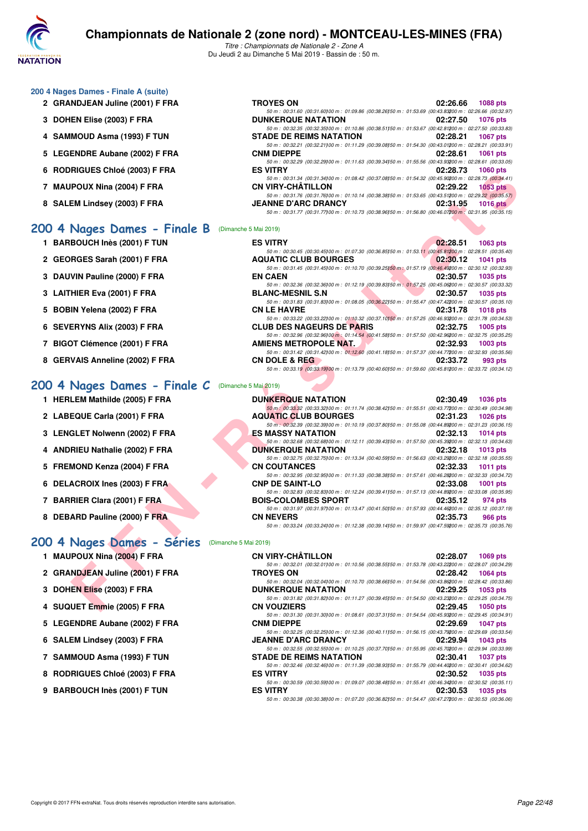

*Titre : Championnats de Nationale 2 - Zone A* Du Jeudi 2 au Dimanche 5 Mai 2019 - Bassin de : 50 m.

| 200 4 Nages Dames - Finale A (suite) |  |  |
|--------------------------------------|--|--|
|--------------------------------------|--|--|

- 2 GRANDJEAN Juline (2001) F FRA
- **3 DOHEN Elise (2003) F FRA**
- **4 SAMMOUD Asma (1993) F TUN**
- **5 LEGENDRE Aubane (2002) F FRA**
- **6 RODRIGUES Chloé (2003) F FRA**
- 7 MAUPOUX Nina (2004) F FRA
- **8 SALEM Lindsey (2003) F FRA**

#### **[200 4 Nages Dames - Finale B](http://www.ffnatation.fr/webffn/resultats.php?idact=nat&go=epr&idcpt=59365&idepr=41)** (Dimanche 5 Mai 2019)

- **1 BARBOUCH Inès (2001) F TUN**
- 2 GEORGES Sarah (2001) F FRA
- **3 DAUVIN Pauline (2000) F FRA**
- **3 LAITHIER Eva (2001) F FRA**
- **5 BOBIN Yelena (2002) F FRA**
- **6 SEVERYNS Alix (2003) F FRA**
- **7 BIGOT Clémence (2001) F FRA**
- 8 GERVAIS Anneline (2002) F FRA

#### **[200 4 Nages Dames - Finale C](http://www.ffnatation.fr/webffn/resultats.php?idact=nat&go=epr&idcpt=59365&idepr=41)** (Dimanche 5 Mai 2019)

- **1 HERLEM Mathilde (2005) F FRA**
- 2 LABEQUE Carla (2001) F FRA
- **3 LENGLET Nolwenn (2002) F FRA**
- **4 ANDRIEU Nathalie (2002) F FRA**
- 5 FREMOND Kenza (2004) F FRA
- **6 DELACROIX Ines (2003) F FRA**
- **7 BARRIER Clara (2001) F FRA**
- **8 DEBARD Pauline (2000) F FRA**

#### **[200 4 Nages Dames - Séries](http://www.ffnatation.fr/webffn/resultats.php?idact=nat&go=epr&idcpt=59365&idepr=41)** (Dimanche 5 Mai 2019)

- **1 MAUPOUX Nina (2004) F FRA CN VIRY-CHÂTILLON 02:28.07 1069 pts**
- **2 GRANDJEAN Juline (2001) F FRA TROYES ON 02:28.42 1064 pts**
- **3 DOHEN Elise (2003) F FRA**
- **4 SUQUET Emmie (2005) F FRA CN VOUZIERS 02:29.45 1050 pts**
- **5 LEGENDRE Aubane (2002) F FRA CNM DIEPPE 02:29.69 1047 pts**
- **6 SALEM Lindsey (2003) F FRA JEANNE D'ARC DRANCY 02:29.94 1043 pts**
- **7 SAMMOUD Asma (1993) F TUN STADE DE REIMS NATATION 02:30.41 1037 pts**
- **8 RODRIGUES Chloé (2003) F FRA**
- **9 BARBOUCH Inès (2001) F TUN**

| TROYES ON                                                                                              | 02:26.66 1088 pts |  |
|--------------------------------------------------------------------------------------------------------|-------------------|--|
| 50 m: 00:31.60 (00:31.60) 00 m: 01:09.86 (00:38.26) 50 m: 01:53.69 (00:43.83200 m: 02:26.66 (00:32.97) |                   |  |
| DUNKERQUE NATATION                                                                                     | 02:27.50 1076 pts |  |
| 50 m: 00:32.35 (00:32.35) 00 m: 01:10.86 (00:38.51) 50 m: 01:53.67 (00:42.81200 m: 02:27.50 (00:33.83) |                   |  |
| STADE DE REIMS NATATION                                                                                | 02:28.21 1067 pts |  |
| 50 m: 00:32.21 (00:32.21100 m: 01:11.29 (00:39.08150 m: 01:54.30 (00:43.01200 m: 02:28.21 (00:33.91)   |                   |  |
| CNM DIEPPE                                                                                             | 02:28.61 1061 pts |  |
| 50 m: 00:32.29 (00:32.29) 00 m: 01:11.63 (00:39.34) 50 m: 01:55.56 (00:43.93200 m: 02:28.61 (00:33.05) |                   |  |
| ES VITRY                                                                                               | 02:28.73 1060 pts |  |
| 50 m: 00:31.34 (00:31.34) 00 m: 01:08.42 (00:37.08) 50 m: 01:54.32 (00:45.90200 m: 02:28.73 (00:34.41) |                   |  |
| CN VIRY-CHÂTILLON                                                                                      | 02:29.22 1053 pts |  |
| 50 m: 00:31.76 (00:31.76)00 m: 01:10.14 (00:38.38)50 m: 01:53.65 (00:43.51200 m: 02:29.22 (00:35.57)   |                   |  |
| <b>JEANNE D'ARC DRANCY</b>                                                                             | 02:31.95 1016 pts |  |
| 50 m: 00:31.77 (00:31.77) 00 m: 01:10.73 (00:38.96) 50 m: 01:56.80 (00:46.07200 m: 02:31.95 (00:35.15) |                   |  |
|                                                                                                        |                   |  |

| <b>NIGULO UNIUT (2003) F FRA</b>             | <b>UZ.ZO.IJ IUUU DIS</b>                                                                                                                     |                 |
|----------------------------------------------|----------------------------------------------------------------------------------------------------------------------------------------------|-----------------|
| POUX Nina (2004) F FRA                       | 50 m: 00:31.34 (00:31.34)00 m: 01:08.42 (00:37.08)50 m: 01:54.32 (00:45.90200 m: 02:28.73 (00:34.41)<br>CN VIRY-CHATILLON<br>02:29.22        | $1053$ pts      |
|                                              | 50 m: 00:31.76 (00:31.76) 00 m: 01:10.14 (00:38.38) 50 m: 01:53.65 (00:43.51200 m: 02:29.22 (00:35.57)                                       |                 |
| EM Lindsey (2003) F FRA                      | <b>JEANNE D'ARC DRANCY</b><br>02:31.95                                                                                                       | 1016 $pts$      |
|                                              | 50 m : 00:31.77 (00:31.77) 00 m : 01:10.73 (00:38.96) 50 m : 01:56.80 (00:46.07200 m : 02:31.95 (00:35.15)                                   |                 |
|                                              |                                                                                                                                              |                 |
| Nages Dames - Finale B (Dimanche 5 Mai 2019) |                                                                                                                                              |                 |
| BOUCH Inès (2001) F TUN                      | <b>ES VITRY</b><br>02:28.51                                                                                                                  | 1063 pts        |
|                                              | 50 m : 00:30.45 (00:30.45) 00 m : 01:07.30 (00:36.85) 50 m : 01:53.11 (00:45.81200 m : 02:28.51 (00:35.40)                                   |                 |
| RGES Sarah (2001) F FRA                      | <b>AQUATIC CLUB BOURGES</b><br>02:30.12                                                                                                      | <b>1041 pts</b> |
|                                              | 50 m : 00:31.45 (00:31.45)00 m : 01:10.70 (00:39.25)50 m : 01:57.19 (00:46.49200 m : 02:30.12 (00:32.93)                                     |                 |
| VIN Pauline (2000) F FRA                     | <b>EN CAEN</b><br>02:30.57                                                                                                                   | <b>1035 pts</b> |
|                                              | 50 m : 00:32.36 (00:32.36) 00 m : 01:12.19 (00:39.83) 50 m : 01:57.25 (00:45.06200 m : 02:30.57 (00:33.32)                                   |                 |
| HIER Eva (2001) F FRA                        | <b>BLANC-MESNIL S.N</b><br>02:30.57                                                                                                          | <b>1035 pts</b> |
|                                              | 50 m : 00:31.83 (00:31.83)00 m : 01:08.05 (00:36.22)50 m : 01:55.47 (00:47.42200 m : 02:30.57 (00:35.10)                                     |                 |
| IN Yelena (2002) F FRA                       | <b>CN LE HAVRE</b><br>02:31.78<br>50 m : 00:33.22 (00:33.22) 00 m : 01:10.32 (00:37.10) 50 m : 01:57.25 (00:46.93200 m : 02:31.78 (00:34.53) | <b>1018 pts</b> |
| <b>ERYNS Alix (2003) F FRA</b>               | <b>CLUB DES NAGEURS DE PARIS</b><br>02:32.75                                                                                                 | 1005 pts        |
|                                              | 50 m : 00:32.96 (00:32.96)00 m : 01:14.54 (00:41.58)50 m : 01:57.50 (00:42.96200 m : 02:32.75 (00:35.25)                                     |                 |
| <b>DT Clémence (2001) F FRA</b>              | <b>AMIENS METROPOLE NAT.</b><br>02:32.93                                                                                                     | <b>1003 pts</b> |
|                                              | 50 m : 00:31.42 (00:31.42) 00 m : 01:12.60 (00:41.18) 50 m : 01:57.37 (00:44.77200 m : 02:32.93 (00:35.56)                                   |                 |
| VAIS Anneline (2002) F FRA                   | <b>CN DOLE &amp; REG</b><br>02:33.72                                                                                                         | 993 pts         |
|                                              | 50 m : 00:33.19 (00:33.19) 00 m : 01:13.79 (00:40.60) 50 m : 01:59.60 (00:45.81200 m : 02:33.72 (00:34.12)                                   |                 |
|                                              |                                                                                                                                              |                 |
| Nages Dames - Finale <i>C</i>                | (Dimanche 5 Mai 2019)                                                                                                                        |                 |
| LEM Mathilde (2005) F FRA                    | <b>DUNKERQUE NATATION</b><br>02:30.49                                                                                                        | <b>1036 pts</b> |
|                                              | 50 m : 00:33.32 (00:33.32) 00 m : 01:11.74 (00:38.42) 50 m : 01:55.51 (00:43.77200 m : 02:30.49 (00:34.98)                                   |                 |
| EQUE Carla (2001) F FRA                      | <b>AQUATIC CLUB BOURGES</b><br>02:31.23                                                                                                      | <b>1026 pts</b> |
|                                              | 50 m : 00:32.39 (00:32.39) 00 m : 01:10.19 (00:37.80) 50 m : 01:55.08 (00:44.89200 m : 02:31.23 (00:36.15)                                   |                 |
| GLET Nolwenn (2002) F FRA                    | ES MASSY NATATION<br>02:32.13                                                                                                                | <b>1014 pts</b> |
|                                              | 50 m : 00:32.68 (00:32.68)00 m : 01:12.11 (00:39.43)50 m : 01:57.50 (00:45.39200 m : 02:32.13 (00:34.63)                                     |                 |
| RIEU Nathalie (2002) F FRA                   | <b>DUNKERQUE NATATION</b><br>02:32.18                                                                                                        | $1013$ pts      |
|                                              | 50 m : 00:32.75 (00:32.75) 00 m : 01:13.34 (00:40.59) 50 m : 01:56.63 (00:43.29200 m : 02:32.18 (00:35.55)                                   |                 |
| MOND Kenza (2004) F FRA                      | <b>CN COUTANCES</b><br>02:32.33                                                                                                              | <b>1011 pts</b> |
|                                              | 50 m: 00:32.95 (00:32.95)00 m: 01:11.33 (00:38.38)50 m: 01:57.61 (00:46.28200 m: 02:32.33 (00:34.72)                                         |                 |
| <b>ACROIX Ines (2003) F FRA</b>              | <b>CNP DE SAINT-LO</b><br>02:33.08                                                                                                           | <b>1001 pts</b> |
|                                              | 50 m : 00:32.83 (00:32.83) 00 m : 01:12.24 (00:39.41) 50 m : 01:57.13 (00:44.89200 m : 02:33.08 (00:35.95)                                   |                 |
| RIER Clara (2001) F FRA                      | <b>BOIS-COLOMBES SPORT</b><br>02:35.12                                                                                                       | 974 pts         |
|                                              | 50 m : 00:31.97 (00:31.97)00 m : 01:13.47 (00:41.50)50 m : 01:57.93 (00:44.46200 m : 02:35.12 (00:37.19)                                     |                 |
| ARD Pauline (2000) F FRA                     | <b>CN NEVERS</b><br>02:35.73                                                                                                                 | 966 pts         |
|                                              | 50 m : 00:33.24 (00:33.24)00 m : 01:12.38 (00:39.14)50 m : 01:59.97 (00:47.59200 m : 02:35.73 (00:35.76)                                     |                 |
| Nages Dames - Séries (Dimanche 5 Mai 2019)   |                                                                                                                                              |                 |
|                                              |                                                                                                                                              |                 |
| POUX Nina (2004) F FRA                       | <b>CN VIRY-CHÂTILLON</b><br>02:28.07                                                                                                         | 1069 pts        |
|                                              | 50 m : 00:32.01 (00:32.01100 m : 01:10.56 (00:38.55150 m : 01:53.78 (00:43.22200 m : 02:28.07 (00:34.29)                                     |                 |
| NDJEAN Juline (2001) F FRA                   | <b>TROYES ON</b><br>02:28.42                                                                                                                 | <b>1064 pts</b> |
|                                              | 50 m : 00:32.04 (00:32.04)00 m : 01:10.70 (00:38.66)50 m : 01:54.56 (00:43.86200 m : 02:28.42 (00:33.86)                                     |                 |
| <b>EN Elise (2003) F FRA</b>                 | <b>DUNKERQUE NATATION</b><br>02:29.25                                                                                                        | 1053 pts        |
|                                              | 50 m : 00:31.82 (00:31.82)00 m : 01:11.27 (00:39.45)50 m : 01:54.50 (00:43.23200 m : 02:29.25 (00:34.75)                                     |                 |
| UET Emmie (2005) F FRA                       | <b>CN VOUZIERS</b><br>02:29.45                                                                                                               | 1050 pts        |

| <b>DUNKERQUE NATATION</b>                                                                                  | 02:30.49 1036 pts    |  |
|------------------------------------------------------------------------------------------------------------|----------------------|--|
| 50 m : 00:33.32 (00:33.32) 00 m : 01:11.74 (00:38.42) 50 m : 01:55.51 (00:43.77200 m : 02:30.49 (00:34.98) |                      |  |
| <b>AQUATIC CLUB BOURGES</b>                                                                                | 02:31.23<br>1026 pts |  |
| 50 m : 00:32.39 (00:32.39) 00 m : 01:10.19 (00:37.80) 50 m : 01:55.08 (00:44.89200 m : 02:31.23 (00:36.15) |                      |  |
| ES MASSY NATATION                                                                                          | 02:32.13 1014 pts    |  |
| 50 m: 00:32.68 (00:32.68) 00 m: 01:12.11 (00:39.43) 50 m: 01:57.50 (00:45.39200 m: 02:32.13 (00:34.63)     |                      |  |
| <b>DUNKERQUE NATATION</b>                                                                                  | 02:32.18 1013 pts    |  |
| 50 m: 00:32.75 (00:32.75)00 m: 01:13.34 (00:40.59)50 m: 01:56.63 (00:43.29200 m: 02:32.18 (00:35.55)       |                      |  |
| <b>CN COUTANCES</b>                                                                                        | 02:32.33 1011 pts    |  |
| 50 m: 00:32.95 (00:32.95100 m: 01:11.33 (00:38.38150 m: 01:57.61 (00:46.28200 m: 02:32.33 (00:34.72)       |                      |  |
| <b>CNP DE SAINT-LO</b>                                                                                     | 02:33.08<br>1001 pts |  |
| 50 m: 00:32.83 (00:32.83) 00 m: 01:12.24 (00:39.41) 50 m: 01:57.13 (00:44.89200 m: 02:33.08 (00:35.95)     |                      |  |
| <b>BOIS-COLOMBES SPORT</b>                                                                                 | 02:35.12 974 pts     |  |
| 50 m: 00:31.97 (00:31.97100 m: 01:13.47 (00:41.50150 m: 01:57.93 (00:44.46200 m: 02:35.12 (00:37.19)       |                      |  |
| <b>CN NEVERS</b>                                                                                           | 02:35.73<br>966 pts  |  |
| 50 m : 00:33.24 (00:33.24) 00 m : 01:12.38 (00:39.14) 50 m : 01:59.97 (00:47.59200 m : 02:35.73 (00:35.76) |                      |  |

*50 m : 00:32.25 (00:32.25)100 m : 01:12.36 (00:40.11)150 m : 01:56.15 (00:43.79)200 m : 02:29.69 (00:33.54)*

*50 m : 00:32.55 (00:32.55)100 m : 01:10.25 (00:37.70)150 m : 01:55.95 (00:45.70)200 m : 02:29.94 (00:33.99)*

*50 m : 00:30.38 (00:30.38)100 m : 01:07.20 (00:36.82)150 m : 01:54.47 (00:47.27)200 m : 02:30.53 (00:36.06)*

*50 m : 00:31.30 (00:31.30)100 m : 01:08.61 (00:37.31)150 m : 01:54.54 (00:45.93)200 m : 02:29.45 (00:34.91)*

50 m : 00:32.46 (00:32.46)00 m : 01:11.39 (00:38.93)50 m : 01:55.79 (00:44.40200 m : 02:30.41 (00:34.62)<br>ES VITRY 02:30.52 1035 pts

*50 m : 00:30.59 (00:30.59)00 m : 01:09.07 (00:38.48)50 m : 01:55.41 (00:46.34200 m : 02:30.52 (00:35.11)*<br>**ES VITRY (02:30.53 10:35 pts**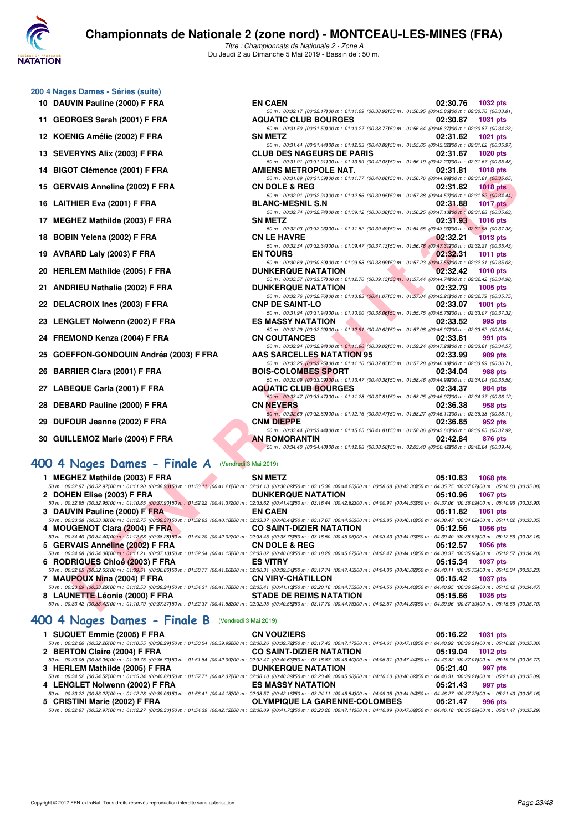

*Titre : Championnats de Nationale 2 - Zone A* Du Jeudi 2 au Dimanche 5 Mai 2019 - Bassin de : 50 m.

| 200 4 Nages Dames - Séries (suite)      |                                                                                                                                        |                             |
|-----------------------------------------|----------------------------------------------------------------------------------------------------------------------------------------|-----------------------------|
| 10 DAUVIN Pauline (2000) F FRA          | <b>EN CAEN</b>                                                                                                                         | 02:30.76<br>1032 pts        |
|                                         | 50 m: 00:32.17 (00:32.17) 00 m: 01:11.09 (00:38.92) 50 m: 01:56.95 (00:45.86200 m: 02:30.76 (00:33.81)                                 |                             |
| 11 GEORGES Sarah (2001) F FRA           | <b>AQUATIC CLUB BOURGES</b>                                                                                                            | 02:30.87<br><b>1031 pts</b> |
|                                         | 50 m: 00:31.50 (00:31.50) 00 m: 01:10.27 (00:38.77) 50 m: 01:56.64 (00:46.37200 m: 02:30.87 (00:34.23)                                 |                             |
| 12 KOENIG Amélie (2002) F FRA           | <b>SN METZ</b>                                                                                                                         | 02:31.62<br><b>1021 pts</b> |
|                                         | 50 m : 00:31.44 (00:31.44) 00 m : 01:12.33 (00:40.89) 50 m : 01:55.65 (00:43.32200 m : 02:31.62 (00:35.97)                             |                             |
| 13 SEVERYNS Alix (2003) F FRA           | <b>CLUB DES NAGEURS DE PARIS</b>                                                                                                       | 02:31.67<br>1020 pts        |
|                                         | 50 m: 00:31.91 (00:31.91)00 m: 01:13.99 (00:42.08)50 m: 01:56.19 (00:42.20200 m: 02:31.67 (00:35.48)                                   |                             |
| 14 BIGOT Clémence (2001) F FRA          | AMIENS METROPOLE NAT.                                                                                                                  | 02:31.81<br><b>1018 pts</b> |
|                                         | 50 m : 00:31.69 (00:31.69) 00 m : 01:11.77 (00:40.08) 50 m : 01:56.76 (00:44.99200 m : 02:31.81 (00:35.05)                             |                             |
| 15 GERVAIS Anneline (2002) F FRA        | <b>CN DOLE &amp; REG</b><br>50 m: 00:32.91 (00:32.91100 m: 01:12.86 (00:39.95150 m: 01:57.38 (00:44.52200 m: 02:31.82 (00:34.44)       | 02:31.82<br>$1018$ pts      |
| 16 LAITHIER Eva (2001) F FRA            | <b>BLANC-MESNIL S.N</b>                                                                                                                | 02:31.88                    |
|                                         | 50 m: 00:32.74 (00:32.74)00 m: 01:09.12 (00:36.38)50 m: 01:56.25 (00:47.13200 m: 02:31.88 (00:35.63)                                   | <b>1017 pts</b>             |
| 17 MEGHEZ Mathilde (2003) F FRA         | <b>SN METZ</b>                                                                                                                         | 02:31.93<br><b>1016 pts</b> |
|                                         | 50 m: 00:32.03 (00:32.03) 00 m: 01:11.52 (00:39.49) 50 m: 01:54.55 (00:43.03200 m: 02:31.93 (00:37.38)                                 |                             |
| 18 BOBIN Yelena (2002) F FRA            | <b>CN LE HAVRE</b>                                                                                                                     | 02:32.21<br><b>1013 pts</b> |
|                                         | 50 m : 00:32.34 (00:32.34) 00 m : 01:09.47 (00:37.13) 50 m : 01:56.78 (00:47.31200 m : 02:32.21 (00:35.43)                             |                             |
| 19 AVRARD Laly (2003) F FRA             | <b>EN TOURS</b>                                                                                                                        | 02:32.31<br><b>1011 pts</b> |
|                                         | 50 m : 00:30.69 (00:30.69) 00 m : 01:09.68 (00:38.99) 50 m : 01:57.23 (00:47.55200 m : 02:32.31 (00:35.08)                             |                             |
| 20 HERLEM Mathilde (2005) F FRA         | <b>DUNKERQUE NATATION</b>                                                                                                              | 02:32.42<br><b>1010 pts</b> |
|                                         | 50 m: 00:33.57 (00:33.57) 00 m: 01:12.70 (00:39.13) 50 m: 01:57.44 (00:44.74200 m: 02:32.42 (00:34.98)                                 |                             |
| 21 ANDRIEU Nathalie (2002) F FRA        | <b>DUNKERQUE NATATION</b>                                                                                                              | 02:32.79<br>1005 pts        |
|                                         | 50 m: 00:32.76 (00:32.76)00 m: 01:13.83 (00:41.07)50 m: 01:57.04 (00:43.21200 m: 02:32.79 (00:35.75)                                   |                             |
| 22 DELACROIX Ines (2003) F FRA          | <b>CNP DE SAINT-LO</b>                                                                                                                 | 02:33.07<br><b>1001 pts</b> |
|                                         | 50 m: 00:31.94 (00:31.94)00 m: 01:10.00 (00:38.06)50 m: 01:55.75 (00:45.75200 m: 02:33.07 (00:37.32)                                   | 02:33.52                    |
| 23 LENGLET Nolwenn (2002) F FRA         | <b>ES MASSY NATATION</b><br>50 m : 00:32.29 (00:32.29) 00 m : 01:12.91 (00:40.62) 50 m : 01:57.98 (00:45.07200 m : 02:33.52 (00:35.54) | 995 pts                     |
| 24 FREMOND Kenza (2004) F FRA           | <b>CN COUTANCES</b>                                                                                                                    | 02:33.81<br>991 pts         |
|                                         | 50 m: 00:32.94 (00:32.94)00 m: 01:11.96 (00:39.02)50 m: 01:59.24 (00:47.28200 m: 02:33.81 (00:34.57)                                   |                             |
| 25 GOEFFON-GONDOUIN Andréa (2003) F FRA | <b>AAS SARCELLES NATATION 95</b>                                                                                                       | 02:33.99<br>989 pts         |
|                                         | 50 m: 00:33.25 (00:33.25) 00 m: 01:11.10 (00:37.85) 50 m: 01:57.28 (00:46.18200 m: 02:33.99 (00:36.71)                                 |                             |
| 26 BARRIER Clara (2001) F FRA           | <b>BOIS-COLOMBES SPORT</b>                                                                                                             | 02:34.04<br>988 pts         |
|                                         | 50 m : 00:33.09 (00:33.09) 00 m : 01:13.47 (00:40.38) 50 m : 01:58.46 (00:44.99200 m : 02:34.04 (00:35.58)                             |                             |
| 27 LABEQUE Carla (2001) F FRA           | <b>AQUATIC CLUB BOURGES</b>                                                                                                            | 02:34.37<br>984 pts         |
|                                         | 50 m: 00:33.47 (00:33.47) 00 m: 01:11.28 (00:37.81) 50 m: 01:58.25 (00:46.97200 m: 02:34.37 (00:36.12)                                 |                             |
| 28 DEBARD Pauline (2000) F FRA          | <b>CN NEVERS</b>                                                                                                                       | 02:36.38<br>958 pts         |
|                                         | 50 m : 00:32.69 (00:32.69) 00 m : 01:12.16 (00:39.47) 50 m : 01:58.27 (00:46.11200 m : 02:36.38 (00:38.11)                             |                             |
| 29 DUFOUR Jeanne (2002) F FRA           | <b>CNM DIEPPE</b>                                                                                                                      | 02:36.85<br>952 pts         |
|                                         | 50 m: 00:33.44 (00:33.44) 00 m: 01:15.25 (00:41.81) 50 m: 01:58.86 (00:43.61200 m: 02:36.85 (00:37.99)                                 |                             |
| 30 GUILLEMOZ Marie (2004) F FRA         | <b>AN ROMORANTIN</b><br>50 m : 00:34.40 (00:34.40) 00 m : 01:12.98 (00:38.58) 50 m : 02:03.40 (00:50.42200 m : 02:42.84 (00:39.44)     | 02:42.84<br>876 pts         |
|                                         |                                                                                                                                        |                             |

## **[400 4 Nages Dames - Finale A](http://www.ffnatation.fr/webffn/resultats.php?idact=nat&go=epr&idcpt=59365&idepr=42)** (Vendredi 3 Mai 2019)

| <b>IT DIGUT VIGHIGHUG (ZUUT) F FRA</b>                                                                                                                                                                                                                   | AMIENJ METRUFULE NAT.                                                                                                                  | <b>UZ.</b> JI. 01 1010 DIS  |
|----------------------------------------------------------------------------------------------------------------------------------------------------------------------------------------------------------------------------------------------------------|----------------------------------------------------------------------------------------------------------------------------------------|-----------------------------|
| 15 GERVAIS Anneline (2002) F FRA                                                                                                                                                                                                                         | 50 m : 00:31.69 (00:31.69) 00 m : 01:11.77 (00:40.08) 50 m : 01:56.76 (00:44.99200 m : 02:31.81 (00:35.05)<br><b>CN DOLE &amp; REG</b> | 02:31.82<br>$1018$ pts      |
| 16 LAITHIER Eva (2001) F FRA                                                                                                                                                                                                                             | 50 m : 00:32.91 (00:32.91100 m : 01:12.86 (00:39.95) 50 m : 01:57.38 (00:44.52200 m : 02:31.82 (00:34.44)<br><b>BLANC-MESNIL S.N</b>   | 02:31.88<br>1017 $p$ ts     |
|                                                                                                                                                                                                                                                          | 50 m: 00:32.74 (00:32.74)00 m: 01:09.12 (00:36.38)50 m: 01:56.25 (00:47.13200 m: 02:31.88 (00:35.63)                                   |                             |
| 17 MEGHEZ Mathilde (2003) F FRA                                                                                                                                                                                                                          | <b>SN METZ</b>                                                                                                                         | 02:31.93<br><b>1016 pts</b> |
|                                                                                                                                                                                                                                                          | 50 m : 00:32.03 (00:32.03)00 m : 01:11.52 (00:39.49)50 m : 01:54.55 (00:43.03200 m : 02:31.93 (00:37.38)                               |                             |
| 18 BOBIN Yelena (2002) F FRA                                                                                                                                                                                                                             | <b>CN LE HAVRE</b><br>50 m : 00:32.34 (00:32.34) 00 m : 01:09.47 (00:37.13) 50 m : 01:56.78 (00:47.31200 m : 02:32.21 (00:35.43)       | 02:32.21<br><b>1013 pts</b> |
| 19 AVRARD Laly (2003) F FRA                                                                                                                                                                                                                              | <b>EN TOURS</b>                                                                                                                        | 02:32.31<br>1011 pts        |
|                                                                                                                                                                                                                                                          | 50 m : 00:30.69 (00:30.69) 00 m : 01:09.68 (00:38.99) 50 m : 01:57.23 (00:47.55200 m : 02:32.31 (00:35.08)                             |                             |
| 20 HERLEM Mathilde (2005) F FRA                                                                                                                                                                                                                          | <b><i>Contract Contract Contract Contract</i></b><br><b>DUNKERQUE NATATION</b>                                                         | 02:32.42<br>1010 $pts$      |
|                                                                                                                                                                                                                                                          | 50 m: 00:33.57 (00:33.57)00 m: 01:12.70 (00:39.13)50 m: 01:57.44 (00:44.74200 m: 02:32.42 (00:34.98)                                   |                             |
| 21 ANDRIEU Nathalie (2002) F FRA                                                                                                                                                                                                                         | <b>DUNKERQUE NATATION</b><br>50 m : 00:32.76 (00:32.76)00 m : 01:13.83 (00:41.07)50 m : 01:57.04 (00:43.21200 m : 02:32.79 (00:35.75)  | 02:32.79<br>$1005$ pts      |
| 22 DELACROIX Ines (2003) F FRA                                                                                                                                                                                                                           | <b>CNP DE SAINT-LO</b>                                                                                                                 | 02:33.07<br>1001 pts        |
|                                                                                                                                                                                                                                                          | 50 m : 00:31.94 (00:31.94)00 m : 01:10.00 (00:38.06)50 m : 01:55.75 (00:45.75200 m : 02:33.07 (00:37.32)                               |                             |
| 23 LENGLET Nolwenn (2002) F FRA                                                                                                                                                                                                                          | <b>ES MASSY NATATION</b>                                                                                                               | 02:33.52<br>995 pts         |
|                                                                                                                                                                                                                                                          | 50 m : 00:32.29 (00:32.29) 00 m : 01:12.91 (00:40.62) 50 m : 01:57.98 (00:45.07200 m : 02:33.52 (00:35.54)                             |                             |
| 24 FREMOND Kenza (2004) F FRA                                                                                                                                                                                                                            | <b>The Community of the Community</b><br><b>CN COUTANCES</b>                                                                           | 02:33.81<br>991 pts         |
|                                                                                                                                                                                                                                                          | 50 m : 00:32.94 (00:32.94)00 m : 01:11.96 (00:39.02)50 m : 01:59.24 (00:47.28200 m : 02:33.81 (00:34.57)                               |                             |
| 25 GOEFFON-GONDOUIN Andréa (2003) F FRA                                                                                                                                                                                                                  | AAS SARCELLES NATATION 95                                                                                                              | 02:33.99<br>989 pts         |
|                                                                                                                                                                                                                                                          | 50 m : 00:33.25 (00:33.25)00 m : 01:11.10 (00:37.85)50 m : 01:57.28 (00:46.18200 m : 02:33.99 (00:36.71)                               |                             |
| 26 BARRIER Clara (2001) F FRA                                                                                                                                                                                                                            | <b>BOIS-COLOMBES SPORT</b>                                                                                                             | 02:34.04<br>988 pts         |
|                                                                                                                                                                                                                                                          | 50 m : 00:33.09 (00:33.09) 00 m : 01:13.47 (00:40.38) 50 m : 01:58.46 (00:44.99200 m : 02:34.04 (00:35.58)                             |                             |
| 27 LABEQUE Carla (2001) F FRA                                                                                                                                                                                                                            | <b>AQUATIC CLUB BOURGES</b>                                                                                                            | 02:34.37<br>984 pts         |
|                                                                                                                                                                                                                                                          | 50 m : 00:33.47 (00:33.47) 00 m : 01:11.28 (00:37.81) 50 m : 01:58.25 (00:46.97200 m : 02:34.37 (00:36.12)                             |                             |
| 28 DEBARD Pauline (2000) F FRA                                                                                                                                                                                                                           | <b>CN NEVERS</b>                                                                                                                       | 02:36.38<br>958 pts         |
|                                                                                                                                                                                                                                                          | 50 m : 00:32.69 (00:32.69) 00 m : 01:12.16 (00:39.47) 50 m : 01:58.27 (00:46.11200 m : 02:36.38 (00:38.11)                             |                             |
| 29 DUFOUR Jeanne (2002) F FRA                                                                                                                                                                                                                            | <b>CNM DIEPPE</b>                                                                                                                      | 02:36.85<br>952 pts         |
|                                                                                                                                                                                                                                                          | 50 m : 00:33.44 (00:33.44)00 m : 01:15.25 (00:41.81)50 m : 01:58.86 (00:43.61200 m : 02:36.85 (00:37.99)                               |                             |
| 30 GUILLEMOZ Marie (2004) F FRA                                                                                                                                                                                                                          | AN ROMORANTIN<br>50 m : 00:34.40 (00:34.40) 00 m : 01:12.98 (00:38.58) 50 m : 02:03.40 (00:50.42200 m : 02:42.84 (00:39.44)            | 02:42.84<br>876 pts         |
|                                                                                                                                                                                                                                                          |                                                                                                                                        |                             |
| 00 4 Nages Dames - Finale A                                                                                                                                                                                                                              | (Vendredi 3 Mai 2019)                                                                                                                  |                             |
| 1 MEGHEZ Mathilde (2003) F FRA                                                                                                                                                                                                                           | <b>SN METZ</b>                                                                                                                         | 05:10.83<br>1068 pts        |
| $50\,m:\,00.32.97\,\,(00.32.97\,00\,m:\,01.11.90\,\,(00.38.93)\\ 50\,m:\,01.53.11\,\,(00.41.21200\,m:\,02.31.13\,\,(00.38.02250\,m:\,03.15.38\,\,(00.44.25300\,m:\,03.58.68\,\,(00.43.30350\,m:\,04.35.75\,\,(00.37.07400\,m:\,05.10.83\,\,(00.35.08)\,$ |                                                                                                                                        |                             |
| 2 DOHEN Elise (2003) F FRA                                                                                                                                                                                                                               | <b>DUNKERQUE NATATION</b>                                                                                                              | 05:10.96<br><b>1067 pts</b> |
| 50 m : 00:32.95 (00:32.95)00 m : 01:10.85 (00:37.90)50 m : 01:52.22 (00:41.37200 m : 02:33.62 (00:41.40250 m : 03:16.44 (00:42.82300 m : 04:00.97 (00:44.53350 m : 04:37.06 (00:36.09400 m : 05:10.96 (00:33.90)                                         |                                                                                                                                        |                             |
| and the company of the company of<br>3 DAUVIN Pauline (2000) F FRA                                                                                                                                                                                       | <b>EN CAEN</b>                                                                                                                         | 05:11.82<br><b>1061 pts</b> |
| $50\,m:\,00.33.38\,\,(00.33.38\,000\,m:\,01.12.75\,\,(00.39.37\,50\,m:\,01.52.93\,\,(00.40.182\,00\,m:\,02.33.37\,\,(00.44.4250\,m:\,03.17.67\,\,(00.44.303\,00\,m:\,04.03.85\,\,(00.46.18350\,m:\,04.38.47\,\,(00.34.624\,00\,m:\,05.11.82\,\,(00.33$   |                                                                                                                                        |                             |
| 4 MOUGENOT Clara (2004) F FRA                                                                                                                                                                                                                            | CO SAINT-DIZIER NATATION                                                                                                               | 05:12.56<br><b>1056 pts</b> |
| 50 m : 00:34.40 (00:34.40)00 m : 01:12,68 (00:38.28)50 m : 01:54.70 (00:42.02200 m : 02:33.45 (00:38.75250 m : 03:18.50 (00:45.05200 m : 04:03.43 (00:44.93250 m : 04:39.40 (00:35.97400 m : 05:12.56 (00:33.16)                                         |                                                                                                                                        |                             |
| 5 GERVAIS Anneline (2002) F FRA                                                                                                                                                                                                                          | <b>CN DOLE &amp; REG</b>                                                                                                               | 05:12.57<br>1056 pts        |
| 50 m : 00:34.08 (00:34.08)00 m : 01:11.21 (00:37.13150 m : 01:52.34 (00:41.13200 m : 02:33.02 (00:40.68250 m : 03:18.29 (00:45.27300 m : 04:02.47 (00:44.18350 m : 04:38.37 (00:34.08)00 m : 05:12.57 (00:34.20)                                         |                                                                                                                                        |                             |
| 6 RODRIGUES Chloé (2003) F FRA                                                                                                                                                                                                                           | <b>ES VITRY</b>                                                                                                                        | 05:15.34<br><b>1037 pts</b> |
| $50\,m:\,00.32.65\,(00.32.65)\\ 00\,m:\,01.09.51\,(00.36.86)\\ 50\,m:\,01.50.77\,(00.41.26\\ 00\,m:\,02.30.31\,(00.39.54\\ 250\,m:\,03.17.74\,(00.47.43\\ 900\,m:\,04.04.36\,(00.46.62\\ 50\,m:\,04.40.11\,(00.35.75)\\ 00\,m:\,06.523)$                 | <b>CN VIRY-CHÂTILLON</b>                                                                                                               |                             |
| 7 MAUPOUX Nina (2004) F FRA<br>50 m : 00:33.29 (00:33.29)00 m : 01:12.53 (00:39.24)50 m : 01:54.31 (00:41.78200 m : 02:35.41 (00:41.10250 m : 03:20.16 (00:44.75300 m : 04:04.56 (00:44.40350 m : 04:40.95 (00:36.39)00 m : 05:15.42 (00:34.47)          |                                                                                                                                        | 05:15.42<br><b>1037 pts</b> |
| 8 LAUNETTE Léonie (2000) F FRA                                                                                                                                                                                                                           | <b>STADE DE REIMS NATATION</b>                                                                                                         | 05:15.66<br>1035 pts        |
| 50 m : 00:33.42 (00:33.42)00 m : 01:10.79 (00:37.37)50 m : 01:52.37 (00:41.58200 m : 02:32.95 (00:40.58250 m : 03:17.70 (00:44.75300 m : 04:02.57 (00:44.87350 m : 04:39.96 (00:37.39400 m : 05:15.66 (00:35.70)                                         |                                                                                                                                        |                             |
|                                                                                                                                                                                                                                                          |                                                                                                                                        |                             |

## **[400 4 Nages Dames - Finale B](http://www.ffnatation.fr/webffn/resultats.php?idact=nat&go=epr&idcpt=59365&idepr=42)** (Vendredi 3 Mai 2019)

| 1 SUQUET Emmie (2005) F FRA    | <b>CN VOUZIERS</b>                                                                                                                                                                                                                                          | 05:16.22 1031 pts   |
|--------------------------------|-------------------------------------------------------------------------------------------------------------------------------------------------------------------------------------------------------------------------------------------------------------|---------------------|
|                                | 50 50 50.03 120 50 60:32.26 (00:32.26 (00:32.26 (00:10.55 (00:38.29) 50 m : 01:50.54 (00:39.9920 m : 02:30.26 (00:39.72250 m : 03:17.43 (00:47.17300 m : 04:00.61 (00:47.18350 m : 04:40.92 (00:36.31400 m : 05:16.22 (00:35.3                              |                     |
| 2 BERTON Claire (2004) F FRA   | <b>CO SAINT-DIZIER NATATION</b>                                                                                                                                                                                                                             | 05:19.04 1012 pts   |
|                                | $50\,m:\ 00.33.05\,\ (00.33.05100\,m:\ 01.09.75\,\ (00.36.70)\,\,50\,m:\ 01.51.84\,\ (00.42.09200\,m:\ 02.32.47\,\ (00.40.63250\,m:\ 03.18.87\,\ (00.46.40300\,m:\ 04.06.31\,\ (00.47.44350\,m:\ 04.43.32\,\ (00.37.01400\,m:\ 05.19.04\,\ (00.35.72)\,\ ($ |                     |
| 3 HERLEM Mathilde (2005) F FRA | <b>DUNKERQUE NATATION</b>                                                                                                                                                                                                                                   | 05:21.40<br>997 pts |
|                                | 50 m : 00:34.52 (00:34.52)00 m : 01:15.34 (00:40.82)50 m : 01:57.71 (00:42.37200 m : 02:38.10 (00:40.39250 m : 03:23.48 (00:45.38300 m : 04:10.10 (00:46.62350 m : 04:46.31 (00:36.21300 m : 05:21.40 (00:35.09)                                            |                     |
| 4 LENGLET Nolwenn (2002) F FRA | <b>ES MASSY NATATION</b>                                                                                                                                                                                                                                    | 05:21.43<br>997 pts |
|                                | 50 m : 00:33.22 (00:33.22) 00 m : 01:12.28 (00:39.06150 m : 01:56.41 (00:44.13200 m : 02:38.57 (00:42.16250 m : 03:24.11 (00:45.54300 m : 04:09.05 (00:44.94350 m : 04:46.27 (00:37.22400 m : 05:21.43 (00:35.16)                                           |                     |
| 5 CRISTINI Marie (2002) F FRA  | <b>OLYMPIQUE LA GARENNE-COLOMBES</b>                                                                                                                                                                                                                        | 05:21.47<br>996 pts |
|                                | 50 m : 00:32.97 (00:32.97)00 m : 01:12.27 (00:39.30)50 m : 01:54.39 (00:42.12200 m : 02:36.09 (00:41.70250 m : 03:23.20 (00:47.11300 m : 04:10.89 (00:47.69350 m : 04:46.18 (00:35.29)00 m : 05:21.47 (00:35.29)                                            |                     |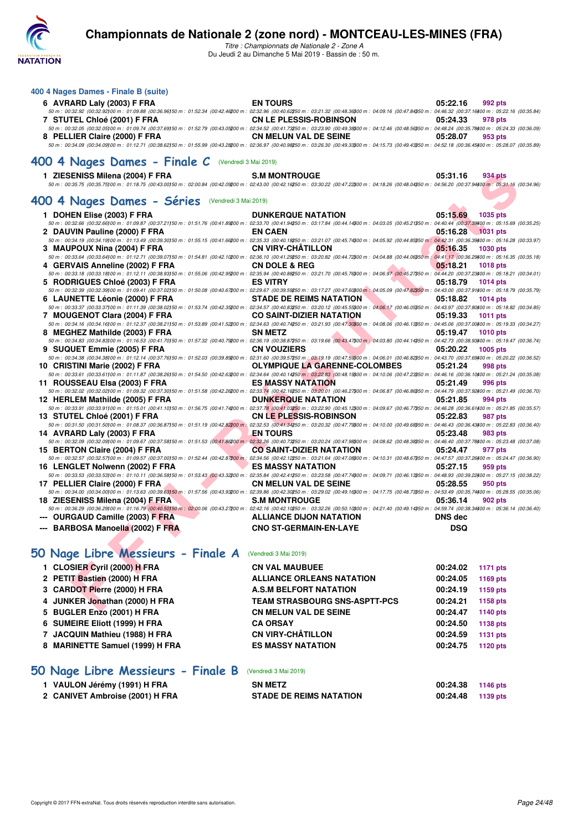

**400 4 Nages Dames - Finale B (suite)**

## **Championnats de Nationale 2 (zone nord) - MONTCEAU-LES-MINES (FRA)**

*Titre : Championnats de Nationale 2 - Zone A* Du Jeudi 2 au Dimanche 5 Mai 2019 - Bassin de : 50 m.

| 6 AVRARD Laly (2003) F FRA                                                                                                                                                                                                                                                              | <b>EN TOURS</b>                      | 05:22.16<br>992 pts         |
|-----------------------------------------------------------------------------------------------------------------------------------------------------------------------------------------------------------------------------------------------------------------------------------------|--------------------------------------|-----------------------------|
| 50 m : 00:32.92 (00:32.92)00 m : 01:09.88 (00:36.96)50 m : 01:52.34 (00:42.46200 m : 02:32.96 (00:40.62250 m : 03:21.32 (00:48.36300 m : 04:09.16 (00:47.84350 m : 04:03.716400 m : 05:22.16 (00:35.84)<br>7 STUTEL Chloé (2001) F FRA                                                  | <b>CN LE PLESSIS-ROBINSON</b>        | 05:24.33<br>978 pts         |
| 50 m : 00:32.05 (00:32.05)00 m : 01:09.74 (00:37.69)50 m : 01:52.79 (00:43.05200 m : 02:34.52 (00:41.73250 m : 03:23.90 (00:49.3800 m : 04:12.46 (00:48.56350 m : 04:48.24 (00:35.78)00 m : 05:24.33 (00:36.09)                                                                         |                                      |                             |
| 8 PELLIER Claire (2000) F FRA<br>$50\,m:\,00.34.09\,\,(00.34.09\,00\,m:\,01.12.71\,\,(00.38.62\,50\,m:\,01.55.99\,\,(00.43.282\,00\,m:\,02.36.97\,\,(00.40.982\,50\,m:\,03.26.30\,\,(00.49.333\,00\,m:\,04.15.73\,\,(00.49.433\,50\,m:\,04.52.18\,\,(00.36.45\,00\,m:\,05.28.07\,\,(00$ | <b>CN MELUN VAL DE SEINE</b>         | 05:28.07<br>953 pts         |
| 400 4 Nages Dames - Finale $C$ (Vendredi 3 Mai 2019)                                                                                                                                                                                                                                    |                                      |                             |
| 1 ZIESENISS Milena (2004) F FRA                                                                                                                                                                                                                                                         | <b>S.M MONTROUGE</b>                 | 05:31.16<br>934 pts         |
| 50 m : 00:35.75 (00:35.75)00 m : 01:18.75 (00:43.00)50 m : 02:00.84 (00:42.09200 m : 02:43.00 (00:42.16250 m : 03:30.22 (00:47.22)00 m : 04:18.26 (00:48.04)50 m : 04:56.20 (00:37.94400 m : 05:31.16 (00:34.96)                                                                        |                                      |                             |
| 400 4 Nages Dames - Séries (Vendredi 3 Mai 2019)                                                                                                                                                                                                                                        |                                      |                             |
| 1 DOHEN Elise (2003) F FRA<br>50 m : 00:32.66 (00:32.66)00 m : 01:09.87 (00:37.21)50 m : 01:51.76 (00:41.89200 m : 02:33.70 (00:41.94250 m : 03:17.84 (00:44.14300 m : 04:03.05 (00:45.21350 m : 04:40.44 (00:37.39400 m : 05:15.69 (00:35.25)                                          | <b>DUNKERQUE NATATION</b>            | 05:15.69<br>1035 pts        |
| 2 DAUVIN Pauline (2000) F FRA                                                                                                                                                                                                                                                           | <b>EN CAEN</b>                       | 05:16.28<br><b>1031 pts</b> |
| 50 m : 00:34.19 (00:34.19 (00:34.19)00 m : 01:13.49 (00:39.30)50 m : 01:55.15 (00:41.66200 m : 02:35.33 (00:40.16250 m : 03:21.07 (00:45.74300 m : 04:05.92 (00:44.85350 m : 04:03.17 (00:36.39400 m : 05:16.28 (00:33.97)                                                              | <b>CN VIRY-CHATILLON</b>             |                             |
| 3 MAUPOUX Nina (2004) F FRA<br>50 m : 00:33.64 (00:33.64100 m : 01:12.71 (00:39.07)50 m : 01:54.81 (00:42.1000 m : 02:36.10 (00:41.2905 m : 03:20.82 (00:44.7200 m : 04:04.88 (00:44.06)50 m : 04:41.17 (00:36.29)00 m : 05:16.35 (00:35.18)                                            |                                      | 05:16.35<br><b>1030 pts</b> |
| 4 GERVAIS Anneline (2002) F FRA                                                                                                                                                                                                                                                         | <b>CN DOLE &amp; REG</b>             | 05:18.21<br><b>1018 pts</b> |
| 50 m : 00:33.18 (00:33.18100 m : 01:12.11 (00:38.93150 m : 01:55.06 (00:42.95200 m : 02:35.94 (00:40.86250 m : 03:21.70 (00:45.76300 m : 04:06.97 (00:45.27350 m : 04:44.20 (00:37.23400 m : 05:18.21 (00:34.01)                                                                        | <b>ES VITRY</b>                      |                             |
| 5 RODRIGUES Chloé (2003) F FRA<br>50 m : 00:32.39 (00:32.39)00 m : 01:09.41 (00:37.02)50 m : 01:50.08 (00:40.67200 m : 02:29.67 (00:39.59250 m : 03:17.27 (00:47.60300 m : 04:05.09 (00:47.82350 m : 04:43.00 (00:37.91400 m : 05:18.79 (00:35.39)                                      |                                      | 05:18.79<br><b>1014 pts</b> |
| 6 LAUNETTE Léonie (2000) F FRA                                                                                                                                                                                                                                                          | <b>STADE DE REIMS NATATION</b>       | 05:18.82<br><b>1014 pts</b> |
| 50 m : 00:33.37 (00:33.37)00 m : 01:11.39 (00:38.02150 m : 01:53.74 (00:42.35200 m : 02:34.57 (00:40.83250 m : 03:20.12 (00:45.55300 m : 04:06.17 (00:46.05350 m : 04:43.97 (00:37.80400 m : 05:18.82 (00:34.85)<br>7 MOUGENOT Clara (2004) F FRA                                       | <b>CO SAINT-DIZIER NATATION</b>      | 05:19.33<br>1011 pts        |
| $50\,m:\,00.34.16\,\,(00.34.16)\\ 00\,m:\,01.12.37\,\,(00.38.21)\\ 50\,m:\,01.53.89\,\,(00.41.52200\,m:\,02.34.63\,\,(00.40.74250\,m:\,03.21.93\,\,(00.47.30300\,m:\,04.08.06\,\,(00.46.13350\,m:\,04.45.06\,\,(00.37.00400\,m:\,05.19.33\,\,(00.34.27)$                                |                                      |                             |
| 8 MEGHEZ Mathilde (2003) F FRA                                                                                                                                                                                                                                                          | <b>SN METZ</b>                       | 05:19.47<br><b>1010 pts</b> |
| 50 m : 00:34.83 (00:34.83)00 m : 01:16.53 (00:41.70)50 m : 01:57.32 (00:40.79200 m : 02:36.19 (00:38.87250 m : 03:19.66 (00:43.47200 m : 04:03.80 (00:44.14350 m : 04:42.73 (00:38.93400 m : 05:19.47 (00:36.74)<br>9 SUQUET Emmie (2005) F FRA                                         | <b>CN VOUZIERS</b>                   | 05:20.22<br>1005 pts        |
| 50 m : 00:34.38 (00:34.38) 00 m : 01:12.14 (00:37.76) 50 m : 01:52.03 (00:39.89200 m : 02:31.60 (00:39.57250 m : 03:19.19 (00:47.59300 m : 04:06.01 (00:46.82350 m : 04:43.70 (00:37.69400 m : 05:20.22 (00:36.52)                                                                      |                                      |                             |
| 10 CRISTINI Marie (2002) F FRA                                                                                                                                                                                                                                                          | <b>OLYMPIQUE LA GARENNE-COLOMBES</b> | 05:21.24<br>998 pts         |
| 50 m : 00:33.61 (00:33.61100 m : 01:11.87 (00:38.26150 m : 01:54.50 (00:42.63200 m : 02:34.64 (00:40.14250 m : 03:22.83 (00:48.19200 m : 04:10.06 (00:47.23350 m : 04:46.16 (00:36.10400 m : 05:21.24 (00:35.08)<br>11 ROUSSEAU Elsa (2003) F FRA                                       | <b>ES MASSY NATATION</b>             | 05:21.49<br>996 pts         |
| 50 m : 00:32.02 (00:32.02)00 m : 01:09.32 (00:37.30)50 m : 01:51.58 (00:42.26200 m : 02:33.74 (00:42.16250 m : 03:20.01 (00:46.27300 m : 04:06.87 (00:46.86350 m : 04:44.79 (00:37.92400 m : 05:21.49 (00:36.70)                                                                        |                                      |                             |
| 12 HERLEM Mathilde (2005) F FRA                                                                                                                                                                                                                                                         | <b>DUNKERQUE NATATION</b>            | 05:21.85<br>994 pts         |
| 50 m : 00:33.91 (00:33.91100 m : 01:15.01 (00:41.10150 m : 01:56.75 (00:41.74200 m : 02:37.78 (00:41.03250 m : 03:22.90 (00:45.12300 m : 04:09.67 (00:46.77350 m : 04:46.28 (00:36.61400 m : 05:21.85 (00:35.57)<br>13 STUTEL Chloé (2001) F FRA                                        | <b>CN LE PLESSIS-ROBINSON</b>        | 05:22.83<br>987 pts         |
| $50\,m:\,00.31.50\,(00.31.50)\\ 00\,m:\,01.08.37\,(00.36.87)\\ 50\,m:\,01.51.19\,(00.42.82\\ 00\,m:\,02.32.53\,(00.41.34\\ 250\,m:\,03.20.32\,(00.47.73\\ 900\,m:\,04.10.00\,(00.49.68\\ 950\,m:\,04.46.43\,(00.36.43)\\ 00.36.43\\ 900\,m:\,01.08.4$                                   |                                      |                             |
| 14 AVRARD Laly (2003) F FRA                                                                                                                                                                                                                                                             | <b>EN TOURS</b>                      | 05:23.48<br>983 pts         |
| 50 m : 00:32.09 (00:32.09)00 m : 01:09.67 (00:37.58)50 m : 01:51.53 (00:41.86200 m : 02:32.26 (00:40.73250 m : 03:20.24 (00:47.98300 m : 04:08.62 (00:48.38350 m : 04:46.40 (00:37.78400 m : 05:23.48 (00:37.08)<br>15 BERTON Claire (2004) F FRA                                       | <b>CO SAINT-DIZIER NATATION</b>      | 05:24.47<br>977 pts         |
| $50\,m:\,00.32.57\,(00.32.57)\\ 00\,m:\,01.09.57\,(00.37.00)\\ 50\,m:\,01.52.44\,(00.42.87\\ 00\,m:\,02.34.56\,(00.42.12\\ 50\,m:\,03.21.64\,(00.47.08\\ 900\,m:\,04.10.31\,(00.48.67\\ 950\,m:\,04.47.57\,(00.37.26\\ 900\,m:\,05.24.47\,(00.36.90)$                                   |                                      |                             |
| 16 LENGLET Nolwenn (2002) F FRA                                                                                                                                                                                                                                                         | <b>ES MASSY NATATION</b>             | 05:27.15<br>959 pts         |
| 50 m : 00:33.53 (00:33.53)00 m : 01:10.11 (00:36.58)50 m : 01:53.43 (00:43.32200 m : 02:35.84 (00:42.41250 m : 03:23.58 (00:47.74300 m : 04:09.71 (00:46.13350 m : 04:48.93 (00:39.22)00 m : 05:27.15 (00:38.22)<br>17 PELLIER Claire (2000) F FRA                                      | <b>CN MELUN VAL DE SEINE</b>         | 05:28.55<br>950 pts         |
| 50 m : 00:34.00 (00:34.00100 m : 01:13.63 (00:39.63150 m : 01:57.56 (00:43.93200 m : 02:39.86 (00:42.30250 m : 03:29.02 (00:49.16300 m : 04:17.75 (00:48.73350 m : 04:57.49 (00:35.7400 m : 05:28.55 (00:35.06)                                                                         |                                      |                             |
| 18 ZIESENISS Milena (2004) F FRA                                                                                                                                                                                                                                                        | <b>S.M MONTROUGE</b>                 | 05:36.14<br>902 pts         |
| 50 m : 00:36.29 (00:36.29100 m : 01:16.79 (00:40.50150 m : 02:00.06 (00:43.27200 m : 02:42.16 (00:42.1050 m : 03:32.26 (00:50.10000 m : 04:21.40 (00:49.14350 m : 04:59.74 (00:38.34400 m : 05:36.14 (00:38.34400 m : 05:36.14<br><b>OURGAUD Camille (2003) F FRA</b>                   | ALLIANCE DIJON NATATION              | <b>DNS</b> dec              |
| --- BARBOSA Manoella (2002) F FRA                                                                                                                                                                                                                                                       | <b>CNO ST-GERMAIN-EN-LAYE</b>        | <b>DSQ</b>                  |
|                                                                                                                                                                                                                                                                                         |                                      |                             |
| 50 Nage Libre Messieurs - Finale A                                                                                                                                                                                                                                                      | (Vendredi 3 Mai 2019)                |                             |
| 1 CLOSIER Cyril (2000) H FRA                                                                                                                                                                                                                                                            | <b>CN VAL MAUBUEE</b>                | 00:24.02<br><b>1171 pts</b> |
| 2 PETIT Bastien (2000) H FRA                                                                                                                                                                                                                                                            | <b>ALLIANCE ORLEANS NATATION</b>     | 00:24.05<br>1169 pts        |
| 3 CARDOT Pierre (2000) H FRA                                                                                                                                                                                                                                                            | <b>A.S.M BELFORT NATATION</b>        | 00:24.19<br>1159 pts        |
| 4 JUNKER Jonathan (2000) H FRA                                                                                                                                                                                                                                                          | <b>TEAM STRASBOURG SNS-ASPTT-PCS</b> | 00:24.21<br>1158 pts        |
| <b>DUOLED FALL (0004) U FBA</b>                                                                                                                                                                                                                                                         | ON MELIIN VAL BE OFINE               | 00.01.17<br>$-4.4.80$       |

## **[50 Nage Libre Messieurs - Finale A](http://www.ffnatation.fr/webffn/resultats.php?idact=nat&go=epr&idcpt=59365&idepr=51)** (Vendredi 3 Mai 2019)

| 1 CLOSIER Cyril (2000) H FRA    | <b>CN VAL MAUBUEE</b>                | 00:24.02 | <b>1171 pts</b> |
|---------------------------------|--------------------------------------|----------|-----------------|
| 2 PETIT Bastien (2000) H FRA    | <b>ALLIANCE ORLEANS NATATION</b>     | 00:24.05 | 1169 pts        |
| 3 CARDOT Pierre (2000) H FRA    | <b>A.S.M BELFORT NATATION</b>        | 00:24.19 | 1159 pts        |
| 4 JUNKER Jonathan (2000) H FRA  | <b>TEAM STRASBOURG SNS-ASPTT-PCS</b> | 00:24.21 | 1158 pts        |
| 5 BUGLER Enzo (2001) H FRA      | <b>CN MELUN VAL DE SEINE</b>         | 00:24.47 | 1140 pts        |
| 6 SUMEIRE Eliott (1999) H FRA   | <b>CA ORSAY</b>                      | 00:24.50 | 1138 pts        |
| 7 JACQUIN Mathieu (1988) H FRA  | <b>CN VIRY-CHÂTILLON</b>             | 00:24.59 | 1131 pts        |
| 8 MARINETTE Samuel (1999) H FRA | <b>ES MASSY NATATION</b>             | 00:24.75 | 1120 pts        |
|                                 |                                      |          |                 |

## **[50 Nage Libre Messieurs - Finale B](http://www.ffnatation.fr/webffn/resultats.php?idact=nat&go=epr&idcpt=59365&idepr=51)** (Vendredi 3 Mai 2019)

| 1 VAULON Jérémy (1991) H FRA    | <b>SN METZ</b>                 | 00:24.38 1146 pts |  |
|---------------------------------|--------------------------------|-------------------|--|
| 2 CANIVET Ambroise (2001) H FRA | <b>STADE DE REIMS NATATION</b> | 00:24.48 1139 pts |  |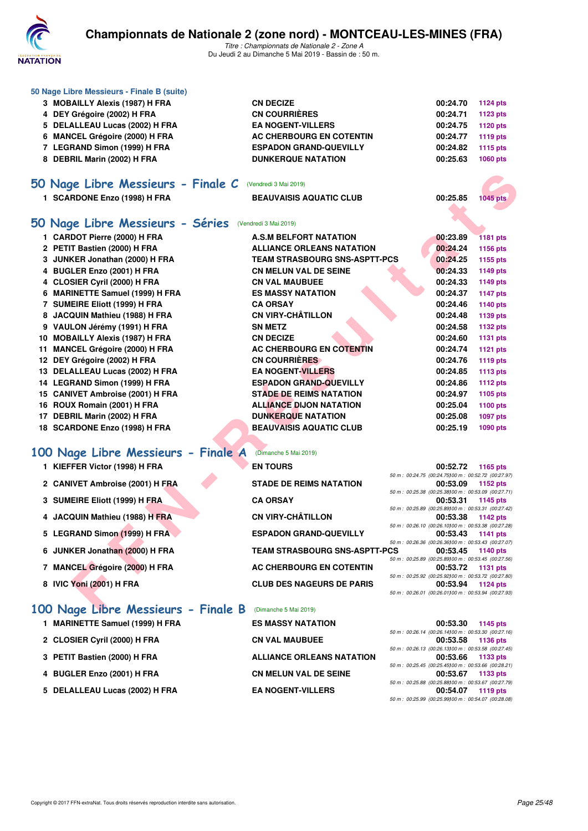

*Titre : Championnats de Nationale 2 - Zone A* Du Jeudi 2 au Dimanche 5 Mai 2019 - Bassin de : 50 m.

| 50 Nage Libre Messieurs - Finale B (suite)                      |                                              |                                                                                                                            |                             |
|-----------------------------------------------------------------|----------------------------------------------|----------------------------------------------------------------------------------------------------------------------------|-----------------------------|
| 3 MOBAILLY Alexis (1987) H FRA                                  | <b>CN DECIZE</b>                             | 00:24.70                                                                                                                   | <b>1124 pts</b>             |
| 4 DEY Grégoire (2002) H FRA                                     | <b>CN COURRIÈRES</b>                         | 00:24.71                                                                                                                   | 1123 pts                    |
| 5 DELALLEAU Lucas (2002) H FRA                                  | <b>EA NOGENT-VILLERS</b>                     | 00:24.75                                                                                                                   | <b>1120 pts</b>             |
| 6 MANCEL Grégoire (2000) H FRA                                  | AC CHERBOURG EN COTENTIN                     | 00:24.77                                                                                                                   | 1119 pts                    |
| 7 LEGRAND Simon (1999) H FRA                                    | <b>ESPADON GRAND-QUEVILLY</b>                | 00:24.82                                                                                                                   | 1115 pts                    |
| 8 DEBRIL Marin (2002) H FRA                                     | <b>DUNKERQUE NATATION</b>                    | 00:25.63                                                                                                                   | <b>1060 pts</b>             |
| 50 Nage Libre Messieurs - Finale C                              | (Vendredi 3 Mai 2019)                        |                                                                                                                            |                             |
| 1 SCARDONE Enzo (1998) H FRA                                    | <b>BEAUVAISIS AQUATIC CLUB</b>               | 00:25.85                                                                                                                   | <b>1045 pts</b>             |
|                                                                 |                                              |                                                                                                                            |                             |
| 50 Nage Libre Messieurs - Séries                                | (Vendredi 3 Mai 2019)                        |                                                                                                                            |                             |
| 1 CARDOT Pierre (2000) H FRA                                    | <b>A.S.M BELFORT NATATION</b>                | 00:23.89                                                                                                                   | <b>1181 pts</b>             |
| 2 PETIT Bastien (2000) H FRA                                    | <b>ALLIANCE ORLEANS NATATION</b>             | 00:24.24                                                                                                                   | 1156 pts                    |
| 3 JUNKER Jonathan (2000) H FRA                                  | <b>TEAM STRASBOURG SNS-ASPTT-PCS</b>         | 00:24.25                                                                                                                   | 1155 pts                    |
| 4 BUGLER Enzo (2001) H FRA                                      | <b>CN MELUN VAL DE SEINE</b>                 | 00:24.33                                                                                                                   | 1149 pts                    |
| 4 CLOSIER Cyril (2000) H FRA                                    | <b>CN VAL MAUBUEE</b>                        | 00:24.33                                                                                                                   | 1149 pts                    |
| 6 MARINETTE Samuel (1999) H FRA                                 | <b>ES MASSY NATATION</b>                     | 00:24.37                                                                                                                   | <b>1147 pts</b>             |
| 7 SUMEIRE Eliott (1999) H FRA                                   | <b>CA ORSAY</b>                              | 00:24.46                                                                                                                   | 1140 pts                    |
| 8 JACQUIN Mathieu (1988) H FRA                                  | <b>CN VIRY-CHÂTILLON</b>                     | 00:24.48                                                                                                                   | 1139 pts                    |
| 9 VAULON Jérémy (1991) H FRA                                    | <b>SN METZ</b>                               | 00:24.58                                                                                                                   | 1132 pts                    |
| 10 MOBAILLY Alexis (1987) H FRA                                 | <b>CN DECIZE</b><br>AC CHERBOURG EN COTENTIN | 00:24.60<br>00:24.74                                                                                                       | 1131 pts                    |
| 11 MANCEL Grégoire (2000) H FRA<br>12 DEY Grégoire (2002) H FRA | <b>CN COURRIÈRES</b>                         | 00:24.76                                                                                                                   | <b>1121 pts</b><br>1119 pts |
| 13 DELALLEAU Lucas (2002) H FRA                                 | <b>EA NOGENT-VILLERS</b>                     | 00:24.85                                                                                                                   | 1113 pts                    |
| 14 LEGRAND Simon (1999) H FRA                                   | <b>ESPADON GRAND-QUEVILLY</b>                | 00:24.86                                                                                                                   | <b>1112 pts</b>             |
| 15 CANIVET Ambroise (2001) H FRA                                | <b>STADE DE REIMS NATATION</b>               | 00:24.97                                                                                                                   | 1105 pts                    |
| 16 ROUX Romain (2001) H FRA                                     | <b>ALLIANCE DIJON NATATION</b>               | 00:25.04                                                                                                                   | 1100 pts                    |
| 17 DEBRIL Marin (2002) H FRA                                    | <b>DUNKERQUE NATATION</b>                    | 00:25.08                                                                                                                   | 1097 pts                    |
| 18 SCARDONE Enzo (1998) H FRA                                   | <b>BEAUVAISIS AQUATIC CLUB</b>               | 00:25.19                                                                                                                   | 1090 pts                    |
|                                                                 |                                              |                                                                                                                            |                             |
| 100 Nage Libre Messieurs - Finale A                             | (Dimanche 5 Mai 2019)                        |                                                                                                                            |                             |
| 1 KIEFFER Victor (1998) H FRA                                   | <b>EN TOURS</b>                              | 00:52.72<br>50 m: 00:24.75 (00:24.75100 m: 00:52.72 (00:27.97)                                                             | 1165 pts                    |
| 2 CANIVET Ambroise (2001) H FRA                                 | <b>STADE DE REIMS NATATION</b>               | 00:53.09                                                                                                                   | 1152 pts                    |
|                                                                 | <b>CA ORSAY</b>                              | 50 m : 00:25.38 (00:25.38) 00 m : 00:53.09 (00:27.71)<br>00:53.31                                                          |                             |
| 3 SUMEIRE Eliott (1999) H FRA                                   |                                              | 50 m : 00:25.89 (00:25.89) 00 m : 00:53.31 (00:27.42)                                                                      | 1145 pts                    |
| 4 JACQUIN Mathieu (1988) H FRA                                  | <b>CN VIRY-CHÂTILLON</b>                     | 00:53.38                                                                                                                   | 1142 pts                    |
| 5 LEGRAND Simon (1999) H FRA                                    | <b>ESPADON GRAND-QUEVILLY</b>                | 50 m : 00:26.10 (00:26.10)00 m : 00:53.38 (00:27.28)<br>00:53.43                                                           | <b>1141 pts</b>             |
| 6 JUNKER Jonathan (2000) H FRA                                  | <b>TEAM STRASBOURG SNS-ASPTT-PCS</b>         | 50 m : 00:26.36 (00:26.36) 00 m : 00:53.43 (00:27.07)<br>00:53.45                                                          | 1140 pts                    |
| 7 MANCEL Grégoire (2000) H FRA                                  | AC CHERBOURG EN COTENTIN                     | 50 m : 00:25.89 (00:25.89) 00 m : 00:53.45 (00:27.56)<br>00:53.72                                                          | <b>1131 pts</b>             |
| 8 IVIC Yoni (2001) H FRA                                        | <b>CLUB DES NAGEURS DE PARIS</b>             | 50 m : 00:25.92 (00:25.92) 00 m : 00:53.72 (00:27.80)<br>00:53.94                                                          | 1124 pts                    |
|                                                                 |                                              | 50 m : 00:26.01 (00:26.01100 m : 00:53.94 (00:27.93)                                                                       |                             |
| 100 Nage Libre Messieurs - Finale B                             | (Dimanche 5 Mai 2019)                        |                                                                                                                            |                             |
| 1 MARINETTE Samuel (1999) H FRA                                 | <b>ES MASSY NATATION</b>                     | 00:53.30                                                                                                                   | 1145 pts                    |
| 2 CLOSIER Cyril (2000) H FRA                                    | <b>CN VAL MAUBUEE</b>                        | 50 m : 00:26.14 (00:26.14)00 m : 00:53.30 (00:27.16)<br>00:53.58                                                           | 1136 pts                    |
| 3 PETIT Bastien (2000) H FRA                                    | <b>ALLIANCE ORLEANS NATATION</b>             | 50 m : 00:26.13 (00:26.13) 00 m : 00:53.58 (00:27.45)<br>00:53.66                                                          | 1133 pts                    |
| 4 BUGLER Enzo (2001) H FRA                                      | <b>CN MELUN VAL DE SEINE</b>                 | 50 m : 00:25.45 (00:25.45) 00 m : 00:53.66 (00:28.21)<br>00:53.67<br>50 m : 00:25.88 (00:25.88) 00 m : 00:53.67 (00:27.79) | 1133 pts                    |
| 5 DELALLEAU Lucas (2002) H FRA                                  | <b>EA NOGENT-VILLERS</b>                     | 00:54.07                                                                                                                   | 1119 pts                    |

*50 m : 00:25.99 (00:25.99)100 m : 00:54.07 (00:28.08)*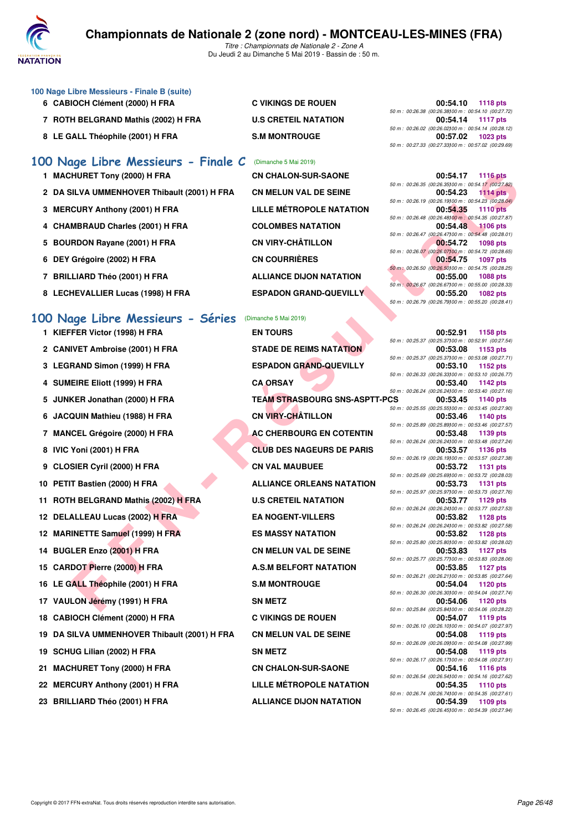

*Titre : Championnats de Nationale 2 - Zone A* Du Jeudi 2 au Dimanche 5 Mai 2019 - Bassin de : 50 m.

#### **100 Nage Libre Messieurs - Finale B (suite)**

- 
- **7 ROTH BELGRAND Mathis (2002) H FRA U.S CRETEIL NATATION 00:54.14 1117 pts**
- 8 LE GALL Théophile (2001) H FRA S.M MONTROUGE

## **[100 Nage Libre Messieurs - Finale C](http://www.ffnatation.fr/webffn/resultats.php?idact=nat&go=epr&idcpt=59365&idepr=52)** (Dimanche 5 Mai 2019)

- 1 MACHURET Tony (2000) H FRA **CN CHALON-SUR-SAONE**
- 2 DA SILVA UMMENHOVER Thibault (2001) H FRA CN MELUN VAL DE SEINE
- **3 MERCURY Anthony (2001) H FRA LILLE MÉTROPOLE NATATION**
- 4 CHAMBRAUD Charles (2001) H FRA COLOMBES NATATION
- 5 BOURDON Rayane (2001) H FRA **CN VIRY-CHÂTILLON**
- **6 DEY Grégoire (2002) H FRA CN COURRIÈRES**
- **7 BRILLIARD Théo (2001) H FRA ALLIANCE DIJON NATATION**
- 8 LECHEVALLIER Lucas (1998) H FRA **ESPADON GRAND-QUEVILLY**

## **[100 Nage Libre Messieurs - Séries](http://www.ffnatation.fr/webffn/resultats.php?idact=nat&go=epr&idcpt=59365&idepr=52)** (Dimanche 5 Mai 2019)

- 
- 
- 
- 
- 
- 
- 
- 
- 
- 
- **11 ROTH BELGRAND Mathis (2002) H FRA U.S CRETEIL NATATION 00:53.77 1129 pts**
- 
- 
- 
- 
- 
- 17 VAULON Jérémy (1991) H FRA SN METZ
- 
- **19 DA SILVA UMMENHOVER Thibault (2001) H FRA CN MELUN VAL DE SEINE 00:54.08 1119 pts**
- 
- 
- 
- **23 BRILLIARD Théo (2001) H FRA ALLIANCE DIJON NATATION**
- 
- 

EVIN (2000) H FRA CALOR STANDOR BRADIMERT TOWER AND COLUMBER TOWER TO USE A TRANSPORT ON A TRANSPORT ON THE SAME OF THE SAME OF THE SAME ONE OF THE SAME OF THE SAME OF THE SAME OF THE SAME OF THE SAME OF THE SAME OF THE SA **2 CANIVET Ambroise (2001) H FRA STADE DE REIMS NATATION 00:53.08 1153 pts 3 LEGRAND Simon (1999) H FRA ESPADON GRAND-QUEVILLY 00:53.10 1152 pts 4 SUMEIRE Eliott (1999) H FRA CA ORSAY 00:53.40 1142 pts 5 JUNKER Jonathan (2000) H FRA TEAM STRASBOURG SNS-ASPTT-PCS 00:53.45 1140 pts 6 JACQUIN Mathieu (1988) H FRA CN VIRY-CHÂTILLON 00:53.46 1140 pts 7 MANCEL Grégoire (2000) H FRA AC CHERBOURG EN COTENTIN 00:53.48 1139 pts 8 IVIC Yoni (2001) H FRA CLUB DES NAGEURS DE PARIS 00:53.57 1136 pts 9 CLOSIER Cyril (2000) H FRA CN VAL MAUBUEE 00:53.72 1131 pts 10 PETIT Bastien (2000) H FRA ALLIANCE ORLEANS NATATION** 00:53.73 **1131** pts **12 DELALLEAU Lucas (2002) H FRA EA NOGENT-VILLERS DELALLEAU LUCAS (2003) H FRA** EA NOGENT-VILLERS **100:53.82** 1128 pts **12 MARINETTE Samuel (1999) H FRA ES MASSY NATATION 00:53.82 1128 pts 14 BUGLER Enzo (2001) H FRA CN MELUN VAL DE SEINE 00:53.83 1127 pts 15 CARDOT Pierre (2000) H FRA A.S.M BELFORT NATATION 60:53.85 1127 pts 16 LE GALL Théophile (2001) H FRA S.M MONTROUGE 60:54.04 1120 pts 18 CABIOCH Clément (2000) H FRA C VIKINGS DE ROUEN 00:54.07 1119 pts 19 SCHUG Lilian (2002) H FRA SN METZ 00:54.08 1119 pts 21 MACHURET Tony (2000) H FRA CN CHALON-SUR-SAONE 00:54.16 1116 pts 22 MERCURY Anthony (2001) H FRA LILLE MÉTROPOLE NATATION 00:54.35 1110 pts**

**6 CABIOCH Clément (2000) H FRA C VIKINGS DE ROUEN 00:54.10 1118 pts** *50 m : 00:26.38 (00:26.38)100 m : 00:54.10 (00:27.72) 50 m : 00:26.02 (00:26.02)100 m : 00:54.14 (00:28.12) 50 m : 00:27.33 (00:27.33)100 m : 00:57.02 (00:29.69)*

|  | 00:54.17 1116 pts                                    |
|--|------------------------------------------------------|
|  | 50 m : 00:26.35 (00:26.35100 m : 00:54.17 (00:27.82) |
|  | 00:54.23 1114 pts                                    |
|  | 50 m : 00:26.19 (00:26.19100 m : 00:54.23 (00:28.04) |
|  | 00:54.35 1110 pts                                    |
|  | 50 m: 00:26.48 (00:26.48100 m: 00:54.35 (00:27.87)   |
|  | 00:54.48 1106 pts                                    |
|  | 50 m: 00:26.47 (00:26.47100 m: 00:54.48 (00:28.01)   |
|  | 00:54.72 1098 pts                                    |
|  | 50 m : 00:26.07 (00:26.07100 m : 00:54.72 (00:28.65) |
|  | 00:54.75 1097 pts                                    |
|  | 50 m : 00:26.50 (00:26.50100 m : 00:54.75 (00:28.25) |
|  | 00:55.00 1088 pts                                    |
|  | 50 m: 00:26.67 (00:26.67100 m: 00:55.00 (00:28.33)   |
|  | 00:55.20 1082 pts                                    |
|  | 50 m: 00:26.79 (00:26.79100 m: 00:55.20 (00:28.41)   |

**1 KIEFFER Victor (1998) H FRA EN TOURS 00:52.91 1158 pts** *50 m : 00:25.37 (00:25.37)100 m : 00:52.91 (00:27.54) 50 m : 00:25.37 (00:25.37)100 m : 00:53.08 (00:27.71) 50 m : 00:26.33 (00:26.33)100 m : 00:53.10 (00:26.77) 50 m : 00:26.24 (00:26.24)100 m : 00:53.40 (00:27.16) 50 m : 00:25.55 (00:25.55)100 m : 00:53.45 (00:27.90) 50 m : 00:25.89 (00:25.89)100 m : 00:53.46 (00:27.57) 50 m : 00:26.24 (00:26.24)100 m : 00:53.48 (00:27.24) 50 m : 00:26.19 (00:26.19)100 m : 00:53.57 (00:27.38) 50 m : 00:25.69 (00:25.69)100 m : 00:53.72 (00:28.03) 50 m : 00:25.97 (00:25.97)100 m : 00:53.73 (00:27.76) 50 m : 00:26.24 (00:26.24)100 m : 00:53.77 (00:27.53) 50 m : 00:26.24 (00:26.24)100 m : 00:53.82 (00:27.58) 50 m : 00:25.80 (00:25.80)100 m : 00:53.82 (00:28.02) 50 m : 00:25.77 (00:25.77)100 m : 00:53.83 (00:28.06) 50 m : 00:26.21 (00:26.21)100 m : 00:53.85 (00:27.64) 50 m : 00:26.30 (00:26.30)100 m : 00:54.04 (00:27.74) 50 m : 00:25.84 (00:25.84)100 m : 00:54.06 (00:28.22) 50 m : 00:26.10 (00:26.10)100 m : 00:54.07 (00:27.97) 50 m : 00:26.09 (00:26.09)100 m : 00:54.08 (00:27.99) 50 m : 00:26.17 (00:26.17)100 m : 00:54.08 (00:27.91) 50 m : 00:26.54 (00:26.54)100 m : 00:54.16 (00:27.62) 50 m : 00:26.74 (00:26.74)100 m : 00:54.35 (00:27.61) 50 m : 00:26.45 (00:26.45)100 m : 00:54.39 (00:27.94)*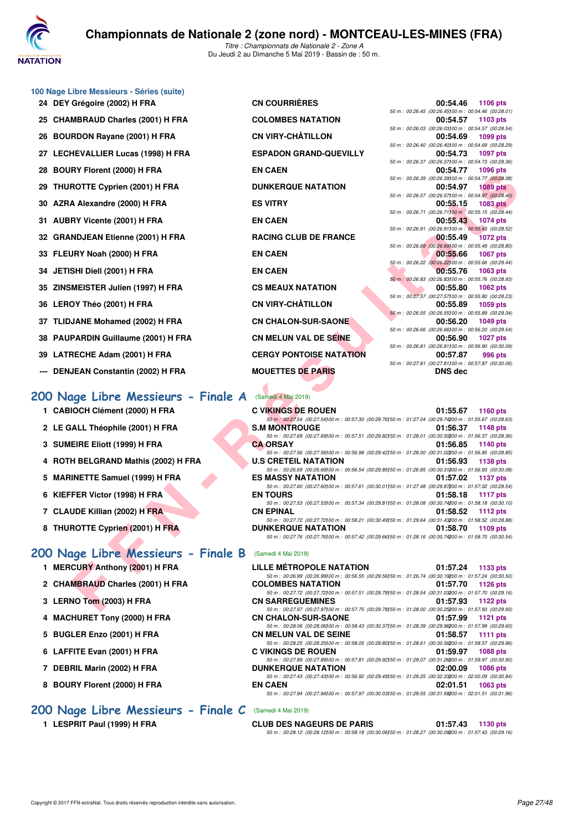

| 24 DEY Grégoire (2002) H FRA        | <b>CN COURRIERES</b>           | 00:54.46<br>1106 pts                                                       |
|-------------------------------------|--------------------------------|----------------------------------------------------------------------------|
| 25 CHAMBRAUD Charles (2001) H FRA   | <b>COLOMBES NATATION</b>       | 50 m : 00:26.45 (00:26.45) 00 m : 00:54.46 (00:28.<br>00:54.57<br>1103 pts |
|                                     |                                | 50 m : 00:26.03 (00:26.03) 00 m : 00:54.57 (00:28.                         |
| 26 BOURDON Rayane (2001) H FRA      | <b>CN VIRY-CHÂTILLON</b>       | 1099 pts<br>00:54.69                                                       |
| 27 LECHEVALLIER Lucas (1998) H FRA  | <b>ESPADON GRAND-QUEVILLY</b>  | 50 m : 00:26.40 (00:26.40) 00 m : 00:54.69 (00:28.<br>00:54.73<br>1097 pts |
|                                     |                                | 50 m: 00:26.37 (00:26.37) 00 m: 00:54.73 (00:28.                           |
| 28 BOURY Florent (2000) H FRA       | <b>EN CAEN</b>                 | 00:54.77<br>1096 pts                                                       |
|                                     |                                | 50 m : 00:26.39 (00:26.39) 00 m : 00:54.77 (00:28.                         |
| 29 THUROTTE Cyprien (2001) H FRA    | <b>DUNKERQUE NATATION</b>      | 00:54.97<br><b>1089 pts</b>                                                |
|                                     |                                | 50 m : 00:26.57 (00:26.57) 00 m : 00:54.97 (00:28.                         |
| 30 AZRA Alexandre (2000) H FRA      | <b>ES VITRY</b>                | 00:55.15<br>1083 pts                                                       |
|                                     | <b>EN CAEN</b>                 | 50 m : 00:26.71 (00:26.71100 m : 00:55.15 (00:28.                          |
| 31 AUBRY Vicente (2001) H FRA       |                                | 00:55.43 1074 pts<br>50 m : 00:26.91 (00:26.91100 m : 00:55.43 (00:28.     |
| 32 GRANDJEAN Etienne (2001) H FRA   | <b>RACING CLUB DE FRANCE</b>   | 00:55.49<br><b>1072 pts</b>                                                |
|                                     |                                | 50 m : 00:26.69 (00:26.69100 m : 00:55.49 (00:28.                          |
| 33 FLEURY Noah (2000) H FRA         | <b>EN CAEN</b>                 | 00:55.66<br>1067 pts                                                       |
|                                     |                                | 50 m : 00:26.22 (00:26.22) 00 m : 00:55.66 (00:29.                         |
| 34 JETISHI Diell (2001) H FRA       | <b>EN CAEN</b>                 | 00:55.76<br>1063 pts                                                       |
|                                     |                                | 50 m : 00:26.83 (00:26.83100 m : 00:55.76 (00:28.                          |
| 35 ZINSMEISTER Julien (1997) H FRA  | <b>CS MEAUX NATATION</b>       | 00:55.80<br>1062 pts                                                       |
|                                     |                                | 50 m: 00:27.57 (00:27.57) 00 m: 00:55.80 (00:28.                           |
| 36 LEROY Théo (2001) H FRA          | <b>CN VIRY-CHÂTILLON</b>       | 00:55.89<br>1059 pts<br>50 m : 00:26.55 (00:26.55) 00 m : 00:55.89 (00:29. |
| 37 TLIDJANE Mohamed (2002) H FRA    | <b>CN CHALON-SUR-SAONE</b>     | 00:56.20<br>1049 pts                                                       |
|                                     |                                | 50 m : 00:26.66 (00:26.66100 m : 00:56.20 (00:29.                          |
| 38 PAUPARDIN Guillaume (2001) H FRA | <b>CN MELUN VAL DE SEINE</b>   | 00:56.90<br>1027 pts                                                       |
|                                     |                                | 50 m : 00:26.81 (00:26.81100 m : 00:56.90 (00:30.                          |
| 39 LATRECHE Adam (2001) H FRA       | <b>CERGY PONTOISE NATATION</b> | 00:57.87<br>996 pts                                                        |
|                                     |                                | 50 m: 00:27.81 (00:27.81100 m: 00:57.87 (00:30.                            |
| --- DENJEAN Constantin (2002) H FRA | <b>MOUETTES DE PARIS</b>       | <b>DNS</b> dec                                                             |
|                                     |                                |                                                                            |

**100 Nage Libre Messieurs - Séries (suite)**

# **[200 Nage Libre Messieurs - Finale A](http://www.ffnatation.fr/webffn/resultats.php?idact=nat&go=epr&idcpt=59365&idepr=53)** (Samedi 4 Mai 2019)

- **1 CABIOCH Clément (2000) H FRA**
- 2 LE GALL Théophile (2001) H FRA
- **3 SUMEIRE Eliott (1999) H FRA**
- **4 ROTH BELGRAND Mathis (2002) H FRA**
- 5 MARINETTE Samuel (1999) H FRA
- **6 KIEFFER Victor (1998) H FRA**
- **7 CLAUDE Killian (2002) H FRA**
- **8 THUROTTE Cyprien (2001) H FRA**

## **[200 Nage Libre Messieurs - Finale B](http://www.ffnatation.fr/webffn/resultats.php?idact=nat&go=epr&idcpt=59365&idepr=53)** (Samedi 4 Mai 2019)

- **1 MERCURY Anthony (2001) H FRA LILLE METROPOLE NATATION 01:47.24 PTS**
- 2 CHAMBRAUD Charles (2001) H FRA **COLOMBES 1**
- **3 LERNO Tom (2003) H FRA CONSIDERING 01:57.93**
- **4 MACHURET Tony (2000) H FRA CN CHALON-SUR-SAONE 01:57.99 1121 pts**
- **5 BUGLER Enzo (2001) H FRA CONSUMING CONTROL**
- **6 LAFFITE Evan (2001) H FRA C**
- **7 DEBRIL Marin (2002) H FRA DEBRIL Marin (2002)**
- **8 BOURY Florent (2000) H FRA CALCE BOURY FLORENT BEATHER**

## **[200 Nage Libre Messieurs - Finale C](http://www.ffnatation.fr/webffn/resultats.php?idact=nat&go=epr&idcpt=59365&idepr=53)** (Samedi 4 Mai 2019)

| <b>CN COURRIÈRES</b>           |
|--------------------------------|
| <b>COLOMBES NATATION</b>       |
| CN VIRY-CHÂTILLON              |
| <b>ESPADON GRAND-QUEVILLY</b>  |
| <b>EN CAEN</b>                 |
| <b>DUNKERQUE NATATION</b>      |
| <b>ES VITRY</b>                |
| <b>EN CAEN</b>                 |
| <b>RACING CLUB DE FRANCE</b>   |
| <b>EN CAEN</b>                 |
| <b>EN CAEN</b>                 |
| <b>CS MEAUX NATATION</b>       |
| CN VIRY-CHÂTILLON              |
| <b>CN CHALON-SUR-SAONE</b>     |
| CN MELUN VAL DE S <b>EIN</b> E |
| <b>CERGY PONTOISE NATATION</b> |
| <b>MOUETTES DE PARIS</b>       |
|                                |

|                                                       |                | 00:54.46 1106 pts |
|-------------------------------------------------------|----------------|-------------------|
| 50 m : 00:26.45 (00:26.45) 00 m : 00:54.46 (00:28.01) |                |                   |
|                                                       |                | 00:54.57 1103 pts |
| 50 m: 00:26.03 (00:26.03100 m: 00:54.57 (00:28.54)    |                |                   |
|                                                       |                | 00:54.69 1099 pts |
| 50 m : 00:26.40 (00:26.40) 00 m : 00:54.69 (00:28.29) |                |                   |
|                                                       |                | 00:54.73 1097 pts |
| 50 m: 00:26.37 (00:26.37) 00 m: 00:54.73 (00:28.36)   |                |                   |
|                                                       |                | 00:54.77 1096 pts |
| 50 m : 00:26.39 (00:26.39100 m : 00:54.77 (00:28.38)  |                |                   |
|                                                       |                | 00:54.97 1089 pts |
| 50 m : 00:26.57 (00:26.57) 00 m : 00:54.97 (00:28.40) |                |                   |
|                                                       |                | 00:55.15 1083 pts |
| 50 m : 00:26.71 (00:26.71100 m : 00:55.15 (00:28.44)  |                |                   |
|                                                       |                | 00:55.43 1074 pts |
| 50 m: 00:26.91 (00:26.91100 m: 00:55.43 (00:28.52)    |                |                   |
|                                                       |                | 00:55.49 1072 pts |
| 50 m: 00:26.69 (00:26.69100 m: 00:55.49 (00:28.80)    |                |                   |
|                                                       |                | 00:55.66 1067 pts |
| 50 m : 00:26.22 (00:26.22) 00 m : 00:55.66 (00:29.44) |                |                   |
|                                                       |                | 00:55.76 1063 pts |
| 50 m : 00:26.83 (00:26.83100 m : 00:55.76 (00:28.93)  |                |                   |
|                                                       |                | 00:55.80 1062 pts |
| 50 m: 00:27.57 (00:27.57100 m: 00:55.80 (00:28.23)    |                |                   |
|                                                       | 00:55.89       | 1059 pts          |
| 50 m : 00:26.55 (00:26.55100 m : 00:55.89 (00:29.34)  |                |                   |
|                                                       |                | 00:56.20 1049 pts |
| 50 m : 00:26.66 (00:26.66) 00 m : 00:56.20 (00:29.54) |                |                   |
|                                                       |                |                   |
|                                                       | 00:56.90       | <b>1027 pts</b>   |
| 50 m : 00:26.81 (00:26.81100 m : 00:56.90 (00:30.09)  |                |                   |
|                                                       | 00:57.87       | <b>996 pts</b>    |
| 50 m : 00:27.81 (00:27.81100 m : 00:57.87 (00:30.06)  |                |                   |
|                                                       | <b>DNS</b> dec |                   |

| n i Fiuleill (2000) II FNA                         | EN VAEN                        | 00.04.77 1030 DIS                                                                                                                         |
|----------------------------------------------------|--------------------------------|-------------------------------------------------------------------------------------------------------------------------------------------|
| ROTTE Cyprien (2001) H FRA                         | <b>DUNKERQUE NATATION</b>      | 50 m : 00:26.39 (00:26.39100 m : 00:54.77 (00:28.38)<br>00:54.97<br><b>1089 pts</b>                                                       |
| A Alexandre (2000) H FRA                           | <b>ES VITRY</b>                | 50 m : 00:26.57 (00:26.57) 00 m : 00:54.97 (00:28.40)<br>00:55.15<br>1083 pts                                                             |
|                                                    |                                | 50 m : 00:26.71 (00:26.71100 m : 00:55.15 (00:28.44)                                                                                      |
| RY Vicente (2001) H FRA                            | <b>EN CAEN</b>                 | 00:55.43<br>1074 pts                                                                                                                      |
|                                                    |                                | 50 m: 00:26.91 (00:26.91100 m: 00:55.43 (00:28.52)                                                                                        |
| NDJEAN Etienne (2001) H FRA                        | <b>RACING CLUB DE FRANCE</b>   | 00:55.49<br><b>1072 pts</b>                                                                                                               |
| JRY Noah (2000) H FRA                              | <b>EN CAEN</b>                 | 50 m : 00:26.69 (00:26.69) 00 m : 00:55.49 (00:28.80)<br>00:55.66<br><b>1067 pts</b>                                                      |
| SHI Diell (2001) H FRA                             | <b>EN CAEN</b>                 | 50 m : 00:26.22 (00:26.22) 00 m : 00:55.66 (00:29.44)<br>00:55.76<br>1063 pts                                                             |
|                                                    |                                | 50 m : 00:26.83 (00:26.83) 00 m : 00:55.76 (00:28.93)                                                                                     |
| MEISTER Julien (1997) H FRA                        | <b>CS MEAUX NATATION</b>       | 00:55.80<br><b>1062 pts</b>                                                                                                               |
|                                                    | <b>CN VIRY-CHÂTILLON</b>       | 50 m : 00:27.57 (00:27.57)00 m : 00:55.80 (00:28.23)                                                                                      |
| OY Théo (2001) H FRA                               |                                | 00:55.89<br>1059 pts<br>50 m : 00:26.55 (00:26.55) 00 m : 00:55.89 (00:29.34)                                                             |
| JANE Mohamed (2002) H FRA                          | <b>CN CHALON-SUR-SAONE</b>     | 00:56.20<br>1049 pts                                                                                                                      |
|                                                    |                                | 50 m : 00:26.66 (00:26.66) 00 m : 00:56.20 (00:29.54)                                                                                     |
| PARDIN Guillaume (2001) H FRA                      | <b>CN MELUN VAL DE SEINE</b>   | 00:56.90<br><b>1027 pts</b>                                                                                                               |
|                                                    |                                | 50 m : 00:26.81 (00:26.81100 m : 00:56.90 (00:30.09)                                                                                      |
| RECHE Adam (2001) H FRA                            | <b>CERGY PONTOISE NATATION</b> | 00:57.87<br>996 pts<br>50 m : 00:27.81 (00:27.81)00 m : 00:57.87 (00:30.06)                                                               |
| JEAN Constantin (2002) H FRA                       | <b>MOUETTES DE PARIS</b>       | <b>DNS</b> dec                                                                                                                            |
|                                                    |                                |                                                                                                                                           |
|                                                    | (Samedi 4 Mai 2019)            |                                                                                                                                           |
| age Libre Messieurs - Finale A                     |                                |                                                                                                                                           |
| IOCH Clément (2000) H FRA                          | <b>C VIKINGS DE ROUEN</b>      | 01:55.67<br>1160 pts                                                                                                                      |
|                                                    |                                | 50 m: 00:27.54 (00:27.54)00 m: 00:57.30 (00:29.76)50 m: 01:27.04 (00:29.74200 m: 01:55.67 (00:28.63)                                      |
| <b>ALL Théophile (2001) H FRA</b>                  | <b>S.M MONTROUGE</b>           | 01:56.37<br><b>1148 pts</b><br>50 m : 00:27.69 (00:27.69) 00 m : 00:57.51 (00:29.82) 50 m : 01:28.01 (00:30.50200 m : 01:56.37 (00:28.36) |
| EIRE Eliott (1999) H FRA                           | <b>CA ORSAY</b>                | 01:56.85<br><b>1140 pts</b>                                                                                                               |
|                                                    |                                | 50 m: 00:27.56 (00:27.56) 00 m: 00:56.98 (00:29.42) 50 m: 01:28.00 (00:31.02200 m: 01:56.85 (00:28.85)                                    |
| H BELGRAND Mathis (2002) H FRA                     | <b>U.S CRETEIL NATATION</b>    | 01:56.93<br>1138 pts                                                                                                                      |
|                                                    |                                | 50 m : 00:26.69 (00:26.69) 00 m : 00:56.54 (00:29.85) 50 m : 01:26.85 (00:30.31200 m : 01:56.93 (00:30.08)                                |
| INETTE Samuel (1999) H FRA                         | <b>ES MASSY NATATION</b>       | 01:57.02<br><b>1137 pts</b><br>50 m: 00:27.60 (00:27.60) 00 m: 00:57.61 (00:30.01) 50 m: 01:27.48 (00:29.87200 m: 01:57.02 (00:29.54)     |
| FER Victor (1998) H FRA                            | <b>EN TOURS</b>                | 01:58.18<br>1117 pts                                                                                                                      |
|                                                    |                                | 50 m : 00:27.53 (00:27.53) 00 m : 00:57.34 (00:29.81) 50 m : 01:28.08 (00:30.74200 m : 01:58.18 (00:30.10)                                |
| UDE Killian (2002) H FRA                           | <b>CN EPINAL</b>               | 01:58.52<br><b>1112 pts</b>                                                                                                               |
|                                                    |                                | 50 m : 00:27.72 (00:27.72) 00 m : 00:58.21 (00:30.49) 50 m : 01:29.64 (00:31.43200 m : 01:58.52 (00:28.88)                                |
| ROTTE Cyprien (2001) H FRA                         | <b>DUNKERQUE NATATION</b>      | 01:58.70<br>1109 pts<br>50 m : 00:27.76 (00:27.76) 00 m : 00:57.42 (00:29.66) 50 m : 01:28.16 (00:30.74200 m : 01:58.70 (00:30.54)        |
|                                                    |                                |                                                                                                                                           |
| age Libre Messieurs - Finale B (Samedi 4 Mai 2019) |                                |                                                                                                                                           |
| CURY Anthony (2001) H FRA                          | LILLE MÉTROPOLE NATATION       | 01:57.24<br>1133 pts                                                                                                                      |
|                                                    |                                | 50 m : 00:26.99 (00:26.99) 00 m : 00:56.55 (00:29.56) 50 m : 01:26.74 (00:30.19200 m : 01:57.24 (00:30.50)                                |
| <b>MBRAUD Charles (2001) H FRA</b>                 | <b>COLOMBES NATATION</b>       | 01:57.70<br><b>1126 pts</b><br>50 m : 00:27.72 (00:27.72)00 m : 00:57.51 (00:29.79)50 m : 01:28.54 (00:31.03200 m : 01:57.70 (00:29.16)   |
| NO Tom (2003) H FRA                                | <b>CN SARREGUEMINES</b>        | 01:57.93<br>1122 pts                                                                                                                      |
|                                                    |                                | 50 m: 00:27.97 (00:27.97100 m: 00:57.75 (00:29.78150 m: 01:28.00 (00:30.25200 m: 01:57.93 (00:29.93)                                      |

| LILLE MÉTROPOLE NATATION                                                                                   | 01:57.24 1133 pts |
|------------------------------------------------------------------------------------------------------------|-------------------|
| 50 m: 00:26.99 (00:26.99100 m: 00:56.55 (00:29.56150 m: 01:26.74 (00:30.19200 m: 01:57.24 (00:30.50)       |                   |
| COLOMBES NATATION                                                                                          | 01:57.70 1126 pts |
| 50 m: 00:27.72 (00:27.72) 00 m: 00:57.51 (00:29.79) 50 m: 01:28.54 (00:31.03200 m: 01:57.70 (00:29.16)     |                   |
| <b>CN SARREGUEMINES</b>                                                                                    | 01:57.93 1122 pts |
| 50 m: 00:27.97 (00:27.97100 m: 00:57.75 (00:29.78150 m: 01:28.00 (00:30.25200 m: 01:57.93 (00:29.93)       |                   |
| <b>CHALON-SUR-SAONE</b>                                                                                    | 01:57.99 1121 pts |
| 50 m : 00:28.06 (00:28.06) 00 m : 00:58.43 (00:30.37) 50 m : 01:28.39 (00:29.96200 m : 01:57.99 (00:29.60) |                   |
| <b>CN MELUN VAL DE SEINE</b>                                                                               | 01:58.57 1111 pts |
| 50 m: 00:28.25 (00:28.25100 m: 00:58.05 (00:29.80150 m: 01:28.61 (00:30.56200 m: 01:58.57 (00:29.96)       |                   |
| <b>C VIKINGS DE ROUEN</b>                                                                                  | 01:59.97 1088 pts |
| 50 m: 00:27.89 (00:27.89) 00 m: 00:57.81 (00:29.92) 50 m: 01:29.07 (00:31.26200 m: 01:59.97 (00:30.90)     |                   |
| <b>DUNKERQUE NATATION</b>                                                                                  | 02:00.09 1086 pts |
| 50 m: 00:27.43 (00:27.43) 00 m: 00:56.92 (00:29.49) 50 m: 01:29.25 (00:32.33200 m: 02:00.09 (00:30.84)     |                   |
| EN CAEN                                                                                                    | 02:01.51 1063 pts |
| 50 m: 00:27.94 (00:27.94) 00 m: 00:57.97 (00:30.03) 50 m: 01:29.55 (00:31.58200 m: 02:01.51 (00:31.96)     |                   |
|                                                                                                            |                   |

**1 LESPRIT Paul (1999) H FRA CLUB DES NAGEURS DE PARIS 01:57.43 1130 pts**

*50 m : 00:28.12 (00:28.12)100 m : 00:58.18 (00:30.06)150 m : 01:28.27 (00:30.09)200 m : 01:57.43 (00:29.16)*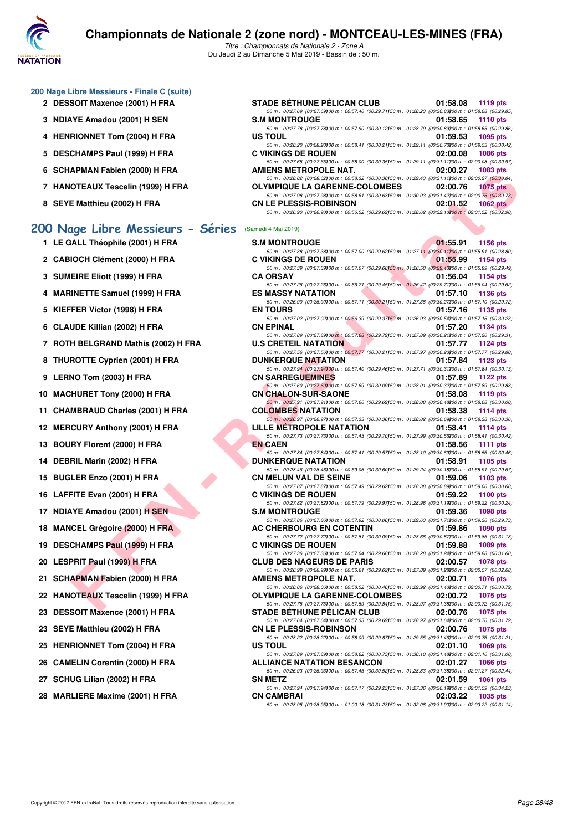

|  |  |  | 200 Nage Libre Messieurs - Finale C (suite) |  |  |
|--|--|--|---------------------------------------------|--|--|
|--|--|--|---------------------------------------------|--|--|

- 2 DESSOIT Maxence (2001) H FRA
- **3 NDIAYE Amadou (2001) H SEN**
- **4 HENRIONNET Tom (2004) H FRA**
- 5 DESCHAMPS Paul (1999) H FRA
- **6 SCHAPMAN Fabien (2000) H FRA**
- **7 HANOTEAUX Tescelin (1999) H FRA**
- **8 SEYE Matthieu (2002) H FRA**

## **[200 Nage Libre Messieurs - Séries](http://www.ffnatation.fr/webffn/resultats.php?idact=nat&go=epr&idcpt=59365&idepr=53)** (Samedi 4 Mai 2019)

| 1  | LE GALL Théophile (2001) H FRA        |
|----|---------------------------------------|
| 2  | <b>CABIOCH Clément (2000) H FRA</b>   |
| 3  | SUMEIRE Eliott (1999) H FRA           |
| 4  | <b>MARINETTE Samuel (1999) H FRA</b>  |
| 5  | KIEFFER Victor (1998) H FRA           |
| 6  | CLAUDE Killian (2002) H FRA           |
| 7  | ROTH BELGRAND Mathis (2002) H FRA     |
| 8  | THUROTTE Cyprien (2001) H FRA         |
| 9  | LERNO Tom (2003) H FRA                |
| 10 | <b>MACHURET Tony (2000) H FRA</b>     |
| 11 | <b>CHAMBRAUD Charles (2001) H FRA</b> |
| 12 | <b>MERCURY Anthony (2001) H FRA</b>   |
| 13 | BOURY Florent (2000) H FRA            |
| 14 | DEBRIL Marin (2002) H FRA             |
| 15 | BUGLER Enzo (2001) H FRA              |
| 16 | LAFFITE Evan (2001) H FRA             |
| 17 | NDIAYE Amadou (2001) H SEN            |
| 18 | <b>MANCEL Grégoire (2000) H FRA</b>   |
| 19 | DESCHAMPS Paul (1999) H FRA           |
| 20 | LESPRIT Paul (1999) H FRA             |
| 21 | <b>SCHAPMAN Fabien (2000) H FRA</b>   |
| 22 | HANOTEAUX Tescelin (1999) H FRA       |
| 23 | <b>DESSOIT Maxence (2001) H FRA</b>   |
| 23 | SEYE Matthieu (2002) H FRA            |
| 25 | <b>HENRIONNET Tom (2004) H FRA</b>    |
| 26 | <b>CAMELIN Corentin (2000) H FRA</b>  |

| <b>STADE BÉTHUNE PÉLICAN CLUB</b>                                                                      | 01:58.08 1119 pts           |
|--------------------------------------------------------------------------------------------------------|-----------------------------|
| 50 m: 00:27.69 (00:27.69) 00 m: 00:57.40 (00:29.71) 50 m: 01:28.23 (00:30.83200 m: 01:58.08 (00:29.85) |                             |
| <b>S.M MONTROUGE</b>                                                                                   | 01:58.65 1110 pts           |
| 50 m: 00:27.78 (00:27.78) 00 m: 00:57.90 (00:30.12) 50 m: 01:28.79 (00:30.89200 m: 01:58.65 (00:29.86) |                             |
| US TOUL                                                                                                | 01:59.53<br>1095 pts        |
| 50 m: 00:28.20 (00:28.20) 00 m: 00:58.41 (00:30.21) 50 m: 01:29.11 (00:30.70200 m: 01:59.53 (00:30.42) |                             |
| <b>C VIKINGS DE ROUEN</b>                                                                              | 02:00.08<br>1086 pts        |
| 50 m: 00:27.65 (00:27.65) 00 m: 00:58.00 (00:30.35) 50 m: 01:29.11 (00:31.11200 m: 02:00.08 (00:30.97) |                             |
| AMIENS METROPOLE NAT.                                                                                  | 02:00.27 1083 pts           |
| 50 m: 00:28.02 (00:28.02) 00 m: 00:58.32 (00:30.30) 50 m: 01:29.43 (00:31.11200 m: 02:00.27 (00:30.84) |                             |
| <b>OLYMPIQUE LA GARENNE-COLOMBES</b>                                                                   | 02:00.76<br><b>1075 pts</b> |
| 50 m: 00:27.98 (00:27.98) 00 m: 00:58.61 (00:30.63) 50 m: 01:30.03 (00:31.42200 m: 02:00.76 (00:30.73) |                             |
| <b>CN LE PLESSIS-ROBINSON</b>                                                                          | 02:01.52<br><b>1062 pts</b> |
| 50 m: 00:26.90 (00:26.90) 00 m: 00:56.52 (00:29.62) 50 m: 01:28.62 (00:32.10200 m: 02:01.52 (00:32.90) |                             |
|                                                                                                        |                             |
| amedi 4 Mai 2019)                                                                                      |                             |

|                              | U JUIMPINIAIN FAUIEII (4000) II FRA | AMILING METRUPULE NAT.<br>$UL.UU.LI$ 1000 PM                                                                                                                                                                                                                                                 |
|------------------------------|-------------------------------------|----------------------------------------------------------------------------------------------------------------------------------------------------------------------------------------------------------------------------------------------------------------------------------------------|
|                              | 7 HANOTEAUX Tescelin (1999) H FRA   | 50 m : 00:28.02 (00:28.02)00 m : 00:58.32 (00:30.30)50 m : 01:29.43 (00:31.11200 m : 02:00.27 (00:30.84)<br><b>OLYMPIQUE LA GARENNE-COLOMBES</b><br>02:00.76<br><b>1075 pts</b>                                                                                                              |
|                              | 8 SEYE Matthieu (2002) H FRA        | 50 m : 00:27.98 (00:27.98)00 m : 00:58.61 (00:30.63)50 m : 01:30.03 (00:31.42200 m : 02:00.76 (00:30.73)<br><b>CN LE PLESSIS-ROBINSON</b><br>02:01.52<br>1062 $pts$<br>50 m : 00:26.90 (00:26.90) 00 m : 00:56.52 (00:29.62) 50 m : 01:28.62 (00:32.10200 m : 02:01.52 (00:32.90)            |
|                              | 00 Nage Libre Messieurs - Séries    | (Samedi 4 Mai 2019)                                                                                                                                                                                                                                                                          |
|                              |                                     |                                                                                                                                                                                                                                                                                              |
|                              | 1 LE GALL Théophile (2001) H FRA    | <b>S.M MONTROUGE</b><br>01:55.91<br>1156 pts<br>50 m : 00:27.38 (00:27.38) 00 m : 00:57.00 (00:29.62) 50 m : 01:27.11 (00:30.11200 m : 01:55.91 (00:28.80)                                                                                                                                   |
|                              | 2 CABIOCH Clément (2000) H FRA      | <b>C VIKINGS DE ROUEN</b><br>01:55.99<br>1154 pts                                                                                                                                                                                                                                            |
|                              | 3 SUMEIRE Eliott (1999) H FRA       | 50 m : 00:27.39 (00:27.39)00 m : 00:57.07 (00:29.68)50 m : 01:26.50 (00:29.43200 m : 01:55.99 (00:29.49)<br><b>CA ORSAY</b><br>01:56.04<br>1154 pts                                                                                                                                          |
|                              | 4 MARINETTE Samuel (1999) H FRA     | 50 m : 00:27.26 (00:27.26) 00 m : 00:56.71 (00:29.45) 50 m : 01:26.42 (00:29.71200 m : 01:56.04 (00:29.62)<br><b>ES MASSY NATATION</b><br>01:57.10<br>1136 pts                                                                                                                               |
|                              | 5 KIEFFER Victor (1998) H FRA       | 50 m: 00:26.90 (00:26.90) 00 m: 00:57.11 (00:30.21) 50 m: 01:27.38 (00:30.27200 m: 01:57.10 (00:29.72)<br><b>EN TOURS</b><br>01:57.16<br>1135 pts                                                                                                                                            |
|                              | 6 CLAUDE Killian (2002) H FRA       | 50 m : 00:27.02 (00:27.02) 00 m : 00:56.39 (00:29.37) 50 m : 01:26.93 (00:30.54200 m : 01:57.16 (00:30.23)<br><b>CN EPINAL</b><br>01:57.20<br>1134 pts                                                                                                                                       |
|                              |                                     | 50 m : 00:27.89 (00:27.89) 00 m : 00:57.68 (00:29.79) 50 m : 01:27.89 (00:30.21200 m : 01:57.20 (00:29.31)                                                                                                                                                                                   |
|                              | 7 ROTH BELGRAND Mathis (2002) H FRA | <b>U.S CRETEIL NATATION</b><br>01:57.77<br><b>1124 pts</b>                                                                                                                                                                                                                                   |
|                              |                                     | 50 m : 00:27.56 (00:27.56) 00 m : 00:57.77 (00:30.21) 50 m : 01:27.97 (00:30.20200 m : 01:57.77 (00:29.80)                                                                                                                                                                                   |
|                              | 8 THUROTTE Cyprien (2001) H FRA     | <b>DUNKERQUE NATATION</b><br>01:57.84<br>1123 $pts$<br>50 m : 00:27.94 (00:27.94)00 m : 00:57.40 (00:29.46)50 m : 01:27.71 (00:30.31200 m : 01:57.84 (00:30.13)                                                                                                                              |
| 9 LERNO Tom (2003) H FRA     |                                     | <b>CN SARREGUEMINES</b><br>01:57.89<br>1122 $pts$                                                                                                                                                                                                                                            |
|                              |                                     | 50 m : 00:27.60 (00:27.60100 m : 00:57.69 (00:30.09150 m : 01:28.01 (00:30.32200 m : 01:57.89 (00:29.88)                                                                                                                                                                                     |
|                              | 10 MACHURET Tony (2000) H FRA       | <b>CN CHALON-SUR-SAONE</b><br>01:58.08<br>1119 $pts$                                                                                                                                                                                                                                         |
|                              | 11 CHAMBRAUD Charles (2001) H FRA   | 50 m : 00:27.91 (00:27.91) 00 m : 00:57.60 (00:29.69) 50 m : 01:28.08 (00:30.48200 m : 01:58.08 (00:30.00)<br><b>COLOMBES NATATION</b><br>01:58.38<br>1114 $pts$                                                                                                                             |
|                              |                                     | 50 m : 00:26.97 (00:26.97)00 m : 00:57.33 (00:30.36)50 m : 01:28.02 (00:30.69200 m : 01:58.38 (00:30.36)                                                                                                                                                                                     |
|                              | 12 MERCURY Anthony (2001) H FRA     | LILLE METROPOLE NATATION<br>01:58.41<br>1114 $pts$<br>50 m : 00:27.73 (00:27.73) 00 m : 00:57.43 (00:29.70) 50 m : 01:27.99 (00:30.56200 m : 01:58.41 (00:30.42)                                                                                                                             |
|                              | 13 BOURY Florent (2000) H FRA       | <b>EN CAEN</b><br>01:58.56<br>1111 $pts$                                                                                                                                                                                                                                                     |
|                              | 14 DEBRIL Marin (2002) H FRA        | 50 m : 00:27.84 (00:27.84) 00 m : 00:57.41 (00:29.57) 50 m : 01:28.10 (00:30.69200 m : 01:58.56 (00:30.46)<br><b>DUNKERQUE NATATION</b><br>01:58.91<br>1105 pts                                                                                                                              |
|                              |                                     | 50 m : 00:28.46 (00:28.46) 00 m : 00:59.06 (00:30.60) 50 m : 01:29.24 (00:30.18200 m : 01:58.91 (00:29.67)                                                                                                                                                                                   |
|                              | 15 BUGLER Enzo (2001) H FRA         | <b>CN MELUN VAL DE SEINE</b><br>01:59.06<br>1103 $pts$<br>50 m : 00:27.87 (00:27.87)00 m : 00:57.49 (00:29.62)50 m : 01:28.38 (00:30.89200 m : 01:59.06 (00:30.68)                                                                                                                           |
|                              | 16 LAFFITE Evan (2001) H FRA        | <b>C VIKINGS DE ROUEN</b><br>01:59.22<br>1100 $pts$                                                                                                                                                                                                                                          |
|                              | 17 NDIAYE Amadou (2001) H SEN       | 50 m : 00:27.82 (00:27.82)00 m : 00:57.79 (00:29.97)50 m : 01:28.98 (00:31.19200 m : 01:59.22 (00:30.24)<br><b>S.M MONTROUGE</b><br>01:59.36<br><b>1098 pts</b>                                                                                                                              |
|                              | 18 MANCEL Grégoire (2000) H FRA     | 50 m : 00:27.86 (00:27.86) 00 m : 00:57.92 (00:30.06) 50 m : 01:29.63 (00:31.71200 m : 01:59.36 (00:29.73)<br>AC CHERBOURG EN COTENTIN<br>01:59.86<br><b>1090 pts</b>                                                                                                                        |
|                              |                                     | 50 m : 00:27.72 (00:27.72) 00 m : 00:57.81 (00:30.09) 50 m : 01:28.68 (00:30.87200 m : 01:59.86 (00:31.18)                                                                                                                                                                                   |
|                              | 19 DESCHAMPS Paul (1999) H FRA      | <b>C VIKINGS DE ROUEN</b><br>01:59.88<br>1089 pts                                                                                                                                                                                                                                            |
|                              | 20 LESPRIT Paul (1999) H FRA        | 50 m : 00:27.36 (00:27.36)00 m : 00:57.04 (00:29.68)50 m : 01:28.28 (00:31.24200 m : 01:59.88 (00:31.60)<br><b>CLUB DES NAGEURS DE PARIS</b><br>02:00.57<br><b>1078 pts</b>                                                                                                                  |
|                              |                                     | 50 m : 00:26.99 (00:26.99) 00 m : 00:56.61 (00:29.62) 50 m : 01:27.89 (00:31.28200 m : 02:00.57 (00:32.68)                                                                                                                                                                                   |
|                              | 21 SCHAPMAN Fabien (2000) H FRA     | <b>AMIENS METROPOLE NAT.</b><br>02:00.71<br>1076 pts                                                                                                                                                                                                                                         |
|                              | 22 HANOTEAUX Tescelin (1999) H FRA  | 50 m : 00:28.06 (00:28.06)00 m : 00:58.52 (00:30.46)50 m : 01:29.92 (00:31.40200 m : 02:00.71 (00:30.79)<br><b>OLYMPIQUE LA GARENNE-COLOMBES</b><br>02:00.72<br>1075 pts                                                                                                                     |
|                              | 23 DESSOIT Maxence (2001) H FRA     | 50 m : 00:27.75 (00:27.75)00 m : 00:57.59 (00:29.84)50 m : 01:28.97 (00:31.38200 m : 02:00.72 (00:31.75)<br>STADE BÉTHUNE PÉLICAN CLUB 02:00.76<br>1075 pts                                                                                                                                  |
|                              |                                     | 50 m : 00:27.64 (00:27.64100 m : 00:57.33 (00:29.69) 50 m : 01:28.97 (00:31.64200 m : 02:00.76 (00:31.79)                                                                                                                                                                                    |
|                              | 23 SEYE Matthieu (2002) H FRA       | <b>CN LE PLESSIS-ROBINSON</b><br>02:00.76<br><b>1075 pts</b><br>50 m : 00:28.22 (00:28.22) 00 m : 00:58.09 (00:29.87) 50 m : 01:29.55 (00:31.46200 m : 02:00.76 (00:31.21)                                                                                                                   |
|                              | 25 HENRIONNET Tom (2004) H FRA      | US TOUL<br>02:01.10<br><b>1069 pts</b>                                                                                                                                                                                                                                                       |
|                              | 26 CAMELIN Corentin (2000) H FRA    | 50 m : 00:27.89 (00:27.89) 00 m : 00:58.62 (00:30.73) 50 m : 01:30.10 (00:31.48200 m : 02:01.10 (00:31.00)<br><b>ALLIANCE NATATION BESANCON</b><br>02:01.27<br><b>1066 pts</b><br>50 m : 00:26.93 (00:26.93) 00 m : 00:57.45 (00:30.52) 50 m : 01:28.83 (00:31.38200 m : 02:01.27 (00:32.44) |
| 27 SCHUG Lilian (2002) H FRA |                                     | <b>SN METZ</b><br>02:01.59<br><b>1061 pts</b>                                                                                                                                                                                                                                                |
|                              |                                     | 50 m : 00:27.94 (00:27.94)00 m : 00:57.17 (00:29.23)50 m : 01:27.36 (00:30.19200 m : 02:01.59 (00:34.23)                                                                                                                                                                                     |
|                              | 28 MARLIERE Maxime (2001) H FRA     | <b>CN CAMBRAI</b><br>02:03.22<br><b>1035 pts</b><br>50 m : 00:28.95 (00:28.95) 00 m : 01:00.18 (00:31.23) 50 m : 01:32.08 (00:31.90200 m : 02:03.22 (00:31.14)                                                                                                                               |
|                              |                                     |                                                                                                                                                                                                                                                                                              |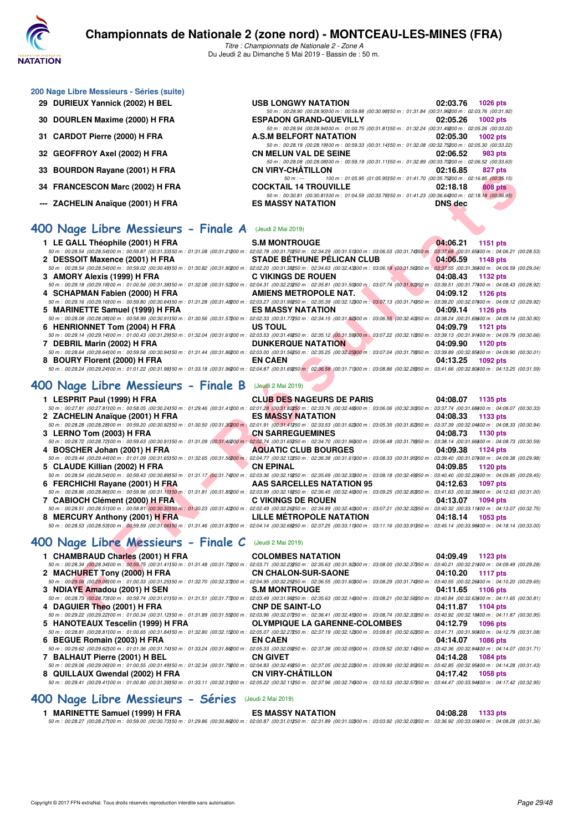

| 200 Nage Libre Messieurs - Séries (suite) |                                                                                                                                       |                                                                                         |  |
|-------------------------------------------|---------------------------------------------------------------------------------------------------------------------------------------|-----------------------------------------------------------------------------------------|--|
| 29 DURIEUX Yannick (2002) H BEL           | <b>USB LONGWY NATATION</b>                                                                                                            | 02:03.76<br>$1026$ pts                                                                  |  |
|                                           | 50 m : 00:28.90 (00:28.90100 m : 00:59.88 (00:30.98150 m : 01:31.84 (00:31.96200 m : 02:03.76 (00:31.92                               |                                                                                         |  |
| 30 DOURLEN Maxime (2000) H FRA            | <b>ESPADON GRAND-QUEVILLY</b>                                                                                                         | 02:05.26<br>1002 pts                                                                    |  |
|                                           | 50 m : 00:28.94 (00:28.94) 00 m : 01:00.75 (00:31.81) 50 m : 01:32.24 (00:31.49200 m : 02:05.26 (00:33.02                             |                                                                                         |  |
| 31 CARDOT Pierre (2000) H FRA             | <b>A.S.M BELFORT NATATION</b>                                                                                                         | 02:05.30<br>1002 $pts$                                                                  |  |
|                                           | 50 m : 00:28.19 (00:28.19) 00 m : 00:59.33 (00:31.14) 50 m : 01:32.08 (00:32.75200 m : 02:05.30 (00:33.22                             |                                                                                         |  |
| 32 GEOFFROY Axel (2002) H FRA             | <b>CN MELUN VAL DE SEINE</b>                                                                                                          | 02:06.52<br>983 pts                                                                     |  |
|                                           | 50 m : 00:28.08 (00:28.08) 00 m : 00:59.19 (00:31.11) 50 m : 01:32.89 (00:33.70200 m : 02:06.52 (00:33.63<br><b>CN VIRY-CHÂTILLON</b> | 02:16.85                                                                                |  |
| 33 BOURDON Rayane (2001) H FRA            | $50 m : -$                                                                                                                            | 827 pts<br>100 m: 01:05.95 (01:05.95) 50 m: 01:41.70 (00:35.75200 m: 02:16.85 (00:35.15 |  |
| 34 FRANCESCON Marc (2002) H FRA           | <b>COCKTAIL 14 TROUVILLE</b>                                                                                                          | 02:18.18<br>808 pts                                                                     |  |
|                                           | 50 m : 00:30.81 (00:30.81100 m : 01:04.59 (00:33.78150 m : 01:41.23 (00:36.64200 m : 02:18.18 (00:36.95                               |                                                                                         |  |
| --- ZACHELIN Anaïque (2001) H FRA         | <b>ES MASSY NATATION</b>                                                                                                              | <b>DNS</b> dec                                                                          |  |

### **[400 Nage Libre Messieurs - Finale A](http://www.ffnatation.fr/webffn/resultats.php?idact=nat&go=epr&idcpt=59365&idepr=54)** (Jeudi 2 Mai 2019)

| 33 BOUNDON Rayalle (2001) IT FRA                                                                                                                                                                                                                                                | VN VIRT-VIIMIILLVN                                                                                                                                                                                                                     | <b>UZ.IU.OJ</b><br>$021$ pm |
|---------------------------------------------------------------------------------------------------------------------------------------------------------------------------------------------------------------------------------------------------------------------------------|----------------------------------------------------------------------------------------------------------------------------------------------------------------------------------------------------------------------------------------|-----------------------------|
| 34 FRANCESCON Marc (2002) H FRA                                                                                                                                                                                                                                                 | 100 m: 01:05.95 (01:05.95) 50 m: 01:41.70 (00:35.75200 m: 02:16.85 (00:35.15)<br>$50 m: -$<br><b>COCKTAIL 14 TROUVILLE</b><br>50 m : 00:30.81 (00:30.81)00 m : 01:04.59 (00:33.78)50 m : 01:41.23 (00:36.64200 m : 02:18.18 (00:36.95) | 02:18.18<br>808 pts         |
| --- ZACHELIN Anaïque (2001) H FRA                                                                                                                                                                                                                                               | <b>ES MASSY NATATION</b>                                                                                                                                                                                                               | <b>DNS</b> dec              |
| <b>100 Nage Libre Messieurs - Finale A</b> (Jeudi 2 Mai 2019)                                                                                                                                                                                                                   |                                                                                                                                                                                                                                        |                             |
| 1 LE GALL Théophile (2001) H FRA                                                                                                                                                                                                                                                | <b>S.M MONTROUGE</b>                                                                                                                                                                                                                   | 04:06.21<br>1151 pts        |
| $50\,m:\,00.28.54\,(00.28.54) \,00\,m:\,00.59.87\,\,(00.31.33) \,50\,m:\,01.31.08\,\,(00.31.21200\,m:\,02.02.78\,\,(00.31.70250\,m:\,02.34.29\,\,(00.31.51300\,m:\,03.06.03\,\,(00.31.74350\,m:\,03.37.68\,\,(00.31.65400\,m:\,04.06.21\,\,(00.28.53)$                          |                                                                                                                                                                                                                                        |                             |
| 2 DESSOIT Maxence (2001) H FRA                                                                                                                                                                                                                                                  | <b>STADE BÉTHUNE PÉLICAN CLUB</b>                                                                                                                                                                                                      | 04:06.59<br>1148 pts        |
| 50 m : 00:28.54 (00:28.54)00 m : 00:59.02 (00:30.48)50 m : 01:30.82 (00:31.80200 m : 02:02.20 (00:31.30250 m : 02:34.63 (00:32.43300 m : 03:06.19 (00:31.56350 m : 03:37.55 (00:31.56360 m : 04:06.59 (00:29.04)                                                                |                                                                                                                                                                                                                                        |                             |
| 3 AMORY Alexis (1999) H FRA                                                                                                                                                                                                                                                     | <b>C VIKINGS DE ROUEN</b>                                                                                                                                                                                                              | 04:08.43<br>1132 pts        |
| $50\,m:\,00:29.18\,\,(00:29.18)\,00\,m:\,01:00.56\,\,(00:31.38)\,50\,m:\,01:32.08\,\,(00:31.52200\,m:\,02:04.31\,\,(00:32.23250\,m:\,02:35.81\,\,(00:31.50300\,m:\,03:07.74\,\,(00:31.93350\,m:\,03:39.51\,\,(00:31.77400\,m:\,04:01.84)\,$<br>4 SCHAPMAN Fabien (2000) H FRA   | <b>AMIENS METROPOLE NAT.</b>                                                                                                                                                                                                           | 04:09.12<br>1126 pts        |
| 50 m : 00:29.16 (00:29.16f)00 m : 00:59.80 (00:30.64f50 m : 01:31.28 (00:31.48200 m : 02:03.27 (00:31.98250 m : 02:35.39 (00:32.12300 m : 03:07.13 (00:31.74350 m : 03:39.20 m : 03:39.20 (00:32.07400 m : 04:09.12 (00:29.92)                                                  |                                                                                                                                                                                                                                        |                             |
| 5 MARINETTE Samuel (1999) H FRA                                                                                                                                                                                                                                                 | <b>ES MASSY NATATION</b>                                                                                                                                                                                                               | 04:09.14<br>1126 pts        |
| 50 m : 00:28.08 (00:28.08)00 m : 00:58.99 (00:30.91150 m : 01:30.56 (00:31.57200 m : 02:02.33 (00:31.77250 m : 02:34.15 (00:31.82)00 m : 03:06.55 (00:32.40)50 m : 03:38.24 (00:31.69400 m : 04:09.14 (00:30.90)                                                                |                                                                                                                                                                                                                                        |                             |
| 6 HENRIONNET Tom (2004) H FRA                                                                                                                                                                                                                                                   | US TOUL                                                                                                                                                                                                                                | 04:09.79<br><b>1121 pts</b> |
| $50\,m:\,00.29.14\,(00.29.14100\,m:\,01.00.43\,(00.31.29150\,m:\,01.32.04\,(00.31.61200\,m:\,02.03.53\,(00.31.49250\,m:\,02.35.12\,(00.31.5900\,m:\,03.07.22\,(00.32.10350\,m:\,03.39.13\,(00.31.91400\,m:\,04.09.79\,06.01)\,00.00000$                                         |                                                                                                                                                                                                                                        |                             |
| 7 DEBRIL Marin (2002) H FRA                                                                                                                                                                                                                                                     | <b><i>Contract Contract Contract Contract</i></b><br><b>DUNKERQUE NATATION</b>                                                                                                                                                         | 04:09.90<br>1120 pts        |
| 50 m : 00:28.64 (00:28.64100 m : 00:59.58 (00:30.94150 m : 01:31.44 (00:31.86200 m : 02:03.00 (00:31.56250 m : 02:35.25 (00:32.25300 m : 03:07.04 (00:31.79350 m : 03:39.89 (00:32.85400 m : 04:09.90 (00:30.01)                                                                |                                                                                                                                                                                                                                        |                             |
| 8 BOURY Florent (2000) H FRA                                                                                                                                                                                                                                                    | <b>EN CAEN</b>                                                                                                                                                                                                                         | 04:13.25<br>1092 pts        |
| 50 m : 00:29.24 (00:29.24 00 m : 01:01.22 (00:31.98)50 m : 01:33.18 (00:31.96200 m : 02:04.87 (00:31.69250 m : 02:36.58 (00:31.71300 m : 03:08.86 (00:32.26350 m : 03:41.66 (00:32.80400 m : 04:13.25 (00:31.59)                                                                |                                                                                                                                                                                                                                        |                             |
| <b>100 Nage Libre Messieurs - Finale B</b> (Jeudi 2 Mai 2019)                                                                                                                                                                                                                   |                                                                                                                                                                                                                                        |                             |
|                                                                                                                                                                                                                                                                                 |                                                                                                                                                                                                                                        |                             |
| 1 LESPRIT Paul (1999) H FRA                                                                                                                                                                                                                                                     | <b>CLUB DES NAGEURS DE PARIS</b>                                                                                                                                                                                                       | 04:08.07<br>1135 pts        |
| $50\,m:\,00.27.81\,(00.27.81)\\ 00\,m:\,00.58.05\,\,(00.30.24)\\ 50\,m:\,01.29.46\,\,(00.31.41\\200\,m:\,02.01.28\,\,(00.31.82\\250\,m:\,02.33.76\,\,(00.32.48\\900\,m:\,03.06.06\,\,(00.32.30\\950\,m:\,03.37.74\,\,(00.31.6\\9400\,m:\,04.08.07\,\,(00.30$                    |                                                                                                                                                                                                                                        |                             |
| 2 ZACHELIN Anaïque (2001) H FRA                                                                                                                                                                                                                                                 | <b>ES MASSY NATATION</b>                                                                                                                                                                                                               | 04:08.33<br>1133 pts        |
| 50 m : 00:28.28 (00:28.28)00 m : 00:59.20 (00:30.92)50 m : 01:30.50 (00:31.3000 m : 02:01.91 (00:31.41250 m : 02:33.53 (00:31.62300 m : 03:05.35 (00:31.62350 m : 03:05.39 (00:31.82350 m : 03:05.35 (00:31.82350 m : 03:05.35                                                  |                                                                                                                                                                                                                                        |                             |
| 3 LERNO Tom (2003) H FRA                                                                                                                                                                                                                                                        | <b>CN SARREGUEMINES</b>                                                                                                                                                                                                                | 04:08.73<br>1130 pts        |
| $50\,m:\,00.28.72\,\,(00.28.72\,00\,m:\,00.59.63\,\,(00.30.91\,50\,m:\,01.31.09\,\,(00.31.46200\,m:\,02.02.74\,\,(00.31.65950\,m:\,02.34.70\,\,(00.31.96900\,m:\,03.06.48\,\,(00.31.78950\,m:\,03.38.14\,\,(00.31.66400\,m:\,04.08.73\,\,(00.30.59)\,$                          |                                                                                                                                                                                                                                        |                             |
| <b>START</b><br>4 BOSCHER Johan (2001) H FRA                                                                                                                                                                                                                                    | <b>AQUATIC CLUB BOURGES</b>                                                                                                                                                                                                            | 04:09.38<br>1124 pts        |
| $50\,m:\,00.29.44\,(00.29.44) \,00\,m:\,01.01.09\,\,(00.31.65) \,50\,m:\,01.32.65\,\,(00.31.56200\,m:\,02.94.77\,\,(00.32.12250\,m:\,02.36.38\,\,(00.31.61300\,m:\,03.08.33\,\,(00.31.95350\,m:\,03.39.40\,\,(00.31.07400\,m:\,04.09.39.40)\,$<br>5 CLAUDE Killian (2002) H FRA | <b>CN EPINAL</b>                                                                                                                                                                                                                       | 04:09.85<br>1120 pts        |
| $50\,m:\,00.28.54\,(00.28.54)\\ 0\,m:\,00.59.43\,\,(00.30.89)\\ 50\,m:\,01.31.17\,\,(00.31.74\\ 200\,m:\,02.03.36\,\,(00.32.19\\ 50\,m:\,02.35.69\,\,(00.32.33\\ 900\,m:\,03.08.18\,\,(00.32.49\\ 50\,m:\,03.40.40\,\,(00.32.2\\ 900\,m:\,04.09.82.2)$                          |                                                                                                                                                                                                                                        |                             |
| 6 FERCHICHI Rayane (2001) H FRA<br><b>Contract Contract Contract Contract Contract</b>                                                                                                                                                                                          | <b>AAS SARCELLES NATATION 95</b>                                                                                                                                                                                                       | 04:12.63<br><b>1097 pts</b> |
| $50\,m:\,00.28.86\,\,(00.28.86\,00\,m:\,00.59.96\,\,(00.31.10\,50\,m:\,01.31.81\,\,(00.31.85\,000\,m:\,02.03.99\,\,(00.32.18950\,m:\,02.36.45\,\,(00.32.46900\,m:\,03.09.25\,\,(00.32.80950\,m:\,03.41.63\,\,(00.32.38400\,m:\,04.12.63\,\,(00.31.00)\$                         |                                                                                                                                                                                                                                        |                             |
| 7 CABIOCH Clément (2000) H FRA                                                                                                                                                                                                                                                  | <b>C VIKINGS DE ROUEN</b>                                                                                                                                                                                                              | 04:13.07<br>1094 pts        |
| 50 m : 00:28.51 (00:28.51100 m : 00:58.81 (00:30.30150 m : 01:30.23 (00:31.42200 m : 02:02.49 (00:32.26250 m : 02:34.89 (00:32.40300 m : 03:07.21 (00:32.32350 m : 03:40.32 (00:32.31400 m : 04:13.07 (00:32.75)                                                                |                                                                                                                                                                                                                                        |                             |
| 8 MERCURY Anthony (2001) H FRA                                                                                                                                                                                                                                                  | LILLE METROPOLE NATATION                                                                                                                                                                                                               | 04:18.14<br>1053 pts        |
| 50 m : 00:28.53 (00:28.53) 00 m : 00:59.59 (00:31.06) 50 m : 01:31.46 (00:31.87200 m : 02:04.14 (00:32.68250 m : 02:37.25 (00:33.11300 m : 03:11.16 (00:33.91350 m : 03:45.14 (00:33.98400 m : 04:18.14 (00:33.00)                                                              |                                                                                                                                                                                                                                        |                             |
| <b>100 Nage Libre Messieurs - Finale C</b> (Jeudi 2 Mai 2019)                                                                                                                                                                                                                   |                                                                                                                                                                                                                                        |                             |
| 1 CHAMBRAUD Charles (2001) H FRA                                                                                                                                                                                                                                                | <b>COLOMBES NATATION</b>                                                                                                                                                                                                               | 04:09.49<br>1123 pts        |
| $50\,m:\,00.28.34\,\, (00.28.34\,00\,m:\,00.59.75\,\,(00.31.41\,50\,m:\,01.31.48\,\,(00.31.73200\,m:\,02.03.71\,\,(00.32.23250\,m:\,02.35.63\,\,(00.31.92900\,m:\,03.08.00\,\,(00.32.37\,50\,m:\,03.40.21\,\,(00.32.21\,400\,m:\,04.09.49\,\,(00.22.2$                          |                                                                                                                                                                                                                                        |                             |
| 2 MACHURET Tony (2000) H FRA                                                                                                                                                                                                                                                    | <b>CN CHALON-SUR-SAONE</b>                                                                                                                                                                                                             | 04:10.20<br><b>1117 pts</b> |
| 50 m : 00:29.08 (00:29.08) 00:31.00:00:33 (00:31.25) 50 m : 01:32.70 (00:32.37200 m : 02:04.95 (00:32.25250 m : 02:36.55 (00:31.60300 m : 03:08.29 (00:31.74350 m : 03:40.55 (00:32.26400 m : 04:10.20 (00:29.65)                                                               |                                                                                                                                                                                                                                        |                             |
| 3 NDIAYE Amadou (2001) H SEN<br>50 m : 00:28.73 (00:28.73)00 m : 00:59.74 (00:31.01150 m : 01:31.51 (00:31.77200 m : 02:03.49 (00:31.98250 m : 02:35.63 (00:32.14)00 m : 03:08.21 (00:32.58)50 m : 03:40.84 (00:32.58)60 m : 04:11.65 (00:30.81)                                | <b>S.M MONTROUGE</b>                                                                                                                                                                                                                   | 04:11.65<br><b>1106 pts</b> |

## **[400 Nage Libre Messieurs - Finale B](http://www.ffnatation.fr/webffn/resultats.php?idact=nat&go=epr&idcpt=59365&idepr=54)** (Jeudi 2 Mai 2019)

| 1 LESPRIT Paul (1999) H FRA                                                                                                                                                                                                    | <b>CLUB DES NAGEURS DE PARIS</b> | 04:08.07<br>1135 pts |
|--------------------------------------------------------------------------------------------------------------------------------------------------------------------------------------------------------------------------------|----------------------------------|----------------------|
| 50 m : 00:27.81 (00:27.81100 m : 00:58.05 (00:30.24150 m : 01:29.46 (00:31.41200 m : 02:01.28 (00:31.82250 m : 02:33.76 (00:32.48300 m : 03:06.06 (00:32.30350 m : 03:37.74 (00:31.68400 m : 04:08.07 (00:30:33)               |                                  |                      |
| 2 ZACHELIN Anaïque (2001) H FRA                                                                                                                                                                                                | <b>ES MASSY NATATION</b>         | 04:08.33<br>1133 pts |
| 50 m : 00:28.28 (00:28.28)00 m : 00:59.20 (00:30.92)50 m : 01:30.50 (00:31.30200 m : 02:01.91 (00:31.41250 m : 02:33.53 (00:31.62300 m : 03:05.35 (00:31.82350 m : 03:37.39 (00:32.04400 m : 04:08.33 (00:30.94)               |                                  |                      |
| 3 LERNO Tom (2003) H FRA                                                                                                                                                                                                       | <b>CN SARREGUEMINES</b>          | 04:08.73<br>1130 pts |
| 50 m : 00:28.72 (00:28.72) 00 m : 00:59.63 (00:30.91150 m : 01:31.09 (00:31.46200 m : 02:02.74 (00:31.65250 m : 02:34.70 (00:31.66200 m : 03:06.48 (00:31.78350 m : 03:38.14 (00:31.66400 m : 04:08.73 (00:30.59)              |                                  |                      |
| 4 BOSCHER Johan (2001) H FRA                                                                                                                                                                                                   | <b>AQUATIC CLUB BOURGES</b>      | 04:09.38<br>1124 pts |
| 50 m : 00:29.44 (00:29.44100 m : 01:01.09 (00:31.65150 m : 01:32.65 (00:31.56200 m : 02:04.77 (00:32.12250 m : 02:36.38 (00:31.61300 m : 03:08.33 (00:31.95350 m : 03:39.40 (00:31.07400 m : 04:09.38 (00:29.98)               |                                  |                      |
| 5 CLAUDE Killian (2002) H FRA                                                                                                                                                                                                  | <b>CN EPINAL</b>                 | 04:09.85<br>1120 pts |
|                                                                                                                                                                                                                                |                                  |                      |
| 50 m : 00:28.54 (00:28.54100 m : 00:59.43 (00:30.89150 m : 01:31.17 (00:31.74200 m : 02:03.36 (00:32.19250 m : 02:35.69 (00:32.33300 m : 03:08.18 (00:32.43350 m : 03:40.40 (00:32.2400 m : 04:09.85 (00:29.45)                |                                  |                      |
| 6 FERCHICHI Rayane (2001) H FRA                                                                                                                                                                                                | AAS SARCELLES NATATION 95        | 04:12.63<br>1097 pts |
| 50 m : 00:28.86 (00:28.86100 m : 00:59.96 (00:31.10150 m : 01:31.81 (00:31.85200 m : 02:03.99 (00:32.16250 m : 02:36.45 (00:32.46200 m : 03:09.25 (00:32.80350 m : 03:41.63 (00:32.363400 m : 04:12.63 (00:32.38400 m : 04:12. |                                  |                      |
| 7 CABIOCH Clément (2000) H FRA                                                                                                                                                                                                 | <b>C VIKINGS DE ROUEN</b>        | 04:13.07<br>1094 pts |
| 50 m : 00:28.51 (00:28.51)00 m : 00:58.81 (00:30.30)50 m : 01:30.23 (00:31.42200 m : 02:02.49 (00:32.26250 m : 02:34.89 (00:32.4000 m : 03:07.21 (00:32.32)50 m : 03:40.32 (00:33.11/00 m : 04:13.07 (00:32.75)                |                                  |                      |
| 8 MERCURY Anthony (2001) H FRA                                                                                                                                                                                                 | <b>LILLE METROPOLE NATATION</b>  | 04:18.14<br>1053 pts |

## **[400 Nage Libre Messieurs - Finale C](http://www.ffnatation.fr/webffn/resultats.php?idact=nat&go=epr&idcpt=59365&idepr=54)** (Jeudi 2 Mai 2019)

| 1 CHAMBRAUD Charles (2001) H FRA                                                                                                                                                                                           | <b>COLOMBES NATATION</b>             | 04:09.49 | 1123 pts        |
|----------------------------------------------------------------------------------------------------------------------------------------------------------------------------------------------------------------------------|--------------------------------------|----------|-----------------|
| 50 m : 00:28.34 (00:28.34)00 m : 00:59.75 (00:31.41150 m : 01:31.48 (00:31.73200 m : 02:03.71 (00:32.23250 m : 02:35.63 (00:31.82)00 m : 03:08.00 (00:32.37)50 m : 03:40.21 (00:32.21400 m : 04:09.49 (00:29.28)           |                                      |          |                 |
| 2 MACHURET Tony (2000) H FRA                                                                                                                                                                                               | <b>CN CHALON-SUR-SAONE</b>           | 04:10.20 | <b>1117 pts</b> |
| 50 m : 00:29.08 (00:29.08)00 m : 01:00.33 (00:31.25)50 m : 01:32.70 (00:32.37200 m : 02:04.95 (00:32.25250 m : 02:36.55 (00:31.60300 m : 03:08.29 (00:31.74350 m : 03:40.55 (00:32.26400 m : 04:10.20 (00:29.65)           |                                      |          |                 |
| 3 NDIAYE Amadou (2001) H SEN                                                                                                                                                                                               | <b>S.M MONTROUGE</b>                 | 04:11.65 | 1106 pts        |
| 50 m : 00:28.73 (00:28.73)00 m : 00:59.74 (00:31.01150 m : 01:31.51 (00:31.77200 m : 02:03.49 (00:31.98250 m : 02:35.63 (00:32.14300 m : 03:08.21 (00:32.58350 m : 03:40.84 (00:32.58300 m : 04:11.65 (00:30.81)           |                                      |          |                 |
| 4 DAGUIER Theo (2001) H FRA                                                                                                                                                                                                | <b>CNP DE SAINT-LO</b>               | 04:11.87 | 1104 pts        |
| 50 m : 00:29.22 (00:29.22)00 m : 01:00.34 (00:31.12)50 m : 01:31.89 (00:31.55200 m : 02:03.96 (00:32.07250 m : 02:36.41 (00:32.45300 m : 03:08.74 (00:32.33350 m : 03:40.92 (00:32.18400 m : 04:11.87 (00:30.95)           |                                      |          |                 |
| 5 HANOTEAUX Tescelin (1999) H FRA                                                                                                                                                                                          | <b>OLYMPIQUE LA GARENNE-COLOMBES</b> | 04:12.79 | 1096 pts        |
| 50 m : 00:28.81 (00:28.81100 m : 01:00.65 (00:31.84150 m : 01:32.80 (00:32.15200 m : 02:05.07 (00:32.27250 m : 02:37.19 (00:32.12300 m : 03:09.81 (00:32.62350 m : 03:41.71 (00:31.90400 m : 04:12.79 (00:31.08)           |                                      |          |                 |
| 6 BEGUE Romain (2003) H FRA                                                                                                                                                                                                | <b>EN CAEN</b>                       | 04:14.07 | <b>1086 pts</b> |
| 50 m : 00:29.62 (00:29.62) 00:29.62 (00:31.01:01:36 (00:31.74)50 m : 01:33.24 (00:31.88200 m : 02:05.33 (00:32.09250 m : 02:37.38 (00:32.05300 m : 03:09.52 (00:32.14350 m : 03:42.36 (00:32.84400 m : 04:14.07 (00:31.71) |                                      |          |                 |
| 7 BALHAUT Pierre (2001) H BEL                                                                                                                                                                                              | <b>CN GIVET</b>                      | 04:14.28 | 1084 pts        |
| 50 m : 00:29.06 (00:29.06) 00 m : 01:00.55 (00:31.49150 m : 01:32.34 (00:31.79200 m : 02:04.83 (00:32.49250 m : 02:37.05 (00:32.22300 m : 03:09.90 (00:32.85350 m : 03:42.85 (00:32.95400 m : 04:14.28 (00:31.43)          |                                      |          |                 |
| 8 QUILLAUX Gwendal (2002) H FRA                                                                                                                                                                                            | <b>CN VIRY-CHÂTILLON</b>             | 04:17.42 | <b>1058 pts</b> |
| 50 m : 00:29.41 (00:29.41100 m : 01:00.80 (00:31.39150 m : 01:33.11 (00:32.31200 m : 02:05.22 (00:32.11250 m : 02:37.96 (00:32.74300 m : 03:10.53 (00:32.57350 m : 03:44.47 (00:33.94400 m : 04:17.42 (00:32.95)           |                                      |          |                 |

## **[400 Nage Libre Messieurs - Séries](http://www.ffnatation.fr/webffn/resultats.php?idact=nat&go=epr&idcpt=59365&idepr=54)** (Jeudi 2 Mai 2019)

### **1 MARINETTE Samuel (1999) H FRA ES MASSY NATATION 04:08.28 1133 pts**

*50 m : 00:28.27 (00:28.27)100 m : 00:59.00 (00:30.73)150 m : 01:29.86 (00:30.86)200 m : 02:00.87 (00:31.01)250 m : 02:31.89 (00:31.02)300 m : 03:03.92 (00:32.03)350 m : 03:36.92 (00:33.00)400 m : 04:08.28 (00:31.36)*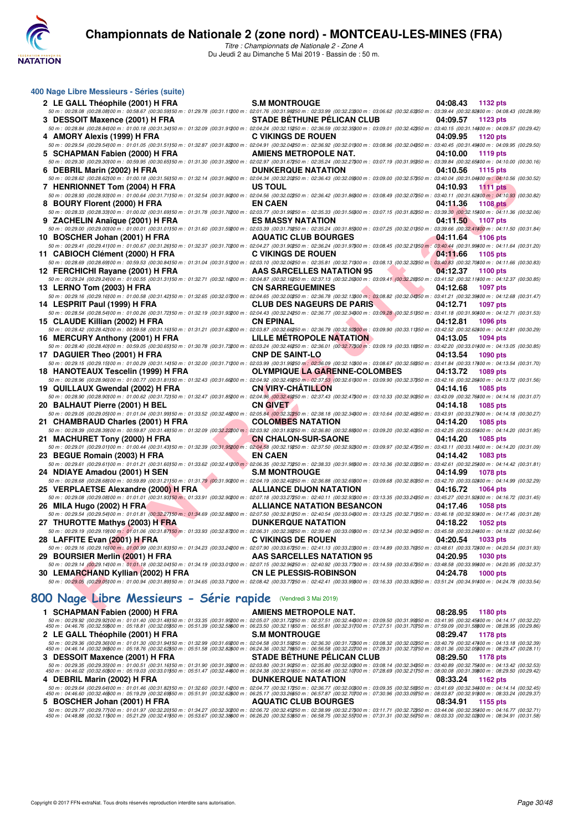

*Titre : Championnats de Nationale 2 - Zone A* Du Jeudi 2 au Dimanche 5 Mai 2019 - Bassin de : 50 m.

| 400 Nage Libre Messieurs - Séries (suite)                                                                                                                                                                                                                                                                                                      |                                                                |                             |
|------------------------------------------------------------------------------------------------------------------------------------------------------------------------------------------------------------------------------------------------------------------------------------------------------------------------------------------------|----------------------------------------------------------------|-----------------------------|
| 2 LE GALL Théophile (2001) H FRA                                                                                                                                                                                                                                                                                                               | <b>S.M MONTROUGE</b>                                           | 04:08.43<br>1132 pts        |
| 50 m : 00:28.08 (00:28.08)00 m : 00:58.67 (00:30.59)50 m : 01:29.78 (00:31.11200 m : 02:01.76 (00:31.98250 m : 02:33.99 (00:32.2300 m : 03:06.62 (00:32.63350 m : 03:39.44 (00:32.82400 m : 04:08.43 (00:28.99)                                                                                                                                |                                                                |                             |
| 3 DESSOIT Maxence (2001) H FRA<br>50 m : 00:28.84 (00:28.84100 m : 01:00.18 (00:31.34150 m : 01:32.09 (00:31.91200 m : 02:04.24 (00:32.15250 m : 02:36.59 (00:32.35300 m : 03:09.01 (00:32.42350 m : 03:40.15 (00:31.14400 m : 04:09.57 (00:29.42)                                                                                             | <b>STADE BETHUNE PELICAN CLUB</b>                              | 04:09.57<br>1123 pts        |
| 4 AMORY Alexis (1999) H FRA                                                                                                                                                                                                                                                                                                                    | <b>C VIKINGS DE ROUEN</b>                                      | 04:09.95<br>1120 pts        |
| $50\,m:\,00.29.54\,(\text{00.29.54})\,00\,m:\,01.01.05\,\,(00.31.51)\\ 50\,m:\,01.32.87\,\,(00.31.82200\,m:\,02.04.91\,\,(00.32.04250\,m:\,02.36.92\,\,(00.32.04)\\ 00\,m:\,03.08.96\,\,(00.32.04350\,m:\,03.40.45\,\,(00.31.49400\,m:\,04.09.95\,\,(00.32$                                                                                    |                                                                |                             |
| 5 SCHAPMAN Fabien (2000) H FRA<br>50 m : 00:29.30 (00:29.30)00 m : 00:59.95 (00:30.65)50 m : 01:31.30 (00:31.35200 m : 02:02.97 (00:31.67250 m : 02:35.24 (00:32.27300 m : 03:07.19 (00:31.95350 m : 03:39.84 (00:32.65400 m : 04:10.00 (00:30.16)                                                                                             | AMIENS METROPOLE NAT.                                          | 04:10.00<br>1119 pts        |
| 6 DEBRIL Marin (2002) H FRA                                                                                                                                                                                                                                                                                                                    | <b>DUNKERQUE NATATION</b>                                      | 04:10.56<br><b>1115 pts</b> |
| $50\,m:\,00.28.62\,(00.28.62)\\ 00\,m:\,01.00.18\,\,(00.31.56)\\ 50\,m:\,01.32.14\,\,(00.31.96\\ 200\,m:\,02.04.34\,\,(00.32.20\\ 260\,m:\,02.36.43\,\,(00.32.09\\ 900\,m:\,03.09.00\,\,(00.32.57\\ 95.0m:\,03.40.04\,\,(00.31.04\\ 90\,m:\,04.10.56\,\,(00$                                                                                   |                                                                |                             |
| 7 HENRIONNET Tom (2004) H FRA                                                                                                                                                                                                                                                                                                                  | US TOUL                                                        | 04:10.93<br><b>1111 pts</b> |
| $50\,m:\,00.28.93\,(00.28.93) \,00\,m:\,01.00.64\,\,(00.31.71) \,50\,m:\,01.32.54\,\,(00.31.90200\,m:\,02.04.56\,\,(00.32.02250\,m:\,02.36.42\,\,(00.31.86300\,m:\,03.08.49\,\,(00.32.07350\,m:\,03.40.11\,\,(00.31.62300\,m:\,04.10.93\,\,(00.30.82)\,$<br>8 BOURY Florent (2000) H FRA                                                       | <b>EN CAEN</b>                                                 | 04:11.36<br><b>1108 pts</b> |
| 50 m : 00:28.33 (00:28.33) 00 m : 01:00.02 (00:31.69)50 m : 01:31.78 (00:31.76200 m : 02:03.77 (00:31.99250 m : 02:35.33 (00:31.56800 m : 03:07.15 (00:31.82850 m : 03:39.30 (00:32.15400 m : 04:11.36 (00:32.06)                                                                                                                              |                                                                |                             |
| 9 ZACHELIN Anaïque (2001) H FRA                                                                                                                                                                                                                                                                                                                | <b>ES MASSY NATATION</b>                                       | 04:11.50<br>1107 pts        |
| 50 m : 00:29.00 (00:29.00100 m : 01:00.01 (00:31.01150 m : 01:31.60 (00:31.59200 m : 02:03.39 (00:31.79250 m : 02:35.24 (00:31.85300 m : 03:07.25 (00:32.01350 m : 03:39.66 (00:32.41300 m : 04:11.50 (00:31.84)                                                                                                                               |                                                                |                             |
| 10 BOSCHER Johan (2001) H FRA<br>50 m : 00:29.41 (00:29.41100 m : 01:00.67 (00:31.26)50 m : 01:32.37 (00:31.7000 m : 02:04.27 (00:31.90050 m : 02:36.24 (00:31.9700 m : 03:08.45 (00:32.21\$50 m : 03:040.44 (00:31.9900 m : 04:11.64 (00:31.20)                                                                                               | <b>AQUATIC CLUB BOURGES</b>                                    | 04:11.64<br><b>1106 pts</b> |
| 11 CABIOCH Clément (2000) H FRA                                                                                                                                                                                                                                                                                                                | <b>C VIKINGS DE ROUEN</b>                                      | 04:11.66<br>1105 pts        |
| 50 m : 00:28.69 (00:28.69)00 m : 00:59.53 (00:30.84)50 m : 01:31.04 (00:31.51200 m : 02:03.10 (00:32.06250 m : 02:35.81 (00:32.71300 m : 03:08.13 (00:32.32350 m : 03:40.83 (00:32.70400 m : 04:11.66 (00:30.83)                                                                                                                               |                                                                |                             |
| 12 FERCHICHI Rayane (2001) H FRA                                                                                                                                                                                                                                                                                                               | <b>Contract Contract Contract</b><br>AAS SARCELLES NATATION 95 | 04:12.37<br>1100 pts        |
| 50 m : 00:29.24 (00:29.24100 m : 01:00.55 (00:31.31150 m : 01:32.71 (00:32.16200 m : 02:04.87 (00:32.16250 m : 02:37.13 (00:32.26300 m : 03:09.41 (00:32.26350 m : 03:141.52 (00:32.24350 m : 03:11400 m : 04:12.37 (00:30.85)<br>13 LERNO Tom (2003) H FRA                                                                                    | <b>CN SARREGUEMINES</b>                                        | 04:12.68<br>1097 pts        |
| $50\,m:\,00.29.16\,(00.29.16) \,00.21.16\,(00.31.40) \,50.0031.42\,(50.0032.07) \,0.0032.0032.0032.0032.0032.0032.0032.0300\,m:\,0.0032.04350\,m:\,0.0032.04350\,m:\,0.0032.04350\,m:\,0.00341.21\,(00.32.39400\,m:\,0.00341.2)$                                                                                                               |                                                                |                             |
| 14 LESPRIT Paul (1999) H FRA                                                                                                                                                                                                                                                                                                                   | <b>CLUB DES NAGEURS DE PARIS</b>                               | 04:12.71<br>1097 pts        |
| 50 m : 00:28.54 (00:28.54)00 m : 01:00.26 (00:31.72)50 m : 01:32.19 (00:31.93200 m : 02:04.43 (00:32.24250 m : 03:37 (00:32.34300 m : 03:09.28 (00:32.51350 m : 03:41.18 (00:31.90)00 m : 04:12.71 (00:31.53)                                                                                                                                  | <b>CN EPINAL</b>                                               |                             |
| 15 CLAUDE Killian (2002) H FRA<br>$50\,m:\,00.28.42\,\,(00.28.42\,] \,00.31.65.56\,\,(00.31.16) \,50\,m:\,01.31.21\,\,(00.31.63200\,m:\,02.03.87\,\,(00.32.66250\,m:\,02.36.79\,\,(00.32.92300\,m:\,03.09.90\,\,(00.33.11350\,m:\,03.42.52\,\,(00.32.62400\,m:\,04.12.81\,\,(00.30.29) \,$                                                     |                                                                | 04:12.81<br><b>1096 pts</b> |
| 16 MERCURY Anthony (2001) H FRA                                                                                                                                                                                                                                                                                                                | LILLE METROPOLE NATATION                                       | 04:13.05<br><b>1094 pts</b> |
| 50 m : 00:28.40 (00:28.40) 00 m : 00:59.05 (00:30.65) 50 m : 01:30.78 (00:31.73200 m : 02:03.24 (00:32.46250 m : 02:36.01 (00:32.77300 m : 03:09.19 (00:33.18350 m : 03:42.20 (00:33.01300 m : 04:13.05 (00:30.85)                                                                                                                             |                                                                |                             |
| 17 DAGUIER Theo (2001) H FRA<br>$50\,m:\,00.29.15\,(00.29.15)\\ 00\,m:\,01.00.29\,\,(00.31.14)\\ 50\,m:\,01.32.00\,\,(00.31.74)\\ 00\,m:\,02.03.99\,\,(00.31.9\\ 9\\ 50\,m:\,02.36.09\,\,(00.32.10)\\ 00\,m:\,03.08.67\,\,(00.32.5\\ 9\\ 50\,m:\,03.41.84\,\,(00.33.17)\\ 00\,m:\,04.13.54\$                                                   | <b>CNP DE SAINT-LO</b>                                         | 04:13.54<br><b>1090 pts</b> |
| 18 HANOTEAUX Tescelin (1999) H FRA                                                                                                                                                                                                                                                                                                             | <b>OLYMPIQUE LA GARENNE-COLOMBES</b>                           | 04:13.72<br>1089 pts        |
| $50\,m:\,00.28.96\,\, (00.28.96) \,00\,m:\,01.00.77\,\,(00.31.81) \,50\,m:\,01.32.43\,\,(00.31.66200\,m:\,02.04.92\,\,(00.32.49260\,m:\,02.37.53\,\,(00.32.61800\,m:\,03.09.90\,\,(00.32.37850\,m:\,03.42.16\,\,(00.32.26400\,m:\,04.13.72\,\,(00.31.56$                                                                                       |                                                                |                             |
| 19 QUILLAUX Gwendal (2002) H FRA                                                                                                                                                                                                                                                                                                               | <b>CN VIRY-CHATILLON</b>                                       | 04:14.16<br>1085 pts        |
| $50\,m:\ 00:28.90\,\,(00:28.90)\,00\,m:\ 01:00.62\,\,(00:31.72)\,50\,m:\ 01:32.47\,\,(00:31.85200\,m:\ 02:04.96\,\,(00:32.49250\,m:\ 02:37.43\,\,(00:32.47300\,m:\ 03:10.33\,\,(00:32.90350\,m:\ 03:43.09\,\,(00:32.76400\,m:\ 04:14.16\,\,(00:31.07)\,0$<br>20 BALHAUT Pierre (2001) H BEL                                                    | <b>CN GIVET</b>                                                | 04:14.18<br>1085 pts        |
| 50 m : 00:29.05 (00:29.05f)00 m : 01:01.04 (00:31.99f50 m : 01:33.52 (00:32.48200 m : 02:05.84 (00:32.3250 m : 02:38.18 (00:32.34800 m : 03:10.64 (00:32.46850 m : 03:43.91 (00:32.37400 m : 04:14.18 (00:30.27)                                                                                                                               |                                                                |                             |
| 21 CHAMBRAUD Charles (2001) H FRA                                                                                                                                                                                                                                                                                                              | <b>COLOMBES NATATION</b>                                       | 04:14.20<br>1085 pts        |
| 50 m : 00:28.39 (00:28.39)00 m : 00:59.87 (00:31.48)50 m : 01:32.09 (00:32.2200 m : 02:38.92 (00:31.83250 m : 02:36.80 (00:32.88300 m : 03:09.20 (00:32.40350 m : 03:42.25 (00:33.05400 m : 04:14.20 (00:31.95)                                                                                                                                |                                                                |                             |
| <b><i>Contract Contract Contract Contract</i></b><br>21 MACHURET Tony (2000) H FRA<br>$50\,m:\,00.29.01\,(00.29.01100\,m:\,01.00.44\,\,(00.31.43150\,m:\,01.32.39\,\,(00.31.95200\,m:\,02.04.58\,\,(00.32.19250\,m:\,02.37.50\,\,(00.32.92900\,m:\,03.09.97\,\,(00.32.47350\,m:\,03.43.11\,\,(00.33.14400\,m:\,04.14.20\,\,(00.31.09)\,\,(00.$ | <b>CN CHALON-SUR-SAONE</b>                                     | 04:14.20<br><b>1085 pts</b> |
| 23 BEGUE Romain (2003) H FRA                                                                                                                                                                                                                                                                                                                   | <b>EN CAEN</b>                                                 | 04:14.42<br>1083 pts        |
| $50\,m:\,00.29.61\, (00.29.61)\\ 00.31.60\,m:\,01.01.21\,\,(00.31.60)\\ 50\,m:\,01.33.62\,\,(00.32.41)\\ 200\,m:\,02.06.35\,\,(00.32.73)\\ 50\,m:\,02.38.33\,\,(00.31.98)\\ 00\,m:\,03.10.36\,\,(00.32.03)\\ 50\,m:\,03.42.61\,\,(00.32.25)\\ 00\,m:\,04.$                                                                                     |                                                                |                             |
| 24 NDIAYE Amadou (2001) H SEN<br>50 m : 00:28.68 (00:28.68)00 m : 00:59.89 (00:31.21)50 m : 01:31.79 (00:31.90200 m : 02:04.19 (00:32.40250 m : 02:36.88 (00:32.69300 m : 03:09.68 (00:32.80350 m : 03:42.70 (00:32.802400 m : 04:14.99 (00:32.29)                                                                                             | <b>S.M MONTROUGE</b>                                           | 04:14.99<br>1078 pts        |
| 25 VERPLAETSE Alexandre (2000) H FRA                                                                                                                                                                                                                                                                                                           | <b>ALLIANCE DIJON NATATION</b>                                 | 04:16.72<br>1064 pts        |
| $50\,m:\,00.29.08\,\, (00.29.08\,\,00\,m:\,01.01.01\,\,(00.31.93\,\,50\,m:\,01.33.91\,\,(00.32.902\,\,00\,m:\,02.07.18\,\,(00.33.27250\,m:\,02.40.11\,\,(00.32.93900\,m:\,03.13.35\,\,(00.33.24950\,m:\,03.45.27\,\,(00.31.92400\,m:\,04.16.72\,\,(00.31$                                                                                      |                                                                |                             |
| 26 MILA Hugo (2002) H FRA                                                                                                                                                                                                                                                                                                                      | <b>ALLIANCE NATATION BESANCON</b>                              | 04:17.46<br>1058 pts        |
| 50 m : 00:29.54 (00:29.54)00 m : 01:01.81 (00:32.27)50 m : 01:34.69 (00:32.88200 m : 02:07.50 (00:32.81250 m : 02:40.54 (00:32.04300 m : 03:13.25 (00:32.71350 m : 03:46.18 (00:32.83400 m : 04:17.46 (00:32.93400 m : 03:13.2<br>27 THUROTTE Mathys (2003) H FRA                                                                              | <b>DUNKERQUE NATATION</b>                                      | 04:18.22<br><b>1052 pts</b> |
| 50 m : 00:29.19 (00:29.19)00 m : 01:01.06 (00:31.87)50 m : 01:33.93 (00:32.87200 m : 02:06.31 (00:32.38250 m : 02:39.40 (00:32.09)800 m : 03:12.34 (00:32.94)50 m : 03:45.58 (00:32.9400 m : 04:18.22 (00:32.64)                                                                                                                               |                                                                |                             |
| 28 LAFFITE Evan (2001) H FRA                                                                                                                                                                                                                                                                                                                   | <b>C VIKINGS DE ROUEN</b>                                      | 04:20.54<br>1033 pts        |
| $50\,m:\,00:29.16\,\,(00:29.16)\,00\,m:\,01:00.99\,\,(00:31.83)\\ 50\,m:\,01:34.23\,\,(00:33.24200\,m:\,02:07.90\,\,(00:33.67250\,m:\,02:41.13\,\,(00:33.23300\,m:\,03:14.89\,\,(00:33.76350\,m:\,03:48.61\,\,(00:33.72400\,m:\,04:20.54\,\,(00:31.93)\,$                                                                                      |                                                                |                             |
| 29 BOURSIER Merlin (2001) H FRA<br>$50\,m:\,00:29.14\,\\ (00:29.14) \,00\,m:\,01:01.18\,\, (00:32.04) \,50\,m:\,01:34.19\,\, (00:33.01200\,m:\,02:07.15\,\, (00:32.96250\,m:\,02:40.92\,\, (00:33.77300\,m:\,03:14.59\,\, (00:33.67350\,m:\,03:48.58\,\, (00:33.99400\,m:\,04:20.95\,\, (0$                                                    | AAS SARCELLES NATATION 95                                      | 04:20.95<br><b>1030 pts</b> |
| 30 LEMARCHAND Kyllian (2002) H FRA                                                                                                                                                                                                                                                                                                             | <b>CN LE PLESSIS-ROBINSON</b>                                  | 04:24.78<br>1000 pts        |
| $50\,m:\, 00.29.05\,(00.29.05) \,00\,m:\, 01.00.94\,(00.31.89) \,50\,m:\, 01.34.65\,(00.33.71200\,m:\, 02.08.42\,(00.33.77250\,m:\, 02.42.41\,(00.33.93200\,m:\, 03.16.33\,(00.33.92350\,m:\, 03.51.24\,(00.34.91400\,m:\, 04.24.78\,(00.35.54)$                                                                                               |                                                                |                             |
| 800 Nage Libre Messieurs - Série rapide (Vendredi 3 Mai 2019)                                                                                                                                                                                                                                                                                  |                                                                |                             |
| COULA DIA ANTE-LI-L. (0000) IL ED A                                                                                                                                                                                                                                                                                                            | MENO METRODOLE MAT                                             | 00.000E                     |

## **[800 Nage Libre Messieurs - Série rapide](http://www.ffnatation.fr/webffn/resultats.php?idact=nat&go=epr&idcpt=59365&idepr=55)** (Vendredi 3 Mai 2019)

| 1 SCHAPMAN Fabien (2000) H FRA   |                      | AMIENS METROPOLE NAT.                                                                                                                                                                                                                                                                                                                                                                                                                 | 08:28.95 1180 pts |  |
|----------------------------------|----------------------|---------------------------------------------------------------------------------------------------------------------------------------------------------------------------------------------------------------------------------------------------------------------------------------------------------------------------------------------------------------------------------------------------------------------------------------|-------------------|--|
|                                  |                      | 50 m : 00:29.92 (00:29.92100 m : 01:01.40 (00:31.48150 m : 01:33.35 (00:31.95200 m : 02:05.07 (00:31.72250 m : 02:37.51 (00:32.44300 m : 03:09.50 (00:31.99350 m : 03:41.95 (00:32.45400 m : 04:14.17 (00:32.22)<br>450 m : 04:46.76 (00:32.59500 m : 05:18.81 (00:32.05550 m : 05:51.39 (00:32.58600 m : 06:23.50 (00:32.11650 m : 06:55.81 (00:32.31700 m : 07:27.51 (00:31.70750 m : 07:59.09 (00:31.58800 m : 08:28.95 (00:29.86) |                   |  |
| 2 LE GALL Théophile (2001) H FRA | <b>S.M MONTROUGE</b> |                                                                                                                                                                                                                                                                                                                                                                                                                                       | 08:29.47 1178 pts |  |
|                                  |                      | 50 m : 00:29.36 (00:29.36100 m : 01:01.30 (00:31.94150 m : 01:32.99 (00:31.69200 m : 02:04.58 (00:31.59250 m : 02:36.30 (00:31.72300 m : 03:08.32 (00:32.02350 m : 03:40.79 (00:32.47400 m : 04:13.18 (00:32.39)<br>450 m : 04:46.14 (00:32.96500 m : 05:18.76 (00:32.62550 m : 05:51.58 (00:32.82600 m : 06:24.36 (00:32.78650 m : 06:56.58 (00:32.22700 m : 07:29.31 (00:32.73750 m : 08:01.36 (00:32.05800 m : 08:29.47 (00:32.11) |                   |  |
| 3 DESSOIT Maxence (2001) H FRA   |                      | <b>STADE BÉTHUNE PÉLICAN CLUB</b>                                                                                                                                                                                                                                                                                                                                                                                                     | 08:29.50 1178 pts |  |
|                                  |                      | 50 m : 00:29.35 (00:29.35100 m : 01:00.51 (00:31.16150 m : 01:31.90 (00:31.39200 m : 02:03.80 (00:31.90250 m : 02:35.80 (00:32.00300 m : 03:08.14 (00:32.34350 m : 03:40.89 (00:32.75400 m : 04:13.42 (00:32.53)<br>450 m : 04:46.02 (00:32.60500 m : 05:19.03 (00:33.01550 m : 05:51.47 (00:32.44600 m : 06:24.38 (00:32.91650 m : 06:56.48 (00:32.10700 m : 07:28.69 (00:32.21750 m : 08:00.08 (00:31.39800 m : 08:29.50 (00:29.42) |                   |  |
| 4 DEBRIL Marin (2002) H FRA      |                      | <b>DUNKERQUE NATATION</b>                                                                                                                                                                                                                                                                                                                                                                                                             | 08:33.24 1162 pts |  |
|                                  |                      | 50 m : 00:29.64 (00:29.64100 m : 01:01.46 (00:31.82150 m : 01:32.60 (00:31.14200 m : 02:04.77 (00:32.17250 m : 02:36.77 (00:32.00300 m : 03:09.35 (00:32.58350 m : 03:41.69 (00:32.34400 m : 04:14.14 (00:32.45)<br>450 m : 04:46.60 (00:32.46500 m : 05:19.29 (00:32.6950 m : 05:51.91 (00:32.62600 m : 06:25.17 (00:33.26650 m : 06:57.87 (00:32.70700 m : 07:30.96 (00:33.09750 m : 08:03.87 (00:32.91800 m : 08:33.24 (00:29.37)  |                   |  |
| 5 BOSCHER Johan (2001) H FRA     |                      | <b>AQUATIC CLUB BOURGES</b>                                                                                                                                                                                                                                                                                                                                                                                                           | 08:34.91 1155 pts |  |
|                                  |                      | 50 m : 00:29.77 (00:29.77100 m : 01:01.97 (00:32.20150 m : 01:34.27 (00:32.30200 m : 02:06.72 (00:32.45250 m : 02:38.99 (00:32.27200 m : 03:11.71 (00:32.72350 m : 03:44.06 (00:32.35400 m : 04:16.77 (00:32.71)<br>450 m : 04:48.88 (00:32.11500 m : 05:21.29 (00:32.41550 m : 05:53.67 (00:32.38600 m : 06:26.20 (00:32.53550 m : 06:58.75 (00:32.55700 m : 07:31.31 (00:32.56750 m : 08:03.33 (00:32.02800 m : 08:34.91 (00:31.58) |                   |  |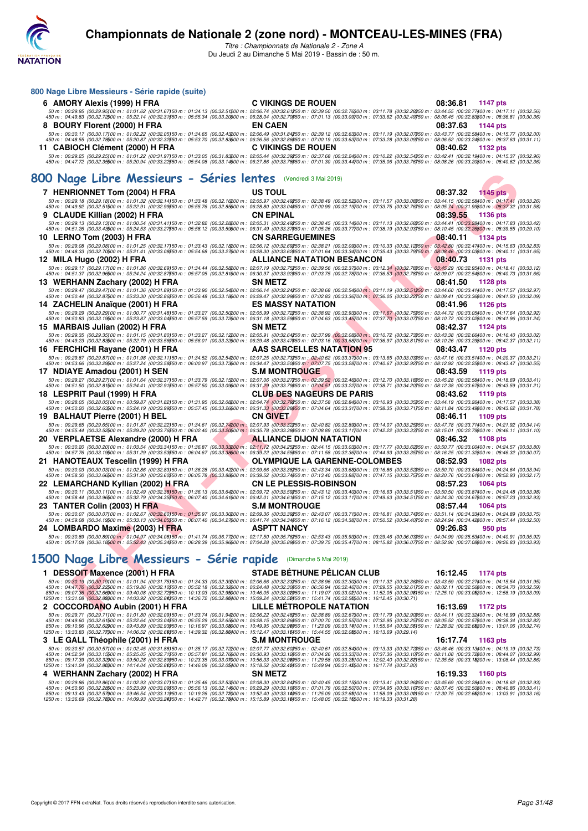

*Titre : Championnats de Nationale 2 - Zone A* Du Jeudi 2 au Dimanche 5 Mai 2019 - Bassin de : 50 m.

| 800 Nage Libre Messieurs - Série rapide (suite)                                                                                                                                                                                                                                                                                                                                                                                                                                 |                                                                                                                                                                                  |                             |  |
|---------------------------------------------------------------------------------------------------------------------------------------------------------------------------------------------------------------------------------------------------------------------------------------------------------------------------------------------------------------------------------------------------------------------------------------------------------------------------------|----------------------------------------------------------------------------------------------------------------------------------------------------------------------------------|-----------------------------|--|
| 6 AMORY Alexis (1999) H FRA                                                                                                                                                                                                                                                                                                                                                                                                                                                     | <b>C VIKINGS DE ROUEN</b>                                                                                                                                                        | 08:36.81<br>1147 pts        |  |
| $50\,m:\,00.29.95\,(00.29.95)\\ 00\,m:\,01.01.62\,(00.31.67)\\ 50\,m:\,01.22.76\,(00.32.5)\\ 50\,m:\,01.24.77\,(00.32.5)\\ 50\,m:\,02.26\,(00.32.5)\\ 50\,m:\,02.27\,(00.32.7)\\ 50\,m:\,02.27\,(00.32.7)\\ 50\,m:\,02.27\,(00.32.7)\\ 50\,m:\,02.27\,($                                                                                                                                                                                                                        |                                                                                                                                                                                  |                             |  |
| 8 BOURY Florent (2000) H FRA                                                                                                                                                                                                                                                                                                                                                                                                                                                    | <b>EN CAEN</b>                                                                                                                                                                   | 08:37.63<br>1144 pts        |  |
| $\emph{50 m: 00:30.17 (00:30.17)00 m: 01:02.22 (00:32.05)50 m: 01:34.65 (00:32.43200 m: 02:06.49 (00:31.84250 m: 02:33.12 (00:32.63200 m: 03:11.19 (00:32.07550 m: 03:43.77 (00:32.5800 m: 04:15.77 (00:32.000 m: 04:15.77 (00:32.000 m: 04:15.77 ($                                                                                                                                                                                                                            |                                                                                                                                                                                  |                             |  |
| 11 CABIOCH Clément (2000) H FRA                                                                                                                                                                                                                                                                                                                                                                                                                                                 | <b>C VIKINGS DE ROUEN</b>                                                                                                                                                        | 08:40.62<br>1132 pts        |  |
| 50 m : 00:29.25 (00:29.25)00 m : 01:01.22 (00:31.97)50 m : 01:33.05 (00:31.83200 m : 02:05.44 (00:32.39250 m : 02:37.68 (00:32.24300 m : 03:10.22 (00:32.54350 m : 03:42.41 (00:32.19400 m : 04:15.37 (00:32.96)                                                                                                                                                                                                                                                                |                                                                                                                                                                                  |                             |  |
| 450 m : 04:47.72 (00:32.35500 m : 05:20.94 (00:33.22550 m : 05:54.08 (00:33.14600 m : 06:27.86 (00:33.78650 m : 07:01.30 (00:33.44700 m : 07:35.06 (00:33.76750 m : 08:00.26 (00:32.20\$00 m : 08:40.62 (00:32.36)                                                                                                                                                                                                                                                              |                                                                                                                                                                                  |                             |  |
| 800 Nage Libre Messieurs - Séries lentes (Vendredi 3 Mai 2019)                                                                                                                                                                                                                                                                                                                                                                                                                  |                                                                                                                                                                                  |                             |  |
|                                                                                                                                                                                                                                                                                                                                                                                                                                                                                 |                                                                                                                                                                                  |                             |  |
| 7 HENRIONNET Tom (2004) H FRA<br>50 m : 00:29.18 (00:29.18)00 m : 01:01.32 (00:32.14)50 m : 01:33.48 (00:32.16200 m : 02:05.97 (00:32.49250 m : 02:38.49 (00:32.52)00 m : 03:11.57 (00:32.08050 m : 03:44.15 (00:32.58)00 m : 04:17.41 (00:32.26)                                                                                                                                                                                                                               | <b>US TOUL</b>                                                                                                                                                                   | 08:37.32<br>1145 pts        |  |
| 450 m : 04:49.92 (00:32.51500 m : 05:22.91 (00:32.99550 m : 05:55.76 (00:32.85600 m : 06:28.80 (00:33.04650 m : 07:00.99 (00:32.19700 m : 07:33.75 (00:32.76750 m : 08:05.74 (00:31.99600 m : 08:37.32 (00:31.58)                                                                                                                                                                                                                                                               |                                                                                                                                                                                  |                             |  |
| CLAUDE Killian (2002) H FRA<br>9                                                                                                                                                                                                                                                                                                                                                                                                                                                | CN EPINAL                                                                                                                                                                        | 08.39.55<br>1136 pts        |  |
| 50 m : 00:29.13 (00:29.13)00 m : 01:00.54 (00:31.41150 m : 01:32.82 (00:32.28200 m : 02:05.31 (00:32.49250 m : 02:38.45 (00:33.14300 m : 03:11.13 (00:32.68350 m : 03:44.41 (00:32.28400 m : 04:17.83 (00:33.42)<br>450 m : 04:51.26 (00:33.43500 m : 05:24.53 (00:33.27550 m : 05:58.12 (00:33.59500 m : 06:31.49 (00:33.37550 m : 07:05.26 (00:33.77700 m : 07:38.19 (00:32.33750 m : 08:10.45 (00:32.26500 m : 08:39.55 (00:29.10)                                           |                                                                                                                                                                                  |                             |  |
| 10 LERNO TOM (2003) H FRA                                                                                                                                                                                                                                                                                                                                                                                                                                                       | <b>CN SARREGUEMINES</b>                                                                                                                                                          | 08:40.11<br>1134 pts        |  |
| 50 m : 00:29.08 (00:29.08)00 m : 01:01.25 (00:32.17)50 m : 01:33.43 (00:32.18200 m : 02:06.12 (00:32.69250 m : 02:38.21 (00:32.09300 m : 03:10.33 (00:32.12350 m : 03:42.80 (00:32.47400 m : 04:15.63 (00:32.83)<br>450 m : 04:48.33 (00:32.70500 m : 05:21.41 (00:33.0850 m : 05:54.68 (00:33.27600 m : 06:28.30 (00:33.62650 m : 07:01.64 (00:33.4700 m : 07:35.43 (00:33.77560 m : 08:08.46 (00:33.03500 m : 08:40.11 (00:31.65)                                             |                                                                                                                                                                                  |                             |  |
| 12 MILA Hugo (2002) H FRA                                                                                                                                                                                                                                                                                                                                                                                                                                                       | <b>ALLIANCE NATATION BESANCON</b>                                                                                                                                                | 08:40.73<br>1131 pts        |  |
| 50 m : 00:29.17 (00:29.17 00 m : 01:01.86 (00:32.69)50 m : 01:34.44 (00:32.58200 m : 02:07.19 (00:32.75250 m : 02:39.56 (00:32.37300 m : 03:12.34 (00:32.75350 m : 03:45.29 (00:32.95400 m : 04:18.41 (00:33.12)<br>450 m : 04:51.37 (00:32.96500 m : 05:24.24 (00:32.8750 m : 05:57.05 (00:32.81600 m : 06:30.97 (00:33.92650 m : 07:03.75 (00:32.78700 m : 07:36.53 (00:32.78750 m : 08:09.07 (00:32.54600 m : 08:40.73 (00:31.66)                                            |                                                                                                                                                                                  |                             |  |
| 13 WERHANN Zachary (2002) H FRA                                                                                                                                                                                                                                                                                                                                                                                                                                                 | <b>SN METZ</b>                                                                                                                                                                   | 08:41.50<br><b>1128 pts</b> |  |
| 50 m : 00:29.47 (00:29.47)00 m : 01:01.36 (00:31.89)50 m : 01:33.90 (00:32.54200 m : 02:06.14 (00:32.44250 m : 02:38.68 (00:32.54300 m : 03:11.19 (00:32.51350 m : 03:44.60 (00:32.44400 m : 04:17.57 (00:32.97)                                                                                                                                                                                                                                                                |                                                                                                                                                                                  |                             |  |
| 450 m : 04:50.44 (00:32.87500 m : 05:23.30 (00:32.8650 m : 05:56.48 (00:33.18600 m : 06:29.47 (00:32.9950 m : 07:02.83 (00:33.36700 m : 07:36.05 (00:33.22750 m : 08:09.41 (00:33.36600 m : 08:41.50 (00:32.09)<br>14 ZACHELIN Anaïque (2001) H FRA                                                                                                                                                                                                                             | ES MASSY NATATION                                                                                                                                                                | 08:41.96<br><b>1126 pts</b> |  |
| 50 m : 00:29.29 (00:29.29)00 m : 01:00.77 (00:31.48)50 m : 01:33.27 (00:32.50200 m : 02:05.99 (00:32.72250 m : 02:38.92 (00:32.33000 m : 03:11.67 (00:32.75350 m : 03:44.72 (00:32.05400 m : 04:17.64 (00:32.92)                                                                                                                                                                                                                                                                |                                                                                                                                                                                  |                             |  |
| 450 m : 04:50.83 (00:33.19500 m : 05:23.87 (00:33.04550 m : 05:57.59 (00:33.72600 m : 06:31.18 (00:33.59650 m : 07:04.63 (00:33.45700 m : 07:37.70 (00:33.07750 m : 08:10.72 (00:33.02800 m : 08:41.96 (00:31.24)                                                                                                                                                                                                                                                               |                                                                                                                                                                                  |                             |  |
| 15 MARBAIS Julian (2002) H FRA<br>50 m : 00:29.35 (00:29.35)00 m : 01:01.15 (00:31.80)50 m : 01:33.27 (00:32.12200 m : 02:05.91 (00:32.64250 m : 02:37.99 (00:32.0800 m : 03:10.72 (00:32.73850 m : 03:43.38 (00:32.66400 m : 04:16.40 (00:33.02)                                                                                                                                                                                                                               | <b>SN METZ</b>                                                                                                                                                                   | 08:42.37<br>1124 pts        |  |
| 450 m : 04:49.23 (00:32.83500 m : 05:22.79 (00:33.56550 m : 05:56.01 (00:33.22600 m : 06:29.48 (00:33.47650 m : 07:03.16 (00:33.68700 m : 07:36.97 (00:33.81750 m : 08:10.26 (00:32.2900 m : 08:12.37 (00:32.11)                                                                                                                                                                                                                                                                |                                                                                                                                                                                  |                             |  |
| 16 FERCHICHI Rayane (2001) H FRA                                                                                                                                                                                                                                                                                                                                                                                                                                                | AAS SARCELLES NATATION 95                                                                                                                                                        | 08:43.47<br><b>1120 pts</b> |  |
| $\emph{50 m: 00:29.87 (00:29.87) 00 m: 01:01.98 (00:32.11) 50 m: 01:34.52 (00:32.54200 m: 02:07.25 (00:32.73250 m: 02:40.62 (00:33.7300 m: 03:14.56 (00:30.3950 m: 03:47.16 (00:33.5447) (03:32.5700 m: 03:47.58) (04.50 m: 04.50.57) (05.51 m: 05.$                                                                                                                                                                                                                            |                                                                                                                                                                                  |                             |  |
| 17 NDIAYE Amadou (2001) H SEN                                                                                                                                                                                                                                                                                                                                                                                                                                                   | <b>S.M MONTROUGE</b>                                                                                                                                                             | 08:43.59<br>1119 pts        |  |
| $50\,m:\,00.29.27\,(00.29.27) \,00\,m:\,01.01.64\,\,(00.32.37) \,50\,m:\,01.32.79\,(00.32.15200\,m:\,02.07.06\,\,(00.33.27) \,50\,m:\,02.39.52\,\,(00.32.46 \,900\,m:\,03.12.70\,\,(00.33.18 \,950\,m:\,03.45.28\,\,(00.32.58 \,900\,m:\,04.18.69\,\,(00.$<br>450 m : 04:51.50 (00:32.81500 m : 05:24.41 (00:32.91550 m : 05:57.50 (00:33.09600 m : 06:31.29 (00:33.79650 m : 07:04.51 (00:33.22700 m : 07:38.71 (00:34.20750 m : 08:12.38 (00:33.67000 m : 08:43.59 (00:31.21) |                                                                                                                                                                                  |                             |  |
| 18 LESPRIT Paul (1999) H FRA                                                                                                                                                                                                                                                                                                                                                                                                                                                    | <b>CLUB DES NAGEURS DE PARIS</b>                                                                                                                                                 | 08:43.62<br>1119 pts        |  |
| $50\ m:\ 00:28.05\ (00:28.05) \ 00\ m:\ 00:59.87\ (00:31.82) \ 50\ m:\ 01:31.95\ (00:32.08200\ m:\ 02:04.74\ (00:32.79250\ m:\ 02:37.58\ (00:32.84300\ m:\ 03:10.93\ (00:33.35350\ m:\ 03:44.19\ (00:33.26400\ m:\ 04:17.57\ (00:33.38) \ 011.08\ (00:33.$<br>450 m : 04:50.20 (00:32.63500 m : 05:24.19 (00:33.9950 m : 05:57.45 (00:33.26600 m : 06:31.33 (00:33.88650 m : 07:04.64 (00:33.31700 m : 07:38.35 (00:33.71750 m : 08:11.84 (00:33.4960 m : 08:43.62 (00:31.78)   |                                                                                                                                                                                  |                             |  |
| 19 BALHAUT Pierre (2001) H BEL                                                                                                                                                                                                                                                                                                                                                                                                                                                  | CN GIVET                                                                                                                                                                         | 08:46.11<br>1109 pts        |  |
| 50 m : 00:29.65 (00:29.65)00 m : 01:01.87 (00:32.22)50 m : 01:34.61 (00:32.74200 m : 02:07.93 (00:33.32250 m : 02:40.82 (00:32.89300 m : 03:14.07 (00:33.5350 m : 03:47.78 (00:33.71400 m : 04:21.92 (00:34.14)<br>450 m : 04:55.44 (00:33.52500 m : 05:29.20 (00:33.7650 m : 06:02.40 (00:33.20600 m : 06:35.78 (00:33.38650 m : 07:08.89 (00:33.11700 m : 07:42.22 (00:33.33750 m : 08:15.01 (00:32.79600 m : 08:46.11 (00:31.10)                                             |                                                                                                                                                                                  |                             |  |
| 20   VERPLAETSE Alexandre (2000) H FRA                                                                                                                                                                                                                                                                                                                                                                                                                                          | <b>ALLIANCE DIJON NATATION</b>                                                                                                                                                   | 08:46.32<br>1108 pts        |  |
| 50 m : 00:30.20 (00:30.20)00 m : 01:03.54 (00:33.34)50 m : 01:36.87 (00:33.3300 m : 02:11.12 (00:34.25250 m : 02:44.15 (00:33.03200 m : 03:17.77 (00:33.62250 m : 03:50.77 (00:33.00)00 m : 04:24.57 (00:33.80)                                                                                                                                                                                                                                                                 |                                                                                                                                                                                  |                             |  |
| 450 m : 04:57.76 (00:33.19500 m : 05:31.29 (00:33.53550 m : 06:04.67 (00:33.39500 m : 06:39.22 (00:34.55550 m : 07:11.58 (00:32.36700 m : 07:44.93 (00:33.35750 m : 08:16.25 (00:31.32800 m : 08:46.32 (00:30.07)<br>21 HANOTEAUX Tescelin (1999) H FRA                                                                                                                                                                                                                         | <b>OLYMPIQUE LA GARENNE-COLOMBES</b>                                                                                                                                             | 08:52.93<br><b>1082 pts</b> |  |
| 50 m : 00:30.03 (00:30.03)00 m : 01:02.86 (00:32.83)50 m : 01:36.28 (00:33.42200 m : 02:09.66 (00:33.82250 m : 02:43.34 (00:33.68300 m : 03:16.86 (00:33.52350 m : 03:50.70 (00:33.84400 m : 04:24.64 (00:33.94)                                                                                                                                                                                                                                                                |                                                                                                                                                                                  |                             |  |
| 450 m : 04:58.30 (00:33.66500 m : 05:31.90 (00:33.60550 m : 06:05.78 (00:33.8860 m : 06:39.52 (00:33.74650 m : 07:13.40 (00:33.88700 m : 07:47.15 (00:33.75750 m : 08:20.76 (00:33.61600 m : 08:52.93 (00:32.17)                                                                                                                                                                                                                                                                |                                                                                                                                                                                  |                             |  |
| 22 LEMARCHAND Kyllian (2002) H FRA<br>50 m : 00:30.11 (00:30.11100 m : 01:02.49 (00:32.38150 m : 01:36.13 (00:33.64200 m : 02:09.72 (00:33.59250 m : 02:43.12 (00:33.40300 m : 03:16.63 (00:33.51350 m : 03:50.50 (00:33.87/00 m : 04:24.48 (00:33.98                                                                                                                                                                                                                           | <b>CN LE PLESSIS-ROBINSON</b>                                                                                                                                                    | 08:57.23<br><b>1064 pts</b> |  |
| 450 m : 04:58.44 (00:33.96500 m : 05:32.79 (00:34.3550 m : 06:07.40 (00:34.61600 m : 06:42.01 (00:34.61650 m : 07:15.12 (00:33.11700 m : 07:49.63 (00:34.51750 m : 08:24.30 (00:34.67600 m : 08:57.23 (00:32.93)                                                                                                                                                                                                                                                                |                                                                                                                                                                                  |                             |  |
| 23 TANTER Colin (2003) H FRA<br>$50\,m:\,00.30.07\,\,(00.30.07) \,00\,m:\,01.02.67\,\,(00.32.60) \,50\,m:\,01.35.97\,\,(00.33.30200\,m:\,02.9.36\,\,(00.33.39250\,m:\,02.43.07\,\,(00.33.71300\,m:\,03.16.81\,\,(00.33.74350\,m:\,03.51.14\,\,(00.34.33400\,m:\,04.24.89\,\,(00.33.7500$                                                                                                                                                                                        | <b>S.M MONTROUGE</b>                                                                                                                                                             | 08:57.44<br><b>1064 pts</b> |  |
| 450 m : 04:59.08 (00:34.19500 m : 05:33.13 (00:34.05550 m : 06:07.40 (00:34.27600 m : 06:41.74 (00:34.34650 m : 07:16.12 (00:34.38700 m : 07:50.52 (00:34.40750 m : 08:24.94 (00:34.42600 m : 08:57.44 (00:32.50)                                                                                                                                                                                                                                                               |                                                                                                                                                                                  |                             |  |
| 24 LOMBARDO Maxime (2003) H FRA                                                                                                                                                                                                                                                                                                                                                                                                                                                 | <b>ASPTT NANCY</b>                                                                                                                                                               | 09:26.83<br>950 pts         |  |
| $50\,m:\,00.30.89\,\,(00.30.89) \,00\,m:\,01.04.97\,\,(00.34.08) \,50\,m:\,01.41.74\,\,(00.36.77200\,m:\,02.17.50\,\,(00.35.76250\,m:\,02.63.43\,\,(00.35.93300\,m:\,03.29.46\,\,(00.36.03350\,m:\,04.04.99\,\,(00.35.53300\,m:\,04.40.91\,,(00.35.920$<br>450 m : 05:17.09 (00:36.18500 m : 05:52.43 (00:35.34550 m : 06:28.39 (00:35.96600 m : 07:04.28 (00:35.9650 m : 07:39.75 (00:35.47700 m : 08:15.82 (00:36.07750 m : 08:52.90 (00:37.08800 m : 09:26.83 (00:33.93)     |                                                                                                                                                                                  |                             |  |
|                                                                                                                                                                                                                                                                                                                                                                                                                                                                                 |                                                                                                                                                                                  |                             |  |
| 1500 Nage Libre Messieurs - Série rapide (Dimanche 5 Mai 2019)                                                                                                                                                                                                                                                                                                                                                                                                                  |                                                                                                                                                                                  |                             |  |
| 1 DESSOIT Maxence (2001) H FRA                                                                                                                                                                                                                                                                                                                                                                                                                                                  | STADE BÉTHUNE PÉLICAN CLUB                                                                                                                                                       | 16:12.45<br>1174 pts        |  |
| 50 m : 00:30.19 (00:30.19100 m : 01:01.94 (00:31.75150 m : 01:34.33 (00:32.39200 m : 02:06.66 (00:32.39250 m : 02:38.96 (00:32.30000 m : 03:11.32 (00:32.36650 m : 03:43.59 (00:32.27400 m : 04:15.54 (00:31.95)<br>450 m : 04:47.76 (00:32.22500 m : 05:19.86 (00:32.10550 m : 05:52.18 (00:32.32600 m : 06:24.48 (00:32.30650 m : 06:56.94 (00:32.46700 m : 07:29.55 (00:32.61750 m : 08:02.11 (00:32.56800 m : 08:34.70 (00:32.59)                                           |                                                                                                                                                                                  |                             |  |
| 850 m : 09:07.36 (00:32.66900 m : 09:40.08 (00:32.72950 m : 10:13.03 (00:32.95000 m : 10:46.05 (00:33.02050 m : 11:19.07 (00:33.02100 m : 11:52.05 (00:32.98150 m : 12:25.10 (00:32.05000 m : 12:25.10 (00:33.05)<br>1250 m : 13:31.08 (00:32.88300 m : 14:03.92 (00:32.84350 m : 14:36.72 (00:32.80400 m : 15:09.24 (00:32.52450 m : 15:41.74 (00:32.50500 m : 16:12.45 (00:30.71)                                                                                             |                                                                                                                                                                                  |                             |  |
| 2 COCCORDANO Aubin (2001) H FRA                                                                                                                                                                                                                                                                                                                                                                                                                                                 | LILLE METROPOLE NATATION                                                                                                                                                         | 16:13.69 1172 pts           |  |
| $50\,m:\,00.29.71\,\,(00.29.711\,00\,m:\,01.01.80\,\,(00.32.09)\\ 50\,m:\,01.33.74\,\,(00.31.94200\,m:\,02.06.22\,\,(00.32.48250\,m:\,02.38.89\,\,(00.32.67300\,m:\,03.11.79\,\,(00.32.90350\,m:\,03.44.11\,\,(00.32.32400\,m:\,04.16.99\,\,(00.32.88)\$                                                                                                                                                                                                                        |                                                                                                                                                                                  |                             |  |
| 450 m : 04:49.60 (00:32.61500 m : 05:22.64 (00:33.04550 m : 05:55.29 (00:32.65600 m : 06:28.15 (00:32.66650 m : 07:00.70 (00:32.55700 m : 07:32.95 (00:32.5750 m : 08:05.52 (00:32.82) (00:32.8560 m : 07:00.70 (00:32.55700 m<br>850 m : 09:10.96 (00:32.62900 m : 09:43.89 (00:32.93950 m : 10:16.97 (00:33.0000 m : 10:49.95 (00:32.96050 m : 11:23.09 (00:32.14)00 m : 11:55.64 (00:32.55)50 m : 12:28.32 (00:32.66200 m : 13:01.06 (00:32.74)                              |                                                                                                                                                                                  |                             |  |
| 1250 m : 13:33.83 (00:32.77300 m : 14:06.52 (00:32.68350 m : 14:39.32 (00:32.80400 m : 15:12.47 (00:33.15450 m : 15:44.55 (00:32.08500 m : 16:13.69 (00:29.14)<br>3 LE GALL Théophile (2001) H FRA                                                                                                                                                                                                                                                                              | <b>S.M MONTROUGE</b>                                                                                                                                                             | 16:17.74<br>1163 pts        |  |
| 50 m : 00:30.57 (00:30.57)00 m : 01:02.45 (00:31.88)50 m : 01:35.17 (00:32.72200 m : 02:07.77 (00:32.60250 m : 02:40.61 (00:32.84300 m : 03:13.33 (00:32.72350 m : 03:46.46 (00:32.13/00 m : 04:19.19 (00:32.73)                                                                                                                                                                                                                                                                |                                                                                                                                                                                  |                             |  |
| 450 m : 04:52.34 (00:33.15500 m : 05:25.05 (00:32.71550 m : 05:57.81 (00:32.76600 m : 06:30.93 (00:33.12650 m : 07:04.26 (00:33.33700 m : 07:37.36 (00:33.10750 m : 08:11.08 (00:33.72600 m : 08:44.07 (00:32.99)<br>850 m : 09:17.39 (00:33.32)00 m : 09:50.28 (00:32.89)50 m : 10:23.35 (00:32.01)00 m : 10:56.33 (00:32.80)50 m : 11:29.58 (00:33.25)00 m : 12:02.40 (00:32.82)50 m : 12:03.48 (00:32.82)50 m : 12:02.40 (00:32.82)50 m : 12:02.                             |                                                                                                                                                                                  |                             |  |
|                                                                                                                                                                                                                                                                                                                                                                                                                                                                                 |                                                                                                                                                                                  |                             |  |
| 4 WERHANN Zachary (2002) H FRA                                                                                                                                                                                                                                                                                                                                                                                                                                                  | 1250 m : 13:41.24 (00:32.80300 m : 14:14.04 (00:32.80350 m : 14:46.09 (00:32.05400 m : 15:18.52 (00:32.43450 m : 15:49.94 (00:31.42500 m : 16:17.74 (00:27.80)<br><b>SN METZ</b> | 16:19.33<br>1160 pts        |  |

4 WERHANN Zachary (2002) H FRA SN METZ<br>50 m : 00:29.86 (00:29.86)00 m : 01:02.93 (00:33.07)50 m : 01:35.46 (00:32.53200 m : 02:08.30 (00:32.84250 m : 02:40.45 (00:32.15300 m : 03:13.41 (00:32.96350 m : 03:45.69 (00:22.283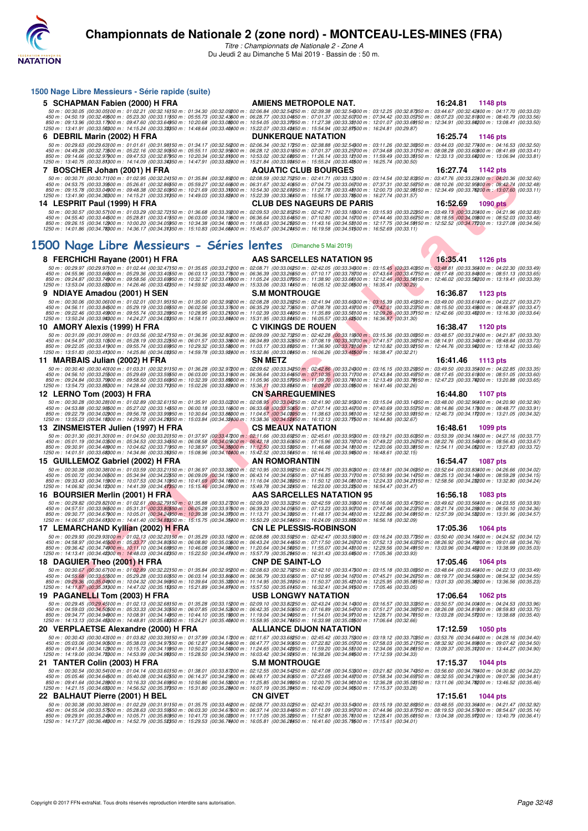

| 1500 Nage Libre Messieurs - Série rapide (suite)                                                                                                                                                                                                                                                                                                                                                                                                                                                                                                                                                                                                                                                     |                                  |                             |
|------------------------------------------------------------------------------------------------------------------------------------------------------------------------------------------------------------------------------------------------------------------------------------------------------------------------------------------------------------------------------------------------------------------------------------------------------------------------------------------------------------------------------------------------------------------------------------------------------------------------------------------------------------------------------------------------------|----------------------------------|-----------------------------|
| 5 SCHAPMAN Fabien (2000) H FRA                                                                                                                                                                                                                                                                                                                                                                                                                                                                                                                                                                                                                                                                       | <b>AMIENS METROPOLE NAT.</b>     | 16:24.81<br>1148 pts        |
| $50\,m:\ 00:30.05\,\, (00:30.05) \,00\,m:\ 01:02.21\,\,(00:32.16) \,50\,m:\ 01:34.30\,\,(00:32.09200\,m:\ 02:06.84\,\,(00:32.54250\,m:\ 02:39.38\,\,(00:32.54300\,m:\ 03:12.25\,\,(00:32.87350\,m:\ 03:44.67\,\,(00:32.42400\,m:\ 04:17.70\,\,(00:32.63$<br>$\frac{450}{20}\,m:\frac{04:50.19}{00:32.4900}\,\frac{00:24:4500}{00:32.4900}\,m:\frac{05:53}{00:33.64950}\,\frac{00:22.43500}{00:32.49500}\,m:\frac{06:28.77}{00:33.69000}\,\frac{00:33.6450}{00:33.39950}\,m:\frac{07:01.37}{00:33.39900}\,\frac{00:22.60700}{00:33.39900}\,m:\frac{$                                                                                                                                                  |                                  |                             |
| 1250 m : 13:41.91 (00:33.50300 m : 14:15.24 (00:33.38350 m : 14:48.64 (00:33.40400 m : 15:22.07 (00:33.48450 m : 15:54.94 (00:32.87500 m : 16:24.81 (00:29.87)                                                                                                                                                                                                                                                                                                                                                                                                                                                                                                                                       |                                  |                             |
| 6 DEBRIL Marin (2002) H FRA                                                                                                                                                                                                                                                                                                                                                                                                                                                                                                                                                                                                                                                                          | <b>DUNKERQUE NATATION</b>        | 16:25.74<br>1146 pts        |
| $50\,m:\ 00:29.63\,\,(00:29.63) \,00\,m:\ 01:01.61\,\,(00:31.98) \,50\,m:\ 01:34.17\,\,(00:32.56200\,m:\ 02:06.34\,\,(00:32.17250\,m:\ 02:36.88\,\,(00:32.56200\,m:\ 03:11.26\,\,(00:32.38550\,m:\ 03:44.03\,\,(00:32.77400\,m:\ 04:16.53\,\,(00:32.50)\$                                                                                                                                                                                                                                                                                                                                                                                                                                            |                                  |                             |
| 850 m : 09:14.66 (00:32.97900 m : 09:47.53 (00:32.87950 m : 10:20.34 (00:32.81000 m : 10:53.02 (00:32.60050 m : 11:26.14 (00:33.12)00 m : 11:59.49 (00:33.35)50 m : 12:33.13 (00:33.64200 m : 13:06.94 (00:33.81)<br>1250 m : 13:40.75 (00:33.81300 m : 14:14.09 (00:33.34350 m : 14:47.91 (00:33.82400 m : 15:21.84 (00:33.98450 m : 15:55.24 (00:33.40500 m : 16:25.74 (00:30.60)                                                                                                                                                                                                                                                                                                                  |                                  |                             |
| 7 BOSCHER Johan (2001) H FRA<br>50 m : 00:30.71 (00:30.71)00 m : 01:02.95 (00:32.24)50 m : 01:35.84 (00:32.89200 m : 02:08.59 (00:32.75250 m : 02:41.71 (00:33.12300 m : 03:14.54 (00:32.83350 m : 03:47.76 (00:32.23400 m : 04:20.36 (00:32.60)                                                                                                                                                                                                                                                                                                                                                                                                                                                     | <b>AQUATIC CLUB BOURGES</b>      | 16:27.74<br>1142 pts        |
| 450 m : 04:53.75 (00:33.39500 m : 05:26.61 (00:32.8650 m : 05:59.27 (00:32.66600 m : 06:31.67 (00:32.40650 m : 07:04.73 (00:32.66600 m : 07:37.31 (00:32.58750 m : 08:10.26 (00:32.95800 m : 08:42.74 (00:32.48)                                                                                                                                                                                                                                                                                                                                                                                                                                                                                     |                                  |                             |
| 850 m : 09:15.78 (00:33.0400 m : 09:48.38 (00:32.60950 m : 10:21.69 (00:33.31000 m : 10:54.30 (00:32.61050 m : 11:27.78 (00:33.48100 m : 12:00.73 (00:32.95150 m : 12:34.49 (00:33.76200 m : 13:07.60 (00:33.11)<br>1250 m : 13:4                                                                                                                                                                                                                                                                                                                                                                                                                                                                    |                                  |                             |
| 14 LESPRIT Paul (1999) H FRA<br>50 m : 00:30.57 (00:30.57)00 m : 01:03.29 (00:32.72)50 m : 01:36.68 (00:33.39200 m : 02:09.53 (00:32.85250 m : 02:42.71 (00:33.18)00 m : 03:15.93 (00:32.22)50 m : 03:49.13 (00:32.20)00 m : 03:49.13 (00:32.20)00 m : 04:21.9                                                                                                                                                                                                                                                                                                                                                                                                                                       | <b>CLUB DES NAGEURS DE PARIS</b> | 16:52.69<br>1090 pts        |
| 450 m : 04:55.40 (00:33.44500 m : 05:28.81 (00:33.41550 m : 06:03.00 (00:34.19500 m : 06:36.64 (00:33.64650 m : 07:10.80 (00:34.16700 m : 07:44.46 (00:33.66750 m : 08:18.55 (00:34.09800 m : 08:52.03 (00:33.48)<br>850 m : 09:26.15  (00:34.12)00 m : 10:00.20  (00:34.05)50 m : 10:34.38  (00:34.18)00 m : 11:08.63  (00:34.25)50 m : 11:43.16  (00:34.55)00 m : 12:17.75  (00:34.55)50 m : 12:52.52  (00:34.71200 m : 13:27.08  (00:34.56)<br>1250                                                                                                                                                                                                                                               |                                  |                             |
|                                                                                                                                                                                                                                                                                                                                                                                                                                                                                                                                                                                                                                                                                                      |                                  |                             |
| 1500 Nage Libre Messieurs - Séries lentes (Dimanche 5 Mai 2019)                                                                                                                                                                                                                                                                                                                                                                                                                                                                                                                                                                                                                                      |                                  |                             |
| 8 FERCHICHI Rayane (2001) H FRA                                                                                                                                                                                                                                                                                                                                                                                                                                                                                                                                                                                                                                                                      | <b>AAS SARCELLES NATATION 95</b> | 16:35.41<br>1126 pts        |
| 50 m : 00:29.97 (00:29.97)00 m : 01:02.44 (00:32.47)50 m : 01:35.65 (00:33.21200 m : 02:08.71 (00:33.06250 m : 02:42.05 (00:33.4300 m : 03:15.45 (00:33.40350 m : 03:48.81 (00:33.36400 m : 04:22.30 (00:33.49)<br>450 m : 04:55.96 (00:33.66500 m : 05:29.36 (00:33.40550 m : 06:03.13 (00:33.77600 m : 06:36.39 (00:33.26650 m : 07:10.17 (00:33.78700 m : 07:43.64 (00:33.4750 m : 08:17.48 (00:33.84800 m : 08:51.13 (00:33.65)                                                                                                                                                                                                                                                                  |                                  |                             |
| 850 m : 09:24.87 (00:33.74900 m : 09:58.56 (00:33.69950 m : 10:32.17 (00:33.61000 m : 11:05.24 (00:33.07050 m : 11:38.90 (00:33.66100 m : 12:12.46 (00:33.56150 m : 12:12.46 (00:33.56150 m : 12:46.02 (00:33.56000 m : 13:19.<br>1250 m : 13:53.04 (00:33.61)00 m : 14:26.46 (00:33.41)950 m : 14:59.92 (00:33.46400 m : 15:33.06 (00:33.14450 m : 16:05.12 (00:32.06)500 m : 16:35.41 (00:30.29)                                                                                                                                                                                                                                                                                                   |                                  |                             |
| 9 NDIAYE Amadou (2001) H SEN                                                                                                                                                                                                                                                                                                                                                                                                                                                                                                                                                                                                                                                                         | <b>S.M MONTROUGE</b>             | 16:36.87<br>1123 pts        |
| 50 m : 00:30.06 (00:30.06)00 m : 01:02.01 (00:31.95)50 m : 01:35.00 (00:32.99200 m : 02:08.28 (00:33.28250 m : 02:41.94 (00:33.66300 m : 03:15.39 (00:33.45350 m : 03:49.00 (00:33.61400 m : 04:22.27 (00:33.27)<br>450 m : 04:56.11 (00:33.84500 m : 05:29.19 (00:33.0850 m : 06:02.56 (00:33.37600 m : 06:35.29 (00:32.73650 m : 07:08.78 (00:33.49700 m : 07:42.01 (00:33.29750 m : 08:15.50 (00:33.49600 m : 08:48.97 (00:33.47)                                                                                                                                                                                                                                                                 |                                  |                             |
| 850 m : 09:22.46 (00:33.49900 m : 09:55.74 (00:33.28950 m : 10:28.95 (00:33.21000 m : 11:02.39 (00:33.44050 m : 11:35.89 (00:33.50)00 m : 12:09.26 (00:33.37)50 m : 12:42.66 (00:33.40200 m : 13:16.30 (00:33.64)<br>1250 m : 13:50.24 (00:33.9400 m : 14:24.27 (00:34.08050 m : 14:58.11 (00:33.84400 m : 15:31.95 (00:33.84450 m : 16:05.57 (00:33.6200 m : 16:36.87 (00:31.30)                                                                                                                                                                                                                                                                                                                    |                                  |                             |
| 10 AMORY Alexis (1999) H FRA<br>50 m : 00:31.09 (00:31.09)00 m : 01:03.56 (00:32.47)50 m : 01:36.36 (00:32.80200 m : 02:09.09 (00:32.73250 m : 02:42.28 (00:33.13000 m : 03:15.36 (00:33.08)50 m : 03:48.57 (00:33.21400 m : 04:21.87 (00:33.30)                                                                                                                                                                                                                                                                                                                                                                                                                                                     | <b>C VIKINGS DE ROUEN</b>        | 16:38.47<br>1120 pts        |
| 450 m : 04:54.97 (00:33.10500 m : 05:28.19 (00:33.2250 m : 06:01.57 (00:33.32600 m : 06:34.89 (00:33.32650 m : 07:08.19 (00:33.30700 m : 07:41.57 (00:33.38750 m : 08:14.91 (00:33.34800 m : 08:14.91 (00:33.34800 m : 08:48.6<br>850 m : 09:22.05 (00:33.41900 m : 09:55.74 (00:33.69)50 m : 10:29.32 (00:33.58)00 m : 11:03.17 (00:33.85)50 m : 11:36.90 (00:33.78100 m : 12:10.82 (00:33.92150 m : 12:44.76 (00:33.94)50 m : 13:18.42 (00:33.69)                                                                                                                                                                                                                                                  |                                  |                             |
| 1250 m : 13:51.83 (00:33.41300 m : 14:25.86 (00:34.08350 m : 14:59.78 (00:33.92400 m : 15:32.86 (00:33.08450 m : 16:06.26 (00:33.40500 m : 16:38.47 (00:32.21)                                                                                                                                                                                                                                                                                                                                                                                                                                                                                                                                       |                                  |                             |
| 11 MARBAIS Julian (2002) H FRA                                                                                                                                                                                                                                                                                                                                                                                                                                                                                                                                                                                                                                                                       | <b>SN METZ</b>                   | 16:41.46<br>1113 pts        |
| $\begin{array}{c} 50\,m:\,00\cdot 30.40\,(00\cdot 30.40100\,m:\,01\cdot 30.31\,(00\cdot 32.9150\,m:\,01\cdot 36.28\,(00\cdot 32.9200\,m:\,02\cdot 92.80\,m:\,02\cdot 30.8450\,(00\cdot 33.2486\,(00\cdot 33.2486\,00\cdot 31.2486\,(00\cdot 32.2486\,00\cdot 31.2486\,00\cdot 31.2486\,00\cdot$                                                                                                                                                                                                                                                                                                                                                                                                      |                                  |                             |
| 1250 m : 13:54.73 (00:33.85)00 m : 14:28.44 (00:33.71)50 m : 15:02.26 (00:33.81)40 m : 15:36.11 (00:33.85)450 m : 16:09.20 (00:33.01)500 m : 16:41.46 (00:32.26)<br>12 LERNO Tom (2003) H FRA                                                                                                                                                                                                                                                                                                                                                                                                                                                                                                        | <b>CN SARREGUEMINES</b>          | 16:44.80<br><b>1107 pts</b> |
| 50 m : 00:30.28 (00:30.28)00 m : 01:02.89 (00:32.61150 m : 01:35.91 (00:33.02200 m : 02:08.95 (00:33.04250 m : 02:41.90 (00:32.95300 m : 03:15.04 (00:32.14350 m : 03:48.00 (00:32.96300 m : 04:20.90 (00:32.963                                                                                                                                                                                                                                                                                                                                                                                                                                                                                     |                                  |                             |
| 450 m : 04:53.88 (00:32.98500 m : 05:27.02 (00:33.14550 m : 06:00.18 (00:33.16600 m : 06:33.68 (00:33.5050 m : 07:07.14 (00:33.46700 m : 07:40.69 (00:33.55750 m : 08:14.86 (00:34.17800 m : 08:48.77 (00:33.91)<br>850 m : 09:22.79 (00:34.02)00 m : 09:56.78 (00:33.9990 m : 10:30.64 (00:33.86)00 m : 11:04.67 (00:34.02)00 m : 11:38.63 (00:33.96)00 m : 12:12.56 (00:33.96)50 m : 12:46.73 (00:34.11200 m : 13:21.05 (00:34.32)<br>1250 m : 13:5                                                                                                                                                                                                                                                |                                  |                             |
| 13 ZINSMEISTER Julien (1997) H FRA                                                                                                                                                                                                                                                                                                                                                                                                                                                                                                                                                                                                                                                                   | <b>CS MEAUX NATATION</b>         | 16:48.61<br>1099 pts        |
| 50 m : 00:31.30 (00:31.30)00 m : 01:04.50 (00:33.20)50 m : 01:37.97 (00:33.47200 m : 02:11.66 (00:33.69250 m : 02:45.61 (00:33.95300 m : 03:19.21 (00:33.60350 m : 03:53.39 (00:34.18400 m : 04:27.16 (00:33.77)<br>450 m : 05:01.19 (00:34.03500 m : 05:34.53 (00:33.34550 m : 06:08.58 (00:34.05600 m : 06:42.18 (00:33.60650 m : 07:15.96 (00:33.78700 m : 07:49.22 (00:32.26750 m : 08:22.76 (00:33.54600 m : 08:56.43 (00:33.67)                                                                                                                                                                                                                                                                |                                  |                             |
| 850 m : 09:30.91 (00:34.48900 m : 10:04.62 (00:33.71950 m : 10:38.97 (00:34.35000 m : 11:12.50 (00:33.58050 m : 11:46.68 (00:34.18)00 m : 12:20.06 (00:33.38)50 m : 12:54.11 (00:34.05200 m : 13:27.83 (00:33.72)<br>1250 m : 14:01.51 (00:33.68300 m : 14:34.86 (00:33.35350 m : 15:08.96 (00:34.10400 m : 15:42.52 (00:33.56450 m : 16:16.46 (00:33.94500 m : 16:48.61 (00:32.15)                                                                                                                                                                                                                                                                                                                  |                                  |                             |
| 15 GUILLEMOZ Gabriel (2002) H FRA                                                                                                                                                                                                                                                                                                                                                                                                                                                                                                                                                                                                                                                                    | AN ROMORANTIN                    | 16:54.47<br>1087 pts        |
| 50 m : 00:30.38 (00:30.38)00 m : 01:03.59 (00:33.21)50 m : 01:36.97 (00:33.3800 m : 02:10.95 (00:33.98250 m : 02:44.75 (00:33.8000 m : 03:18.81 (00:34.06)50 m : 03:52.64 (00:33.83400 m : 04:26.66 (00:34.02)<br>$450\ m:~05:00.72\ (00:34.06500\ m:~05:34.94\ (00:34.22550\ m:~06:09.09\ (00:34.16500\ m:~06:43.14\ (00:34.06550\ m:~07:16.85\ (00:33.71700\ m:~07:50.99\ (00:34.14750\ m:~08:25.13\ (00:34.14600\ m:~08:59.26\ (00:34.1560\ m:~08:25.08\ (00:3$                                                                                                                                                                                                                                   |                                  |                             |
| 1250 m : 14:06.92 (00:34.12300 m : 14:41.39 (00:34.41350 m : 15:15.46 (00:34.01400 m : 15:49.78 (00:34.32450 m : 16:23.00 (00:33.22500 m : 16:54.47 (00:31.47)                                                                                                                                                                                                                                                                                                                                                                                                                                                                                                                                       |                                  |                             |
| 16 BOURSIER Merlin (2001) H FRA                                                                                                                                                                                                                                                                                                                                                                                                                                                                                                                                                                                                                                                                      | <b>AAS SARCELLES NATATION 95</b> | 16:56.18<br>1083 pts        |
| 50 m : 00:29.82 (00:29.82)00 m : 01:02.61 (00:32.79150 m : 01:35.88 (00:33.27200 m : 02:09.20 (00:33.32250 m : 02:42.59 (00:33.39000 m : 03:16.06 (00:33.47350 m : 03:49.62 (00:33.56/00 m : 04:23.55 (00:33.59)<br>450 m : 04:57.51 (00:33.96500 m : 05:31.31 (00:33.80550 m : 06:05.28 (00:33.97600 m : 06:39.33 (00:34.05650 m : 07:13.23 (00:33.90700 m : 07:47.46 (00:34.25750 m : 08:21.74 (00:34.28600 m : 08:56.10 (00:34.36)<br>850 m : 09:30.77 (00:34.67900 m : 10:05.01 (00:34.24950 m : 10:39.38 (00:34.31000 m : 11:13.71 (00:34.31000 m : 11:148.17 (00:34.46)00 m : 12:22.86 (00:34.69)50 m : 12:57.39 (00:34.51200 m : 13:31.96 (00:34.57)                                          |                                  |                             |
| 1250 m: 14:06.57 (00:34.61300 m: 14:41.40 (00:34.83350 m: 15:15.75 (00:34.35400 m: 15:50.29 (00:34.54450 m: 16:24.09 (00:33.80500 m: 16:56.18 (00:32.09)                                                                                                                                                                                                                                                                                                                                                                                                                                                                                                                                             |                                  |                             |
| 17 LEMARCHAND Kyllian (2002) H FRA<br>50 m : 00:29.93 (00:29.93)00 m : 01:02.13 (00:32.20)50 m : 01:35.29 (00:33.16200 m : 02:08.88 (00:33.59250 m : 02:42.47 (00:33.5900 m : 03:16.24 (00:33.77350 m : 03:50.40 (00:34.16300 m : 04:24.52 (00:34.12)                                                                                                                                                                                                                                                                                                                                                                                                                                                | UN LE PLESSIS-RUBINSUN           | <b>1064 pts</b><br>17:05.30 |
| 450 m : 04:58.97 (00:34.45500 m : 05:33.77 (00:34.8050 m : 06:08.80 (00:35.03600 m : 06:43.24 (00:34.4450 m : 07:17.50 (00:34.26700 m : 07:52.13 (00:34.63750 m : 08:26.92 (00:34.79800 m : 09:01.68 (00:34.76)<br>850 m : 09:36.42 (00:34.74900 m : 10:11.10 (00:34.68950 m : 10:46.08 (00:34.98000 m : 11:20.64 (00:34.56050 m : 11:55.07 (00:34.48100 m : 12:29.56 (00:34.40150 m : 13:03.96 (00:34.40200 m : 13:38.99 (00:35.03)                                                                                                                                                                                                                                                                 |                                  |                             |
| 1250 m : 14:13.41 (00:34.42300 m : 14:48.03 (00:34.62350 m : 15:22.50 (00:34.47400 m : 15:57.79 (00:35.29450 m : 16:31.43 (00:33.64500 m : 17:05.36 (00:33.93)<br>18 DAGUIER Theo (2001) H FRA                                                                                                                                                                                                                                                                                                                                                                                                                                                                                                       | <b>CNP DE SAINT-LO</b>           | 17:05.46                    |
| 50 m : 00:30.67 (00:30.67)00 m : 01:02.89 (00:32.22)50 m : 01:35.84 (00:32.95200 m : 02:08.63 (00:32.79250 m : 02:42.10 (00:33.47300 m : 03:15.18 (00:33.08350 m : 03:48.64 (00:33.48400 m : 04:22.13 (00:33.49)                                                                                                                                                                                                                                                                                                                                                                                                                                                                                     |                                  | <b>1064 pts</b>             |
| 450 m : 04:55.68 (00:33.55500 m : 05:29.28 (00:33.6050 m : 06:03.14 (00:33.86600 m : 06:36.79 (00:33.65650 m : 07:10.95 (00:34.16700 m : 07:45.21 (00:34.26750 m : 08:19.77 (00:34.56600 m : 08:54.32 (00:34.56)<br>850 m : 09:29.36 (00:35.04900 m : 10:04.32 (00:34.96950 m : 10:39.64 (00:35.32000 m : 11:14.95 (00:35.31050 m : 11:50.37 (00:35.42)00 m : 12:25.95 (00:35.58)50 m : 13:01.33 (00:35.38200 m : 13:04:35.86 (00:35.23)                                                                                                                                                                                                                                                             |                                  |                             |
| 1250 m : 14:11.87 (00:35.31300 m : 14:47.02 (00:35.15350 m : 15:21.89 (00:34.87400 m : 15:57.50 (00:35.61450 m : 16:32.41 (00:34.91500 m : 17:05.46 (00:33.05)<br>19 PAGANELLI Tom (2003) H FRA                                                                                                                                                                                                                                                                                                                                                                                                                                                                                                      | <b>USB LONGWY NATATION</b>       | 17:06.64<br>1062 pts        |
| 50 m : 00:29.45 (00:29.45)00 m : 01:02.13 (00:32.68)50 m : 01:35.28 (00:33.15200 m : 02:09.10 (00:33.82250 m : 02:43.24 (00:34.14)00 m : 03:16.57 (00:33.33)50 m : 03:50.57 (00:34.00400 m : 04:24.53 (00:33.96)                                                                                                                                                                                                                                                                                                                                                                                                                                                                                     |                                  |                             |
| 450 m : 04:59.03 (00:34.50500 m : 05:33.33 (00:34.30550 m : 06:07.85 (00:34.52600 m : 06:42.35 (00:34.50550 m : 07:16.89 (00:34.54700 m : 07:51.27 (00:34.38750 m : 08:26.08 (00:34.81600 m : 08:26.83 (00:34.81600 m : 08:59.<br>850 m : 09:34.77 (00:34.94900 m : 10:08.91 (00:34.14950 m : 10:44.10 (00:35.19000 m : 11:19.04 (00:34.94050 m : 11:54.01 (00:34.97)00 m : 12:28.71 (00:34.77)50 m : 13:03.28 (00:34.57200 m : 13:38.68 (00:35.40)<br>1250 m : 14:13.13 (00:34.45) 00 m : 14:48.81 (00:35.66) 50 m : 15:24.21 (00:35.40) 00 m : 15:58.95 (00:34.74) 50 m : 16:33.98 (00:35.02) 00:31.08) 00 m : 17:06.64 (00:32.66)                                                                 |                                  |                             |
| 20 VERPLAETSE Alexandre (2000) H FRA                                                                                                                                                                                                                                                                                                                                                                                                                                                                                                                                                                                                                                                                 | ALLIANCE DIJON NATATION          | 17:12.59<br><b>1050 pts</b> |
| 50 m : 00:30.43 (00:30.43)00 m : 01:03.82 (00:33.39)50 m : 01:37.99 (00:34.17200 m : 02:11.67 (00:33.68250 m : 02:45.42 (00:33.75300 m : 03:19.12 (00:33.70350 m : 03:53.76 (00:34.64400 m : 04:28.16 (00:34.40)<br>450 m : 05:03.06 (00:34.90500 m : 05:38.03 (00:34.97550 m : 06:12.87 (00:34.84600 m : 06:47.77 (00:34.90650 m : 07:22.82 (00:35.05700 m : 07:58.03 (00:35.21750 m : 08:32.92 (00:34.80600 m : 09:07.42 (00:34.50)                                                                                                                                                                                                                                                                |                                  |                             |
| 850 m : 09:41.54 (00:34.12900 m : 10:15.73 (00:34.19950 m : 10:50.23 (00:34.50000 m : 11:24.65 (00:34.42050 m : 11:59.20 (00:34.55)00 m : 12:34.06 (00:34.86)50 m : 13:09.37 (00:35.31200 m : 13:44.27 (00:34.90)<br>1250 m : 14:19.00 (00:34.78)00 m : 14:53.99 (00:34.98)50 m : 15:28.50 (00:34.51400 m : 16:03.42 (00:34.92450 m : 16:38.26 (00:34.84)500 m : 17:12.59 (00:34.33)                                                                                                                                                                                                                                                                                                                 |                                  |                             |
| 21 TANTER Colin (2003) H FRA                                                                                                                                                                                                                                                                                                                                                                                                                                                                                                                                                                                                                                                                         | <b>S.M MONTROUGE</b>             | 17:15.37<br>1044 pts        |
| $50\,m:\,00.30.54\,\, (00.30.54\,000\,m:\,01.04.14\,\, (00.33.60\,500\,m:\,01.38.01\,\,(00.33.87200\,m:\,02.12.55\,\,(00.34.54250\,m:\,02.47.08\,\,(00.34.53300\,m:\,03.21.82\,\,(00.34.74350\,m:\,03.56.60\,\,(00.34.78400\,m:\,04.30.82\,\,(00.34.2$<br>$450\,m:\ 05.05.46\,\ (00.34.64500\,m:\ 05.40.08\,\ (00.34.62550\,m:\ 06.14.37\,\ (00.34.29500\,m:\ 06.49.17\,\ (00.34.40550\,m:\ 07.23.65\,\ (00.34.48700\,m:\ 07.58.34\,\ (00.34.69750\,m:\ 08.32.55\,\ (00.34.21500\,m:\ 07.58.34\,\ (00.34.59750\$                                                                                                                                                                                     |                                  |                             |
| 850 m : 09:41.64 (00:34.2800 m : 10:16.33 (00:34.69950 m : 10:50.86 (00:34.5900 m : 11:25.85 (00:34.99050 m : 12:00.75 (00:34.90100 m : 12:36.28 (00:35.58) 50 m : 13:11.06 (00:34.78200 m : 13:46.52 (00:35.46)<br>1250 m : 14:21.15 (00:34.68300 m : 14:56.52 (00:35.31350 m : 15:31.80 (00:35.28400 m : 16:07.19 (00:35.38450 m : 16:42.09 (00:34.90500 m : 17:15.37 (00:33.28)                                                                                                                                                                                                                                                                                                                   |                                  |                             |
| 22 BALHAUT Pierre (2001) H BEL                                                                                                                                                                                                                                                                                                                                                                                                                                                                                                                                                                                                                                                                       | <b>CN GIVET</b>                  | 17:15.61<br>1044 pts        |
| $50\,m:\,00.30.38\,\, (00.30.38\,\,000\,m:\,01.02.29\,\,(00.31.91\,\,50\,m:\,01.35.75\,\,(00.33.482\,\,00\,m:\,02.48.77\,\,(00.33.022\,\,50\,m:\,02.42.31\,\,(00.33.54\,\,000\,m:\,03.15.19\,\,(00.32.88\,\,50\,m:\,03.48.55\,\,(00.33.36\,\,000\,m:\,04.2$<br>450 m : 04:55.04 (00:33.57500 m : 05:28.63 (00:33.5950 m : 06:03.30 (00:34.67600 m : 06:37.14 (00:33.84650 m : 07:11.09 (00:33.95700 m : 07:44.96 (00:33.87750 m : 08:19.53 (00:34.57600 m : 08:54.67 (00:35.44)<br>850 m : 09:29.91 (00:35.24900 m : 10:05.71 (00:35.80950 m : 10:41.73 (00:36.02000 m : 11:17.05 (00:35.32050 m : 11:52.81 (00:35.76100 m : 12:28.41 (00:35.60150 m : 13:00.38 (00:35.97200 m : 13:40.79 (00:36.41) |                                  |                             |
| 1250 m : 14:17.27 (00:36.48)00 m : 14:52.79 (00:35.52)50 m : 15:29.53 (00:36.74)400 m : 16:05.81 (00:36.28)50 m : 16:41.60 (00:35.79)500 m : 17:15.61 (00:34.01)                                                                                                                                                                                                                                                                                                                                                                                                                                                                                                                                     |                                  |                             |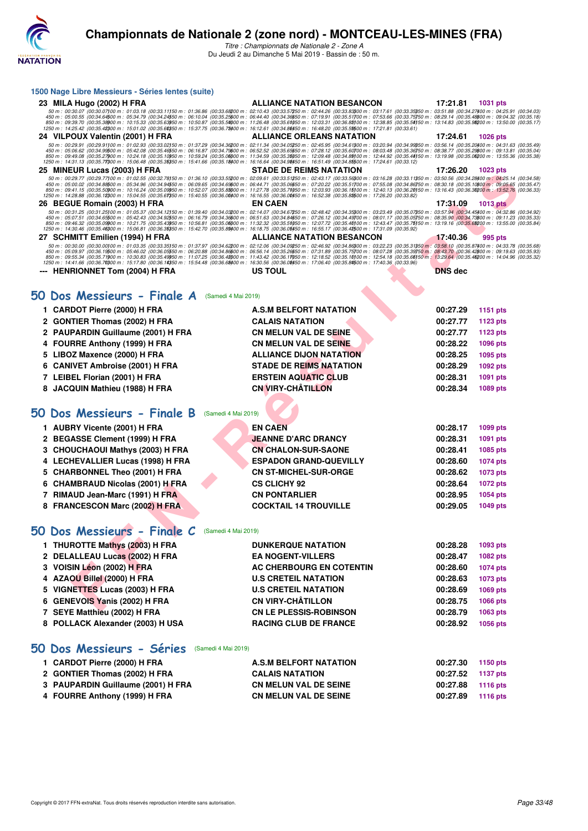

*Titre : Championnats de Nationale 2 - Zone A* Du Jeudi 2 au Dimanche 5 Mai 2019 - Bassin de : 50 m.

| 1500 Nage Libre Messieurs - Séries lentes (suite)                                                                                                                                                                                                                                                                                                                                                                                                    |                                   |                |                             |  |
|------------------------------------------------------------------------------------------------------------------------------------------------------------------------------------------------------------------------------------------------------------------------------------------------------------------------------------------------------------------------------------------------------------------------------------------------------|-----------------------------------|----------------|-----------------------------|--|
| 23 MILA Hugo (2002) H FRA                                                                                                                                                                                                                                                                                                                                                                                                                            | <b>ALLIANCE NATATION BESANCON</b> | 17:21.81       | <b>1031 pts</b>             |  |
| $\begin{array}{c} 50\,m:\ 00:30.07\,(00:30.07)00\,m:\ 01:03.18\;(00:33.1150\,m:\ 01:36.86\;(00:33.68200\,m:\ 02:10.43\;(00:33.57250\,m:\ 02:44.26\;(00:33.83300\,m:\ 03:17.61\;(00:33.35350\,m:\ 03:51.88\;(00:34.27400\,m:\ 04:25.91\;(00:34.033.5625$                                                                                                                                                                                              |                                   |                |                             |  |
|                                                                                                                                                                                                                                                                                                                                                                                                                                                      |                                   |                |                             |  |
| 24 VILPOUX Valentin (2001) H FRA                                                                                                                                                                                                                                                                                                                                                                                                                     | ALLIANCE ORLEANS NATATION         | 17:24.61       | 1026 pts                    |  |
| 50 m : 00:29.91 (00:29.91100 m : 01:02.93 (00:33.02150 m : 01:37.29 (00:34.35200 m : 02:15.34 (00:34.65260 m : 02:45.95 (00:34.63800 m : 03:26.14 (00:35.2000 m : 04:31.63 (00:35.49)<br>450 m : 05:06.62 (00:34.9960 m : 05:42.0                                                                                                                                                                                                                    |                                   |                |                             |  |
| 1250 m : 14:31.13 (00:35.71300 m : 15:06.48 (00:35.35350 m : 15:41.66 (00:35.18400 m : 16:16.64 (00:34.98450 m : 16:51.49 (00:34.85500 m : 17:24.61 (00:33.12)                                                                                                                                                                                                                                                                                       | <b>STADE DE REIMS NATATION</b>    | 17:26.20       |                             |  |
| 25 MINEUR Lucas (2003) H FRA<br>50 m : 00:29.77 (00:29.77)00 m : 01:02.55 (00:32.78)50 m : 01:36.10 (00:33.55200 m : 02:09.61 (00:33.51250 m : 02:43.17 (00:33.5500 m : 03:16.28 (00:33.11350 m : 03:50.56 (00:34.28/00 m : 04:25.14 (00:34.58                                                                                                                                                                                                       |                                   |                | 1023 pts                    |  |
| 450 m : 05:00.02 (00:34.86500 m : 05:34.96 (00:34.94550 m : 06:09.65 (00:34.69600 m : 06:44.71 (00:35.06650 m : 07:20.22 (00:35.51700 m : 07:55.08 (00:34.86750 m : 08:30.18 (00:35.16800 m : 09:05.65 (00:35.47)<br>850 m : 09:41.15 (00:35.50000 m : 10:16.24 (00:35.09050 m : 10:52.07 (00:35.8000 m : 11:27.78 (00:35.71050 m : 12:03.93 (00:36.15100 m : 12:40.13 (00:36.20150 m : 13:16.43 (00:36.30200 m : 13:52.76 (00:36.33)                |                                   |                |                             |  |
| 1250 m : 14:28.88 (00:36.12)00 m : 15:04.55 (00:35.61)50 m : 15:40.55 (00:36.00)00 m : 16:16.55 (00:36.00)50 m : 16:52.38 (00:35.81)50 m : 17:26.20 (00:33.82)<br>26 BEGUE Romain (2003) H FRA                                                                                                                                                                                                                                                       | <b>EN CAEN</b>                    | 17:31.09       | <b>1013 pts</b>             |  |
| 50 m : 00:31.25 (00:31.25)00 m : 01:05.37 (00:34.12)50 m : 01:39.40 (00:34.03200 m : 02:14.07 (00:34.67250 m : 02:48.42 (00:34.35300 m : 03:23.49 (00:35.07350 m : 03:57.94 (00:34.45400 m : 04:32.86 (00:34.92                                                                                                                                                                                                                                      |                                   |                |                             |  |
| 450 m : 05:07.51 (00:34.65500 m : 05:42.43 (00:34.92550 m : 06:16.79 (00:34.36600 m : 06:51.63 (00:34.84650 m : 07:26.12 (00:34.49700 m : 08:01.17 (00:35.5750 m : 08:05.59 (00:34.73600 m : 09:11.23 (00:35.33<br>850 m : 09:46.32 (00:35.0900 m : 10:21.75 (00:35.49950 m : 10:56.81 (00:35.0000 m : 11:32.32 (00:35.51050 m : 12:07.72 (00:35.40)00 m : 12:43.47 (00:35.75)50 m : 13:19.16 (00:35.6900 m : 13:55.00 (00:35.84)<br>1250 m : 14:30. |                                   |                |                             |  |
| 27 SCHMITT Emilien (1994) H FRA                                                                                                                                                                                                                                                                                                                                                                                                                      | <b>ALLIANCE NATATION BESANCON</b> | 17:40.36       | 995 pts                     |  |
| $50\,m:\ 00.30.00\,00.00.001\,00\,m:\ 01.03.35\,\ (00.33.35150\,m:\ 01.37.97\,\ (00.34.62200\,m:\ 02.12.06\,\ (00.34.09250\,m:\ 02.46.92\,\ (00.34.86300\,m:\ 03.22.23\,\ (00.35.31350\,m:\ 03.58.10\,\ (00.35.87400\,m:\ 04.33.78\,\ (00.35.68300\$                                                                                                                                                                                                 |                                   |                |                             |  |
| $450\,m:\ 05.09.97\,\ (00.36.19500\,m:\ 05.46.02\,\ (00.36.03550\,m:\ 06.20.88\,\ (00.34.86600\,m:\ 06.56.14\,\ (00.35.26650\,m:\ 07.31.89\,\ (00.35.75700\,m:\ 08.07.28\,\ (00.35.39750\,m:\ 08.470\,\ (00.35.48600\,m:\ 01.40.48\,\ (00.35.36600\,m$<br>1250 m : 14:41.66 (00:36.70300 m : 15:17.80 (00:36.14350 m : 15:54.48 (00:36.68400 m : 16:30.56 (00:36.08450 m : 17:06.40 (00:35.84500 m : 17:40.36 (00:33.96)                             |                                   |                |                             |  |
| --- HENRIONNET Tom (2004) H FRA                                                                                                                                                                                                                                                                                                                                                                                                                      | US TOUL                           | <b>DNS</b> dec |                             |  |
|                                                                                                                                                                                                                                                                                                                                                                                                                                                      |                                   |                |                             |  |
| 50 Dos Messieurs - Finale A<br>(Samedi 4 Mai 2019)                                                                                                                                                                                                                                                                                                                                                                                                   |                                   |                |                             |  |
| 1 CARDOT Pierre (2000) H FRA                                                                                                                                                                                                                                                                                                                                                                                                                         | <b>A.S.M BELFORT NATATION</b>     | 00:27.29       |                             |  |
| 2 GONTIER Thomas (2002) H FRA                                                                                                                                                                                                                                                                                                                                                                                                                        | <b>CALAIS NATATION</b>            | 00:27.77       | 1151 pts<br><b>1123 pts</b> |  |
| 2 PAUPARDIN Guillaume (2001) H FRA                                                                                                                                                                                                                                                                                                                                                                                                                   | <b>CN MELUN VAL DE SEINE</b>      | 00:27.77       | <b>1123 pts</b>             |  |
| 4 FOURRE Anthony (1999) H FRA                                                                                                                                                                                                                                                                                                                                                                                                                        | <b>CN MELUN VAL DE SEINE</b>      | 00:28.22       | <b>1096 pts</b>             |  |
| LIBOZ Maxence (2000) H FRA<br>5                                                                                                                                                                                                                                                                                                                                                                                                                      | <b>ALLIANCE DIJON NATATION</b>    | 00:28.25       | 1095 pts                    |  |
| 6 CANIVET Ambroise (2001) H FRA                                                                                                                                                                                                                                                                                                                                                                                                                      | <b>STADE DE REIMS NATATION</b>    | 00:28.29       | 1092 pts                    |  |
| 7 LEIBEL Florian (2001) H FRA                                                                                                                                                                                                                                                                                                                                                                                                                        | <b>ERSTEIN AQUATIC CLUB</b>       | 00:28.31       | 1091 pts                    |  |
| 8 JACQUIN Mathieu (1988) H FRA                                                                                                                                                                                                                                                                                                                                                                                                                       | <b>CN VIRY-CHATILLON</b>          | 00:28.34       | 1089 pts                    |  |
|                                                                                                                                                                                                                                                                                                                                                                                                                                                      |                                   |                |                             |  |
| 50 Dos Messieurs - Finale B<br>(Samedi 4 Mai 2019)                                                                                                                                                                                                                                                                                                                                                                                                   |                                   |                |                             |  |
|                                                                                                                                                                                                                                                                                                                                                                                                                                                      | <b>EN CAEN</b>                    | 00:28.17       |                             |  |
| 1 AUBRY Vicente (2001) H FRA<br><b>BEGASSE Clement (1999) H FRA</b><br>2                                                                                                                                                                                                                                                                                                                                                                             | <b>JEANNE D'ARC DRANCY</b>        | 00:28.31       | 1099 pts<br>1091 pts        |  |
| 3 CHOUCHAOUI Mathys (2003) H FRA                                                                                                                                                                                                                                                                                                                                                                                                                     | <b>CN CHALON-SUR-SAONE</b>        | 00:28.41       | 1085 pts                    |  |
| 4 LECHEVALLIER Lucas (1998) H FRA                                                                                                                                                                                                                                                                                                                                                                                                                    | <b>ESPADON GRAND-QUEVILLY</b>     | 00:28.60       | 1074 pts                    |  |
| 5 CHARBONNEL Theo (2001) H FRA                                                                                                                                                                                                                                                                                                                                                                                                                       | <b>CN ST-MICHEL-SUR-ORGE</b>      | 00:28.62       | 1073 pts                    |  |
| <b>CHAMBRAUD Nicolas (2001) H FRA</b><br>6                                                                                                                                                                                                                                                                                                                                                                                                           | <b>CS CLICHY 92</b>               | 00:28.64       | <b>1072 pts</b>             |  |
| <b>RIMAUD Jean-Marc (1991) H FRA</b><br>7                                                                                                                                                                                                                                                                                                                                                                                                            | <b>CN PONTARLIER</b>              | 00:28.95       | 1054 pts                    |  |
| 8 FRANCESCON Marc (2002) H FRA                                                                                                                                                                                                                                                                                                                                                                                                                       | <b>COCKTAIL 14 TROUVILLE</b>      | 00:29.05       | 1049 pts                    |  |
|                                                                                                                                                                                                                                                                                                                                                                                                                                                      |                                   |                |                             |  |
| 50 Dos Messieurs - Finale C<br>(Samedi 4 Mai 2019)                                                                                                                                                                                                                                                                                                                                                                                                   |                                   |                |                             |  |
| 1 THUROTTE Mathys (2003) H FRA                                                                                                                                                                                                                                                                                                                                                                                                                       | <b>DUNKERQUE NATATION</b>         | 00:28.28       | 1093 pts                    |  |
| 2 DELALLEAU Lucas (2002) H FRA                                                                                                                                                                                                                                                                                                                                                                                                                       | <b>EA NOGENT-VILLERS</b>          | 00:28.47       | 1082 pts                    |  |
| 3 VOISIN Léon (2002) H FRA                                                                                                                                                                                                                                                                                                                                                                                                                           | AC CHERBOURG EN COTENTIN          | 00:28.60       | 1074 pts                    |  |
| 4 AZAOU Billel (2000) H FRA                                                                                                                                                                                                                                                                                                                                                                                                                          | <b>U.S CRETEIL NATATION</b>       | 00:28.63       | 1073 pts                    |  |
| 5 VIGNETTES Lucas (2003) H FRA                                                                                                                                                                                                                                                                                                                                                                                                                       | <b>U.S CRETEIL NATATION</b>       | 00:28.69       | 1069 pts                    |  |
| 6 GENEVOIS Yanis (2002) H FRA                                                                                                                                                                                                                                                                                                                                                                                                                        | <b>CN VIRY-CHÂTILLON</b>          | 00:28.75       | 1066 pts                    |  |
| 7 SEYE Matthieu (2002) H FRA                                                                                                                                                                                                                                                                                                                                                                                                                         | <b>CN LE PLESSIS-ROBINSON</b>     | 00:28.79       | 1063 pts                    |  |
| 8 POLLACK Alexander (2003) H USA                                                                                                                                                                                                                                                                                                                                                                                                                     | <b>RACING CLUB DE FRANCE</b>      | 00:28.92       | 1056 pts                    |  |
|                                                                                                                                                                                                                                                                                                                                                                                                                                                      |                                   |                |                             |  |
|                                                                                                                                                                                                                                                                                                                                                                                                                                                      |                                   |                |                             |  |
| 50 Dos Messieurs - Séries<br>(Samedi 4 Mai 2019)                                                                                                                                                                                                                                                                                                                                                                                                     |                                   |                |                             |  |
| 1 CARDOT Pierre (2000) H FRA                                                                                                                                                                                                                                                                                                                                                                                                                         | <b>A.S.M BELFORT NATATION</b>     | 00:27.30       | 1150 pts                    |  |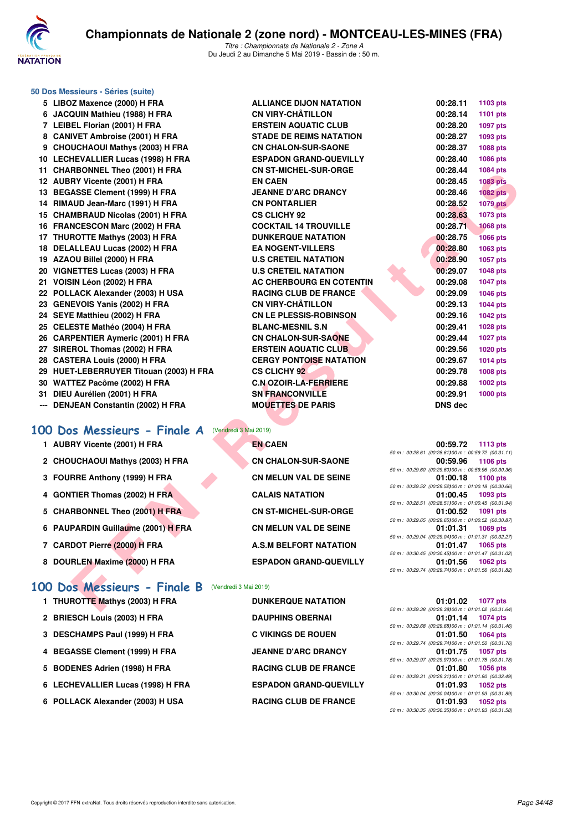

|     | 50 Dos Messieurs - Séries (suite)                     |                                |                                                                               |
|-----|-------------------------------------------------------|--------------------------------|-------------------------------------------------------------------------------|
|     | 5 LIBOZ Maxence (2000) H FRA                          | <b>ALLIANCE DIJON NATATION</b> | 00:28.11<br>1103 pts                                                          |
|     | 6 JACQUIN Mathieu (1988) H FRA                        | <b>CN VIRY-CHÂTILLON</b>       | 00:28.14<br>1101 pts                                                          |
|     | 7 LEIBEL Florian (2001) H FRA                         | <b>ERSTEIN AQUATIC CLUB</b>    | 00:28.20<br>1097 pts                                                          |
|     | 8 CANIVET Ambroise (2001) H FRA                       | <b>STADE DE REIMS NATATION</b> | 00:28.27<br>1093 pts                                                          |
|     | 9 CHOUCHAOUI Mathys (2003) H FRA                      | <b>CN CHALON-SUR-SAONE</b>     | 00:28.37<br>1088 pts                                                          |
|     | 10 LECHEVALLIER Lucas (1998) H FRA                    | <b>ESPADON GRAND-QUEVILLY</b>  | 00:28.40<br>1086 pts                                                          |
|     | 11 CHARBONNEL Theo (2001) H FRA                       | <b>CN ST-MICHEL-SUR-ORGE</b>   | 00:28.44<br>1084 pts                                                          |
|     | 12 AUBRY Vicente (2001) H FRA                         | <b>EN CAEN</b>                 | 00:28.45<br><b>1083 pts</b>                                                   |
|     | 13 BEGASSE Clement (1999) H FRA                       | <b>JEANNE D'ARC DRANCY</b>     | 00:28.46<br><b>1082 pts</b>                                                   |
|     | 14 RIMAUD Jean-Marc (1991) H FRA                      | <b>CN PONTARLIER</b>           | 00:28.52<br><b>1079 pts</b>                                                   |
|     | 15 CHAMBRAUD Nicolas (2001) H FRA                     | <b>CS CLICHY 92</b>            | 00:28.63<br>1073 pts                                                          |
|     | 16 FRANCESCON Marc (2002) H FRA                       | <b>COCKTAIL 14 TROUVILLE</b>   | 00:28.71<br><b>1068 pts</b>                                                   |
|     | 17 THUROTTE Mathys (2003) H FRA                       | <b>DUNKERQUE NATATION</b>      | 00:28.75<br><b>1066 pts</b>                                                   |
|     | 18 DELALLEAU Lucas (2002) H FRA                       | <b>EA NOGENT-VILLERS</b>       | 00:28.80<br>1063 pts                                                          |
|     | 19 AZAOU Billel (2000) H FRA                          | <b>U.S CRETEIL NATATION</b>    | 00:28.90<br>1057 pts                                                          |
|     | 20 VIGNETTES Lucas (2003) H FRA                       | <b>U.S CRETEIL NATATION</b>    | 00:29.07<br><b>1048 pts</b>                                                   |
|     | 21 VOISIN Léon (2002) H FRA                           | AC CHERBOURG EN COTENTIN       | 00:29.08<br><b>1047 pts</b>                                                   |
|     | 22 POLLACK Alexander (2003) H USA                     | <b>RACING CLUB DE FRANCE</b>   | 00:29.09<br>1046 pts                                                          |
|     | 23 GENEVOIS Yanis (2002) H FRA                        | <b>CN VIRY-CHÂTILLON</b>       | 00:29.13<br><b>1044 pts</b>                                                   |
|     | 24 SEYE Matthieu (2002) H FRA                         | <b>CN LE PLESSIS-ROBINSON</b>  | 00:29.16<br>1042 pts                                                          |
|     | 25 CELESTE Mathéo (2004) H FRA                        | <b>BLANC-MESNIL S.N</b>        | 00:29.41<br>1028 pts                                                          |
|     | 26 CARPENTIER Aymeric (2001) H FRA                    | <b>CN CHALON-SUR-SAONE</b>     | 00:29.44<br>1027 pts                                                          |
|     | 27 SIREROL Thomas (2002) H FRA                        | <b>ERSTEIN AQUATIC CLUB</b>    | 00:29.56<br><b>1020 pts</b>                                                   |
|     | 28 CASTERA Louis (2000) H FRA                         | <b>CERGY PONTOISE NATATION</b> | 00:29.67<br><b>1014 pts</b>                                                   |
|     | 29 HUET-LEBERRUYER Titouan (2003) H FRA               | <b>CS CLICHY 92</b>            | 00:29.78<br>1008 pts                                                          |
|     | 30 WATTEZ Pacôme (2002) H FRA                         | <b>C.N OZOIR-LA-FERRIERE</b>   | 00:29.88<br>1002 pts                                                          |
|     | 31 DIEU Aurélien (2001) H FRA                         | <b>SN FRANCONVILLE</b>         | 00:29.91<br>1000 pts                                                          |
| --- | <b>DENJEAN Constantin (2002) H FRA</b>                | <b>MOUETTES DE PARIS</b>       | <b>DNS dec</b>                                                                |
|     |                                                       |                                |                                                                               |
|     | 100 Dos Messieurs - Finale A (Vendredi 3 Mai 2019)    |                                |                                                                               |
|     | 1 AUBRY Vicente (2001) H FRA                          | <b>EN CAEN</b>                 | 00:59.72<br><b>1113 pts</b>                                                   |
|     |                                                       |                                | 50 m : 00:28.61 (00:28.61100 m : 00:59.72 (00:31.11)                          |
|     | 2 CHOUCHAOUI Mathys (2003) H FRA                      | <b>CN CHALON-SUR-SAONE</b>     | 00:59.96<br>1106 pts<br>50 m : 00:29.60 (00:29.60) 00 m : 00:59.96 (00:30.36) |
|     | 3 FOURRE Anthony (1999) H FRA                         | <b>CN MELUN VAL DE SEINE</b>   | 1100 $pts$<br>01:00.18                                                        |
|     |                                                       |                                | 50 m : 00:29.52 (00:29.52) 00 m : 01:00.18 (00:30.66)                         |
|     | 4 GONTIER Thomas (2002) H FRA                         | <b>CALAIS NATATION</b>         | 01:00.45<br>1093 pts<br>50 m : 00:28.51 (00:28.51100 m : 01:00.45 (00:31.94)  |
|     | 5 CHARBONNEL Theo (2001) H FRA                        | <b>CN ST-MICHEL-SUR-ORGE</b>   | 01:00.52<br>1091 pts                                                          |
|     |                                                       |                                | 50 m: 00:29.65 (00:29.65) 00 m: 01:00.52 (00:30.87)                           |
|     | 6 PAUPARDIN Guillaume (2001) H FRA                    | <b>CN MELUN VAL DE SEINE</b>   | 01:01.31<br>1069 pts<br>50 m : 00:29.04 (00:29.04)00 m : 01:01.31 (00:32.27)  |
|     | 7 CARDOT Pierre (2000) H FRA                          | <b>A.S.M BELFORT NATATION</b>  | 01:01.47<br>1065 pts                                                          |
|     |                                                       |                                | 50 m : 00:30.45 (00:30.45) 00 m : 01:01.47 (00:31.02)                         |
|     | 8 DOURLEN Maxime (2000) H FRA                         | <b>ESPADON GRAND-QUEVILLY</b>  | 01:01.56<br>1062 pts<br>50 m: 00:29.74 (00:29.74100 m: 01:01.56 (00:31.82)    |
|     |                                                       |                                |                                                                               |
|     | 100 Dos Messieurs - Finale B<br>(Vendredi 3 Mai 2019) |                                |                                                                               |
|     | 1 THUROTTE Mathys (2003) H FRA                        | <b>DUNKERQUE NATATION</b>      | 01:01.02<br>1077 pts                                                          |
|     |                                                       |                                | 50 m: 00:29.38 (00:29.38100 m: 01:01.02 (00:31.64)                            |

## **[100 Dos Messieurs - Finale A](http://www.ffnatation.fr/webffn/resultats.php?idact=nat&go=epr&idcpt=59365&idepr=62)** (Vendredi 3 Mai 2019)

- 1 AUBRY Vicente (2001) H FRA **EN CAEN**
- 2 CHOUCHAOUI Mathys (2003) H FRA **CN CHALON-SUR-SAONE**
- **3 FOURRE Anthony (1999) H FRA CN MELUN VAL DE SEINE**
- **4 GONTIER Thomas (2002) H FRA CALAIS NATATION**
- 5 CHARBONNEL Theo (2001) H FRA CN ST-MICHEL-SUR-ORGE
- **6 PAUPARDIN Guillaume (2001) H FRA CN MELUN VAL DE SEINE**
- 
- 8 DOURLEN Maxime (2000) H FRA **ESPADON GRAND-QUEVILLY**
- **[100 Dos Messieurs Finale B](http://www.ffnatation.fr/webffn/resultats.php?idact=nat&go=epr&idcpt=59365&idepr=62)** (Vendredi 3 Mai 2019)
	- **1 THUROTTE Mathys (2003) H FRA**
	- 2 BRIESCH Louis (2003) H FRA
	- **3 DESCHAMPS Paul (1999) H FRA**
	- **4 BEGASSE Clement (1999) H FRA**
	- 5 BODENES Adrien (1998) H FRA
	- **6 LECHEVALLIER Lucas (1998) H FRA ESPADON GRAND-QUEVILLY**
	- **6 POLLACK Alexander (2003) H USA**

| 00:29.13                                    | 1044 pts        |  |
|---------------------------------------------|-----------------|--|
| 00:29.16                                    | 1042 pts        |  |
| 00:29.41                                    | 1028 pts        |  |
| 00:29.44                                    | 1027 pts        |  |
| 00:29.56                                    | <b>1020 pts</b> |  |
| 00:29.67                                    | 1014 pts        |  |
| 00:29.78                                    | <b>1008 pts</b> |  |
| 00:29.88                                    | 1002 pts        |  |
| 00:29.91                                    | <b>1000 pts</b> |  |
| DNS dec                                     |                 |  |
|                                             |                 |  |
|                                             |                 |  |
|                                             |                 |  |
| 00:59.72                                    | 1113 pts        |  |
| 28.61 (00:28.61100 m: 00:59.72 (00:31.11)   |                 |  |
| 00:59.96                                    | 1106 pts        |  |
| 29.60 (00:29.60) 00 m : 00:59.96 (00:30.36) |                 |  |
| 01:00.18                                    | 1100 pts        |  |
|                                             |                 |  |

|  |  | 00:59.96 1106 pts                                    |
|--|--|------------------------------------------------------|
|  |  | 50 m : 00:29.60 (00:29.60100 m : 00:59.96 (00:30.36) |
|  |  | 01:00.18 1100 pts                                    |
|  |  | 50 m : 00:29.52 (00:29.52100 m : 01:00.18 (00:30.66) |
|  |  | 01:00.45 1093 pts                                    |
|  |  | 50 m: 00:28.51 (00:28.51100 m: 01:00.45 (00:31.94)   |
|  |  | 01:00.52 1091 pts                                    |
|  |  | 50 m: 00:29.65 (00:29.65100 m: 01:00.52 (00:30.87)   |
|  |  | 01:01.31 1069 pts                                    |
|  |  | 50 m: 00:29.04 (00:29.04100 m: 01:01.31 (00:32.27)   |
|  |  | 01:01.47 1065 pts                                    |
|  |  | 50 m: 00:30.45 (00:30.45100 m: 01:01.47 (00:31.02)   |
|  |  | 01:01.56 1062 pts                                    |
|  |  | 50 m: 00:29.74 (00:29.74100 m: 01:01.56 (00:31.82)   |

| <b>DUNKERQUE NATATION</b>    |
|------------------------------|
| <b>DAUPHINS OBERNAI</b>      |
| C VIKINGS DE ROUEN           |
| <b>JEANNE D'ARC DRANCY</b>   |
| <b>RACING CLUB DE FRANCE</b> |
| <b>ESPADON GRAND-QUEVILL</b> |
| <b>RACING CLUB DE FRANCE</b> |

|  | 01:01.02 1077 pts                                  |
|--|----------------------------------------------------|
|  | 50 m: 00:29.38 (00:29.38100 m: 01:01.02 (00:31.64) |
|  | 01:01.14 1074 pts                                  |
|  | 50 m: 00:29.68 (00:29.68100 m: 01:01.14 (00:31.46) |
|  | 01:01.50 1064 pts                                  |
|  | 50 m: 00:29.74 (00:29.74100 m: 01:01.50 (00:31.76) |
|  | 01:01.75 1057 pts                                  |
|  | 50 m: 00:29.97 (00:29.97100 m: 01:01.75 (00:31.78) |
|  | 01:01.80 1056 pts                                  |
|  | 50 m: 00:29.31 (00:29.31100 m: 01:01.80 (00:32.49) |
|  | 01:01.93 1052 pts                                  |
|  | 50 m: 00:30.04 (00:30.04100 m: 01:01.93 (00:31.89) |
|  | 01:01.93 1052 pts                                  |
|  | 50 m: 00:30.35 (00:30.35100 m: 01:01.93 (00:31.58) |
|  |                                                    |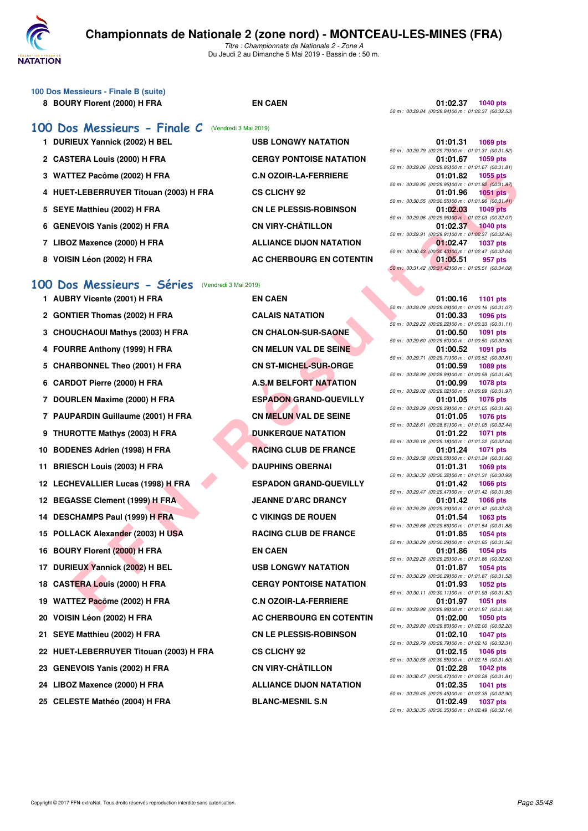

*Titre : Championnats de Nationale 2 - Zone A* Du Jeudi 2 au Dimanche 5 Mai 2019 - Bassin de : 50 m.

| 100 Dos Messieurs - Finale B (suite) |  |
|--------------------------------------|--|
| 8 BOURY Florent (2000) H FRA         |  |

## **[100 Dos Messieurs - Finale C](http://www.ffnatation.fr/webffn/resultats.php?idact=nat&go=epr&idcpt=59365&idepr=62)** (Vendredi 3 Mai 2019)

- 1 DURIEUX Yannick (2002) H BEL USB LONGWY NATATION
- 2 CASTERA Louis (2000) H FRA **CERGY PONTOISE NATATION**
- 3 WATTEZ Pacôme (2002) H FRA **C.N OZOIR-LA-FERRIERE**
- **4 HUET-LEBERRUYER Titouan (2003) H FRA CS CLICHY 92 01:01.96 1051 pts**
- 5 SEYE Matthieu (2002) H FRA CN LE PLESSIS-ROBINSON
- **6 GENEVOIS Yanis (2002) H FRA CN VIRY-CHÂTILLON**
- 7 LIBOZ Maxence (2000) H FRA **ALLIANCE DIJON NATATION**
- 8 VOISIN Léon (2002) H FRA AC CHERBOURG EN COTENTIN

## **[100 Dos Messieurs - Séries](http://www.ffnatation.fr/webffn/resultats.php?idact=nat&go=epr&idcpt=59365&idepr=62)** (Vendredi 3 Mai 2019)

- **FIZ PROMIN (2003) HFRA**<br> **FILE BERRIVER THOMA CONDUMERATION**<br> **FILE BERRIVER THOMA CONDUMERATION**<br> **FILE BERRIVER THOMA CONDUMERATION**<br> **FILE BERRIVER THOMA CONDUMERATION**<br> **FIRE ANNEHOLD (2002) HFRA**<br> **FIRE ANNEHOLD (20** 1 AUBRY Vicente (2001) H FRA **EN CAEN** 2 **GONTIER Thomas (2002) H FRA CALAIS NATATION 3 CHOUCHAOUI Mathys (2003) H FRA CN CHALON-SUR-SAONE 4 FOURRE Anthony (1999) H FRA CN MELUN VAL DE SEINE** 5 CHARBONNEL Theo (2001) H FRA **CN ST-MICHEL-SUR-ORGE** 6 CARDOT Pierre (2000) H FRA **A.S.M BELFORT NATATION 7 DOURLEN Maxime (2000) H FRA ESPADON GRAND-QUEVILLY 7 PAUPARDIN Guillaume (2001) H FRA CN MELUN VAL DE SEINE 9 THUROTTE Mathys (2003) H FRA DUNKERQUE NATATION** 10 BODENES Adrien (1998) H FRA RACING CLUB DE FRANCE 11 BRIESCH Louis (2003) H FRA DAUPHINS OBERNAI **12 LECHEVALLIER Lucas (1998) H FRA ESPADON GRAND-QUEVILLY** 12 BEGASSE Clement (1999) H FRA JEANNE D'ARC DRANCY **14 DESCHAMPS Paul (1999) H FRA C VIKINGS DE ROUEN** 15 POLLACK Alexander (2003) H USA RACING CLUB DE FRANCE 16 BOURY Florent (2000) H FRA EN CAEN 17 DURIEUX Yannick (2002) H BEL USB LONGWY NATATION **18 CASTERA Louis (2000) H FRA CERGY PONTOISE NATATION** 19 WATTEZ Pacôme (2002) H FRA **C.N OZOIR-LA-FERRIERE 20 VOISIN Léon (2002) H FRA AC CHERBOURG EN COTENTIN** 21 SEYE Matthieu (2002) H FRA **CN LE PLESSIS-ROBINSON 22 HUET-LEBERRUYER Titouan (2003) H FRA CS CLICHY 92 01:02.15 1046 pts** 23 GENEVOIS Yanis (2002) H FRA **CN VIRY-CHÂTILLON** 24 LIBOZ Maxence (2000) H FRA **ALLIANCE DIJON NATATION**
- 25 CELESTE Mathéo (2004) H FRA BLANC-MESNIL S.N

**8 BOURY FRAME READING CAEN 8 BOURY FIND CAEN 01:02.37 1040 pts** *50 m : 00:29.84 (00:29.84)100 m : 01:02.37 (00:32.53)*

|  | 01:01.31 1069 pts                                    |
|--|------------------------------------------------------|
|  | 50 m: 00:29.79 (00:29.79100 m: 01:01.31 (00:31.52)   |
|  | 01:01.67 1059 pts                                    |
|  | 50 m : 00:29.86 (00:29.86100 m : 01:01.67 (00:31.81) |
|  | 01:01.82 1055 pts                                    |
|  | 50 m: 00:29.95 (00:29.95100 m: 01:01.82 (00:31.87)   |
|  | 01:01.96 1051 pts                                    |
|  | 50 m : 00:30.55 (00:30.55100 m : 01:01.96 (00:31.41) |
|  | 01:02.03 1049 pts                                    |
|  | 50 m : 00:29.96 (00:29.96100 m : 01:02.03 (00:32.07) |
|  | 01:02.37 1040 pts                                    |
|  | 50 m: 00:29.91 (00:29.91100 m: 01:02.37 (00:32.46)   |
|  | 01:02.47 1037 pts                                    |
|  | 50 m : 00:30.43 (00:30.43100 m : 01:02.47 (00:32.04) |
|  | 01:05.51 957 pts                                     |
|  | 50 m : 00:31.42 (00:31.42100 m : 01:05.51 (00:34.09) |
|  |                                                      |

|  |          | 01:00.16 1101 pts                                                 |
|--|----------|-------------------------------------------------------------------|
|  |          | 50 m : 00:29.09 (00:29.09) 00 m : 01:00.16 (00:31.07)             |
|  | 01:00.33 | 1096 pts                                                          |
|  |          | 50 m : 00:29.22 (00:29.22) 00 m : 01:00.33 (00:31.11)             |
|  | 01:00.50 | 1091 pts                                                          |
|  |          | 50 m : 00:29.60 (00:29.60) 00 m : 01:00.50 (00:30.90)             |
|  | 01:00.52 | 1091 pts                                                          |
|  |          | 50 m : 00:29.71 (00:29.71100 m : 01:00.52 (00:30.81)              |
|  | 01:00.59 | 1089 pts                                                          |
|  |          | 50 m: 00:28.99 (00:28.99100 m: 01:00.59 (00:31.60)                |
|  | 01:00.99 | <b>1078 pts</b>                                                   |
|  |          | 50 m: 00:29.02 (00:29.02) 00 m: 01:00.99 (00:31.97)               |
|  | 01:01.05 | <b>1076 pts</b>                                                   |
|  |          | 50 m : 00:29.39 (00:29.39) 00 m : 01:01.05 (00:31.66)             |
|  | 01:01.05 | 1076 pts                                                          |
|  |          | 50 m : 00:28.61 (00:28.61)00 m : 01:01.05 (00:32.44)              |
|  | 01:01.22 | 1071 pts                                                          |
|  |          | 50 m : 00:29.18 (00:29.18)00 m : 01:01.22 (00:32.04)              |
|  | 01:01.24 | 1071 pts                                                          |
|  |          | 50 m : 00:29.58 (00:29.58) 00 m : 01:01.24 (00:31.66)             |
|  | 01:01.31 | 1069 pts                                                          |
|  |          | 50 m : 00:30.32 (00:30.32) 00 m : 01:01.31 (00:30.99)             |
|  | 01:01.42 | <b>1066 pts</b>                                                   |
|  |          | 50 m : 00:29.47 (00:29.47) 00 m : 01:01.42 (00:31.95)             |
|  | 01:01.42 | 1066 pts                                                          |
|  |          | 50 m : 00:29.39 (00:29.39) 00 m : 01:01.42 (00:32.03)             |
|  | 01:01.54 | 1063 pts                                                          |
|  | 01:01.85 | 50 m : 00:29.66 (00:29.66) 00 m : 01:01.54 (00:31.88)<br>1054 pts |
|  |          | 50 m : 00:30.29 (00:30.29)00 m : 01:01.85 (00:31.56)              |
|  | 01:01.86 | 1054 pts                                                          |
|  |          | 50 m : 00:29.26 (00:29.26) 00 m : 01:01.86 (00:32.60)             |
|  | 01:01.87 | 1054 pts                                                          |
|  |          | 50 m: 00:30.29 (00:30.29) 00 m: 01:01.87 (00:31.58)               |
|  | 01:01.93 | 1052 pts                                                          |
|  |          | 50 m: 00:30.11 (00:30.11)00 m: 01:01.93 (00:31.82)                |
|  | 01:01.97 | 1051 pts                                                          |
|  |          | 50 m: 00:29.98 (00:29.98100 m: 01:01.97 (00:31.99)                |
|  | 01:02.00 | 1050 pts                                                          |
|  |          | 50 m : 00:29.80 (00:29.80) 00 m : 01:02.00 (00:32.20)             |
|  | 01:02.10 | <b>1047 pts</b>                                                   |
|  |          | 50 m : 00:29.79 (00:29.79) 00 m : 01:02.10 (00:32.31)             |
|  | 01:02.15 | 1046 pts                                                          |
|  |          | 50 m : 00:30.55 (00:30.55) 00 m : 01:02.15 (00:31.60)             |
|  | 01:02.28 | 1042 pts                                                          |
|  |          | 50 m: 00:30.47 (00:30.47) 00 m: 01:02.28 (00:31.81)               |
|  |          | 01:02.35 1041 pts                                                 |
|  |          | 50 m : 00:29.45 (00:29.45) 00 m : 01:02.35 (00:32.90)             |
|  |          | 01:02.49 1037 pts                                                 |
|  |          | 50 m: 00:30.35 (00:30.35) 00 m: 01:02.49 (00:32.14)               |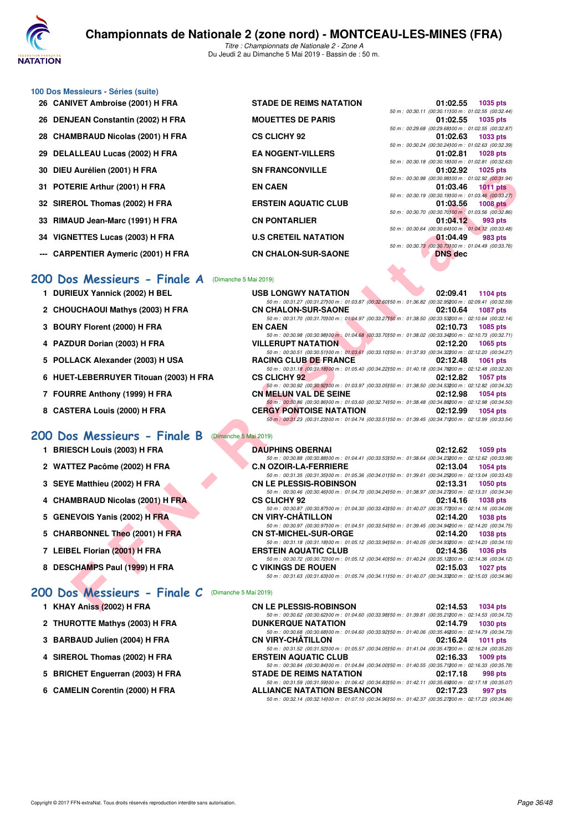

## **100 Dos Messieurs - Séries (suite)**

- 
- 
- 
- 
- 
- 
- 33 RIMAUD Jean-Marc (1991) H FRA **CN PONTARLIER**
- 
- --- CARPENTIER Aymeric (2001) H FRA **CN CHALON-SUR-SAONE**

#### **[200 Dos Messieurs - Finale A](http://www.ffnatation.fr/webffn/resultats.php?idact=nat&go=epr&idcpt=59365&idepr=63)** (Dimanche 5 Mai 2019)

- **1 DURIEUX Yannick (2002) H BEL**
- 2 CHOUCHAOUI Mathys (2003) H FRA
- **3 BOURY Florent (2000) H FRA**
- **4 PAZDUR Dorian (2003) H FRA**
- 5 POLLACK Alexander (2003) H USA
- **6 HUET-LEBERRUYER Titouan (2003) H FRA**
- **7 FOURRE Anthony (1999) H FRA**
- 8 CASTERA Louis (2000) H FRA

#### **[200 Dos Messieurs - Finale B](http://www.ffnatation.fr/webffn/resultats.php?idact=nat&go=epr&idcpt=59365&idepr=63)** (Dimanche 5 Mai 2019)

- **1 BRIESCH Louis (2003) H FRA**
- 2 WATTEZ Pacôme (2002) H FRA
- **3 SEYE Matthieu (2002) H FRA**
- **4 CHAMBRAUD Nicolas (2001) H FRA**
- **5 GENEVOIS Yanis (2002) H FRA**
- **5 CHARBONNEL Theo (2001) H FRA**
- **7 LEIBEL Florian (2001) H FRA**
- **8 DESCHAMPS Paul (1999) H FRA**

#### **[200 Dos Messieurs - Finale C](http://www.ffnatation.fr/webffn/resultats.php?idact=nat&go=epr&idcpt=59365&idepr=63)** (Dimanche 5 Mai 2019)

- **1 KHAY Aniss (2002) H FRA**
- **2 THUROTTE Mathys (2003) H FRA**
- **3 BARBAUD Julien (2004) H FRA**
- **4 SIREROL Thomas (2002) H FRA**
- 5 BRICHET Enguerran (2003) H FRA
- **6 CAMELIN Corentin (2000) H FRA**

26 CANIVET Ambroise (2001) H FRA STADE DE REIMS NATATION 26 DENJEAN Constantin (2002) H FRA MOUETTES DE PARIS **28 CHAMBRAUD Nicolas (2001) H FRA CS CLICHY 92 01:02.63 1033 pts** 29 DELALLEAU Lucas (2002) H FRA EA NOGENT-VILLERS **30 DIEU Aurélien (2001) H FRA SN FRANCONVILLE** 31 POTERIE Arthur (2001) H FRA **EN CAEN** 32 SIREROL Thomas (2002) H FRA **ERSTEIN AQUATIC CLUB 34 VIGNETTES Lucas (2003) H FRA BIG BUSIC CRETEIL NATATION** 

|                | 01:02.55 1035 pts                                     |
|----------------|-------------------------------------------------------|
|                | 50 m: 00:30.11 (00:30.11100 m: 01:02.55 (00:32.44)    |
|                | 01:02.55 1035 pts                                     |
|                | 50 m : 00:29.68 (00:29.68) 00 m : 01:02.55 (00:32.87) |
|                | 01:02.63 1033 pts                                     |
|                | 50 m : 00:30.24 (00:30.24)00 m : 01:02.63 (00:32.39)  |
|                | 01:02.81 1028 pts                                     |
|                | 50 m : 00:30.18 (00:30.18) 00 m : 01:02.81 (00:32.63) |
|                | 01:02.92 1025 pts                                     |
|                | 50 m : 00:30.98 (00:30.98100 m : 01:02.92 (00:31.94)  |
|                | 01:03.46 1011 pts                                     |
|                | 50 m: 00:30.19 (00:30.19100 m: 01:03.46 (00:33.27)    |
|                | 01:03.56 1008 pts                                     |
|                | 50 m : 00:30.70 (00:30.70100 m : 01:03.56 (00:32.86)  |
|                | 01:04.12 993 pts                                      |
|                | 50 m : 00:30.64 (00:30.64100 m : 01:04.12 (00:33.48)  |
|                | 01:04.49 983 pts                                      |
|                | 50 m: 00:30.73 (00:30.73100 m: 01:04.49 (00:33.76)    |
| <b>DNS dec</b> |                                                       |

| <b>USB LONGWY NATATION</b>                                                                               | 02:09.41 1104 pts    |
|----------------------------------------------------------------------------------------------------------|----------------------|
| 50 m: 00:31.27 (00:31.27) 00 m: 01:03.87 (00:32.60) 50 m: 01:36.82 (00:32.95200 m: 02:09.41 (00:32.59)   |                      |
| <b>CN CHALON-SUR-SAONE</b>                                                                               | 02:10.64 1087 pts    |
| 50 m: 00:31.70 (00:31.70) 00 m: 01:04.97 (00:33.27) 50 m: 01:38.50 (00:33.53200 m: 02:10.64 (00:32.14)   |                      |
| <b>EN CAEN</b>                                                                                           | 02:10.73 1085 pts    |
| 50 m: 00:30.98 (00:30.98100 m: 01:04.68 (00:33.70150 m: 01:38.02 (00:33.34200 m: 02:10.73 (00:32.71)     |                      |
| <b>VILLERUPT NATATION</b>                                                                                | 02:12.20 1065 pts    |
| 50 m: 00:30.51 (00:30.51100 m: 01:03.61 (00:33.10150 m: 01:37.93 (00:34.32200 m: 02:12.20 (00:34.27)     |                      |
| <b>RACING CLUB DE FRANCE</b>                                                                             | 02:12.48 1061 pts    |
| 50 m: 00:31.18 (00:31.18) 00 m: 01:05.40 (00:34.22) 50 m: 01:40.18 (00:34.78200 m: 02:12.48 (00:32.30)   |                      |
| <b>CS CLICHY 92</b>                                                                                      | 02:12.82 1057 pts    |
| 50 m : 00:30.92 (00:30.92100 m : 01:03.97 (00:33.05150 m : 01:38.50 (00:34.53200 m : 02:12.82 (00:34.32) |                      |
| <b>CN MELUN VAL DE SEINE</b>                                                                             | 02:12.98 1054 pts    |
|                                                                                                          |                      |
| 50 m : 00:30.86 (00:30.86100 m : 01:03.60 (00:32.74150 m : 01:38.48 (00:34.88200 m : 02:12.98 (00:34.50) |                      |
| <b>CERGY PONTOISE NATATION</b>                                                                           | 02:12.99<br>1054 pts |

| AUICIICII (ZUVI) II FRA            | JIN FRANCONVILLE                                                                                                                           | <b>UI.UZ.JZ IUZJUIS</b>                                                             |
|------------------------------------|--------------------------------------------------------------------------------------------------------------------------------------------|-------------------------------------------------------------------------------------|
| <b>ERIE Arthur (2001) H FRA</b>    | <b>EN CAEN</b>                                                                                                                             | 50 m : 00:30.98 (00:30.98100 m : 01:02.92 (00:31.94)<br>01:03.46<br><b>1011 pts</b> |
|                                    |                                                                                                                                            | 50 m : 00:30.19 (00:30.19)00 m : 01:03.46 (00:33.27)                                |
| ROL Thomas (2002) H FRA            | <b>ERSTEIN AQUATIC CLUB</b>                                                                                                                | 01:03.56<br>$1008$ pts<br>50 m : 00:30.70 (00:30.70100 m : 01:03.56 (00:32.86)      |
| <b>\UD Jean-Marc (1991) H FRA</b>  | <b>CN PONTARLIER</b>                                                                                                                       | 01:04.12<br>993 pts                                                                 |
|                                    |                                                                                                                                            | 50 m : 00:30.64 (00:30.64100 m : 01:04.12 (00:33.48)                                |
| IETTES Lucas (2003) H FRA          | <b>U.S CRETEIL NATATION</b>                                                                                                                | 01:04.49<br>983 pts<br>50 m : 00:30.73 (00:30.73100 m : 01:04.49 (00:33.76)         |
| PENTIER Aymeric (2001) H FRA       | <b>CN CHALON-SUR-SAONE</b>                                                                                                                 | <b>DNS</b> dec                                                                      |
| os Messieurs - Finale A            | (Dimanche 5 Mai 2019)                                                                                                                      |                                                                                     |
| IEUX Yannick (2002) H BEL          | <b>USB LONGWY NATATION</b>                                                                                                                 | 02:09.41<br>1104 pts                                                                |
|                                    | 50 m: 00:31.27 (00:31.27)00 m: 01:03.87 (00:32.60)50 m: 01:36.82 (00:32.95200 m: 02:09.41 (00:32.59)                                       |                                                                                     |
| UCHAOUI Mathys (2003) H FRA        | <b>CN CHALON-SUR-SAONE</b>                                                                                                                 | 02:10.64<br><b>1087 pts</b>                                                         |
| RY Florent (2000) H FRA            | 50 m : 00:31.70 (00:31.70) 00 m : 01:04.97 (00:33.27) 50 m : 01:38.50 (00:33.53200 m : 02:10.64 (00:32.14)<br><b>EN CAEN</b>               | 02:10.73<br>1085 pts                                                                |
|                                    | 50 m : 00:30.98 (00:30.98100 m : 01:04.68 (00:33.70150 m : 01:38.02 (00:33.34200 m : 02:10.73 (00:32.71)                                   |                                                                                     |
| DUR Dorian (2003) H FRA            | <b>VILLERUPT NATATION</b>                                                                                                                  | 02:12.20<br>1065 pts                                                                |
| LACK Alexander (2003) H USA        | 50 m: 00:30.51 (00:30.51)00 m: 01:03.61 (00:33.10)50 m: 01:37.93 (00:34.32200 m: 02:12.20 (00:34.27)<br><b>RACING CLUB DE FRANCE</b>       | 02:12.48<br><b>1061 pts</b>                                                         |
|                                    | 50 m: 00:31.18 (00:31.18)00 m: 01:05.40 (00:34.22)50 m: 01:40.18 (00:34.78200 m: 02:12.48 (00:32.30)                                       |                                                                                     |
| T-LEBERRUYER Titouan (2003) H FRA  | <b>CS CLICHY 92</b>                                                                                                                        | 02:12.82<br><b>1057 pts</b>                                                         |
| RRE Anthony (1999) H FRA           | 50 m : 00:30.92 (00:30.92)00 m : 01:03.97 (00:33.05)50 m : 01:38.50 (00:34.53200 m : 02:12.82 (00:34.32)<br><b>CN MELUN VAL DE SEINE</b>   | 02:12.98<br><b>1054 pts</b>                                                         |
|                                    | 50 m : 00:30.86 (00:30.86) 00 m : 01:03.60 (00:32.74) 50 m : 01:38.48 (00:34.88200 m : 02:12.98 (00:34.50)                                 |                                                                                     |
| TERA Louis (2000) H FRA            | <b>CERGY PONTOISE NATATION</b><br>50 m: 00:31.23 (00:31.23) 00 m: 01:04.74 (00:33.51) 50 m: 01:39.45 (00:34.71200 m: 02:12.99 (00:33.54)   | 02:12.99<br><b>1054 pts</b>                                                         |
|                                    |                                                                                                                                            |                                                                                     |
| os Messieurs - Finale B            | (Dimanche 5 Mai 2019)                                                                                                                      |                                                                                     |
| <b>SCH Louis (2003) H FRA</b>      | <b>DAUPHINS OBERNAI</b>                                                                                                                    | 02:12.62<br>1059 pts                                                                |
| TEZ Pacôme (2002) H FRA            | 50 m : 00:30.88 (00:30.88) 00 m : 01:04.41 (00:33.53) 50 m : 01:38.64 (00:34.23200 m : 02:12.62 (00:33.98)<br><b>C.N OZOIR-LA-FERRIERE</b> | 02:13.04<br><b>1054 pts</b>                                                         |
|                                    | 50 m: 00:31.35 (00:31.35) 00 m: 01:05.36 (00:34.01) 50 m: 01:39.61 (00:34.25200 m: 02:13.04 (00:33.43)                                     |                                                                                     |
| E Matthieu (2002) H FRA            | <b>CN LE PLESSIS-ROBINSON</b>                                                                                                              | 02:13.31<br><b>1050 pts</b>                                                         |
| <b>MBRAUD Nicolas (2001) H FRA</b> | 50 m : 00:30.46 (00:30.46) 00 m : 01:04.70 (00:34.24) 50 m : 01:38.97 (00:34.27200 m : 02:13.31 (00:34.34)<br><b>CS CLICHY 92</b>          | 02:14.16<br><b>1038 pts</b>                                                         |
|                                    | 50 m : 00:30.87 (00:30.87) 00 m : 01:04.30 (00:33.43) 50 m : 01:40.07 (00:35.77200 m : 02:14.16 (00:34.09)                                 |                                                                                     |
| EVOIS Yanis (2002) H FRA           | <b>CN VIRY-CHATILLON</b>                                                                                                                   | 02:14.20<br><b>1038 pts</b>                                                         |
| <b>RBONNEL Theo (2001) H FRA</b>   | 50 m : 00:30.97 (00:30.97)00 m : 01:04.51 (00:33.54)50 m : 01:39.45 (00:34.94200 m : 02:14.20 (00:34.75)<br><b>CN ST-MICHEL-SUR-ORGE</b>   | 02:14.20<br><b>1038 pts</b>                                                         |
|                                    | 50 m : 00:31.18 (00:31.18) 00 m : 01:05.12 (00:33.94) 50 m : 01:40.05 (00:34.93200 m : 02:14.20 (00:34.15)                                 |                                                                                     |
| EL Florian (2001) H FRA            | <b>ERSTEIN AQUATIC CLUB</b>                                                                                                                | 02:14.36<br><b>1036 pts</b>                                                         |
| CHAMPS Paul (1999) H FRA           | 50 m : 00:30.72 (00:30.72)00 m : 01:05.12 (00:34.40)50 m : 01:40.24 (00:35.12200 m : 02:14.36 (00:34.12)<br><b>C VIKINGS DE ROUEN</b>      | 02:15.03<br><b>1027 pts</b>                                                         |
|                                    | 50 m : 00:31.63 (00:31.63) 00 m : 01:05.74 (00:34.11) 50 m : 01:40.07 (00:34.33200 m : 02:15.03 (00:34.96)                                 |                                                                                     |
|                                    |                                                                                                                                            |                                                                                     |
| os Messieurs - Finale C            | (Dimanche 5 Mai 2019)                                                                                                                      |                                                                                     |
| Y Aniss (2002) H FRA               | <b>CN LE PLESSIS-ROBINSON</b>                                                                                                              | 02:14.53<br><b>1034 pts</b>                                                         |

| <b>CN LE PLESSIS-ROBINSON</b>                                                                        | 02:14.53 1034 pts |
|------------------------------------------------------------------------------------------------------|-------------------|
| 50 m: 00:30.62 (00:30.62)00 m: 01:04.60 (00:33.98)50 m: 01:39.81 (00:35.21200 m: 02:14.53 (00:34.72) |                   |
| <b>DUNKERQUE NATATION</b>                                                                            | 02:14.79 1030 pts |
| 50 m: 00:30.68 (00:30.68100 m: 01:04.60 (00:33.92150 m: 01:40.06 (00:35.46200 m: 02:14.79 (00:34.73) |                   |
| CN VIRY-CHÂTILLON                                                                                    | 02:16.24 1011 pts |
| 50 m: 00:31.52 (00:31.52)00 m: 01:05.57 (00:34.05)50 m: 01:41.04 (00:35.47200 m: 02:16.24 (00:35.20) |                   |
| ERSTEIN AQUATIC CLUB                                                                                 | 02:16.33 1009 pts |
| 50 m: 00:30.84 (00:30.84100 m: 01:04.84 (00:34.00150 m: 01:40.55 (00:35.71200 m: 02:16.33 (00:35.78) |                   |
| STADE DE REIMS NATATION                                                                              | 02:17.18 998 pts  |
| 50 m: 00:31.59 (00:31.59)00 m: 01:06.42 (00:34.83)50 m: 01:42.11 (00:35.69200 m: 02:17.18 (00:35.07) |                   |
| <b>ALLIANCE NATATION BESANCON</b>                                                                    | 02:17.23 997 pts  |
| 50 m: 00:32.14 (00:32.14100 m: 01:07.10 (00:34.96150 m: 01:42.37 (00:35.27200 m: 02:17.23 (00:34.86) |                   |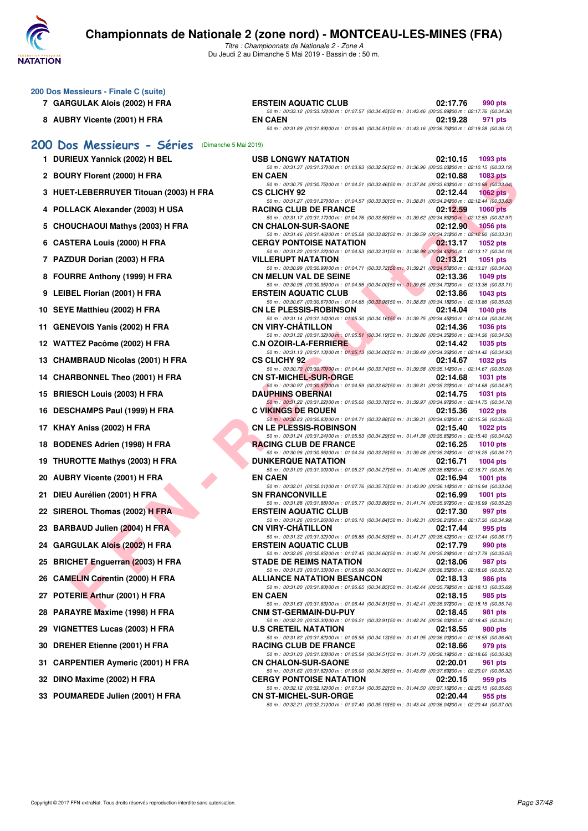

| 200 Dos Messieurs - Finale C (suite)<br>7 GARGULAK Alois (2002) H FRA | <b>ERSTEIN AQUATIC CLUB</b>                                                                                                                                                                                                                        | 02:17.76<br>990 pts         |
|-----------------------------------------------------------------------|----------------------------------------------------------------------------------------------------------------------------------------------------------------------------------------------------------------------------------------------------|-----------------------------|
|                                                                       | 50 m : 00:33.12 (00:33.12) 00 m : 01:07.57 (00:34.45) 50 m : 01:43.46 (00:35.89200 m : 02:17.76 (00:34.30)                                                                                                                                         |                             |
| 8 AUBRY Vicente (2001) H FRA                                          | <b>EN CAEN</b><br>50 m: 00:31.89 (00:31.89) 00 m: 01:06.40 (00:34.51) 50 m: 01:43.16 (00:36.76200 m: 02:19.28 (00:36.12)                                                                                                                           | 02:19.28<br>971 pts         |
| 200 Dos Messieurs - Séries (Dimanche 5 Mai 2019)                      |                                                                                                                                                                                                                                                    |                             |
| 1 DURIEUX Yannick (2002) H BEL                                        | <b>USB LONGWY NATATION</b>                                                                                                                                                                                                                         | 02:10.15<br>1093 pts        |
| 2 BOURY Florent (2000) H FRA                                          | 50 m : 00:31.37 (00:31.37) 00 m : 01:03.93 (00:32.56) 50 m : 01:36.96 (00:33.03200 m : 02:10.15 (00:33.19)<br><b>EN CAEN</b><br>50 m : 00:30.75 (00:30.75) 00 m : 01:04.21 (00:33.46) 50 m : 01:37.84 (00:33.63200 m : 02:10.88 (00:33.04)         | 02:10.88<br>1083 pts        |
| 3 HUET-LEBERRUYER Titouan (2003) H FRA                                | <b>CS CLICHY 92</b>                                                                                                                                                                                                                                | 02:12.44<br>$1062$ pts      |
| 4 POLLACK Alexander (2003) H USA                                      | 50 m : 00:31.27 (00:31.27) 00 m : 01:04.57 (00:33.30) 50 m : 01:38.81 (00:34.24200 m : 02:12.44 (00:33.63)<br><b>RACING CLUB DE FRANCE</b>                                                                                                         | 02:12.59<br><b>1060 pts</b> |
| 5 CHOUCHAOUI Mathys (2003) H FRA                                      | 50 m: 00:31.17 (00:31.17) 00 m: 01:04.76 (00:33.59) 50 m: 01:39.62 (00:34.86200 m: 02:12.59 (00:32.97)<br><b>CN CHALON-SUR-SAONE</b><br>50 m : 00:31.46 (00:31.46) 00 m : 01:05.28 (00:33.82) 50 m : 01:39.59 (00:34.31200 m : 02:12.90 (00:33.31) | 02:12.90<br><b>1056 pts</b> |
| 6 CASTERA Louis (2000) H FRA                                          | <b>CERGY PONTOISE NATATION</b>                                                                                                                                                                                                                     | 02:13.17<br>1052 pts        |
| 7 PAZDUR Dorian (2003) H FRA                                          | 50 m : 00:31.22 (00:31.22) 00 m : 01:04.53 (00:33.31) 50 m : 01:38.98 (00:34.45200 m : 02:13.17 (00:34.19)<br><b>VILLERUPT NATATION</b>                                                                                                            | 02:13.21<br>1051 pts        |
| 8 FOURRE Anthony (1999) H FRA                                         | 50 m : 00:30.99 (00:30.99) 00 m : 01:04.71 (00:33.72) 50 m : 01:39.21 (00:34.50200 m : 02:13.21 (00:34.00)<br><b>CN MELUN VAL DE SEINE</b>                                                                                                         | 02:13.36<br>1049 pts        |
| 9 LEIBEL Florian (2001) H FRA                                         | 50 m : 00:30.95 (00:30.95)00 m : 01:04.95 (00:34.00)50 m : 01:39.65 (00:34.70200 m : 02:13.36 (00:33.71)<br><b>ERSTEIN AQUATIC CLUB</b>                                                                                                            | 02:13.86<br><b>1043 pts</b> |
|                                                                       | 50 m : 00:30.67 (00:30.67) 00 m : 01:04.65 (00:33.98) 50 m : 01:38.83 (00:34.18200 m : 02:13.86 (00:35.03)                                                                                                                                         |                             |
| 10 SEYE Matthieu (2002) H FRA                                         | <b>CN LE PLESSIS-ROBINSON</b><br>50 m : 00:31.14 (00:31.14) 00 m : 01:05.30 (00:34.16) 50 m : 01:39.75 (00:34.45200 m : 02:14.04 (00:34.29)                                                                                                        | 02:14.04<br><b>1040 pts</b> |
| <b>GENEVOIS Yanis (2002) H FRA</b><br>11                              | <b>CN VIRY-CHATILLON</b><br>50 m : 00:31.32 (00:31.32) 00 m : 01:05.51 (00:34.19) 50 m : 01:39.86 (00:34.35200 m : 02:14.36 (00:34.50)                                                                                                             | 02:14.36<br><b>1036 pts</b> |
| 12 WATTEZ Pacôme (2002) H FRA                                         | <b>C.N OZOIR-LA-FERRIERE</b>                                                                                                                                                                                                                       | 02:14.42<br>1035 pts        |
| 13 CHAMBRAUD Nicolas (2001) H FRA                                     | 50 m : 00:31.13 (00:31.13) 00 m : 01:05.13 (00:34.00) 50 m : 01:39.49 (00:34.36200 m : 02:14.42 (00:34.93)<br><b>CS CLICHY 92</b>                                                                                                                  | 02:14.67<br>1032 pts        |
| 14 CHARBONNEL Theo (2001) H FRA                                       | 50 m : 00:30.70 (00:30.70) 00 m : 01:04.44 (00:33.74) 50 m : 01:39.58 (00:35.14200 m : 02:14.67 (00:35.09)<br><b>CN ST-MICHEL-SUR-ORGE</b>                                                                                                         | 02:14.68<br>1031 pts        |
| <b>BRIESCH Louis (2003) H FRA</b><br>15                               | 50 m : 00:30.97 (00:30.97)00 m : 01:04.59 (00:33.62)50 m : 01:39.81 (00:35.22200 m : 02:14.68 (00:34.87)<br><b>DAUPHINS OBERNAI</b>                                                                                                                | 02:14.75<br>1031 pts        |
|                                                                       | 50 m : 00:31.22 (00:31.22) 00 m : 01:05.00 (00:33.78) 50 m : 01:39.97 (00:34.97200 m : 02:14.75 (00:34.78)<br><b>C VIKINGS DE ROUEN</b>                                                                                                            |                             |
| DESCHAMPS Paul (1999) H FRA<br>16                                     | 50 m : 00:30.83 (00:30.83) 00 m : 01:04.71 (00:33.88) 50 m : 01:39.31 (00:34.60200 m : 02:15.36 (00:36.05)                                                                                                                                         | 02:15.36<br>1022 pts        |
| KHAY Aniss (2002) H FRA<br>17                                         | <b>CN LE PLESSIS-ROBINSON</b><br>50 m : 00:31.24 (00:31.24) 00 m : 01:05.53 (00:34.29) 50 m : 01:41.38 (00:35.85200 m : 02:15.40 (00:34.02)                                                                                                        | 02:15.40<br><b>1022 pts</b> |
| <b>BODENES Adrien (1998) H FRA</b><br>18                              | <b>RACING CLUB DE FRANCE</b><br>50 m : 00:30.96 (00:30.96) 00 m : 01:04.24 (00:33.28) 50 m : 01:39.48 (00:35.24200 m : 02:16.25 (00:36.77)                                                                                                         | 02:16.25<br><b>1010 pts</b> |
| THUROTTE Mathys (2003) H FRA<br>19                                    | <b>DUNKERQUE NATATION</b>                                                                                                                                                                                                                          | 02:16.71<br>1004 pts        |
| <b>AUBRY Vicente (2001) H FRA</b><br>20                               | 50 m : 00:31.00 (00:31.00) 00 m : 01:05.27 (00:34.27) 50 m : 01:40.95 (00:35.68200 m : 02:16.71 (00:35.76)<br><b>EN CAEN</b>                                                                                                                       | 02:16.94<br><b>1001 pts</b> |
| DIEU Aurélien (2001) H FRA<br>21                                      | 50 m : 00:32.01 (00:32.01100 m : 01:07.76 (00:35.75150 m : 01:43.90 (00:36.14200 m : 02:16.94 (00:33.04)<br><b>SN FRANCONVILLE</b>                                                                                                                 | 02:16.99<br><b>1001 pts</b> |
| 22 SIREROL Thomas (2002) H FRA                                        | 50 m : 00:31.88 (00:31.88)00 m : 01:05.77 (00:33.89)50 m : 01:41.74 (00:35.97200 m : 02:16.99 (00:35.25)<br><b>ERSTEIN AQUATIC CLUB</b>                                                                                                            | 02:17.30<br>997 pts         |
|                                                                       | 50 m : 00:31.26 (00:31.26) 00 m : 01:06.10 (00:34.84) 50 m : 01:42.31 (00:36.21200 m : 02:17.30 (00:34.99)                                                                                                                                         |                             |
| 23 BARBAUD Julien (2004) H FRA                                        | <b>CN VIRY-CHÂTILLON</b><br>$\sim 02:17.44$<br>50 m : 00:31.32 (00:31.32) 00 m : 01:05.85 (00:34.53) 50 m : 01:41.27 (00:35.42200 m : 02:17.44 (00:36.17)                                                                                          | 995 pts                     |
| 24 GARGULAK Alois (2002) H FRA                                        | <b>ERSTEIN AQUATIC CLUB</b><br>50 m : 00:32.85 (00:32.85)00 m : 01:07.45 (00:34.60)50 m : 01:42.74 (00:35.29200 m : 02:17.79 (00:35.05)                                                                                                            | 02:17.79<br>990 pts         |
| 25 BRICHET Enguerran (2003) H FRA                                     | <b>STADE DE REIMS NATATION</b><br>50 m : 00:31.33 (00:31.33) 00 m : 01:05.99 (00:34.66) 50 m : 01:42.34 (00:36.35200 m : 02:18.06 (00:35.72)                                                                                                       | 02:18.06<br>987 pts         |
| <b>CAMELIN Corentin (2000) H FRA</b><br>26                            | <b>ALLIANCE NATATION BESANCON</b>                                                                                                                                                                                                                  | 02:18.13<br>986 pts         |
| POTERIE Arthur (2001) H FRA<br>27                                     | 50 m : 00:31.80 (00:31.80) 00 m : 01:06.65 (00:34.85) 50 m : 01:42.44 (00:35.79200 m : 02:18.13 (00:35.69)<br><b>EN CAEN</b>                                                                                                                       | 02:18.15<br>985 pts         |
| <b>PARAYRE Maxime (1998) H FRA</b><br>28                              | 50 m : 00:31.63 (00:31.63)00 m : 01:06.44 (00:34.81)50 m : 01:42.41 (00:35.97200 m : 02:18.15 (00:35.74)<br><b>CNM ST-GERMAIN-DU-PUY</b>                                                                                                           | 02:18.45<br>981 pts         |
| VIGNETTES Lucas (2003) H FRA<br>29                                    | 50 m : 00:32.30 (00:32.30) 00 m : 01:06.21 (00:33.91) 50 m : 01:42.24 (00:36.03200 m : 02:18.45 (00:36.21)<br><b>U.S CRETEIL NATATION</b>                                                                                                          | 02:18.55<br>980 pts         |
| 30 DREHER Etienne (2001) H FRA                                        | 50 m : 00:31.82 (00:31.82) 00 m : 01:05.95 (00:34.13) 50 m : 01:41.95 (00:36.00200 m : 02:18.55 (00:36.60)<br><b>RACING CLUB DE FRANCE</b>                                                                                                         | 02:18.66<br>979 pts         |
| <b>CARPENTIER Aymeric (2001) H FRA</b><br>31                          | 50 m : 00:31.03 (00:31.03) 00 m : 01:05.54 (00:34.51) 50 m : 01:41.73 (00:36.19200 m : 02:18.66 (00:36.93)<br><b>CN CHALON-SUR-SAONE</b>                                                                                                           | 02:20.01<br>961 pts         |
| 32 DINO Maxime (2002) H FRA                                           | 50 m : 00:31.62 (00:31.62)00 m : 01:06.00 (00:34.38)50 m : 01:43.69 (00:37.69200 m : 02:20.01 (00:36.32)<br><b>CERGY PONTOISE NATATION</b>                                                                                                         | 02:20.15<br>959 pts         |
|                                                                       | 50 m : 00:32.12 (00:32.12) 00 m : 01:07.34 (00:35.22) 50 m : 01:44.50 (00:37.16200 m : 02:20.15 (00:35.65)                                                                                                                                         |                             |
| 33 POUMAREDE Julien (2001) H FRA                                      | <b>CN ST-MICHEL-SUR-ORGE</b>                                                                                                                                                                                                                       | 02:20.44<br>955 pts         |

*50 m : 00:32.21 (00:32.21)100 m : 01:07.40 (00:35.19)150 m : 01:43.44 (00:36.04)200 m : 02:20.44 (00:37.00)*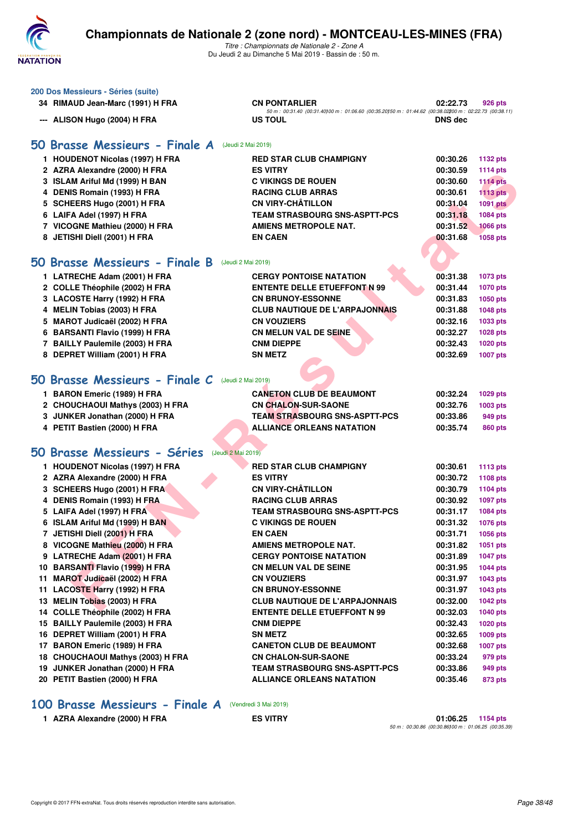

*Titre : Championnats de Nationale 2 - Zone A* Du Jeudi 2 au Dimanche 5 Mai 2019 - Bassin de : 50 m.

|     | 200 Dos Messieurs - Séries (suite)                   |                                                                                                                   |                |                                    |
|-----|------------------------------------------------------|-------------------------------------------------------------------------------------------------------------------|----------------|------------------------------------|
|     | 34 RIMAUD Jean-Marc (1991) H FRA                     | <b>CN PONTARLIER</b>                                                                                              | 02:22.73       | 926 pts                            |
|     | --- ALISON Hugo (2004) H FRA                         | 50 m: 00:31.40 (00:31.40) 00 m: 01:06.60 (00:35.20) 50 m: 01:44.62 (00:38.02200 m: 02:22.73 (00:38.11)<br>US TOUL | <b>DNS</b> dec |                                    |
|     |                                                      |                                                                                                                   |                |                                    |
|     | 50 Brasse Messieurs - Finale A<br>(Jeudi 2 Mai 2019) |                                                                                                                   |                |                                    |
|     | 1 HOUDENOT Nicolas (1997) H FRA                      | <b>RED STAR CLUB CHAMPIGNY</b>                                                                                    | 00:30.26       |                                    |
|     | 2 AZRA Alexandre (2000) H FRA                        | <b>ES VITRY</b>                                                                                                   | 00:30.59       | 1132 pts                           |
|     | 3 ISLAM Ariful Md (1999) H BAN                       | <b>C VIKINGS DE ROUEN</b>                                                                                         | 00:30.60       | <b>1114 pts</b><br><b>1114 pts</b> |
|     | 4 DENIS Romain (1993) H FRA                          | <b>RACING CLUB ARRAS</b>                                                                                          | 00:30.61       | <b>1113 pts</b>                    |
|     | 5 SCHEERS Hugo (2001) H FRA                          | <b>CN VIRY-CHÂTILLON</b>                                                                                          | 00:31.04       | <b>1091 pts</b>                    |
|     | 6 LAIFA Adel (1997) H FRA                            | <b>TEAM STRASBOURG SNS-ASPTT-PCS</b>                                                                              | 00:31.18       | 1084 pts                           |
|     | 7 VICOGNE Mathieu (2000) H FRA                       | <b>AMIENS METROPOLE NAT.</b>                                                                                      | 00:31.52       | <b>1066 pts</b>                    |
|     | 8 JETISHI Diell (2001) H FRA                         | <b>EN CAEN</b>                                                                                                    | 00:31.68       | <b>1058 pts</b>                    |
|     |                                                      |                                                                                                                   |                |                                    |
|     | 50 Brasse Messieurs - Finale B<br>(Jeudi 2 Mai 2019) |                                                                                                                   |                |                                    |
|     | 1 LATRECHE Adam (2001) H FRA                         | <b>CERGY PONTOISE NATATION</b>                                                                                    | 00:31.38       | <b>1073 pts</b>                    |
|     | 2 COLLE Théophile (2002) H FRA                       | <b>ENTENTE DELLE ETUEFFONT N 99</b>                                                                               | 00:31.44       | <b>1070 pts</b>                    |
|     | 3 LACOSTE Harry (1992) H FRA                         | <b>CN BRUNOY-ESSONNE</b>                                                                                          | 00:31.83       | <b>1050 pts</b>                    |
|     | 4 MELIN Tobias (2003) H FRA                          | <b>CLUB NAUTIQUE DE L'ARPAJONNAIS</b>                                                                             | 00:31.88       | 1048 pts                           |
|     | 5 MAROT Judicaël (2002) H FRA                        | <b>CN VOUZIERS</b>                                                                                                | 00:32.16       | 1033 pts                           |
|     | 6 BARSANTI Flavio (1999) H FRA                       | <b>CN MELUN VAL DE SEINE</b>                                                                                      | 00:32.27       | <b>1028 pts</b>                    |
|     | 7 BAILLY Paulemile (2003) H FRA                      | <b>CNM DIEPPE</b>                                                                                                 | 00:32.43       | <b>1020 pts</b>                    |
|     | 8 DEPRET William (2001) H FRA                        | <b>SN METZ</b>                                                                                                    | 00:32.69       | <b>1007 pts</b>                    |
|     |                                                      |                                                                                                                   |                |                                    |
|     |                                                      |                                                                                                                   |                |                                    |
|     | 50 Brasse Messieurs - Finale C<br>(Jeudi 2 Mai 2019) |                                                                                                                   |                |                                    |
|     | 1 BARON Emeric (1989) H FRA                          | <b>CANETON CLUB DE BEAUMONT</b>                                                                                   | 00:32.24       | 1029 pts                           |
|     | 2 CHOUCHAOUI Mathys (2003) H FRA                     | <b>CN CHALON-SUR-SAONE</b>                                                                                        | 00:32.76       | 1003 pts                           |
|     | 3 JUNKER Jonathan (2000) H FRA                       | <b>TEAM STRASBOURG SNS-ASPTT-PCS</b>                                                                              | 00:33.86       | 949 pts                            |
|     | 4 PETIT Bastien (2000) H FRA                         | <b>ALLIANCE ORLEANS NATATION</b>                                                                                  | 00:35.74       | 860 pts                            |
|     |                                                      |                                                                                                                   |                |                                    |
|     | 50 Brasse Messieurs - Séries<br>(Jeudi 2 Mai 2019)   |                                                                                                                   |                |                                    |
|     | 1 HOUDENOT Nicolas (1997) H FRA                      | <b>RED STAR CLUB CHAMPIGNY</b>                                                                                    | 00:30.61       | <b>1113 pts</b>                    |
|     | 2 AZRA Alexandre (2000) H FRA                        | <b>ES VITRY</b>                                                                                                   | 00:30.72       | 1108 pts                           |
|     | 3 SCHEERS Hugo (2001) H FRA                          | <b>CN VIRY-CHÂTILLON</b>                                                                                          | 00:30.79       | 1104 pts                           |
|     | 4 DENIS Romain (1993) H FRA                          | <b>RACING CLUB ARRAS</b>                                                                                          | 00:30.92       | <b>1097 pts</b>                    |
|     | 5 LAIFA Adel (1997) H FRA                            | <b>TEAM STRASBOURG SNS-ASPTT-PCS</b>                                                                              | 00:31.17       | <b>1084 pts</b>                    |
|     | 6 ISLAM Ariful Md (1999) H BAN                       | <b>C VIKINGS DE ROUEN</b>                                                                                         | 00:31.32       | 1076 pts                           |
|     | 7 JETISHI Diell (2001) H FRA                         | <b>EN CAEN</b>                                                                                                    | 00:31.71       | 1056 pts                           |
|     | 8 VICOGNE Mathieu (2000) H FRA                       | <b>AMIENS METROPOLE NAT.</b>                                                                                      | 00:31.82       | 1051 pts                           |
|     | 9 LATRECHE Adam (2001) H FRA                         | <b>CERGY PONTOISE NATATION</b>                                                                                    | 00:31.89       | <b>1047 pts</b>                    |
|     | 10 BARSANTI Flavio (1999) H FRA                      | <b>CN MELUN VAL DE SEINE</b>                                                                                      | 00:31.95       | <b>1044 pts</b>                    |
| 11. | MAROT Judicaël (2002) H FRA                          | <b>CN VOUZIERS</b>                                                                                                | 00:31.97       | 1043 pts                           |
|     | 11 LACOSTE Harry (1992) H FRA                        | <b>CN BRUNOY-ESSONNE</b>                                                                                          | 00:31.97       | <b>1043 pts</b>                    |
|     | 13 MELIN Tobias (2003) H FRA                         | <b>CLUB NAUTIQUE DE L'ARPAJONNAIS</b>                                                                             | 00:32.00       | <b>1042 pts</b>                    |
|     | 14 COLLE Théophile (2002) H FRA                      | <b>ENTENTE DELLE ETUEFFONT N 99</b>                                                                               | 00:32.03       | <b>1040 pts</b>                    |
|     | 15 BAILLY Paulemile (2003) H FRA                     | <b>CNM DIEPPE</b>                                                                                                 | 00:32.43       | 1020 pts                           |
|     | 16 DEPRET William (2001) H FRA                       | <b>SN METZ</b>                                                                                                    | 00:32.65       | <b>1009 pts</b>                    |
|     | 17 BARON Emeric (1989) H FRA                         | <b>CANETON CLUB DE BEAUMONT</b>                                                                                   | 00:32.68       | <b>1007 pts</b>                    |
|     | 18 CHOUCHAOUI Mathys (2003) H FRA                    | <b>CN CHALON-SUR-SAONE</b>                                                                                        | 00:33.24       | 979 pts                            |
|     | 19 JUNKER Jonathan (2000) H FRA                      | <b>TEAM STRASBOURG SNS-ASPTT-PCS</b>                                                                              | 00:33.86       | 949 pts                            |
|     | 20 PETIT Bastien (2000) H FRA                        | <b>ALLIANCE ORLEANS NATATION</b>                                                                                  | 00:35.46       | 873 pts                            |

## **[100 Brasse Messieurs - Finale A](http://www.ffnatation.fr/webffn/resultats.php?idact=nat&go=epr&idcpt=59365&idepr=72)** (Vendredi 3 Mai 2019)

1 AZRA Alexandre (2000) H FRA **ES VITRY** 

*50 m : 00:30.86 (00:30.86)100 m : 01:06.25 (00:35.39)*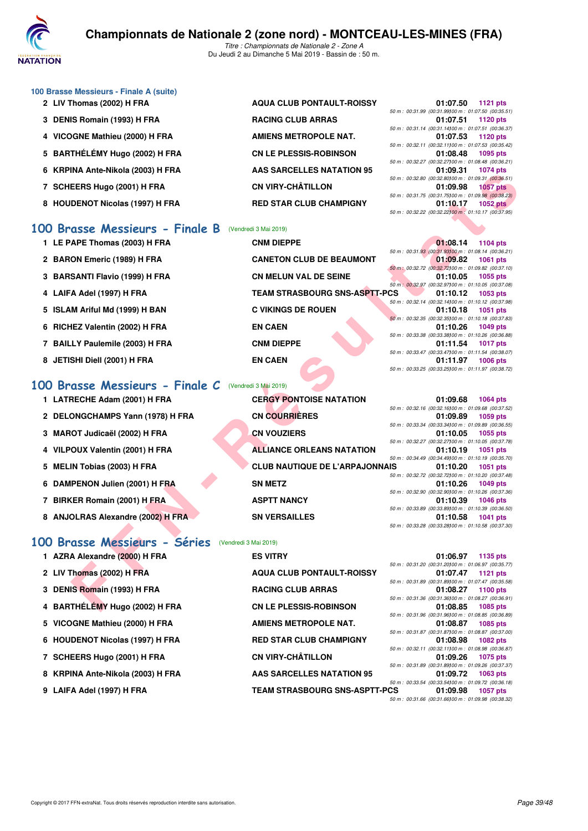

|  | 100 Brasse Messieurs - Finale A (suite) |  |  |
|--|-----------------------------------------|--|--|
|--|-----------------------------------------|--|--|

- 2 LIV Thomas (2002) H FRA AQUA CLUB PONTAULT-ROISSY
- 3 DENIS Romain (1993) H FRA RACING CLUB ARRAS
- 4 VICOGNE Mathieu (2000) H FRA **AMIENS METROPOLE NAT.**
- 5 BARTHÉLÉMY Hugo (2002) H FRA **CN LE PLESSIS-ROBINSON**
- **6 KRPINA Ante-Nikola (2003) H FRA AAS SARCELLES NATATION 95 01:09.31 1074 pts**
- **7 SCHEERS Hugo (2001) H FRA CN VIRY-CHÂTILLON**
- 8 HOUDENOT Nicolas (1997) H FRA RED STAR CLUB CHAMPIGNY

#### **[100 Brasse Messieurs - Finale B](http://www.ffnatation.fr/webffn/resultats.php?idact=nat&go=epr&idcpt=59365&idepr=72)** (Vendredi 3 Mai 2019)

- 1 LE PAPE Thomas (2003) H FRA **CNM DIEPPE**
- 2 BARON Emeric (1989) H FRA **CANETON CLUB DE BEAUMONT**
- **3 BARSANTI Flavio (1999) H FRA CN MELUN VAL DE SEINE**
- 4 LAIFA Adel (1997) H FRA TEAM STRASBOURG SNS-ASPTT-
- 5 **ISLAM Ariful Md (1999) H BAN C VIKINGS DE ROUEN**
- **6 RICHEZ Valentin (2002) H FRA EN CAEN 01:10.26 1049 pts**
- **7 BAILLY Paulemile (2003) H FRA CNM DIEPPE 01:11.54 1017 pts**
- 8 JETISHI Diell (2001) H FRA **EN CAEN**

### **[100 Brasse Messieurs - Finale C](http://www.ffnatation.fr/webffn/resultats.php?idact=nat&go=epr&idcpt=59365&idepr=72)** (Vendredi 3 Mai 2019)

- 
- 2 DELONGCHAMPS Yann (1978) H FRA CN COURRIÈRES
- **3 MAROT Judicaël (2002) H FRA CN VOUZIERS**
- 
- 
- **6 DAMPENON Julien (2001) H FRA SN METZ**
- **7 BIRKER Romain (2001) H FRA ASPTT NANCY**
- 8 ANJOLRAS Alexandre (2002) H FRA SN VERSAILLES

## **100 Brasse Messieurs - Séries** (Vendredi 3 Mai 2019)<br>1 AZPA Alexandre (2000) H EBA Exercices Reserved

- **1 AZRA Alexandre (2000) H FRA ES VITRY 01:06.97 1135 pts 3 DENIS Romain (1993) H FRA 5 VICOGNE Mathieu (2000) H FRA 8 KRPINA Ante-Nikola (2003) H FRA**
- **9 LAIFA Adel (1997) H FRA**
- ET A DE STAR CUB CHAMPIGNY<br>
FERS HOR (2001) IF FRA RED STAR CLUB CHAMPIGNY<br>
DENOT Nicolas (1997) IF FRA RED STAR CLUB CHAMPIGNY<br>
AND MESSIGLINGS THE RANDING CONSULTING THE RANDING CONSULTING THE RAND CONSULTING THE 1 LATRECHE Adam (2001) H FRA **CERGY PONTOISE NATATION 4 VILPOUX Valentin (2001) H FRA ALLIANCE ORLEANS NATATION**
- **5 MELIN Tobias (2003) H FRA CLUB NAUTIQUE DE L'ARPAJONNA** 
	-
	-

| <b>I ALTA AIEXANDRE (ZUUU) FI FITA</b> | ES VIIRT                             |                                                          | <b>UI:UO.97 1135 DIS</b> |
|----------------------------------------|--------------------------------------|----------------------------------------------------------|--------------------------|
|                                        |                                      | 50 m : 00:31.20 (00:31.20100 m : 01:06.97 (00:35.7       |                          |
| 2 LIV Thomas (2002) H FRA              | <b>AQUA CLUB PONTAULT-ROISSY</b>     |                                                          | 01:07.47 1121 pts        |
|                                        |                                      | 50 m : 00:31.89 (00:31.89100 m : 01:07.47 (00:35.5       |                          |
| 3 DENIS Romain (1993) H FRA            | <b>RACING CLUB ARRAS</b>             | 01:08.27                                                 | 1100 pts                 |
|                                        |                                      | 50 m : 00:31.36 (00:31.36100 m : 01:08.27 (00:36.9       |                          |
| 4 BARTHÉLÉMY Hugo (2002) H FRA         | <b>CN LE PLESSIS-ROBINSON</b>        |                                                          | 01:08.85 1085 pts        |
|                                        |                                      | 50 m : 00:31.96 (00:31.96) 00 m : 01:08.85 (00:36.8      |                          |
| 5 VICOGNE Mathieu (2000) H FRA         | <b>AMIENS METROPOLE NAT.</b>         |                                                          | 01:08.87 1085 pts        |
|                                        |                                      | 50 m : 00:31.87 (00:31.87) 00 m : 01:08.87 (00:37.0      |                          |
| 6 HOUDENOT Nicolas (1997) H FRA        | <b>RED STAR CLUB CHAMPIGNY</b>       |                                                          | 01:08.98 1082 pts        |
|                                        |                                      | 50 m : 00:32.11 (00:32.11100 m : 01:08.98 (00:36.8       |                          |
| 7 SCHEERS Hugo (2001) H FRA            | <b>CN VIRY-CHÂTILLON</b>             |                                                          | 01:09.26 1075 pts        |
|                                        |                                      | 50 m : 00:31.89 (00:31.89) 00 m : 01:09.26 (00:37.3      |                          |
| 8 KRPINA Ante-Nikola (2003) H FRA      | AAS SARCELLES NATATION 95            | 01:09.72                                                 | 1063 pts                 |
|                                        |                                      | 50 m : 00:33.54 (00:33.54100 m : 01:09.72 (00:36.1       |                          |
| 9 LAIFA Adel (1997) H FRA              | <b>TEAM STRASBOURG SNS-ASPTT-PCS</b> | 01:09.98                                                 | 1057 pts                 |
|                                        |                                      | $50 m \cdot 00.31 66 00.31 66100 m \cdot 01.09 98 00.38$ |                          |

|  | 01:07.50 1121 pts                                   |
|--|-----------------------------------------------------|
|  | 50 m: 00:31.99 (00:31.99100 m: 01:07.50 (00:35.51)  |
|  | 01:07.51 1120 pts                                   |
|  | 50 m: 00:31.14 (00:31.14100 m: 01:07.51 (00:36.37)  |
|  | 01:07.53 1120 pts                                   |
|  | 50 m: 00:32.11 (00:32.11100 m: 01:07.53 (00:35.42)  |
|  | 01:08.48 1095 pts                                   |
|  | 50 m: 00:32.27 (00:32.27) 00 m: 01:08.48 (00:36.21) |
|  | 01:09.31 1074 pts                                   |
|  | 50 m: 00:32.80 (00:32.80100 m: 01:09.31 (00:36.51)  |
|  | 01:09.98 1057 pts                                   |
|  | 50 m: 00:31.75 (00:31.75100 m: 01:09.98 (00:38.23)  |
|  | 01:10.17 1052 pts                                   |
|  | 50 m: 00:32.22 (00:32.22100 m: 01:10.17 (00:37.95)  |
|  |                                                     |

|     | 01:08.14 1104 pts                                    |  |
|-----|------------------------------------------------------|--|
|     | 50 m: 00:31.93 (00:31.93100 m: 01:08.14 (00:36.21)   |  |
|     | 01:09.82 1061 pts                                    |  |
|     | 50 m : 00:32.72 (00:32.72100 m : 01:09.82 (00:37.10) |  |
|     | 01:10.05 1055 pts                                    |  |
|     | 50 m: 00:32.97 (00:32.97100 m: 01:10.05 (00:37.08)   |  |
| PCS | 01:10.12 1053 pts                                    |  |
|     | 50 m: 00:32.14 (00:32.14100 m: 01:10.12 (00:37.98)   |  |
|     | 01:10.18 1051 pts                                    |  |
|     | 50 m: 00:32.35 (00:32.35100 m: 01:10.18 (00:37.83)   |  |
|     | 01:10.26 1049 pts                                    |  |
|     | 50 m: 00:33.38 (00:33.38100 m: 01:10.26 (00:36.88)   |  |
|     | 01:11.54 1017 pts                                    |  |
|     | 50 m: 00:33.47 (00:33.47100 m: 01:11.54 (00:38.07)   |  |
|     | 01:11.97 1006 pts                                    |  |
|     | 50 m: 00:33.25 (00:33.25100 m: 01:11.97 (00:38.72)   |  |
|     |                                                      |  |

|     |  | 01:09.68 1064 pts                                     |
|-----|--|-------------------------------------------------------|
|     |  | 50 m: 00:32.16 (00:32.16100 m: 01:09.68 (00:37.52)    |
|     |  | 01:09.89 1059 pts                                     |
|     |  | 50 m: 00:33.34 (00:33.34100 m: 01:09.89 (00:36.55)    |
|     |  | 01:10.05 1055 pts                                     |
|     |  | 50 m: 00:32.27 (00:32.27100 m: 01:10.05 (00:37.78)    |
|     |  | 01:10.19 1051 pts                                     |
|     |  | 50 m : 00:34.49 (00:34.49100 m : 01:10.19 (00:35.70)  |
| IS. |  | 01:10.20 1051 pts                                     |
|     |  | 50 m : 00:32.72 (00:32.72100 m : 01:10.20 (00:37.48)  |
|     |  |                                                       |
|     |  | 01:10.26 1049 pts                                     |
|     |  | 50 m: 00:32.90 (00:32.90100 m: 01:10.26 (00:37.36)    |
|     |  | 01:10.39 1046 pts                                     |
|     |  | 50 m : 00:33.89 (00:33.89) 00 m : 01:10.39 (00:36.50) |
|     |  | 01:10.58 1041 pts                                     |

*50 m : 00:31.20 (00:31.20)100 m : 01:06.97 (00:35.77) 50 m : 00:31.89 (00:31.89)100 m : 01:07.47 (00:35.58) 50 m : 00:31.36 (00:31.36)100 m : 01:08.27 (00:36.91) 50 m : 00:31.96 (00:31.96)100 m : 01:08.85 (00:36.89) 50 m : 00:31.87 (00:31.87)100 m : 01:08.87 (00:37.00) 50 m : 00:32.11 (00:32.11)100 m : 01:08.98 (00:36.87) 50 m : 00:31.89 (00:31.89)100 m : 01:09.26 (00:37.37) 50 m : 00:33.54 (00:33.54)100 m : 01:09.72 (00:36.18)*

*50 m : 00:31.66 (00:31.66)100 m : 01:09.98 (00:38.32)*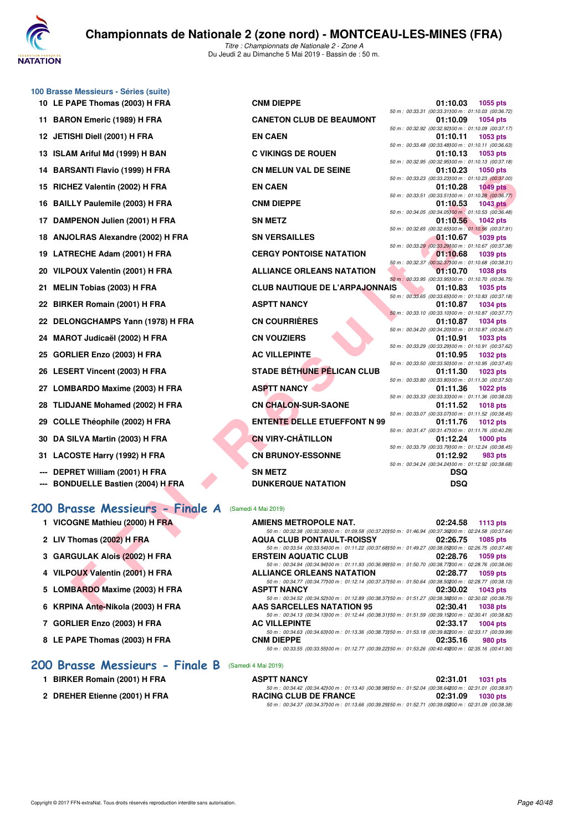

|    | 100 Brasse Messieurs - Séries (suite)  |                                                                                                                                                |                                                                   |                 |
|----|----------------------------------------|------------------------------------------------------------------------------------------------------------------------------------------------|-------------------------------------------------------------------|-----------------|
|    | 10 LE PAPE Thomas (2003) H FRA         | <b>CNM DIEPPE</b>                                                                                                                              | 01:10.03                                                          | 1055 pts        |
|    | 11 BARON Emeric (1989) H FRA           | <b>CANETON CLUB DE BEAUMONT</b>                                                                                                                | 50 m: 00:33.31 (00:33.31100 m: 01:10.03 (00:36.72)<br>01:10.09    | 1054 pts        |
|    | 12 JETISHI Diell (2001) H FRA          | <b>EN CAEN</b>                                                                                                                                 | 50 m : 00:32.92 (00:32.92) 00 m : 01:10.09 (00:37.17)<br>01:10.11 | 1053 pts        |
|    |                                        |                                                                                                                                                | 50 m: 00:33.48 (00:33.48) 00 m: 01:10.11 (00:36.63)               |                 |
| 13 | <b>ISLAM Ariful Md (1999) H BAN</b>    | <b>C VIKINGS DE ROUEN</b>                                                                                                                      | 01:10.13<br>50 m : 00:32.95 (00:32.95) 00 m : 01:10.13 (00:37.18) | 1053 pts        |
| 14 | <b>BARSANTI Flavio (1999) H FRA</b>    | <b>CN MELUN VAL DE SEINE</b>                                                                                                                   | 01:10.23                                                          | 1050 pts        |
| 15 | RICHEZ Valentin (2002) H FRA           | <b>EN CAEN</b>                                                                                                                                 | 50 m: 00:33.23 (00:33.23)00 m: 01:10.23 (00:37.00)<br>01:10.28    | <b>1049 pts</b> |
| 16 | <b>BAILLY Paulemile (2003) H FRA</b>   | <b>CNM DIEPPE</b>                                                                                                                              | 50 m: 00:33.51 (00:33.51100 m: 01:10.28 (00:36.77)<br>01:10.53    | <b>1043 pts</b> |
|    | 17 DAMPENON Julien (2001) H FRA        | <b>SN METZ</b>                                                                                                                                 | 50 m : 00:34.05 (00:34.05) 00 m : 01:10.53 (00:36.48)<br>01:10.56 | <b>1042 pts</b> |
| 18 | <b>ANJOLRAS Alexandre (2002) H FRA</b> | <b>SN VERSAILLES</b>                                                                                                                           | 50 m : 00:32.65 (00:32.65) 00 m : 01:10.56 (00:37.91)<br>01:10.67 | <b>1039 pts</b> |
| 19 | LATRECHE Adam (2001) H FRA             | <b>CERGY PONTOISE NATATION</b>                                                                                                                 | 50 m : 00:33.29 (00:33.29)00 m : 01:10.67 (00:37.38)<br>01:10.68  | 1039 pts        |
| 20 | VILPOUX Valentin (2001) H FRA          | <b>ALLIANCE ORLEANS NATATION</b>                                                                                                               | 50 m : 00:32.37 (00:32.37) 00 m : 01:10.68 (00:38.31)<br>01:10.70 | 1038 pts        |
|    | <b>MELIN Tobias (2003) H FRA</b>       | <b>CLUB NAUTIQUE DE L'ARPAJONNAIS</b>                                                                                                          | 50 m : 00:33.95 (00:33.95) 00 m : 01:10.70 (00:36.75)<br>01:10.83 | <b>1035 pts</b> |
| 21 |                                        |                                                                                                                                                | 50 m: 00:33.65 (00:33.65) 00 m: 01:10.83 (00:37.18)               |                 |
| 22 | <b>BIRKER Romain (2001) H FRA</b>      | <b>ASPTT NANCY</b>                                                                                                                             | 01:10.87                                                          | <b>1034 pts</b> |
|    | 22 DELONGCHAMPS Yann (1978) H FRA      | <b>CN COURRIÈRES</b>                                                                                                                           | 50 m: 00:33.10 (00:33.10) 00 m: 01:10.87 (00:37.77)<br>01:10.87   | 1034 pts        |
| 24 | MAROT Judicaël (2002) H FRA            | <b>CN VOUZIERS</b>                                                                                                                             | 50 m : 00:34.20 (00:34.20) 00 m : 01:10.87 (00:36.67)<br>01:10.91 | 1033 pts        |
| 25 | GORLIER Enzo (2003) H FRA              | <b>AC VILLEPINTE</b>                                                                                                                           | 50 m : 00:33.29 (00:33.29)00 m : 01:10.91 (00:37.62)<br>01:10.95  | <b>1032 pts</b> |
|    | 26 LESERT Vincent (2003) H FRA         | <b>STADE BÉTHUNE PÉLICAN CLUB</b>                                                                                                              | 50 m: 00:33.50 (00:33.50) 00 m: 01:10.95 (00:37.45)<br>01:11.30   | 1023 pts        |
| 27 | <b>LOMBARDO Maxime (2003) H FRA</b>    | <b>ASPTT NANCY</b>                                                                                                                             | 50 m : 00:33.80 (00:33.80) 00 m : 01:11.30 (00:37.50)<br>01:11.36 | <b>1022 pts</b> |
| 28 | <b>TLIDJANE Mohamed (2002) H FRA</b>   | <b>CN CHALON-SUR-SAONE</b>                                                                                                                     | 50 m : 00:33.33 (00:33.33) 00 m : 01:11.36 (00:38.03)<br>01:11.52 | <b>1018 pts</b> |
| 29 | <b>COLLE Théophile (2002) H FRA</b>    | <b>ENTENTE DELLE ETUEFFONT N 99</b>                                                                                                            | 50 m: 00:33.07 (00:33.07) 00 m: 01:11.52 (00:38.45)<br>01:11.76   | <b>1012 pts</b> |
| 30 | DA SILVA Martin (2003) H FRA           | <b>CN VIRY-CHÂTILLON</b>                                                                                                                       | 50 m : 00:31.47 (00:31.47) 00 m : 01:11.76 (00:40.29)<br>01:12.24 | <b>1000 pts</b> |
| 31 | LACOSTE Harry (1992) H FRA             | <b>CN BRUNOY-ESSONNE</b>                                                                                                                       | 50 m : 00:33.79 (00:33.79) 00 m : 01:12.24 (00:38.45)<br>01:12.92 | 983 pts         |
|    |                                        |                                                                                                                                                | 50 m : 00:34.24 (00:34.24)00 m : 01:12.92 (00:38.68)              |                 |
|    | DEPRET William (2001) H FRA            | <b>SN METZ</b>                                                                                                                                 | <b>DSQ</b>                                                        |                 |
|    | <b>BONDUELLE Bastien (2004) H FRA</b>  | <b>DUNKERQUE NATATION</b>                                                                                                                      | <b>DSQ</b>                                                        |                 |
|    | 200 Brasse Messieurs - Finale A        | (Samedi 4 Mai 2019)                                                                                                                            |                                                                   |                 |
|    | 1 VICOGNE Mathieu (2000) H FRA         | AMIENS METROPOLE NAT.                                                                                                                          | 02:24.58                                                          | <b>1113 pts</b> |
|    | 2 LIV Thomas (2002) H FRA              | 50 m : 00:32.38 (00:32.38)00 m : 01:09.58 (00:37.20)50 m : 01:46.94 (00:37.36200 m : 02:24.58 (00:37.64)<br><b>AQUA CLUB PONTAULT-ROISSY</b>   | 02:26.75                                                          | 1085 pts        |
|    | 3 GARGULAK Alois (2002) H FRA          | 50 m: 00:33.54 (00:33.54)00 m: 01:11.22 (00:37.68)50 m: 01:49.27 (00:38.05200 m: 02:26.75 (00:37.48)<br><b>ERSTEIN AQUATIC CLUB</b>            | 02:28.76                                                          | 1059 pts        |
|    | 4 VILPOUX Valentin (2001) H FRA        | 50 m : 00:34.94 (00:34.94)00 m : 01:11.93 (00:36.99)50 m : 01:50.70 (00:38.77200 m : 02:28.76 (00:38.06)<br><b>ALLIANCE ORLEANS NATATION</b>   | 02:28.77                                                          | 1059 pts        |
|    | 5 LOMBARDO Maxime (2003) H FRA         | 50 m : 00:34.77 (00:34.77) 00 m : 01:12.14 (00:37.37) 50 m : 01:50.64 (00:38.50200 m : 02:28.77 (00:38.13)<br><b>ASPTT NANCY</b>               | 02:30.02                                                          | 1043 pts        |
|    | 6 KRPINA Ante-Nikola (2003) H FRA      | 50 m : 00:34.52 (00:34.52) 00 m : 01:12.89 (00:38.37) 50 m : 01:51.27 (00:38.38200 m : 02:30.02 (00:38.75)<br><b>AAS SARCELLES NATATION 95</b> | 02:30.41                                                          | 1038 pts        |
|    |                                        |                                                                                                                                                |                                                                   |                 |

|                                           |     | 50 m: 00:34.20 (00:34.20100 m: 01:10.87 (00:36.67)   |
|-------------------------------------------|-----|------------------------------------------------------|
| <b>CN VOUZIERS</b>                        |     | $01:10.91$ 1033 pts                                  |
|                                           |     | 50 m: 00:33.29 (00:33.29100 m: 01:10.91 (00:37.62)   |
| <b>AC VILLEPINTE</b>                      |     | $01:10.95$ 1032 pts                                  |
|                                           |     | 50 m: 00:33.50 (00:33.50100 m: 01:10.95 (00:37.45)   |
| STADE BÉTH <mark>UNE PÉL</mark> ICAN CLUB |     | $01:11.30$ 1023 pts                                  |
|                                           |     | 50 m: 00:33.80 (00:33.80100 m: 01:11.30 (00:37.50)   |
| ASPTT NANCY                               |     | $01:11.36$ 1022 pts                                  |
|                                           |     | 50 m: 00:33.33 (00:33.33100 m: 01:11.36 (00:38.03)   |
| <b>CN CHALON-SUR-SAONE</b>                |     | $01:11.52$ 1018 pts                                  |
|                                           |     | 50 m: 00:33.07 (00:33.07100 m: 01:11.52 (00:38.45)   |
| <b>ENTENTE DELLE ETUEFFONT N 99</b>       |     | 01:11.76 1012 pts                                    |
|                                           |     | 50 m: 00:31.47 (00:31.47100 m: 01:11.76 (00:40.29)   |
| CN VIRY-CHÂTILLON                         |     | $01:12.24$ 1000 pts                                  |
|                                           |     | 50 m: 00:33.79 (00:33.79100 m: 01:12.24 (00:38.45)   |
| <b>CN BRUNOY-ESSONNE</b>                  |     | $01:12.92$ 983 pts                                   |
|                                           |     | 50 m : 00:34.24 (00:34.24)00 m : 01:12.92 (00:38.68) |
| SN MFTZ                                   | nso |                                                      |

#### **[200 Brasse Messieurs - Finale A](http://www.ffnatation.fr/webffn/resultats.php?idact=nat&go=epr&idcpt=59365&idepr=73)** (Samedi 4 Mai 2019)

| <b>AMIENS METROPOLE NAT.</b>                                                                               |          | 02:24.58 1113 pts |
|------------------------------------------------------------------------------------------------------------|----------|-------------------|
| 50 m: 00:32.38 (00:32.38) 00 m: 01:09.58 (00:37.20) 50 m: 01:46.94 (00:37.36200 m: 02:24.58 (00:37.64)     |          |                   |
| <b>AQUA CLUB PONTAULT-ROISSY</b><br>$02:26.75$ 1085 pts                                                    |          |                   |
| 50 m: 00:33.54 (00:33.54100 m: 01:11.22 (00:37.68150 m: 01:49.27 (00:38.05200 m: 02:26.75 (00:37.48)       |          |                   |
| <b>ERSTEIN AQUATIC CLUB</b>                                                                                |          | 02:28.76 1059 pts |
| 50 m: 00:34.94 (00:34.94100 m: 01:11.93 (00:36.99150 m: 01:50.70 (00:38.77200 m: 02:28.76 (00:38.06)       |          |                   |
| <b>ALLIANCE ORLEANS NATATION</b><br>$02:28.77$ 1059 pts                                                    |          |                   |
| 50 m: 00:34.77 (00:34.77100 m: 01:12.14 (00:37.37150 m: 01:50.64 (00:38.50200 m: 02:28.77 (00:38.13)       |          |                   |
| <b>ASPTT NANCY</b>                                                                                         |          | 02:30.02 1043 pts |
| 50 m: 00:34.52 (00:34.52) 00 m: 01:12.89 (00:38.37) 50 m: 01:51.27 (00:38.38200 m: 02:30.02 (00:38.75)     |          |                   |
| <b>AAS SARCELLES NATATION 95</b><br>$02:30.41$ 1038 pts                                                    |          |                   |
| 50 m: 00:34.13 (00:34.13) 00 m: 01:12.44 (00:38.31) 50 m: 01:51.59 (00:39.15200 m: 02:30.41 (00:38.82)     |          |                   |
| <b>AC VILLEPINTE</b>                                                                                       |          | 02:33.17 1004 pts |
| 50 m: 00:34.63 (00:34.63) 00 m: 01:13.36 (00:38.73) 50 m: 01:53.18 (00:39.82200 m: 02:33.17 (00:39.99)     |          |                   |
| <b>CNM DIEPPE</b>                                                                                          | 02:35.16 | 980 pts           |
| 50 m : 00:33.55 (00:33.55) 00 m : 01:12.77 (00:39.22) 50 m : 01:53.26 (00:40.49200 m : 02:35.16 (00:41.90) |          |                   |

#### **[200 Brasse Messieurs - Finale B](http://www.ffnatation.fr/webffn/resultats.php?idact=nat&go=epr&idcpt=59365&idepr=73)** (Samedi 4 Mai 2019)

| <b>ASPTT NANCY</b>                                                                                         | 02:31.01<br>1031 pts |
|------------------------------------------------------------------------------------------------------------|----------------------|
| 50 m : 00:34.42 (00:34.42)00 m : 01:13.40 (00:38.98)50 m : 01:52.04 (00:38.64200 m : 02:31.01 (00:38.97)   |                      |
| <b>RACING CLUB DE FRANCE</b>                                                                               | 02:31.09 1030 pts    |
| 50 m : 00:34.37 (00:34.37) 00 m : 01:13.66 (00:39.29) 50 m : 01:52.71 (00:39.05200 m : 02:31.09 (00:38.38) |                      |

**7 GORLIER Enzo (2003) H FRA** 

**8 LE PAPE Thomas (2003) H FRA**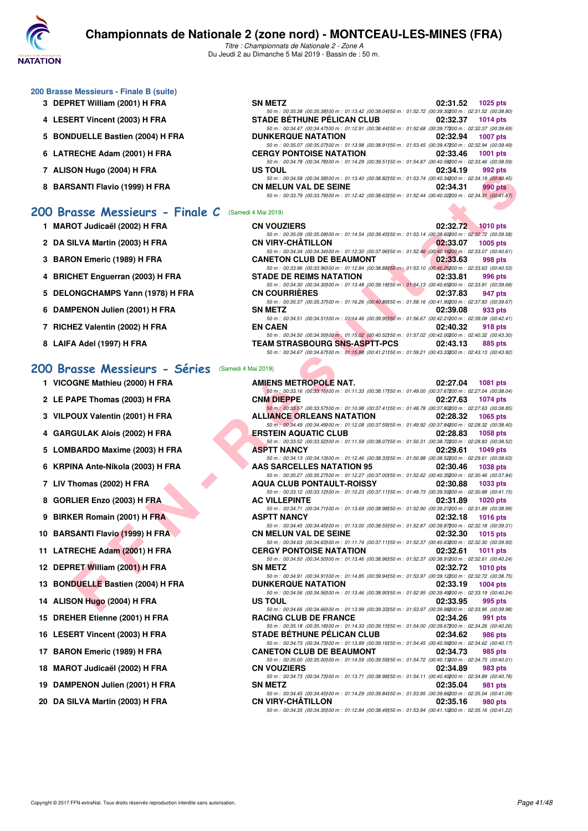

*Titre : Championnats de Nationale 2 - Zone A* Du Jeudi 2 au Dimanche 5 Mai 2019 - Bassin de : 50 m.

#### **200 Brasse Messieurs - Finale B (suite)**

- **3 DEPRET William (2001) H FRA**
- **4 LESERT Vincent (2003) H FRA**
- **5 BONDUELLE Bastien (2004) H FRA**
- **6 LATRECHE Adam (2001) H FRA**
- **7 ALISON Hugo (2004) H FRA**
- **8 BARSANTI Flavio (1999) H FRA**

#### **[200 Brasse Messieurs - Finale C](http://www.ffnatation.fr/webffn/resultats.php?idact=nat&go=epr&idcpt=59365&idepr=73)** (Samedi 4 Mai 2019)

- **1 MAROT Judicaël (2002) H FRA**
- **2 DA SILVA Martin (2003) H FRA**
- **3 BARON Emeric (1989) H FRA**
- **4 BRICHET Enguerran (2003) H FRA**
- 5 DELONGCHAMPS Yann (1978) H FRA
- **6 DAMPENON Julien (2001) H FRA**
- **7 RICHEZ Valentin (2002) H FRA**
- **8 LAIFA Adel (1997) H FRA**

#### **[200 Brasse Messieurs - Séries](http://www.ffnatation.fr/webffn/resultats.php?idact=nat&go=epr&idcpt=59365&idepr=73)** (Samedi 4 Mai 2019)

- **1 VICOGNE Mathieu (2000) H FRA**
- **2 LE PAPE Thomas (2003) H FRA**
- **3 VILPOUX Valentin (2001) H FRA**
- **4 GARGULAK Alois (2002) H FRA**
- **5 LOMBARDO Maxime (2003) H FRA**
- **6 KRPINA Ante-Nikola (2003) H FRA**
- **7 LIV Thomas (2002) H FRA**
- **8 GORLIER Enzo (2003) H FRA**
- **9 BIRKER Romain (2001) H FRA**
- **10 BARSANTI Flavio (1999) H FRA**
- **11 LATRECHE Adam (2001) H FRA**
- **12 DEPRET William (2001) H FRA**
- **13 BONDUELLE Bastien (2004) H FRA**
- **14 ALISON Hugo (2004) H FRA**
- 15 DREHER Etienne (2001) H FRA
- **16 LESERT Vincent (2003) H FRA**
- 17 BARON Emeric (1989) H FRA
- 18 MAROT Judicaël (2002) H FRA
- 19 DAMPENON Julien (2001) H FRA
- 20 DA SILVA Martin (2003) H FRA

| <b>SN METZ</b>                                                                                         |          | 02:31.52 1025 pts |
|--------------------------------------------------------------------------------------------------------|----------|-------------------|
| 50 m: 00:35.38 (00:35.38) 00 m: 01:13.42 (00:38.04) 50 m: 01:52.72 (00:39.30200 m: 02:31.52 (00:38.80) |          |                   |
| <b>STADE BÉTHUNE PÉLICAN CLUB</b>                                                                      |          | 02:32.37 1014 pts |
| 50 m: 00:34.47 (00:34.47) 00 m: 01:12.91 (00:38.44) 50 m: 01:52.68 (00:39.77200 m: 02:32.37 (00:39.69) |          |                   |
| <b>DUNKERQUE NATATION</b>                                                                              |          | 02:32.94 1007 pts |
| 50 m: 00:35.07 (00:35.07) 00 m: 01:13.98 (00:38.91) 50 m: 01:53.45 (00:39.47200 m: 02:32.94 (00:39.49) |          |                   |
| <b>CERGY PONTOISE NATATION</b>                                                                         | 02:33.46 | 1001 pts          |
| 50 m: 00:34.78 (00:34.78) 00 m: 01:14.29 (00:39.51) 50 m: 01:54.87 (00:40.58200 m: 02:33.46 (00:38.59) |          |                   |
| US TOUL                                                                                                |          | 02:34.19 992 pts  |
| 50 m: 00:34.58 (00:34.58) 00 m: 01:13.40 (00:38.82) 50 m: 01:53.74 (00:40.34200 m: 02:34.19 (00:40.45) |          |                   |
| <b>CN MELUN VAL DE SEINE</b>                                                                           | 02:34.31 | 990 pts           |
| 50 m: 00:33.79 (00:33.79) 00 m: 01:12.42 (00:38.63) 50 m: 01:52.44 (00:40.02200 m: 02:34.31 (00:41.87) |          |                   |

| <b>CN VOUZIERS</b>                                                                                         | 02:32.72 1010 pts    |
|------------------------------------------------------------------------------------------------------------|----------------------|
| 50 m: 00:35.09 (00:35.09) 00 m: 01:14.54 (00:39.45) 50 m: 01:53.14 (00:38.60200 m: 02:32.72 (00:39.58)     |                      |
| <b>CN VIRY-CHÂTILLON</b>                                                                                   | 02:33.07<br>1005 pts |
| 50 m: 00:34.34 (00:34.34)00 m: 01:12.30 (00:37.96)50 m: 01:52.46 (00:40.16200 m: 02:33.07 (00:40.61)       |                      |
| <b>CANETON CLUB DE BEAUMONT</b>                                                                            | 02:33.63<br>998 pts  |
| 50 m : 00:33.96 (00:33.96) 00 m : 01:12.84 (00:38.88) 50 m : 01:53.10 (00:40.26200 m : 02:33.63 (00:40.53) |                      |
| <b>STADE DE REIMS NATATION</b>                                                                             | 02:33.81<br>996 pts  |
| 50 m: 00:34.30 (00:34.30) 00 m: 01:13.48 (00:39.18) 50 m: 01:54.13 (00:40.65200 m: 02:33.81 (00:39.68)     |                      |
| <b>CN COURRIERES</b>                                                                                       | 02:37.83<br>947 pts  |
| 50 m: 00:35.37 (00:35.37100 m: 01:16.26 (00:40.89150 m: 01:58.16 (00:41.90200 m: 02:37.83 (00:39.67)       |                      |
| <b>SN METZ</b>                                                                                             | 02:39.08<br>933 pts  |
| 50 m: 00:34.51 (00:34.51100 m: 01:14.46 (00:39.95150 m: 01:56.67 (00:42.21200 m: 02:39.08 (00:42.41)       |                      |
| <b>EN CAEN</b>                                                                                             | 02:40.32<br>918 pts  |
| 50 m : 00:34.50 (00:34.50) 00 m : 01:15.02 (00:40.52) 50 m : 01:57.02 (00:42.00200 m : 02:40.32 (00:43.30) |                      |
| <b>TEAM STRASBOURG SNS-ASPTT-PCS</b>                                                                       | 02:43.13<br>885 pts  |
| 50 m: 00:34.67 (00:34.67) 00 m: 01:15.88 (00:41.21) 50 m: 01:59.21 (00:43.33200 m: 02:43.13 (00:43.92)     |                      |

| אחזו וששט (צטט+) וורח                       | טט וטט<br><u>,,,,,,,,,</u><br>ວວ∠ µເວ                                                                                                                                                                                                                                           |
|---------------------------------------------|---------------------------------------------------------------------------------------------------------------------------------------------------------------------------------------------------------------------------------------------------------------------------------|
| SANTI Flavio (1999) H FRA                   | 50 m : 00:34.58 (00:34.58) 00 m : 01:13.40 (00:38.82) 50 m : 01:53.74 (00:40.34200 m : 02:34.19 (00:40.45)<br><b>CN MELUN VAL DE SEINE</b><br>02:34.31<br>990 pts<br>50 m : 00:33.79 (00:33.79) 00 m : 01:12.42 (00:38.63) 50 m : 01:52.44 (00:40.02200 m : 02:34.31 (00:41.87) |
| asse Messieurs - Finale C                   | (Samedi 4 Mai 2019)                                                                                                                                                                                                                                                             |
| OT Judicaël (2002) H FRA                    | <b>CN VOUZIERS</b><br>02:32.72<br>$1010$ pts                                                                                                                                                                                                                                    |
| <b>SILVA Martin (2003) H FRA</b>            | 50 m : 00:35.09 (00:35.09) 00 m : 01:14.54 (00:39.45) 50 m : 01:53.14 (00:38.60200 m : 02:32.72 (00:39.58)<br><b>CN VIRY-CHATILLON</b><br>02:33.07<br>$1005$ pts                                                                                                                |
| ON Emeric (1989) H FRA                      | 50 m : 00:34.34 (00:34.34) 00 m : 01:12.30 (00:37.96) 50 m : 01:52.46 (00:40.16200 m : 02:33.07 (00:40.61)<br><b>CANETON CLUB DE BEAUMONT</b><br>02:33.63<br>998 pts                                                                                                            |
| HET Enguerran (2003) H FRA:                 | 50 m : 00:33.96 (00:33.96) 00 m : 01:12.84 (00:38.88) 50 m : 01:53.10 (00:40.26200 m : 02:33.63 (00:40.53)<br><b>STADE DE REIMS NATATION</b><br>02:33.81<br>996 pts                                                                                                             |
| ONGCHAMPS Yann (1978) H FRA                 | 50 m : 00:34.30 (00:34.30) 00 m : 01:13.48 (00:39.18) 50 m : 01:54.13 (00:40.65200 m : 02:33.81 (00:39.68)<br><b>CN COURRIERES</b><br>02:37.83<br>947 pts                                                                                                                       |
|                                             | 50 m : 00:35.37 (00:35.37) 00 m : 01:16.26 (00:40.89) 50 m : 01:58.16 (00:41.90200 m : 02:37.83 (00:39.67)                                                                                                                                                                      |
| <b>IPENON Julien (2001) H FRA</b>           | <b>SN METZ</b><br>02:39.08<br>933 pts<br>50 m : 00:34.51 (00:34.51) 00 m : 01:14.46 (00:39.95) 50 m : 01:56.67 (00:42.21200 m : 02:39.08 (00:42.41)                                                                                                                             |
| IEZ Valentin (2002) H FRA                   | <b>EN CAEN</b><br>02:40.32<br>918 pts<br>50 m : 00:34.50 (00:34.50) 00 m : 01:15.02 (00:40.52) 50 m : 01:57.02 (00:42.00200 m : 02:40.32 (00:43.30)                                                                                                                             |
| A Adel (1997) H FRA                         | TEAM STRASBOURG SNS-ASPTT-PCS<br>02:43.13<br>885 pts<br>50 m : 00:34.67 (00:34.67) 00 m : 01:15.88 (00:41.21) 50 m : 01:59.21 (00:43.33200 m : 02:43.13 (00:43.92)                                                                                                              |
|                                             |                                                                                                                                                                                                                                                                                 |
| asse Messieurs - Séries (Samedi 4 Mai 2019) |                                                                                                                                                                                                                                                                                 |
| GNE Mathieu (2000) H FRA                    | <b>AMIENS METROPOLE NAT.</b><br>02:27.04<br><b>1081 pts</b><br>50 m : 00:33.16 (00:33.16) 00 m : 01:11.33 (00:38.17) 50 m : 01:49.00 (00:37.67200 m : 02:27.04 (00:38.04)                                                                                                       |
| APE Thomas (2003) H FRA                     | <b>CNM DIEPPE</b><br>02:27.63<br><b>1074 pts</b><br>50 m : 00:33.57 (00:33.57) 00 m : 01:10.98 (00:37.41) 50 m : 01:48.78 (00:37.80200 m : 02:27.63 (00:38.85)                                                                                                                  |
| OUX Valentin (2001) H FRA                   | <b>ALLIANCE ORLEANS NATATION</b><br>02:28.32<br><b>1065 pts</b>                                                                                                                                                                                                                 |
| GULAK Alois (2002) H FRA                    | 50 m : 00:34.49 (00:34.49) 00 m : 01:12.08 (00:37.59) 50 m : 01:49.92 (00:37.84200 m : 02:28.32 (00:38.40)<br><b>ERSTEIN AQUATIC CLUB</b><br>02:28.83<br><b>1058 pts</b>                                                                                                        |
| BARDO Maxime (2003) H FRA                   | 50 m: 00:33.52 (00:33.52) 00 m: 01:11.59 (00:38.07) 50 m: 01:50.31 (00:38.72200 m: 02:28.83 (00:38.52)<br><b>ASPTT NANCY</b><br>02:29.61<br>1049 pts                                                                                                                            |
| INA Ante-Nikola (2003) H FRA                | 50 m : 00:34.13 (00:34.13) 00 m : 01:12.46 (00:38.33) 50 m : 01:50.98 (00:38.52200 m : 02:29.61 (00:38.63)<br><b>AAS SARCELLES NATATION 95</b><br>02:30.46<br><b>1038 pts</b>                                                                                                   |
|                                             | 50 m : 00:35.27 (00:35.27) 00 m : 01:12.27 (00:37.00) 50 m : 01:52.62 (00:40.35200 m : 02:30.46 (00:37.84)                                                                                                                                                                      |
| 「homas (2002) H FRA                         | AQUA CLUB PONTAULT-ROISSY<br>02:30.88<br>1033 pts<br>50 m : 00:33.12 (00:33.12) 00 m : 01:10.23 (00:37.11) 50 m : 01:49.73 (00:39.50200 m : 02:30.88 (00:41.15)                                                                                                                 |
| LIER Enzo (2003) H FRA                      | <b>AC VILLEPINTE</b><br>02:31.89<br>1020 $pts$<br>50 m : 00:34.71 (00:34.71) 00 m : 01:13.69 (00:38.98) 50 m : 01:52.90 (00:39.21200 m : 02:31.89 (00:38.99)                                                                                                                    |
| (ER Romain (2001) H FRA                     | <b>ASPTT NANCY</b><br>02:32.18<br><b>1016 pts</b>                                                                                                                                                                                                                               |
| SANTI Flavio (1999) H FRA                   | 50 m : 00:34.45 (00:34.45) 00 m : 01:13.00 (00:38.55) 50 m : 01:52.87 (00:39.87200 m : 02:32.18 (00:39.31)<br><b>CN MELUN VAL DE SEINE</b><br>02:32.30<br>1015 $pts$                                                                                                            |
| RECHE Adam (2001) H FRA                     | 50 m : 00:34.63 (00:34.63) 00 m : 01:11.74 (00:37.11) 50 m : 01:52.37 (00:40.63200 m : 02:32.30 (00:39.93)<br><b>CERGY PONTOISE NATATION</b><br>02:32.61<br>1011 pts                                                                                                            |
| RET William (2001) H FRA                    | 50 m : 00:34.50 (00:34.50) 00 m : 01:13.46 (00:38.96) 50 m : 01:52.37 (00:38.91200 m : 02:32.61 (00:40.24)<br><b>SN METZ</b><br>02:32.72<br>1010 pts                                                                                                                            |
| <b>DUELLE Bastien (2004) H FRA</b>          | 50 m: 00:34.91 (00:34.91) 00 m: 01:14.85 (00:39.94) 50 m: 01:53.97 (00:39.12200 m: 02:32.72 (00:38.75)<br><b>DUNKERQUE NATATION</b><br>02:33.19<br><b>1004 pts</b>                                                                                                              |
|                                             | 50 m : 00:34.56 (00:34.56) 00 m : 01:13.46 (00:38.90) 50 m : 01:52.95 (00:39.49200 m : 02:33.19 (00:40.24)                                                                                                                                                                      |
| ON Hugo (2004) H FRA                        | US TOUL<br>02:33.95<br>995 pts<br>50 m : 00:34.66 (00:34.66) 00 m : 01:13.99 (00:39.33) 50 m : 01:53.97 (00:39.98200 m : 02:33.95 (00:39.98)                                                                                                                                    |
| HER Etienne (2001) H FRA                    | <b>RACING CLUB DE FRANCE</b><br>02:34.26<br>991 pts<br>50 m : 00:35.18 (00:35.18) 00 m : 01:14.33 (00:39.15) 50 m : 01:54.00 (00:39.67200 m : 02:34.26 (00:40.26)                                                                                                               |
| ERT Vincent (2003) H FRA                    | <b>STADE BÉTHUNE PÉLICAN CLUB</b><br>02:34.62<br>986 pts                                                                                                                                                                                                                        |
| ON Emeric (1989) H FRA                      | 50 m : 00:34.73 (00:34.73) 00 m : 01:13.89 (00:39.16) 50 m : 01:54.45 (00:40.56200 m : 02:34.62 (00:40.17)<br><b>CANETON CLUB DE BEAUMONT</b><br>02:34.73<br>985 pts                                                                                                            |
| OT Judicaël (2002) H FRA                    | 50 m : 00:35.00 (00:35.00) 00 m : 01:14.59 (00:39.59) 50 m : 01:54.72 (00:40.13200 m : 02:34.73 (00:40.01)<br><b>CN VOUZIERS</b><br>02:34.89<br>983 pts                                                                                                                         |
| <b>IPENON Julien (2001) H FRA</b>           | 50 m : 00:34.73 (00:34.73)00 m : 01:13.71 (00:38.98)50 m : 01:54.11 (00:40.40200 m : 02:34.89 (00:40.78)<br><b>SN METZ</b><br>02:35.04<br>981 pts                                                                                                                               |
| <b>SILVA Martin (2003) H FRA</b>            | 50 m : 00:34.45 (00:34.45)00 m : 01:14.29 (00:39.84)50 m : 01:53.95 (00:39.66200 m : 02:35.04 (00:41.09)<br><b>CN VIRY-CHATILLON</b><br>02:35.16<br>980 pts                                                                                                                     |
|                                             | $50 \text{ m}$ ; 00:34 35 (00:34 35100 m; 01:12 84 (00:38 49150 m; 01:53 94 (00:41 10200 m; 02:35 16 (00:41 22)                                                                                                                                                                 |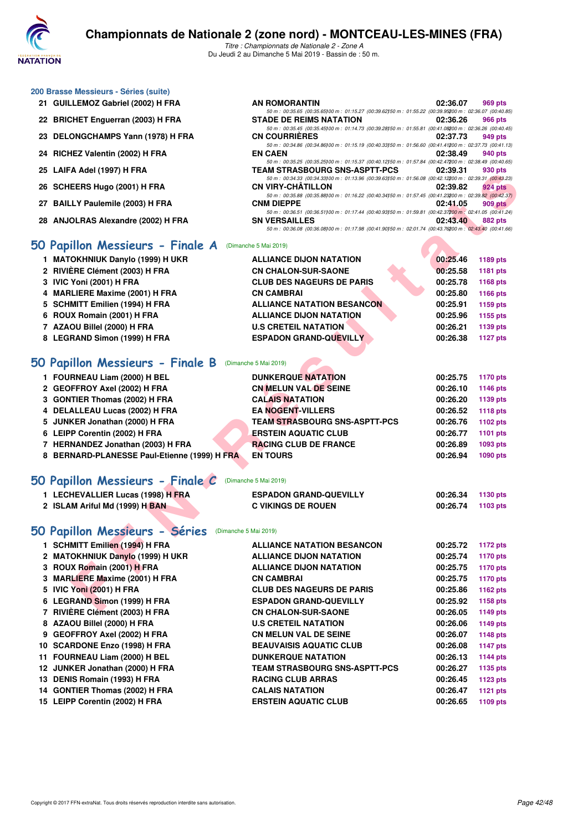

| 200 Brasse Messieurs - Séries (suite) |  |  |  |
|---------------------------------------|--|--|--|
|---------------------------------------|--|--|--|

- 
- 22 BRICHET Enguerran (2003) H FRA
- 23 DELONGCHAMPS Yann (1978) H FRA
- 24 RICHEZ Valentin (2002) H FRA
- 25 LAIFA Adel (1997) **H FRA**
- 26 SCHEERS Hugo (2001) H FRA
- 27 BAILLY Paulemile (2003) H FRA
- 28 ANJOLRAS Alexandre (2002) H FRA

## **[50 Papillon Messieurs - Finale A](http://www.ffnatation.fr/webffn/resultats.php?idact=nat&go=epr&idcpt=59365&idepr=81)** (Dimanche 5 Mai 2019)

- **1 MATOKHNIUK Danylo (1999) H UKR ALLIANCE DIJON NATATION 00:25.46 1189 pts**
- **2 RIVIÈRE Clément (2003) H FRA CN CHALON-SUR-SAONE 00:25.58 1181 pts**
- **3 IVIC Yoni (2001) H FRA CLUB DES NAGEURS DE PARIS 00:25.78 1168 pts**
- **4 MARLIERE Maxime (2001) H FRA CN CAMBRAI 00:25.80 1166 pts**
- **5 SCHMITT Emilien (1994) H FRA ALLIANCE NATATION BESANCON 00:25.91 1159 pts**
- **6 ROUX Romain (2001) H FRA ALLIANCE DIJON NATATION 00:25.96 1155 pts**
- **7 AZAOU Billel (2000) H FRA U.S CRETEIL NATATION 00:26.21 1139 pts**
- **8 LEGRAND Simon (1999) H FRA ESPADON GRAND-QUEVILLY 00:26.38 1127 pts**

### **[50 Papillon Messieurs - Finale B](http://www.ffnatation.fr/webffn/resultats.php?idact=nat&go=epr&idcpt=59365&idepr=81)** (Dimanche 5 Mai 2019)

| <b><i>LAIFA AUCL (1991)</i></b> ILERA             | I EAM ƏTRAƏDUURU ƏNƏFAƏF I I-FUƏ                                                                                                       | <u>,,,,,,,,</u><br>่ วงบ มเจ                       |  |
|---------------------------------------------------|----------------------------------------------------------------------------------------------------------------------------------------|----------------------------------------------------|--|
| 26 SCHEERS Hugo (2001) H FRA                      | 50 m : 00:34.33 (00:34.33) 00 m : 01:13.96 (00:39.63) 50 m : 01:56.08 (00:42.12200 m : 02:39.31 (00:43.23)<br><b>CN VIRY-CHATILLON</b> | 02:39.82<br><b>924 pts</b>                         |  |
|                                                   | 50 m : 00:35.88 (00:35.88) 00 m : 01:16.22 (00:40.34) 50 m : 01:57.45 (00:41.23200 m : 02:39.82 (00:42.37)                             |                                                    |  |
| 27 BAILLY Paulemile (2003) H FRA                  | <b>CNM DIEPPE</b><br>50 m: 00:36.51 (00:36.51)00 m: 01:17.44 (00:40.93)50 m: 01:59.81 (00:42.37200 m: 02:41.05 (00:41.24)              | 02:41.05<br>909 pts                                |  |
| 28 ANJOLRAS Alexandre (2002) H FRA                | <b>SN VERSAILLES</b>                                                                                                                   | 02:43.40<br><b>882 pts</b>                         |  |
|                                                   | 50 m : 00:36.08 (00:36.08) 00 m : 01:17.98 (00:41.90) 50 m : 02:01.74 (00:43.76200 m : 02:43.40 (00:41.66)                             |                                                    |  |
| i0 Papillon Messieurs - Finale A                  | (Dimanche 5 Mai 2019)                                                                                                                  |                                                    |  |
| 1 MATOKHNIUK Danylo (1999) H UKR                  | <b>ALLIANCE DIJON NATATION</b>                                                                                                         | 00:25.46<br>1189 pts                               |  |
| 2 RIVIÈRE Clément (2003) H FRA                    | <b>CN CHALON-SUR-SAONE</b>                                                                                                             | 00:25.58<br>1181 pts                               |  |
| 3 IVIC Yoni (2001) H FRA                          | <b>CLUB DES NAGEURS DE PARIS</b>                                                                                                       | 00:25.78<br>1168 pts                               |  |
| 4 MARLIERE Maxime (2001) H FRA                    | <b>CN CAMBRAI</b>                                                                                                                      | 00:25.80<br>1166 pts                               |  |
| 5 SCHMITT Emilien (1994) H FRA                    | <b>ALLIANCE NATATION BESANCON</b>                                                                                                      | 00:25.91<br>1159 pts                               |  |
| 6 ROUX Romain (2001) H FRA                        | <b>ALLIANCE DIJON NATATION</b>                                                                                                         | 00:25.96<br>1155 pts                               |  |
| 7 AZAOU Billel (2000) H FRA                       | <b>U.S CRETEIL NATATION</b>                                                                                                            | 00:26.21<br>1139 pts                               |  |
| 8 LEGRAND Simon (1999) H FRA                      | <b>ESPADON GRAND-QUEVILLY</b>                                                                                                          | 00:26.38<br><b>1127 pts</b>                        |  |
|                                                   |                                                                                                                                        |                                                    |  |
| iO Papillon Messieurs - Finale B                  | (Dimanche 5 Mai 2019)                                                                                                                  |                                                    |  |
| 1 FOURNEAU Liam (2000) H BEL                      | <b>DUNKERQUE NATATION</b>                                                                                                              | 00:25.75<br><b>1170 pts</b>                        |  |
| 2 GEOFFROY Axel (2002) H FRA                      | <b>CN MELUN VAL DE SEINE</b>                                                                                                           | 00:26.10<br>1146 pts                               |  |
| 3 GONTIER Thomas (2002) H FRA                     | <b>CALAIS NATATION</b>                                                                                                                 | 00:26.20<br>1139 pts                               |  |
| 4 DELALLEAU Lucas (2002) H FRA                    | <b>EA NOGENT-VILLERS</b>                                                                                                               | 00:26.52<br><b>1118 pts</b>                        |  |
| 5 JUNKER Jonathan (2000) H FRA                    | <b>TEAM STRASBOURG SNS-ASPTT-PCS</b>                                                                                                   | 00:26.76<br>1102 pts                               |  |
| 6 LEIPP Corentin (2002) H FRA                     | <b>ERSTEIN AQUATIC CLUB</b>                                                                                                            | 00:26.77<br>1101 pts                               |  |
| 7 HERNANDEZ Jonathan (2003) H FRA                 | <b>RACING CLUB DE FRANCE</b>                                                                                                           | 00:26.89<br>1093 pts                               |  |
| 8 BERNARD-PLANESSE Paul-Etienne (1999) H FRA      | <b>EN TOURS</b>                                                                                                                        | 00:26.94<br>1090 pts                               |  |
|                                                   |                                                                                                                                        |                                                    |  |
| $60$ Papillon Messieurs - Finale $\boldsymbol{C}$ | (Dimanche 5 Mai 2019)                                                                                                                  |                                                    |  |
| 1 LECHEVALLIER Lucas (1998) H FRA                 | <b>ESPADON GRAND-QUEVILLY</b>                                                                                                          | 00:26.34<br>1130 pts                               |  |
| 2 ISLAM Ariful Md (1999) H BAN                    | <b>C VIKINGS DE ROUEN</b>                                                                                                              | 00:26.74<br>1103 pts                               |  |
|                                                   |                                                                                                                                        |                                                    |  |
| <b>iO Papillon Messieurs - Séries</b>             | (Dimanche 5 Mai 2019)                                                                                                                  |                                                    |  |
| 1 SCHMITT Emilien (1994) H FRA                    | <b>ALLIANCE NATATION BESANCON</b>                                                                                                      | 00:25.72                                           |  |
|                                                   | <b>ALLIANCE DIJON NATATION</b>                                                                                                         | 1172 pts<br>00:25.74                               |  |
| 2 MATOKHNIUK Danylo (1999) H UKR                  |                                                                                                                                        | 1170 pts                                           |  |
| 3 ROUX Romain (2001) H FRA                        | <b>ALLIANCE DIJON NATATION</b>                                                                                                         | 00:25.75<br>1170 pts                               |  |
| 3 MARLIERE Maxime (2001) H FRA                    | <b>CN CAMBRAI</b>                                                                                                                      | 00:25.75<br><b>1170 pts</b>                        |  |
| 5 IVIC Yoni (2001) H FRA                          | <b>CLUB DES NAGEURS DE PARIS</b>                                                                                                       | 00:25.86<br>1162 pts                               |  |
| 6 LEGRAND Simon (1999) H FRA                      | <b>ESPADON GRAND-QUEVILLY</b><br>CH CHALON CHD CAONE                                                                                   | 00:25.92<br>1158 pts<br>00.0000<br>$-4.4.00 - 4.4$ |  |
|                                                   |                                                                                                                                        |                                                    |  |

### **[50 Papillon Messieurs - Finale C](http://www.ffnatation.fr/webffn/resultats.php?idact=nat&go=epr&idcpt=59365&idepr=81)** (Dimanche 5 Mai 2019)

| 1 LECHEVALLIER Lucas (1998) H FRA | <b>ESPADON GRAND-QUEVILLY</b> | 00:26.34 | 1130 pts |
|-----------------------------------|-------------------------------|----------|----------|
| 2 ISLAM Ariful Md (1999) H BAN    | <b>C VIKINGS DE ROUEN</b>     | 00:26.74 | 1103 pts |

| 1 SCHMITT Emilien (1994) H FRA   | <b>ALLIANCE NATATION BESANCON</b>    | 00:25.72 | <b>1172 pts</b> |
|----------------------------------|--------------------------------------|----------|-----------------|
| 2 MATOKHNIUK Danylo (1999) H UKR | <b>ALLIANCE DIJON NATATION</b>       | 00:25.74 | <b>1170 pts</b> |
| 3 ROUX Romain (2001) H FRA       | <b>ALLIANCE DIJON NATATION</b>       | 00:25.75 | <b>1170 pts</b> |
| 3 MARLIERE Maxime (2001) H FRA   | <b>CN CAMBRAI</b>                    | 00:25.75 | <b>1170 pts</b> |
| 5 IVIC Yoni (2001) H FRA         | <b>CLUB DES NAGEURS DE PARIS</b>     | 00:25.86 | <b>1162 pts</b> |
| 6 LEGRAND Simon (1999) H FRA     | <b>ESPADON GRAND-QUEVILLY</b>        | 00:25.92 | 1158 pts        |
| 7 RIVIÈRE Clément (2003) H FRA   | <b>CN CHALON-SUR-SAONE</b>           | 00:26.05 | <b>1149 pts</b> |
| 8 AZAOU Billel (2000) H FRA      | <b>U.S CRETEIL NATATION</b>          | 00:26.06 | 1149 pts        |
| 9 GEOFFROY Axel (2002) H FRA     | <b>CN MELUN VAL DE SEINE</b>         | 00:26.07 | <b>1148 pts</b> |
| 10 SCARDONE Enzo (1998) H FRA    | <b>BEAUVAISIS AQUATIC CLUB</b>       | 00:26.08 | <b>1147 pts</b> |
| 11 FOURNEAU Liam (2000) H BEL    | <b>DUNKERQUE NATATION</b>            | 00:26.13 | <b>1144 pts</b> |
| 12 JUNKER Jonathan (2000) H FRA  | <b>TEAM STRASBOURG SNS-ASPTT-PCS</b> | 00:26.27 | 1135 pts        |
| 13 DENIS Romain (1993) H FRA     | <b>RACING CLUB ARRAS</b>             | 00:26.45 | <b>1123 pts</b> |
| 14 GONTIER Thomas (2002) H FRA   | <b>CALAIS NATATION</b>               | 00:26.47 | <b>1121 pts</b> |
| 15 LEIPP Corentin (2002) H FRA   | <b>ERSTEIN AQUATIC CLUB</b>          | 00:26.65 | 1109 pts        |
|                                  |                                      |          |                 |

| 21 GUILLEMOZ Gabriel (2002) H FRA  | <b>AN ROMORANTIN</b>                                                                                       | 02:36.07 | 969 pts |
|------------------------------------|------------------------------------------------------------------------------------------------------------|----------|---------|
|                                    | 50 m: 00:35.65 (00:35.65) 00 m: 01:15.27 (00:39.62) 50 m: 01:55.22 (00:39.95200 m: 02:36.07 (00:40.85)     |          |         |
| 22 BRICHET Enguerran (2003) H FRA  | <b>STADE DE REIMS NATATION</b>                                                                             | 02:36.26 | 966 pts |
|                                    | 50 m: 00:35.45 (00:35.45) 00 m: 01:14.73 (00:39.28) 50 m: 01:55.81 (00:41.08200 m: 02:36.26 (00:40.45)     |          |         |
| 23 DELONGCHAMPS Yann (1978) H FRA  | <b>CN COURRIERES</b>                                                                                       | 02:37.73 | 949 pts |
|                                    | 50 m: 00:34.86 (00:34.86) 00 m: 01:15.19 (00:40.33) 50 m: 01:56.60 (00:41.41200 m: 02:37.73 (00:41.13)     |          |         |
| 24 RICHEZ Valentin (2002) H FRA    | <b>EN CAEN</b>                                                                                             | 02:38.49 | 940 pts |
|                                    | 50 m: 00:35.25 (00:35.25) 00 m: 01:15.37 (00:40.12) 50 m: 01:57.84 (00:42.47200 m: 02:38.49 (00:40.65)     |          |         |
| 25 LAIFA Adel (1997) H FRA         | <b>TEAM STRASBOURG SNS-ASPTT-PCS</b>                                                                       | 02:39.31 | 930 pts |
|                                    | 50 m: 00:34.33 (00:34.33) 00 m: 01:13.96 (00:39.63) 50 m: 01:56.08 (00:42.12200 m: 02:39.31 (00:43.23)     |          |         |
| 26 SCHEERS Hugo (2001) H FRA       | <b>CN VIRY-CHÂTILLON</b>                                                                                   | 02:39.82 | 924 pts |
|                                    | 50 m: 00:35.88 (00:35.88100 m: 01:16.22 (00:40.34150 m: 01:57.45 (00:41.23200 m: 02:39.82 (00:42.37)       |          |         |
| 27 BAILLY Paulemile (2003) H FRA   | <b>CNM DIEPPE</b>                                                                                          | 02:41.05 | 909 pts |
|                                    | 50 m: 00:36.51 (00:36.51100 m: 01:17.44 (00:40.93150 m: 01:59.81 (00:42.37200 m: 02:41.05 (00:41.24)       |          |         |
| 28 ANJOLRAS Alexandre (2002) H FRA | <b>SN VERSAILLES</b>                                                                                       | 02:43.40 | 882 pts |
|                                    | 50 m : 00:36.08 (00:36.08) 00 m : 01:17.98 (00:41.90) 50 m : 02:01.74 (00:43.76200 m : 02:43.40 (00:41.66) |          |         |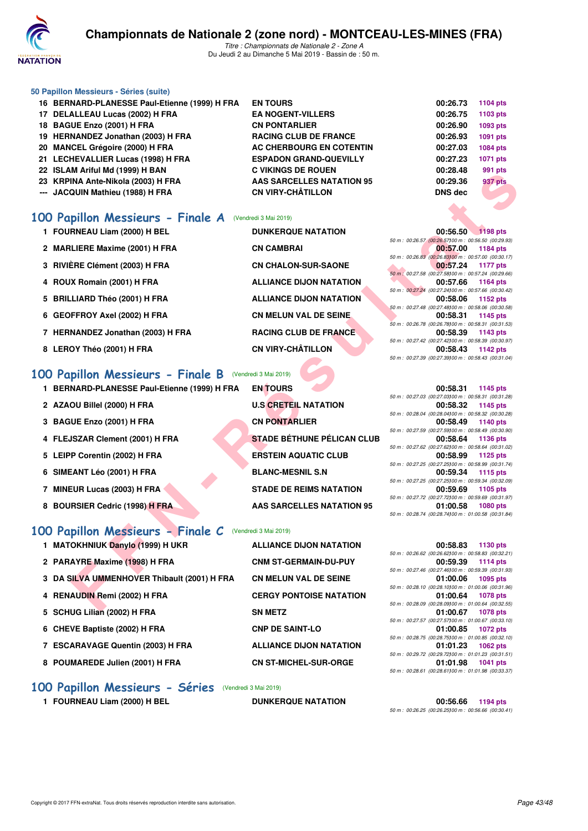

#### **50 Papillon Messieurs - Séries (suite)**

- **16 BERNARD-PLANESSE Paul-Etienne (1999) H FRA EN TOURS 00:26.73 1104 pts**
- **17 DELALLEAU Lucas (2002) H FRA EA NOGENT-VILLERS 00:26.75 1103 pts**
- **18 BAGUE Enzo (2001) H FRA CN PONTARLIER CN PONTARLIER** 00:26.90 **1093** pts
- **19 HERNANDEZ Jonathan (2003) H FRA RACING CLUB DE FRANCE 00:26.93 1091 pts**
- **20 MANCEL Grégoire (2000) H FRA AC CHERBOURG EN COTENTIN 00:27.03 1084 pts**
- **21 LECHEVALLIER Lucas (1998) H FRA ESPADON GRAND-QUEVILLY 00:27.23 1071 pts**
- **22 ISLAM Ariful Md (1999) H BAN C VIKINGS DE ROUEN 00:28.48 991 pts**
- **23 KRPINA Ante-Nikola (2003) H FRA AAS SARCELLES NATATION 95 00:29.36 937 pts**
- **--- JACQUIN Mathieu (1988) H FRA CN VIRY-CHÂTILLON DNS dec**

## **[100 Papillon Messieurs - Finale A](http://www.ffnatation.fr/webffn/resultats.php?idact=nat&go=epr&idcpt=59365&idepr=82)** (Vendredi 3 Mai 2019)

- **1 FOURNEAU Liam (2000) H BEL DUNKERQUE NATATION 00:56.50 1198 pts**
- **2 MARLIERE Maxime (2001) H FRA CN CAMBRAI 00:57.00 1184 pts**
- **3 RIVIÈRE Clément (2003) H FRA CN CHALON-SUR-SAONE 00:57.24 1177 pts**
- 
- **5 BRILLIARD Théo (2001) H FRA ALLIANCE DIJON NATATION 00:58.06 1152 pts**
- 
- **7 HERNANDEZ Jonathan (2003) H FRA RACING CLUB DE FRANCE**
- 

### [100 Papillon Messieurs - Finale B](http://www.ffnatation.fr/webffn/resultats.php?idact=nat&go=epr&idcpt=59365&idepr=82) (Ve

- **1 BERNARD-PLANESSE Paul-Etienne (1999) H FRA EN TOURS 00:58.31 1145 pts**
- **2 AZAOU Billel (2000) H FRA**
- **3 BAGUE Enzo (2001) H FRA**
- 4 FLEJSZAR Clement (2001) H FRA
- **5 LEIPP Corentin (2002) H FRA**
- **6 SIMEANT Léo (2001) H FRA**
- **7 MINEUR Lucas (2003) H FRA**
- **8 BOURSIER Cedric (1998) H FRA**

## **[100 Papillon Messieurs - Finale C](http://www.ffnatation.fr/webffn/resultats.php?idact=nat&go=epr&idcpt=59365&idepr=82)** (Vendredi 3 Mai 2019)

- 
- 
- **3 DA SILVA UMMENHOVER Thibault (2001) H FRA CN MELUN VAL DE SEINE**
- 
- **5 SCHUG Lilian (2002) H FRA SN METZ**
- 6 CHEVE Baptiste (2002) H FRA CNP DE SAINT-LO
- 
- 8 POUMAREDE Julien (2001) H FRA **CN ST-MICHEL-SUR-ORGE**

#### **[100 Papillon Messieurs - Séries](http://www.ffnatation.fr/webffn/resultats.php?idact=nat&go=epr&idcpt=59365&idepr=82)** (Vendredi 3 Mai 2019)

**1 FOURNEAU Liam (2000) H BEL DUNKERQUE NATATION 00:56.66 1194 pts**

**4 ROUX Romain (2001) H FRA ALLIANCE DIJON NATATION 00:57.66 1164 pts 6 GEOFFROY Axel (2002) H FRA CN MELUN VAL DE SEINE 00:58.31 1145 pts** 

| וואכון (1993) וואט וואווא                                | U VININGO DE NUUEN                | <b>00.20.40</b><br>ອອາຍາ                                                             |
|----------------------------------------------------------|-----------------------------------|--------------------------------------------------------------------------------------|
| INA Ante-Nikola (2003) H FRA                             | <b>AAS SARCELLES NATATION 95</b>  | 00:29.36<br>937 pts                                                                  |
| QUIN Mathieu (1988) H FRA                                | <b>CN VIRY-CHÂTILLON</b>          | <b>DNS dec</b>                                                                       |
|                                                          |                                   |                                                                                      |
|                                                          |                                   |                                                                                      |
| <b>pillon Messieurs - Finale A</b> (Vendredi 3 Mai 2019) |                                   |                                                                                      |
| RNEAU Liam (2000) H BEL                                  | <b>DUNKERQUE NATATION</b>         | 00:56.50 1198 pts                                                                    |
| LIERE Maxime (2001) H FRA                                | <b>CN CAMBRAI</b>                 | 50 m : 00:26.57 (00:26.57) 00 m : 00:56.50 (00:29.93)<br>00:57.00                    |
|                                                          |                                   | 1184 pts<br>50 m : 00:26.83 (00:26.83100 m : 00:57.00 (00:30.17)                     |
| ÈRE Clément (2003) H FRA                                 | <b>CN CHALON-SUR-SAONE</b>        | 00:57.24<br>1177 pts                                                                 |
|                                                          |                                   | 50 m : 00:27.58 (00:27.58) 00 m : 00:57.24 (00:29.66)                                |
| X Romain (2001) H FRA                                    | <b>ALLIANCE DIJON NATATION</b>    | 00:57.66<br>1164 pts<br>50 m : 00:27.24 (00:27.24)00 m : 00:57.66 (00:30.42)         |
| LIARD Théo (2001) H FRA                                  | <b>ALLIANCE DIJON NATATION</b>    | 00:58.06<br>1152 pts                                                                 |
|                                                          |                                   | 50 m : 00:27.48 (00:27.48) 00 m : 00:58.06 (00:30.58)                                |
| FFROY Axel (2002) H FRA                                  | <b>CN MELUN VAL DE SEINE</b>      | 00:58.31<br>1145 pts                                                                 |
|                                                          |                                   | 50 m : 00:26.78 (00:26.78) 00 m : 00:58.31 (00:31.53)                                |
| NANDEZ Jonathan (2003) H FRA                             | <b>RACING CLUB DE FRANCE</b>      | 00:58.39<br>1143 pts<br>50 m : 00:27.42 (00:27.42) 00 m : 00:58.39 (00:30.97)        |
| OY Théo (2001) H FRA                                     | <b>CN VIRY-CHÂTILLON</b>          | 00:58.43<br>1142 pts                                                                 |
|                                                          |                                   | 50 m : 00:27.39 (00:27.39) 00 m : 00:58.43 (00:31.04)                                |
|                                                          |                                   |                                                                                      |
| <b>pillon Messieurs - Finale B</b> (Vendredi 3 Mai 2019) |                                   |                                                                                      |
| NARD-PLANESSE Paul-Etienne (1999) H FRA                  | <b>EN TOURS</b>                   | 00:58.31<br>1145 pts                                                                 |
|                                                          |                                   | 50 m: 00:27.03 (00:27.03) 00 m: 00:58.31 (00:31.28)                                  |
| OU Billel (2000) H FRA                                   | <b>U.S CRETEIL NATATION</b>       | 00:58.32<br>1145 pts<br>50 m : 00:28.04 (00:28.04) 00 m : 00:58.32 (00:30.28)        |
| <b>UE Enzo (2001) H FRA</b>                              | <b>CN PONTARLIER</b>              | 00:58.49<br>1140 pts                                                                 |
|                                                          |                                   | 50 m : 00:27.59 (00:27.59) 00 m : 00:58.49 (00:30.90)                                |
| <b>JSZAR Clement (2001) H FRA</b>                        | <b>STADE BÉTHUNE PÉLICAN CLUB</b> | 00:58.64<br>1136 pts                                                                 |
|                                                          |                                   | 50 m : 00:27.62 (00:27.62) 00 m : 00:58.64 (00:31.02)                                |
| P Corentin (2002) H FRA                                  | <b>ERSTEIN AQUATIC CLUB</b>       | 00:58.99<br>1125 pts<br>50 m: 00:27.25 (00:27.25100 m: 00:58.99 (00:31.74)           |
| <b>EANT Léo (2001) H FRA</b>                             | <b>BLANC-MESNIL S.N</b>           | 00:59.34<br>1115 pts                                                                 |
|                                                          |                                   | 50 m : 00:27.25 (00:27.25100 m : 00:59.34 (00:32.09)                                 |
| EUR Lucas (2003) H FRA                                   | <b>STADE DE REIMS NATATION</b>    | 00:59.69<br>1105 pts                                                                 |
| RSIER Cedric (1998) H FRA                                | <b>AAS SARCELLES NATATION 95</b>  | 50 m : 00:27.72 (00:27.72) 00 m : 00:59.69 (00:31.97)<br>01:00.58<br><b>1080 pts</b> |
|                                                          |                                   | 50 m : 00:28.74 (00:28.74) 00 m : 01:00.58 (00:31.84)                                |
|                                                          |                                   |                                                                                      |
| pillon Messieurs - Finale C (Vendredi 3 Mai 2019)        |                                   |                                                                                      |
| OKHNIUK Danylo (1999) H UKR                              | <b>ALLIANCE DIJON NATATION</b>    | 00:58.83<br>1130 pts                                                                 |
|                                                          |                                   | 50 m : 00:26.62 (00:26.62) 00 m : 00:58.83 (00:32.21)                                |
| AYRE Maxime (1998) H FRA                                 | <b>CNM ST-GERMAIN-DU-PUY</b>      | 00:59.39<br><b>1114 pts</b>                                                          |
|                                                          |                                   | 50 m: 00:27.46 (00:27.46) 00 m: 00:59.39 (00:31.93)                                  |
| <b>SILVA UMMENHOVER Thibault (2001) H FRA</b>            | <b>CN MELUN VAL DE SEINE</b>      | 01:00.06<br><b>1095 pts</b><br>50 m : 00:28.10 (00:28.10) 00 m : 01:00.06 (00:31.96) |
| AUDIN Remi (2002) H FRA                                  | <b>CERGY PONTOISE NATATION</b>    | 01:00.64<br><b>1078 pts</b>                                                          |
|                                                          |                                   | 50 m : 00:28.09 (00:28.09) 00 m : 01:00.64 (00:32.55)                                |
| LIO LIIAN (0000) U EDA                                   | CNI METZ                          | $0.4 - 0.0027 - 1070$                                                                |

**1 MATOKHNIUK Danylo (1999) H UKR ALLIANCE DIJON NATATION** 2 PARAYRE Maxime (1998) H FRA **CNM ST-GERMAIN-DU-PUY 4 RENAUDIN Remi (2002) H FRA CERGY PONTOISE NATATION 7 ESCARAVAGE Quentin (2003) H FRA ALLIANCE DIJON NATATION 01:01.23 1062 pts**

*50 m : 00:26.25 (00:26.25)100 m : 00:56.66 (00:30.41)*

*50 m : 00:27.42 (00:27.42)100 m : 00:58.39 (00:30.97)* **8 LEROY Théo (2001) H FRA CN VIRY-CHÂTILLON 00:58.43 1142 pts** *50 m : 00:27.39 (00:27.39)100 m : 00:58.43 (00:31.04) 50 m : 00:27.03 (00:27.03)100 m : 00:58.31 (00:31.28) 50 m : 00:28.04 (00:28.04)100 m : 00:58.32 (00:30.28) 50 m : 00:27.59 (00:27.59)100 m : 00:58.49 (00:30.90)*

|  | 00:58.64 1136 pts                                  |
|--|----------------------------------------------------|
|  | 50 m: 00:27.62 (00:27.62100 m: 00:58.64 (00:31.02) |
|  | 00:58.99 1125 pts                                  |
|  | 50 m: 00:27.25 (00:27.25100 m: 00:58.99 (00:31.74) |
|  | 00:59.34 1115 pts                                  |
|  | 50 m: 00:27.25 (00:27.25100 m: 00:59.34 (00:32.09) |
|  | 00:59.69 1105 pts                                  |
|  | 50 m: 00:27.72 (00:27.72100 m: 00:59.69 (00:31.97) |
|  | 01:00.58 1080 pts                                  |
|  | 50 m: 00:28.74 (00:28.74100 m: 01:00.58 (00:31.84) |

|  | 00:58.83 1130 pts                                  |
|--|----------------------------------------------------|
|  | 50 m: 00:26.62 (00:26.62100 m: 00:58.83 (00:32.21) |
|  | 00:59.39 1114 pts                                  |
|  | 50 m: 00:27.46 (00:27.46100 m: 00:59.39 (00:31.93) |
|  | 01:00.06 1095 pts                                  |
|  | 50 m: 00:28.10 (00:28.10100 m: 01:00.06 (00:31.96) |
|  | 01:00.64 1078 pts                                  |
|  | 50 m: 00:28.09 (00:28.09100 m: 01:00.64 (00:32.55) |
|  | 01:00.67 1078 pts                                  |
|  | 50 m: 00:27.57 (00:27.57100 m: 01:00.67 (00:33.10) |
|  | 01:00.85 1072 pts                                  |
|  | 50 m: 00:28.75 (00:28.75100 m: 01:00.85 (00:32.10) |
|  | 01:01.23 1062 pts                                  |
|  | 50 m: 00:29.72 (00:29.72100 m: 01:01.23 (00:31.51) |
|  | 01:01.98 1041 pts                                  |
|  | 50 m: 00:28.61 (00:28.61100 m: 01:01.98 (00:33.37) |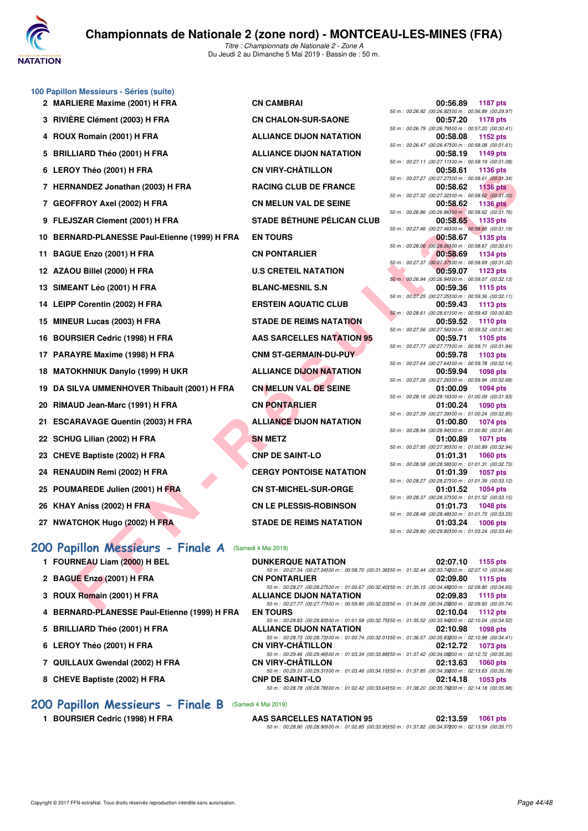

**100 Papillon Messieurs - Séries (suite)**

*Titre : Championnats de Nationale 2 - Zone A* Du Jeudi 2 au Dimanche 5 Mai 2019 - Bassin de : 50 m.

|    | 2 MARLIERE Maxime (2001) H FRA                     | <b>CN CAMBRAI</b>                 | 00:56.89<br>1187 pts                                                                                                             |
|----|----------------------------------------------------|-----------------------------------|----------------------------------------------------------------------------------------------------------------------------------|
|    | 3 RIVIÈRE Clément (2003) H FRA                     | <b>CN CHALON-SUR-SAONE</b>        | 50 m : 00:26.92 (00:26.92)00 m : 00:56.89 (00:29.97)<br><b>1178 pts</b><br>00:57.20                                              |
|    | 4 ROUX Romain (2001) H FRA                         | <b>ALLIANCE DIJON NATATION</b>    | 50 m : 00:26.79 (00:26.79)00 m : 00:57.20 (00:30.41)<br>00:58.08<br>1152 pts                                                     |
|    | 5 BRILLIARD Théo (2001) H FRA                      | <b>ALLIANCE DIJON NATATION</b>    | 50 m : 00:26.47 (00:26.47) 00 m : 00:58.08 (00:31.61)<br>00:58.19<br>1149 pts                                                    |
|    | 6 LEROY Théo (2001) H FRA                          | <b>CN VIRY-CHÂTILLON</b>          | 50 m : 00:27.11 (00:27.11100 m : 00:58.19 (00:31.08)<br>00:58.61<br>1136 pts                                                     |
|    |                                                    |                                   | 50 m : 00:27.27 (00:27.27)00 m : 00:58.61 (00:31.34)                                                                             |
|    | 7 HERNANDEZ Jonathan (2003) H FRA                  | <b>RACING CLUB DE FRANCE</b>      | 00:58.62<br><b>1136 pts</b><br>50 m : 00:27.32 (00:27.32) 00 m : 00:58.62 (00:31.30)                                             |
|    | 7 GEOFFROY Axel (2002) H FRA                       | <b>CN MELUN VAL DE SEINE</b>      | 00:58.62<br><b>1136 pts</b><br>50 m : 00:26.86 (00:26.86) 00 m : 00:58.62 (00:31.76)                                             |
|    | 9 FLEJSZAR Clement (2001) H FRA                    | <b>STADE BÉTHUNE PÉLICAN CLUB</b> | 00:58.65<br>1135 pts                                                                                                             |
|    | 10 BERNARD-PLANESSE Paul-Etienne (1999) H FRA      | <b>EN TOURS</b>                   | 50 m : 00:27.46 (00:27.46) 00 m : 00:58.65 (00:31.19)<br>00:58.67<br><b>1135 pts</b>                                             |
|    | 11 BAGUE Enzo (2001) H FRA                         | <b>CN PONTARLIER</b>              | 50 m : 00:28.06 (00:28.06100 m : 00:58.67 (00:30.61)<br>00:58.69<br>1134 pts                                                     |
|    |                                                    |                                   | 50 m : 00:27.37 (00:27.37) 00 m : 00:58.69 (00:31.32)                                                                            |
|    | 12 AZAOU Billel (2000) H FRA                       | <b>U.S CRETEIL NATATION</b>       | 00:59.07<br>1123 pts<br>50 m : 00:26.94 (00:26.94100 m : 00:59.07 (00:32.13)                                                     |
|    | 13 SIMEANT Léo (2001) H FRA                        | <b>BLANC-MESNIL S.N</b>           | 00:59.36<br>1115 pts                                                                                                             |
|    | 14 LEIPP Corentin (2002) H FRA                     | <b>ERSTEIN AQUATIC CLUB</b>       | 50 m : 00:27.25 (00:27.25)00 m : 00:59.36 (00:32.11)<br>00:59.43<br><b>1113 pts</b>                                              |
|    | 15 MINEUR Lucas (2003) H FRA                       | <b>STADE DE REIMS NATATION</b>    | 50 m : 00:28.61 (00:28.61100 m : 00:59.43 (00:30.82)<br>00:59.52<br>1110 pts                                                     |
|    |                                                    |                                   | 50 m : 00:27.56 (00:27.56) 00 m : 00:59.52 (00:31.96)                                                                            |
| 16 | <b>BOURSIER Cedric (1998) H FRA</b>                | <b>AAS SARCELLES NATATION 95</b>  | 00:59.71<br>1105 pts<br>50 m: 00:27.77 (00:27.77)00 m: 00:59.71 (00:31.94)                                                       |
|    | 17 PARAYRE Maxime (1998) H FRA                     | <b>CNM ST-GERMAIN-DU-PUY</b>      | 00:59.78<br>1103 pts                                                                                                             |
| 18 | <b>MATOKHNIUK Danylo (1999) H UKR</b>              | <b>ALLIANCE DIJON NATATION</b>    | 50 m: 00:27.64 (00:27.64100 m: 00:59.78 (00:32.14)<br>00:59.94<br><b>1098 pts</b>                                                |
| 19 | DA SILVA UMMENHOVER Thibault (2001) H FRA          | CN MELUN VAL DE SEINE             | 50 m : 00:27.26 (00:27.26) 00 m : 00:59.94 (00:32.68)<br>01:00.09<br>1094 pts                                                    |
|    |                                                    |                                   | 50 m : 00:28.16 (00:28.16)00 m : 01:00.09 (00:31.93)                                                                             |
| 20 | RIMAUD Jean-Marc (1991) H FRA                      | <b>CN PONTARLIER</b>              | 01:00.24<br>1090 pts<br>50 m : 00:27.39 (00:27.39) 00 m : 01:00.24 (00:32.85)                                                    |
| 21 | <b>ESCARAVAGE Quentin (2003) H FRA</b>             | <b>ALLIANCE DIJON NATATION</b>    | 01:00.80<br><b>1074 pts</b><br>50 m : 00:28.94 (00:28.94)00 m : 01:00.80 (00:31.86)                                              |
| 22 | SCHUG Lilian (2002) H FRA                          | <b>SN METZ</b>                    | 01:00.89<br>1071 pts                                                                                                             |
| 23 | <b>CHEVE Baptiste (2002) H FRA</b>                 | <b>CNP DE SAINT-LO</b>            | 50 m : 00:27.95 (00:27.95)00 m : 01:00.89 (00:32.94)<br>01:01.31<br><b>1060 pts</b>                                              |
|    |                                                    |                                   | 50 m : 00:28.58 (00:28.58) 00 m : 01:01.31 (00:32.73)                                                                            |
| 24 | RENAUDIN Remi (2002) H FRA                         | <b>CERGY PONTOISE NATATION</b>    | 01:01.39<br>1057 pts<br>50 m : 00:28.27 (00:28.27) 00 m : 01:01.39 (00:33.12)                                                    |
| 25 | POUMAREDE Julien (2001) H FRA                      | <b>CN ST-MICHEL-SUR-ORGE</b>      | 01:01.52<br><b>1054 pts</b>                                                                                                      |
|    | 26 KHAY Aniss (2002) H FRA                         | <b>CN LE PLESSIS-ROBINSON</b>     | 50 m : 00:28.37 (00:28.37) 00 m : 01:01.52 (00:33.15)<br>01:01.73<br><b>1048 pts</b>                                             |
|    |                                                    | <b>STADE DE REIMS NATATION</b>    | 50 m : 00:28.48 (00:28.48) 00 m : 01:01.73 (00:33.25)                                                                            |
|    | 27 NWATCHOK Hugo (2002) H FRA                      |                                   | 01:03.24<br><b>1006 pts</b><br>50 m : 00:29.80 (00:29.80) 00 m : 01:03.24 (00:33.44)                                             |
|    | 200 Papillon Messieurs - Finale A                  | (Samedi 4 Mai 2019)               |                                                                                                                                  |
|    | 1 FOURNEAU Liam (2000) H BEL                       | <b>DUNKERQUE NATATION</b>         | 02:07.10<br>1155 pts                                                                                                             |
|    |                                                    |                                   | 50 m : 00:27.34 (00:27.34)00 m : 00:58.70 (00:31.36)50 m : 01:32.44 (00:33.74200 m : 02:07.10 (00:34.66)                         |
|    | 2 BAGUE Enzo (2001) H FRA                          | <b>CN PONTARLIER</b>              | 02:09.80<br>1115 pts<br>50 m : 00:28.27 (00:28.27)00 m : 01:00.67 (00:32.40)50 m : 01:35.15 (00:34.48200 m : 02:09.80 (00:34.65) |
|    | 3 ROUX Romain (2001) H FRA                         | <b>ALLIANCE DIJON NATATION</b>    | 02:09.83<br>1115 pts                                                                                                             |
|    | <b>DEDNADD DI ANEGGE Deul Friedre (4000) U.EDA</b> | <b>CM TOUDO</b>                   | 50 m : 00:27.77 (00:27.77)00 m : 00:59.80 (00:32.03)50 m : 01:34.09 (00:34.29200 m : 02:09.83 (00:35.74)<br>00.40.04             |

| se : apmon messioars         |  |  |
|------------------------------|--|--|
| 1 FOURNEAU Liam (2000) H BEL |  |  |

- **2 BAGUE Enzo (2001) H FRA**
- **3 ROUX Romain (2001) H FRA**
- **4 BERNARD-PLANESSE Paul-Etienne (1999) H FRA**
- **5 BRILLIARD Théo (2001) H FRA**
- **6 LEROY Théo (2001) H FRA**
- 7 **QUILLAUX Gwendal (2002) H FRA**
- **8 CHEVE Baptiste (2002) H FRA**

## **[200 Papillon Messieurs - Finale B](http://www.ffnatation.fr/webffn/resultats.php?idact=nat&go=epr&idcpt=59365&idepr=83)** (Samedi 4 Mai 2019)

**1 BOURSIER Cedric (1998) H FRA AAS SARCELLES NATATION 95 02:13.59 1061 pts**

| 00.00.09 110/ pts                                     |                 |
|-------------------------------------------------------|-----------------|
| 50 m : 00:26.92 (00:26.92) 00 m : 00:56.89 (00:29.97) |                 |
| 00:57.20                                              | 1178 pts        |
| 50 m : 00:26.79 (00:26.79) 00 m : 00:57.20 (00:30.41) |                 |
| 00:58.08                                              | 1152 pts        |
| 50 m : 00:26.47 (00:26.47) 00 m : 00:58.08 (00:31.61) |                 |
| 00:58.19                                              | 1149 pts        |
| 50 m: 00:27.11 (00:27.11100 m: 00:58.19 (00:31.08)    |                 |
|                                                       |                 |
| 00:58.61                                              | 1136 pts        |
| 50 m: 00:27.27 (00:27.27)00 m: 00:58.61 (00:31.34)    |                 |
| 00:58.62                                              | <b>1136 pts</b> |
| 50 m : 00:27.32 (00:27.32) 00 m : 00:58.62 (00:31.30) |                 |
| 00:58.62                                              | <b>1136 pts</b> |
| 50 m : 00:26.86 (00:26.86100 m : 00:58.62 (00:31.76)  |                 |
| 00:58.65                                              | 1135 pts        |
| 50 m : 00:27.46 (00:27.46100 m : 00:58.65 (00:31.19)  |                 |
| 00:58.67                                              | 1135 pts        |
| 50 m : 00:28.06 (00:28.06) 00 m : 00:58.67 (00:30.61) |                 |
| 00:58.69                                              | 1134 pts        |
| 50 m : 00:27.37 (00:27.37) 00 m : 00:58.69 (00:31.32) |                 |
| 00:59.07                                              | <b>1123 pts</b> |
|                                                       |                 |
| 50 m : 00:26.94 (00:26.94100 m : 00:59.07 (00:32.13)  |                 |
| 00:59.36                                              | 1115 pts        |
| 50 m: 00:27.25 (00:27.25100 m: 00:59.36 (00:32.11)    |                 |
| 00:59.43                                              | 1113 pts        |
| 50 m : 00:28.61 (00:28.61100 m : 00:59.43 (00:30.82)  |                 |
| 00:59.52                                              | 1110 pts        |
| 50 m : 00:27.56 (00:27.56) 00 m : 00:59.52 (00:31.96) |                 |
| 00:59.71                                              | 1105 pts        |
| 50 m : 00:27.77 (00:27.77)00 m : 00:59.71 (00:31.94)  |                 |
| 00:59.78                                              | 1103 pts        |
| 50 m : 00:27.64 (00:27.64) 00 m : 00:59.78 (00:32.14) |                 |
| 00:59.94                                              | <b>1098 pts</b> |
| 50 m : 00:27.26 (00:27.26) 00 m : 00:59.94 (00:32.68) |                 |
|                                                       |                 |
| 01:00.09                                              | 1094 pts        |
| 50 m : 00:28.16 (00:28.16) 00 m : 01:00.09 (00:31.93) |                 |
| 01:00.24                                              | 1090 pts        |
| 50 m : 00:27.39 (00:27.39) 00 m : 01:00.24 (00:32.85) |                 |
| 01:00.80                                              | <b>1074 pts</b> |
| 50 m: 00:28.94 (00:28.94100 m: 01:00.80 (00:31.86)    |                 |
| 01:00.89                                              | <b>1071 pts</b> |
| 50 m : 00:27.95 (00:27.95) 00 m : 01:00.89 (00:32.94) |                 |
| 01:01.31                                              | 1060 pts        |
| 50 m : 00:28.58 (00:28.58) 00 m : 01:01.31 (00:32.73) |                 |
| 01:01.39                                              | 1057 pts        |
| 50 m : 00:28.27 (00:28.27) 00 m : 01:01.39 (00:33.12) |                 |
| 01:01.52                                              | 1054 pts        |
|                                                       |                 |
| 50 m : 00:28.37 (00:28.37) 00 m : 01:01.52 (00:33.15) |                 |
| 01:01.73                                              | 1048 pts        |
| 50 m : 00:28.48 (00:28.48) 00 m : 01:01.73 (00:33.25) |                 |
| 01:03.24                                              | 1006 pts        |
| 50 m : 00:29.80 (00:29.80) 00 m : 01:03.24 (00:33.44) |                 |

| <b>DUNKERQUE NATATION</b>                                                                              |          | 02:07.10 1155 pts |
|--------------------------------------------------------------------------------------------------------|----------|-------------------|
| 50 m: 00:27.34 (00:27.34100 m: 00:58.70 (00:31.36150 m: 01:32.44 (00:33.74200 m: 02:07.10 (00:34.66)   |          |                   |
| <b>CN PONTARLIER</b>                                                                                   |          | 02:09.80 1115 pts |
| 50 m: 00:28.27 (00:28.27) 00 m: 01:00.67 (00:32.40) 50 m: 01:35.15 (00:34.48200 m: 02:09.80 (00:34.65) |          |                   |
| <b>ALLIANCE DIJON NATATION</b>                                                                         | 02:09.83 | 1115 pts          |
| 50 m: 00:27.77 (00:27.77) 00 m: 00:59.80 (00:32.03) 50 m: 01:34.09 (00:34.29200 m: 02:09.83 (00:35.74) |          |                   |
| <b>EN TOURS</b>                                                                                        |          | 02:10.04 1112 pts |
| 50 m: 00:28.83 (00:28.83) 00 m: 01:01.58 (00:32.75) 50 m: 01:35.52 (00:33.94200 m: 02:10.04 (00:34.52) |          |                   |
| <b>ALLIANCE DIJON NATATION</b>                                                                         | 02:10.98 | <b>1098 pts</b>   |
| 50 m: 00:28.73 (00:28.73) 00 m: 01:00.74 (00:32.01) 50 m: 01:36.57 (00:35.83200 m: 02:10.98 (00:34.41) |          |                   |
| <b>CN VIRY-CHÂTILLON</b>                                                                               | 02:12.72 | 1073 pts          |
| 50 m: 00:29.46 (00:29.46) 00 m: 01:03.34 (00:33.88) 50 m: 01:37.42 (00:34.08200 m: 02:12.72 (00:35.30) |          |                   |
| <b>CN VIRY-CHÂTILLON</b>                                                                               | 02:13.63 | <b>1060 pts</b>   |
| 50 m: 00:29.31 (00:29.31100 m: 01:03.46 (00:34.15150 m: 01:37.85 (00:34.39200 m: 02:13.63 (00:35.78)   |          |                   |
| <b>CNP DE SAINT-LO</b>                                                                                 | 02:14.18 | <b>1053 pts</b>   |
| 50 m: 00:28.78 (00:28.78) 00 m: 01:02.42 (00:33.64) 50 m: 01:38.20 (00:35.78200 m: 02:14.18 (00:35.98) |          |                   |

*50 m : 00:28.90 (00:28.90)00 m : 01:02.85 (00:33.95)50 m : 01:37.82 (00:34.97200 m : 02:13.59 (00:35.77)*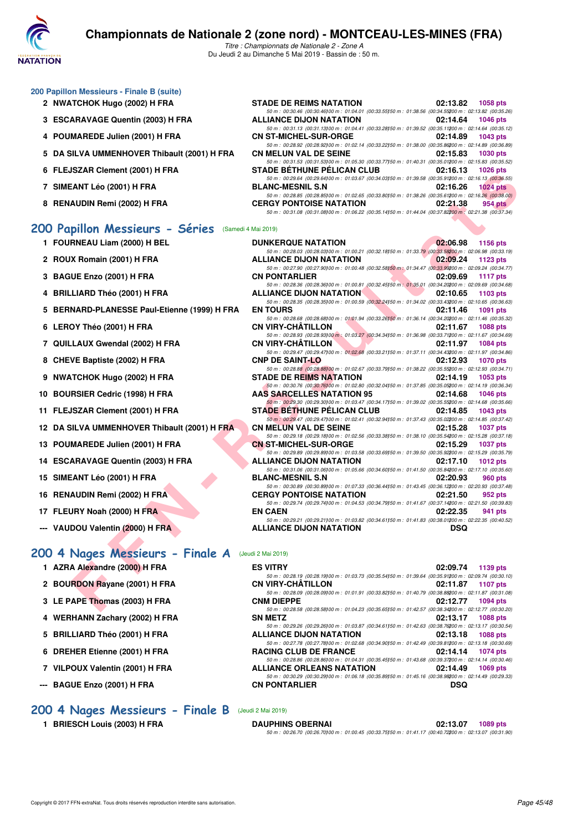

| 200 Papillon Messieurs - Finale B (suite)    |                                                                                                                                                                                                                                                                                    |  |
|----------------------------------------------|------------------------------------------------------------------------------------------------------------------------------------------------------------------------------------------------------------------------------------------------------------------------------------|--|
| 2 NWATCHOK Hugo (2002) H FRA                 | <b>STADE DE REIMS NATATION</b><br>02:13.82<br>1058 pts                                                                                                                                                                                                                             |  |
| 3 ESCARAVAGE Quentin (2003) H FRA            | 50 m : 00:30.46 (00:30.46) 00 m : 01:04.01 (00:33.55) 50 m : 01:38.56 (00:34.55200 m : 02:13.82 (00:35.26)<br><b>ALLIANCE DIJON NATATION</b><br>1046 pts<br>02:14.64<br>50 m : 00:31.13 (00:31.13) 00 m : 01:04.41 (00:33.28) 50 m : 01:39.52 (00:35.11200 m : 02:14.64 (00:35.12) |  |
| 4 POUMAREDE Julien (2001) H FRA              | <b>CN ST-MICHEL-SUR-ORGE</b><br>02:14.89<br>1043 pts<br>50 m : 00:28.92 (00:28.92) 00 m : 01:02.14 (00:33.22) 50 m : 01:38.00 (00:35.86200 m : 02:14.89 (00:36.89)                                                                                                                 |  |
| 5 DA SILVA UMMENHOVER Thibault (2001) H FRA  | <b>CN MELUN VAL DE SEINE</b><br>02:15.83<br>1030 pts<br>50 m : 00:31.53 (00:31.53) 00 m : 01:05.30 (00:33.77) 50 m : 01:40.31 (00:35.01200 m : 02:15.83 (00:35.52)                                                                                                                 |  |
| 6 FLEJSZAR Clement (2001) H FRA              | <b>STADE BETHUNE PELICAN CLUB</b><br>02:16.13<br><b>1026 pts</b><br>50 m : 00:29.64 (00:29.64)00 m : 01:03.67 (00:34.03)50 m : 01:39.58 (00:35.91200 m : 02:16.13 (00:36.55)                                                                                                       |  |
| 7 SIMEANT Léo (2001) H FRA                   | <b>BLANC-MESNIL S.N</b><br>02:16.26<br>$1024$ pts<br>50 m : 00:28.85 (00:28.85) 00 m : 01:02.65 (00:33.80) 50 m : 01:38.26 (00:35.61200 m : 02:16.26 (00:38.00)                                                                                                                    |  |
| 8 RENAUDIN Remi (2002) H FRA                 | <b>CERGY PONTOISE NATATION</b><br>02:21.38<br>954 pts<br>50 m : 00:31.08 (00:31.08) 00 m : 01:06.22 (00:35.14) 50 m : 01:44.04 (00:37.82200 m : 02:21.38 (00:37.34)                                                                                                                |  |
| 200 Papillon Messieurs - Séries              | (Samedi 4 Mai 2019)                                                                                                                                                                                                                                                                |  |
| 1 FOURNEAU Liam (2000) H BEL                 | 02:06.98<br><b>DUNKERQUE NATATION</b><br>1156 pts<br>50 m : 00:28.03 (00:28.03) 00 m : 01:00.21 (00:32.18) 50 m : 01:33.79 (00:33.58200 m : 02:06.98 (00:33.19)                                                                                                                    |  |
| 2 ROUX Romain (2001) H FRA                   | <b>ALLIANCE DIJON NATATION</b><br>02:09.24<br>1123 pts<br>50 m : 00:27.90 (00:27.90) 00 m : 01:00.48 (00:32.58) 50 m : 01:34.47 (00:33.99200 m : 02:09.24 (00:34.77)                                                                                                               |  |
| 3 BAGUE Enzo (2001) H FRA                    | <b>CN PONTARLIER</b><br>02:09.69<br><b>1117 pts</b><br>50 m : 00:28.36 (00:28.36) 00 m : 01:00.81 (00:32.45) 50 m : 01:35.01 (00:34.20200 m : 02:09.69 (00:34.68)                                                                                                                  |  |
| 4 BRILLIARD Théo (2001) H FRA                | <b>ALLIANCE DIJON NATATION</b><br>02:10.65<br>$1103$ pts<br>50 m : 00:28.35 (00:28.35)00 m : 01:00.59 (00:32.24)50 m : 01:34.02 (00:33.43200 m : 02:10.65 (00:36.63)                                                                                                               |  |
| 5 BERNARD-PLANESSE Paul-Etienne (1999) H FRA | <b>EN TOURS</b><br>02:11.46<br>1091 pts                                                                                                                                                                                                                                            |  |
| 6 LEROY Théo (2001) H FRA                    | 50 m : 00:28.68 (00:28.68) 00 m : 01:01.94 (00:33.26) 50 m : 01:36.14 (00:34.20200 m : 02:11.46 (00:35.32)<br><b>CN VIRY-CHATILLON</b><br>02:11.67<br><b>1088 pts</b>                                                                                                              |  |
| 7 QUILLAUX Gwendal (2002) H FRA              | 50 m : 00:28.93 (00:28.93)00 m : 01:03.27 (00:34.34)50 m : 01:36.98 (00:33.71200 m : 02:11.67 (00:34.69)<br><b>CN VIRY-CHATILLON</b><br>1084 pts<br>02:11.97                                                                                                                       |  |
| 8 CHEVE Baptiste (2002) H FRA                | 50 m : 00:29.47 (00:29.47) 00 m : 01:02.68 (00:33.21) 50 m : 01:37.11 (00:34.43200 m : 02:11.97 (00:34.86)<br><b>CNP DE SAINT-LO</b><br>02:12.93<br>1070 pts                                                                                                                       |  |
| <b>NWATCHOK Hugo (2002) H FRA</b><br>9       | 50 m : 00:28.88 (00:28.88) 00 m : 01:02.67 (00:33.79) 50 m : 01:38.22 (00:35.55700 m : 02:12.93 (00:34.71)<br><b>STADE DE REIMS NATATION</b><br>02:14.19<br>$1053$ pts                                                                                                             |  |
| <b>BOURSIER Cedric (1998) H FRA</b><br>10    | 50 m : 00:30.76 (00:30.76) 00 m : 01:02.80 (00:32.04) 50 m : 01:37.85 (00:35.05200 m : 02:14.19 (00:36.34)<br><b>AAS SARCELLES NATATION 95</b><br>02:14.68<br>1046 pts                                                                                                             |  |
| FLEJSZAR Clement (2001) H FRA<br>11          | 50 m : 00:29.30 (00:29.30) 00 m : 01:03.47 (00:34.17) 50 m : 01:39.02 (00:35.55700 m : 02:14.68 (00:35.66)<br><b>STADE BETHUNE PELICAN CLUB</b><br>02:14.85<br>1043 pts                                                                                                            |  |
| 12 DA SILVA UMMENHOVER Thibault (2001) H FRA | 50 m : 00:29.47 (00:29.47) 00 m : 01:02.41 (00:32.94) 50 m : 01:37.43 (00:35.02200 m : 02:14.85 (00:37.42)<br><b>CN MELUN VAL DE SEINE</b><br>02:15.28<br>1037 pts                                                                                                                 |  |
| POUMAREDE Julien (2001) H FRA<br>13          | 50 m : 00:29.18 (00:29.18)00 m : 01:02.56 (00:33.38)50 m : 01:38.10 (00:35.54200 m : 02:15.28 (00:37.18)<br><b>CN ST-MICHEL-SUR-ORGE</b><br>02:15.29<br>1037 pts                                                                                                                   |  |
| <b>ESCARAVAGE Quentin (2003) H FRA</b><br>14 | 50 m : 00:29.89 (00:29.89)00 m : 01:03.58 (00:33.69)50 m : 01:39.50 (00:35.92200 m : 02:15.29 (00:35.79)<br>ALLIANCE DIJON NATATION<br>02:17.10<br>1012 pts                                                                                                                        |  |
| 15 SIMEANT Léo (2001) H FRA                  | 50 m : 00:31.06 (00:31.06) 00 m : 01:05.66 (00:34.60) 50 m : 01:41.50 (00:35.84200 m : 02:17.10 (00:35.60)<br><b>BLANC-MESNIL S.N</b><br>02:20.93<br>960 pts                                                                                                                       |  |
| <b>RENAUDIN Remi (2002) H FRA</b><br>16      | 50 m : 00:30.89 (00:30.89) 00 m : 01:07.33 (00:36.44) 50 m : 01:43.45 (00:36.12200 m : 02:20.93 (00:37.48)<br><b>CERGY PONTOISE NATATION</b><br>02:21.50<br>952 pts                                                                                                                |  |
| 17 FLEURY Noah (2000) H FRA                  | 50 m : 00:29.74 (00:29.74) 00 m : 01:04.53 (00:34.79) 50 m : 01:41.67 (00:37.14200 m : 02:21.50 (00:39.83)<br><b>EN CAEN</b><br>02:22.35<br>941 pts                                                                                                                                |  |
| --- VAUDOU Valentin (2000) H FRA             | 50 m : 00:29.21 (00:29.21) 00 m : 01:03.82 (00:34.61) 50 m : 01:41.83 (00:38.01200 m : 02:22.35 (00:40.52)<br><b>ALLIANCE DIJON NATATION</b><br>DSQ                                                                                                                                |  |
| 200 4 Nages Messieurs - Finale A             | (Jeudi 2 Mai 2019)                                                                                                                                                                                                                                                                 |  |
| 1 AZRA Alexandre (2000) H FRA                | <b>ES VITRY</b><br>02:09.74                                                                                                                                                                                                                                                        |  |
|                                              | 1139 pts<br>50 m : 00:28.19 (00:28.19) 00 m : 01:03.73 (00:35.54) 50 m : 01:39.64 (00:35.91200 m : 02:09.74 (00:30.10)                                                                                                                                                             |  |
| 2 BOURDON Rayane (2001) H FRA                | <b>CN VIRY-CHATILLON</b><br>02:11.87<br>1107 pts<br>50 m : 00:28.09 (00:28.09) 00 m : 01:01.91 (00:33.82) 50 m : 01:40.79 (00:38.88200 m : 02:11.87 (00:31.08)                                                                                                                     |  |
| 3 LE PAPE Thomas (2003) H FRA                | <b>CNM DIEPPE</b><br>02:12.77<br>1094 pts<br>50 m: 00:28.58 (00:28.58100 m: 01:04.23 (00:35.65150 m: 01:42.57 (00:38.34200 m: 02:12.77 (00:30.20)                                                                                                                                  |  |

| 3 LE PAPE Thomas (2003) H FRA |  |
|-------------------------------|--|

- **4 WERHANN Zachary (2002) H FRA SN METZ 02:13.17 1088 pts**
- **5 BRILLIARD Théo (2001) H FRA ALLIANCE DIJON NATATION 02:13.18 1088 pts**
- **6 DREHER Etienne (2001) H FRA RACING CLUB DE FRANCE 02:14.14 1074 pts**
- **7 VILPOUX Valentin (2001) H FRA ALLIANCE ORLEANS NATATION 02:14.49 1069 pts**
- **--- BAGUE Enzo (2001) H FRA CN PONTARLIER DSQ**

**[200 4 Nages Messieurs - Finale B](http://www.ffnatation.fr/webffn/resultats.php?idact=nat&go=epr&idcpt=59365&idepr=91)** (Jeudi 2 Mai 2019)

**1 BRIESCH Louis (2003) H FRA DAUPHINS OBERNAI 02:13.07 1089 pts** *50 m : 00:26.70 (00:26.70)100 m : 01:00.45 (00:33.75)150 m : 01:41.17 (00:40.72)200 m : 02:13.07 (00:31.90)*

*50 m : 00:29.26 (00:29.26)100 m : 01:03.87 (00:34.61)50 m : 01:42.63 (00:38.76200 m : 02:13.17 (00:30.54)*<br>**ALLIANCE DIJON NATATION** 02:13.18 1088 pts

50 m : 00:27.78 (00:27.78)00 m : 01:02.68 (00:34.90)50 m : 01:42.49 (00:38.81)200 m : 02:13.18 (00:30.69)<br>**RACING CLUB DE FRANCE** 02:14.14 1074 pts

*50 m : 00:28.86 (00:28.86)100 m : 01:04.31 (00:35.45)50 m : 01:43.68 (00:39.37200 m : 02:14.14 (00:30.46)*<br>**ALLIANCE ORLEANS NATATION** 02:14.49 1069 pts

*50 m : 00:30.29 (00:30.29)00 m : 01:06.18 (00:35.89)50 m : 01:45.16 (00:38.98200 m : 02:14.49 (00:29.33)*<br>**CN PONTARLIER DSQ** 

*50 m : 00:28.58 (00:28.58)100 m : 01:04.23 (00:35.65)150 m : 01:42.57 (00:38.34)200 m : 02:12.77 (00:30.20)*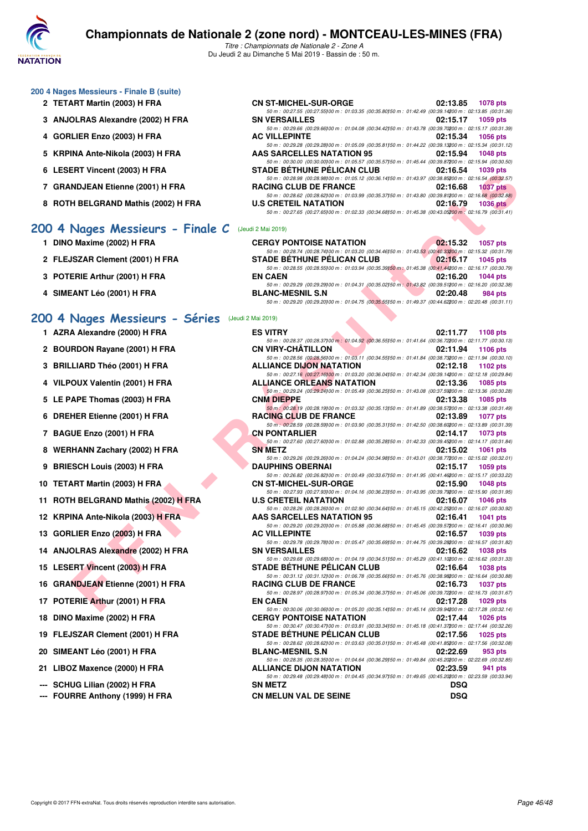

#### **200 4 Nages Messieurs - Finale B (suite)**

- **2 TETART Martin (2003) H FRA**
- **3 ANJOLRAS Alexandre (2002) H FRA**
- **4 GORLIER Enzo (2003) H FRA**
- **5 KRPINA Ante-Nikola (2003) H FRA**
- **6 LESERT Vincent (2003) H FRA**
- **7 GRANDJEAN Etienne (2001) H FRA RACING CLUB DE FRANCE 02:16.68 1037 pts**
- **8 ROTH BELGRAND Mathis (2002) H FRA**

#### **[200 4 Nages Messieurs - Finale C](http://www.ffnatation.fr/webffn/resultats.php?idact=nat&go=epr&idcpt=59365&idepr=91)** (Jeudi 2 Mai 2019)

- **1 DINO Maxime (2002) H FRA**
- 2 FLEJSZAR Clement (2001) H FRA
- **3 POTERIE Arthur (2001) H FRA**
- **4 SIMEANT Léo (2001) H FRA BLANC-MESNIL S.N 02:20.48 984 pts**

### **[200 4 Nages Messieurs - Séries](http://www.ffnatation.fr/webffn/resultats.php?idact=nat&go=epr&idcpt=59365&idepr=91)** (Jeudi 2 Mai 2019)

- **1 AZRA Alexandre (2000) H FRA**
- 2 BOURDON Rayane (2001) H FRA
- **3 BRILLIARD Théo (2001) H FRA**
- **4 VILPOUX Valentin (2001) H FRA**
- **5 LE PAPE Thomas (2003) H FRA**
- **6 DREHER Etienne (2001) H FRA**
- **7 BAGUE Enzo (2001) H FRA**
- 8 WERHANN Zachary (2002) H FRA
- **9 BRIESCH Louis (2003) H FRA**
- **10 TETART Martin (2003) H FRA**
- **11 ROTH BELGRAND Mathis (2002) H FRA**
- **12 KRPINA Ante-Nikola (2003) H FRA**
- **13 GORLIER Enzo (2003) H FRA**
- 14 ANJOLRAS Alexandre (2002) H FRA
- **15 LESERT Vincent (2003) H FRA**
- **16 GRANDJEAN Etienne (2001) H FRA**
- **17 POTERIE Arthur (2001) H FRA**
- **18 DINO Maxime (2002) H FRA**
- 19 FLEJSZAR Clement (2001) H FRA
- **20 SIMEANT Léo (2001) H FRA BLANC-MESNIL S.N 02:22.69 953 pts**
- 21 LIBOZ Maxence (2000) **H FRA**
- **--- SCHUG Lilian (2002) H FRA**
- --- FOURRE Anthony (1999) H FRA

| CN ST-MICHEL-SUR-ORGE                                                                                      | 02:13.85 1078 pts |  |
|------------------------------------------------------------------------------------------------------------|-------------------|--|
| 50 m: 00:27.55 (00:27.55100 m: 01:03.35 (00:35.80150 m: 01:42.49 (00:39.14200 m: 02:13.85 (00:31.36)       |                   |  |
| SN VERSAILLES                                                                                              | 02:15.17 1059 pts |  |
| 50 m: 00:29.66 (00:29.66100 m: 01:04.08 (00:34.42150 m: 01:43.78 (00:39.70200 m: 02:15.17 (00:31.39)       |                   |  |
| AC VILLEPINTE                                                                                              | 02:15.34 1056 pts |  |
| 50 m: 00:29.28 (00:29.28)00 m: 01:05.09 (00:35.81)50 m: 01:44.22 (00:39.13200 m: 02:15.34 (00:31.12)       |                   |  |
| <b>AAS SARCELLES NATATION 95</b>                                                                           | 02:15.94 1048 pts |  |
| 50 m : 00:30.00 (00:30.00) 00 m : 01:05.57 (00:35.57) 50 m : 01:45.44 (00:39.87200 m : 02:15.94 (00:30.50) |                   |  |
| STADE BÉTHUNE PÉLICAN CLUB                                                                                 | 02:16.54 1039 pts |  |
| 50 m: 00:28.98 (00:28.98100 m: 01:05.12 (00:36.14150 m: 01:43.97 (00:38.85200 m: 02:16.54 (00:32.57)       |                   |  |
| <b>RACING CLUB DE FRANCE</b>                                                                               | 02:16.68 1037 pts |  |
| 50 m: 00:28.62 (00:28.62)00 m: 01:03.99 (00:35.37)50 m: 01:43.80 (00:39.81200 m: 02:16.68 (00:32.88)       |                   |  |
| U.S CRETEIL NATATION                                                                                       | 02:16.79 1036 pts |  |
| 50 m : 00:27.65 (00:27.65) 00 m : 01:02.33 (00:34.68) 50 m : 01:45.38 (00:43.05200 m : 02:16.79 (00:31.41) |                   |  |
|                                                                                                            |                   |  |

| <b>CERGY PONTOISE NATATION</b>                                                                         |          | 02:15.32 1057 pts   |
|--------------------------------------------------------------------------------------------------------|----------|---------------------|
| 50 m: 00:28.74 (00:28.74100 m: 01:03.20 (00:34.46150 m: 01:43.53 (00:40.33200 m: 02:15.32 (00:31.79)   |          |                     |
| <b>STADE BÉTHUNE PÉLICAN CLUB</b>                                                                      |          | 02:16.17 1045 pts   |
| 50 m: 00:28.55 (00:28.55100 m: 01:03.94 (00:35.39150 m: 01:45.38 (00:41.44200 m: 02:16.17 (00:30.79)   |          |                     |
| <b>EN CAEN</b>                                                                                         |          | $02:16.20$ 1044 pts |
| 50 m: 00:29.29 (00:29.29) 00 m: 01:04.31 (00:35.02) 50 m: 01:43.82 (00:39.51200 m: 02:16.20 (00:32.38) |          |                     |
| <b>BLANC-MESNIL S.N</b>                                                                                | 02:20.48 | 984 pts             |
| 50 m: 00:29.20 (00:29.20100 m: 01:04.75 (00:35.55150 m: 01:49.37 (00:44.62200 m: 02:20.48 (00:31.11)   |          |                     |

| וויטעטאן ווידער וח                            | <b>STADE DETITURE FELIUAR ULUD</b>                                                                                                              | <b>UZ.IU.J+ IUJJUIS</b>     |
|-----------------------------------------------|-------------------------------------------------------------------------------------------------------------------------------------------------|-----------------------------|
| NDJEAN Etienne (2001) H FRA                   | 50 m : 00:28.98 (00:28.98)00 m : 01:05.12 (00:36.14)50 m : 01:43.97 (00:38.85200 m : 02:16.54 (00:32.57)<br><b>RACING CLUB DE FRANCE</b>        | 02:16.68<br>1037 pts        |
| H BELGRAND Mathis (2002) H FRA                | 50 m : 00:28.62 (00:28.62)00 m : 01:03.99 (00:35.37)50 m : 01:43.80 (00:39.81200 m : 02:16.68 (00:32.88)<br><b>U.S CRETEIL NATATION</b>         | 02:16.79<br>$1036$ pts      |
|                                               | 50 m : 00:27.65 (00:27.65)00 m : 01:02.33 (00:34.68)50 m : 01:45.38 (00:43.05200 m : 02:16.79 (00:31.41)                                        |                             |
| Nages Messieurs - Finale C (Jeudi 2 Mai 2019) |                                                                                                                                                 |                             |
| ) Maxime (2002) H FRA                         | <b>CERGY PONTOISE NATATION</b>                                                                                                                  | 02:15.32<br><b>1057 pts</b> |
| <b>JSZAR Clement (2001) H FRA</b>             | 50 m : 00:28.74 (00:28.74)00 m : 01:03.20 (00:34.46)50 m : 01:43.53 (00:40.33200 m : 02:15.32 (00:31.79)<br><b>STADE BÉTHUNE PÉLICAN CLUB</b>   | 02:16.17 1045 pts           |
|                                               | 50 m : 00:28.55 (00:28.55)00 m : 01:03.94 (00:35.39)50 m : 01:45.38 (00:41.44200 m : 02:16.17 (00:30.79)                                        |                             |
| ERIE Arthur (2001) H FRA                      | <b>EN CAEN</b><br>50 m : 00:29.29 (00:29.29) 00 m : 01:04.31 (00:35.02) 50 m : 01:43.82 (00:39.51200 m : 02:16.20 (00:32.38)                    | 02:16.20<br>1044 pts        |
| <b>EANT Léo (2001) H FRA</b>                  | <b>BLANC-MESNIL S.N</b>                                                                                                                         | 02:20.48<br>984 pts         |
|                                               | 50 m : 00:29.20 (00:29.20) 00 m : 01:04.75 (00:35.55) 50 m : 01:49.37 (00:44.62200 m : 02:20.48 (00:31.11)                                      |                             |
| Nages Messieurs - Séries (Jeudi 2 Mai 2019)   |                                                                                                                                                 |                             |
| A Alexandre (2000) H FRA                      | <b>ES VITRY</b>                                                                                                                                 | 02:11.77<br>1108 pts        |
| RDON Rayane (2001) H FRA                      | 50 m : 00:28.37 (00:28.37) 00 m : 01:04.92 (00:36.55) 50 m : 01:41.64 (00:36.72200 m : 02:11.77 (00:30.13)<br>CN VIRY-CHATILLON                 | 02:11.94<br>1106 pts        |
| .LIARD Théo (2001) H FRA                      | 50 m : 00:28.56 (00:28.56) 00 m : 01:03.11 (00:34.55) 50 m : 01:41.84 (00:38.73200 m : 02:11.94 (00:30.10)<br><b>ALLIANCE DIJON NATATION</b>    | 02:12.18<br>1102 pts        |
|                                               | 50 m : 00:27.16 (00:27.16)00 m : 01:03.20 (00:36.04)50 m : 01:42.34 (00:39.14200 m : 02:12.18 (00:29.84)                                        |                             |
| OUX Valentin (2001) H FRA                     | <b>ALLIANCE ORLEANS NATATION</b><br>50 m : 00:29.24 (00:29.24) 00 m : 01:05.49 (00:36.25) 50 m : 01:43.08 (00:37.59200 m : 02:13.36 (00:30.28)  | 02:13.36<br>1085 pts        |
| APE Thomas (2003) H FRA                       | <b>CNM DIEPPE</b>                                                                                                                               | 02:13.38<br>1085 pts        |
| HER Etienne (2001) H FRA                      | 50 m : 00:28.19 (00:28.19) 00 m : 01:03.32 (00:35.13) 50 m : 01:41.89 (00:38.57200 m : 02:13.38 (00:31.49)<br><b>RACING CLUB DE FRANCE</b>      | 02:13.89<br><b>1077 pts</b> |
|                                               | 50 m : 00:28.59 (00:28.59) 00 m : 01:03.90 (00:35.31) 50 m : 01:42.50 (00:38.60200 m : 02:13.89 (00:31.39)                                      |                             |
| <b>UE Enzo (2001) H FRA</b>                   | <b>CN PONTARLIER</b><br>50 m : 00:27.60 (00:27.60) 00 m : 01:02.88 (00:35.28) 50 m : 01:42.33 (00:39.45200 m : 02:14.17 (00:31.84)              | 02:14.17<br>1073 pts        |
| HANN Zachary (2002) H FRA!                    | <b>SN METZ</b>                                                                                                                                  | 02:15.02<br>1061 pts        |
| :SCH Louis (2003) H FRA                       | 50 m : 00:29.26 (00:29.26) 00 m : 01:04.24 (00:34.98) 50 m : 01:43.01 (00:38.77200 m : 02:15.02 (00:32.01)<br><b>DAUPHINS OBERNAI</b>           | 02:15.17<br>1059 pts        |
|                                               | 50 m : 00:26.82 (00:26.82) 00 m : 01:00.49 (00:33.67) 50 m : 01:41.95 (00:41.46200 m : 02:15.17 (00:33.22)                                      |                             |
| <b>ART Martin (2003) H FRA</b>                | <b>CN ST-MICHEL-SUR-ORGE</b><br>50 m : 00:27.93 (00:27.93) 00 m : 01:04.16 (00:36.23) 50 m : 01:43.95 (00:39.79200 m : 02:15.90 (00:31.95)      | 02:15.90<br><b>1048 pts</b> |
| <b>H BELGRAND Mathis (2002) H FRA</b>         | <b>U.S CRETEIL NATATION</b>                                                                                                                     | 02:16.07<br><b>1046 pts</b> |
| INA Ante-Nikola (2003) H FRA                  | 50 m : 00:28.26 (00:28.26) 00 m : 01:02.90 (00:34.64) 50 m : 01:45.15 (00:42.25200 m : 02:16.07 (00:30.92)<br><b>AAS SARCELLES NATATION 95</b>  | 02:16.41<br><b>1041 pts</b> |
| LIER Enzo (2003) H FRA                        | 50 m : 00:29.20 (00:29.20) 00 m : 01:05.88 (00:36.68) 50 m : 01:45.45 (00:39.57200 m : 02:16.41 (00:30.96)<br><b>AC VILLEPINTE</b>              | 02:16.57<br>1039 pts        |
|                                               | 50 m : 00:29.78 (00:29.78)00 m : 01:05.47 (00:35.69)50 m : 01:44.75 (00:39.28200 m : 02:16.57 (00:31.82)                                        |                             |
| OLRAS Alexandre (2002) H FRA                  | <b>SN VERSAILLES</b><br>50 m : 00:29.68 (00:29.68) 00 m : 01:04.19 (00:34.51) 50 m : 01:45.29 (00:41.10200 m : 02:16.62 (00:31.33)              | 02:16.62<br>1038 pts        |
| ERT Vincent (2003) H FRA                      | <b>STADE BÉTHUNE PÉLICAN CLUB</b>                                                                                                               | 02:16.64<br><b>1038 pts</b> |
| <b>NDJEAN Etienne (2001) H FRA</b>            | 50 m : 00:31.12 (00:31.12) 00 m : 01:06.78 (00:35.66) 50 m : 01:45.76 (00:38.98200 m : 02:16.64 (00:30.88)<br><b>RACING CLUB DE FRANCE</b>      | 02:16.73<br><b>1037 pts</b> |
|                                               | 50 m : 00:28.97 (00:28.97) 00 m : 01:05.34 (00:36.37) 50 m : 01:45.06 (00:39.72200 m : 02:16.73 (00:31.67)                                      |                             |
| ERIE Arthur (2001) H FRA                      | <b>EN CAEN</b><br>50 m : 00:30.06 (00:30.06) 00 m : 01:05.20 (00:35.14) 50 m : 01:45.14 (00:39.94200 m : 02:17.28 (00:32.14)                    | 02:17.28<br>1029 pts        |
| ) Maxime (2002) H FRA                         | <b>CERGY PONTOISE NATATION</b>                                                                                                                  | 02:17.44<br><b>1026 pts</b> |
| <b>JSZAR Clement (2001) H FRA</b>             | 50 m : 00:30.47 (00:30.47) 00 m : 01:03.81 (00:33.34) 50 m : 01:45.18 (00:41.37200 m : 02:17.44 (00:32.26)<br><b>STADE BETHUNE PELICAN CLUB</b> | 02:17.56<br>1025 pts        |
| <b>EANT Léo (2001) H FRA</b>                  | 50 m : 00:28.62 (00:28.62)00 m : 01:03.63 (00:35.01)50 m : 01:45.48 (00:41.85200 m : 02:17.56 (00:32.08)                                        | 02:22.69                    |
|                                               | <b>BLANC-MESNIL S.N</b><br>50 m : 00:28.35 (00:28.35) 00 m : 01:04.64 (00:36.29) 50 m : 01:49.84 (00:45.20200 m : 02:22.69 (00:32.85)           | 953 pts                     |
| )Z Maxence (2000) H FRA                       | <b>ALLIANCE DIJON NATATION</b><br>50 m : 00:29.48 (00:29.48) 00 m : 01:04.45 (00:34.97) 50 m : 01:49.65 (00:45.20200 m : 02:23.59 (00:33.94)    | 02:23.59<br>941 pts         |
| UG Lilian (2002) H FRA                        | <b>SN METZ</b>                                                                                                                                  | <b>DSQ</b>                  |
| RRE Anthony (1999) H FRA                      | <b>CN MELUN VAL DE SEINE</b>                                                                                                                    | <b>DSQ</b>                  |
|                                               |                                                                                                                                                 |                             |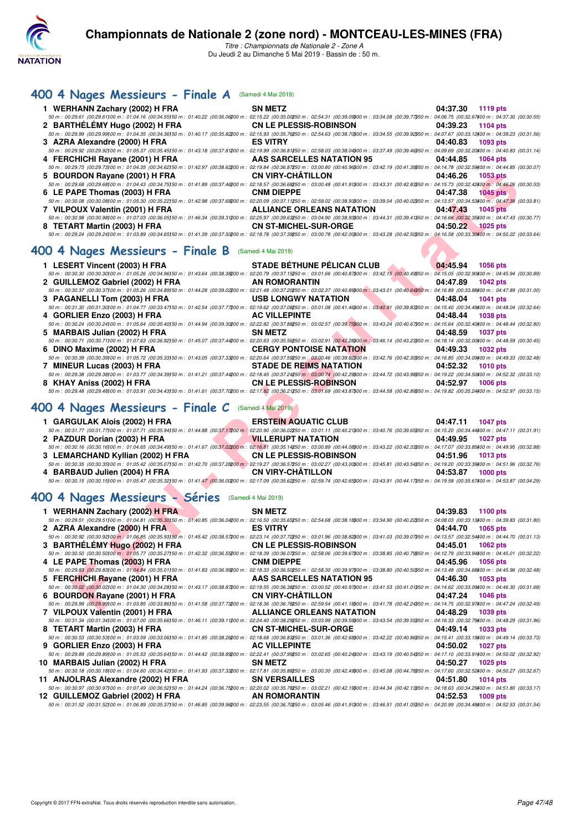

## **[400 4 Nages Messieurs - Finale A](http://www.ffnatation.fr/webffn/resultats.php?idact=nat&go=epr&idcpt=59365&idepr=92)** (Samedi 4 Mai 2019)

| 1 WERHANN Zachary (2002) H FRA                                                                                                                                                                                                 | <b>SN METZ</b>                   | 04:37.30 | 1119 pts        |
|--------------------------------------------------------------------------------------------------------------------------------------------------------------------------------------------------------------------------------|----------------------------------|----------|-----------------|
| 50 m : 00:29.61 (00:29.61)00 m : 01:04.16 (00:34.55)50 m : 01:40.22 (00:36.06200 m : 02:15.22 (00:35.00250 m : 02:54.31 (00:39.09300 m : 03:34.08 (00:39.77350 m : 04:05.75 (00:32.67400 m : 04:05.75) (00:39.67400 m : 04:37. |                                  |          |                 |
| 2 BARTHÉLÉMY Hugo (2002) H FRA                                                                                                                                                                                                 | <b>CN LE PLESSIS-ROBINSON</b>    | 04:39.23 | 1104 $pts$      |
| 50 m : 00:29.99 (00:29.99100 m : 01:04.35 (00:34.36150 m : 01:40.17 (00:35.82200 m : 02:15.93 (00:35.76250 m : 02:54.63 (00:38.7000 m : 03:34.55 (00:39.92050 m : 04:07.67 (00:33.12400 m : 04:39.23 (00:31.56)                |                                  |          |                 |
| 3 AZRA Alexandre (2000) H FRA                                                                                                                                                                                                  | <b>ES VITRY</b>                  | 04:40.83 | 1093 pts        |
| 50 m : 00:29.92 (00:29.92100 m : 01:05.37 (00:35.45150 m : 01:43.18 (00:37.81200 m : 02:19.99 (00:36.81250 m : 02:58.03 (00:38.04300 m : 03:37.49 (00:39.46350 m : 04:09.69 (00:32.0400 m : 04:40.83 (00:31.14)                |                                  |          |                 |
| 4 FERCHICHI Rayane (2001) H FRA                                                                                                                                                                                                | AAS SARCELLES NATATION 95        | 04:44.85 | <b>1064 pts</b> |
| 50 m : 00:29.73 (00:29.73) 00 m : 01:04.35 (00:34.62) 50 m : 01:42.97 (00:38.62200 m : 02:19.84 (00:36.87250 m : 03:00.80 (00:40.96300 m : 03:42.19 (00:41.39350 m : 04:14.78 (00:32.59400 m : 04:44.85 (00:30.07)             |                                  |          |                 |
| 5 BOURDON Rayane (2001) H FRA                                                                                                                                                                                                  | <b>CN VIRY-CHÂTILLON</b>         | 04:46.26 | 1053 pts        |
| 50 m : 00:29.68 (00:29.68100 m : 01:04.43 (00:34.75150 m : 01:41.89 (00:37.46200 m : 02:18.57 (00:36.68250 m : 03:00.48 (00:41.91300 m : 03:43.31 (00:42.83350 m : 04:15.73 (00:32.42400 m : 04:46.26 (00:30.53)               |                                  |          |                 |
| 6 LE PAPE Thomas (2003) H FRA                                                                                                                                                                                                  | <b>CNM DIEPPE</b>                | 04:47.38 | $1045$ pts      |
| 50 m : 00:30.08 (00:30.08100 m : 01:05.30 (00:35.22150 m : 01:42.98 (00:37.68200 m : 02:20.09 (00:37.11250 m : 02:59.02 (00:38.93300 m : 03:39.04 (00:40.02350 m : 04:13.57 (00:34.53400 m : 04:47.38 (00:33.81)               |                                  |          |                 |
| 7 VILPOUX Valentin (2001) H FRA                                                                                                                                                                                                | <b>ALLIANCE ORLEANS NATATION</b> | 04:47.43 | $1045$ pts      |
| 50 m : 00:30.98 (00:30.98100 m : 01:07.03 (00:36.05150 m : 01:46.34 (00:39.31200 m : 02:25.97 (00:39.63250 m : 03:04.90 (00:38.93300 m : 03:44.31 (00:39.41350 m : 04:16.66 (00:32.35400 m : 04:47.43 (00:30.77)               |                                  |          |                 |
| 8 TETART Martin (2003) H FRA                                                                                                                                                                                                   | <b>CN ST-MICHEL-SUR-ORGE</b>     | 04:50.22 | $-1025$ pts     |
| 50 m : 00:29.24 (00:29.24 00:29.24 00 m : 01:03.89 (00:34.65) 50 m : 01:41.39 (00:37.50200 m : 02:18.78 (00:37.30250 m : 03:00.78 (00:42.00300 m : 03:43.28 (00:42.50350 m : 04:16.58 (00:33.30400 m : 04:50.22 (00:33.364)    |                                  |          |                 |

## **[400 4 Nages Messieurs - Finale B](http://www.ffnatation.fr/webffn/resultats.php?idact=nat&go=epr&idcpt=59365&idepr=92)** (Samedi 4 Mai 2019)

| 5 BOURDON Rayane (2001) H FRA                                                                                                                                                                                                                                | <b>CN VIRY-CHÂTILLON</b>                                                                                                                                                                                        | 04:46.26<br>1053 pts        |
|--------------------------------------------------------------------------------------------------------------------------------------------------------------------------------------------------------------------------------------------------------------|-----------------------------------------------------------------------------------------------------------------------------------------------------------------------------------------------------------------|-----------------------------|
| 50 m : 00:29.68 (00:29.68)00 m : 01:04.43 (00:34.75)50 m : 01:41.89 (00:37.46200 m : 02:18.57 (00:36.68250 m : 03:00.48 (00:41.91300 m : 03:43.31 (00:42.83350 m : 04:15.73 (00:32.42400 m : 04:46.26 (00:30.53)                                             |                                                                                                                                                                                                                 |                             |
| 6 LE PAPE Thomas (2003) H FRA                                                                                                                                                                                                                                | <b>CNM DIEPPE</b>                                                                                                                                                                                               | 04:47.38<br><b>1045 pts</b> |
| $50\,m:\,00.30.08\,\, (00.30.08) \,00\,m:\,01.05.30\,\,(00.35.22) \,50\,m:\,01.42.98\,\,(00.37.68200\,m:\,02.20.09\,\,(00.37.11250\,m:\,02.59.02\,\,(00.38.93900\,m:\,03.39.04\,\,(00.40.02350\,m:\,04.13.57\,\,(00.34.53400\,m:\,04.47.38\,\,(00.33.81$     |                                                                                                                                                                                                                 |                             |
| 7 VILPOUX Valentin (2001) H FRA                                                                                                                                                                                                                              | <b>ALLIANCE ORLEANS NATATION</b>                                                                                                                                                                                | 04:47.43<br><b>1045 pts</b> |
| $50\,m:\,00.30.98\,\,(00.30.98100\,m:\,01.07.03\,\,(00.36.05)\\ 50\,m:\,01.46.34\,\,(00.39.31200\,m:\,02.25.97\,\,(00.39.63250\,m:\,03.04.90\,\,(00.39.93900\,m:\,03.44.31\,\,(00.39.41350\,m:\,04.16.66\,\,(00.32.35400\,m:\,04.47.43\,\,(00.30.77)\,$      |                                                                                                                                                                                                                 |                             |
| 8 TETART Martin (2003) H FRA                                                                                                                                                                                                                                 | <b>CN ST-MICHEL-SUR-ORGE</b>                                                                                                                                                                                    | 04:50.22<br><b>1025 pts</b> |
| 50 m : 00:29.24 (00:29.24)00 m : 01:03.89 (00:34.65)50 m : 01:41.39 (00:37.50200 m : 02:18.78 (00:37.39250 m : 03:00.78 (00:42.00000 m : 03:43.28 (00:42.50350 m : 04:16.58 (00:33.30400 m : 04:50.22 (00:33.3040                                            |                                                                                                                                                                                                                 |                             |
|                                                                                                                                                                                                                                                              |                                                                                                                                                                                                                 |                             |
| 00 4 Nages Messieurs - Finale B (Samedi 4 Mai 2019)                                                                                                                                                                                                          |                                                                                                                                                                                                                 |                             |
| 1 LESERT Vincent (2003) H FRA                                                                                                                                                                                                                                | STADE BÉTHUNE PÉLICAN CLUB                                                                                                                                                                                      | 04:45.94<br>1056 pts        |
| $50\,m:\,00.30.30\,(00.30.30)\\ 00\,m:\,01.05.26\,\,(00.34.96)\\ 50\,m:\,01.43.64\,\,(00.36.382\\ 00\,m:\,02.20.79\,\,(00.37.15\\ 250\,m:\,03.01.66\,\,(00.40.87\\ 90\,m:\,03.42.15\,\,(00.40.49\\ 50\,m:\,04.15.05\,\,(00.32.90\\ 400\,m:\,04.45.84\,\,(00$ |                                                                                                                                                                                                                 |                             |
| 2 GUILLEMOZ Gabriel (2002) H FRA                                                                                                                                                                                                                             | <b>AN ROMORANTIN</b>                                                                                                                                                                                            | 04:47.89<br><b>1042 pts</b> |
| $50\,m:\,00.30.37\,\,(00.30.37\,00\,m:\,01.05.26\,\,(00.34.89\,50\,m:\,01.44.28\,\,(00.39.02200\,m:\,02.21.48\,\,(00.37.20250\,m:\,03.02.37\,\,(00.40.83900\,m:\,03.43.01\,\,(00.40.64\,50\,m:\,04.16.89\,\,(00.33.88400\,m:\,04.47.89\,\,(00.31.00)\,$      |                                                                                                                                                                                                                 |                             |
| 3 PAGANELLI Tom (2003) H FRA                                                                                                                                                                                                                                 | <b>USB LONGWY NATATION</b>                                                                                                                                                                                      | 04:48.04<br>1041 pts        |
| 50 m : 00:31.30 (00:31.30)00 m : 01:04.77 (00:32.47)50 m : 01:42.54 (00:37.77200 m : 02:19.62 (00:37.08250 m : 03:01.08 (00:41.46300 m : 03:40.91 (00:39.83)50 m : 04:15.40 (00:34.49400 m : 04:48.04 (00:32.64)                                             |                                                                                                                                                                                                                 |                             |
| 4 GORLIER Enzo (2003) H FRA                                                                                                                                                                                                                                  | <b>AC VILLEPINTE</b>                                                                                                                                                                                            | 04:48.44<br><b>1038 pts</b> |
| 50 m : 00:30.24 (00:30.24100 m : 01:05.64 (00:35.40150 m : 01:44.94 (00:39.30200 m : 02:22.82 (00:37.88250 m : 03:02.57 (00:39.75300 m : 03:43.24 (00:40.67350 m : 04:15.64 (00:32.40400 m : 04:48.44 (00:32.80)                                             |                                                                                                                                                                                                                 |                             |
| 5 MARBAIS Julian (2002) H FRA                                                                                                                                                                                                                                | <b>SN METZ</b>                                                                                                                                                                                                  | 04:48.59<br><b>1037 pts</b> |
| 50 m : 00:30.71 (00:30.71100 m : 01:07.63 (00:36.92150 m : 01:45.07 (00:37.44200 m : 02:20.63 (00:35.56250 m : 03:02.91 (00:42.28300 m : 03:46.14 (00:43.23350 m : 04:18.14 (00:32.00400 m : 04:48.59 (00:30.45)                                             |                                                                                                                                                                                                                 |                             |
| 6 DINO Maxime (2002) H FRA                                                                                                                                                                                                                                   | <b>CERGY PONTOISE NATATION</b>                                                                                                                                                                                  | 04:49.33<br><b>1032 pts</b> |
| $50\,m:\,00.30.39\,\,(00.30.39\,100\,m:\,01.05.72\,\,(00.35.33\,50\,m:\,01.43.05\,\,(00.37.33200\,m:\,02.20.64\,\,(00.37.53250\,m:\,03.00.46\,\,(00.39.82900\,m:\,03.42.76\,\,(00.42.30350\,m:\,04.16.85\,\,(00.34.09400\,m:\,04.49.33\,\,(00.32.48)\,$      |                                                                                                                                                                                                                 |                             |
| 7 MINEUR Lucas (2003) H FRA                                                                                                                                                                                                                                  | <b>STADE DE REIMS NATATION</b>                                                                                                                                                                                  | 04:52.32<br><b>1010 pts</b> |
| $50\,m:\,00.29.38\,\,(00.29.38\,00\,m:\,01.03.77\,\,(00.34.39\,50\,m:\,01.41.21\,\,(00.37.44200\,m:\,02.18.45\,\,(00.37.24250\,m:\,03.00.74\,\,(00.42.29\,900\,m:\,03.44.72\,\,(00.43.98\,550\,m:\,04.19.22\,\,(00.34.50\,900\,m:\,04.52.32\,\,(00.33$       |                                                                                                                                                                                                                 |                             |
| 8 KHAY Aniss (2002) H FRA                                                                                                                                                                                                                                    | <b>CN LE PLESSIS-ROBINSON 69:52.97</b>                                                                                                                                                                          | <b>1006 pts</b>             |
|                                                                                                                                                                                                                                                              | 50 m : 00:29.48 (00:29.48)00 m : 01:03.91 (00:34.43)50 m : 01:41.61 (00:37.70200 m : 02:17.82 (00:36.21250 m : 03:01.69 (00:43.8700 m : 03:44.58 (00:42.89350 m : 04:19.82 (00:35.24)00 m : 04:52.97 (00:33.15) |                             |
|                                                                                                                                                                                                                                                              |                                                                                                                                                                                                                 |                             |
|                                                                                                                                                                                                                                                              |                                                                                                                                                                                                                 |                             |
| 00 4 Nages Messieurs - Finale C (Samedi 4 Mai 2019)                                                                                                                                                                                                          |                                                                                                                                                                                                                 |                             |
| 1 GARGULAK Alois (2002) H FRA                                                                                                                                                                                                                                | <b>ERSTEIN AQUATIC CLUB</b>                                                                                                                                                                                     | 04:47.11<br><b>1047 pts</b> |
| 50 m : 00:31.77 (00:31.77100 m : 01:07.71 (00:35.94150 m : 01:44.88 (00:37.17200 m : 02:20.90 (00:36.02250 m : 03:01.11 (00:40.21300 m : 03:40.76 (00:39.65350 m : 04:15.20 (00:34.44400 m : 04:47.11 (00:31.91)                                             |                                                                                                                                                                                                                 |                             |
| 2 PAZDUR Dorian (2003) H FRA                                                                                                                                                                                                                                 | <b>VILLERUPT NATATION</b>                                                                                                                                                                                       | 04:49.95<br><b>1027 pts</b> |
| 50 m : 00:30.16 (00:30.16100 m : 01:04.65 (00:34.49150 m : 01:41.67 (00:37.02200 m : 02:16.81 (00:35.14250 m : 03:00.89 (00:44.08300 m : 03:43.22 (00:42.33350 m : 04:17.07 (00:32.85400 m : 04:49.95 (00:32.88)                                             |                                                                                                                                                                                                                 |                             |
| <b>Contract Contract Contract Contract Contract</b><br>3 LEMARCHAND Kyllian (2002) H FRA                                                                                                                                                                     | CN LE PLESSIS-ROBINSON                                                                                                                                                                                          | 04:51.96<br><b>1013 pts</b> |
| $50\,m:\,00.30.35\,\,(00.30.35\,00\,m:\,01.05.42\,\,(00.35.07)\\ 50\,m:\,01.42.70\,\,(00.37.28200\,m:\,02.19.27\,\,(00.36.57250\,m:\,03.02.27\,\,(00.43.00\\900\,m:\,03.45.81\,\,(00.43.54350\,m:\,04.19.20\,\,(00.33.39400\,m:\,04.51.96\,\,(00.32.76)\$    |                                                                                                                                                                                                                 |                             |
| 4 BARBAUD Julien (2004) H FRA                                                                                                                                                                                                                                | <b>CN VIRY-CHÂTILLON</b>                                                                                                                                                                                        | 04:53.87<br><b>1000 pts</b> |
| $50\,m:\,00.30.15\,(00.30.15\,00\,m:\,01.05.47\,\,(00.35.32\,50\,m:\,01.41.47\,\,(00.36.002\,00\,m:\,02.17.09\,\,(00.35.62250\,m:\,02.59.74\,\,(00.42.653\,00\,m:\,03.43.91\,\,(00.44.17350\,m:\,04.19.58\,\,(00.35.674\,00\,m:\,04.49.59.59)\,$             |                                                                                                                                                                                                                 |                             |
|                                                                                                                                                                                                                                                              |                                                                                                                                                                                                                 |                             |
| 00 4 Nages Messieurs - Séries (Samedi 4 Mai 2019)                                                                                                                                                                                                            |                                                                                                                                                                                                                 |                             |
| 1 WERHANN Zachary (2002) H FRA                                                                                                                                                                                                                               | <b>SN METZ</b>                                                                                                                                                                                                  | 04:39.83<br>1100 pts        |
| $50 m : 00:29.51 (00:29.51100 m : 01:04.81 (00:35.30150 m : 01:40.85 (00:36.04200 m : 02:16.50 (00:35.65250 m : 02:54.68 (00:38.18300 m : 03:34.90 (00:40.22350 m : 04:08.03 (00:31.3400 m : 04:39.88)$                                                      |                                                                                                                                                                                                                 |                             |
| 2 AZRA Alexandre (2000) H FRA                                                                                                                                                                                                                                | <b>ES VITRY</b>                                                                                                                                                                                                 | 04:44.70<br>1065 pts        |
| 50 m : 00:30.92 (00:30.92)00 m : 01:06,85 (00:35.93)50 m : 01:45.42 (00:38.57200 m : 02:23.14 (00:37.72250 m : 03:01.96 (00:38.82300 m : 03:41.03 (00:39.07350 m : 04:13.57 (00:32.54400 m : 04:44.70 (00:31.13)                                             |                                                                                                                                                                                                                 |                             |
| 3 BARTHELEMY Hugo (2002) H FRA                                                                                                                                                                                                                               | <b>CN LE PLESSIS-ROBINSON</b>                                                                                                                                                                                   | 04:45.01<br><b>1062 pts</b> |
| $50\,m:\,00.30.50\,\,(00.30.50)\,00\,m:\,01.05.77\,\,(00.35.27)\\ 50\,m:\,01.42.32\,\,(00.36.53200\,m:\,02.18.39\,\,(00.36.07250\,m:\,02.58.06\,\,(00.39.67300\,m:\,03.38.85\,\,(00.40.73350\,m:\,04.12.79\,\,(00.33.94400\,m:\,04.45.01\,\,(00.32.22)\,$    |                                                                                                                                                                                                                 |                             |
| 4 LE PAPE Thomas (2003) H FRA                                                                                                                                                                                                                                | <b>CNM DIEPPE</b>                                                                                                                                                                                               | 04:45.96<br><b>1056 pts</b> |
| $50\,m:\,00.29.83\,\, (00.29.83) \,00\,m:\,01.04.84\,\,(00.35.01) \,50\,m:\,01.41.83\,\,(00.36.93200\,m:\,02.18.33\,\,(00.36.50250\,m:\,02.58.30\,\,(00.39.97300\,m:\,03.38.80\,\,(00.40.50350\,m:\,04.13.48\,\,(00.34.68400\,m:\,04.45.96\,\,(00.32.48$     |                                                                                                                                                                                                                 |                             |
| 5 FERCHICHI Rayane (2001) H FRA                                                                                                                                                                                                                              | <b>AAS SARCELLES NATATION 95</b>                                                                                                                                                                                | 04:46.30<br>1053 pts        |
| 50 m : 00:30.02 (00:30.02)00 m : 01:04:30 (00:34.28)50 m : 01:43.17 (00:38.87200 m : 02:19.55 (00:36.38250 m : 03:00.52 (00:40.97300 m : 03:41.53 (00:41.01350 m : 04:14.62 (00:33.09400 m : 04:46:30 (00:31.68)                                             |                                                                                                                                                                                                                 | 04:47.24<br><b>1046 pts</b> |
| 6 BOURDON Rayane (2001) H FRA<br>50 m : 00:29.99 (00:29.99)00 m : 01:03.85 (00:33.86)50 m : 01:41.58 (00:37.73200 m : 02:18.36 (00:36.78250 m : 02:59.54 (00:41.18300 m : 03:41.78 (00:42.24350 m : 04:14.75 (00:32.97400 m : 04:47.24 (00:32.97400 m)       | <b>CN VIRY-CHATILLON</b>                                                                                                                                                                                        |                             |

## **[400 4 Nages Messieurs - Finale C](http://www.ffnatation.fr/webffn/resultats.php?idact=nat&go=epr&idcpt=59365&idepr=92)** (Samedi 4 Mai 2019)

| 1 GARGULAK Alois (2002) H FRA                                                                                                                                                                                         | <b>ERSTEIN AQUATIC CLUB</b>   | 04:47.11<br><b>1047 pts</b> |
|-----------------------------------------------------------------------------------------------------------------------------------------------------------------------------------------------------------------------|-------------------------------|-----------------------------|
| 50 m : 00:31.77 (00:31.77)00 m : 01:07.71 (00:35.94)50 m : 01:44.88 (00:37.17200 m : 02:20.90 (00:36.02250 m : 03:01.11 (00:40.21300 m : 03:40.76 (00:39.65350 m : 04:15.20 (00:34.44400 m : 04:47.11 (00:31.91)      |                               |                             |
| 2 PAZDUR Dorian (2003) H FRA                                                                                                                                                                                          | <b>VILLERUPT NATATION</b>     | 04:49.95 1027 pts           |
| $50 m : 00.30.16 (00.30.16) 00 m : 01.04.65 (00.34.49) 50 m : 01.41.67 (00.37.02200 m : 02.16.81 (00.35.14250 m : 03.00.89 (00.44.08300 m : 03.43.22 (00.42.33350 m : 04.17.07 (00.33.85400 m : 04.49.95 (00.32.88))$ |                               |                             |
| 3 LEMARCHAND Kyllian (2002) H FRA                                                                                                                                                                                     | <b>CN LE PLESSIS-ROBINSON</b> | 04:51.96 1013 pts           |
| $50 m : 00:30.35 (00:30.35) 00 m : 01:05.42 (00:35.07) 50 m : 01:42.70 (00:37.28200 m : 02:19.27 (00:36.57250 m : 03:02.27 (00:43.00300 m : 03:45.81 (00:43.54350 m : 04:19.20 (00:33.39400 m : 04:51.96 (00:32.76))$ |                               |                             |
| 4 BARBAUD Julien (2004) H FRA                                                                                                                                                                                         | <b>CN VIRY-CHÂTILLON</b>      | 04:53.87<br>$1000$ pts      |
| 50 m : 00:30.15 (00:30.15100 m : 01:05.47 (00:35.32150 m : 01:41.47 (00:36.00200 m : 02:17.09 (00:35.62250 m : 02:59.74 (00:42.65300 m : 03:43.91 (00:44.17350 m : 04:19.58 (00:35.67400 m : 04:53.87 (00:34.29)      |                               |                             |

## **[400 4 Nages Messieurs - Séries](http://www.ffnatation.fr/webffn/resultats.php?idact=nat&go=epr&idcpt=59365&idepr=92)** (Samedi 4 Mai 2019)

| 1 WERHANN Zachary (2002) H FRA                                                                                                                                                                                   | <b>SN METZ</b>                   |                               | 04:39.83 | 1100 pts        |
|------------------------------------------------------------------------------------------------------------------------------------------------------------------------------------------------------------------|----------------------------------|-------------------------------|----------|-----------------|
| 50 m : 00:29.51 (00:29.51100 m : 01:04.81 (00:35.30150 m : 01:40.85 (00:36.04200 m : 02:16.50 (00:35.65250 m : 02:54.68 (00:38.16300 m : 03:34.90 (00:40.22350 m : 04:08.03 (00:33.13400 m : 04:39.83 (00:31.80) |                                  |                               |          |                 |
| 2 AZRA Alexandre (2000) H FRA                                                                                                                                                                                    | <b>ES VITRY</b>                  |                               | 04:44.70 | <b>1065 pts</b> |
| 50 m : 00:30.92 (00:30.92100 m : 01:06.85 (00:35.93150 m : 01:45.42 (00:38.57200 m : 02:23.14 (00:37.72250 m : 03:01.96 (00:38.82300 m : 03:41.03 (00:39.07350 m : 04:13.57 (00:32.54400 m : 04:44.70 (00:31.13) |                                  |                               |          |                 |
| 3 BARTHELEMY Hugo (2002) H FRA                                                                                                                                                                                   |                                  | <b>CN LE PLESSIS-ROBINSON</b> | 04:45.01 | <b>1062 pts</b> |
| 50 m : 00:30.50 (00:30.50100 m : 01:05.77 (00:35.27150 m : 01:42.32 (00:36.55200 m : 02:18.39 (00:36.07250 m : 02:58.06 (00:39.67300 m : 03:38.85 (00:40.79350 m : 04:12.79 (00:33.94400 m : 04:45.01 (00:32.22) |                                  |                               |          |                 |
| 4 LE PAPE Thomas (2003) H FRA                                                                                                                                                                                    | <b>CNM DIEPPE</b>                |                               | 04:45.96 | <b>1056 pts</b> |
| 50 m : 00:29.83 (00:29.83)00 m : 01:04.84 (00:35.01150 m : 01:41.83 (00:36.99200 m : 02:18.33 (00:36.50250 m : 02:58.30 (00:39.97300 m : 03:38.80 (00:40.50350 m : 04:13.48 (00:34.68)00 m : 04:45.96 (00:32.48) |                                  |                               |          |                 |
| 5 FERCHICHI Rayane (2001) H FRA                                                                                                                                                                                  | AAS SARCELLES NATATION 95        |                               | 04:46.30 | 1053 pts        |
| 50 m : 00:30.02 (00:30.02)00 m : 01:04.30 (00:34.28)50 m : 01:43.17 (00:36.87200 m : 02:19.55 (00:36.38250 m : 03:00.52 (00:40.97300 m : 03:41.53 (00:41.01350 m : 04:14.62 (00:33.09400 m : 04:46.30 (00:31.68) |                                  |                               |          |                 |
| 6 BOURDON Rayane (2001) H FRA                                                                                                                                                                                    | <b>CN VIRY-CHATILLON</b>         |                               | 04:47.24 | 1046 pts        |
| 50 m : 00:29.99 (00:29.99)00 m : 01:03.85 (00:33.86)50 m : 01:41.58 (00:37.73200 m : 02:18.36 (00:36.76250 m : 02:59.54 (00:41.18300 m : 03:41.78 (00:22.24350 m : 04:17.76 (00:32.97400 m : 04:47.24 (00:32.49) |                                  |                               |          |                 |
| 7 VILPOUX Valentin (2001) H FRA                                                                                                                                                                                  | <b>ALLIANCE ORLEANS NATATION</b> |                               | 04:48.29 | 1039 pts        |
| 50 m : 00:31.34 (00:31.34)00 m : 01:07.00 (00:35.66)50 m : 01:46.11 (00:39.11200 m : 02:24.40 (00:38.29250 m : 03:03.99 (00:39.59300 m : 03:43.54 (00:39.55350 m : 04:16.33 (00:32.79400 m : 04:48.29 (00:31.36) |                                  |                               |          |                 |
| 8 TETART Martin (2003) H FRA                                                                                                                                                                                     | <b>CN ST-MICHEL-SUR-ORGE</b>     |                               | 04:49.14 | <b>1033 pts</b> |
| 50 m : 00:30.53 (00:30.53)00 m : 01:03.59 (00:33.06)50 m : 01:41.85 (00:38.26200 m : 02:18.68 (00:36.83250 m : 03:01.36 (00:42.68000 m : 03:42.22 (00:40.86350 m : 04:15.41 (00:33.19400 m : 04:49.14 (00:33.73) |                                  |                               |          |                 |
| 9 GORLIER Enzo (2003) H FRA                                                                                                                                                                                      | <b>AC VILLEPINTE</b>             |                               | 04:50.02 | <b>1027 pts</b> |
| 50 m : 00:29.89 (00:29.89)00 m : 01:05.53 (00:35.64)50 m : 01:44.42 (00:38.89200 m : 02:22.41 (00:37.99250 m : 03:02.65 (00:40.24300 m : 03:43.19 (00:40.54350 m : 04:17.10 (00:33.91400 m : 04:50.02 (00:32.92) |                                  |                               |          |                 |
| 10 MARBAIS Julian (2002) H FRA                                                                                                                                                                                   | <b>SN METZ</b>                   |                               | 04:50.27 | 1025 pts        |
| 50 m : 00:30.18 (00:30.18100 m : 01:04.60 (00:34.42150 m : 01:41.93 (00:37.33200 m : 02:17.81 (00:35.88250 m : 03:00.30 (00:42.49300 m : 03:45.08 (00:44.78350 m : 04:17.60 (00:32.52400 m : 04:50.27 (00:32.67) |                                  |                               |          |                 |
| 11 ANJOLRAS Alexandre (2002) H FRA                                                                                                                                                                               | <b>SN VERSAILLES</b>             |                               | 04:51.80 | $1014$ pts      |
| 50 m : 00:30.97 (00:30.97)00 m : 01:07.49 (00:36.52150 m : 01:44.24 (00:36.75200 m : 02:20.02 (00:35.76250 m : 03:02.21 (00:42.19300 m : 03:44.34 (00:42.13350 m : 04:18.63 (00:34.29)00 m : 04:51.80 (00:33.17) |                                  |                               |          |                 |
| 12 GUILLEMOZ Gabriel (2002) H FRA                                                                                                                                                                                | <b>AN ROMORANTIN</b>             |                               | 04:52.53 | <b>1009 pts</b> |
| 50 m : 00:31.52 (00:31.52)00 m : 01:06.89 (00:35.37)50 m : 01:46.85 (00:39.96200 m : 02:23.55 (00:36.70250 m : 03:05.46 (00:41.91300 m : 03:46.51 (00:41.05350 m : 04:20.99 (00:34.48400 m : 04:52.53 (00:31.54) |                                  |                               |          |                 |